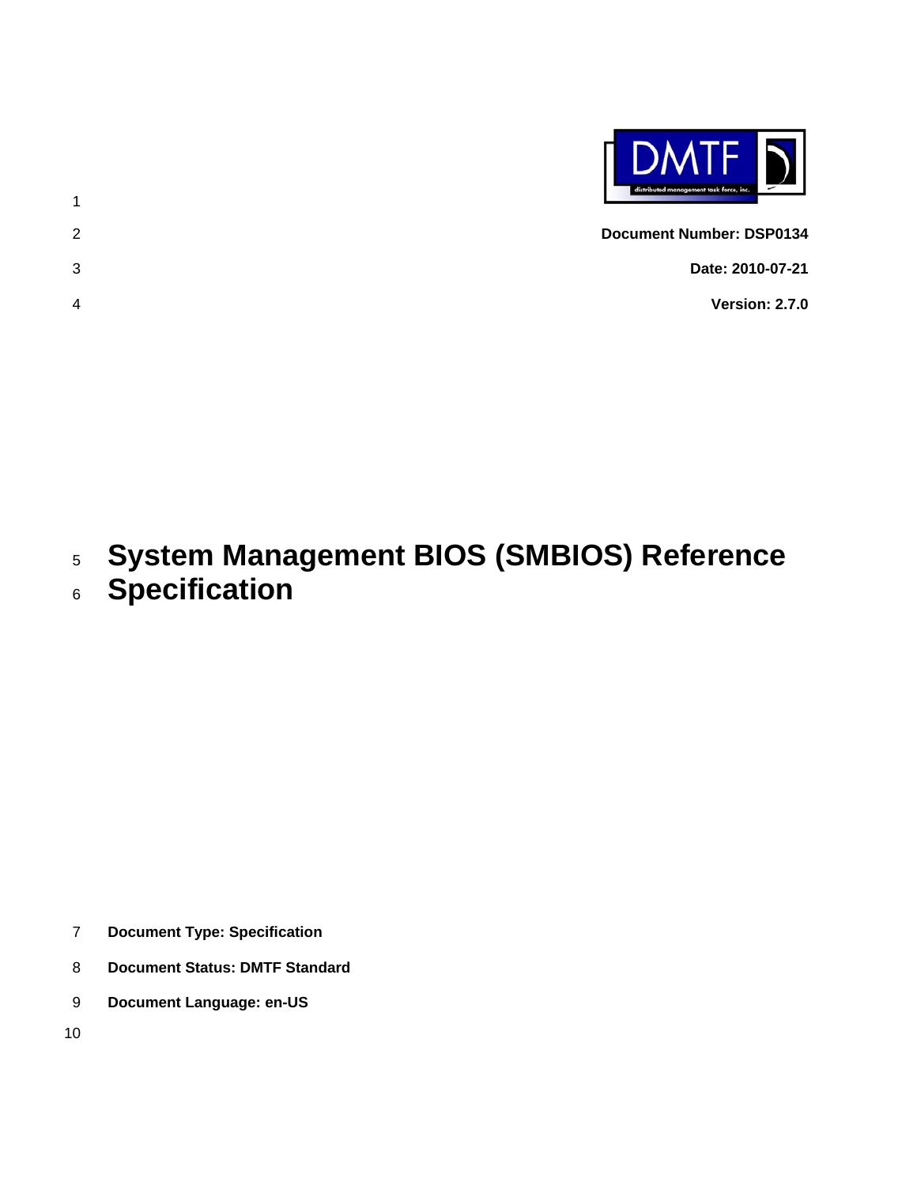

| <b>Document Number: DSP0134</b> | 2              |
|---------------------------------|----------------|
| Date: 2010-07-21                | 3              |
| <b>Version: 2.7.0</b>           | $\overline{4}$ |

# **System Management BIOS (SMBIOS) Reference Specification**

**Document Type: Specification** 

- **Document Status: DMTF Standard**
- **Document Language: en-US**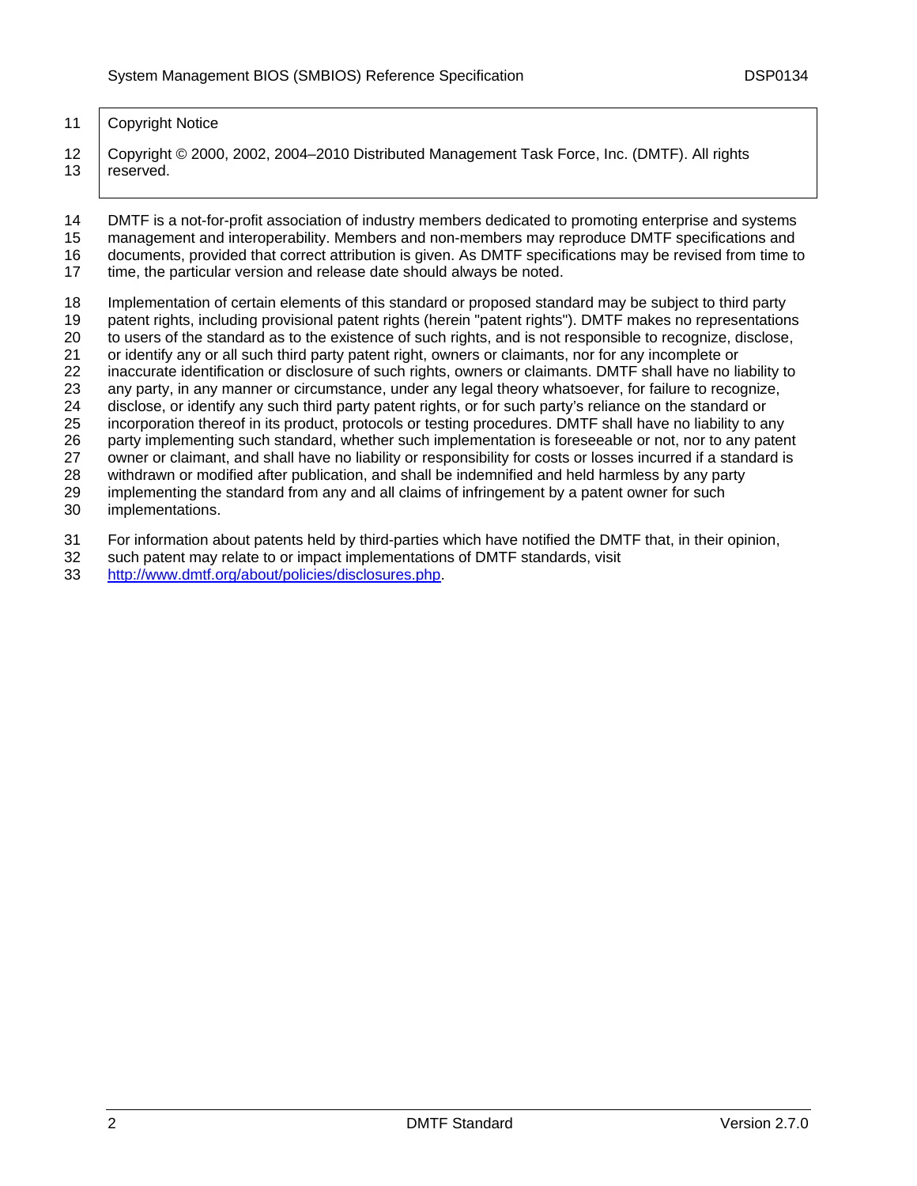#### 11 | Copyright Notice

12 Copyright © 2000, 2002, 2004–2010 Distributed Management Task Force, Inc. (DMTF). All rights 13 **reserved**.

14 DMTF is a not-for-profit association of industry members dedicated to promoting enterprise and systems 15 management and interoperability. Members and non-members may reproduce DMTF specifications and 16 documents, provided that correct attribution is given. As DMTF specifications may be revised from time to 17 time, the particular version and release date should always be noted.

18 Implementation of certain elements of this standard or proposed standard may be subject to third party 19 patent rights, including provisional patent rights (herein "patent rights"). DMTF makes no representations 20 to users of the standard as to the existence of such rights, and is not responsible to recognize, disclose,<br>21 or identify any or all such third party patent right, owners or claimants, nor for any incomplete or 21 or identify any or all such third party patent right, owners or claimants, nor for any incomplete or 22 inaccurate identification or disclosure of such rights, owners or claimants. DMTF shall have no liability to 23 any party, in any manner or circumstance, under any legal theory whatsoever, for failure to recognize, 24 disclose, or identify any such third party patent rights, or for such party's reliance on the standard or disclose, or identify any such third party patent rights, or for such party's reliance on the standard or 25 incorporation thereof in its product, protocols or testing procedures. DMTF shall have no liability to any 26 party implementing such standard, whether such implementation is foreseeable or not, nor to any patent 27 owner or claimant, and shall have no liability or responsibility for costs or losses incurred if a standard is 28 withdrawn or modified after publication, and shall be indemnified and held harmless by any party 29 implementing the standard from any and all claims of infringement by a patent owner for such 30 implementations.

31 For information about patents held by third-parties which have notified the DMTF that, in their opinion,

- 32 such patent may relate to or impact implementations of DMTF standards, visit
- 33 <http://www.dmtf.org/about/policies/disclosures.php>.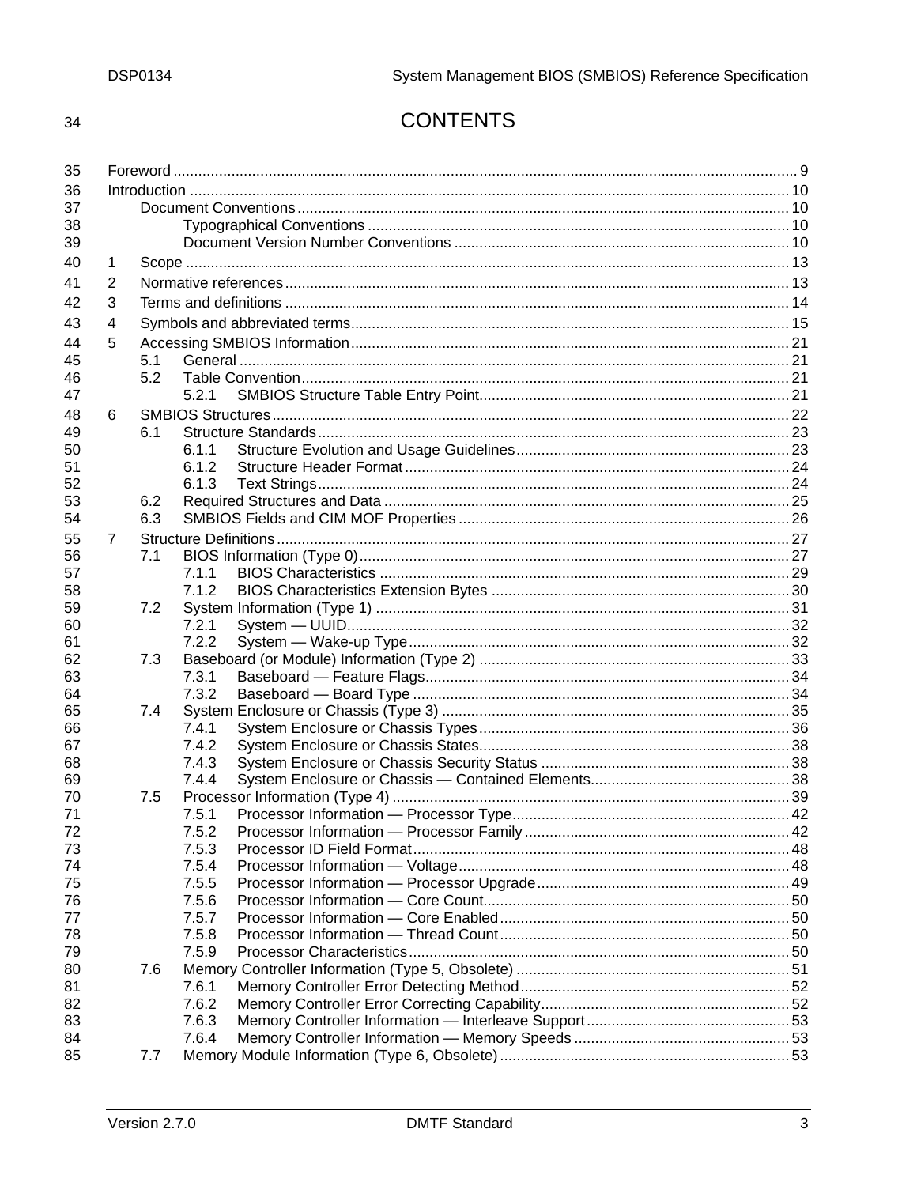34

# **CONTENTS**

| 35 |   |     |       |  |
|----|---|-----|-------|--|
| 36 |   |     |       |  |
| 37 |   |     |       |  |
| 38 |   |     |       |  |
| 39 |   |     |       |  |
| 40 | 1 |     |       |  |
|    |   |     |       |  |
| 41 | 2 |     |       |  |
| 42 | 3 |     |       |  |
| 43 | 4 |     |       |  |
| 44 | 5 |     |       |  |
| 45 |   | 5.1 |       |  |
| 46 |   | 5.2 |       |  |
| 47 |   |     | 5.2.1 |  |
| 48 | 6 |     |       |  |
| 49 |   | 6.1 |       |  |
| 50 |   |     | 6.1.1 |  |
| 51 |   |     | 6.1.2 |  |
| 52 |   |     | 6.1.3 |  |
| 53 |   | 6.2 |       |  |
| 54 |   | 6.3 |       |  |
| 55 | 7 |     |       |  |
| 56 |   | 7.1 |       |  |
| 57 |   |     | 7.1.1 |  |
| 58 |   |     | 7.1.2 |  |
| 59 |   | 7.2 |       |  |
| 60 |   |     | 7.2.1 |  |
| 61 |   |     | 7.2.2 |  |
| 62 |   | 7.3 |       |  |
| 63 |   |     | 7.3.1 |  |
| 64 |   |     | 7.3.2 |  |
| 65 |   | 7.4 |       |  |
| 66 |   |     | 7.4.1 |  |
| 67 |   |     | 7.4.2 |  |
| 68 |   |     | 7.4.3 |  |
| 69 |   |     | 7.4.4 |  |
| 70 |   | 7.5 |       |  |
| 71 |   |     | 7.5.1 |  |
| 72 |   |     | 7.5.2 |  |
| 73 |   |     | 7.5.3 |  |
| 74 |   |     | 7.5.4 |  |
| 75 |   |     | 7.5.5 |  |
| 76 |   |     | 7.5.6 |  |
| 77 |   |     | 7.5.7 |  |
| 78 |   |     | 7.5.8 |  |
| 79 |   |     | 7.5.9 |  |
| 80 |   | 7.6 |       |  |
| 81 |   |     | 7.6.1 |  |
| 82 |   |     | 7.6.2 |  |
| 83 |   |     | 7.6.3 |  |
| 84 |   |     | 7.6.4 |  |
| 85 |   | 7.7 |       |  |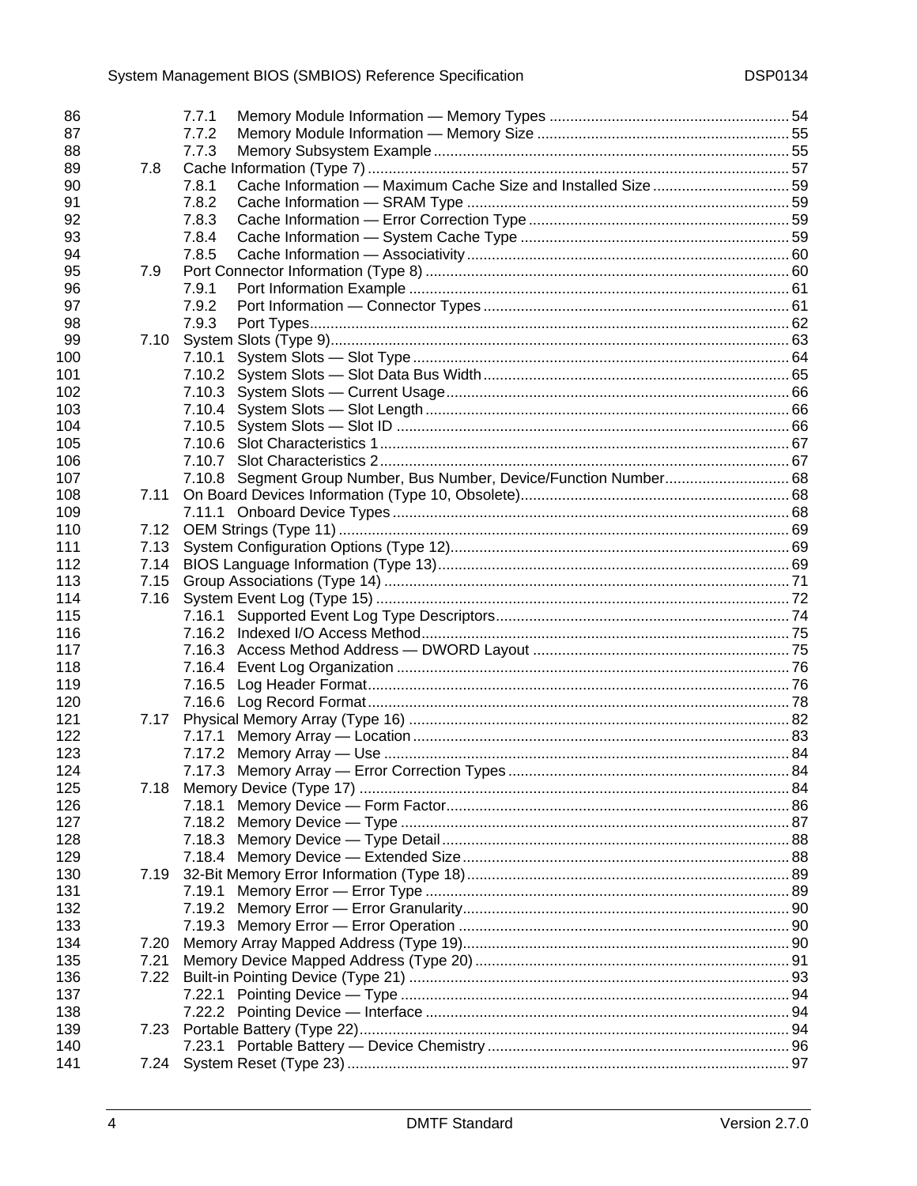| 86  |      | 7.7.1                                                              |  |
|-----|------|--------------------------------------------------------------------|--|
| 87  |      | 7.7.2                                                              |  |
| 88  |      | 7.7.3                                                              |  |
| 89  | 7.8  |                                                                    |  |
| 90  |      | 7.8.1                                                              |  |
| 91  |      | 7.8.2                                                              |  |
|     |      |                                                                    |  |
| 92  |      | 7.8.3                                                              |  |
| 93  |      | 7.8.4                                                              |  |
| 94  |      | 7.8.5                                                              |  |
| 95  | 7.9  |                                                                    |  |
| 96  |      | 7.9.1                                                              |  |
| 97  |      | 7.9.2                                                              |  |
| 98  |      | 7.9.3                                                              |  |
| 99  | 7.10 |                                                                    |  |
| 100 |      | 7.10.1                                                             |  |
| 101 |      | 7.10.2                                                             |  |
| 102 |      | 7.10.3                                                             |  |
| 103 |      | 7.10.4                                                             |  |
| 104 |      | 7.10.5                                                             |  |
| 105 |      | 7.10.6                                                             |  |
| 106 |      | 7.10.7                                                             |  |
| 107 |      | 7.10.8 Segment Group Number, Bus Number, Device/Function Number 68 |  |
| 108 | 7.11 |                                                                    |  |
| 109 |      |                                                                    |  |
| 110 | 7.12 |                                                                    |  |
| 111 | 7.13 |                                                                    |  |
| 112 | 7.14 |                                                                    |  |
| 113 | 7.15 |                                                                    |  |
| 114 | 7.16 |                                                                    |  |
| 115 |      |                                                                    |  |
| 116 |      |                                                                    |  |
| 117 |      |                                                                    |  |
| 118 |      | 7.16.4                                                             |  |
| 119 |      | 7.16.5                                                             |  |
| 120 |      |                                                                    |  |
| 121 | 7.17 |                                                                    |  |
| 122 |      | 7.17.1                                                             |  |
| 123 |      |                                                                    |  |
| 124 |      |                                                                    |  |
| 125 |      |                                                                    |  |
| 126 |      |                                                                    |  |
| 127 |      | 7.18.2                                                             |  |
| 128 |      |                                                                    |  |
| 129 |      |                                                                    |  |
| 130 |      |                                                                    |  |
| 131 |      | 7.19.1                                                             |  |
| 132 |      |                                                                    |  |
| 133 |      |                                                                    |  |
| 134 | 7.20 |                                                                    |  |
| 135 | 7.21 |                                                                    |  |
| 136 | 7.22 |                                                                    |  |
| 137 |      |                                                                    |  |
| 138 |      |                                                                    |  |
| 139 | 7.23 |                                                                    |  |
| 140 |      |                                                                    |  |
| 141 | 7.24 |                                                                    |  |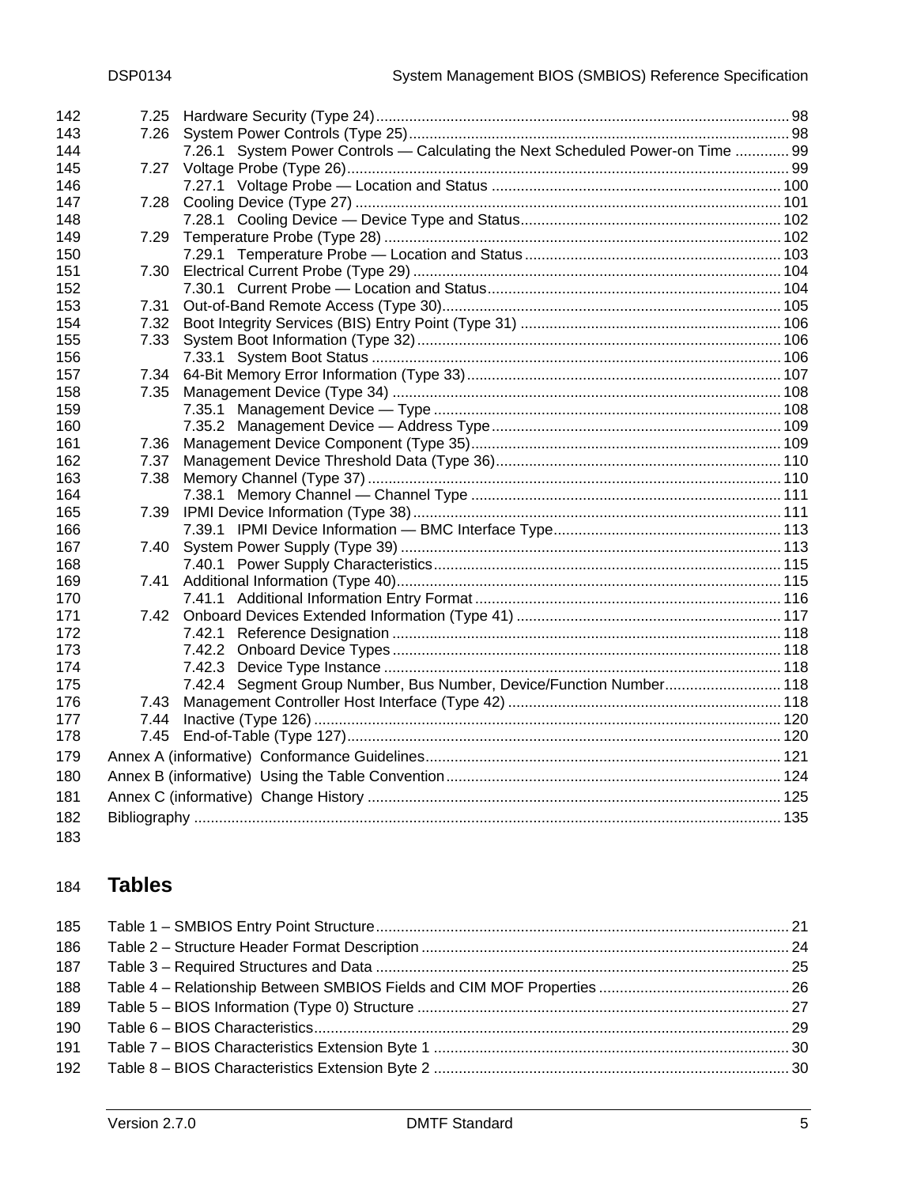| 143<br>7.26<br>7.26.1 System Power Controls — Calculating the Next Scheduled Power-on Time  99<br>144<br>145<br>7.27<br>146<br>7.28<br>147 |  |
|--------------------------------------------------------------------------------------------------------------------------------------------|--|
|                                                                                                                                            |  |
|                                                                                                                                            |  |
|                                                                                                                                            |  |
|                                                                                                                                            |  |
|                                                                                                                                            |  |
| 148                                                                                                                                        |  |
| 7.29<br>149                                                                                                                                |  |
| 150                                                                                                                                        |  |
| 7.30<br>151                                                                                                                                |  |
| 152                                                                                                                                        |  |
| 153<br>7.31                                                                                                                                |  |
| 154<br>7.32                                                                                                                                |  |
| 7.33<br>155                                                                                                                                |  |
| 156                                                                                                                                        |  |
| 157<br>7.34                                                                                                                                |  |
| 158<br>7.35                                                                                                                                |  |
| 159                                                                                                                                        |  |
| 160                                                                                                                                        |  |
| 161<br>7.36                                                                                                                                |  |
| 162<br>7.37                                                                                                                                |  |
| 163<br>7.38                                                                                                                                |  |
| 164                                                                                                                                        |  |
| 165<br>7.39                                                                                                                                |  |
| 166                                                                                                                                        |  |
| 7.40<br>167                                                                                                                                |  |
| 168                                                                                                                                        |  |
| 169<br>7.41                                                                                                                                |  |
| 170                                                                                                                                        |  |
| 171                                                                                                                                        |  |
| 172                                                                                                                                        |  |
| 173                                                                                                                                        |  |
| 174                                                                                                                                        |  |
| 7.42.4 Segment Group Number, Bus Number, Device/Function Number 118<br>175                                                                 |  |
| 176<br>7.43                                                                                                                                |  |
| 177<br>7.44                                                                                                                                |  |
| 178<br>7.45                                                                                                                                |  |
| 179                                                                                                                                        |  |
| 180                                                                                                                                        |  |
| 181                                                                                                                                        |  |
| 182                                                                                                                                        |  |
| 183                                                                                                                                        |  |

## **Tables**

| 185 |  |
|-----|--|
| 186 |  |
| 187 |  |
| 188 |  |
| 189 |  |
| 190 |  |
| 191 |  |
| 192 |  |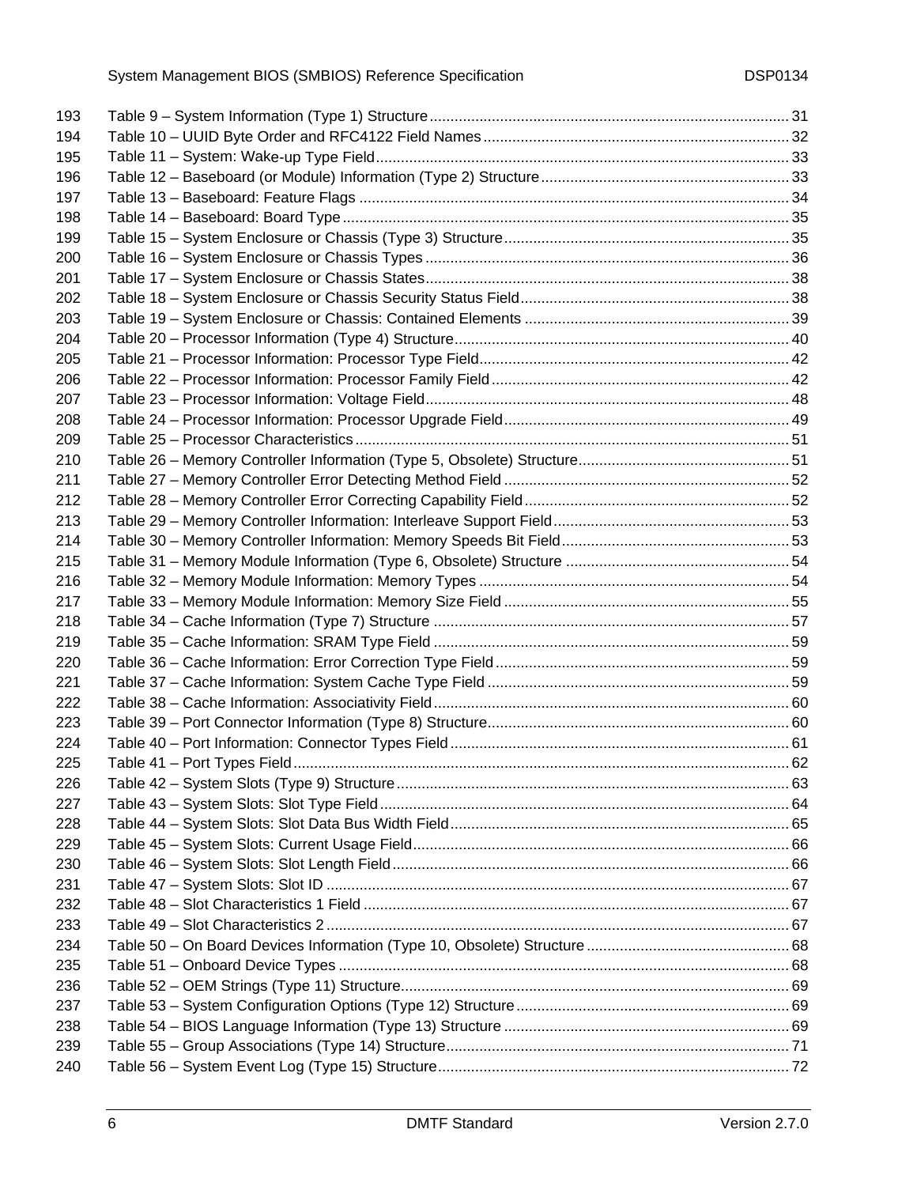| 193 |  |
|-----|--|
| 194 |  |
| 195 |  |
| 196 |  |
| 197 |  |
| 198 |  |
| 199 |  |
| 200 |  |
| 201 |  |
| 202 |  |
| 203 |  |
| 204 |  |
| 205 |  |
| 206 |  |
| 207 |  |
| 208 |  |
| 209 |  |
| 210 |  |
| 211 |  |
| 212 |  |
| 213 |  |
| 214 |  |
| 215 |  |
| 216 |  |
| 217 |  |
| 218 |  |
| 219 |  |
| 220 |  |
| 221 |  |
| 222 |  |
| 223 |  |
| 224 |  |
| 225 |  |
| 226 |  |
| 227 |  |
| 228 |  |
| 229 |  |
| 230 |  |
| 231 |  |
| 232 |  |
| 233 |  |
| 234 |  |
| 235 |  |
| 236 |  |
| 237 |  |
| 238 |  |
| 239 |  |
| 240 |  |
|     |  |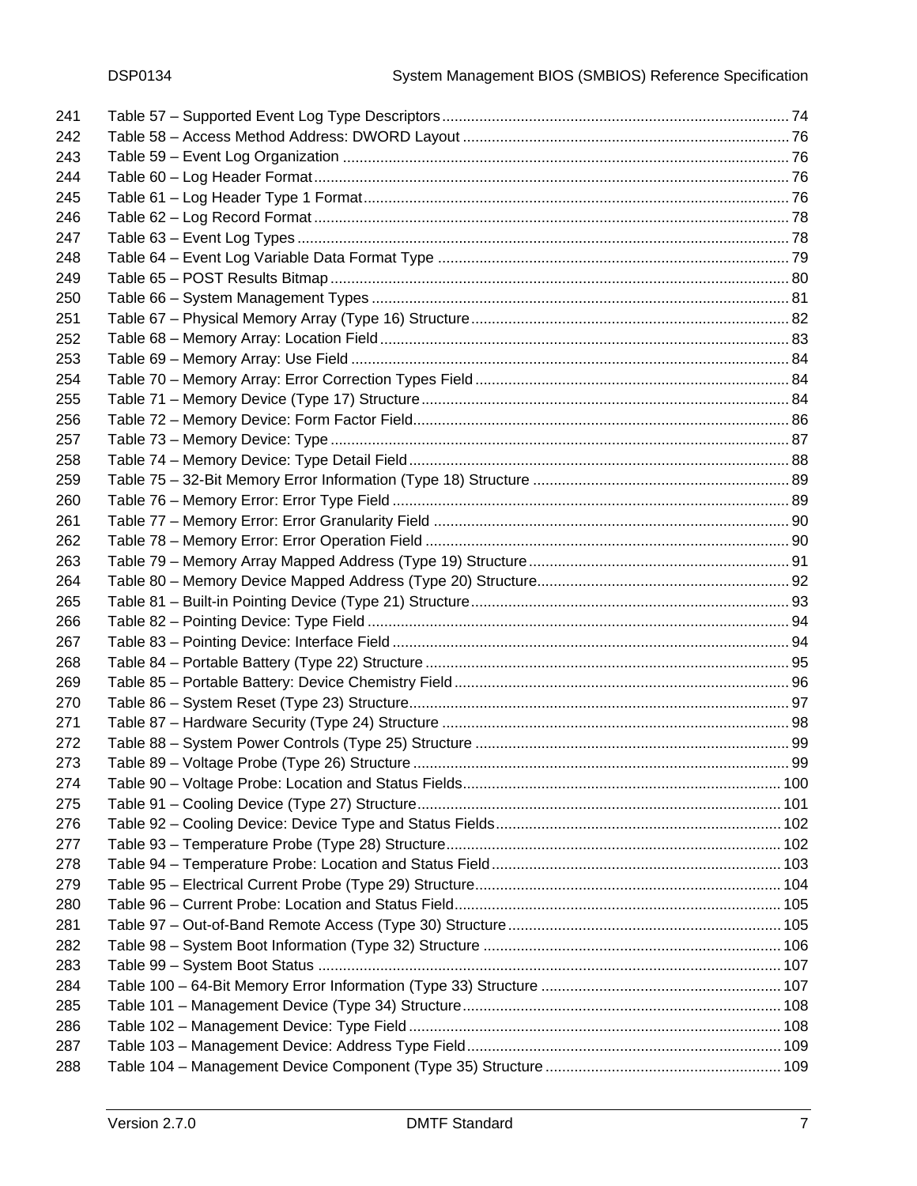| 241 |  |
|-----|--|
| 242 |  |
| 243 |  |
| 244 |  |
| 245 |  |
| 246 |  |
| 247 |  |
| 248 |  |
| 249 |  |
| 250 |  |
| 251 |  |
| 252 |  |
| 253 |  |
| 254 |  |
| 255 |  |
| 256 |  |
| 257 |  |
| 258 |  |
| 259 |  |
| 260 |  |
| 261 |  |
| 262 |  |
| 263 |  |
| 264 |  |
| 265 |  |
| 266 |  |
| 267 |  |
| 268 |  |
| 269 |  |
| 270 |  |
| 271 |  |
| 272 |  |
| 273 |  |
| 274 |  |
| 275 |  |
| 276 |  |
| 277 |  |
| 278 |  |
| 279 |  |
| 280 |  |
| 281 |  |
| 282 |  |
| 283 |  |
| 284 |  |
| 285 |  |
| 286 |  |
| 287 |  |
| 288 |  |
|     |  |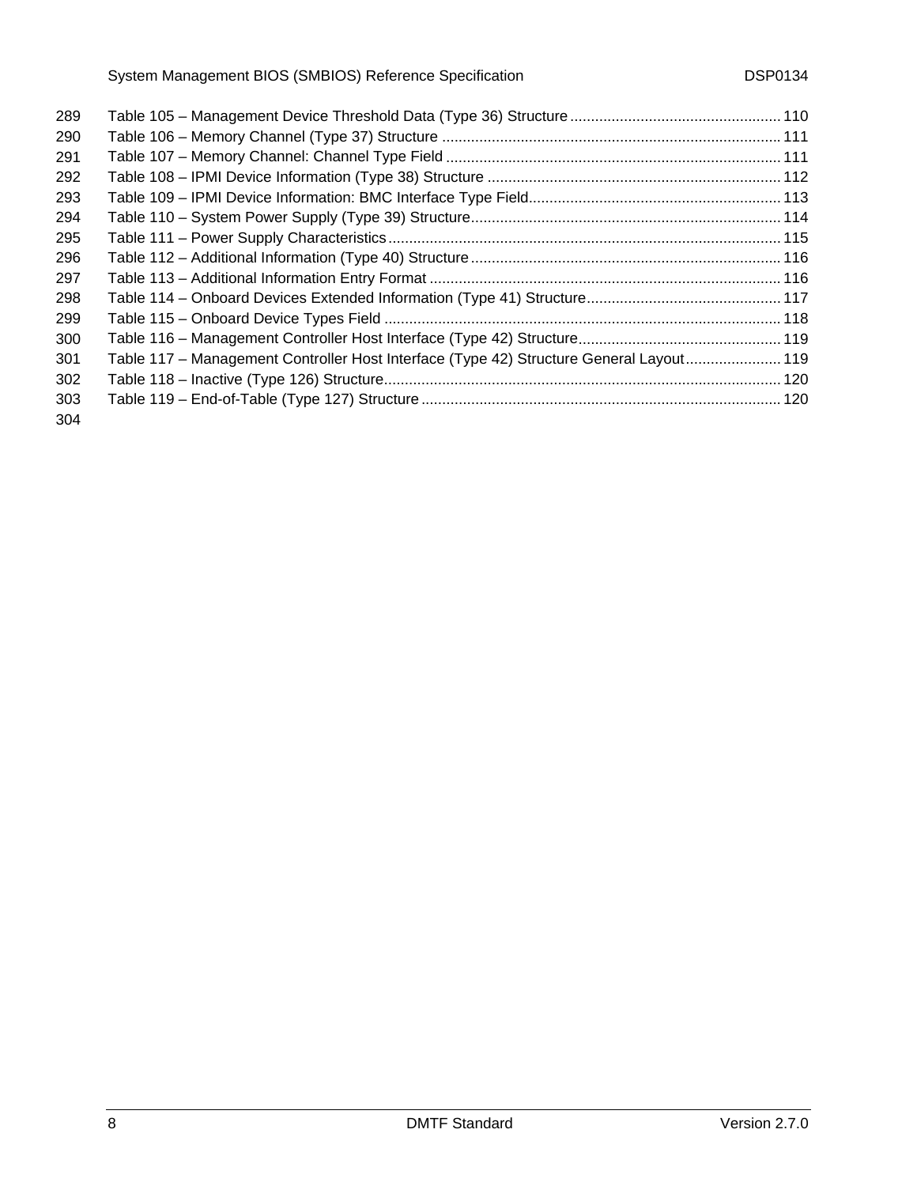| 289 |                                                                                         |  |
|-----|-----------------------------------------------------------------------------------------|--|
| 290 |                                                                                         |  |
| 291 |                                                                                         |  |
| 292 |                                                                                         |  |
| 293 |                                                                                         |  |
| 294 |                                                                                         |  |
| 295 |                                                                                         |  |
| 296 |                                                                                         |  |
| 297 |                                                                                         |  |
| 298 |                                                                                         |  |
| 299 |                                                                                         |  |
| 300 |                                                                                         |  |
| 301 | Table 117 - Management Controller Host Interface (Type 42) Structure General Layout 119 |  |
| 302 |                                                                                         |  |
| 303 |                                                                                         |  |
| 304 |                                                                                         |  |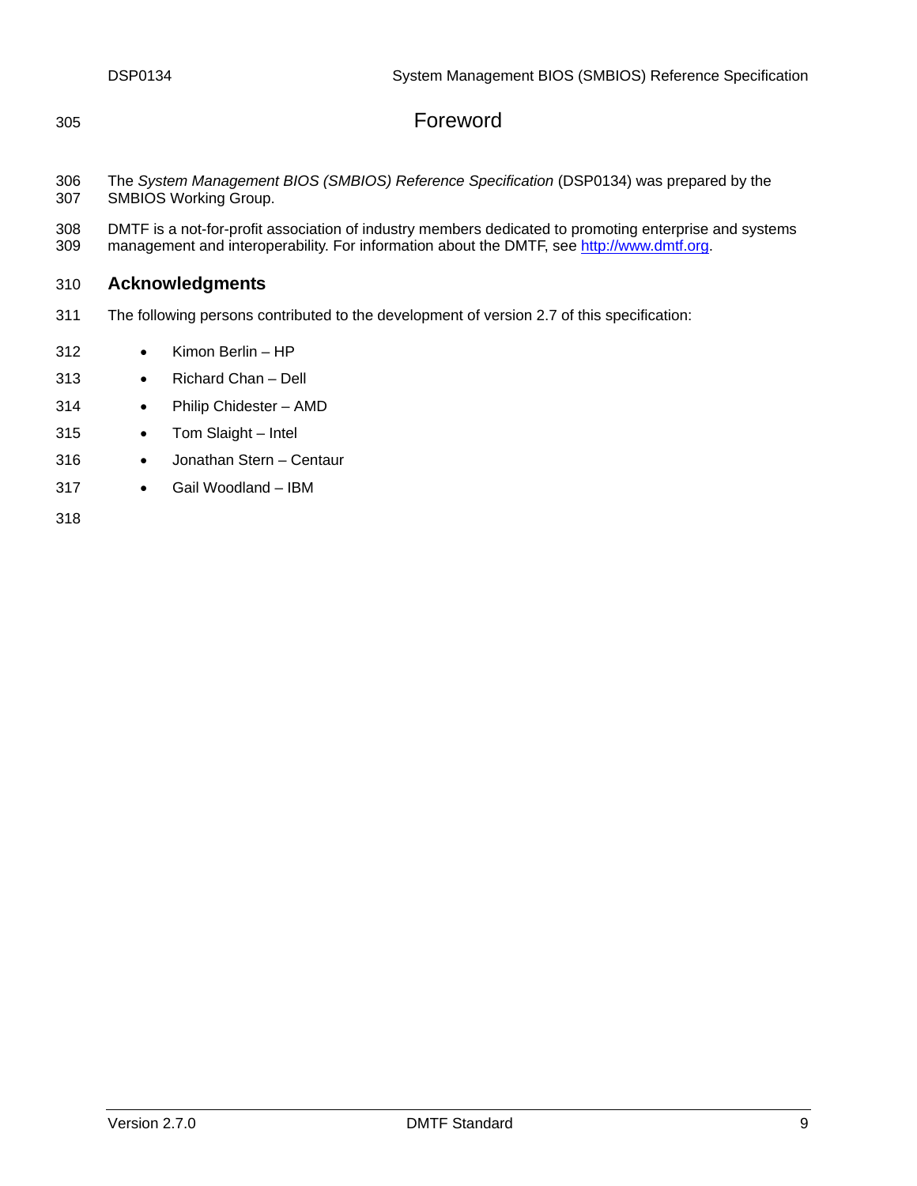## <span id="page-8-1"></span><span id="page-8-0"></span>305 Foreword

- 306 The *System Management BIOS (SMBIOS) Reference Specification* (DSP0134) was prepared by the SMBIOS Working Group.
- 308 DMTF is a not-for-profit association of industry members dedicated to promoting enterprise and systems 309 management and interoperability. For information about the DMTF, see http://www.dmtf.org. management and interoperability. For information about the DMTF, see [http://www.dmtf.org.](http://www.dmtf.org/)

## 310 **Acknowledgments**

- 311 The following persons contributed to the development of version 2.7 of this specification:
- 312 Kimon Berlin HP
- 313 Richard Chan Dell
- 314 Philip Chidester AMD
- 315 Tom Slaight Intel
- 316 Jonathan Stern Centaur
- 317 Gail Woodland IBM

318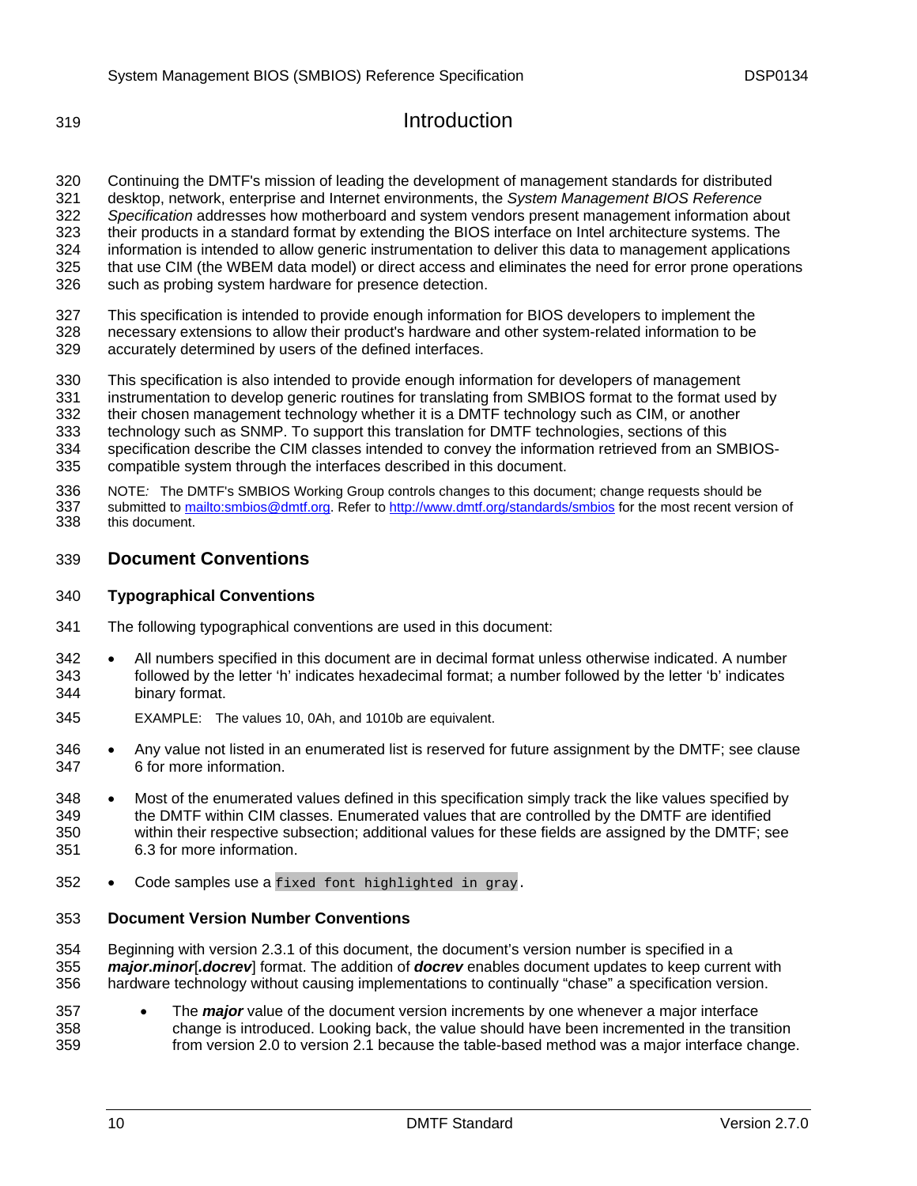## <span id="page-9-1"></span><span id="page-9-0"></span>319 Introduction

320 Continuing the DMTF's mission of leading the development of management standards for distributed 321 desktop, network, enterprise and Internet environments, the *System Management BIOS Reference*  322 *Specification* addresses how motherboard and system vendors present management information about 323 their products in a standard format by extending the BIOS interface on Intel architecture systems. The 324 information is intended to allow generic instrumentation to deliver this data to management applications 325 that use CIM (the WBEM data model) or direct access and eliminates the need for error prone operations 326 such as probing system hardware for presence detection.

- 327 This specification is intended to provide enough information for BIOS developers to implement the 328 necessary extensions to allow their product's hardware and other system-related information to be 329 accurately determined by users of the defined interfaces.
- 330 This specification is also intended to provide enough information for developers of management 331 instrumentation to develop generic routines for translating from SMBIOS format to the format used by 332 their chosen management technology whether it is a DMTF technology such as CIM, or another

333 technology such as SNMP. To support this translation for DMTF technologies, sections of this

334 specification describe the CIM classes intended to convey the information retrieved from an SMBIOS-335 compatible system through the interfaces described in this document.

336 NOTE: The DMTF's SMBIOS Working Group controls changes to this document; change requests should be<br>337 submitted to mailto: smbios@dmtf.org. Refer to http://www.dmtf.org/standards/smbios for the most recent versi 337 submitted to [mailto:smbios@dmtf.org.](mailto:smbios@dmtf.org) Refer to<http://www.dmtf.org/standards/smbios>for the most recent version of<br>338 this document. this document.

## <span id="page-9-2"></span>339 **Document Conventions**

#### <span id="page-9-3"></span>340 **Typographical Conventions**

- 341 The following typographical conventions are used in this document:
- 342 All numbers specified in this document are in decimal format unless otherwise indicated. A number 343 followed by the letter 'h' indicates hexadecimal format; a number followed by the letter 'b' indicates 344 binary format.
- 345 EXAMPLE: The values 10, 0Ah, and 1010b are equivalent.
- 346 Any value not listed in an enumerated list is reserved for future assignment by the DMTF; see clause 347 [6](#page-21-1) for more information.
- 348 Most of the enumerated values defined in this specification simply track the like values specified by 349 the DMTF within CIM classes. Enumerated values that are controlled by the DMTF are identified 350 within their respective subsection; additional values for these fields are assigned by the DMTF; see 351 [6.3](#page-26-4) for more information.
- 352 Code samples use a fixed font highlighted in gray.

#### <span id="page-9-4"></span>353 **Document Version Number Conventions**

354 Beginning with version 2.3.1 of this document, the document's version number is specified in a 355 *major***.***minor*[*.docrev*] format. The addition of *docrev* enables document updates to keep current with 356 hardware technology without causing implementations to continually "chase" a specification version.

357 • The *major* value of the document version increments by one whenever a major interface 358 change is introduced. Looking back, the value should have been incremented in the transition 359 from version 2.0 to version 2.1 because the table-based method was a major interface change.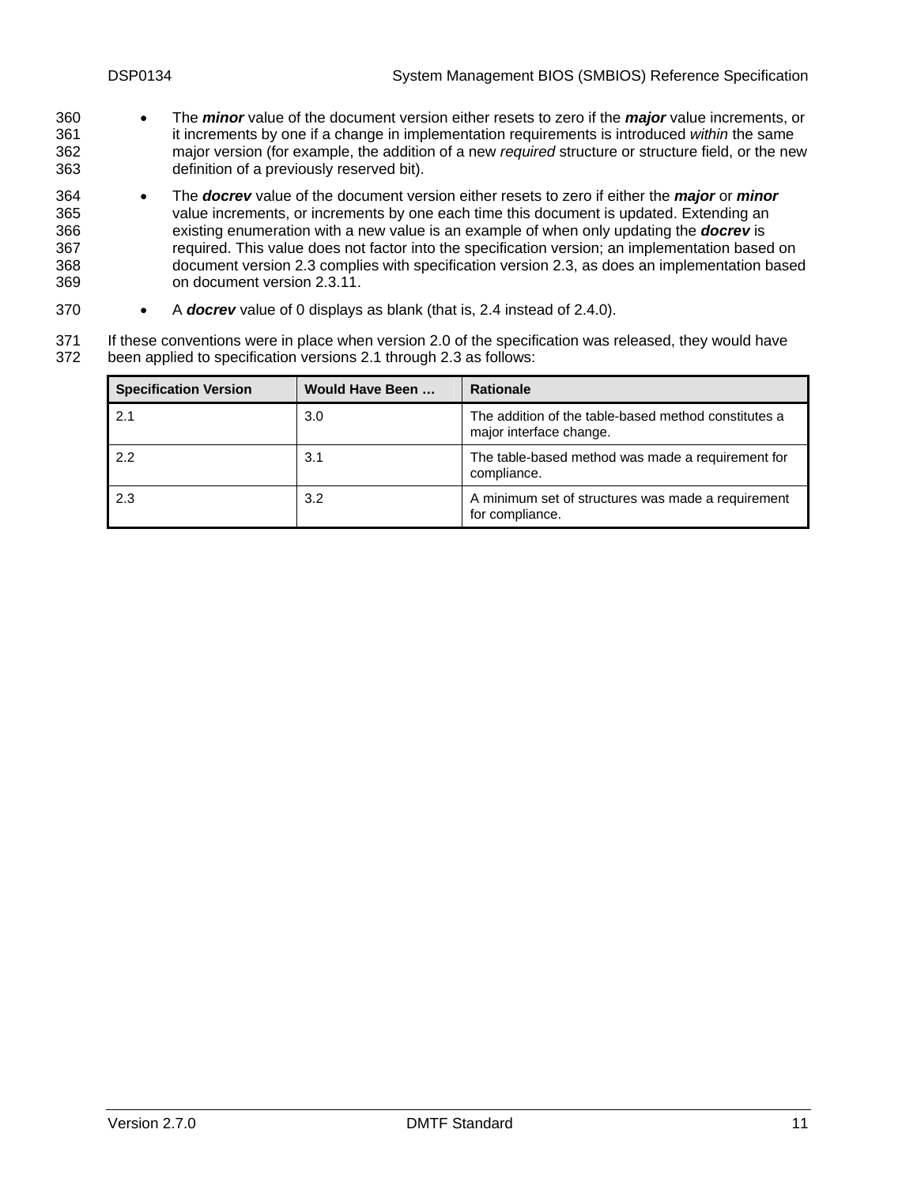- 360 The *minor* value of the document version either resets to zero if the *major* value increments, or 361 it increments by one if a change in implementation requirements is introduced *within* the same 362 major version (for example, the addition of a new *required* structure or structure field, or the new 363 definition of a previously reserved bit).
- 364 The *docrev* value of the document version either resets to zero if either the *major* or *minor* 365 value increments, or increments by one each time this document is updated. Extending an 366 existing enumeration with a new value is an example of when only updating the *docrev* is 367 required. This value does not factor into the specification version; an implementation based on 368 document version 2.3 complies with specification version 2.3, as does an implementation based 369 on document version 2.3.11.
- 370 A *docrev* value of 0 displays as blank (that is, 2.4 instead of 2.4.0).
- 371 If these conventions were in place when version 2.0 of the specification was released, they would have 372 been applied to specification versions 2.1 through 2.3 as follows:

| <b>Specification Version</b> | Would Have Been | <b>Rationale</b>                                                                |
|------------------------------|-----------------|---------------------------------------------------------------------------------|
| 2.1                          | 3.0             | The addition of the table-based method constitutes a<br>major interface change. |
| 2.2                          | 3.1             | The table-based method was made a requirement for<br>compliance.                |
| 2.3                          | 3.2             | A minimum set of structures was made a requirement<br>for compliance.           |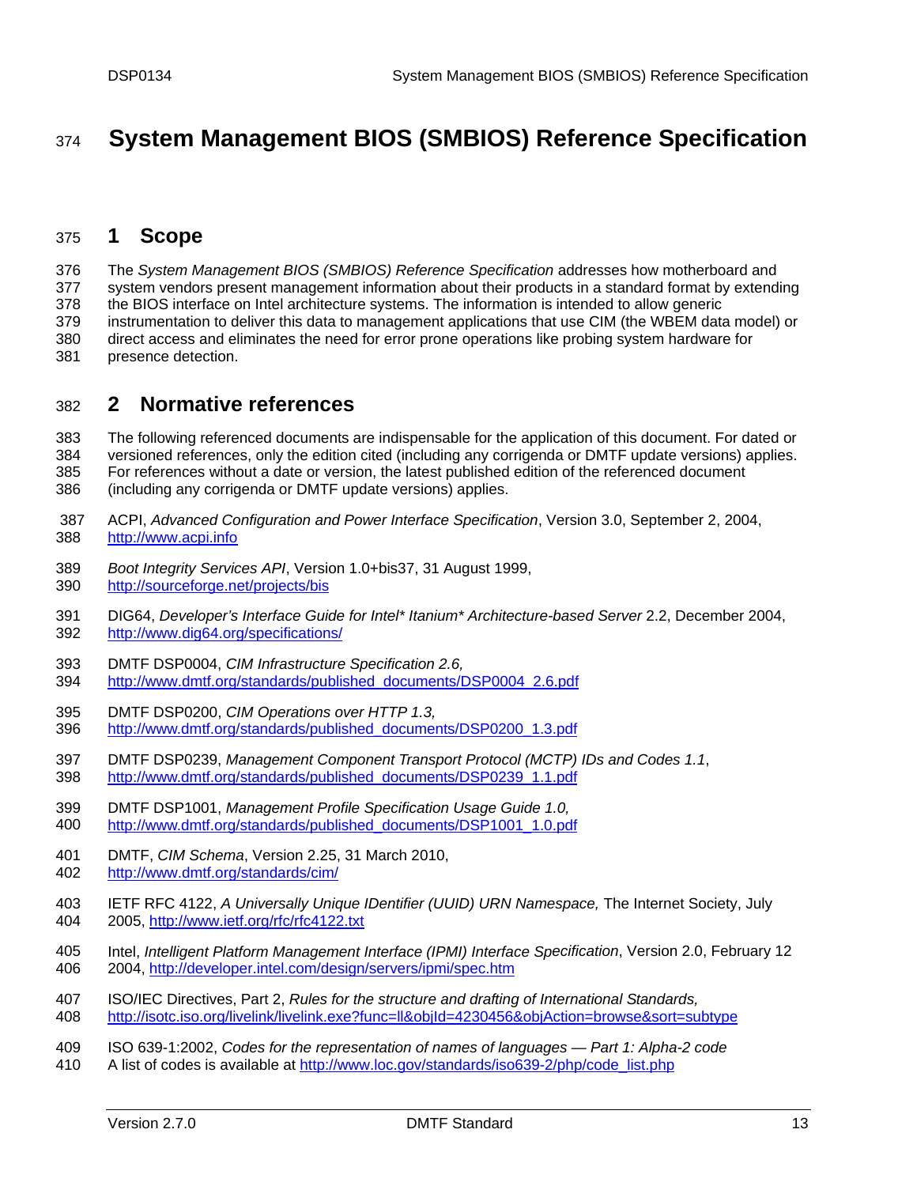# <span id="page-12-0"></span><sup>374</sup>**System Management BIOS (SMBIOS) Reference Specification**

## <span id="page-12-1"></span>375 **1 Scope**

376 The *System Management BIOS (SMBIOS) Reference Specification* addresses how motherboard and 377 system vendors present management information about their products in a standard format by extending 378 the BIOS interface on Intel architecture systems. The information is intended to allow generic 379 instrumentation to deliver this data to management applications that use CIM (the WBEM data model) or 380 direct access and eliminates the need for error prone operations like probing system hardware for 381 presence detection.

## <span id="page-12-2"></span>382 **2 Normative references**

- 383 The following referenced documents are indispensable for the application of this document. For dated or
- 384 versioned references, only the edition cited (including any corrigenda or DMTF update versions) applies.
- 385 For references without a date or version, the latest published edition of the referenced document 386 (including any corrigenda or DMTF update versions) applies.
- 
- 387 ACPI, *Advanced Configuration and Power Interface Specification*, Version 3.0, September 2, 2004, 388 [http://www.acpi.info](http://www.acpi.info/)
- 389 *Boot Integrity Services API*, Version 1.0+bis37, 31 August 1999, 390 <http://sourceforge.net/projects/bis>
- 391 DIG64, *Developer's Interface Guide for Intel\* Itanium\* Architecture-based Server* 2.2, December 2004, 392 <http://www.dig64.org/specifications/>
- 393 DMTF DSP0004, *CIM Infrastructure Specification 2.6,*  394 [http://www.dmtf.org/standards/published\\_documents/DSP0004\\_2.6.pdf](http://www.dmtf.org/standards/published_documents/DSP0004_2.6.pdf)
- 395 DMTF DSP0200, *CIM Operations over HTTP 1.3,* 396 [http://www.dmtf.org/standards/published\\_documents/DSP0200\\_1.3.pdf](http://www.dmtf.org/standards/published_documents/DSP0200_1.3.pdf)
- 397 DMTF DSP0239, *Management Component Transport Protocol (MCTP) IDs and Codes 1.1*,
- 398 [http://www.dmtf.org/standards/published\\_documents/DSP0239\\_1.1.pdf](http://www.dmtf.org/standards/published_documents/DSP0239_1.1.pdf)
- 399 DMTF DSP1001, *Management Profile Specification Usage Guide 1.0,* 400 [http://www.dmtf.org/standards/published\\_documents/DSP1001\\_1.0.pdf](http://www.dmtf.org/standards/published_documents/DSP1001_1.0.pdf)
- 401 DMTF, *CIM Schema*, Version 2.25, 31 March 2010, 402 <http://www.dmtf.org/standards/cim/>
- 403 IETF RFC 4122, *A Universally Unique IDentifier (UUID) URN Namespace,* The Internet Society, July 404 2005, <http://www.ietf.org/rfc/rfc4122.txt>
- 405 Intel, *Intelligent Platform Management Interface (IPMI) Interface Specification*, Version 2.0, February 12 406 2004, <http://developer.intel.com/design/servers/ipmi/spec.htm>
- 407 ISO/IEC Directives, Part 2, *Rules for the structure and drafting of International Standards,* 408 <http://isotc.iso.org/livelink/livelink.exe?func=ll&objId=4230456&objAction=browse&sort=subtype>
- 409 ISO 639-1:2002, *Codes for the representation of names of languages Part 1: Alpha-2 code*
- 410 A list of codes is available at http://www.loc.gov/standards/iso639-2/php/code list.php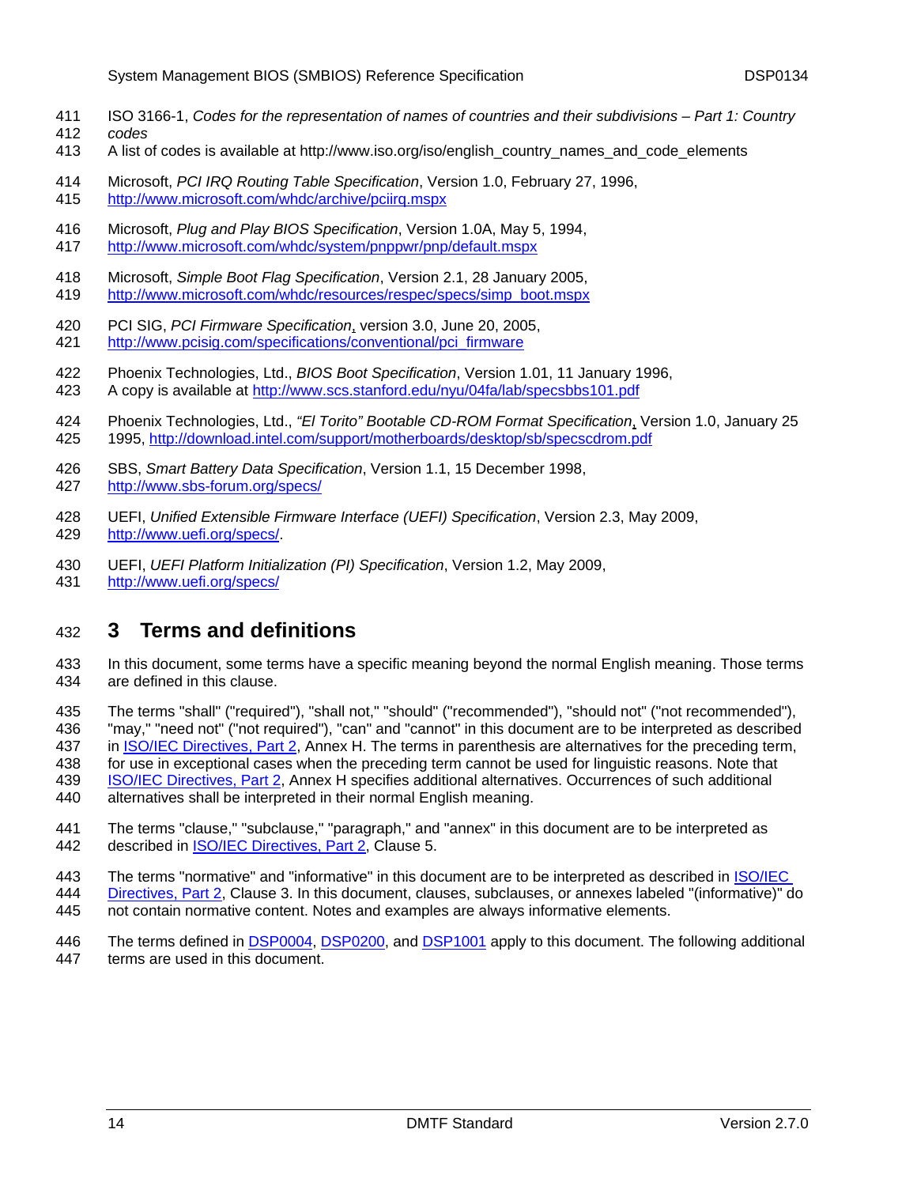- <span id="page-13-0"></span>411 ISO 3166-1, *Codes for the representation of names of countries and their subdivisions – Part 1: Country*
- 412 *codes*
- 413 A list of codes is available at http://www.iso.org/iso/english\_country\_names\_and\_code\_elements
- 414 Microsoft, *PCI IRQ Routing Table Specification*, Version 1.0, February 27, 1996,
- 415 <http://www.microsoft.com/whdc/archive/pciirq.mspx>
- 416 Microsoft, *Plug and Play BIOS Specification*, Version 1.0A, May 5, 1994,
- 417 <http://www.microsoft.com/whdc/system/pnppwr/pnp/default.mspx>
- 418 Microsoft, *Simple Boot Flag Specification*, Version 2.1, 28 January 2005, 419 [http://www.microsoft.com/whdc/resources/respec/specs/simp\\_boot.mspx](http://www.microsoft.com/whdc/resources/respec/specs/simp_boot.mspx)
- 420 PCI SIG, *PCI Firmware Specification*, version 3.0, June 20, 2005, 421 [http://www.pcisig.com/specifications/conventional/pci\\_firmware](http://www.pcisig.com/specifications/conventional/pci_firmware)
- 422 Phoenix Technologies, Ltd., *BIOS Boot Specification*, Version 1.01, 11 January 1996, 423 A copy is available at <http://www.scs.stanford.edu/nyu/04fa/lab/specsbbs101.pdf>
- 424 Phoenix Technologies, Ltd., *"El Torito" Bootable CD-ROM Format Specification*, Version 1.0, January 25 425 1995, <http://download.intel.com/support/motherboards/desktop/sb/specscdrom.pdf>
- 426 SBS, *Smart Battery Data Specification*, Version 1.1, 15 December 1998,
- 427 <http://www.sbs-forum.org/specs/>
- 428 UEFI, *Unified Extensible Firmware Interface (UEFI) Specification*, Version 2.3, May 2009, 429 [http://www.uefi.org/specs/.](http://www.uefi.org/specs/)
- 430 UEFI, *UEFI Platform Initialization (PI) Specification*, Version 1.2, May 2009,
- 431 <http://www.uefi.org/specs/>

## <span id="page-13-1"></span>432 **3 Terms and definitions**

- 433 In this document, some terms have a specific meaning beyond the normal English meaning. Those terms 434 are defined in this clause.
- 435 The terms "shall" ("required"), "shall not," "should" ("recommended"), "should not" ("not recommended"), 436 "may," "need not" ("not required"), "can" and "cannot" in this document are to be interpreted as described 437 in [ISO/IEC Directives, Part 2](#page-12-0), Annex H. The terms in parenthesis are alternatives for the preceding term, 438 for use in exceptional cases when the preceding term cannot be used for linguistic reasons. Note that 439 [ISO/IEC Directives, Part 2,](#page-12-0) Annex H specifies additional alternatives. Occurrences of such additional 440 alternatives shall be interpreted in their normal English meaning.
- 441 The terms "clause," "subclause," "paragraph," and "annex" in this document are to be interpreted as 442 described in [ISO/IEC Directives, Part 2](#page-12-0), Clause 5.
- [443 The terms "normative" and "informative" in this document are to be interpreted as described in ISO/IEC](#page-12-0)  444 [Directives, Par](#page-12-0)t 2, Clause 3. In this document, clauses, subclauses, or annexes labeled "(informative)" do
- 445 not contain normative content. Notes and examples are always informative elements.
- 446 The terms defined in [DSP0004, DSP0200](#page-12-0), and [DSP1001](#page-12-0) apply to this document. The following additional 447 terms are used in this document.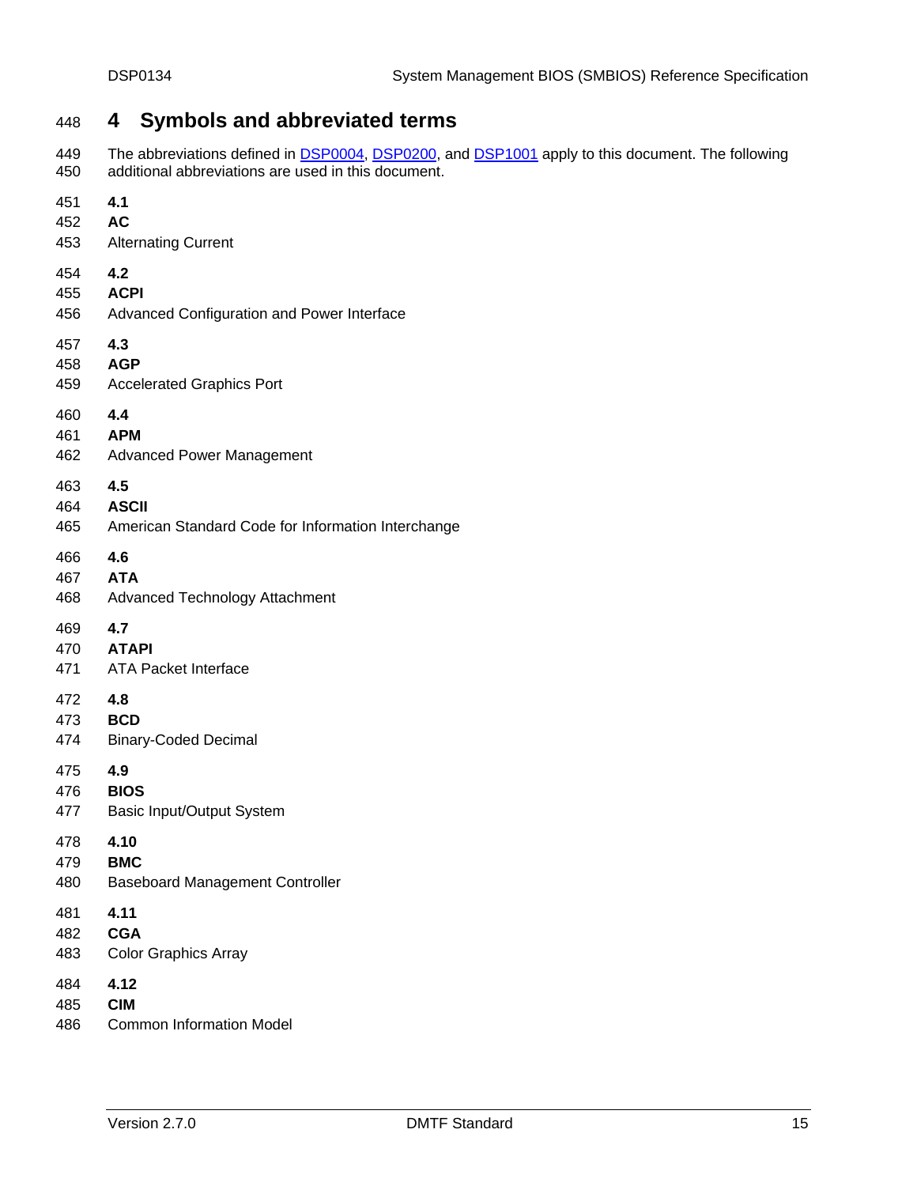# <span id="page-14-1"></span><span id="page-14-0"></span>**4 Symbols and abbreviated terms**

449 The abbreviations defined in **DSP0004, DSP0200**, and **[DSP1001](#page-12-0)** apply to this document. The following 450 additional abbreviations are used in this document.

| 451 | 4.1                                                |
|-----|----------------------------------------------------|
| 452 | <b>AC</b>                                          |
| 453 | <b>Alternating Current</b>                         |
| 454 | 4.2                                                |
| 455 | <b>ACPI</b>                                        |
| 456 | Advanced Configuration and Power Interface         |
| 457 | 4.3                                                |
| 458 | <b>AGP</b>                                         |
| 459 | <b>Accelerated Graphics Port</b>                   |
| 460 | 4.4                                                |
| 461 | <b>APM</b>                                         |
| 462 | <b>Advanced Power Management</b>                   |
| 463 | 4.5                                                |
| 464 | <b>ASCII</b>                                       |
| 465 | American Standard Code for Information Interchange |
| 466 | 4.6                                                |
| 467 | <b>ATA</b>                                         |
| 468 | Advanced Technology Attachment                     |
| 469 | 4.7                                                |
| 470 | <b>ATAPI</b>                                       |
| 471 | <b>ATA Packet Interface</b>                        |
| 472 | 4.8                                                |
| 473 | <b>BCD</b>                                         |
| 474 | <b>Binary-Coded Decimal</b>                        |
| 475 | 4.9                                                |
| 476 | <b>BIOS</b>                                        |
| 477 | <b>Basic Input/Output System</b>                   |
| 478 | 4.10                                               |
| 479 | <b>BMC</b>                                         |
| 480 | <b>Baseboard Management Controller</b>             |
| 481 | 4.11                                               |
| 482 | <b>CGA</b>                                         |
| 483 | <b>Color Graphics Array</b>                        |
| 484 | 4.12                                               |
| 485 | <b>CIM</b>                                         |
| 486 | <b>Common Information Model</b>                    |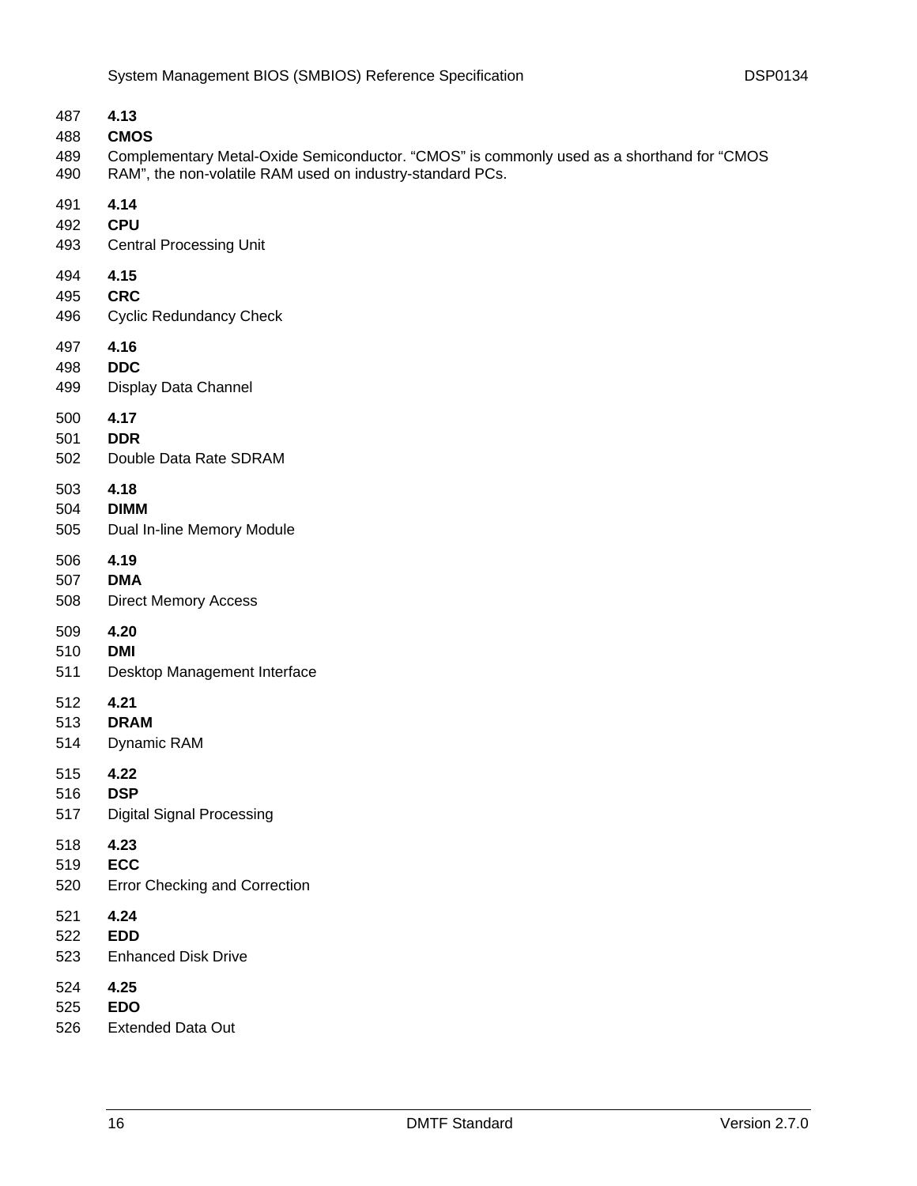| 487<br>488<br>489<br>490 | 4.13<br><b>CMOS</b><br>Complementary Metal-Oxide Semiconductor. "CMOS" is commonly used as a shorthand for "CMOS<br>RAM", the non-volatile RAM used on industry-standard PCs. |
|--------------------------|-------------------------------------------------------------------------------------------------------------------------------------------------------------------------------|
| 491<br>492<br>493        | 4.14<br><b>CPU</b><br><b>Central Processing Unit</b>                                                                                                                          |
| 494<br>495<br>496        | 4.15<br><b>CRC</b><br><b>Cyclic Redundancy Check</b>                                                                                                                          |
| 497<br>498<br>499        | 4.16<br><b>DDC</b><br>Display Data Channel                                                                                                                                    |
| 500<br>501<br>502        | 4.17<br><b>DDR</b><br>Double Data Rate SDRAM                                                                                                                                  |
| 503<br>504<br>505        | 4.18<br><b>DIMM</b><br>Dual In-line Memory Module                                                                                                                             |
| 506<br>507<br>508        | 4.19<br><b>DMA</b><br><b>Direct Memory Access</b>                                                                                                                             |
| 509<br>510<br>511        | 4.20<br><b>DMI</b><br>Desktop Management Interface                                                                                                                            |
| 512<br>513<br>514        | 4.21<br><b>DRAM</b><br>Dynamic RAM                                                                                                                                            |
| 515<br>516<br>517        | 4.22<br><b>DSP</b><br><b>Digital Signal Processing</b>                                                                                                                        |
| 518<br>519<br>520        | 4.23<br><b>ECC</b><br><b>Error Checking and Correction</b>                                                                                                                    |
| 521<br>522<br>523        | 4.24<br><b>EDD</b><br><b>Enhanced Disk Drive</b>                                                                                                                              |
| 524<br>525<br>526        | 4.25<br><b>EDO</b><br><b>Extended Data Out</b>                                                                                                                                |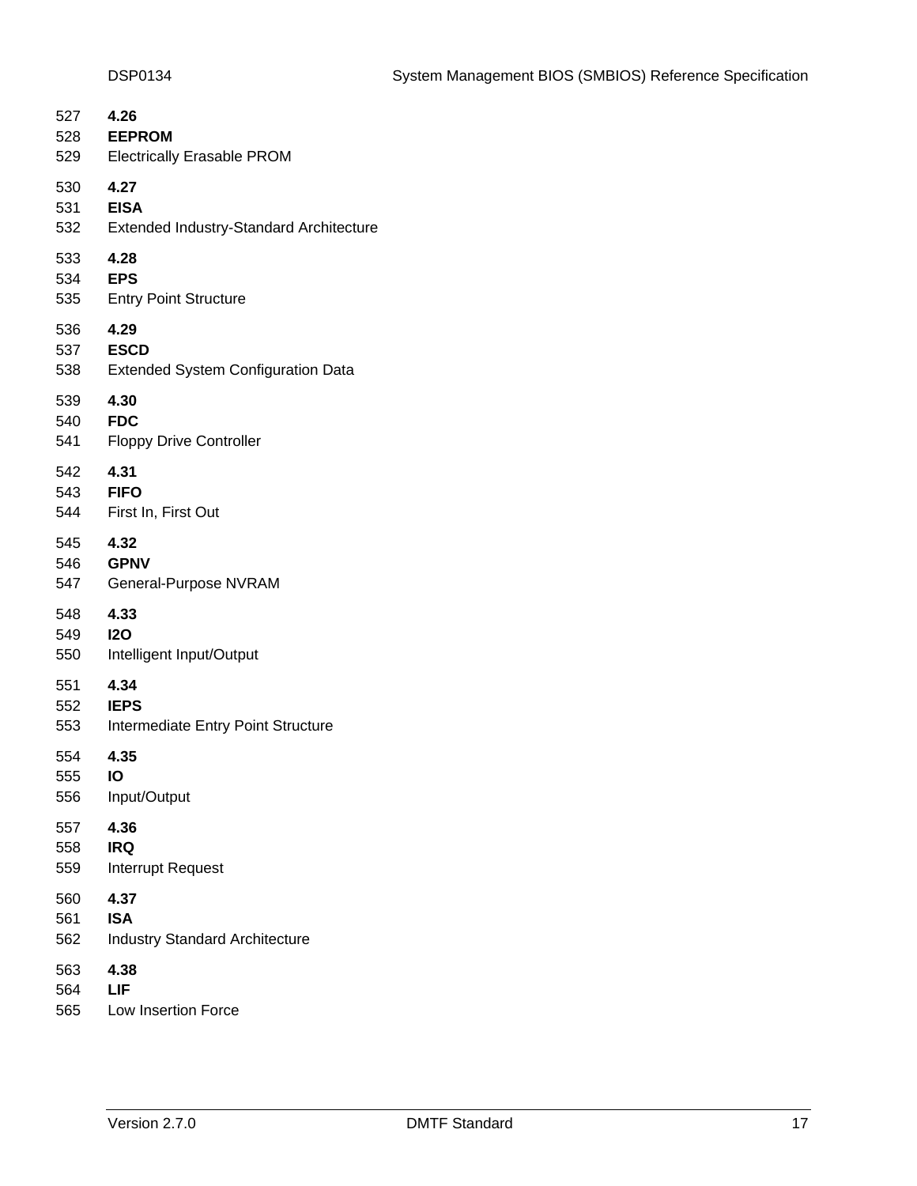| 527 | 4.26                                      |
|-----|-------------------------------------------|
| 528 | <b>EEPROM</b>                             |
| 529 | <b>Electrically Erasable PROM</b>         |
| 530 | 4.27                                      |
| 531 | <b>EISA</b>                               |
| 532 | Extended Industry-Standard Architecture   |
| 533 | 4.28                                      |
| 534 | <b>EPS</b>                                |
| 535 | <b>Entry Point Structure</b>              |
| 536 | 4.29                                      |
| 537 | <b>ESCD</b>                               |
| 538 | <b>Extended System Configuration Data</b> |
| 539 | 4.30                                      |
| 540 | <b>FDC</b>                                |
| 541 | <b>Floppy Drive Controller</b>            |
| 542 | 4.31                                      |
| 543 | <b>FIFO</b>                               |
| 544 | First In, First Out                       |
| 545 | 4.32                                      |
| 546 | <b>GPNV</b>                               |
| 547 | General-Purpose NVRAM                     |
| 548 | 4.33                                      |
| 549 | 12O                                       |
| 550 | Intelligent Input/Output                  |
| 551 | 4.34                                      |
| 552 | <b>IEPS</b>                               |
| 553 | Intermediate Entry Point Structure        |
| 554 | 4.35                                      |
| 555 | 10                                        |
| 556 | Input/Output                              |
| 557 | 4.36                                      |
| 558 | <b>IRQ</b>                                |
| 559 | Interrupt Request                         |
| 560 | 4.37                                      |
| 561 | ISA                                       |
| 562 | <b>Industry Standard Architecture</b>     |
| 563 | 4.38                                      |
| 564 | LIF                                       |
| 565 | Low Insertion Force                       |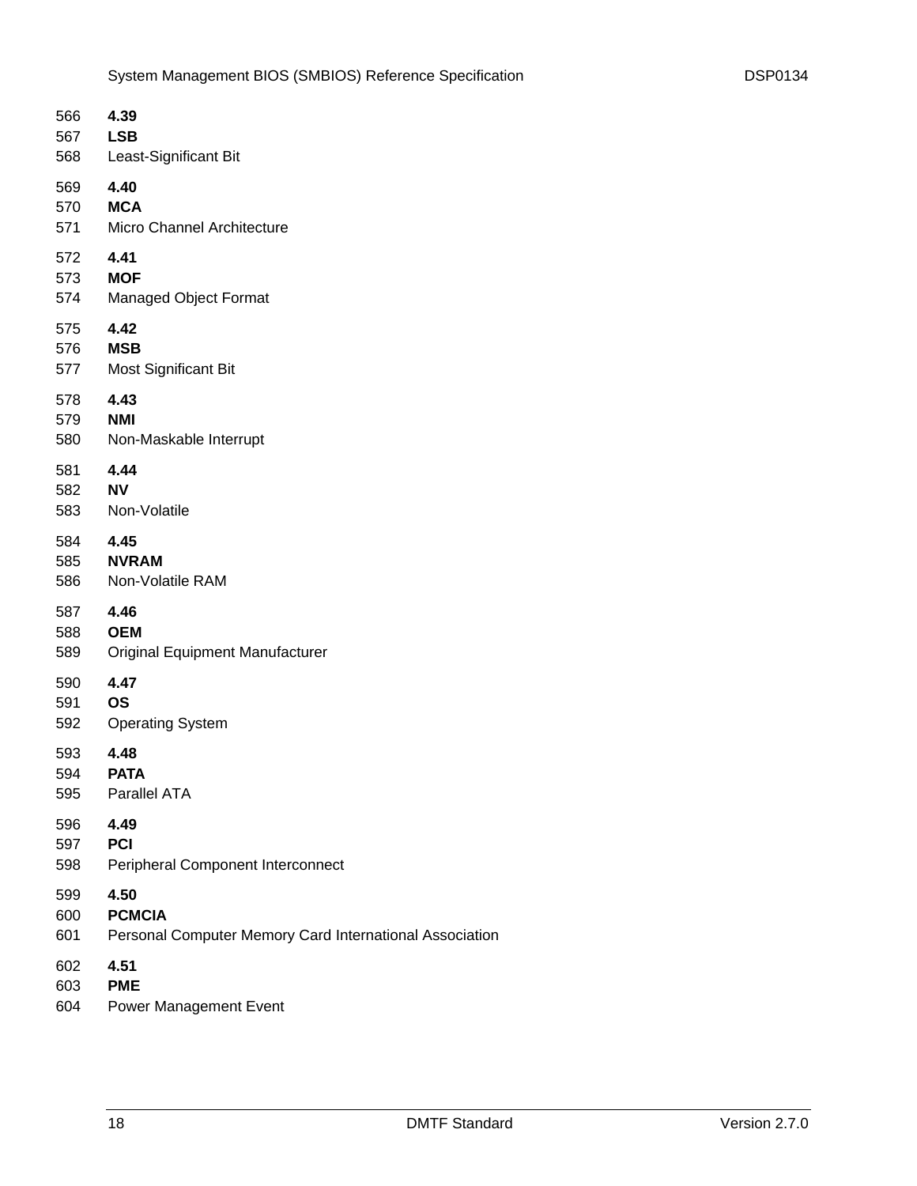| 566 | 4.39                                                    |
|-----|---------------------------------------------------------|
| 567 | <b>LSB</b>                                              |
| 568 | Least-Significant Bit                                   |
| 569 | 4.40                                                    |
| 570 | <b>MCA</b>                                              |
| 571 | Micro Channel Architecture                              |
| 572 | 4.41                                                    |
| 573 | <b>MOF</b>                                              |
| 574 | Managed Object Format                                   |
| 575 | 4.42                                                    |
| 576 | <b>MSB</b>                                              |
| 577 | <b>Most Significant Bit</b>                             |
| 578 | 4.43                                                    |
| 579 | <b>NMI</b>                                              |
| 580 | Non-Maskable Interrupt                                  |
| 581 | 4.44                                                    |
| 582 | ΝV                                                      |
| 583 | Non-Volatile                                            |
| 584 | 4.45                                                    |
| 585 | <b>NVRAM</b>                                            |
| 586 | Non-Volatile RAM                                        |
| 587 | 4.46                                                    |
| 588 | <b>OEM</b>                                              |
| 589 | Original Equipment Manufacturer                         |
| 590 | 4.47                                                    |
| 591 | <b>OS</b>                                               |
| 592 | <b>Operating System</b>                                 |
| 593 | 4.48                                                    |
| 594 | <b>PATA</b>                                             |
| 595 | Parallel ATA                                            |
| 596 | 4.49                                                    |
| 597 | <b>PCI</b>                                              |
| 598 | Peripheral Component Interconnect                       |
| 599 | 4.50                                                    |
| 600 | <b>PCMCIA</b>                                           |
| 601 | Personal Computer Memory Card International Association |
| 602 | 4.51                                                    |
| 603 | <b>PME</b>                                              |

604 Power Management Event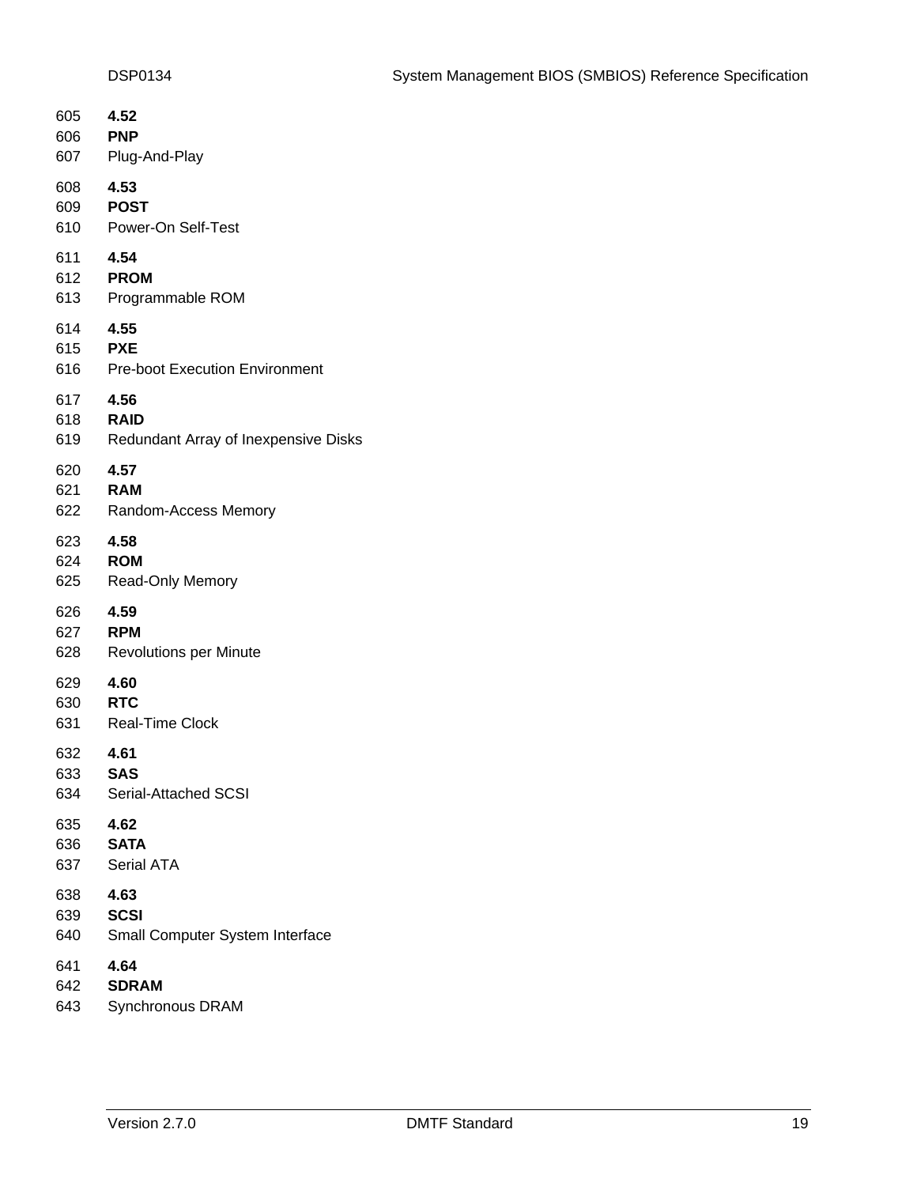| 605 | 4.52                                  |
|-----|---------------------------------------|
| 606 | <b>PNP</b>                            |
| 607 | Plug-And-Play                         |
| 608 | 4.53                                  |
| 609 | <b>POST</b>                           |
| 610 | Power-On Self-Test                    |
| 611 | 4.54                                  |
| 612 | <b>PROM</b>                           |
| 613 | Programmable ROM                      |
| 614 | 4.55                                  |
| 615 | <b>PXE</b>                            |
| 616 | <b>Pre-boot Execution Environment</b> |
| 617 | 4.56                                  |
| 618 | <b>RAID</b>                           |
| 619 | Redundant Array of Inexpensive Disks  |
| 620 | 4.57                                  |
| 621 | <b>RAM</b>                            |
| 622 | Random-Access Memory                  |
| 623 | 4.58                                  |
| 624 | <b>ROM</b>                            |
| 625 | Read-Only Memory                      |
| 626 | 4.59                                  |
| 627 | <b>RPM</b>                            |
| 628 | <b>Revolutions per Minute</b>         |
| 629 | 4.60                                  |
| 630 | <b>RTC</b>                            |
| 631 | <b>Real-Time Clock</b>                |
| 632 | 4.61                                  |
| 633 | SAS                                   |
| 634 | Serial-Attached SCSI                  |
| 635 | 4.62                                  |
| 636 | <b>SATA</b>                           |
| 637 | <b>Serial ATA</b>                     |
| 638 | 4.63                                  |
| 639 | <b>SCSI</b>                           |
| 640 | Small Computer System Interface       |
| 641 | 4.64                                  |
| 642 | <b>SDRAM</b>                          |
| 643 | Synchronous DRAM                      |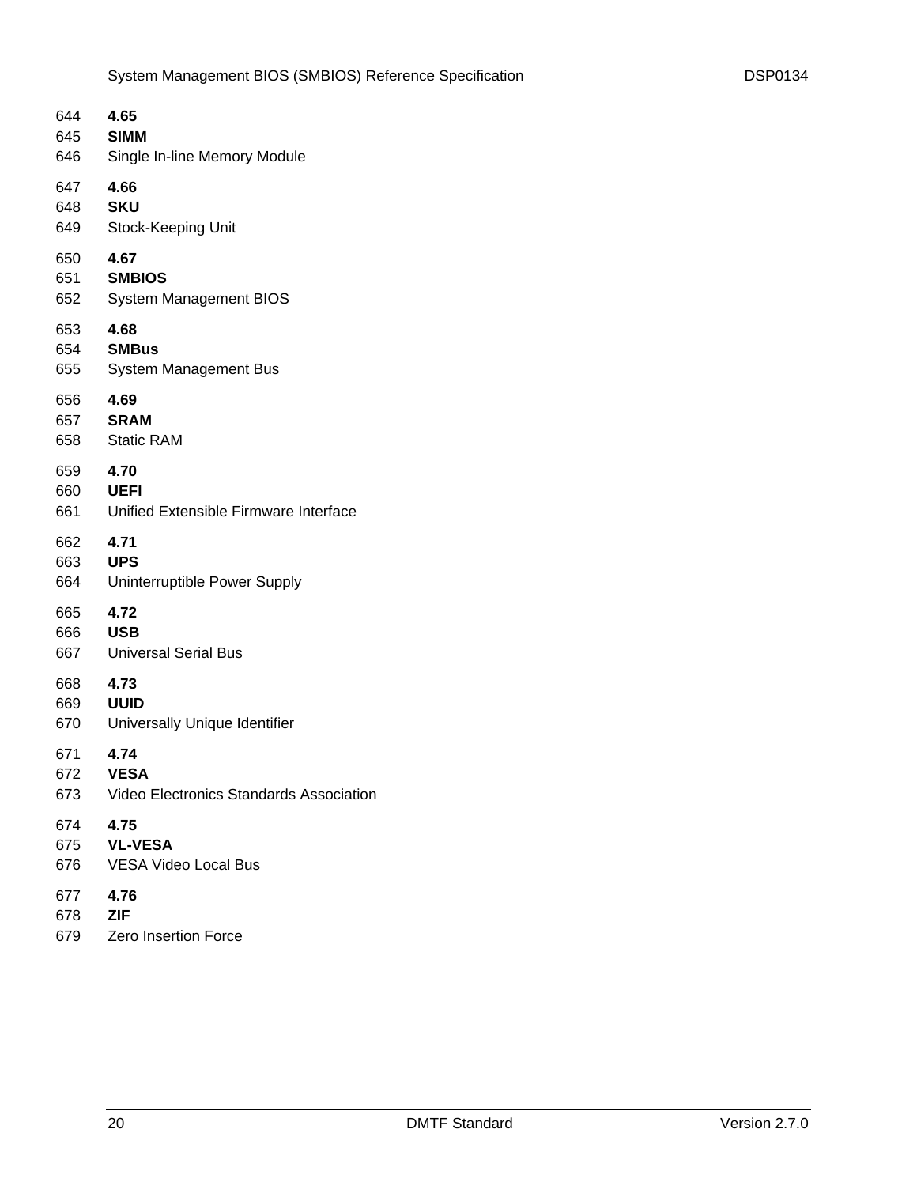| 644   | 4.65                                           |
|-------|------------------------------------------------|
| 645   | <b>SIMM</b>                                    |
| 646   | Single In-line Memory Module                   |
| 647   | 4.66                                           |
| 648   | <b>SKU</b>                                     |
| 649   | Stock-Keeping Unit                             |
| 650   | 4.67                                           |
| 651   | <b>SMBIOS</b>                                  |
| 652   | <b>System Management BIOS</b>                  |
| 653   | 4.68                                           |
| 654   | <b>SMBus</b>                                   |
| 655   | <b>System Management Bus</b>                   |
| 656   | 4.69                                           |
| 657   | <b>SRAM</b>                                    |
| 658   | <b>Static RAM</b>                              |
| 659   | 4.70                                           |
| 660   | <b>UEFI</b>                                    |
| 661 — | Unified Extensible Firmware Interface          |
| 662   | 4.71                                           |
| 663   | <b>UPS</b>                                     |
| 664   | Uninterruptible Power Supply                   |
| 665   | 4.72                                           |
| 666   | <b>USB</b>                                     |
| 667   | <b>Universal Serial Bus</b>                    |
| 668   | 4.73                                           |
| 669   | <b>UUID</b>                                    |
| 670   | Universally Unique Identifier                  |
| 671   | 4.74                                           |
| 672   | <b>VESA</b>                                    |
| 673   | <b>Video Electronics Standards Association</b> |
| 674   | 4.75                                           |
| 675   | <b>VL-VESA</b>                                 |
| 676   | <b>VESA Video Local Bus</b>                    |
| 677   | 4.76                                           |
| 678   | <b>ZIF</b>                                     |

679 Zero Insertion Force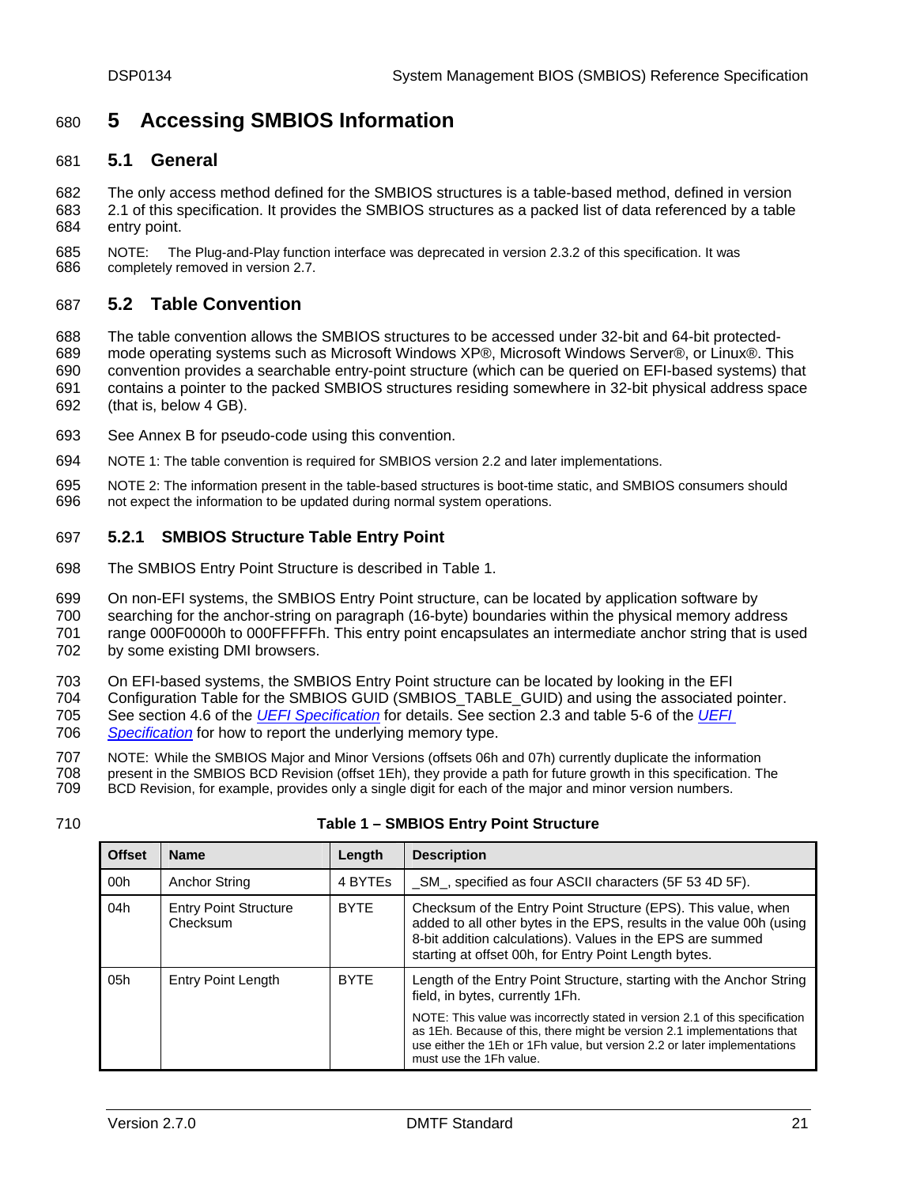## <span id="page-20-1"></span><span id="page-20-0"></span>680 **5 Accessing SMBIOS Information**

## <span id="page-20-2"></span>681 **5.1 General**

682 The only access method defined for the SMBIOS structures is a table-based method, defined in version

- 683 2.1 of this specification. It provides the SMBIOS structures as a packed list of data referenced by a table 684 entry point.
- 685 NOTE: The Plug-and-Play function interface was deprecated in version 2.3.2 of this specification. It was 686 completely removed in version 2.7.

## <span id="page-20-3"></span>687 **5.2 Table Convention**

688 The table convention allows the SMBIOS structures to be accessed under 32-bit and 64-bit protected-689 mode operating systems such as Microsoft Windows XP®, Microsoft Windows Server®, or Linux®. This 690 convention provides a searchable entry-point structure (which can be queried on EFI-based systems) that 691 contains a pointer to the packed SMBIOS structures residing somewhere in 32-bit physical address space 692 (that is, below 4 GB).

- 693 See [Annex B](#page-123-1) for pseudo-code using this convention.
- 694 NOTE 1: The table convention is required for SMBIOS version 2.2 and later implementations.
- 695 NOTE 2: The information present in the table-based structures is boot-time static, and SMBIOS consumers should 696 not expect the information to be updated during normal system operations.

#### <span id="page-20-4"></span>697 **5.2.1 SMBIOS Structure Table Entry Point**

- 698 The SMBIOS Entry Point Structure is described in [Table 1.](#page-20-5)
- 699 On non-EFI systems, the SMBIOS Entry Point structure, can be located by application software by
- 700 searching for the anchor-string on paragraph (16-byte) boundaries within the physical memory address 701 range 000F0000h to 000FFFFFh. This entry point encapsulates an intermediate anchor string that is used
- 702 by some existing DMI browsers.
- 703 On EFI-based systems, the SMBIOS Entry Point structure can be located by looking in the EFI
- 704 Configuration Table for the SMBIOS GUID (SMBIOS\_TABLE\_GUID) and using the associated pointer.
- 705 See section 4.6 of the *[UEFI Specification](#page-13-0)* [for details. See section 2.3 and table 5-6 of the](#page-13-0) *UEFI*
- 706 *[Specificat](#page-13-0)ion* for how to report the underlying memory type.
- 707 NOTE: While the SMBIOS Major and Minor Versions (offsets 06h and 07h) currently duplicate the information<br>708 present in the SMBIOS BCD Revision (offset 1Eh), they provide a path for future growth in this specification
- 708 present in the SMBIOS BCD Revision (offset 1Eh), they provide a path for future growth in this specification. The 709 BCD Revision, for example, provides only a single digit for each of the major and minor version numb BCD Revision, for example, provides only a single digit for each of the major and minor version numbers.
- <span id="page-20-5"></span>

#### 710 **Table 1 – SMBIOS Entry Point Structure**

| <b>Offset</b> | <b>Name</b>                              | Length      | <b>Description</b>                                                                                                                                                                                                                                               |
|---------------|------------------------------------------|-------------|------------------------------------------------------------------------------------------------------------------------------------------------------------------------------------------------------------------------------------------------------------------|
| 00h           | Anchor String                            | 4 BYTES     | _SM_, specified as four ASCII characters (5F 53 4D 5F).                                                                                                                                                                                                          |
| 04h           | <b>Entry Point Structure</b><br>Checksum | <b>BYTE</b> | Checksum of the Entry Point Structure (EPS). This value, when<br>added to all other bytes in the EPS, results in the value 00h (using<br>8-bit addition calculations). Values in the EPS are summed<br>starting at offset 00h, for Entry Point Length bytes.     |
| 05h           | <b>Entry Point Length</b>                | <b>BYTE</b> | Length of the Entry Point Structure, starting with the Anchor String<br>field, in bytes, currently 1Fh.                                                                                                                                                          |
|               |                                          |             | NOTE: This value was incorrectly stated in version 2.1 of this specification<br>as 1Eh. Because of this, there might be version 2.1 implementations that<br>use either the 1Eh or 1Fh value, but version 2.2 or later implementations<br>must use the 1Fh value. |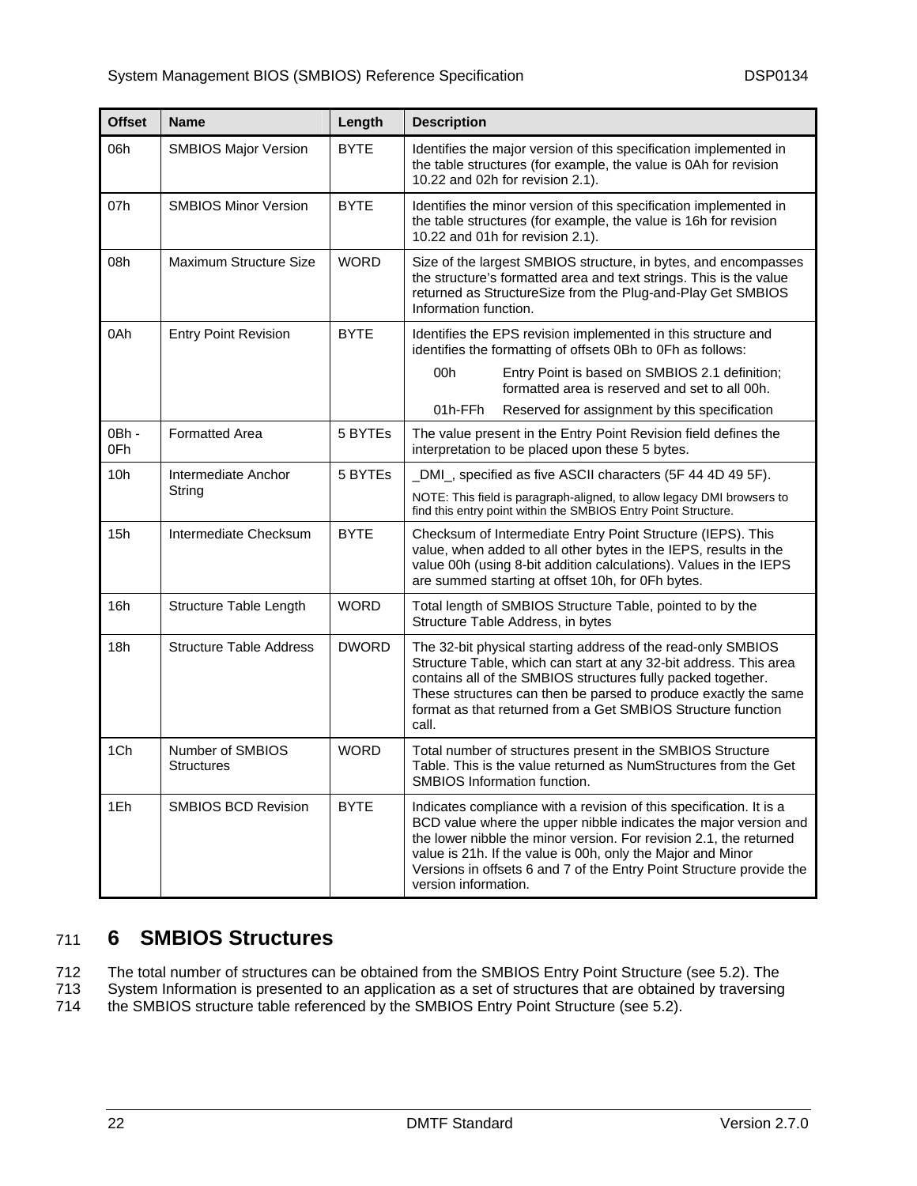<span id="page-21-0"></span>

| <b>Offset</b>   | <b>Name</b>                           | Length       | <b>Description</b>                                                                                                                                                                                                                                                                                                                                                           |  |  |
|-----------------|---------------------------------------|--------------|------------------------------------------------------------------------------------------------------------------------------------------------------------------------------------------------------------------------------------------------------------------------------------------------------------------------------------------------------------------------------|--|--|
| 06h             | <b>SMBIOS Major Version</b>           | <b>BYTE</b>  | Identifies the major version of this specification implemented in<br>the table structures (for example, the value is 0Ah for revision<br>10.22 and 02h for revision 2.1).                                                                                                                                                                                                    |  |  |
| 07h             | <b>SMBIOS Minor Version</b>           | <b>BYTE</b>  | Identifies the minor version of this specification implemented in<br>the table structures (for example, the value is 16h for revision<br>10.22 and 01h for revision 2.1).                                                                                                                                                                                                    |  |  |
| 08h             | Maximum Structure Size                | <b>WORD</b>  | Size of the largest SMBIOS structure, in bytes, and encompasses<br>the structure's formatted area and text strings. This is the value<br>returned as StructureSize from the Plug-and-Play Get SMBIOS<br>Information function.                                                                                                                                                |  |  |
| 0Ah             | <b>Entry Point Revision</b>           | <b>BYTE</b>  | Identifies the EPS revision implemented in this structure and<br>identifies the formatting of offsets 0Bh to 0Fh as follows:                                                                                                                                                                                                                                                 |  |  |
|                 |                                       |              | 00h<br>Entry Point is based on SMBIOS 2.1 definition;<br>formatted area is reserved and set to all 00h.                                                                                                                                                                                                                                                                      |  |  |
|                 |                                       |              | 01h-FFh<br>Reserved for assignment by this specification                                                                                                                                                                                                                                                                                                                     |  |  |
| $0Bh -$<br>0Fh  | <b>Formatted Area</b>                 | 5 BYTEs      | The value present in the Entry Point Revision field defines the<br>interpretation to be placed upon these 5 bytes.                                                                                                                                                                                                                                                           |  |  |
| 10 <sub>h</sub> | Intermediate Anchor<br>String         | 5 BYTES      | _DMI_, specified as five ASCII characters (5F 44 4D 49 5F).                                                                                                                                                                                                                                                                                                                  |  |  |
|                 |                                       |              | NOTE: This field is paragraph-aligned, to allow legacy DMI browsers to<br>find this entry point within the SMBIOS Entry Point Structure.                                                                                                                                                                                                                                     |  |  |
| 15h             | Intermediate Checksum                 | <b>BYTE</b>  | Checksum of Intermediate Entry Point Structure (IEPS). This<br>value, when added to all other bytes in the IEPS, results in the<br>value 00h (using 8-bit addition calculations). Values in the IEPS<br>are summed starting at offset 10h, for 0Fh bytes.                                                                                                                    |  |  |
| 16h             | Structure Table Length                | <b>WORD</b>  | Total length of SMBIOS Structure Table, pointed to by the<br>Structure Table Address, in bytes                                                                                                                                                                                                                                                                               |  |  |
| 18h             | <b>Structure Table Address</b>        | <b>DWORD</b> | The 32-bit physical starting address of the read-only SMBIOS<br>Structure Table, which can start at any 32-bit address. This area<br>contains all of the SMBIOS structures fully packed together.<br>These structures can then be parsed to produce exactly the same<br>format as that returned from a Get SMBIOS Structure function<br>call.                                |  |  |
| 1Ch             | Number of SMBIOS<br><b>Structures</b> | <b>WORD</b>  | Total number of structures present in the SMBIOS Structure<br>Table. This is the value returned as NumStructures from the Get<br>SMBIOS Information function.                                                                                                                                                                                                                |  |  |
| 1Eh             | <b>SMBIOS BCD Revision</b>            | <b>BYTE</b>  | Indicates compliance with a revision of this specification. It is a<br>BCD value where the upper nibble indicates the major version and<br>the lower nibble the minor version. For revision 2.1, the returned<br>value is 21h. If the value is 00h, only the Major and Minor<br>Versions in offsets 6 and 7 of the Entry Point Structure provide the<br>version information. |  |  |

## <span id="page-21-1"></span>711 **6 SMBIOS Structures**

712 The total number of structures can be obtained from the SMBIOS Entry Point Structure (see [5.2](#page-20-3)). The 713 System Information is presented to an application as a set of structures that are obtained by traversing<br>714 the SMBIOS structure table referenced by the SMBIOS Entry Point Structure (see 5.2).

the SMBIOS structure table referenced by the SMBIOS Entry Point Structure (see [5.2\)](#page-20-3).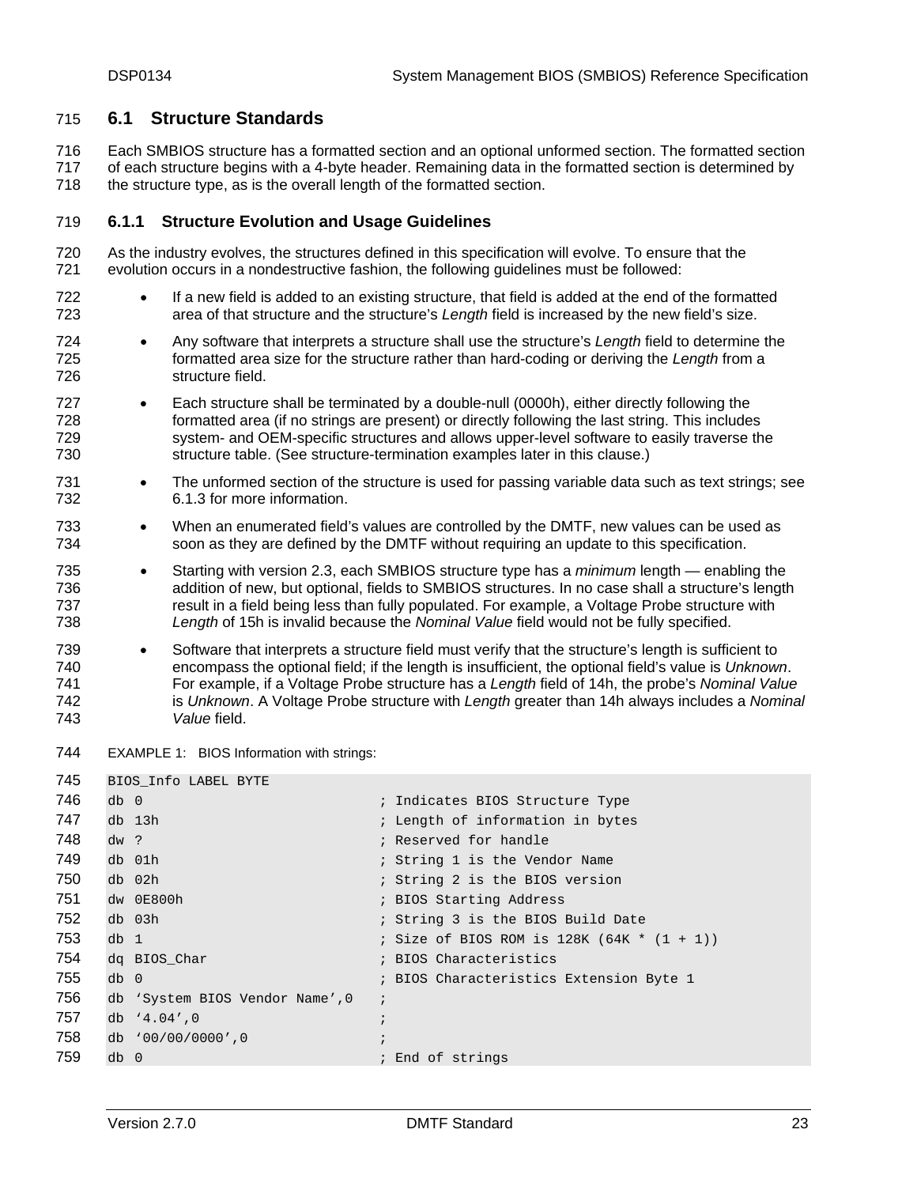## <span id="page-22-1"></span><span id="page-22-0"></span>715 **6.1 Structure Standards**

716 Each SMBIOS structure has a formatted section and an optional unformed section. The formatted section 717 of each structure begins with a 4-byte header. Remaining data in the formatted section is determined by 718 the structure type, as is the overall length of the formatted section.

#### <span id="page-22-2"></span>719 **6.1.1 Structure Evolution and Usage Guidelines**

- 720 As the industry evolves, the structures defined in this specification will evolve. To ensure that the 721 evolution occurs in a nondestructive fashion, the following guidelines must be followed:
- 722 If a new field is added to an existing structure, that field is added at the end of the formatted 723 area of that structure and the structure's *Length* field is increased by the new field's size.
- 724 Any software that interprets a structure shall use the structure's *Length* field to determine the 725 formatted area size for the structure rather than hard-coding or deriving the *Length* from a 726 structure field.
- 727 Each structure shall be terminated by a double-null (0000h), either directly following the 728 formatted area (if no strings are present) or directly following the last string. This includes 729 system- and OEM-specific structures and allows upper-level software to easily traverse the 730 structure table. (See structure-termination examples later in this clause.)
- 731 The unformed section of the structure is used for passing variable data such as text strings; see 732 [6.1.3](#page-23-2) for more information.
- 733 When an enumerated field's values are controlled by the DMTF, new values can be used as 734 soon as they are defined by the DMTF without requiring an update to this specification.
- 735 Starting with version 2.3, each SMBIOS structure type has a *minimum* length enabling the 736 addition of new, but optional, fields to SMBIOS structures. In no case shall a structure's length 737 result in a field being less than fully populated. For example, a Voltage Probe structure with 738 *Length* of 15h is invalid because the *Nominal Value* field would not be fully specified.
- 739 Software that interprets a structure field must verify that the structure's length is sufficient to 740 encompass the optional field; if the length is insufficient, the optional field's value is *Unknown*. 741 For example, if a Voltage Probe structure has a *Length* field of 14h, the probe's *Nominal Value* 742 is *Unknown*. A Voltage Probe structure with *Length* greater than 14h always includes a *Nominal*  743 *Value* field.
- 744 EXAMPLE 1: BIOS Information with strings:

| 745 |        | BIOS Info LABEL BYTE            |            |                                              |
|-----|--------|---------------------------------|------------|----------------------------------------------|
| 746 | db 0   |                                 |            | ; Indicates BIOS Structure Type              |
| 747 |        | db 13h                          |            | ; Length of information in bytes             |
| 748 | $dw$ ? |                                 |            | ; Reserved for handle                        |
| 749 |        | db 01h                          |            | ; String 1 is the Vendor Name                |
| 750 |        | db 02h                          |            | ; String 2 is the BIOS version               |
| 751 |        | dw 0E800h                       |            | ; BIOS Starting Address                      |
| 752 |        | db 03h                          |            | ; String 3 is the BIOS Build Date            |
| 753 | db 1   |                                 |            | ; Size of BIOS ROM is $128K (64K * (1 + 1))$ |
| 754 |        | dq BIOS Char                    |            | ; BIOS Characteristics                       |
| 755 | db 0   |                                 |            | ; BIOS Characteristics Extension Byte 1      |
| 756 |        | db 'System BIOS Vendor Name', 0 | $\ddot{i}$ |                                              |
| 757 |        | db '4.04',0                     | $\ddot{i}$ |                                              |
| 758 |        | $db \t00/00/00000'$ , 0         |            |                                              |
| 759 | db 0   |                                 |            | ; End of strings                             |
|     |        |                                 |            |                                              |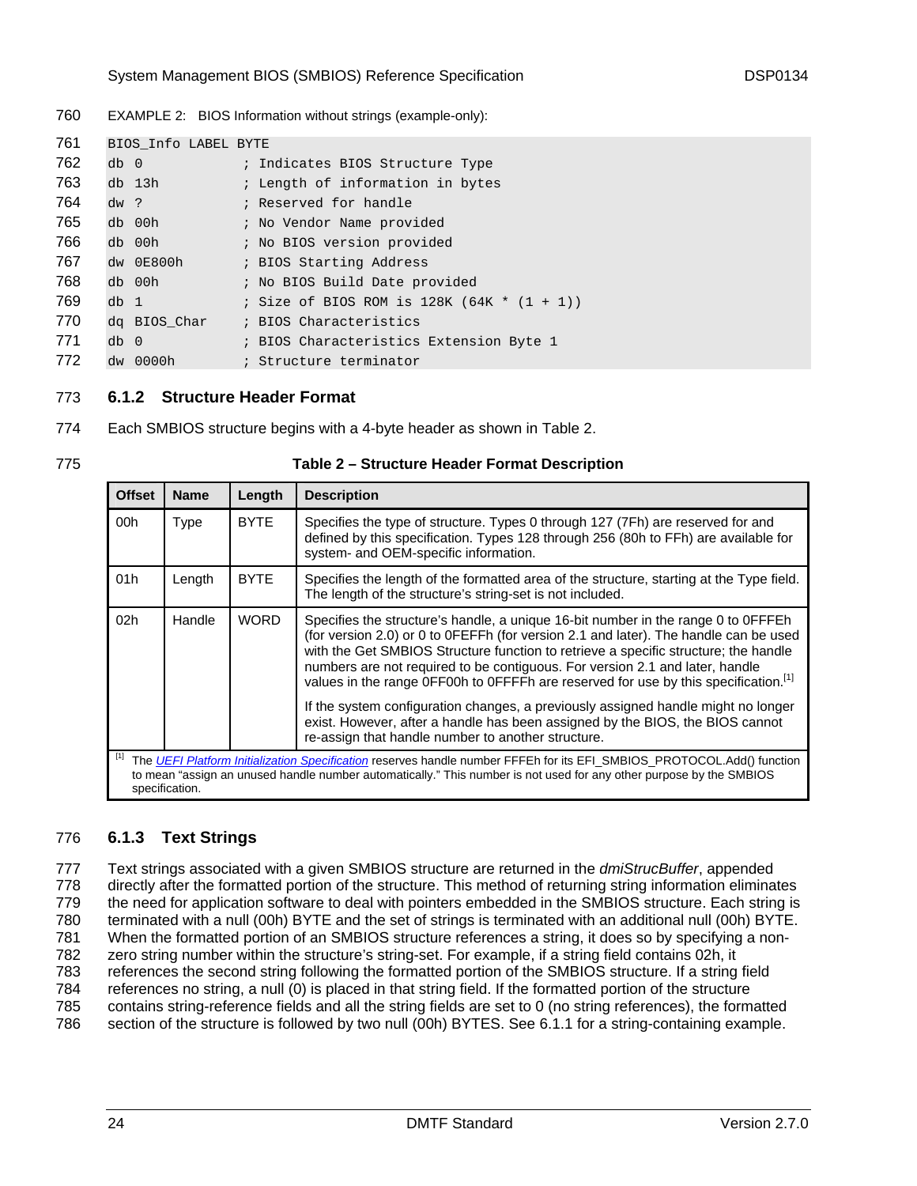<span id="page-23-0"></span>760 EXAMPLE 2: BIOS Information without strings (example-only):

| 761 |          | BIOS Info LABEL BYTE |                                              |
|-----|----------|----------------------|----------------------------------------------|
| 762 | $db = 0$ |                      | ; Indicates BIOS Structure Type              |
| 763 |          | db 13h               | ; Length of information in bytes             |
| 764 | $dw$ ?   |                      | ; Reserved for handle                        |
| 765 |          | db 00h               | ; No Vendor Name provided                    |
| 766 |          | db 00h               | ; No BIOS version provided                   |
| 767 |          | dw 0E800h            | ; BIOS Starting Address                      |
| 768 |          | db 00h               | ; No BIOS Build Date provided                |
| 769 | db 1     |                      | ; Size of BIOS ROM is $128K (64K * (1 + 1))$ |
| 770 |          | dg BIOS Char         | ; BIOS Characteristics                       |
| 771 | db 0     |                      | ; BIOS Characteristics Extension Byte 1      |
| 772 |          | dw 0000h             | ; Structure terminator                       |

## <span id="page-23-1"></span>773 **6.1.2 Structure Header Format**

- 774 Each SMBIOS structure begins with a 4-byte header as shown in [Table 2](#page-23-3).
- <span id="page-23-3"></span>

#### 775 **Table 2 – Structure Header Format Description**

| <b>Offset</b> | <b>Name</b>    | Length      | <b>Description</b>                                                                                                                                                                                                                                                                                                                                                                                                                                                                                                                                                                                                                                                              |
|---------------|----------------|-------------|---------------------------------------------------------------------------------------------------------------------------------------------------------------------------------------------------------------------------------------------------------------------------------------------------------------------------------------------------------------------------------------------------------------------------------------------------------------------------------------------------------------------------------------------------------------------------------------------------------------------------------------------------------------------------------|
| 00h           | Type           | <b>BYTE</b> | Specifies the type of structure. Types 0 through 127 (7Fh) are reserved for and<br>defined by this specification. Types 128 through 256 (80h to FFh) are available for<br>system- and OEM-specific information.                                                                                                                                                                                                                                                                                                                                                                                                                                                                 |
| 01h           | Length         | <b>BYTE</b> | Specifies the length of the formatted area of the structure, starting at the Type field.<br>The length of the structure's string-set is not included.                                                                                                                                                                                                                                                                                                                                                                                                                                                                                                                           |
| 02h           | Handle         | <b>WORD</b> | Specifies the structure's handle, a unique 16-bit number in the range 0 to 0FFFEh<br>(for version 2.0) or 0 to 0FEFFh (for version 2.1 and later). The handle can be used<br>with the Get SMBIOS Structure function to retrieve a specific structure; the handle<br>numbers are not required to be contiguous. For version 2.1 and later, handle<br>values in the range OFF00h to OFFFFh are reserved for use by this specification. <sup>[1]</sup><br>If the system configuration changes, a previously assigned handle might no longer<br>exist. However, after a handle has been assigned by the BIOS, the BIOS cannot<br>re-assign that handle number to another structure. |
| $[1]$         | specification. |             | The UEFI Platform Initialization Specification reserves handle number FFFEh for its EFI_SMBIOS_PROTOCOL.Add() function<br>to mean "assign an unused handle number automatically." This number is not used for any other purpose by the SMBIOS                                                                                                                                                                                                                                                                                                                                                                                                                                   |

## <span id="page-23-2"></span>776 **6.1.3 Text Strings**

777 Text strings associated with a given SMBIOS structure are returned in the *dmiStrucBuffer*, appended 778 directly after the formatted portion of the structure. This method of returning string information eliminates 779 the need for application software to deal with pointers embedded in the SMBIOS structure. Each string is 780 terminated with a null (00h) BYTE and the set of strings is terminated with an additional null (00h) BYTE. 781 When the formatted portion of an SMBIOS structure references a string, it does so by specifying a non-782 zero string number within the structure's string-set. For example, if a string field contains 02h, it 783 references the second string following the formatted portion of the SMBIOS structure. If a string field 784 references no string, a null (0) is placed in that string field. If the formatted portion of the structure 785 contains string-reference fields and all the string fields are set to 0 (no string references), the formatted 786 section of the structure is followed by two null (00h) BYTES. See [6.1.1](#page-22-2) for a string-containing example.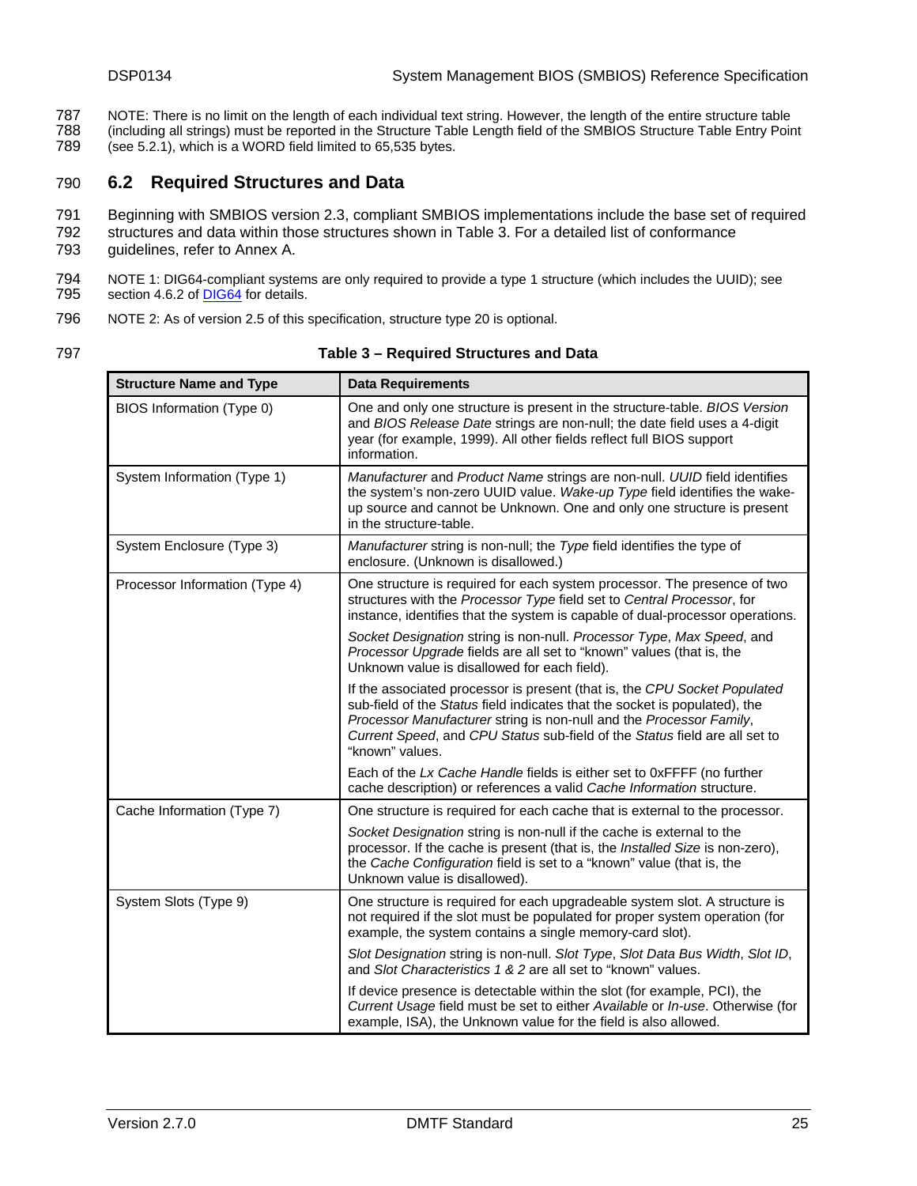- 
- <span id="page-24-0"></span>787 NOTE: There is no limit on the length of each individual text string. However, the length of the entire structure table<br>788 (including all strings) must be reported in the Structure Table Length field of the SMBIOS Str 788 (including all strings) must be reported in the Structure Table Length field of the SMBIOS Structure Table Entry Point<br>789 (see 5.2.1), which is a WORD field limited to 65,535 bytes. (see  $5.2.1$ ), which is a WORD field limited to  $65,535$  bytes.

## <span id="page-24-1"></span>790 **6.2 Required Structures and Data**

- 791 Beginning with SMBIOS version 2.3, compliant SMBIOS implementations include the base set of required
- 792 structures and data within those structures shown in [Table 3](#page-24-2). For a detailed list of conformance
- 793 guidelines, refer to [Annex A.](#page-120-1)

794 NOTE 1: DIG64-compliant systems are only required to provide a type 1 structure (which includes the UUID); see<br>795 section 4.6.2 of DIG64 for details. section 4.6.2 of **DIG64** for details.

- 796 NOTE 2: As of version 2.5 of this specification, structure type 20 is optional.
- <span id="page-24-2"></span>

797 **Table 3 – Required Structures and Data** 

| <b>Structure Name and Type</b> | <b>Data Requirements</b>                                                                                                                                                                                                                                                                                                        |  |  |  |
|--------------------------------|---------------------------------------------------------------------------------------------------------------------------------------------------------------------------------------------------------------------------------------------------------------------------------------------------------------------------------|--|--|--|
| BIOS Information (Type 0)      | One and only one structure is present in the structure-table. BIOS Version<br>and BIOS Release Date strings are non-null; the date field uses a 4-digit<br>year (for example, 1999). All other fields reflect full BIOS support<br>information.                                                                                 |  |  |  |
| System Information (Type 1)    | Manufacturer and Product Name strings are non-null. UUID field identifies<br>the system's non-zero UUID value. Wake-up Type field identifies the wake-<br>up source and cannot be Unknown. One and only one structure is present<br>in the structure-table.                                                                     |  |  |  |
| System Enclosure (Type 3)      | Manufacturer string is non-null; the Type field identifies the type of<br>enclosure. (Unknown is disallowed.)                                                                                                                                                                                                                   |  |  |  |
| Processor Information (Type 4) | One structure is required for each system processor. The presence of two<br>structures with the Processor Type field set to Central Processor, for<br>instance, identifies that the system is capable of dual-processor operations.                                                                                             |  |  |  |
|                                | Socket Designation string is non-null. Processor Type, Max Speed, and<br>Processor Upgrade fields are all set to "known" values (that is, the<br>Unknown value is disallowed for each field).                                                                                                                                   |  |  |  |
|                                | If the associated processor is present (that is, the CPU Socket Populated<br>sub-field of the Status field indicates that the socket is populated), the<br>Processor Manufacturer string is non-null and the Processor Family,<br>Current Speed, and CPU Status sub-field of the Status field are all set to<br>"known" values. |  |  |  |
|                                | Each of the Lx Cache Handle fields is either set to 0xFFFF (no further<br>cache description) or references a valid Cache Information structure.                                                                                                                                                                                 |  |  |  |
| Cache Information (Type 7)     | One structure is required for each cache that is external to the processor.                                                                                                                                                                                                                                                     |  |  |  |
|                                | Socket Designation string is non-null if the cache is external to the<br>processor. If the cache is present (that is, the Installed Size is non-zero),<br>the Cache Configuration field is set to a "known" value (that is, the<br>Unknown value is disallowed).                                                                |  |  |  |
| System Slots (Type 9)          | One structure is required for each upgradeable system slot. A structure is<br>not required if the slot must be populated for proper system operation (for<br>example, the system contains a single memory-card slot).                                                                                                           |  |  |  |
|                                | Slot Designation string is non-null. Slot Type, Slot Data Bus Width, Slot ID,<br>and Slot Characteristics 1 & 2 are all set to "known" values.                                                                                                                                                                                  |  |  |  |
|                                | If device presence is detectable within the slot (for example, PCI), the<br>Current Usage field must be set to either Available or In-use. Otherwise (for<br>example, ISA), the Unknown value for the field is also allowed.                                                                                                    |  |  |  |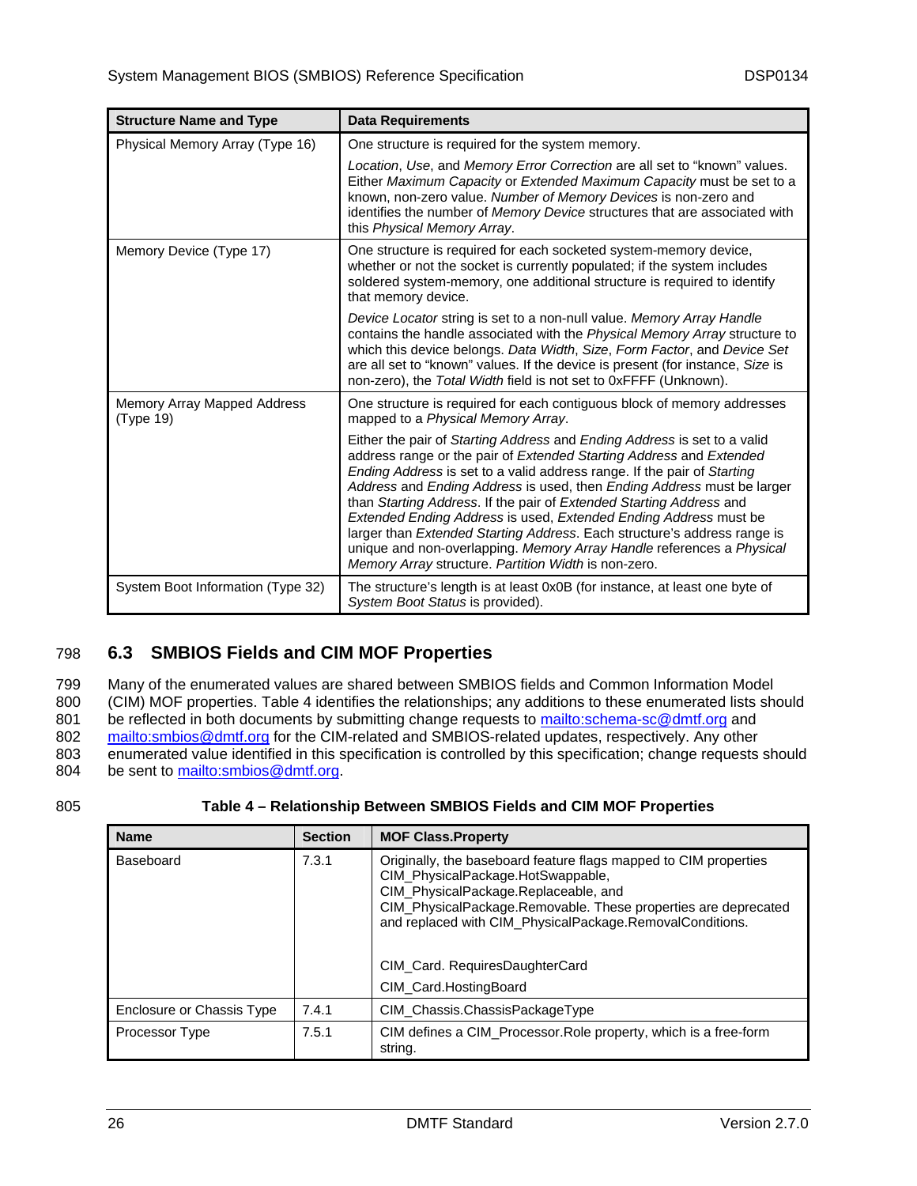<span id="page-25-0"></span>

| <b>Structure Name and Type</b>           | <b>Data Requirements</b>                                                                                                                                                                                                                                                                                                                                                                                                                                                                                                                                                                                                                                     |
|------------------------------------------|--------------------------------------------------------------------------------------------------------------------------------------------------------------------------------------------------------------------------------------------------------------------------------------------------------------------------------------------------------------------------------------------------------------------------------------------------------------------------------------------------------------------------------------------------------------------------------------------------------------------------------------------------------------|
| Physical Memory Array (Type 16)          | One structure is required for the system memory.                                                                                                                                                                                                                                                                                                                                                                                                                                                                                                                                                                                                             |
|                                          | Location, Use, and Memory Error Correction are all set to "known" values.<br>Either Maximum Capacity or Extended Maximum Capacity must be set to a<br>known, non-zero value. Number of Memory Devices is non-zero and<br>identifies the number of Memory Device structures that are associated with<br>this Physical Memory Array.                                                                                                                                                                                                                                                                                                                           |
| Memory Device (Type 17)                  | One structure is required for each socketed system-memory device,<br>whether or not the socket is currently populated; if the system includes<br>soldered system-memory, one additional structure is required to identify<br>that memory device.                                                                                                                                                                                                                                                                                                                                                                                                             |
|                                          | Device Locator string is set to a non-null value. Memory Array Handle<br>contains the handle associated with the Physical Memory Array structure to<br>which this device belongs. Data Width, Size, Form Factor, and Device Set<br>are all set to "known" values. If the device is present (for instance, Size is<br>non-zero), the Total Width field is not set to 0xFFFF (Unknown).                                                                                                                                                                                                                                                                        |
| Memory Array Mapped Address<br>(Type 19) | One structure is required for each contiguous block of memory addresses<br>mapped to a Physical Memory Array.                                                                                                                                                                                                                                                                                                                                                                                                                                                                                                                                                |
|                                          | Either the pair of Starting Address and Ending Address is set to a valid<br>address range or the pair of Extended Starting Address and Extended<br>Ending Address is set to a valid address range. If the pair of Starting<br>Address and Ending Address is used, then Ending Address must be larger<br>than Starting Address. If the pair of Extended Starting Address and<br>Extended Ending Address is used, Extended Ending Address must be<br>larger than Extended Starting Address. Each structure's address range is<br>unique and non-overlapping. Memory Array Handle references a Physical<br>Memory Array structure. Partition Width is non-zero. |
| System Boot Information (Type 32)        | The structure's length is at least 0x0B (for instance, at least one byte of<br>System Boot Status is provided).                                                                                                                                                                                                                                                                                                                                                                                                                                                                                                                                              |

## <span id="page-25-1"></span>798 **6.3 SMBIOS Fields and CIM MOF Properties**

799 Many of the enumerated values are shared between SMBIOS fields and Common Information Model<br>800 (CIM) MOF properties. Table 4 identifies the relationships; any additions to these enumerated lists sh (CIM) MOF properties. [Table 4](#page-25-2) identifies the relationships; any additions to these enumerated lists should 801 be reflected in both documents by submitting change requests to<mailto:schema-sc@dmtf.org>and 802 <mailto:smbios@dmtf.org> for the CIM-related and SMBIOS-related updates, respectively. Any other 803 enumerated value identified in this specification is controlled by this specification; change requests should 804 be sent to mailto: smbios@dmtf.org.

<span id="page-25-2"></span>

| 805 | Table 4 – Relationship Between SMBIOS Fields and CIM MOF Properties |
|-----|---------------------------------------------------------------------|
|-----|---------------------------------------------------------------------|

| <b>Name</b>               | <b>Section</b> | <b>MOF Class.Property</b>                                                                                                                                                                                                                                                   |
|---------------------------|----------------|-----------------------------------------------------------------------------------------------------------------------------------------------------------------------------------------------------------------------------------------------------------------------------|
| Baseboard                 | 7.3.1          | Originally, the baseboard feature flags mapped to CIM properties<br>CIM_PhysicalPackage.HotSwappable,<br>CIM_PhysicalPackage.Replaceable, and<br>CIM_PhysicalPackage.Removable. These properties are deprecated<br>and replaced with CIM_PhysicalPackage.RemovalConditions. |
|                           |                | CIM_Card. RequiresDaughterCard                                                                                                                                                                                                                                              |
|                           |                | CIM Card.HostingBoard                                                                                                                                                                                                                                                       |
| Enclosure or Chassis Type | 7.4.1          | CIM Chassis.ChassisPackageType                                                                                                                                                                                                                                              |
| <b>Processor Type</b>     | 7.5.1          | CIM defines a CIM_Processor.Role property, which is a free-form<br>string.                                                                                                                                                                                                  |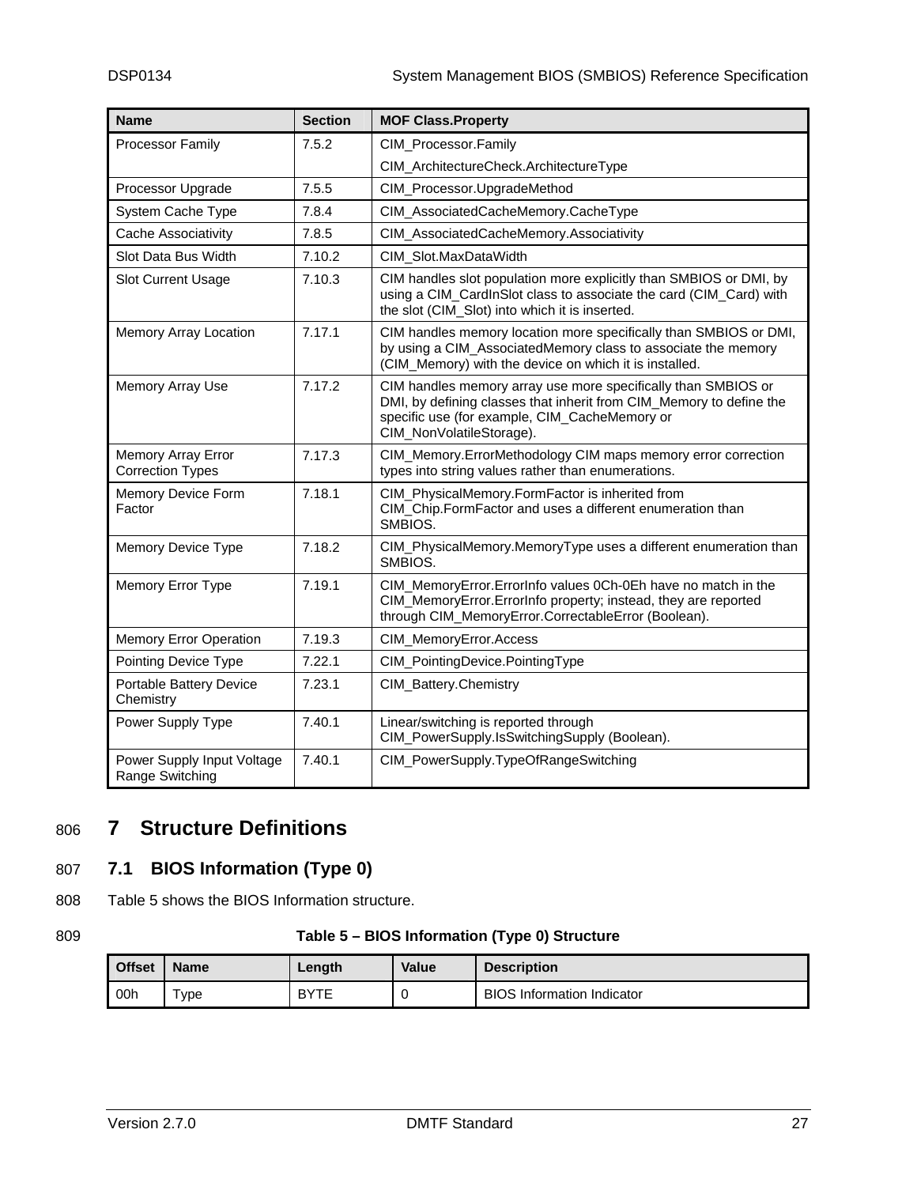<span id="page-26-0"></span>

| <b>Name</b>                                   | <b>Section</b> | <b>MOF Class.Property</b>                                                                                                                                                                                         |  |
|-----------------------------------------------|----------------|-------------------------------------------------------------------------------------------------------------------------------------------------------------------------------------------------------------------|--|
| Processor Family                              | 7.5.2          | CIM_Processor.Family                                                                                                                                                                                              |  |
|                                               |                | CIM_ArchitectureCheck.ArchitectureType                                                                                                                                                                            |  |
| Processor Upgrade                             | 7.5.5          | CIM_Processor.UpgradeMethod                                                                                                                                                                                       |  |
| System Cache Type                             | 7.8.4          | CIM_AssociatedCacheMemory.CacheType                                                                                                                                                                               |  |
| Cache Associativity                           | 7.8.5          | CIM_AssociatedCacheMemory.Associativity                                                                                                                                                                           |  |
| Slot Data Bus Width                           | 7.10.2         | CIM_Slot.MaxDataWidth                                                                                                                                                                                             |  |
| <b>Slot Current Usage</b>                     | 7.10.3         | CIM handles slot population more explicitly than SMBIOS or DMI, by<br>using a CIM_CardInSlot class to associate the card (CIM_Card) with<br>the slot (CIM_Slot) into which it is inserted.                        |  |
| Memory Array Location                         | 7.17.1         | CIM handles memory location more specifically than SMBIOS or DMI,<br>by using a CIM_AssociatedMemory class to associate the memory<br>(CIM_Memory) with the device on which it is installed.                      |  |
| Memory Array Use                              | 7.17.2         | CIM handles memory array use more specifically than SMBIOS or<br>DMI, by defining classes that inherit from CIM_Memory to define the<br>specific use (for example, CIM_CacheMemory or<br>CIM_NonVolatileStorage). |  |
| Memory Array Error<br><b>Correction Types</b> | 7.17.3         | CIM_Memory.ErrorMethodology CIM maps memory error correction<br>types into string values rather than enumerations.                                                                                                |  |
| Memory Device Form<br>Factor                  | 7.18.1         | CIM_PhysicalMemory.FormFactor is inherited from<br>CIM_Chip.FormFactor and uses a different enumeration than<br>SMBIOS.                                                                                           |  |
| Memory Device Type                            | 7.18.2         | CIM_PhysicalMemory.MemoryType uses a different enumeration than<br>SMBIOS.                                                                                                                                        |  |
| Memory Error Type                             | 7.19.1         | CIM_MemoryError.ErrorInfo values 0Ch-0Eh have no match in the<br>CIM_MemoryError.ErrorInfo property; instead, they are reported<br>through CIM_MemoryError.CorrectableError (Boolean).                            |  |
| <b>Memory Error Operation</b>                 | 7.19.3         | CIM_MemoryError.Access                                                                                                                                                                                            |  |
| Pointing Device Type                          | 7.22.1         | CIM_PointingDevice.PointingType                                                                                                                                                                                   |  |
| Portable Battery Device<br>Chemistry          | 7.23.1         | CIM_Battery.Chemistry                                                                                                                                                                                             |  |
| Power Supply Type                             | 7.40.1         | Linear/switching is reported through<br>CIM_PowerSupply.IsSwitchingSupply (Boolean).                                                                                                                              |  |
| Power Supply Input Voltage<br>Range Switching | 7.40.1         | CIM_PowerSupply.TypeOfRangeSwitching                                                                                                                                                                              |  |

## <span id="page-26-4"></span><span id="page-26-1"></span>806 **7 Structure Definitions**

## <span id="page-26-2"></span>807 **7.1 BIOS Information (Type 0)**

- 808 [Table 5](#page-26-3) shows the BIOS Information structure.
- <span id="page-26-3"></span>

## 809 **Table 5 – BIOS Information (Type 0) Structure**

| <b>Offset</b> | <b>Name</b> | Length      | <b>Value</b> | <b>Description</b>                |
|---------------|-------------|-------------|--------------|-----------------------------------|
| 00h           | -<br>ype    | <b>RVTE</b> |              | <b>BIOS Information Indicator</b> |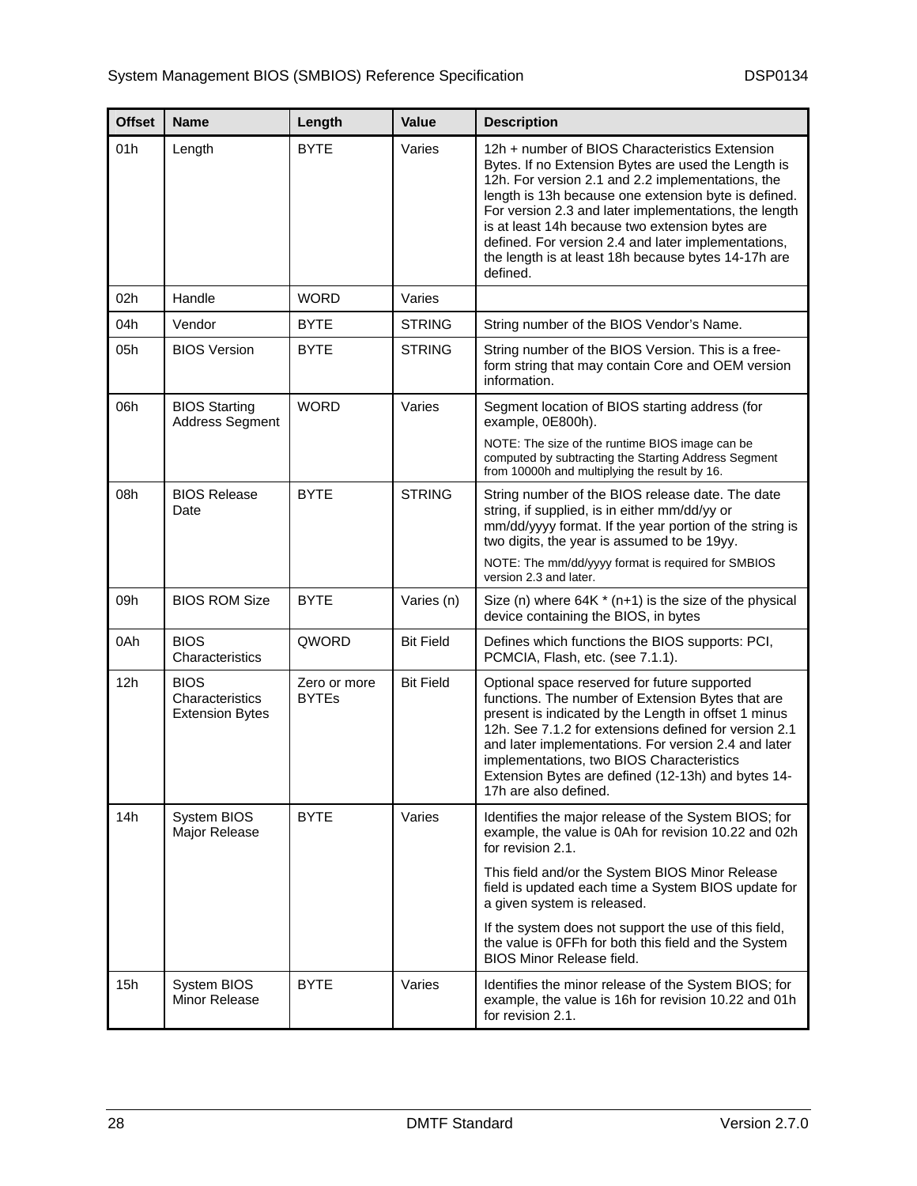| <b>Offset</b> | <b>Name</b>                                              | Length                       | <b>Value</b>     | <b>Description</b>                                                                                                                                                                                                                                                                                                                                                                                                                                       |
|---------------|----------------------------------------------------------|------------------------------|------------------|----------------------------------------------------------------------------------------------------------------------------------------------------------------------------------------------------------------------------------------------------------------------------------------------------------------------------------------------------------------------------------------------------------------------------------------------------------|
| 01h           | Length                                                   | <b>BYTE</b>                  | Varies           | 12h + number of BIOS Characteristics Extension<br>Bytes. If no Extension Bytes are used the Length is<br>12h. For version 2.1 and 2.2 implementations, the<br>length is 13h because one extension byte is defined.<br>For version 2.3 and later implementations, the length<br>is at least 14h because two extension bytes are<br>defined. For version 2.4 and later implementations,<br>the length is at least 18h because bytes 14-17h are<br>defined. |
| 02h           | Handle                                                   | <b>WORD</b>                  | Varies           |                                                                                                                                                                                                                                                                                                                                                                                                                                                          |
| 04h           | Vendor                                                   | <b>BYTE</b>                  | <b>STRING</b>    | String number of the BIOS Vendor's Name.                                                                                                                                                                                                                                                                                                                                                                                                                 |
| 05h           | <b>BIOS Version</b>                                      | <b>BYTE</b>                  | <b>STRING</b>    | String number of the BIOS Version. This is a free-<br>form string that may contain Core and OEM version<br>information.                                                                                                                                                                                                                                                                                                                                  |
| 06h           | <b>BIOS Starting</b><br><b>Address Segment</b>           | <b>WORD</b>                  | Varies           | Segment location of BIOS starting address (for<br>example, 0E800h).                                                                                                                                                                                                                                                                                                                                                                                      |
|               |                                                          |                              |                  | NOTE: The size of the runtime BIOS image can be<br>computed by subtracting the Starting Address Segment<br>from 10000h and multiplying the result by 16.                                                                                                                                                                                                                                                                                                 |
| 08h           | <b>BIOS Release</b><br>Date                              | <b>BYTE</b>                  | <b>STRING</b>    | String number of the BIOS release date. The date<br>string, if supplied, is in either mm/dd/yy or<br>mm/dd/yyyy format. If the year portion of the string is<br>two digits, the year is assumed to be 19yy.                                                                                                                                                                                                                                              |
|               |                                                          |                              |                  | NOTE: The mm/dd/yyyy format is required for SMBIOS<br>version 2.3 and later.                                                                                                                                                                                                                                                                                                                                                                             |
| 09h           | <b>BIOS ROM Size</b>                                     | <b>BYTE</b>                  | Varies (n)       | Size (n) where $64K * (n+1)$ is the size of the physical<br>device containing the BIOS, in bytes                                                                                                                                                                                                                                                                                                                                                         |
| 0Ah           | <b>BIOS</b><br>Characteristics                           | QWORD                        | <b>Bit Field</b> | Defines which functions the BIOS supports: PCI,<br>PCMCIA, Flash, etc. (see 7.1.1).                                                                                                                                                                                                                                                                                                                                                                      |
| 12h           | <b>BIOS</b><br>Characteristics<br><b>Extension Bytes</b> | Zero or more<br><b>BYTEs</b> | <b>Bit Field</b> | Optional space reserved for future supported<br>functions. The number of Extension Bytes that are<br>present is indicated by the Length in offset 1 minus<br>12h, See 7.1.2 for extensions defined for version 2.1<br>and later implementations. For version 2.4 and later<br>implementations, two BIOS Characteristics<br>Extension Bytes are defined (12-13h) and bytes 14-<br>17h are also defined.                                                   |
| 14h           | System BIOS<br>Major Release                             | <b>BYTE</b>                  | Varies           | Identifies the major release of the System BIOS; for<br>example, the value is 0Ah for revision 10.22 and 02h<br>for revision 2.1.                                                                                                                                                                                                                                                                                                                        |
|               |                                                          |                              |                  | This field and/or the System BIOS Minor Release<br>field is updated each time a System BIOS update for<br>a given system is released.                                                                                                                                                                                                                                                                                                                    |
|               |                                                          |                              |                  | If the system does not support the use of this field,<br>the value is OFFh for both this field and the System<br><b>BIOS Minor Release field.</b>                                                                                                                                                                                                                                                                                                        |
| 15h           | System BIOS<br>Minor Release                             | <b>BYTE</b>                  | Varies           | Identifies the minor release of the System BIOS; for<br>example, the value is 16h for revision 10.22 and 01h<br>for revision 2.1.                                                                                                                                                                                                                                                                                                                        |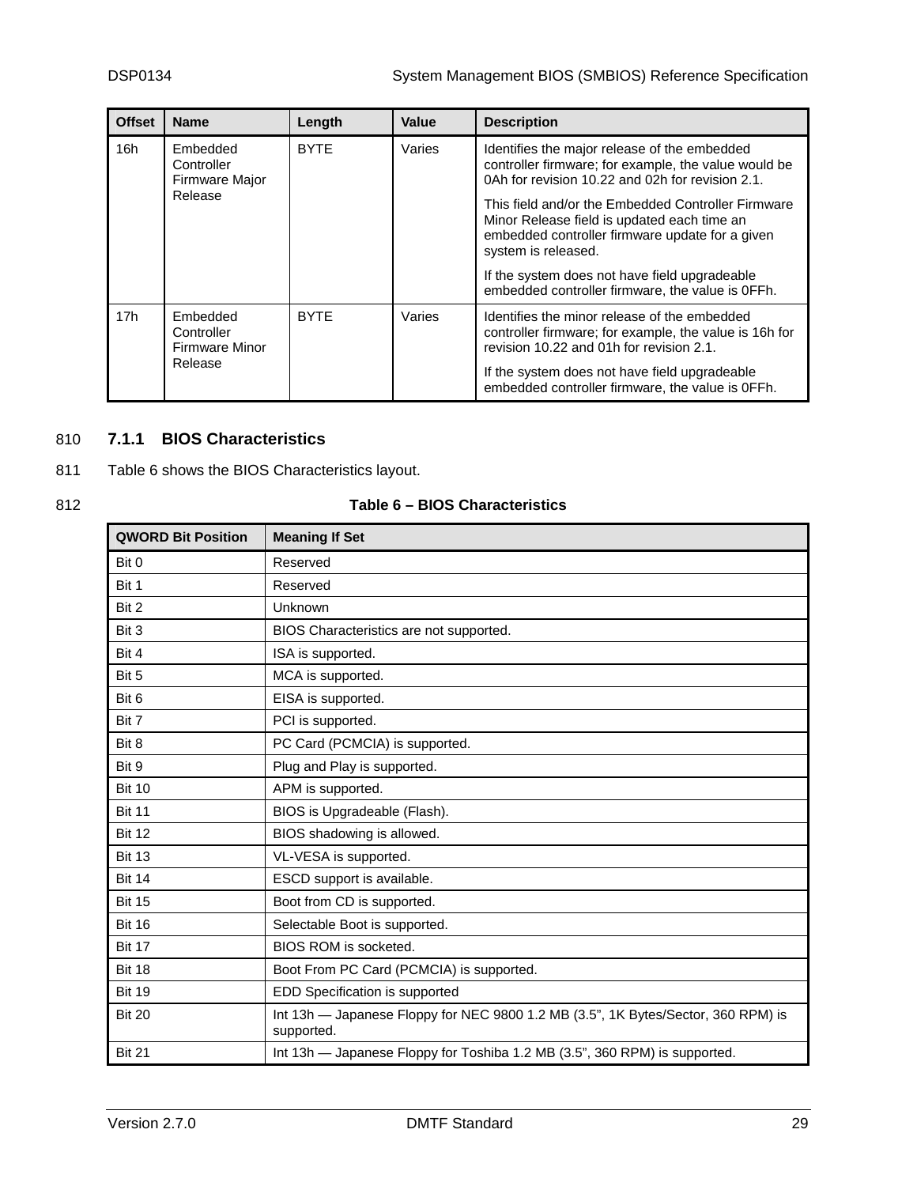<span id="page-28-0"></span>

| <b>Offset</b> | <b>Name</b>                                     | Length      | Value  | <b>Description</b>                                                                                                                                                          |
|---------------|-------------------------------------------------|-------------|--------|-----------------------------------------------------------------------------------------------------------------------------------------------------------------------------|
| 16h           | Embedded<br>Controller<br>Firmware Major        | <b>BYTE</b> | Varies | Identifies the major release of the embedded<br>controller firmware; for example, the value would be<br>0Ah for revision 10.22 and 02h for revision 2.1.                    |
|               | Release                                         |             |        | This field and/or the Embedded Controller Firmware<br>Minor Release field is updated each time an<br>embedded controller firmware update for a given<br>system is released. |
|               |                                                 |             |        | If the system does not have field upgradeable<br>embedded controller firmware, the value is OFFh.                                                                           |
| 17h           | Embedded<br>Controller<br><b>Firmware Minor</b> | <b>BYTE</b> | Varies | Identifies the minor release of the embedded<br>controller firmware; for example, the value is 16h for<br>revision 10.22 and 01h for revision 2.1.                          |
|               | Release                                         |             |        | If the system does not have field upgradeable<br>embedded controller firmware, the value is OFFh.                                                                           |

## <span id="page-28-1"></span>810 **7.1.1 BIOS Characteristics**

811 [Table 6](#page-28-2) shows the BIOS Characteristics layout.

## <span id="page-28-2"></span>812 **Table 6 – BIOS Characteristics**

| <b>QWORD Bit Position</b> | <b>Meaning If Set</b>                                                                           |
|---------------------------|-------------------------------------------------------------------------------------------------|
| Bit 0                     | Reserved                                                                                        |
| Bit 1                     | Reserved                                                                                        |
| Bit 2                     | Unknown                                                                                         |
| Bit 3                     | BIOS Characteristics are not supported.                                                         |
| Bit 4                     | ISA is supported.                                                                               |
| Bit 5                     | MCA is supported.                                                                               |
| Bit 6                     | EISA is supported.                                                                              |
| Bit 7                     | PCI is supported.                                                                               |
| Bit 8                     | PC Card (PCMCIA) is supported.                                                                  |
| Bit 9                     | Plug and Play is supported.                                                                     |
| <b>Bit 10</b>             | APM is supported.                                                                               |
| <b>Bit 11</b>             | BIOS is Upgradeable (Flash).                                                                    |
| <b>Bit 12</b>             | BIOS shadowing is allowed.                                                                      |
| <b>Bit 13</b>             | VL-VESA is supported.                                                                           |
| <b>Bit 14</b>             | ESCD support is available.                                                                      |
| <b>Bit 15</b>             | Boot from CD is supported.                                                                      |
| <b>Bit 16</b>             | Selectable Boot is supported.                                                                   |
| <b>Bit 17</b>             | BIOS ROM is socketed.                                                                           |
| <b>Bit 18</b>             | Boot From PC Card (PCMCIA) is supported.                                                        |
| <b>Bit 19</b>             | EDD Specification is supported                                                                  |
| <b>Bit 20</b>             | Int 13h - Japanese Floppy for NEC 9800 1.2 MB (3.5", 1K Bytes/Sector, 360 RPM) is<br>supported. |
| <b>Bit 21</b>             | Int 13h - Japanese Floppy for Toshiba 1.2 MB (3.5", 360 RPM) is supported.                      |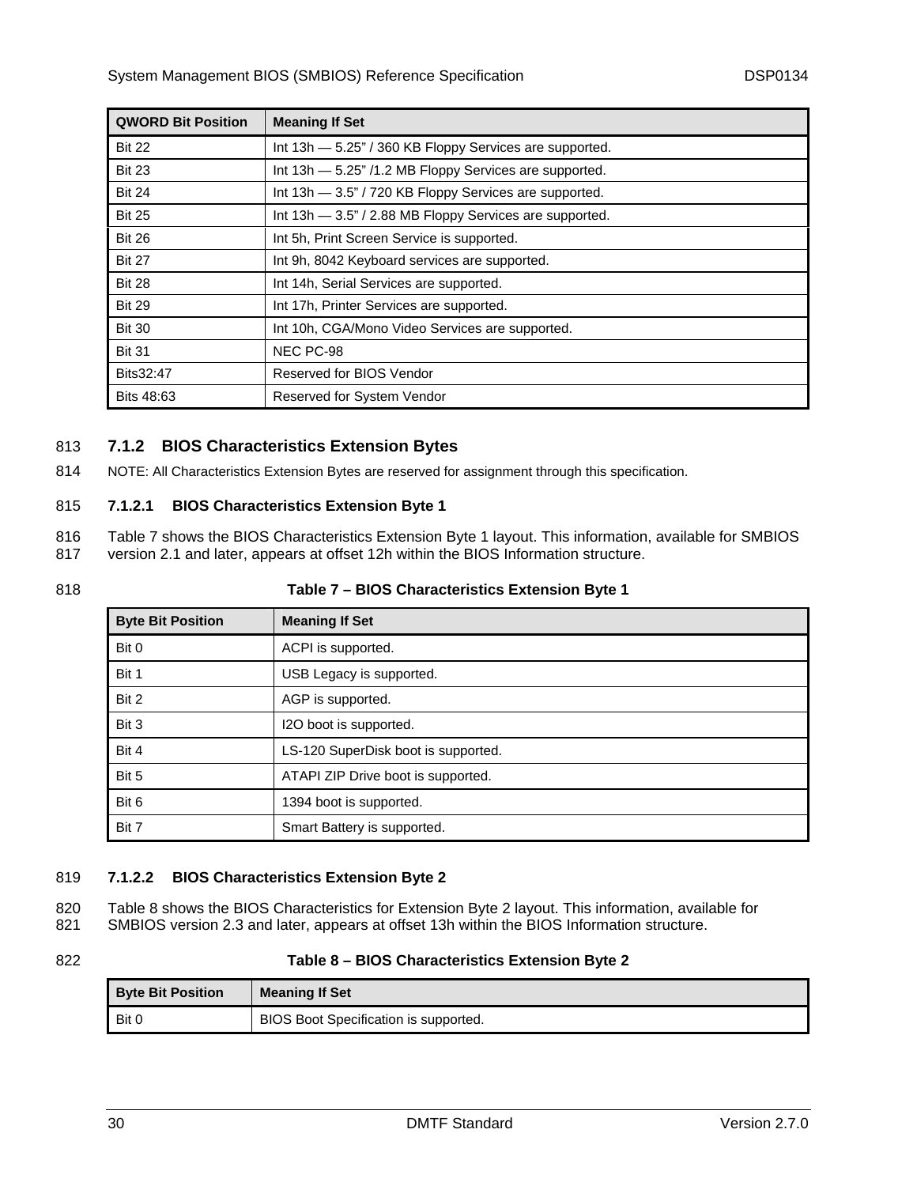<span id="page-29-0"></span>

| <b>QWORD Bit Position</b> | <b>Meaning If Set</b>                                   |
|---------------------------|---------------------------------------------------------|
| <b>Bit 22</b>             | Int 13h - 5.25" / 360 KB Floppy Services are supported. |
| <b>Bit 23</b>             | Int 13h - 5.25" /1.2 MB Floppy Services are supported.  |
| <b>Bit 24</b>             | Int 13h - 3.5" / 720 KB Floppy Services are supported.  |
| <b>Bit 25</b>             | Int 13h - 3.5" / 2.88 MB Floppy Services are supported. |
| <b>Bit 26</b>             | Int 5h, Print Screen Service is supported.              |
| <b>Bit 27</b>             | Int 9h, 8042 Keyboard services are supported.           |
| <b>Bit 28</b>             | Int 14h, Serial Services are supported.                 |
| <b>Bit 29</b>             | Int 17h, Printer Services are supported.                |
| <b>Bit 30</b>             | Int 10h, CGA/Mono Video Services are supported.         |
| <b>Bit 31</b>             | NEC PC-98                                               |
| Bits32:47                 | Reserved for BIOS Vendor                                |
| Bits 48:63                | Reserved for System Vendor                              |

## <span id="page-29-1"></span>813 **7.1.2 BIOS Characteristics Extension Bytes**

814 NOTE: All Characteristics Extension Bytes are reserved for assignment through this specification.

#### 815 **7.1.2.1 BIOS Characteristics Extension Byte 1**

- 816 [Table 7](#page-29-2) shows the BIOS Characteristics Extension Byte 1 layout. This information, available for SMBIOS 817 version 2.1 and later, appears at offset 12h within the BIOS Information structure.
- 

#### <span id="page-29-2"></span>818 **Table 7 – BIOS Characteristics Extension Byte 1**

| <b>Byte Bit Position</b> | <b>Meaning If Set</b>               |  |
|--------------------------|-------------------------------------|--|
| Bit 0                    | ACPI is supported.                  |  |
| Bit 1                    | USB Legacy is supported.            |  |
| Bit 2                    | AGP is supported.                   |  |
| Bit 3                    | I2O boot is supported.              |  |
| Bit 4                    | LS-120 SuperDisk boot is supported. |  |
| Bit 5                    | ATAPI ZIP Drive boot is supported.  |  |
| Bit 6                    | 1394 boot is supported.             |  |
| Bit 7                    | Smart Battery is supported.         |  |

#### 819 **7.1.2.2 BIOS Characteristics Extension Byte 2**

- 820 [Table 8](#page-29-3) shows the BIOS Characteristics for Extension Byte 2 layout. This information, available for
- 821 SMBIOS version 2.3 and later, appears at offset 13h within the BIOS Information structure.
- <span id="page-29-3"></span>

## 822 **Table 8 – BIOS Characteristics Extension Byte 2**

| <b>Byte Bit Position</b> | <b>Meaning If Set</b>                 |
|--------------------------|---------------------------------------|
| Bit 0                    | BIOS Boot Specification is supported. |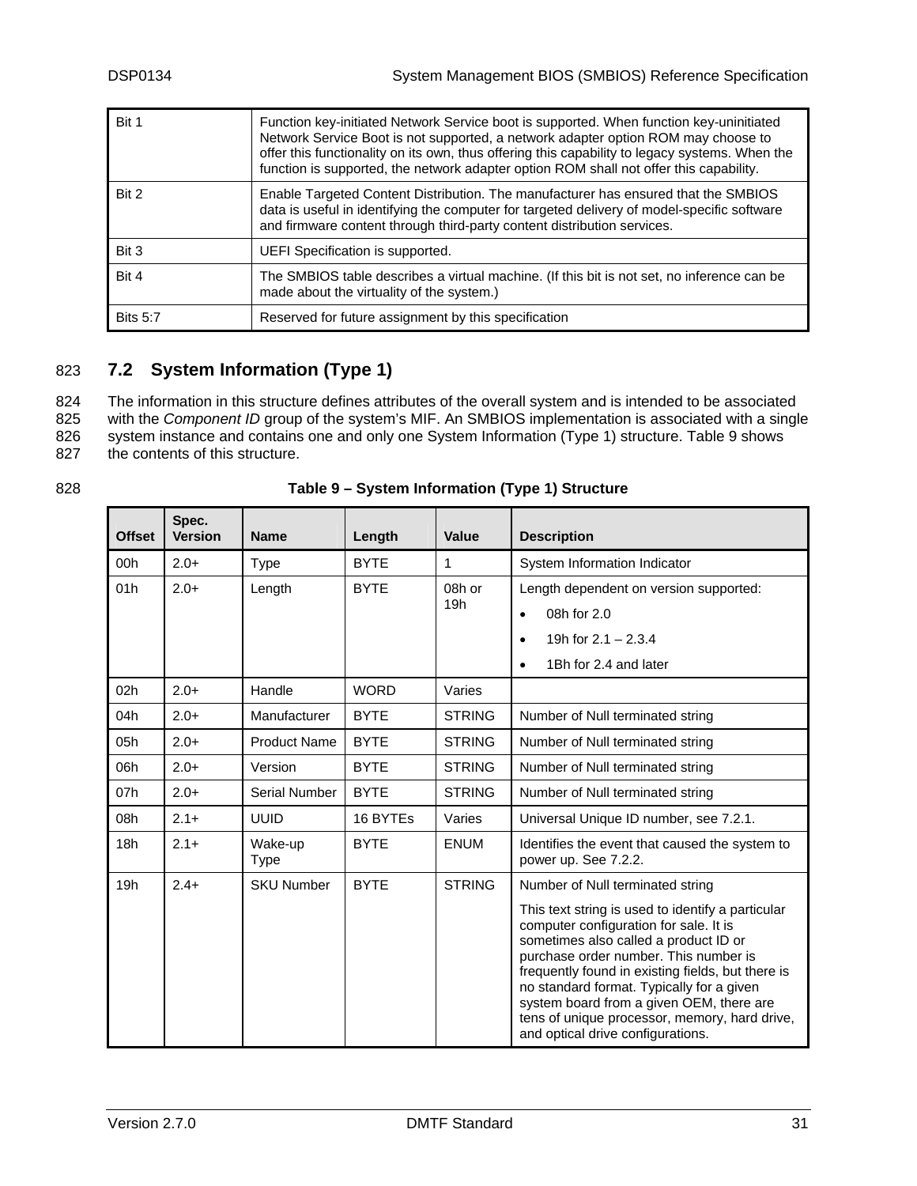<span id="page-30-0"></span>

| Bit 1           | Function key-initiated Network Service boot is supported. When function key-uninitiated<br>Network Service Boot is not supported, a network adapter option ROM may choose to<br>offer this functionality on its own, thus offering this capability to legacy systems. When the<br>function is supported, the network adapter option ROM shall not offer this capability. |
|-----------------|--------------------------------------------------------------------------------------------------------------------------------------------------------------------------------------------------------------------------------------------------------------------------------------------------------------------------------------------------------------------------|
| Bit 2           | Enable Targeted Content Distribution. The manufacturer has ensured that the SMBIOS<br>data is useful in identifying the computer for targeted delivery of model-specific software<br>and firmware content through third-party content distribution services.                                                                                                             |
| Bit 3           | UEFI Specification is supported.                                                                                                                                                                                                                                                                                                                                         |
| Bit 4           | The SMBIOS table describes a virtual machine. (If this bit is not set, no inference can be<br>made about the virtuality of the system.)                                                                                                                                                                                                                                  |
| <b>Bits 5:7</b> | Reserved for future assignment by this specification                                                                                                                                                                                                                                                                                                                     |

## <span id="page-30-1"></span>823 **7.2 System Information (Type 1)**

824 The information in this structure defines attributes of the overall system and is intended to be associated<br>825 with the Component ID group of the system's MIF. An SMBIOS implementation is associated with a single

825 with the *Component ID* group of the system's MIF. An SMBIOS implementation is associated with a single 826 system instance and contains one and only one System Information (Type 1) structure. Table 9 shows 826 system instance and contains one and only one System Information (Type 1) structure. [Table 9](#page-30-2) shows the contents of this structure.

the contents of this structure.

## <span id="page-30-2"></span>828 **Table 9 – System Information (Type 1) Structure**

| <b>Offset</b> | Spec.<br><b>Version</b> | <b>Name</b>            | Length      | Value         | <b>Description</b>                                                                                                                                                                                                                                                                                                                                                                                                |
|---------------|-------------------------|------------------------|-------------|---------------|-------------------------------------------------------------------------------------------------------------------------------------------------------------------------------------------------------------------------------------------------------------------------------------------------------------------------------------------------------------------------------------------------------------------|
| 00h           | $2.0+$                  | <b>Type</b>            | <b>BYTE</b> | 1             | System Information Indicator                                                                                                                                                                                                                                                                                                                                                                                      |
| 01h           | $2.0+$                  | Length                 | <b>BYTE</b> | 08h or<br>19h | Length dependent on version supported:<br>08h for 2.0<br>$\bullet$<br>19h for $2.1 - 2.3.4$<br>$\bullet$<br>1Bh for 2.4 and later<br>$\bullet$                                                                                                                                                                                                                                                                    |
| 02h           | $2.0+$                  | Handle                 | <b>WORD</b> | Varies        |                                                                                                                                                                                                                                                                                                                                                                                                                   |
| 04h           | $2.0+$                  | Manufacturer           | <b>BYTE</b> | <b>STRING</b> | Number of Null terminated string                                                                                                                                                                                                                                                                                                                                                                                  |
| 05h           | $2.0+$                  | <b>Product Name</b>    | <b>BYTE</b> | <b>STRING</b> | Number of Null terminated string                                                                                                                                                                                                                                                                                                                                                                                  |
| 06h           | $2.0+$                  | Version                | <b>BYTE</b> | <b>STRING</b> | Number of Null terminated string                                                                                                                                                                                                                                                                                                                                                                                  |
| 07h           | $2.0+$                  | Serial Number          | <b>BYTE</b> | <b>STRING</b> | Number of Null terminated string                                                                                                                                                                                                                                                                                                                                                                                  |
| 08h           | $2.1+$                  | <b>UUID</b>            | 16 BYTEs    | Varies        | Universal Unique ID number, see 7.2.1.                                                                                                                                                                                                                                                                                                                                                                            |
| 18h           | $2.1+$                  | Wake-up<br><b>Type</b> | <b>BYTE</b> | <b>ENUM</b>   | Identifies the event that caused the system to<br>power up. See 7.2.2.                                                                                                                                                                                                                                                                                                                                            |
| 19h           | $2.4+$                  | <b>SKU Number</b>      | <b>BYTE</b> | <b>STRING</b> | Number of Null terminated string                                                                                                                                                                                                                                                                                                                                                                                  |
|               |                         |                        |             |               | This text string is used to identify a particular<br>computer configuration for sale. It is<br>sometimes also called a product ID or<br>purchase order number. This number is<br>frequently found in existing fields, but there is<br>no standard format. Typically for a given<br>system board from a given OEM, there are<br>tens of unique processor, memory, hard drive,<br>and optical drive configurations. |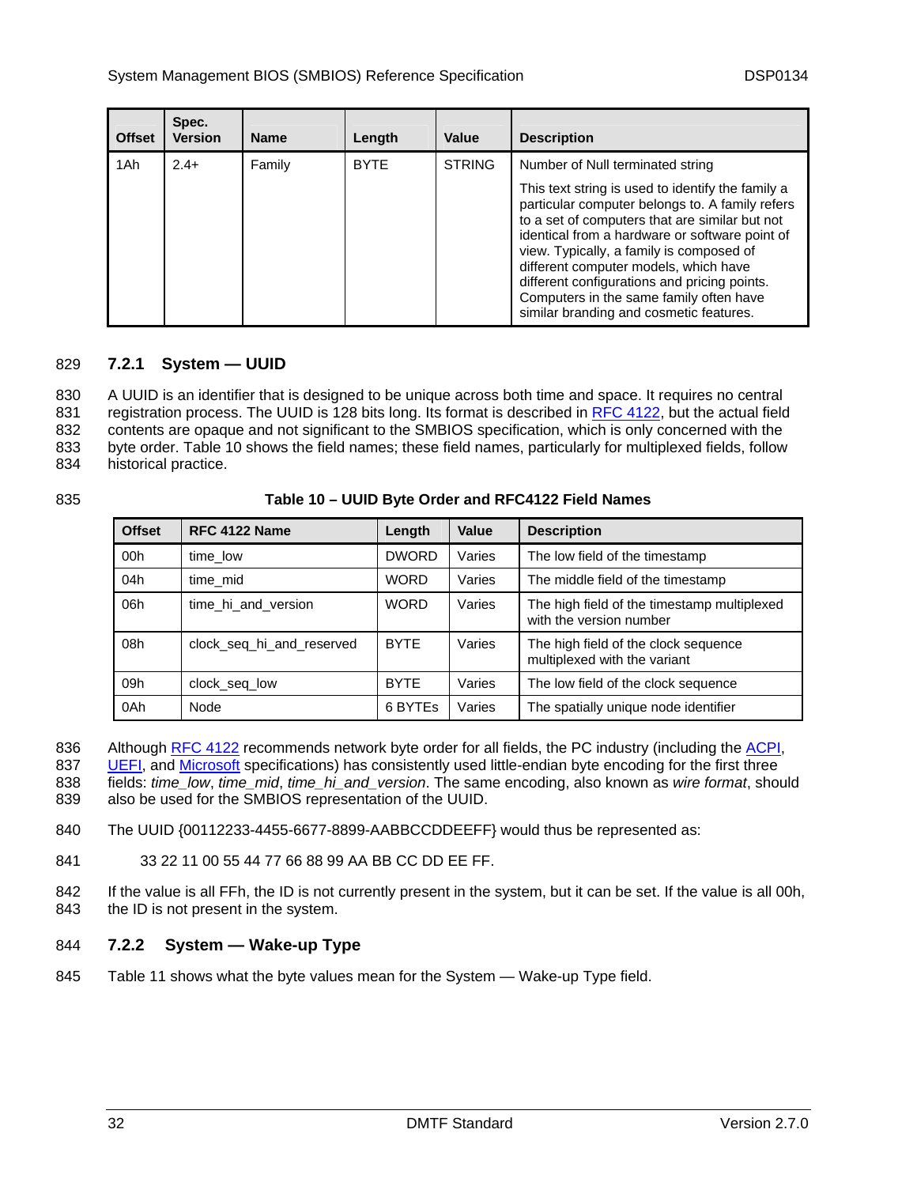<span id="page-31-0"></span>

| <b>Offset</b> | Spec.<br><b>Version</b> | <b>Name</b> | Length      | Value         | <b>Description</b>                                                                                                                                                                                                                                                                                                                                                                                                                  |
|---------------|-------------------------|-------------|-------------|---------------|-------------------------------------------------------------------------------------------------------------------------------------------------------------------------------------------------------------------------------------------------------------------------------------------------------------------------------------------------------------------------------------------------------------------------------------|
| 1Ah           | $2.4+$                  | Family      | <b>BYTE</b> | <b>STRING</b> | Number of Null terminated string                                                                                                                                                                                                                                                                                                                                                                                                    |
|               |                         |             |             |               | This text string is used to identify the family a<br>particular computer belongs to. A family refers<br>to a set of computers that are similar but not<br>identical from a hardware or software point of<br>view. Typically, a family is composed of<br>different computer models, which have<br>different configurations and pricing points.<br>Computers in the same family often have<br>similar branding and cosmetic features. |

## <span id="page-31-1"></span>829 **7.2.1 System — UUID**

830 A UUID is an identifier that is designed to be unique across both time and space. It requires no central 831 registration process. The UUID is 128 bits long. Its format is described in [RFC 4122](#page-12-0), but the actual field 832 contents are opaque and not significant to the SMBIOS specification, which is only concerned with the 833 byte order. [Table 10](#page-31-3) shows the field names; these field names, particularly for multiplexed fields, follow 834 historical practice.

## <span id="page-31-3"></span>835 **Table 10 – UUID Byte Order and RFC4122 Field Names**

| <b>Offset</b> | RFC 4122 Name             | Length       | <b>Value</b> | <b>Description</b>                                                     |
|---------------|---------------------------|--------------|--------------|------------------------------------------------------------------------|
| 00h           | time low                  | <b>DWORD</b> | Varies       | The low field of the timestamp                                         |
| 04h           | time mid                  | <b>WORD</b>  | Varies       | The middle field of the timestamp                                      |
| 06h           | time_hi_and_version       | <b>WORD</b>  | Varies       | The high field of the timestamp multiplexed<br>with the version number |
| 08h           | clock seq hi and reserved | <b>BYTE</b>  | Varies       | The high field of the clock sequence<br>multiplexed with the variant   |
| 09h           | clock seg low             | <b>BYTE</b>  | Varies       | The low field of the clock sequence                                    |
| 0Ah           | Node                      | 6 BYTES      | Varies       | The spatially unique node identifier                                   |

836 Although [RFC 4122](#page-12-0) recommends network byte order for all fields, the PC industry (including the [ACPI,](#page-12-0)

837 [UEFI,](#page-13-0) and [Microsoft](#page-12-0) specifications) has consistently used little-endian byte encoding for the first three 838 fields: *time\_low*, *time\_mid*, *time\_hi\_and\_version*. The same encoding, also known as *wire format*, should

839 also be used for the SMBIOS representation of the UUID.

- 840 The UUID {00112233-4455-6677-8899-AABBCCDDEEFF} would thus be represented as:
- 841 33 22 11 00 55 44 77 66 88 99 AA BB CC DD EE FF.

842 If the value is all FFh, the ID is not currently present in the system, but it can be set. If the value is all 00h, 843 the ID is not present in the system.

## <span id="page-31-2"></span>844 **7.2.2 System — Wake-up Type**

845 [Table 11](#page-32-2) shows what the byte values mean for the System — Wake-up Type field.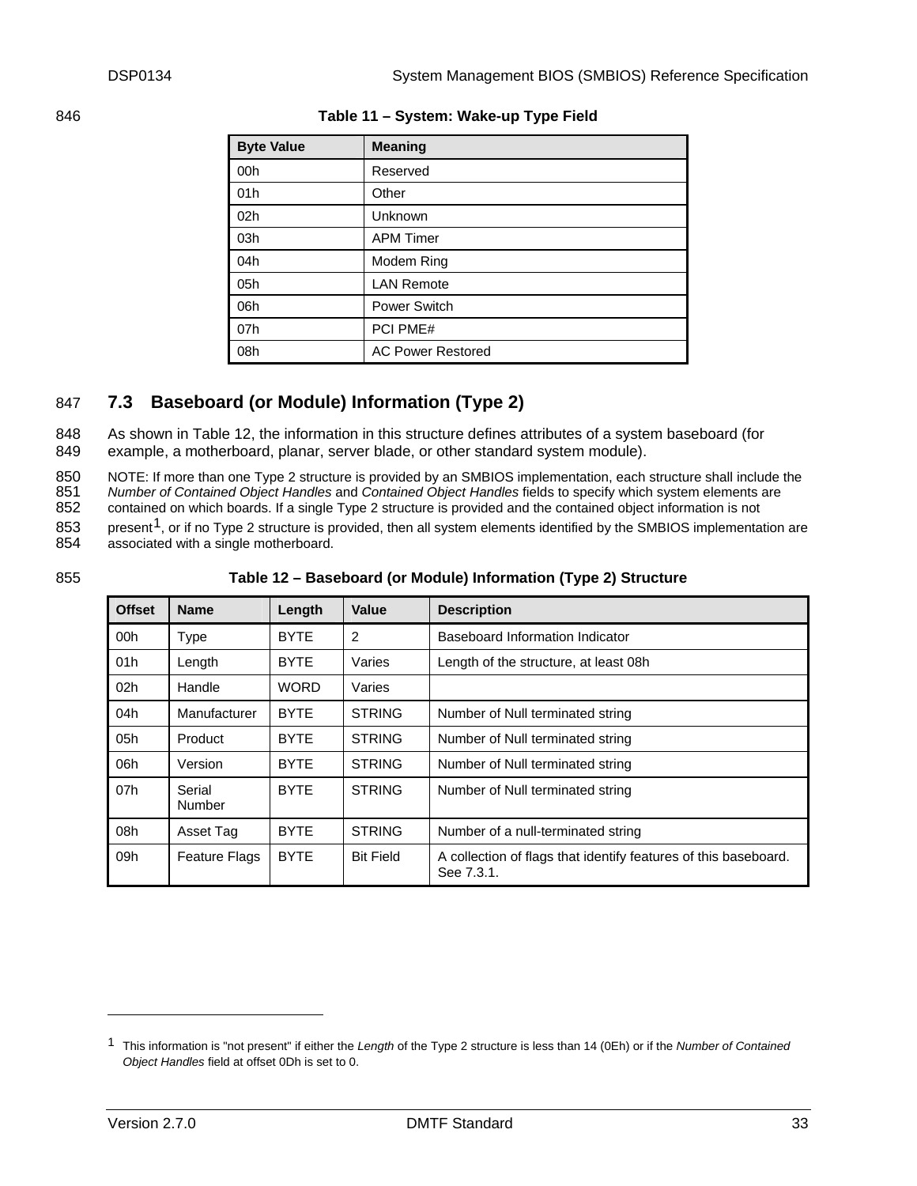| <b>Byte Value</b> | <b>Meaning</b>           |  |  |
|-------------------|--------------------------|--|--|
| 00h               | Reserved                 |  |  |
| 01h               | Other                    |  |  |
| 02h               | Unknown                  |  |  |
| 03h               | <b>APM Timer</b>         |  |  |
| 04h               | Modem Ring               |  |  |
| 05h               | <b>LAN Remote</b>        |  |  |
| 06h               | <b>Power Switch</b>      |  |  |
| 07h               | <b>PCI PME#</b>          |  |  |
| 08h               | <b>AC Power Restored</b> |  |  |

#### <span id="page-32-2"></span><span id="page-32-0"></span>846 **Table 11 – System: Wake-up Type Field**

## <span id="page-32-1"></span>847 **7.3 Baseboard (or Module) Information (Type 2)**

848 As shown in [Table 12,](#page-32-3) the information in this structure defines attributes of a system baseboard (for 849 example, a motherboard, planar, server blade, or other standard system module).

850 NOTE: If more than one Type 2 structure is provided by an SMBIOS implementation, each structure shall include the<br>851 Number of Contained Object Handles and Contained Object Handles fields to specify which system eleme

851 *Number of Contained Object Handles* and *Contained Object Handles* fields to specify which system elements are contained on which boards. If a single Type 2 structure is provided and the contained object information is not

853 present<sup>1</sup>[,](#page-32-4) or if no Type 2 structure is provided, then all system elements identified by the SMBIOS implementation are <br>854 associated with a single motherboard. associated with a single motherboard.

<span id="page-32-3"></span>

855 **Table 12 – Baseboard (or Module) Information (Type 2) Structure** 

| <b>Offset</b>   | <b>Name</b>          | Length      | Value                                             | <b>Description</b>                                                            |  |
|-----------------|----------------------|-------------|---------------------------------------------------|-------------------------------------------------------------------------------|--|
| 00h             | <b>Type</b>          | <b>BYTE</b> | $\overline{2}$                                    | Baseboard Information Indicator                                               |  |
| 01h             | Length               | <b>BYTE</b> | Varies                                            | Length of the structure, at least 08h                                         |  |
| 02 <sub>h</sub> | Handle               | <b>WORD</b> | Varies                                            |                                                                               |  |
| 04h             | Manufacturer         | <b>BYTE</b> | <b>STRING</b><br>Number of Null terminated string |                                                                               |  |
| 05h             | Product              | <b>BYTE</b> | <b>STRING</b>                                     | Number of Null terminated string                                              |  |
| 06h             | Version              | <b>BYTE</b> | Number of Null terminated string<br><b>STRING</b> |                                                                               |  |
| 07h             | Serial<br>Number     | <b>BYTE</b> | <b>STRING</b>                                     | Number of Null terminated string                                              |  |
| 08h             | Asset Tag            | <b>BYTE</b> | <b>STRING</b>                                     | Number of a null-terminated string                                            |  |
| 09h             | <b>Feature Flags</b> | <b>BYTE</b> | <b>Bit Field</b>                                  | A collection of flags that identify features of this baseboard.<br>See 7.3.1. |  |

l

<span id="page-32-4"></span><sup>1</sup> This information is "not present" if either the *Length* of the Type 2 structure is less than 14 (0Eh) or if the *Number of Contained Object Handles* field at offset 0Dh is set to 0.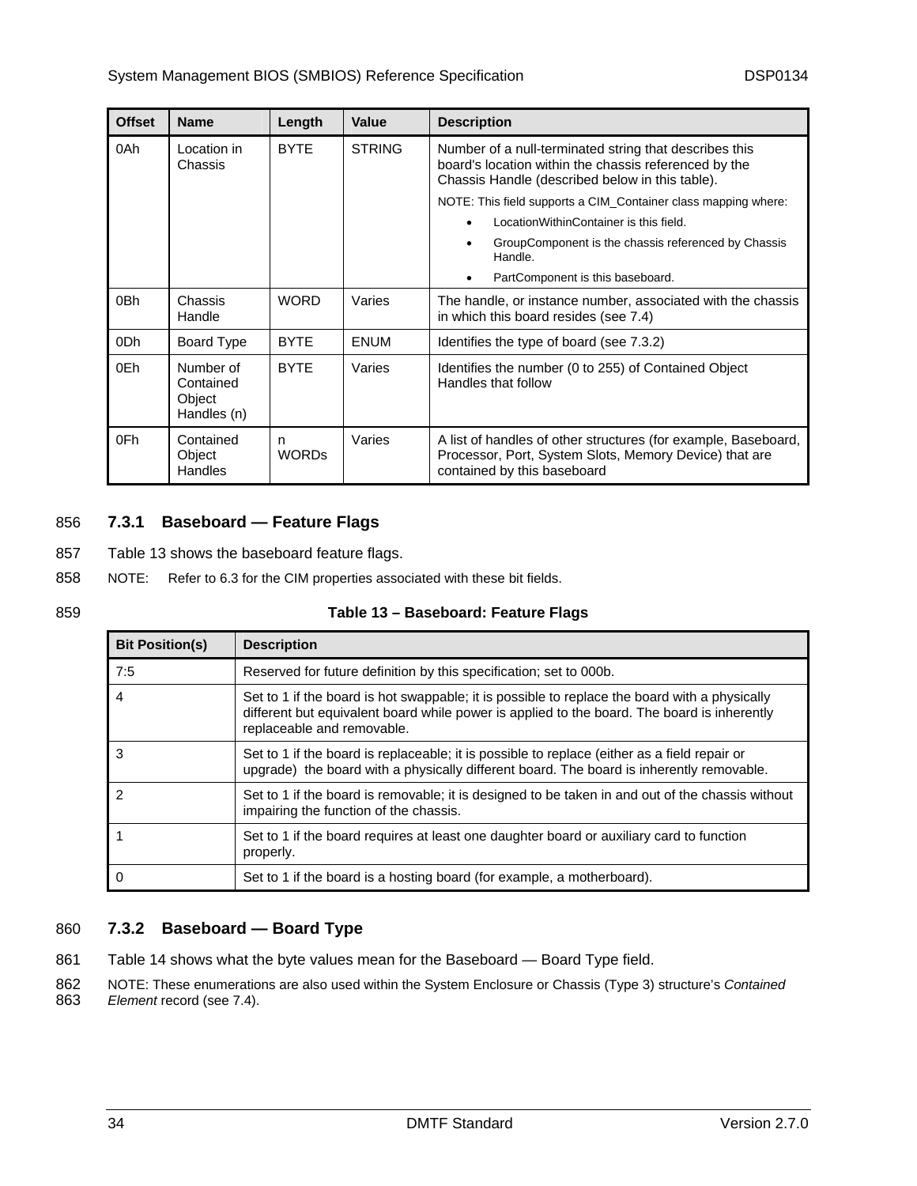<span id="page-33-0"></span>

| <b>Offset</b> | <b>Name</b>                                     | Length            | Value                                                                                                                                                                               | <b>Description</b>                                                                                                                                      |  |  |
|---------------|-------------------------------------------------|-------------------|-------------------------------------------------------------------------------------------------------------------------------------------------------------------------------------|---------------------------------------------------------------------------------------------------------------------------------------------------------|--|--|
| 0Ah           | Location in<br>Chassis                          | <b>BYTE</b>       | <b>STRING</b><br>Number of a null-terminated string that describes this<br>board's location within the chassis referenced by the<br>Chassis Handle (described below in this table). |                                                                                                                                                         |  |  |
|               |                                                 |                   |                                                                                                                                                                                     | NOTE: This field supports a CIM_Container class mapping where:                                                                                          |  |  |
|               |                                                 |                   |                                                                                                                                                                                     | LocationWithinContainer is this field.                                                                                                                  |  |  |
|               |                                                 |                   |                                                                                                                                                                                     | GroupComponent is the chassis referenced by Chassis<br>Handle.                                                                                          |  |  |
|               |                                                 |                   |                                                                                                                                                                                     | PartComponent is this baseboard.<br>$\bullet$                                                                                                           |  |  |
| 0Bh           | Chassis<br>Handle                               | <b>WORD</b>       | Varies                                                                                                                                                                              | The handle, or instance number, associated with the chassis<br>in which this board resides (see 7.4)                                                    |  |  |
| 0Dh           | Board Type                                      | <b>BYTE</b>       | <b>ENUM</b>                                                                                                                                                                         | Identifies the type of board (see 7.3.2)                                                                                                                |  |  |
| 0Eh           | Number of<br>Contained<br>Object<br>Handles (n) | <b>BYTE</b>       | Varies                                                                                                                                                                              | Identifies the number (0 to 255) of Contained Object<br>Handles that follow                                                                             |  |  |
| 0Fh           | Contained<br>Object<br><b>Handles</b>           | n<br><b>WORDs</b> | Varies                                                                                                                                                                              | A list of handles of other structures (for example, Baseboard,<br>Processor, Port, System Slots, Memory Device) that are<br>contained by this baseboard |  |  |

## <span id="page-33-1"></span>856 **7.3.1 Baseboard — Feature Flags**

- 857 [Table 13](#page-33-3) shows the baseboard feature flags.
- 858 NOTE: Refer to [6.3](#page-25-1) for the CIM properties associated with these bit fields.
- 

#### <span id="page-33-3"></span>859 **Table 13 – Baseboard: Feature Flags**

| <b>Bit Position(s)</b> | <b>Description</b>                                                                                                                                                                                                         |
|------------------------|----------------------------------------------------------------------------------------------------------------------------------------------------------------------------------------------------------------------------|
| 7:5                    | Reserved for future definition by this specification; set to 000b.                                                                                                                                                         |
| 4                      | Set to 1 if the board is hot swappable; it is possible to replace the board with a physically<br>different but equivalent board while power is applied to the board. The board is inherently<br>replaceable and removable. |
| 3                      | Set to 1 if the board is replaceable; it is possible to replace (either as a field repair or<br>upgrade) the board with a physically different board. The board is inherently removable.                                   |
| $\mathcal{P}$          | Set to 1 if the board is removable; it is designed to be taken in and out of the chassis without<br>impairing the function of the chassis.                                                                                 |
|                        | Set to 1 if the board requires at least one daughter board or auxiliary card to function<br>properly.                                                                                                                      |
| 0                      | Set to 1 if the board is a hosting board (for example, a motherboard).                                                                                                                                                     |

## <span id="page-33-2"></span>860 **7.3.2 Baseboard — Board Type**

- 861 [Table 14](#page-34-2) shows what the byte values mean for the Baseboard Board Type field.
- 862 NOTE: These enumerations are also used within the System Enclosure or Chassis (Type 3) structure's *Contained*  863 *Element* record (see [7.4](#page-34-1)).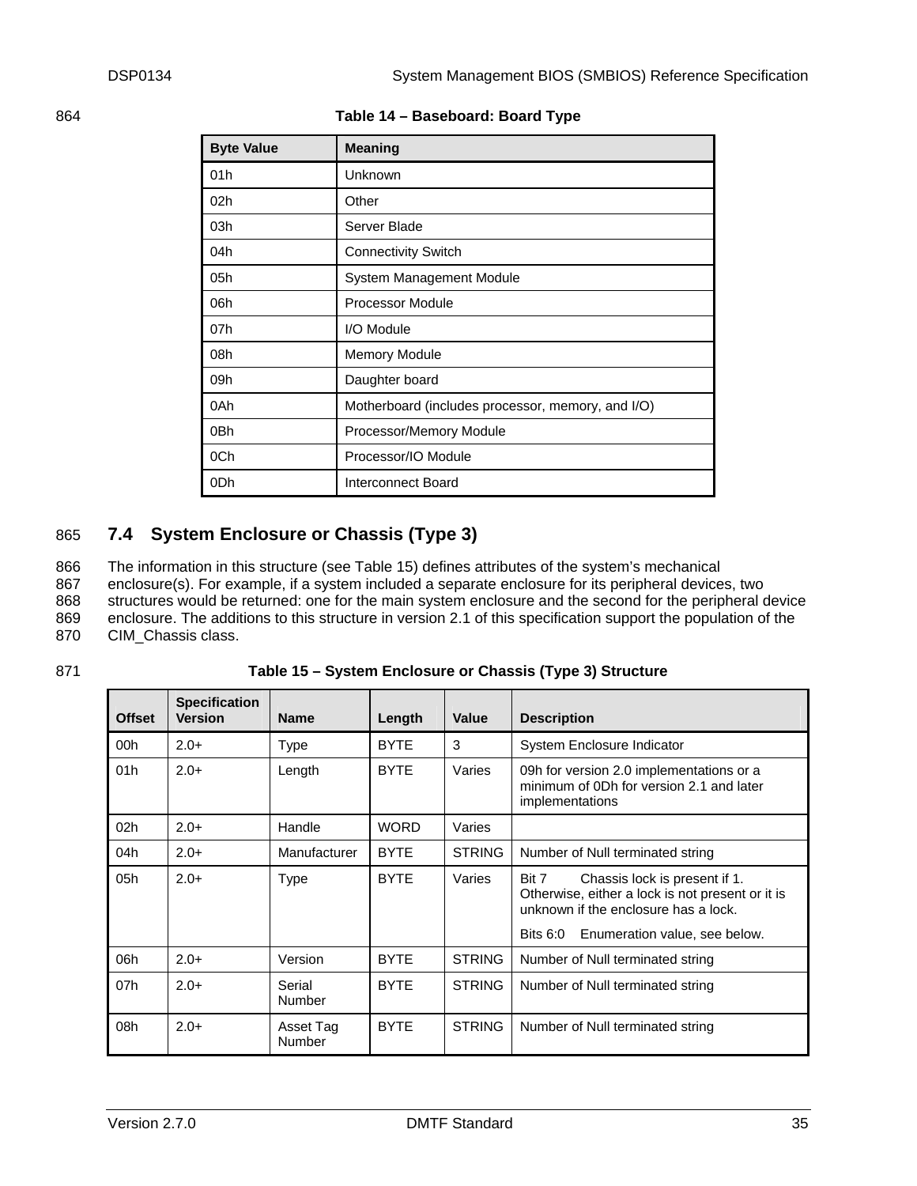<span id="page-34-2"></span><span id="page-34-0"></span>864 **Table 14 – Baseboard: Board Type** 

| <b>Byte Value</b> | <b>Meaning</b>                                    |  |  |  |
|-------------------|---------------------------------------------------|--|--|--|
| 01h               | Unknown                                           |  |  |  |
| 02 <sub>h</sub>   | Other                                             |  |  |  |
| 03h               | Server Blade                                      |  |  |  |
| 04h               | <b>Connectivity Switch</b>                        |  |  |  |
| 05h               | <b>System Management Module</b>                   |  |  |  |
| 06h               | Processor Module                                  |  |  |  |
| 07h               | I/O Module                                        |  |  |  |
| 08h               | <b>Memory Module</b>                              |  |  |  |
| 09h               | Daughter board                                    |  |  |  |
| 0Ah               | Motherboard (includes processor, memory, and I/O) |  |  |  |
| 0Bh               | Processor/Memory Module                           |  |  |  |
| 0Ch               | Processor/IO Module                               |  |  |  |
| 0Dh               | <b>Interconnect Board</b>                         |  |  |  |

## <span id="page-34-1"></span>865 **7.4 System Enclosure or Chassis (Type 3)**

866 The information in this structure (see [Table 15](#page-34-3)) defines attributes of the system's mechanical

867 enclosure(s). For example, if a system included a separate enclosure for its peripheral devices, two

868 structures would be returned: one for the main system enclosure and the second for the peripheral device

869 enclosure. The additions to this structure in version 2.1 of this specification support the population of the

870 CIM\_Chassis class.

<span id="page-34-3"></span>871 **Table 15 – System Enclosure or Chassis (Type 3) Structure** 

| <b>Offset</b> | <b>Specification</b><br><b>Version</b> | <b>Name</b>         | Length      | Value         | <b>Description</b>                                                                                                                 |
|---------------|----------------------------------------|---------------------|-------------|---------------|------------------------------------------------------------------------------------------------------------------------------------|
| 00h           | $2.0+$                                 | Type                | <b>BYTE</b> | 3             | System Enclosure Indicator                                                                                                         |
| 01h           | $2.0+$                                 | Length              | <b>BYTE</b> | Varies        | 09h for version 2.0 implementations or a<br>minimum of 0Dh for version 2.1 and later<br>implementations                            |
| 02h           | $2.0+$                                 | Handle              | <b>WORD</b> | Varies        |                                                                                                                                    |
| 04h           | $2.0+$                                 | Manufacturer        | <b>BYTE</b> | <b>STRING</b> | Number of Null terminated string                                                                                                   |
| 05h           | $2.0+$                                 | <b>Type</b>         | <b>BYTE</b> | Varies        | Bit 7<br>Chassis lock is present if 1.<br>Otherwise, either a lock is not present or it is<br>unknown if the enclosure has a lock. |
|               |                                        |                     |             |               | Enumeration value, see below.<br>Bits $6:0$                                                                                        |
| 06h           | $2.0+$                                 | Version             | <b>BYTE</b> | <b>STRING</b> | Number of Null terminated string                                                                                                   |
| 07h           | $2.0+$                                 | Serial<br>Number    | <b>BYTE</b> | <b>STRING</b> | Number of Null terminated string                                                                                                   |
| 08h           | $2.0+$                                 | Asset Tag<br>Number | <b>BYTE</b> | <b>STRING</b> | Number of Null terminated string                                                                                                   |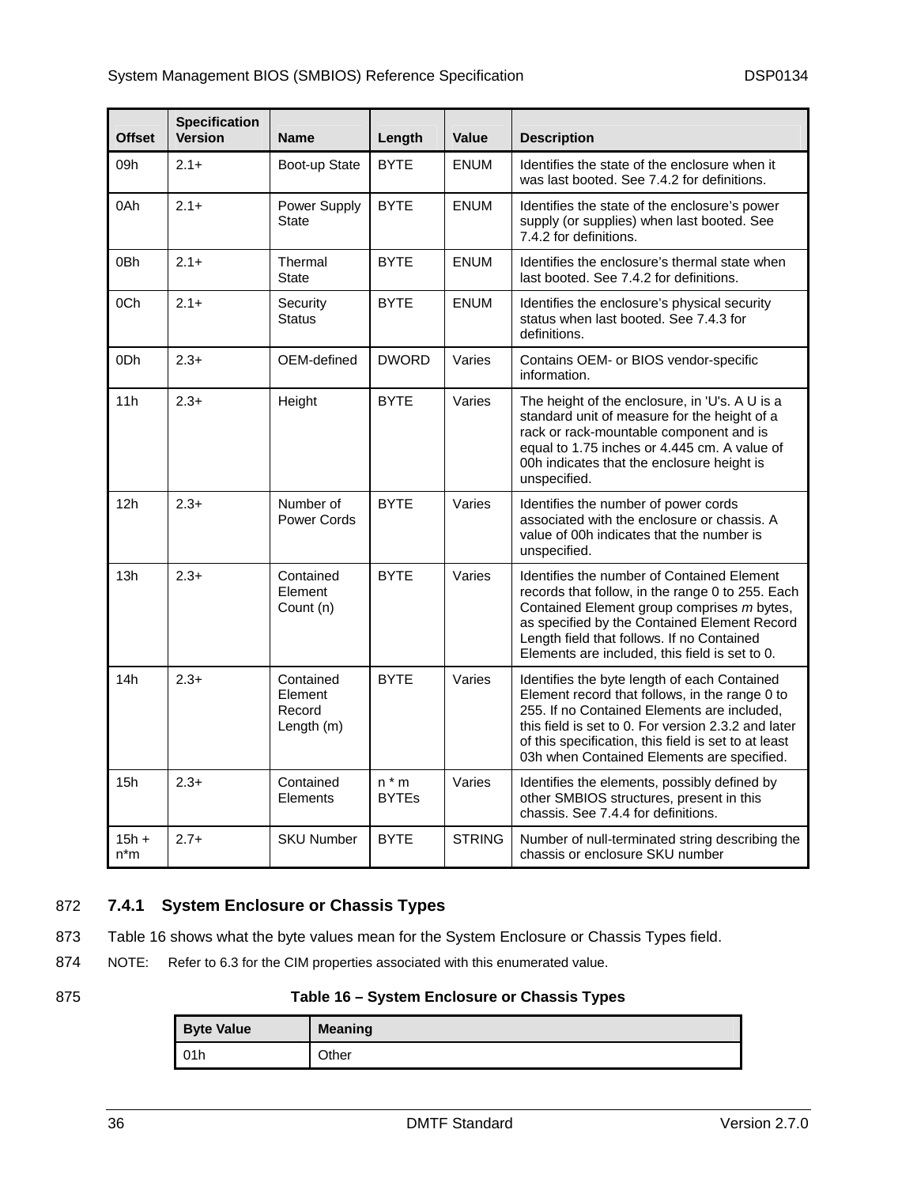<span id="page-35-0"></span>

| <b>Offset</b>    | <b>Specification</b><br><b>Version</b> | <b>Name</b>                                  | Length                  | <b>Value</b>  | <b>Description</b>                                                                                                                                                                                                                                                                                         |
|------------------|----------------------------------------|----------------------------------------------|-------------------------|---------------|------------------------------------------------------------------------------------------------------------------------------------------------------------------------------------------------------------------------------------------------------------------------------------------------------------|
| 09h              | $2.1+$                                 | Boot-up State                                | <b>BYTE</b>             | <b>ENUM</b>   | Identifies the state of the enclosure when it<br>was last booted. See 7.4.2 for definitions.                                                                                                                                                                                                               |
| 0Ah              | $2.1+$                                 | Power Supply<br><b>State</b>                 | <b>BYTE</b>             | <b>ENUM</b>   | Identifies the state of the enclosure's power<br>supply (or supplies) when last booted. See<br>7.4.2 for definitions.                                                                                                                                                                                      |
| 0Bh              | $2.1 +$                                | Thermal<br>State                             | <b>BYTE</b>             | <b>ENUM</b>   | Identifies the enclosure's thermal state when<br>last booted. See 7.4.2 for definitions.                                                                                                                                                                                                                   |
| 0Ch              | $2.1+$                                 | Security<br><b>Status</b>                    | <b>BYTE</b>             | <b>ENUM</b>   | Identifies the enclosure's physical security<br>status when last booted. See 7.4.3 for<br>definitions.                                                                                                                                                                                                     |
| 0 <sub>Dh</sub>  | $2.3+$                                 | OEM-defined                                  | <b>DWORD</b>            | Varies        | Contains OEM- or BIOS vendor-specific<br>information.                                                                                                                                                                                                                                                      |
| 11h              | $2.3+$                                 | Height                                       | <b>BYTE</b>             | Varies        | The height of the enclosure, in 'U's. A U is a<br>standard unit of measure for the height of a<br>rack or rack-mountable component and is<br>equal to 1.75 inches or 4.445 cm. A value of<br>00h indicates that the enclosure height is<br>unspecified.                                                    |
| 12h              | $2.3+$                                 | Number of<br>Power Cords                     | <b>BYTE</b>             | Varies        | Identifies the number of power cords<br>associated with the enclosure or chassis. A<br>value of 00h indicates that the number is<br>unspecified.                                                                                                                                                           |
| 13h              | $2.3+$                                 | Contained<br>Element<br>Count (n)            | <b>BYTE</b>             | Varies        | Identifies the number of Contained Element<br>records that follow, in the range 0 to 255. Each<br>Contained Element group comprises m bytes,<br>as specified by the Contained Element Record<br>Length field that follows. If no Contained<br>Elements are included, this field is set to 0.               |
| 14h              | $2.3+$                                 | Contained<br>Element<br>Record<br>Length (m) | <b>BYTE</b>             | Varies        | Identifies the byte length of each Contained<br>Element record that follows, in the range 0 to<br>255. If no Contained Elements are included,<br>this field is set to 0. For version 2.3.2 and later<br>of this specification, this field is set to at least<br>03h when Contained Elements are specified. |
| 15h              | $2.3+$                                 | Contained<br>Elements                        | $n * m$<br><b>BYTEs</b> | Varies        | Identifies the elements, possibly defined by<br>other SMBIOS structures, present in this<br>chassis. See 7.4.4 for definitions.                                                                                                                                                                            |
| $15h +$<br>$n*m$ | $2.7+$                                 | <b>SKU Number</b>                            | <b>BYTE</b>             | <b>STRING</b> | Number of null-terminated string describing the<br>chassis or enclosure SKU number                                                                                                                                                                                                                         |

## <span id="page-35-1"></span>872 **7.4.1 System Enclosure or Chassis Types**

- 873 [Table 16](#page-35-2) shows what the byte values mean for the System Enclosure or Chassis Types field.
- 874 NOTE: Refer to [6.3](#page-25-1) for the CIM properties associated with this enumerated value.
- <span id="page-35-2"></span>

## 875 **Table 16 – System Enclosure or Chassis Types**

| <b>Byte Value</b> | <b>Meaning</b> |
|-------------------|----------------|
| 01h               | Other          |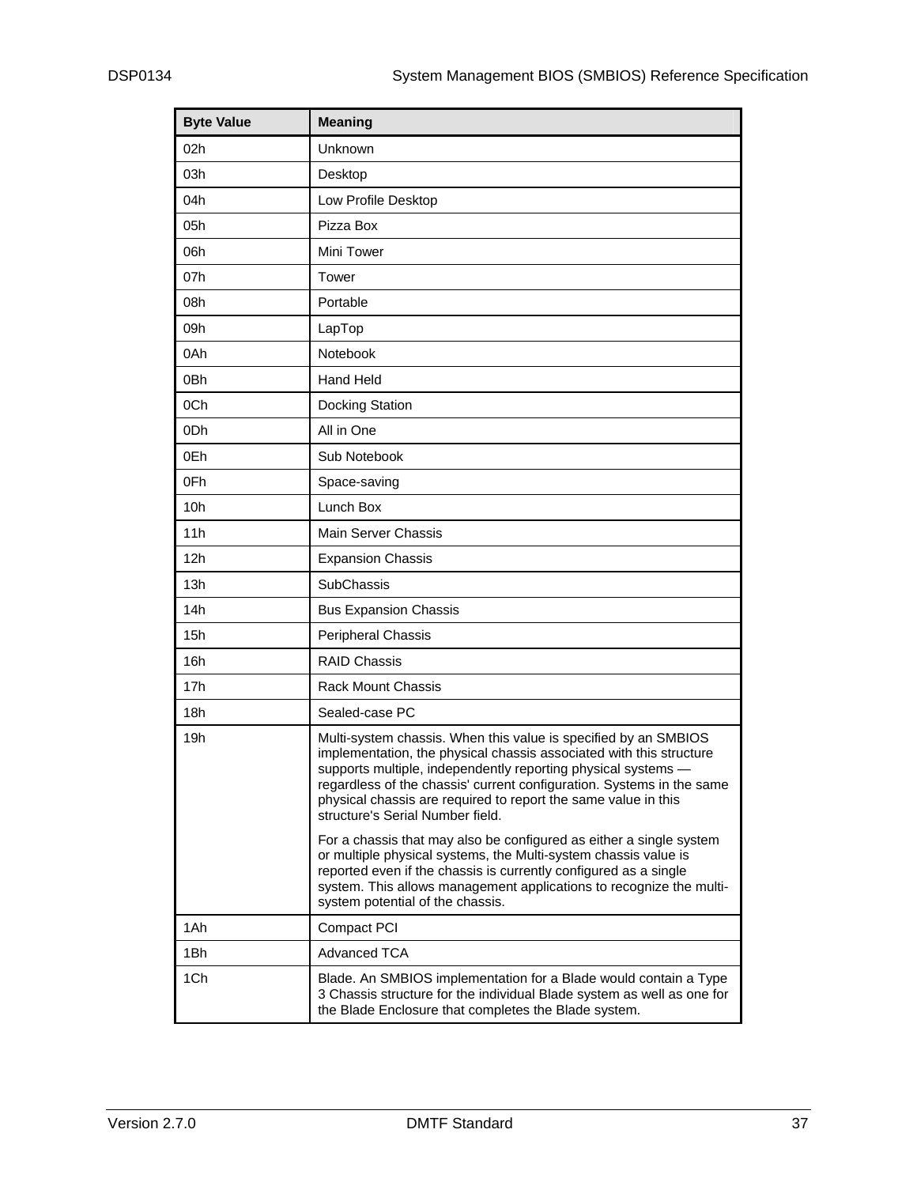| <b>Byte Value</b> | <b>Meaning</b>                                                                                                                                                                                                                                                                                                                                                                         |
|-------------------|----------------------------------------------------------------------------------------------------------------------------------------------------------------------------------------------------------------------------------------------------------------------------------------------------------------------------------------------------------------------------------------|
| 02h               | Unknown                                                                                                                                                                                                                                                                                                                                                                                |
| 03h               | Desktop                                                                                                                                                                                                                                                                                                                                                                                |
| 04h               | Low Profile Desktop                                                                                                                                                                                                                                                                                                                                                                    |
| 05h               | Pizza Box                                                                                                                                                                                                                                                                                                                                                                              |
| 06h               | Mini Tower                                                                                                                                                                                                                                                                                                                                                                             |
| 07h               | Tower                                                                                                                                                                                                                                                                                                                                                                                  |
| 08h               | Portable                                                                                                                                                                                                                                                                                                                                                                               |
| 09h               | LapTop                                                                                                                                                                                                                                                                                                                                                                                 |
| 0Ah               | Notebook                                                                                                                                                                                                                                                                                                                                                                               |
| 0 <sub>Bh</sub>   | <b>Hand Held</b>                                                                                                                                                                                                                                                                                                                                                                       |
| 0Ch               | Docking Station                                                                                                                                                                                                                                                                                                                                                                        |
| 0 <sub>Dh</sub>   | All in One                                                                                                                                                                                                                                                                                                                                                                             |
| 0Eh               | Sub Notebook                                                                                                                                                                                                                                                                                                                                                                           |
| 0Fh               | Space-saving                                                                                                                                                                                                                                                                                                                                                                           |
| 10 <sub>h</sub>   | Lunch Box                                                                                                                                                                                                                                                                                                                                                                              |
| 11h               | Main Server Chassis                                                                                                                                                                                                                                                                                                                                                                    |
| 12h               | <b>Expansion Chassis</b>                                                                                                                                                                                                                                                                                                                                                               |
| 13h               | SubChassis                                                                                                                                                                                                                                                                                                                                                                             |
| 14h               | <b>Bus Expansion Chassis</b>                                                                                                                                                                                                                                                                                                                                                           |
| 15h               | Peripheral Chassis                                                                                                                                                                                                                                                                                                                                                                     |
| 16h               | <b>RAID Chassis</b>                                                                                                                                                                                                                                                                                                                                                                    |
| 17 <sub>h</sub>   | Rack Mount Chassis                                                                                                                                                                                                                                                                                                                                                                     |
| 18h               | Sealed-case PC                                                                                                                                                                                                                                                                                                                                                                         |
| 19h               | Multi-system chassis. When this value is specified by an SMBIOS<br>implementation, the physical chassis associated with this structure<br>supports multiple, independently reporting physical systems -<br>regardless of the chassis' current configuration. Systems in the same<br>physical chassis are required to report the same value in this<br>structure's Serial Number field. |
|                   | For a chassis that may also be configured as either a single system<br>or multiple physical systems, the Multi-system chassis value is<br>reported even if the chassis is currently configured as a single<br>system. This allows management applications to recognize the multi-<br>system potential of the chassis.                                                                  |
| 1Ah               | Compact PCI                                                                                                                                                                                                                                                                                                                                                                            |
| 1Bh               | Advanced TCA                                                                                                                                                                                                                                                                                                                                                                           |
| 1Ch               | Blade. An SMBIOS implementation for a Blade would contain a Type<br>3 Chassis structure for the individual Blade system as well as one for<br>the Blade Enclosure that completes the Blade system.                                                                                                                                                                                     |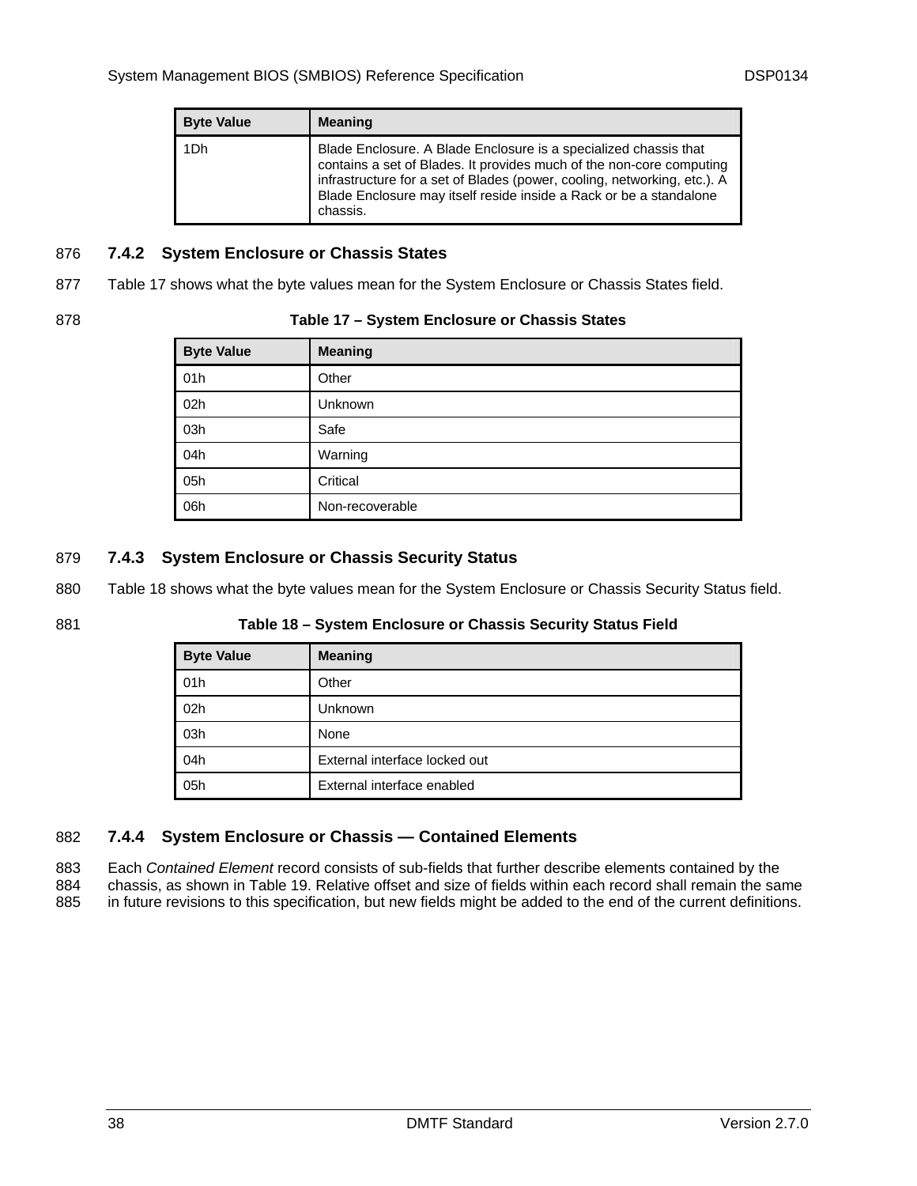| <b>Byte Value</b> | <b>Meaning</b>                                                                                                                                                                                                                                                                                         |
|-------------------|--------------------------------------------------------------------------------------------------------------------------------------------------------------------------------------------------------------------------------------------------------------------------------------------------------|
| 1Dh               | Blade Enclosure. A Blade Enclosure is a specialized chassis that<br>contains a set of Blades. It provides much of the non-core computing<br>infrastructure for a set of Blades (power, cooling, networking, etc.). A<br>Blade Enclosure may itself reside inside a Rack or be a standalone<br>chassis. |

#### 876 **7.4.2 System Enclosure or Chassis States**

877 [Table 17](#page-37-0) shows what the byte values mean for the System Enclosure or Chassis States field.

<span id="page-37-0"></span>

#### 878 **Table 17 – System Enclosure or Chassis States**

| <b>Byte Value</b> | <b>Meaning</b>  |
|-------------------|-----------------|
| 01h               | Other           |
| 02h               | Unknown         |
| 03h               | Safe            |
| 04h               | Warning         |
| 05h               | Critical        |
| 06h               | Non-recoverable |

## 879 **7.4.3 System Enclosure or Chassis Security Status**

880 [Table 18](#page-37-1) shows what the byte values mean for the System Enclosure or Chassis Security Status field.

<span id="page-37-1"></span>

#### 881 **Table 18 – System Enclosure or Chassis Security Status Field**

| <b>Byte Value</b> | <b>Meaning</b>                |
|-------------------|-------------------------------|
| 01 <sub>h</sub>   | Other                         |
| 02h               | <b>Unknown</b>                |
| 03h               | None                          |
| 04h               | External interface locked out |
| 05h               | External interface enabled    |

## 882 **7.4.4 System Enclosure or Chassis — Contained Elements**

883 Each *Contained Element* record consists of sub-fields that further describe elements contained by the

884 chassis, as shown in [Table 19](#page-38-0). Relative offset and size of fields within each record shall remain the same

885 in future revisions to this specification, but new fields might be added to the end of the current definitions.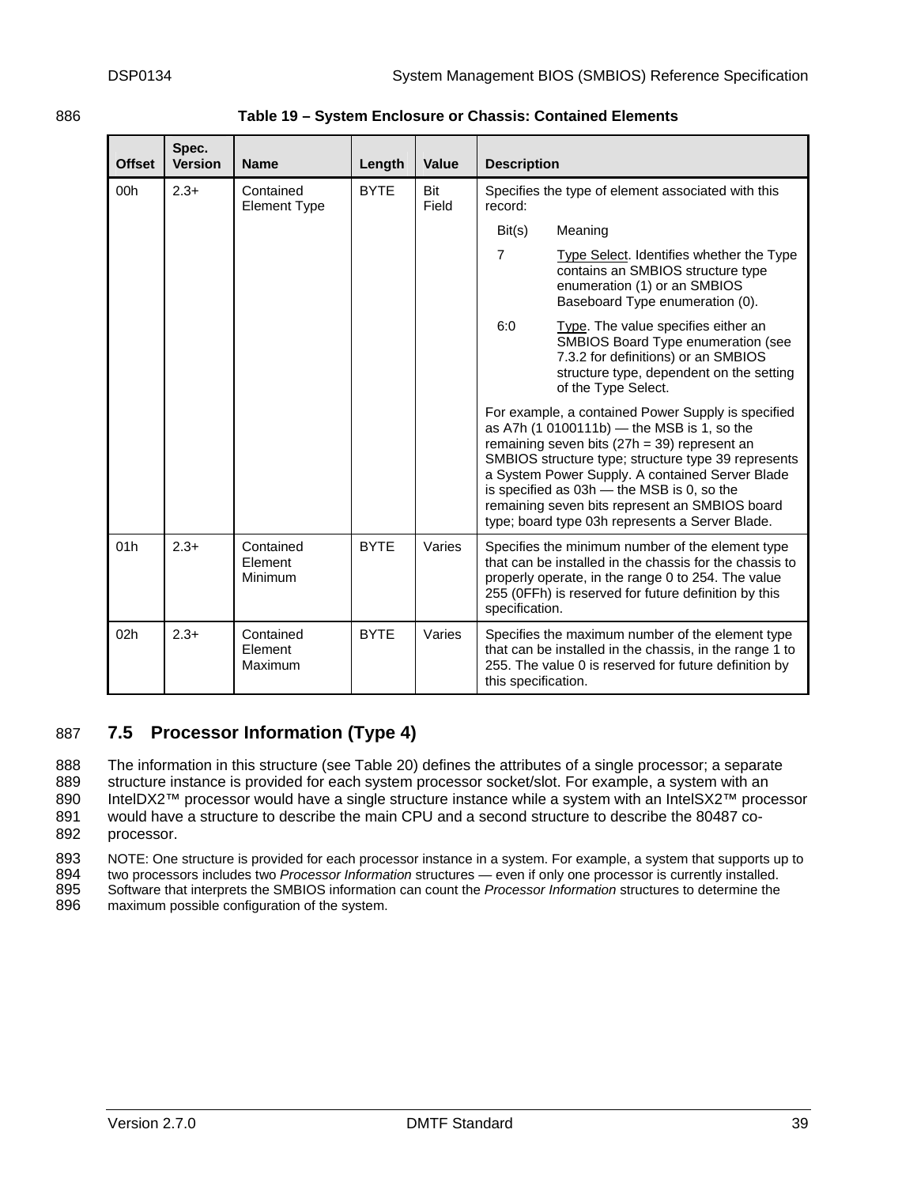<span id="page-38-0"></span>

| 886 | Table 19 – System Enclosure or Chassis: Contained Elements |  |  |
|-----|------------------------------------------------------------|--|--|
|     |                                                            |  |  |

| <b>Offset</b> | Spec.<br><b>Version</b> | <b>Name</b>                      | Length      | <b>Value</b> | <b>Description</b>  |                                                                                                                                                                                                                                                                                                                                                                                                                   |
|---------------|-------------------------|----------------------------------|-------------|--------------|---------------------|-------------------------------------------------------------------------------------------------------------------------------------------------------------------------------------------------------------------------------------------------------------------------------------------------------------------------------------------------------------------------------------------------------------------|
| 00h           | $2.3+$                  | Contained<br><b>Element Type</b> | <b>BYTE</b> | Bit<br>Field | record:             | Specifies the type of element associated with this                                                                                                                                                                                                                                                                                                                                                                |
|               |                         |                                  |             |              | Bit(s)              | Meaning                                                                                                                                                                                                                                                                                                                                                                                                           |
|               |                         |                                  |             |              | $\overline{7}$      | <b>Type Select.</b> Identifies whether the Type<br>contains an SMBIOS structure type<br>enumeration (1) or an SMBIOS<br>Baseboard Type enumeration (0).                                                                                                                                                                                                                                                           |
|               |                         |                                  |             |              | 6:0                 | Type. The value specifies either an<br><b>SMBIOS Board Type enumeration (see</b><br>7.3.2 for definitions) or an SMBIOS<br>structure type, dependent on the setting<br>of the Type Select.                                                                                                                                                                                                                        |
|               |                         |                                  |             |              |                     | For example, a contained Power Supply is specified<br>as A7h (1 0100111b) - the MSB is 1, so the<br>remaining seven bits $(27h = 39)$ represent an<br>SMBIOS structure type; structure type 39 represents<br>a System Power Supply. A contained Server Blade<br>is specified as $03h$ - the MSB is 0, so the<br>remaining seven bits represent an SMBIOS board<br>type; board type 03h represents a Server Blade. |
| 01h           | $2.3+$                  | Contained<br>Element<br>Minimum  | <b>BYTE</b> | Varies       | specification.      | Specifies the minimum number of the element type<br>that can be installed in the chassis for the chassis to<br>properly operate, in the range 0 to 254. The value<br>255 (OFFh) is reserved for future definition by this                                                                                                                                                                                         |
| 02h           | $2.3+$                  | Contained<br>Element<br>Maximum  | <b>BYTE</b> | Varies       | this specification. | Specifies the maximum number of the element type<br>that can be installed in the chassis, in the range 1 to<br>255. The value 0 is reserved for future definition by                                                                                                                                                                                                                                              |

# <span id="page-38-1"></span>887 **7.5 Processor Information (Type 4)**

888 The information in this structure (see [Table 20](#page-39-0)) defines the attributes of a single processor; a separate<br>889 structure instance is provided for each system processor socket/slot. For example, a system with an structure instance is provided for each system processor socket/slot. For example, a system with an 890 IntelDX2™ processor would have a single structure instance while a system with an IntelSX2™ processor<br>891 would have a structure to describe the main CPU and a second structure to describe the 80487 cowould have a structure to describe the main CPU and a second structure to describe the 80487 co-892 processor.

893 NOTE: One structure is provided for each processor instance in a system. For example, a system that supports up to 894 two processors includes two *Processor Information* structures — even if only one processor is curr 894 two processors includes two *Processor Information* structures — even if only one processor is currently installed. 895 Software that interprets the SMBIOS information can count the *Processor Information* structures to determine the maximum possible configuration of the system.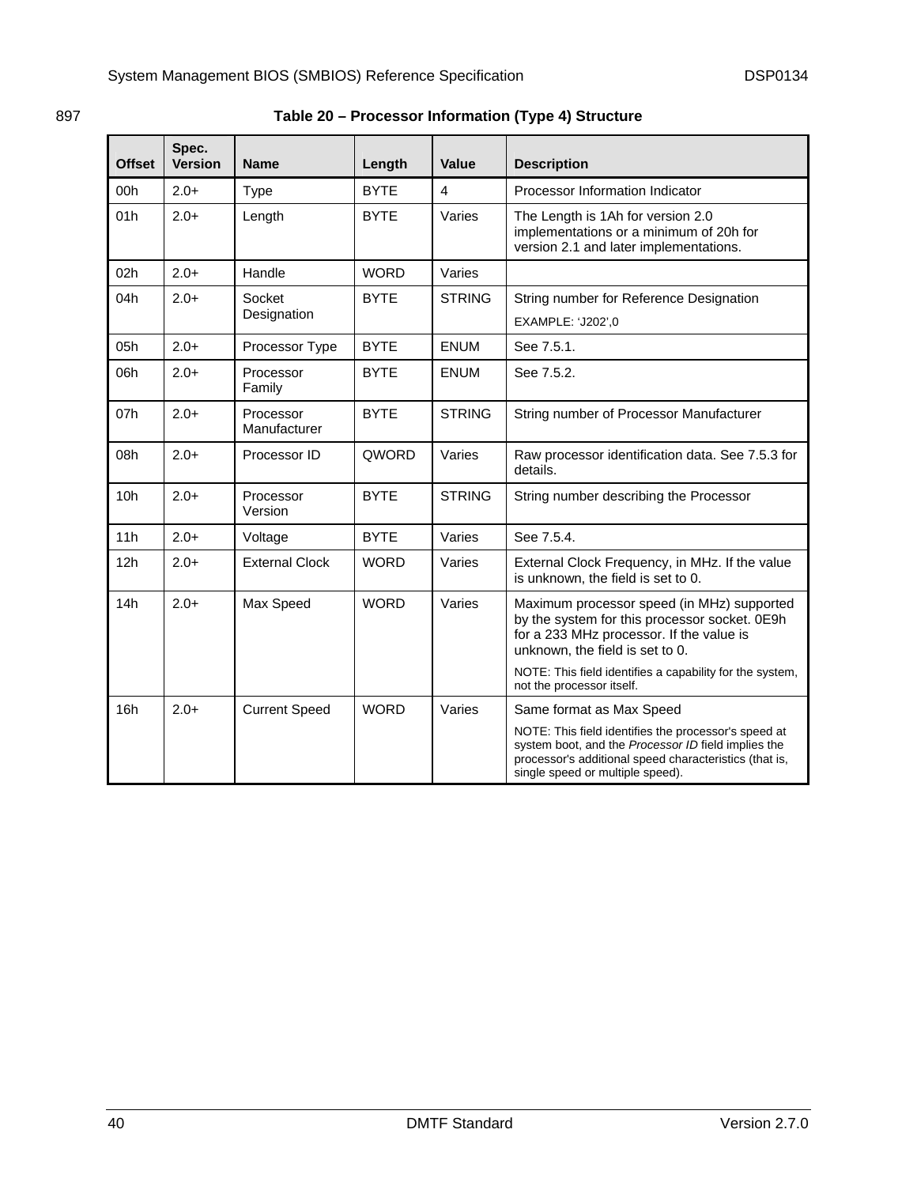<span id="page-39-0"></span>

# 897 **Table 20 – Processor Information (Type 4) Structure**

| <b>Offset</b>   | Spec.<br><b>Version</b> | <b>Name</b>               | Length      | <b>Value</b>   | <b>Description</b>                                                                                                                                                                                        |
|-----------------|-------------------------|---------------------------|-------------|----------------|-----------------------------------------------------------------------------------------------------------------------------------------------------------------------------------------------------------|
| 00h             | $2.0+$                  | <b>Type</b>               | <b>BYTE</b> | $\overline{4}$ | Processor Information Indicator                                                                                                                                                                           |
| 01h             | $2.0+$                  | Length                    | <b>BYTE</b> | Varies         | The Length is 1Ah for version 2.0<br>implementations or a minimum of 20h for<br>version 2.1 and later implementations.                                                                                    |
| 02h             | $2.0+$                  | Handle                    | <b>WORD</b> | Varies         |                                                                                                                                                                                                           |
| 04h             | $2.0+$                  | Socket<br>Designation     | <b>BYTE</b> | <b>STRING</b>  | String number for Reference Designation<br>EXAMPLE: 'J202',0                                                                                                                                              |
| 05h             | $2.0+$                  | Processor Type            | <b>BYTE</b> | <b>ENUM</b>    | See 7.5.1.                                                                                                                                                                                                |
| 06h             | $2.0+$                  | Processor<br>Family       | <b>BYTE</b> | <b>ENUM</b>    | See 7.5.2.                                                                                                                                                                                                |
| 07h             | $2.0+$                  | Processor<br>Manufacturer | <b>BYTE</b> | <b>STRING</b>  | String number of Processor Manufacturer                                                                                                                                                                   |
| 08h             | $2.0+$                  | Processor ID              | QWORD       | Varies         | Raw processor identification data. See 7.5.3 for<br>details.                                                                                                                                              |
| 10 <sub>h</sub> | $2.0+$                  | Processor<br>Version      | <b>BYTE</b> | <b>STRING</b>  | String number describing the Processor                                                                                                                                                                    |
| 11h             | $2.0+$                  | Voltage                   | <b>BYTE</b> | Varies         | See 7.5.4.                                                                                                                                                                                                |
| 12h             | $2.0+$                  | <b>External Clock</b>     | <b>WORD</b> | Varies         | External Clock Frequency, in MHz. If the value<br>is unknown, the field is set to 0.                                                                                                                      |
| 14h             | $2.0+$                  | Max Speed                 | <b>WORD</b> | Varies         | Maximum processor speed (in MHz) supported<br>by the system for this processor socket. 0E9h<br>for a 233 MHz processor. If the value is<br>unknown, the field is set to 0.                                |
|                 |                         |                           |             |                | NOTE: This field identifies a capability for the system,<br>not the processor itself.                                                                                                                     |
| 16h             | $2.0+$                  | <b>Current Speed</b>      | <b>WORD</b> | Varies         | Same format as Max Speed                                                                                                                                                                                  |
|                 |                         |                           |             |                | NOTE: This field identifies the processor's speed at<br>system boot, and the Processor ID field implies the<br>processor's additional speed characteristics (that is,<br>single speed or multiple speed). |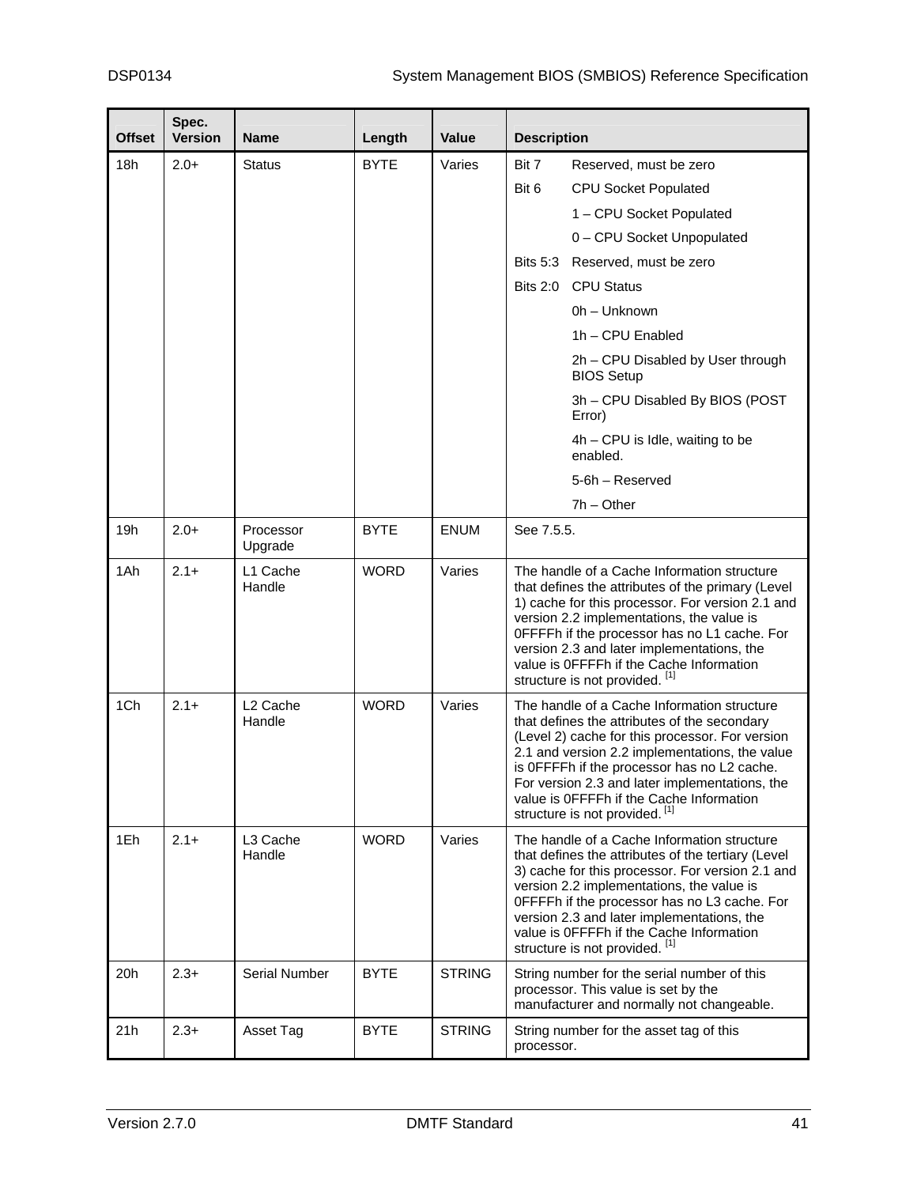| <b>Offset</b> | Spec.<br><b>Version</b> | <b>Name</b>                    | Length      | <b>Value</b>  | <b>Description</b>                                                                                                                                                                                                                                                                                                                                                              |
|---------------|-------------------------|--------------------------------|-------------|---------------|---------------------------------------------------------------------------------------------------------------------------------------------------------------------------------------------------------------------------------------------------------------------------------------------------------------------------------------------------------------------------------|
| 18h           | $2.0+$                  | <b>Status</b>                  | <b>BYTE</b> | Varies        | Bit 7<br>Reserved, must be zero                                                                                                                                                                                                                                                                                                                                                 |
|               |                         |                                |             |               | Bit 6<br><b>CPU Socket Populated</b>                                                                                                                                                                                                                                                                                                                                            |
|               |                         |                                |             |               | 1 - CPU Socket Populated                                                                                                                                                                                                                                                                                                                                                        |
|               |                         |                                |             |               | 0 - CPU Socket Unpopulated                                                                                                                                                                                                                                                                                                                                                      |
|               |                         |                                |             |               | <b>Bits 5:3</b><br>Reserved, must be zero                                                                                                                                                                                                                                                                                                                                       |
|               |                         |                                |             |               | <b>CPU Status</b><br>Bits $2:0$                                                                                                                                                                                                                                                                                                                                                 |
|               |                         |                                |             |               | 0h - Unknown                                                                                                                                                                                                                                                                                                                                                                    |
|               |                         |                                |             |               | 1h - CPU Enabled                                                                                                                                                                                                                                                                                                                                                                |
|               |                         |                                |             |               | 2h - CPU Disabled by User through<br><b>BIOS Setup</b>                                                                                                                                                                                                                                                                                                                          |
|               |                         |                                |             |               | 3h - CPU Disabled By BIOS (POST<br>Error)                                                                                                                                                                                                                                                                                                                                       |
|               |                         |                                |             |               | 4h - CPU is Idle, waiting to be<br>enabled.                                                                                                                                                                                                                                                                                                                                     |
|               |                         |                                |             |               | 5-6h – Reserved                                                                                                                                                                                                                                                                                                                                                                 |
|               |                         |                                |             |               | $7h - Other$                                                                                                                                                                                                                                                                                                                                                                    |
| 19h           | $2.0+$                  | Processor<br>Upgrade           | <b>BYTE</b> | <b>ENUM</b>   | See 7.5.5.                                                                                                                                                                                                                                                                                                                                                                      |
| 1Ah           | $2.1+$                  | L1 Cache<br>Handle             | <b>WORD</b> | Varies        | The handle of a Cache Information structure<br>that defines the attributes of the primary (Level<br>1) cache for this processor. For version 2.1 and<br>version 2.2 implementations, the value is<br>OFFFFh if the processor has no L1 cache. For<br>version 2.3 and later implementations, the<br>value is OFFFFh if the Cache Information<br>structure is not provided. [1]   |
| 1Ch           | $2.1+$                  | L <sub>2</sub> Cache<br>Handle | <b>WORD</b> | Varies        | The handle of a Cache Information structure<br>that defines the attributes of the secondary<br>(Level 2) cache for this processor. For version<br>2.1 and version 2.2 implementations, the value<br>is OFFFFh if the processor has no L2 cache.<br>For version 2.3 and later implementations, the<br>value is OFFFFh if the Cache Information<br>structure is not provided. [1] |
| 1Eh           | $2.1+$                  | L <sub>3</sub> Cache<br>Handle | <b>WORD</b> | Varies        | The handle of a Cache Information structure<br>that defines the attributes of the tertiary (Level<br>3) cache for this processor. For version 2.1 and<br>version 2.2 implementations, the value is<br>OFFFFh if the processor has no L3 cache. For<br>version 2.3 and later implementations, the<br>value is OFFFFh if the Cache Information<br>structure is not provided. [1]  |
| 20h           | $2.3+$                  | Serial Number                  | <b>BYTE</b> | <b>STRING</b> | String number for the serial number of this<br>processor. This value is set by the<br>manufacturer and normally not changeable.                                                                                                                                                                                                                                                 |
| 21h           | $2.3+$                  | Asset Tag                      | <b>BYTE</b> | <b>STRING</b> | String number for the asset tag of this<br>processor.                                                                                                                                                                                                                                                                                                                           |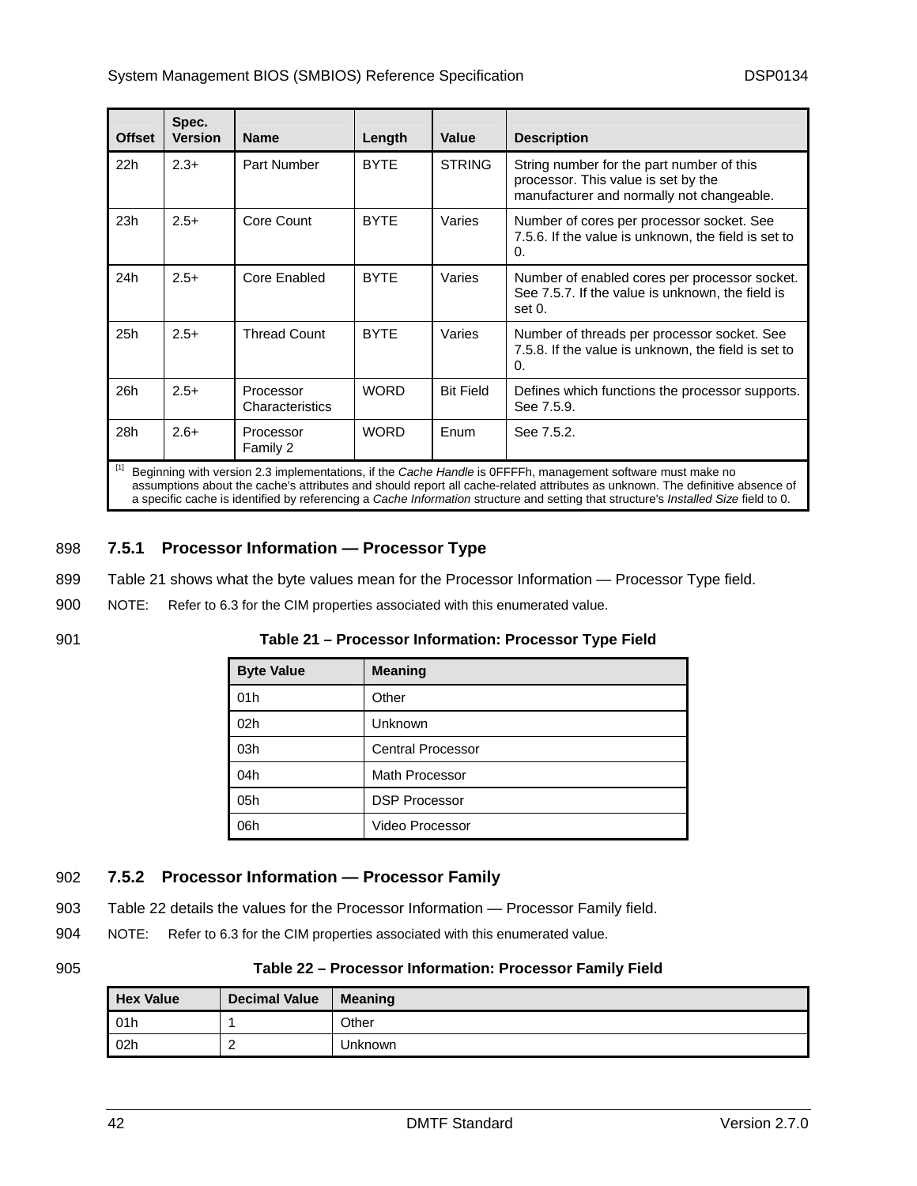| <b>Offset</b> | Spec.<br><b>Version</b>                                                                                     | <b>Name</b>                  | Length      | Value            | <b>Description</b>                                                                                                            |  |
|---------------|-------------------------------------------------------------------------------------------------------------|------------------------------|-------------|------------------|-------------------------------------------------------------------------------------------------------------------------------|--|
| 22h           | $2.3+$                                                                                                      | Part Number                  | <b>BYTE</b> | <b>STRING</b>    | String number for the part number of this<br>processor. This value is set by the<br>manufacturer and normally not changeable. |  |
| 23h           | $2.5+$                                                                                                      | Core Count                   | <b>BYTE</b> | Varies           | Number of cores per processor socket. See<br>7.5.6. If the value is unknown, the field is set to<br>$\Omega$ .                |  |
| 24h           | $2.5+$                                                                                                      | Core Enabled                 | <b>BYTE</b> | Varies           | Number of enabled cores per processor socket.<br>See 7.5.7. If the value is unknown, the field is<br>set 0.                   |  |
| 25h           | $2.5+$                                                                                                      | <b>Thread Count</b>          | <b>BYTE</b> | Varies           | Number of threads per processor socket. See<br>7.5.8. If the value is unknown, the field is set to<br>0.                      |  |
| 26h           | $2.5+$                                                                                                      | Processor<br>Characteristics | <b>WORD</b> | <b>Bit Field</b> | Defines which functions the processor supports.<br>See 7.5.9.                                                                 |  |
| 28h           | $2.6+$                                                                                                      | Processor<br>Family 2        | <b>WORD</b> | Enum             | See 7.5.2.                                                                                                                    |  |
|               | Beginning with version 2.3 implementations, if the Cache Handle is OFFFFh, management software must make no |                              |             |                  |                                                                                                                               |  |

assumptions about the cache's attributes and should report all cache-related attributes as unknown. The definitive absence of a specific cache is identified by referencing a *Cache Information* structure and setting that structure's *Installed Size* field to 0.

# <span id="page-41-0"></span>898 **7.5.1 Processor Information — Processor Type**

- 899 [Table 21](#page-41-2) shows what the byte values mean for the Processor Information Processor Type field.
- 900 NOTE: Refer to [6.3](#page-25-0) for the CIM properties associated with this enumerated value.
- <span id="page-41-2"></span>

## 901 **Table 21 – Processor Information: Processor Type Field**

| <b>Byte Value</b> | <b>Meaning</b>           |
|-------------------|--------------------------|
| 01h               | Other                    |
| 02 <sub>h</sub>   | Unknown                  |
| 03h               | <b>Central Processor</b> |
| 04h               | Math Processor           |
| 05h               | <b>DSP Processor</b>     |
| 06h               | <b>Video Processor</b>   |

## <span id="page-41-1"></span>902 **7.5.2 Processor Information — Processor Family**

- 903 [Table 22](#page-41-3) details the values for the Processor Information Processor Family field.
- 904 NOTE: Refer to [6.3](#page-25-0) for the CIM properties associated with this enumerated value.
- 

#### <span id="page-41-3"></span>905 **Table 22 – Processor Information: Processor Family Field**

| <b>Hex Value</b> | <b>Decimal Value</b> | Meaning |
|------------------|----------------------|---------|
| 01h              |                      | Other   |
| 02h              | -                    | Unknown |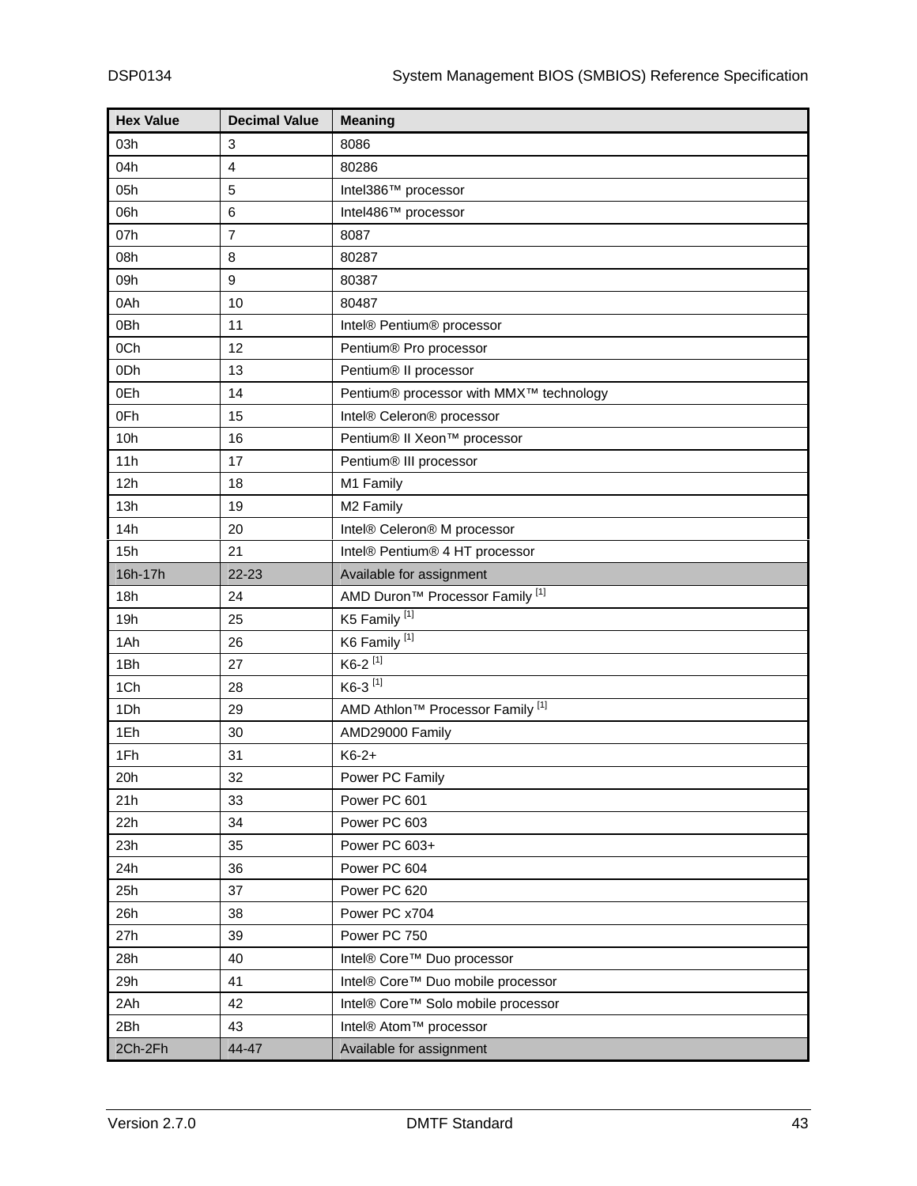| <b>Hex Value</b> | <b>Decimal Value</b> | <b>Meaning</b>                                         |  |  |  |
|------------------|----------------------|--------------------------------------------------------|--|--|--|
| 03h              | $\sqrt{3}$           | 8086                                                   |  |  |  |
| 04h              | $\overline{4}$       | 80286                                                  |  |  |  |
| 05h              | 5                    | Intel386™ processor                                    |  |  |  |
| 06h              | 6                    | Intel486™ processor                                    |  |  |  |
| 07h              | $\overline{7}$       | 8087                                                   |  |  |  |
| 08h              | 8                    | 80287                                                  |  |  |  |
| 09h              | $\boldsymbol{9}$     | 80387                                                  |  |  |  |
| 0Ah              | 10                   | 80487                                                  |  |  |  |
| 0Bh              | 11                   | Intel® Pentium® processor                              |  |  |  |
| 0Ch              | 12                   | Pentium® Pro processor                                 |  |  |  |
| 0Dh              | 13                   | Pentium <sup>®</sup> II processor                      |  |  |  |
| 0Eh              | 14                   | Pentium® processor with MMX™ technology                |  |  |  |
| 0Fh              | 15                   | Intel® Celeron® processor                              |  |  |  |
| 10h              | 16                   | Pentium® II Xeon™ processor                            |  |  |  |
| 11h              | 17                   | Pentium® III processor                                 |  |  |  |
| 12h              | 18                   | M1 Family                                              |  |  |  |
| 13h              | 19                   | M2 Family                                              |  |  |  |
| 14h              | 20                   | Intel® Celeron® M processor                            |  |  |  |
| 15h              | 21                   | Intel® Pentium® 4 HT processor                         |  |  |  |
| 16h-17h          | 22-23                | Available for assignment                               |  |  |  |
| 18h              | 24                   | AMD Duron <sup>™</sup> Processor Family <sup>[1]</sup> |  |  |  |
| 19h              | 25                   | K5 Family <sup>[1]</sup>                               |  |  |  |
| 1Ah              | 26                   | K6 Family <sup>[1]</sup>                               |  |  |  |
| 1Bh              | 27                   | $K6-2^{[1]}$                                           |  |  |  |
| 1Ch              | 28                   | $K6-3$ <sup>[1]</sup>                                  |  |  |  |
| 1Dh              | 29                   | AMD Athlon™ Processor Family <sup>[1]</sup>            |  |  |  |
| 1Eh              | 30                   | AMD29000 Family                                        |  |  |  |
| 1Fh              | 31                   | $K6-2+$                                                |  |  |  |
| 20h              | 32                   | Power PC Family                                        |  |  |  |
| 21h              | 33                   | Power PC 601                                           |  |  |  |
| 22h              | 34                   | Power PC 603                                           |  |  |  |
| 23h              | 35                   | Power PC 603+                                          |  |  |  |
| 24h              | 36                   | Power PC 604                                           |  |  |  |
| 25h              | 37                   | Power PC 620                                           |  |  |  |
| 26h              | 38                   | Power PC x704                                          |  |  |  |
| 27h              | 39                   | Power PC 750                                           |  |  |  |
| 28h              | 40                   | Intel® Core™ Duo processor                             |  |  |  |
| 29h              | 41                   | Intel® Core™ Duo mobile processor                      |  |  |  |
| 2Ah              | 42                   | Intel® Core™ Solo mobile processor                     |  |  |  |
| 2Bh              | 43                   | Intel® Atom™ processor                                 |  |  |  |
| 2Ch-2Fh          | 44-47                | Available for assignment                               |  |  |  |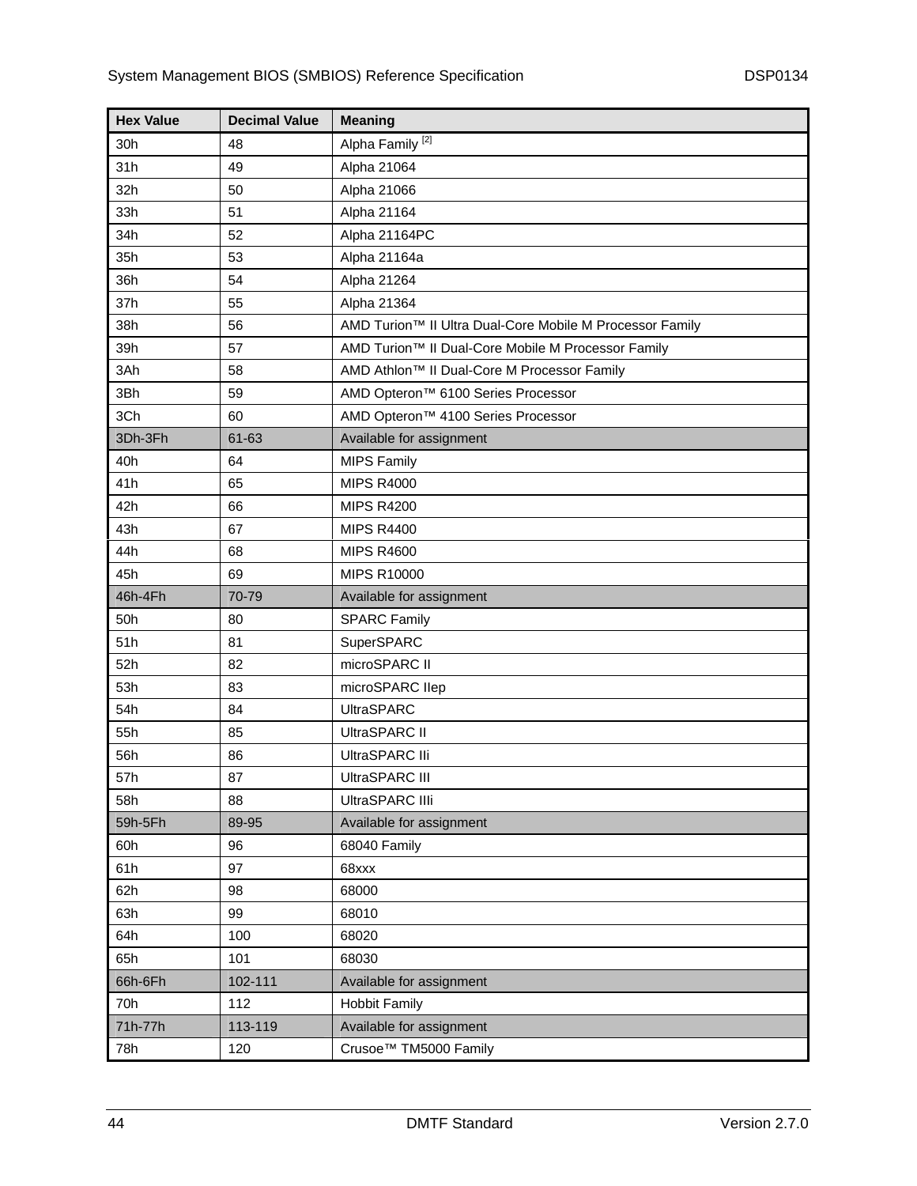| <b>Hex Value</b> | <b>Decimal Value</b> | <b>Meaning</b>                                           |  |  |  |
|------------------|----------------------|----------------------------------------------------------|--|--|--|
| 30h              | 48                   | Alpha Family <sup>[2]</sup>                              |  |  |  |
| 31h              | 49                   | Alpha 21064                                              |  |  |  |
| 32h              | 50                   | Alpha 21066                                              |  |  |  |
| 33h              | 51                   | Alpha 21164                                              |  |  |  |
| 34h              | 52                   | Alpha 21164PC                                            |  |  |  |
| 35h              | 53                   | Alpha 21164a                                             |  |  |  |
| 36h              | 54                   | Alpha 21264                                              |  |  |  |
| 37h              | 55                   | Alpha 21364                                              |  |  |  |
| 38h              | 56                   | AMD Turion™ II Ultra Dual-Core Mobile M Processor Family |  |  |  |
| 39h              | 57                   | AMD Turion™ II Dual-Core Mobile M Processor Family       |  |  |  |
| 3Ah              | 58                   | AMD Athlon™ II Dual-Core M Processor Family              |  |  |  |
| 3Bh              | 59                   | AMD Opteron™ 6100 Series Processor                       |  |  |  |
| 3Ch              | 60                   | AMD Opteron <sup>™</sup> 4100 Series Processor           |  |  |  |
| 3Dh-3Fh          | 61-63                | Available for assignment                                 |  |  |  |
| 40h              | 64                   | <b>MIPS Family</b>                                       |  |  |  |
| 41h              | 65                   | <b>MIPS R4000</b>                                        |  |  |  |
| 42h              | 66                   | <b>MIPS R4200</b>                                        |  |  |  |
| 43h              | 67                   | <b>MIPS R4400</b>                                        |  |  |  |
| 44h              | 68                   | <b>MIPS R4600</b>                                        |  |  |  |
| 45h              | 69                   | <b>MIPS R10000</b>                                       |  |  |  |
| 46h-4Fh          | 70-79                | Available for assignment                                 |  |  |  |
| 50h              | 80                   | <b>SPARC Family</b>                                      |  |  |  |
| 51h              | 81                   | SuperSPARC                                               |  |  |  |
| 52h              | 82                   | microSPARC II                                            |  |  |  |
| 53h              | 83                   | microSPARC Ilep                                          |  |  |  |
| 54h              | 84                   | <b>UltraSPARC</b>                                        |  |  |  |
| 55h              | 85                   | UltraSPARC II                                            |  |  |  |
| 56h              | 86                   | UltraSPARC IIi                                           |  |  |  |
| 57h              | 87                   | UltraSPARC III                                           |  |  |  |
| 58h              | 88                   | UltraSPARC IIIi                                          |  |  |  |
| 59h-5Fh          | 89-95                | Available for assignment                                 |  |  |  |
| 60h              | 96                   | 68040 Family                                             |  |  |  |
| 61h              | 97                   | 68xxx                                                    |  |  |  |
| 62h              | 98                   | 68000                                                    |  |  |  |
| 63h              | 99                   | 68010                                                    |  |  |  |
| 64h              | 100                  | 68020                                                    |  |  |  |
| 65h              | 101                  | 68030                                                    |  |  |  |
| 66h-6Fh          | 102-111              | Available for assignment                                 |  |  |  |
| 70h              | 112                  | <b>Hobbit Family</b>                                     |  |  |  |
| 71h-77h          | 113-119              | Available for assignment                                 |  |  |  |
| 78h              | 120                  | Crusoe™ TM5000 Family                                    |  |  |  |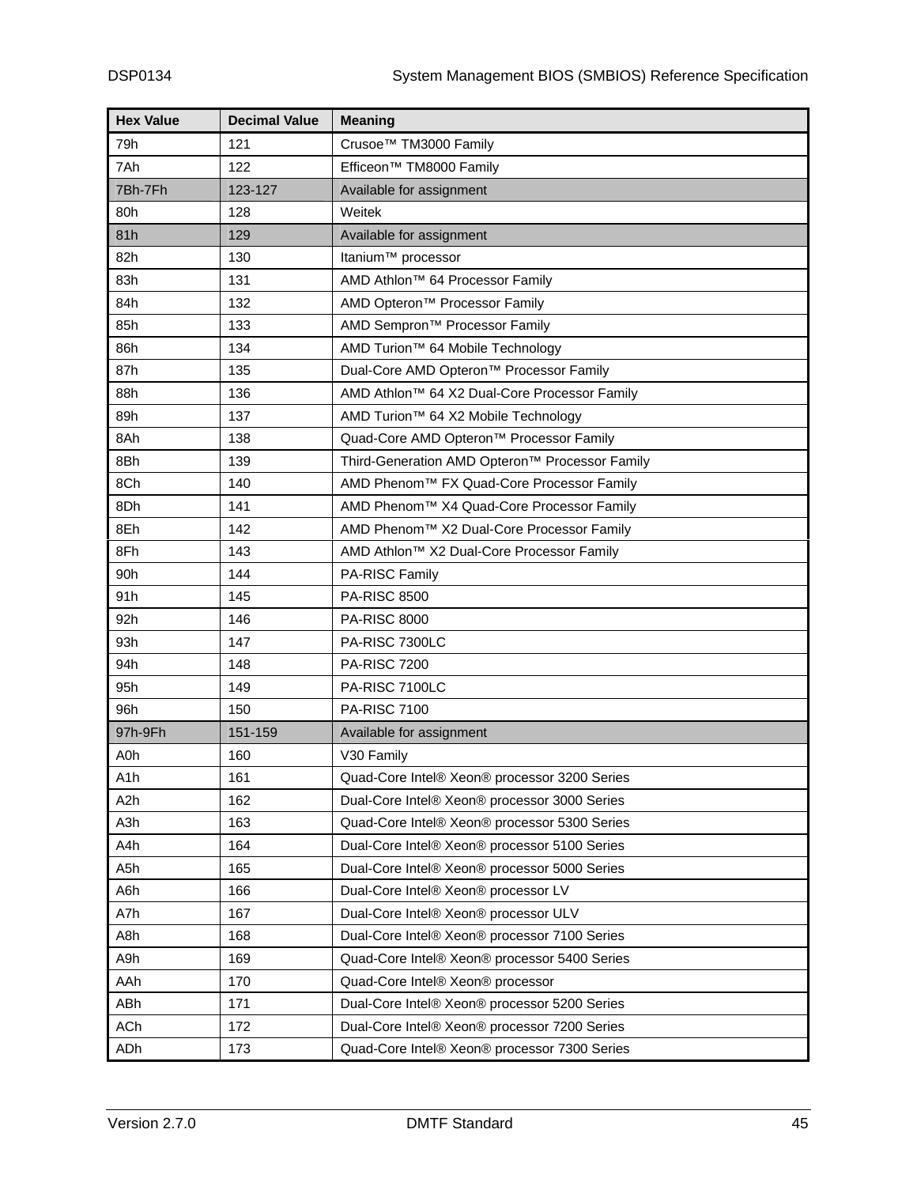| <b>Hex Value</b> | <b>Decimal Value</b> | <b>Meaning</b>                                        |  |  |  |
|------------------|----------------------|-------------------------------------------------------|--|--|--|
| 79h              | 121                  | Crusoe™ TM3000 Family                                 |  |  |  |
| 7Ah              | 122                  | Efficeon™ TM8000 Family                               |  |  |  |
| 7Bh-7Fh          | 123-127              | Available for assignment                              |  |  |  |
| 80h              | 128                  | Weitek                                                |  |  |  |
| 81h              | 129                  | Available for assignment                              |  |  |  |
| 82h              | 130                  | Itanium <sup>™</sup> processor                        |  |  |  |
| 83h              | 131                  | AMD Athlon™ 64 Processor Family                       |  |  |  |
| 84h              | 132                  | AMD Opteron <sup>™</sup> Processor Family             |  |  |  |
| 85h              | 133                  | AMD Sempron™ Processor Family                         |  |  |  |
| 86h              | 134                  | AMD Turion <sup>™</sup> 64 Mobile Technology          |  |  |  |
| 87h              | 135                  | Dual-Core AMD Opteron™ Processor Family               |  |  |  |
| 88h              | 136                  | AMD Athlon™ 64 X2 Dual-Core Processor Family          |  |  |  |
| 89h              | 137                  | AMD Turion™ 64 X2 Mobile Technology                   |  |  |  |
| 8Ah              | 138                  | Quad-Core AMD Opteron™ Processor Family               |  |  |  |
| 8Bh              | 139                  | Third-Generation AMD Opteron™ Processor Family        |  |  |  |
| 8Ch              | 140                  | AMD Phenom™ FX Quad-Core Processor Family             |  |  |  |
| 8Dh              | 141                  | AMD Phenom™ X4 Quad-Core Processor Family             |  |  |  |
| 8Eh              | 142                  | AMD Phenom <sup>™</sup> X2 Dual-Core Processor Family |  |  |  |
| 8Fh              | 143                  | AMD Athlon™ X2 Dual-Core Processor Family             |  |  |  |
| 90h              | 144                  | PA-RISC Family                                        |  |  |  |
| 91h              | 145                  | <b>PA-RISC 8500</b>                                   |  |  |  |
| 92h              | 146                  | <b>PA-RISC 8000</b>                                   |  |  |  |
| 93h              | 147                  | PA-RISC 7300LC                                        |  |  |  |
| 94h              | 148                  | <b>PA-RISC 7200</b>                                   |  |  |  |
| 95h              | 149                  | PA-RISC 7100LC                                        |  |  |  |
| 96h              | 150                  | <b>PA-RISC 7100</b>                                   |  |  |  |
| 97h-9Fh          | 151-159              | Available for assignment                              |  |  |  |
| A0h              | 160                  | V30 Family                                            |  |  |  |
| A1h              | 161                  | Quad-Core Intel® Xeon® processor 3200 Series          |  |  |  |
| A2h              | 162                  | Dual-Core Intel® Xeon® processor 3000 Series          |  |  |  |
| A3h              | 163                  | Quad-Core Intel® Xeon® processor 5300 Series          |  |  |  |
| A4h              | 164                  | Dual-Core Intel® Xeon® processor 5100 Series          |  |  |  |
| A5h              | 165                  | Dual-Core Intel® Xeon® processor 5000 Series          |  |  |  |
| A6h              | 166                  | Dual-Core Intel® Xeon® processor LV                   |  |  |  |
| A7h              | 167                  | Dual-Core Intel® Xeon® processor ULV                  |  |  |  |
| A8h              | 168                  | Dual-Core Intel® Xeon® processor 7100 Series          |  |  |  |
| A9h              | 169                  | Quad-Core Intel® Xeon® processor 5400 Series          |  |  |  |
| AAh              | 170                  | Quad-Core Intel® Xeon® processor                      |  |  |  |
| ABh              | 171                  | Dual-Core Intel® Xeon® processor 5200 Series          |  |  |  |
| ACh              | 172                  | Dual-Core Intel® Xeon® processor 7200 Series          |  |  |  |
| ADh              | 173                  | Quad-Core Intel® Xeon® processor 7300 Series          |  |  |  |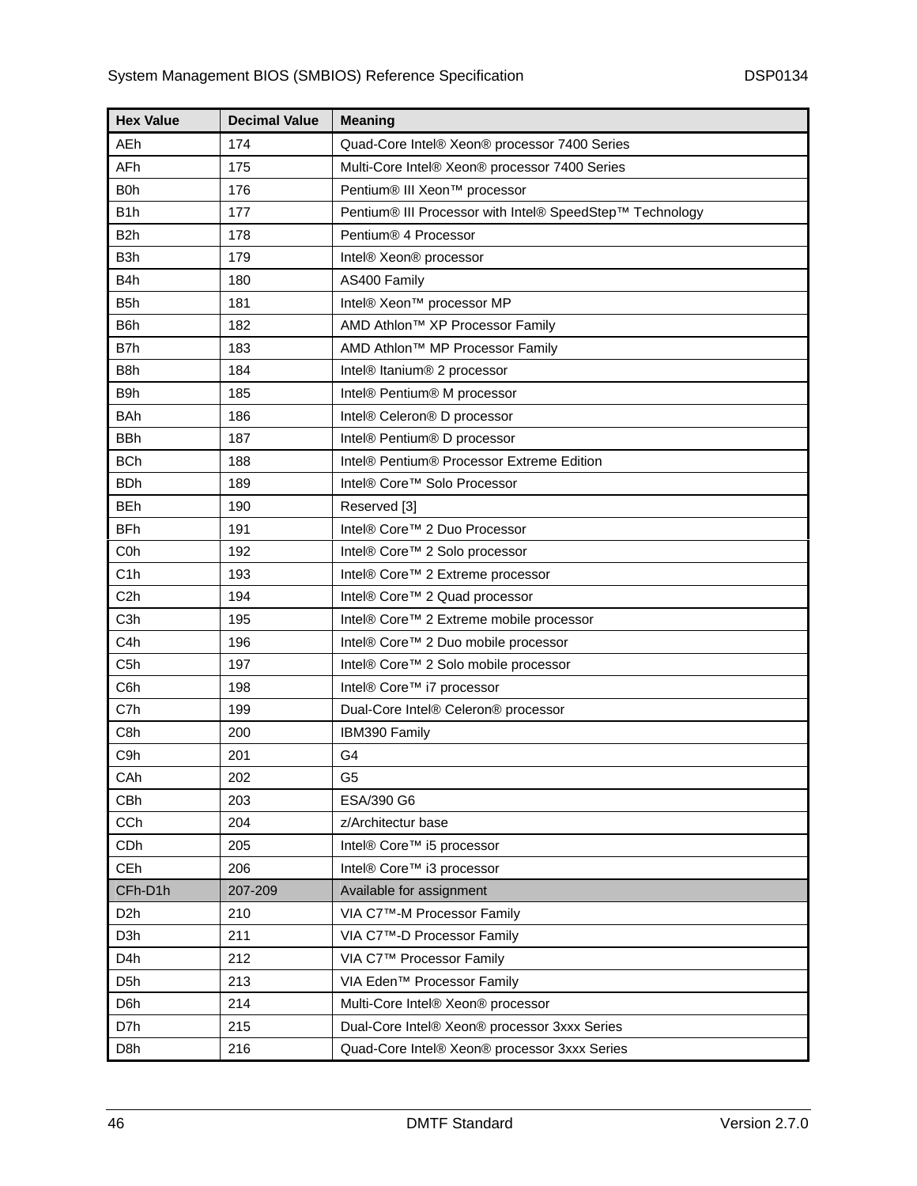| <b>Hex Value</b> | <b>Decimal Value</b> | <b>Meaning</b>                                           |  |  |  |
|------------------|----------------------|----------------------------------------------------------|--|--|--|
| AEh              | 174                  | Quad-Core Intel® Xeon® processor 7400 Series             |  |  |  |
| AFh              | 175                  | Multi-Core Intel® Xeon® processor 7400 Series            |  |  |  |
| B <sub>0</sub> h | 176                  | Pentium® III Xeon™ processor                             |  |  |  |
| B <sub>1</sub> h | 177                  | Pentium® III Processor with Intel® SpeedStep™ Technology |  |  |  |
| B <sub>2</sub> h | 178                  | Pentium® 4 Processor                                     |  |  |  |
| B <sub>3</sub> h | 179                  | Intel® Xeon® processor                                   |  |  |  |
| B <sub>4</sub> h | 180                  | AS400 Family                                             |  |  |  |
| B <sub>5</sub> h | 181                  | Intel® Xeon™ processor MP                                |  |  |  |
| B6h              | 182                  | AMD Athlon™ XP Processor Family                          |  |  |  |
| B7h              | 183                  | AMD Athlon™ MP Processor Family                          |  |  |  |
| B8h              | 184                  | Intel® Itanium® 2 processor                              |  |  |  |
| B9h              | 185                  | Intel® Pentium® M processor                              |  |  |  |
| <b>BAh</b>       | 186                  | Intel® Celeron® D processor                              |  |  |  |
| <b>BBh</b>       | 187                  | Intel® Pentium® D processor                              |  |  |  |
| <b>BCh</b>       | 188                  | Intel® Pentium® Processor Extreme Edition                |  |  |  |
| <b>BDh</b>       | 189                  | Intel® Core™ Solo Processor                              |  |  |  |
| <b>BEh</b>       | 190                  | Reserved [3]                                             |  |  |  |
| <b>BFh</b>       | 191                  | Intel® Core™ 2 Duo Processor                             |  |  |  |
| C <sub>0</sub> h | 192                  | Intel® Core™ 2 Solo processor                            |  |  |  |
| C1h              | 193                  | Intel® Core™ 2 Extreme processor                         |  |  |  |
| C2h              | 194                  | Intel® Core™ 2 Quad processor                            |  |  |  |
| C <sub>3</sub> h | 195                  | Intel® Core™ 2 Extreme mobile processor                  |  |  |  |
| C4h              | 196                  | Intel® Core™ 2 Duo mobile processor                      |  |  |  |
| C <sub>5</sub> h | 197                  | Intel® Core™ 2 Solo mobile processor                     |  |  |  |
| C6h              | 198                  | Intel® Core™ i7 processor                                |  |  |  |
| C7h              | 199                  | Dual-Core Intel® Celeron® processor                      |  |  |  |
| C8h              | 200                  | IBM390 Family                                            |  |  |  |
| C9h              | 201                  | G <sub>4</sub>                                           |  |  |  |
| CAh              | 202                  | G <sub>5</sub>                                           |  |  |  |
| CB <sub>h</sub>  | 203                  | ESA/390 G6                                               |  |  |  |
| CCh              | 204                  | z/Architectur base                                       |  |  |  |
| CDh              | 205                  | Intel® Core™ i5 processor                                |  |  |  |
| <b>CEh</b>       | 206                  | Intel® Core™ i3 processor                                |  |  |  |
| CFh-D1h          | 207-209              | Available for assignment                                 |  |  |  |
| D <sub>2</sub> h | 210                  | VIA C7™-M Processor Family                               |  |  |  |
| D <sub>3</sub> h | 211                  | VIA C7™-D Processor Family                               |  |  |  |
| D4h              | 212                  | VIA C7™ Processor Family                                 |  |  |  |
| D <sub>5</sub> h | 213                  | VIA Eden™ Processor Family                               |  |  |  |
| D6h              | 214                  | Multi-Core Intel® Xeon® processor                        |  |  |  |
| D7h              | 215                  | Dual-Core Intel® Xeon® processor 3xxx Series             |  |  |  |
| D8h              | 216                  | Quad-Core Intel® Xeon® processor 3xxx Series             |  |  |  |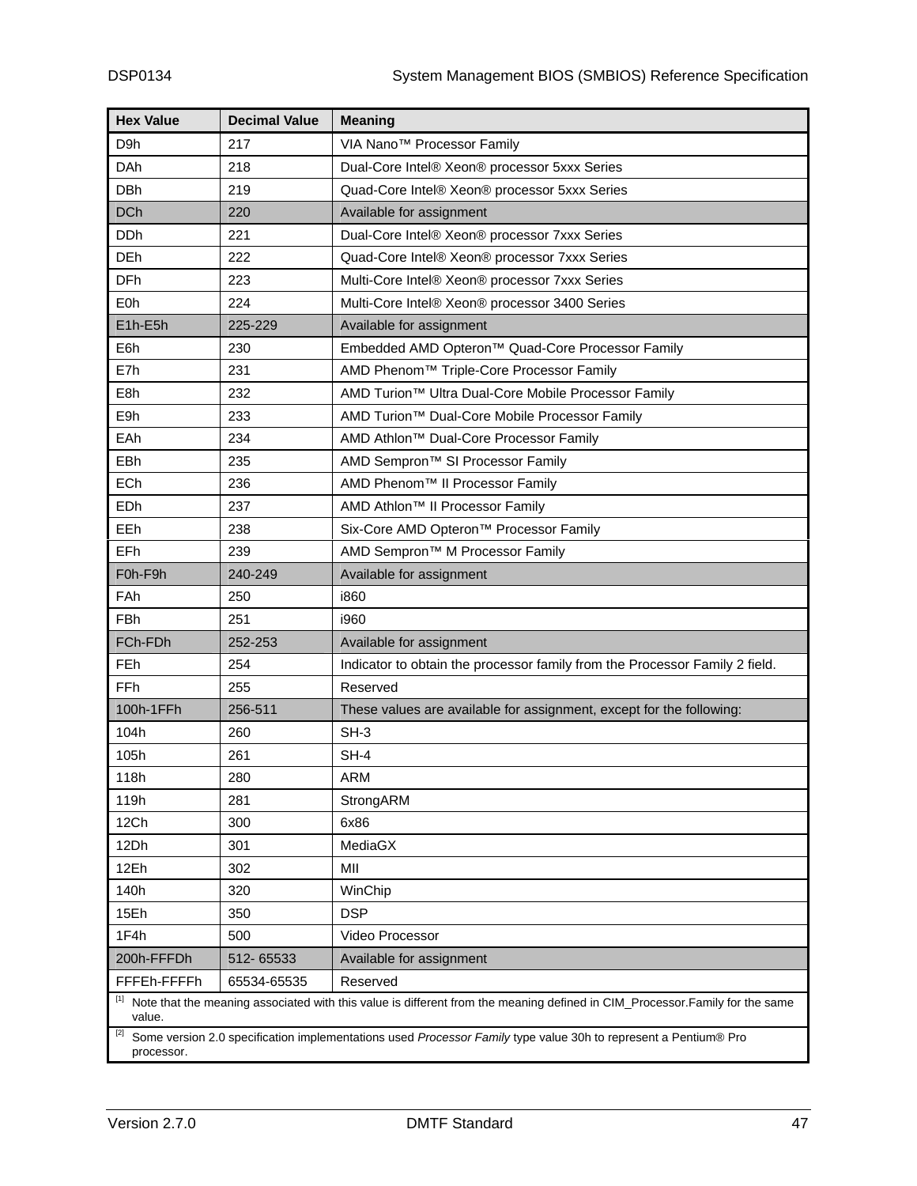| <b>Hex Value</b>    | <b>Decimal Value</b> | <b>Meaning</b>                                                                                                              |  |  |  |
|---------------------|----------------------|-----------------------------------------------------------------------------------------------------------------------------|--|--|--|
| D <sub>9</sub> h    | 217                  | VIA Nano <sup>™</sup> Processor Family                                                                                      |  |  |  |
| <b>DAh</b>          | 218                  | Dual-Core Intel® Xeon® processor 5xxx Series                                                                                |  |  |  |
| <b>DBh</b>          | 219                  | Quad-Core Intel® Xeon® processor 5xxx Series                                                                                |  |  |  |
| <b>DCh</b>          | 220                  | Available for assignment                                                                                                    |  |  |  |
| <b>DDh</b>          | 221                  | Dual-Core Intel® Xeon® processor 7xxx Series                                                                                |  |  |  |
| <b>DEh</b>          | 222                  | Quad-Core Intel® Xeon® processor 7xxx Series                                                                                |  |  |  |
| <b>DFh</b>          | 223                  | Multi-Core Intel® Xeon® processor 7xxx Series                                                                               |  |  |  |
| <b>E0h</b>          | 224                  | Multi-Core Intel® Xeon® processor 3400 Series                                                                               |  |  |  |
| E1h-E5h             | 225-229              | Available for assignment                                                                                                    |  |  |  |
| E6h                 | 230                  | Embedded AMD Opteron™ Quad-Core Processor Family                                                                            |  |  |  |
| E7h                 | 231                  | AMD Phenom™ Triple-Core Processor Family                                                                                    |  |  |  |
| E8h                 | 232                  | AMD Turion™ Ultra Dual-Core Mobile Processor Family                                                                         |  |  |  |
| E9h                 | 233                  | AMD Turion™ Dual-Core Mobile Processor Family                                                                               |  |  |  |
| EAh                 | 234                  | AMD Athlon™ Dual-Core Processor Family                                                                                      |  |  |  |
| EBh                 | 235                  | AMD Sempron <sup>™</sup> SI Processor Family                                                                                |  |  |  |
| ECh                 | 236                  | AMD Phenom™ II Processor Family                                                                                             |  |  |  |
| <b>EDh</b>          | 237                  | AMD Athlon™ II Processor Family                                                                                             |  |  |  |
| EEh                 | 238                  | Six-Core AMD Opteron™ Processor Family                                                                                      |  |  |  |
| EFh                 | 239                  | AMD Sempron <sup>™</sup> M Processor Family                                                                                 |  |  |  |
| F0h-F9h             | 240-249              | Available for assignment                                                                                                    |  |  |  |
| FAh                 | 250                  | i860                                                                                                                        |  |  |  |
| FBh                 | 251                  | i960                                                                                                                        |  |  |  |
| FCh-FDh             | 252-253              | Available for assignment                                                                                                    |  |  |  |
| FEh                 | 254                  | Indicator to obtain the processor family from the Processor Family 2 field.                                                 |  |  |  |
| FFh                 | 255                  | Reserved                                                                                                                    |  |  |  |
| 100h-1FFh           | 256-511              | These values are available for assignment, except for the following:                                                        |  |  |  |
| 104h                | 260                  | $SH-3$                                                                                                                      |  |  |  |
| 105h                | 261                  | SH-4                                                                                                                        |  |  |  |
| 118h                | 280                  | ARM                                                                                                                         |  |  |  |
| 119h                | 281                  | StrongARM                                                                                                                   |  |  |  |
| 12Ch                | 300                  | 6x86                                                                                                                        |  |  |  |
| 12Dh                | 301                  | MediaGX                                                                                                                     |  |  |  |
| 12Eh                | 302                  | MII                                                                                                                         |  |  |  |
| 140h                | 320                  | WinChip                                                                                                                     |  |  |  |
| 15Eh                | 350                  | <b>DSP</b>                                                                                                                  |  |  |  |
| 1F4h                | 500                  | Video Processor                                                                                                             |  |  |  |
| 200h-FFFDh          | 512-65533            | Available for assignment                                                                                                    |  |  |  |
| FFFEh-FFFFh         | 65534-65535          | Reserved                                                                                                                    |  |  |  |
| $[1]$<br>value.     |                      | Note that the meaning associated with this value is different from the meaning defined in CIM_Processor.Family for the same |  |  |  |
| $[2]$<br>processor. |                      | Some version 2.0 specification implementations used Processor Family type value 30h to represent a Pentium® Pro             |  |  |  |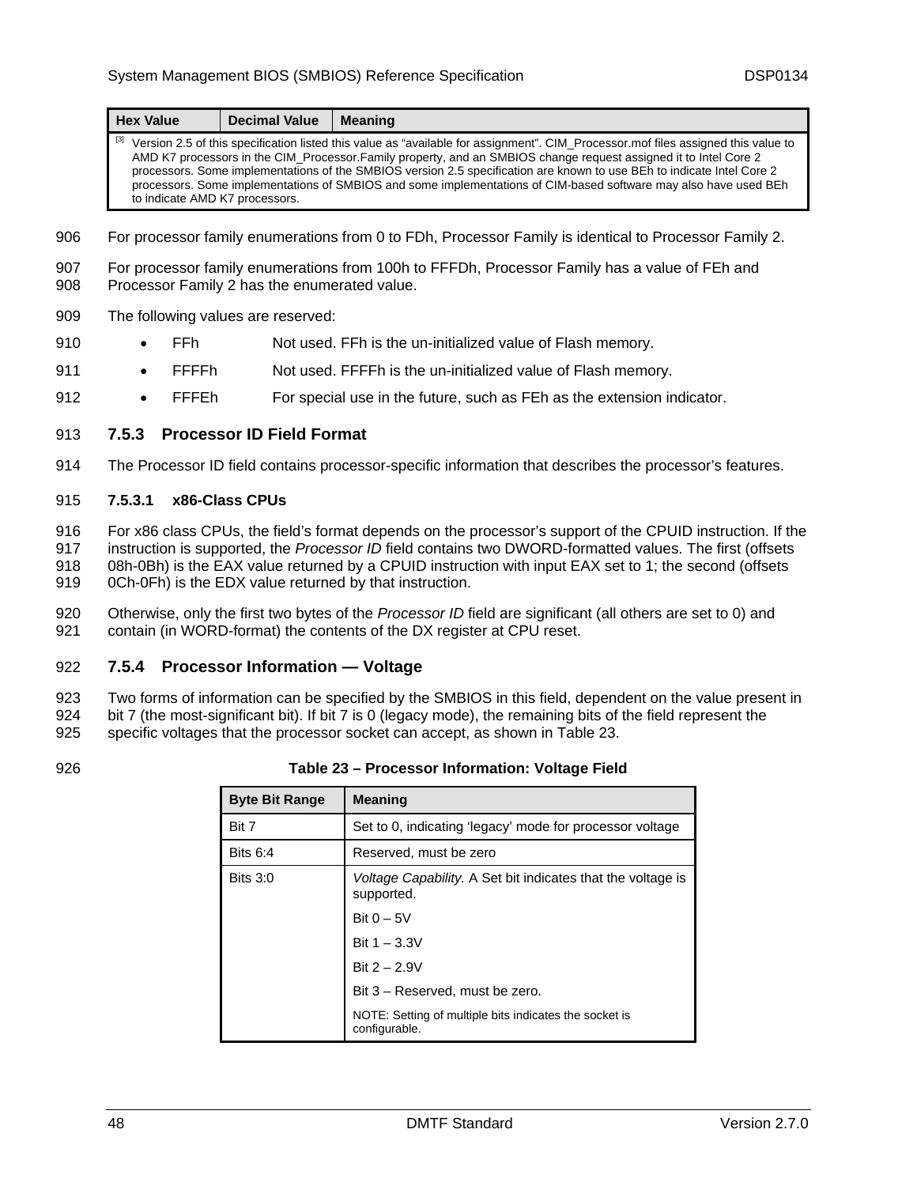| <b>Hex Value</b>               | <b>Decimal Value</b> | Meaning                                                                                                                                                                                                                                                                                                                                                                                                                                                                                             |
|--------------------------------|----------------------|-----------------------------------------------------------------------------------------------------------------------------------------------------------------------------------------------------------------------------------------------------------------------------------------------------------------------------------------------------------------------------------------------------------------------------------------------------------------------------------------------------|
| to indicate AMD K7 processors. |                      | Version 2.5 of this specification listed this value as "available for assignment". CIM_Processor.mof files assigned this value to<br>AMD K7 processors in the CIM_Processor.Family property, and an SMBIOS change request assigned it to Intel Core 2<br>processors. Some implementations of the SMBIOS version 2.5 specification are known to use BEh to indicate Intel Core 2<br>processors. Some implementations of SMBIOS and some implementations of CIM-based software may also have used BEh |

906 For processor family enumerations from 0 to FDh, Processor Family is identical to Processor Family 2.

907 For processor family enumerations from 100h to FFFDh, Processor Family has a value of FEh and 908 Processor Family 2 has the enumerated value.

- 909 The following values are reserved:
- 910 FFh Not used. FFh is the un-initialized value of Flash memory.
- 911 FFFFh Not used. FFFFh is the un-initialized value of Flash memory.
- 912 FFFEh For special use in the future, such as FEh as the extension indicator.

#### <span id="page-47-0"></span>913 **7.5.3 Processor ID Field Format**

914 The Processor ID field contains processor-specific information that describes the processor's features.

#### 915 **7.5.3.1 x86-Class CPUs**

916 For x86 class CPUs, the field's format depends on the processor's support of the CPUID instruction. If the 917 instruction is supported, the *Processor ID* field contains two DWORD-formatted values. The first (offsets 918 08h-0Bh) is the EAX value returned by a CPUID instruction with input EAX set to 1; the second (offsets 919 0Ch-0Fh) is the EDX value returned by that instruction.

920 Otherwise, only the first two bytes of the *Processor ID* field are significant (all others are set to 0) and 921 contain (in WORD-format) the contents of the DX register at CPU reset.

#### <span id="page-47-1"></span>922 **7.5.4 Processor Information — Voltage**

923 Two forms of information can be specified by the SMBIOS in this field, dependent on the value present in 924 bit 7 (the most-significant bit). If bit 7 is 0 (legacy mode), the remaining bits of the field represent the 925 specific voltages that the processor socket can accept, as shown in [Table 23](#page-47-2).

<span id="page-47-2"></span>

#### 926 **Table 23 – Processor Information: Voltage Field**

| <b>Byte Bit Range</b> | <b>Meaning</b>                                                            |  |  |
|-----------------------|---------------------------------------------------------------------------|--|--|
| Bit 7                 | Set to 0, indicating 'legacy' mode for processor voltage                  |  |  |
| Bits $6:4$            | Reserved, must be zero                                                    |  |  |
| Bits $3:0$            | Voltage Capability. A Set bit indicates that the voltage is<br>supported. |  |  |
|                       | Bit $0 - 5V$                                                              |  |  |
|                       | Bit $1 - 3.3V$                                                            |  |  |
|                       | $Bit 2 - 2.9V$                                                            |  |  |
|                       | Bit 3 - Reserved, must be zero.                                           |  |  |
|                       | NOTE: Setting of multiple bits indicates the socket is<br>configurable.   |  |  |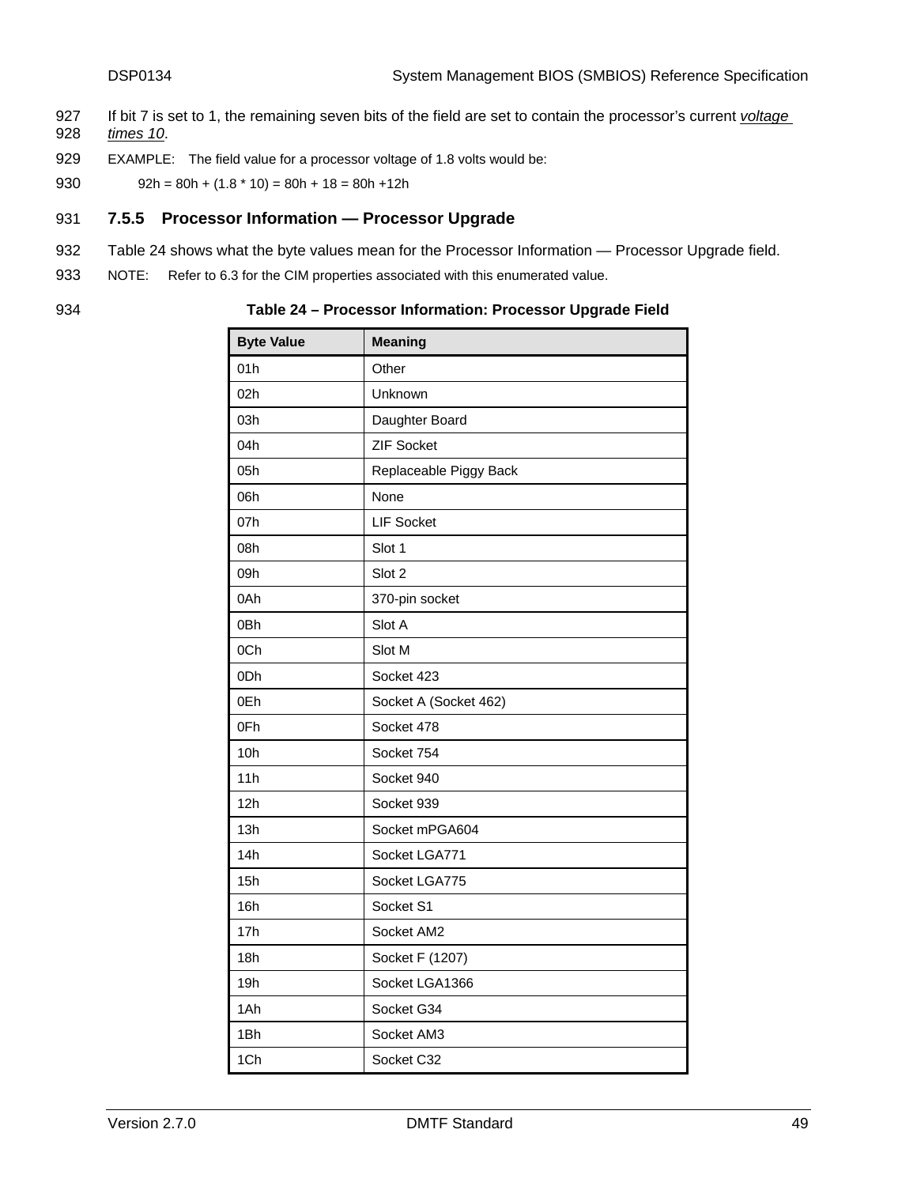- 927 If bit 7 is set to 1, the remaining seven bits of the field are set to contain the processor's current *voltage*
- 928 *times 10*.
- 929 EXAMPLE: The field value for a processor voltage of 1.8 volts would be:
- 930 92h = 80h +  $(1.8 * 10) = 80h + 18 = 80h + 12h$

#### <span id="page-48-0"></span>931 **7.5.5 Processor Information — Processor Upgrade**

- 932 [Table 24](#page-48-1) shows what the byte values mean for the Processor Information Processor Upgrade field.
- 933 NOTE: Refer to [6.3](#page-25-0) for the CIM properties associated with this enumerated value.
- 

#### <span id="page-48-1"></span>934 **Table 24 – Processor Information: Processor Upgrade Field**

| <b>Byte Value</b> | <b>Meaning</b>         |  |  |  |
|-------------------|------------------------|--|--|--|
| 01h               | Other                  |  |  |  |
| 02h               | Unknown                |  |  |  |
| 03h               | Daughter Board         |  |  |  |
| 04h               | <b>ZIF Socket</b>      |  |  |  |
| 05h               | Replaceable Piggy Back |  |  |  |
| 06h               | None                   |  |  |  |
| 07h               | <b>LIF Socket</b>      |  |  |  |
| 08h               | Slot 1                 |  |  |  |
| 09h               | Slot 2                 |  |  |  |
| 0Ah               | 370-pin socket         |  |  |  |
| 0Bh               | Slot A                 |  |  |  |
| 0Ch               | Slot M                 |  |  |  |
| 0Dh               | Socket 423             |  |  |  |
| 0Eh               | Socket A (Socket 462)  |  |  |  |
| 0Fh               | Socket 478             |  |  |  |
| 10h               | Socket 754             |  |  |  |
| 11h               | Socket 940             |  |  |  |
| 12h               | Socket 939             |  |  |  |
| 13h               | Socket mPGA604         |  |  |  |
| 14h               | Socket LGA771          |  |  |  |
| 15h               | Socket LGA775          |  |  |  |
| 16h               | Socket S1              |  |  |  |
| 17h               | Socket AM2             |  |  |  |
| 18h               | Socket F (1207)        |  |  |  |
| 19h               | Socket LGA1366         |  |  |  |
| 1Ah               | Socket G34             |  |  |  |
| 1Bh               | Socket AM3             |  |  |  |
| 1Ch               | Socket C32             |  |  |  |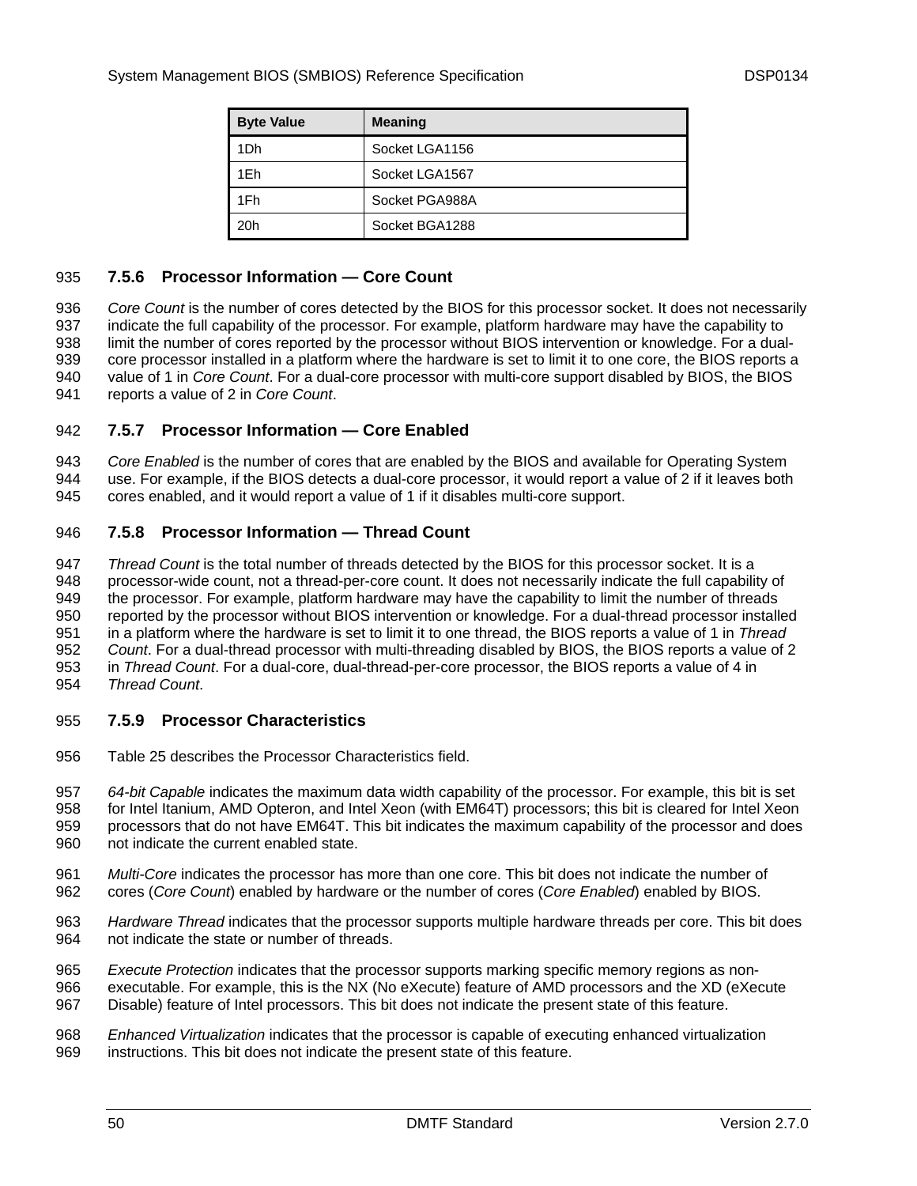| <b>Byte Value</b> | <b>Meaning</b> |  |  |
|-------------------|----------------|--|--|
| 1Dh               | Socket LGA1156 |  |  |
| 1Eh               | Socket LGA1567 |  |  |
| 1Fh               | Socket PGA988A |  |  |
| 20h               | Socket BGA1288 |  |  |

## <span id="page-49-0"></span>935 **7.5.6 Processor Information — Core Count**

936 *Core Count* is the number of cores detected by the BIOS for this processor socket. It does not necessarily 937 indicate the full capability of the processor. For example, platform hardware may have the capability to 938 limit the number of cores reported by the processor without BIOS intervention or knowledge. For a dual-939 core processor installed in a platform where the hardware is set to limit it to one core, the BIOS reports a 940 value of 1 in *Core Count*. For a dual-core processor with multi-core support disabled by BIOS, the BIOS 941 reports a value of 2 in *Core Count*.

## <span id="page-49-1"></span>942 **7.5.7 Processor Information — Core Enabled**

943 *Core Enabled* is the number of cores that are enabled by the BIOS and available for Operating System 944 use. For example, if the BIOS detects a dual-core processor, it would report a value of 2 if it leaves both 945 cores enabled, and it would report a value of 1 if it disables multi-core support.

## <span id="page-49-2"></span>946 **7.5.8 Processor Information — Thread Count**

947 *Thread Count* is the total number of threads detected by the BIOS for this processor socket. It is a 948 processor-wide count, not a thread-per-core count. It does not necessarily indicate the full capability of 949 the processor. For example, platform hardware may have the capability to limit the number of threads 950 reported by the processor without BIOS intervention or knowledge. For a dual-thread processor installed 951 in a platform where the hardware is set to limit it to one thread, the BIOS reports a value of 1 in *Thread*  952 *Count*. For a dual-thread processor with multi-threading disabled by BIOS, the BIOS reports a value of 2 953 in *Thread Count*. For a dual-core, dual-thread-per-core processor, the BIOS reports a value of 4 in 954 *Thread Count*.

## <span id="page-49-3"></span>955 **7.5.9 Processor Characteristics**

- 956 [Table 25](#page-50-0) describes the Processor Characteristics field.
- 957 *64-bit Capable* indicates the maximum data width capability of the processor. For example, this bit is set 958 for Intel Itanium, AMD Opteron, and Intel Xeon (with EM64T) processors; this bit is cleared for Intel Xeon 959 processors that do not have EM64T. This bit indicates the maximum capability of the processor and does 960 not indicate the current enabled state.
- 961 *Multi-Core* indicates the processor has more than one core. This bit does not indicate the number of 962 cores (*Core Count*) enabled by hardware or the number of cores (*Core Enabled*) enabled by BIOS.
- 963 *Hardware Thread* indicates that the processor supports multiple hardware threads per core. This bit does 964 not indicate the state or number of threads.
- 965 *Execute Protection* indicates that the processor supports marking specific memory regions as non-966 executable. For example, this is the NX (No eXecute) feature of AMD processors and the XD (eXecute 967 Disable) feature of Intel processors. This bit does not indicate the present state of this feature.
- 968 *Enhanced Virtualization* indicates that the processor is capable of executing enhanced virtualization 969 instructions. This bit does not indicate the present state of this feature.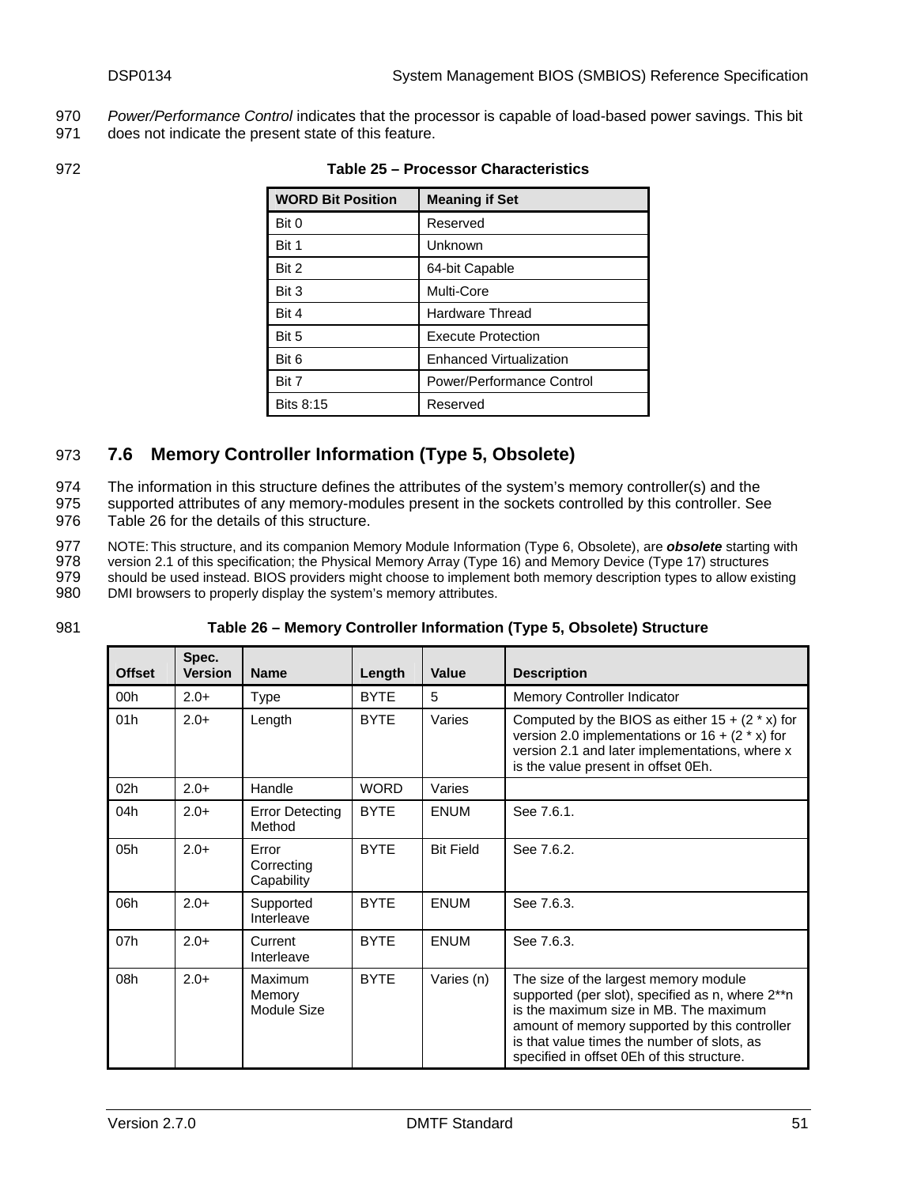- 970 *Power/Performance Control* indicates that the processor is capable of load-based power savings. This bit
- 971 does not indicate the present state of this feature.

<span id="page-50-0"></span>

| <b>WORD Bit Position</b> | <b>Meaning if Set</b>          |
|--------------------------|--------------------------------|
| Bit 0                    | Reserved                       |
| Bit 1                    | Unknown                        |
| Bit 2                    | 64-bit Capable                 |
| Bit 3                    | Multi-Core                     |
| Bit 4                    | Hardware Thread                |
| Bit 5                    | <b>Execute Protection</b>      |
| Bit 6                    | <b>Enhanced Virtualization</b> |
| Bit 7                    | Power/Performance Control      |
| <b>Bits 8:15</b>         | Reserved                       |

#### 972 **Table 25 – Processor Characteristics**

# <span id="page-50-2"></span>973 **7.6 Memory Controller Information (Type 5, Obsolete)**

974 The information in this structure defines the attributes of the system's memory controller(s) and the 975 supported attributes of any memory-modules present in the sockets controlled by this controller. See

976 [Table 26](#page-50-1) for the details of this structure.

977 NOTE: This structure, and its companion [Memory Module Information \(Type 6, Obsolete\),](#page-52-0) are **obsolete** starting with 978 version 2.1 of this specification; the Physical Memory Array (Type 16) and Memory Device (Type 17)

978 version 2.1 of this specification; the [Physical Memory Array \(Type 16\)](#page-81-0) and [Memory Device \(Type 17\)](#page-83-0) structures<br>979 should be used instead. BIOS providers might choose to implement both memory description types to allow 979 should be used instead. BIOS providers might choose to implement both memory description types to allow existing<br>980 DMI browsers to properly display the system's memory attributes.

DMI browsers to properly display the system's memory attributes.

<span id="page-50-1"></span>

#### 981 **Table 26 – Memory Controller Information (Type 5, Obsolete) Structure**

| <b>Offset</b>   | Spec.<br><b>Version</b> | <b>Name</b>                       | Length      | Value            | <b>Description</b>                                                                                                                                                                                                                                                                |
|-----------------|-------------------------|-----------------------------------|-------------|------------------|-----------------------------------------------------------------------------------------------------------------------------------------------------------------------------------------------------------------------------------------------------------------------------------|
| 00h             | $2.0+$                  | Type                              | <b>BYTE</b> | 5                | Memory Controller Indicator                                                                                                                                                                                                                                                       |
| 01h             | $2.0+$                  | Length                            | <b>BYTE</b> | Varies           | Computed by the BIOS as either $15 + (2 * x)$ for<br>version 2.0 implementations or $16 + (2 * x)$ for<br>version 2.1 and later implementations, where x<br>is the value present in offset 0Eh.                                                                                   |
| 02 <sub>h</sub> | $2.0+$                  | Handle                            | <b>WORD</b> | Varies           |                                                                                                                                                                                                                                                                                   |
| 04h             | $2.0+$                  | <b>Error Detecting</b><br>Method  | <b>BYTE</b> | <b>ENUM</b>      | See 7.6.1.                                                                                                                                                                                                                                                                        |
| 05h             | $2.0+$                  | Error<br>Correcting<br>Capability | <b>BYTE</b> | <b>Bit Field</b> | See 7.6.2.                                                                                                                                                                                                                                                                        |
| 06h             | $2.0+$                  | Supported<br>Interleave           | <b>BYTE</b> | <b>ENUM</b>      | See 7.6.3.                                                                                                                                                                                                                                                                        |
| 07h             | $2.0+$                  | Current<br>Interleave             | <b>BYTE</b> | <b>ENUM</b>      | See 7.6.3.                                                                                                                                                                                                                                                                        |
| 08h             | $2.0+$                  | Maximum<br>Memory<br>Module Size  | <b>BYTE</b> | Varies (n)       | The size of the largest memory module<br>supported (per slot), specified as n, where 2**n<br>is the maximum size in MB. The maximum<br>amount of memory supported by this controller<br>is that value times the number of slots, as<br>specified in offset 0Eh of this structure. |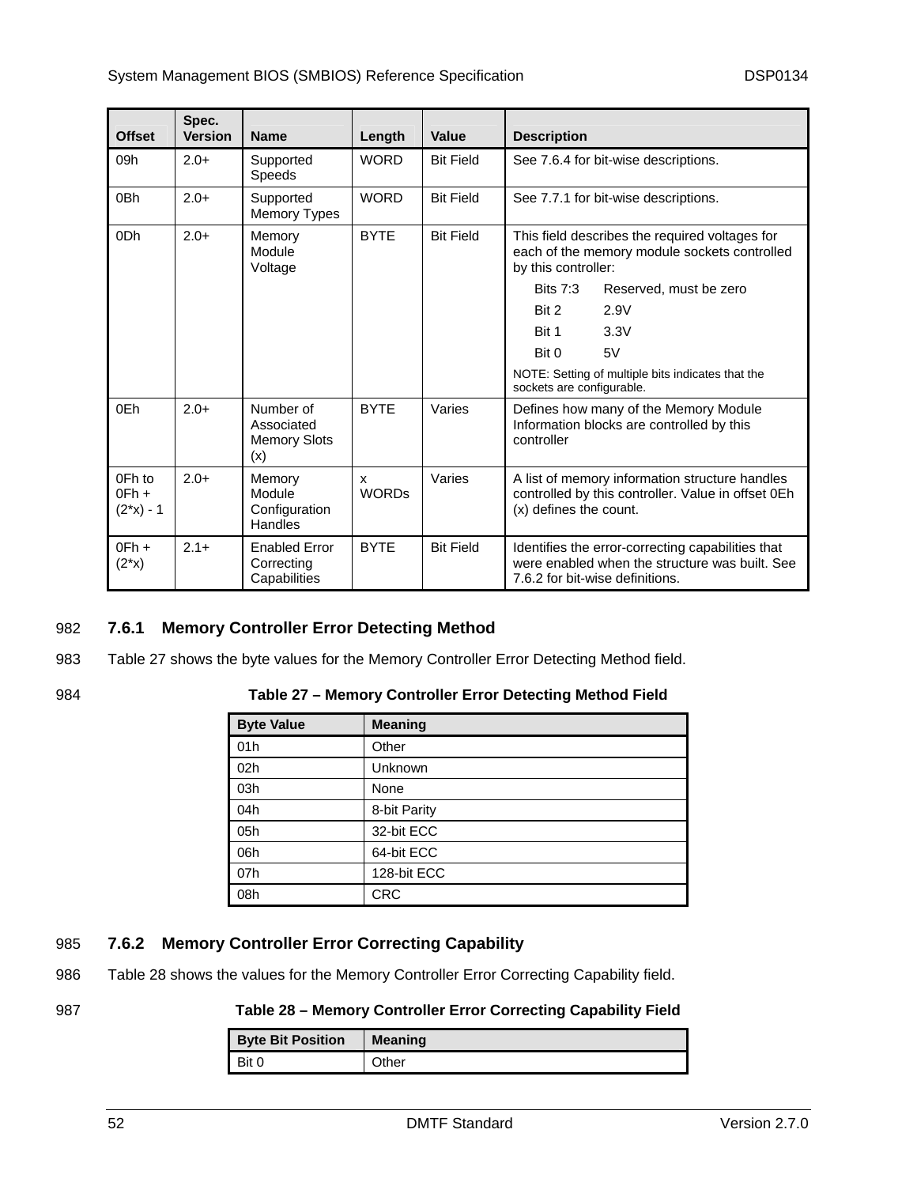| <b>Offset</b>                    | Spec.<br><b>Version</b> | <b>Name</b>                                           | Length            | Value            | <b>Description</b>                                                                                                                                                                                                                                                                               |
|----------------------------------|-------------------------|-------------------------------------------------------|-------------------|------------------|--------------------------------------------------------------------------------------------------------------------------------------------------------------------------------------------------------------------------------------------------------------------------------------------------|
| 09h                              | $2.0+$                  | Supported<br>Speeds                                   | <b>WORD</b>       | <b>Bit Field</b> | See 7.6.4 for bit-wise descriptions.                                                                                                                                                                                                                                                             |
| 0Bh                              | $2.0+$                  | Supported<br><b>Memory Types</b>                      | <b>WORD</b>       | <b>Bit Field</b> | See 7.7.1 for bit-wise descriptions.                                                                                                                                                                                                                                                             |
| 0 <sub>Dh</sub>                  | $2.0+$                  | Memory<br>Module<br>Voltage                           | <b>BYTE</b>       | <b>Bit Field</b> | This field describes the required voltages for<br>each of the memory module sockets controlled<br>by this controller:<br>Bits $7:3$<br>Reserved, must be zero<br>Bit 2<br>2.9V<br>3.3V<br>Bit 1<br>5V<br>Bit 0<br>NOTE: Setting of multiple bits indicates that the<br>sockets are configurable. |
| 0Eh                              | $2.0+$                  | Number of<br>Associated<br><b>Memory Slots</b><br>(x) | <b>BYTE</b>       | Varies           | Defines how many of the Memory Module<br>Information blocks are controlled by this<br>controller                                                                                                                                                                                                 |
| 0Fh to<br>$OFh +$<br>$(2*x) - 1$ | $2.0+$                  | Memory<br>Module<br>Configuration<br>Handles          | x<br><b>WORDs</b> | Varies           | A list of memory information structure handles<br>controlled by this controller. Value in offset 0Eh<br>(x) defines the count.                                                                                                                                                                   |
| $0Fh +$<br>$(2^*x)$              | $2.1+$                  | <b>Enabled Error</b><br>Correcting<br>Capabilities    | <b>BYTE</b>       | <b>Bit Field</b> | Identifies the error-correcting capabilities that<br>were enabled when the structure was built. See<br>7.6.2 for bit-wise definitions.                                                                                                                                                           |

## <span id="page-51-0"></span>982 **7.6.1 Memory Controller Error Detecting Method**

983 [Table 27](#page-51-2) shows the byte values for the Memory Controller Error Detecting Method field.

## <span id="page-51-2"></span>984 **Table 27 – Memory Controller Error Detecting Method Field**

| <b>Byte Value</b> | <b>Meaning</b> |
|-------------------|----------------|
| 01h               | Other          |
| 02h               | Unknown        |
| 03h               | None           |
| 04h               | 8-bit Parity   |
| 05h               | 32-bit ECC     |
| 06h               | 64-bit ECC     |
| 07h               | 128-bit ECC    |
| 08h               | <b>CRC</b>     |

# <span id="page-51-1"></span>985 **7.6.2 Memory Controller Error Correcting Capability**

986 [Table 28](#page-51-3) shows the values for the Memory Controller Error Correcting Capability field.

<span id="page-51-3"></span>

## 987 **Table 28 – Memory Controller Error Correcting Capability Field**

| <b>Byte Bit Position</b> | <b>Meaning</b> |
|--------------------------|----------------|
| Bit 0                    | Other          |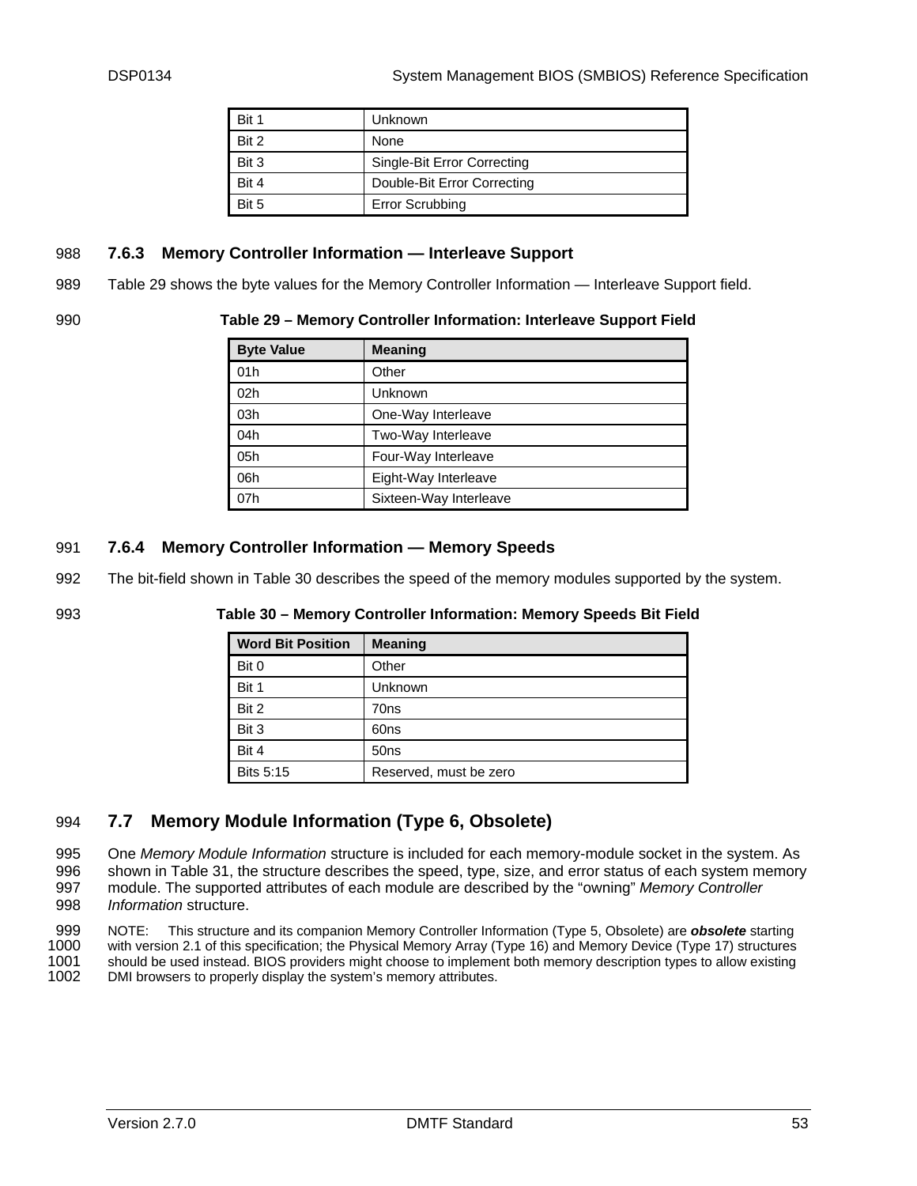| Bit 1 | Unknown                     |
|-------|-----------------------------|
| Bit 2 | None                        |
| Bit 3 | Single-Bit Error Correcting |
| Bit 4 | Double-Bit Error Correcting |
| Bit 5 | <b>Error Scrubbing</b>      |

#### <span id="page-52-1"></span>988 **7.6.3 Memory Controller Information — Interleave Support**

989 [Table 29](#page-52-3) shows the byte values for the Memory Controller Information — Interleave Support field.

<span id="page-52-3"></span>

#### 990 **Table 29 – Memory Controller Information: Interleave Support Field**

| <b>Byte Value</b> | <b>Meaning</b>         |
|-------------------|------------------------|
| 01h               | Other                  |
| 02h               | Unknown                |
| 03h               | One-Way Interleave     |
| 04h               | Two-Way Interleave     |
| 05h               | Four-Way Interleave    |
| 06h               | Eight-Way Interleave   |
| 07h               | Sixteen-Way Interleave |

## <span id="page-52-2"></span>991 **7.6.4 Memory Controller Information — Memory Speeds**

992 The bit-field shown in [Table 30](#page-52-4) describes the speed of the memory modules supported by the system.

<span id="page-52-4"></span>

993 **Table 30 – Memory Controller Information: Memory Speeds Bit Field** 

| <b>Word Bit Position</b> | <b>Meaning</b>         |
|--------------------------|------------------------|
| Bit 0                    | Other                  |
| Bit 1                    | Unknown                |
| Bit 2                    | 70 <sub>ns</sub>       |
| Bit 3                    | 60 <sub>ns</sub>       |
| Bit 4                    | 50 <sub>ns</sub>       |
| <b>Bits 5:15</b>         | Reserved, must be zero |

# <span id="page-52-0"></span>994 **7.7 Memory Module Information (Type 6, Obsolete)**

995 One *Memory Module Information* structure is included for each memory-module socket in the system. As 996 shown in [Table 31](#page-53-1), the structure describes the speed, type, size, and error status of each system memory 997 module. The supported attributes of each module are described by the "owning" *Memory Controller*  998 *Information* structure.

999 NOTE: This structure and its companion [Memory Controller Information \(Type 5, Obsolete\)](#page-50-2) are **obsolete** starting<br>1000 with version 2.1 of this specification; the Physical Memory Array (Type 16) and Memory Device (Type 1 1000 with version 2.1 of this specification; the [Physical Memory Array \(Type 16\)](#page-81-0) and [Memory Device \(Type 17\)](#page-83-0) structures<br>1001 should be used instead. BIOS providers might choose to implement both memory description types to 1001 should be used instead. BIOS providers might choose to implement both memory description types to allow existing 1002 DMI browsers to properly display the system's memory attributes. DMI browsers to properly display the system's memory attributes.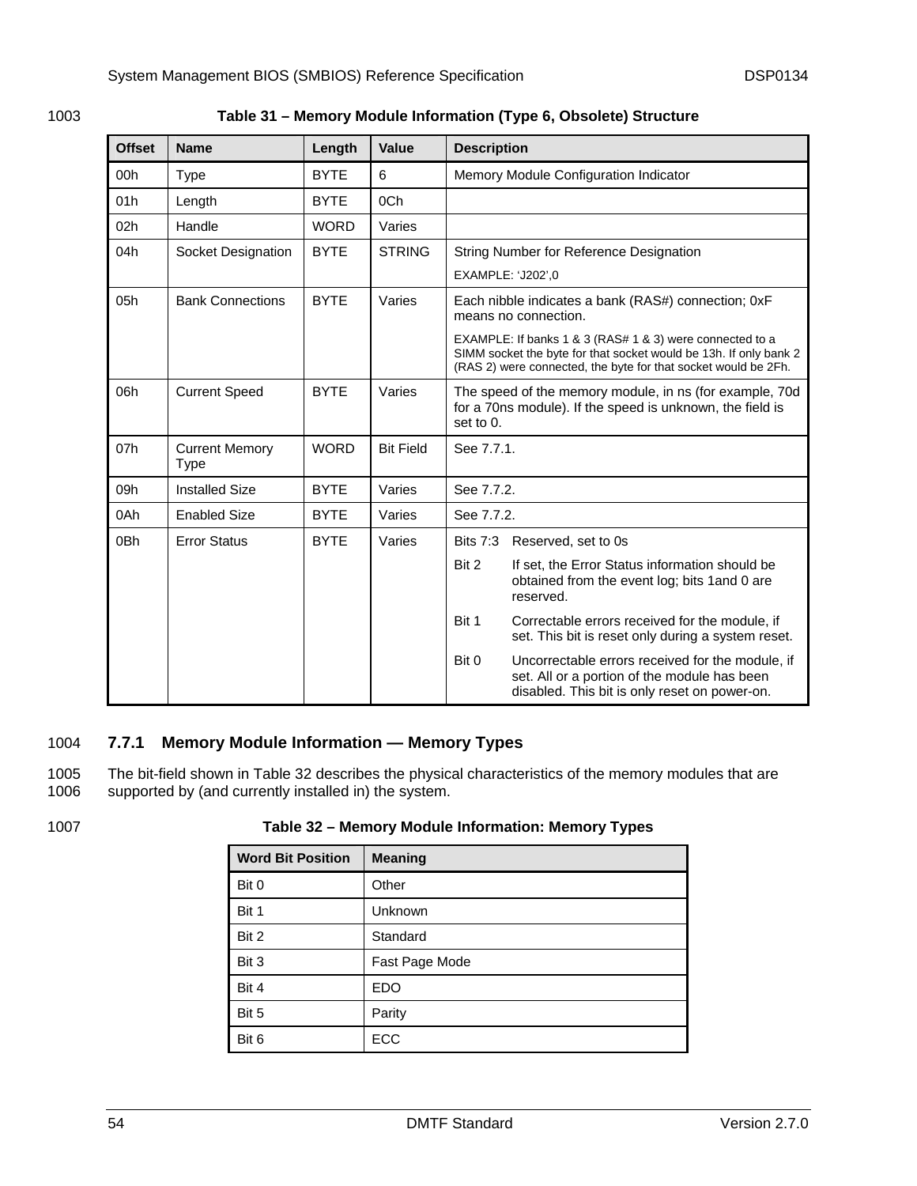<span id="page-53-1"></span>

1003 **Table 31 – Memory Module Information (Type 6, Obsolete) Structure** 

| <b>Offset</b> | <b>Name</b>                   | Length      | Value            | <b>Description</b>                                                                                                                                                                              |
|---------------|-------------------------------|-------------|------------------|-------------------------------------------------------------------------------------------------------------------------------------------------------------------------------------------------|
| 00h           | <b>Type</b>                   | <b>BYTE</b> | 6                | Memory Module Configuration Indicator                                                                                                                                                           |
| 01h           | Length                        | <b>BYTE</b> | 0Ch              |                                                                                                                                                                                                 |
| 02h           | Handle                        | <b>WORD</b> | Varies           |                                                                                                                                                                                                 |
| 04h           | Socket Designation            | <b>BYTE</b> | <b>STRING</b>    | String Number for Reference Designation                                                                                                                                                         |
|               |                               |             |                  | EXAMPLE: 'J202',0                                                                                                                                                                               |
| 05h           | <b>Bank Connections</b>       | <b>BYTE</b> | Varies           | Each nibble indicates a bank (RAS#) connection; 0xF<br>means no connection.                                                                                                                     |
|               |                               |             |                  | EXAMPLE: If banks 1 & 3 (RAS# 1 & 3) were connected to a<br>SIMM socket the byte for that socket would be 13h. If only bank 2<br>(RAS 2) were connected, the byte for that socket would be 2Fh. |
| 06h           | <b>Current Speed</b>          | <b>BYTE</b> | Varies           | The speed of the memory module, in ns (for example, 70d<br>for a 70ns module). If the speed is unknown, the field is<br>set to 0.                                                               |
| 07h           | <b>Current Memory</b><br>Type | <b>WORD</b> | <b>Bit Field</b> | See 7.7.1.                                                                                                                                                                                      |
| 09h           | <b>Installed Size</b>         | <b>BYTE</b> | Varies           | See 7.7.2.                                                                                                                                                                                      |
| 0Ah           | <b>Enabled Size</b>           | <b>BYTE</b> | Varies           | See 7.7.2.                                                                                                                                                                                      |
| 0Bh           | <b>Error Status</b>           | <b>BYTE</b> | Varies           | Bits $7:3$<br>Reserved, set to 0s                                                                                                                                                               |
|               |                               |             |                  | Bit 2<br>If set, the Error Status information should be<br>obtained from the event log; bits 1 and 0 are<br>reserved.                                                                           |
|               |                               |             |                  | Bit 1<br>Correctable errors received for the module, if<br>set. This bit is reset only during a system reset.                                                                                   |
|               |                               |             |                  | Bit 0<br>Uncorrectable errors received for the module, if<br>set. All or a portion of the module has been<br>disabled. This bit is only reset on power-on.                                      |

# <span id="page-53-0"></span>1004 **7.7.1 Memory Module Information — Memory Types**

1005 The bit-field shown in [Table 32](#page-53-2) describes the physical characteristics of the memory modules that are 1006 supported by (and currently installed in) the system.

## <span id="page-53-2"></span>1007 **Table 32 – Memory Module Information: Memory Types**

| <b>Word Bit Position</b> | <b>Meaning</b> |
|--------------------------|----------------|
| Bit 0                    | Other          |
| Bit 1                    | Unknown        |
| Bit 2                    | Standard       |
| Bit 3                    | Fast Page Mode |
| Bit 4                    | <b>EDO</b>     |
| Bit 5                    | Parity         |
| Bit 6                    | <b>ECC</b>     |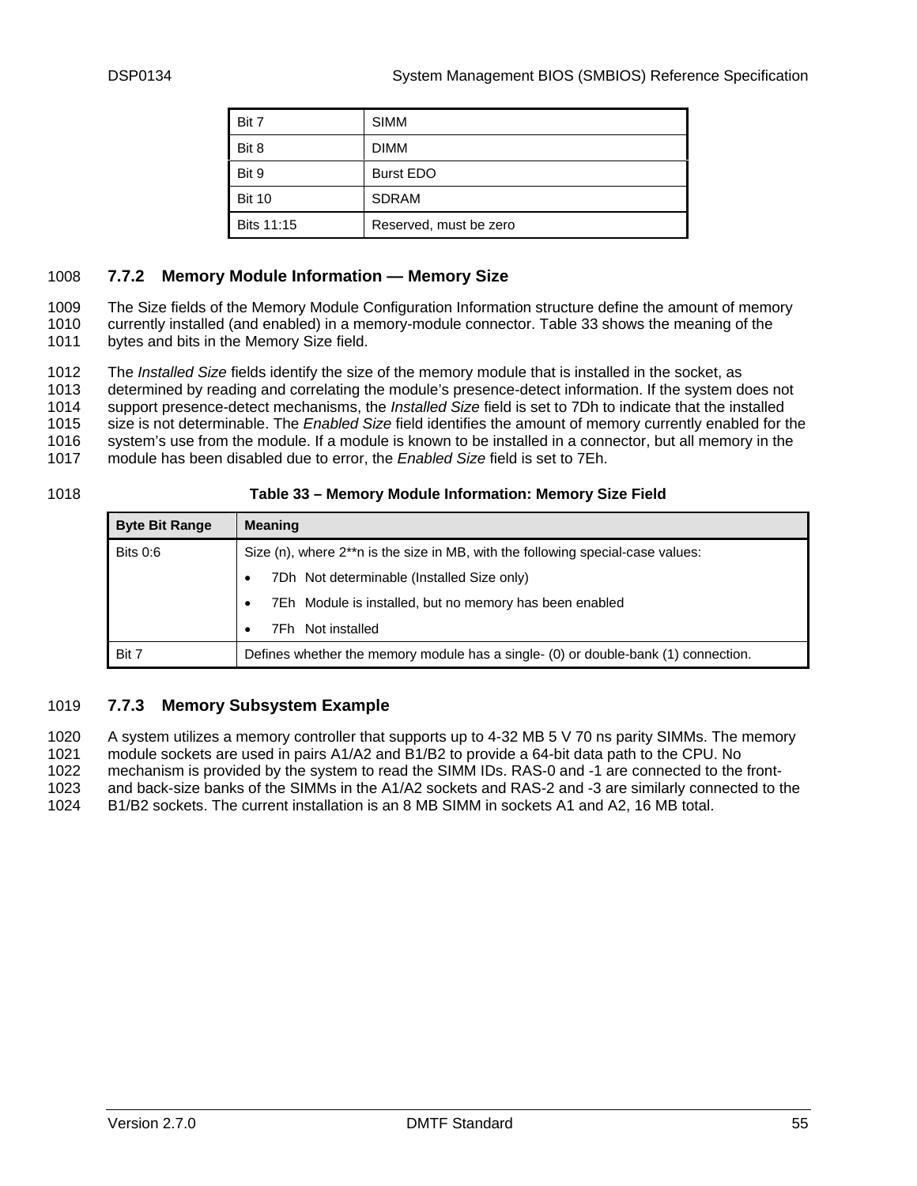| Bit 7         | <b>SIMM</b>            |
|---------------|------------------------|
| Bit 8         | <b>DIMM</b>            |
| Bit 9         | <b>Burst EDO</b>       |
| <b>Bit 10</b> | <b>SDRAM</b>           |
| Bits 11:15    | Reserved, must be zero |

## <span id="page-54-0"></span>1008 **7.7.2 Memory Module Information — Memory Size**

1009 The Size fields of the Memory Module Configuration Information structure define the amount of memory 1010 currently installed (and enabled) in a memory-module connector. [Table 33](#page-54-1) shows the meaning of the 1011 bytes and bits in the Memory Size field.

1012 The *Installed Size* fields identify the size of the memory module that is installed in the socket, as

1013 determined by reading and correlating the module's presence-detect information. If the system does not

1014 support presence-detect mechanisms, the *Installed Size* field is set to 7Dh to indicate that the installed

1015 size is not determinable. The *Enabled Size* field identifies the amount of memory currently enabled for the

1016 system's use from the module. If a module is known to be installed in a connector, but all memory in the 1017 module has been disabled due to error, the *Enabled Size* field is set to 7Eh.

#### <span id="page-54-1"></span>1018 **Table 33 – Memory Module Information: Memory Size Field**

| <b>Byte Bit Range</b> | <b>Meaning</b>                                                                               |
|-----------------------|----------------------------------------------------------------------------------------------|
| <b>Bits 0:6</b>       | Size (n), where 2 <sup>**</sup> n is the size in MB, with the following special-case values: |
|                       | 7Dh Not determinable (Installed Size only)                                                   |
|                       | 7Eh Module is installed, but no memory has been enabled                                      |
|                       | 7Fh Not installed                                                                            |
| Bit 7                 | Defines whether the memory module has a single- (0) or double-bank (1) connection.           |

## 1019 **7.7.3 Memory Subsystem Example**

1020 A system utilizes a memory controller that supports up to 4-32 MB 5 V 70 ns parity SIMMs. The memory

1021 module sockets are used in pairs A1/A2 and B1/B2 to provide a 64-bit data path to the CPU. No

1022 mechanism is provided by the system to read the SIMM IDs. RAS-0 and -1 are connected to the front-

1023 and back-size banks of the SIMMs in the A1/A2 sockets and RAS-2 and -3 are similarly connected to the

1024 B1/B2 sockets. The current installation is an 8 MB SIMM in sockets A1 and A2, 16 MB total.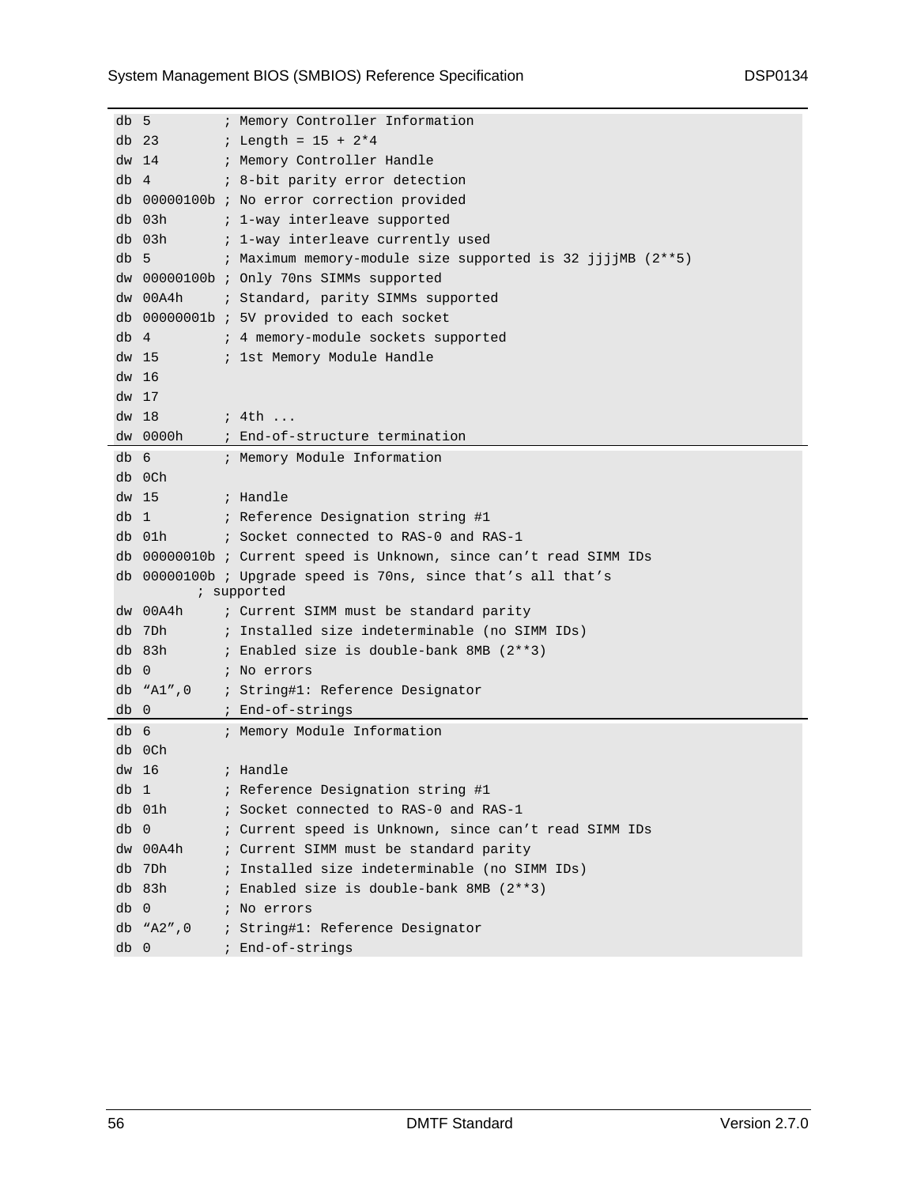| db 5    |                | ; Memory Controller Information                                             |
|---------|----------------|-----------------------------------------------------------------------------|
| db      | - 23           | ; Length = $15 + 2*4$                                                       |
| dw      | 14             | ; Memory Controller Handle                                                  |
| db      | $\overline{4}$ | ; 8-bit parity error detection                                              |
| db      |                | 00000100b ; No error correction provided                                    |
|         | db 03h         | ; 1-way interleave supported                                                |
| db      | 03h            | ; 1-way interleave currently used                                           |
| db 5    |                | ; Maximum memory-module size supported is 32 jjjjMB (2**5)                  |
|         |                | dw 00000100b ; Only 70ns SIMMs supported                                    |
|         | dw 00A4h       | ; Standard, parity SIMMs supported                                          |
|         |                | db 00000001b; 5V provided to each socket                                    |
| db      | $\overline{4}$ | ; 4 memory-module sockets supported                                         |
| dw 15   |                | ; 1st Memory Module Handle                                                  |
| dw 16   |                |                                                                             |
| $dw$ 17 |                |                                                                             |
| dw 18   |                | ; 4th                                                                       |
|         | dw 0000h       | ; End-of-structure termination                                              |
| db 6    |                | ; Memory Module Information                                                 |
|         | db 0Ch         |                                                                             |
| dw      | 15             | ; Handle                                                                    |
| db      | -1             | ; Reference Designation string #1                                           |
|         | db 01h         | ; Socket connected to RAS-0 and RAS-1                                       |
| db      |                | 00000010b; Current speed is Unknown, since can't read SIMM IDs              |
|         |                | db 00000100b; Upgrade speed is 70ns, since that's all that's<br>; supported |
|         | dw 00A4h       | ; Current SIMM must be standard parity                                      |
|         | db 7Dh         | ; Installed size indeterminable (no SIMM IDs)                               |
|         | db 83h         | ; Enabled size is double-bank 8MB (2**3)                                    |
| db 0    |                | ; No errors                                                                 |
| db      | "A1",0         | ; String#1: Reference Designator                                            |
| db 0    |                | ; End-of-strings                                                            |
| db 6    |                | ; Memory Module Information                                                 |
|         | db 0Ch         |                                                                             |
| dw 16   |                | ; Handle                                                                    |
| db 1    |                | ; Reference Designation string #1                                           |
|         | db 01h         | ; Socket connected to RAS-0 and RAS-1                                       |
| db 0    |                | ; Current speed is Unknown, since can't read SIMM IDs                       |
|         | dw 00A4h       | ; Current SIMM must be standard parity                                      |
|         | db 7Dh         | ; Installed size indeterminable (no SIMM IDs)                               |
|         | db 83h         | ; Enabled size is double-bank 8MB (2**3)                                    |
|         |                | ; No errors                                                                 |
| db 0    |                |                                                                             |
|         | db "A2", 0     | ; String#1: Reference Designator                                            |
| db 0    |                | ; End-of-strings                                                            |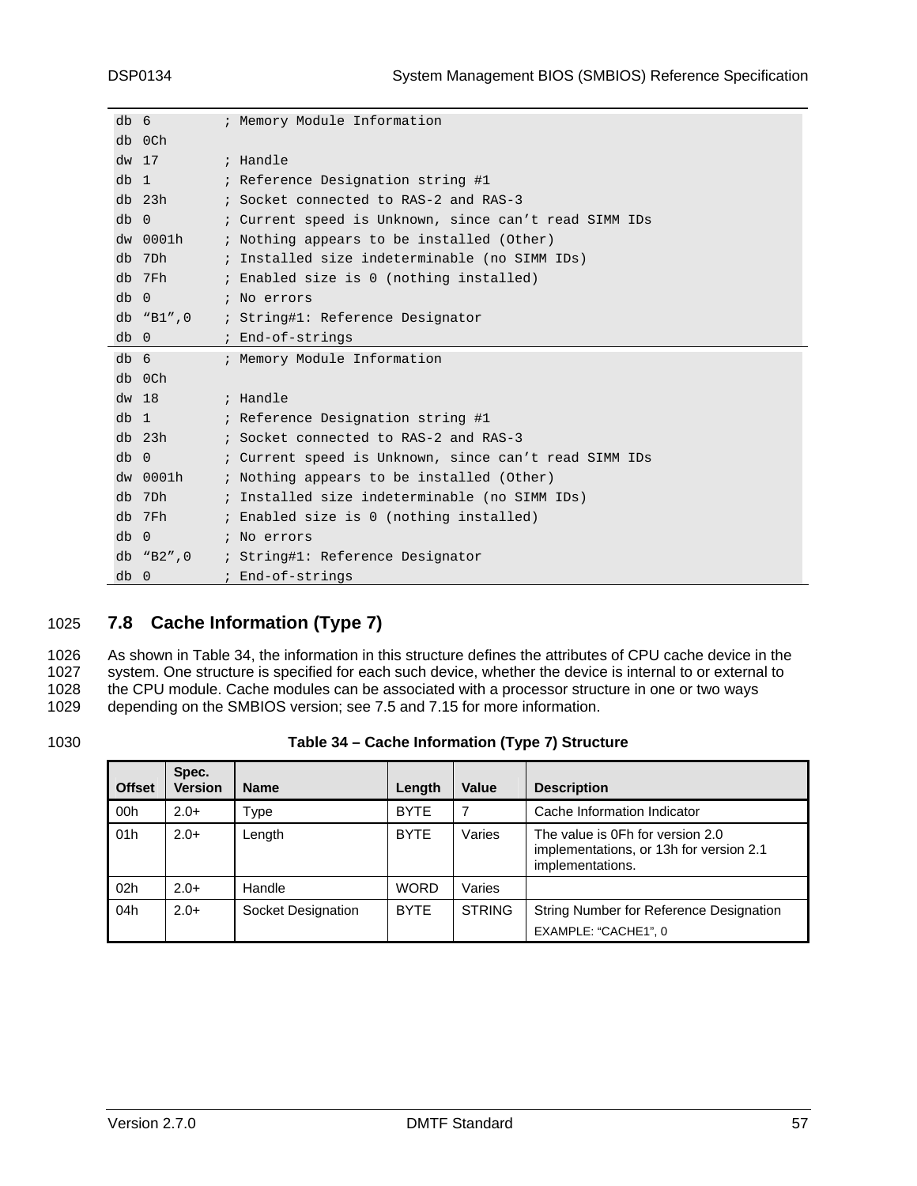| db 6  |                | ; Memory Module Information                           |
|-------|----------------|-------------------------------------------------------|
|       | db 0Ch         |                                                       |
| dw 17 |                | ; Handle                                              |
| db 1  |                | ; Reference Designation string #1                     |
|       | db 23h         | ; Socket connected to RAS-2 and RAS-3                 |
| db 0  |                | ; Current speed is Unknown, since can't read SIMM IDs |
|       | dw 0001h       | ; Nothing appears to be installed (Other)             |
|       | db 7Dh         | ; Installed size indeterminable (no SIMM IDs)         |
|       | db 7Fh         | ; Enabled size is 0 (nothing installed)               |
| db 0  |                | ; No errors                                           |
|       | db "B1", 0     | ; String#1: Reference Designator                      |
| db 0  |                | ; End-of-strings                                      |
|       |                |                                                       |
| db 6  |                | ; Memory Module Information                           |
|       | db 0Ch         |                                                       |
| dw 18 |                | ; Handle                                              |
| db 1  |                | ; Reference Designation string #1                     |
|       | db 23h         | ; Socket connected to RAS-2 and RAS-3                 |
| db    | $\overline{0}$ | ; Current speed is Unknown, since can't read SIMM IDs |
|       | dw 0001h       | ; Nothing appears to be installed (Other)             |
| db    | 7Dh            | ; Installed size indeterminable (no SIMM IDs)         |
|       | db 7Fh         | ; Enabled size is 0 (nothing installed)               |
| db 0  |                | ; No errors                                           |
|       | db "B2", 0     | ; String#1: Reference Designator                      |

# 1025 **7.8 Cache Information (Type 7)**

1026 As shown in [Table 34,](#page-56-0) the information in this structure defines the attributes of CPU cache device in the 1027 system. One structure is specified for each such device, whether the device is internal to or external to 1028 the CPU module. Cache modules can be associated with a processor structure in one or two ways<br>1029 depending on the SMBIOS version; see 7.5 and 7.15 for more information. depending on the SMBIOS version; see [7.5](#page-38-1) and [7.15](#page-70-0) for more information.

# <span id="page-56-0"></span>1030 **Table 34 – Cache Information (Type 7) Structure**

| <b>Offset</b>   | Spec.<br><b>Version</b> | <b>Name</b>        | Length      | <b>Value</b>  | <b>Description</b>                                                                              |
|-----------------|-------------------------|--------------------|-------------|---------------|-------------------------------------------------------------------------------------------------|
| 00h             | $2.0+$                  | Type               | <b>BYTE</b> | 7             | Cache Information Indicator                                                                     |
| 01h             | $2.0+$                  | Length             | <b>BYTE</b> | Varies        | The value is 0Fh for version 2.0<br>implementations, or 13h for version 2.1<br>implementations. |
| 02 <sub>h</sub> | $2.0+$                  | Handle             | <b>WORD</b> | Varies        |                                                                                                 |
| 04h             | $2.0+$                  | Socket Designation | <b>BYTE</b> | <b>STRING</b> | String Number for Reference Designation<br>EXAMPLE: "CACHE1", 0                                 |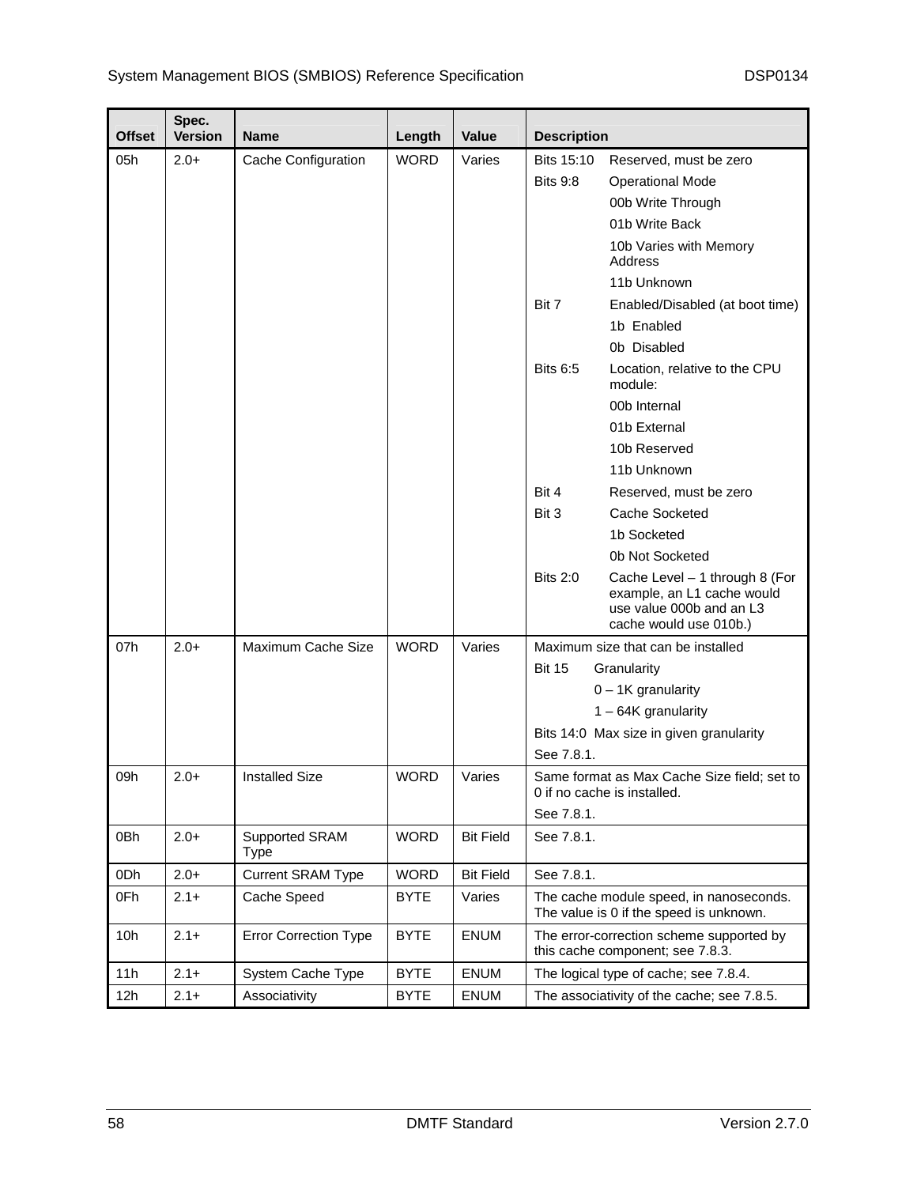| <b>Offset</b> | Spec.<br><b>Version</b> | <b>Name</b>                   | Length      | Value            | <b>Description</b> |                                                                                                                    |
|---------------|-------------------------|-------------------------------|-------------|------------------|--------------------|--------------------------------------------------------------------------------------------------------------------|
| 05h           | $2.0+$                  | Cache Configuration           | <b>WORD</b> | Varies           | <b>Bits 15:10</b>  | Reserved, must be zero                                                                                             |
|               |                         |                               |             |                  | <b>Bits 9:8</b>    | <b>Operational Mode</b>                                                                                            |
|               |                         |                               |             |                  |                    | 00b Write Through                                                                                                  |
|               |                         |                               |             |                  |                    | 01b Write Back                                                                                                     |
|               |                         |                               |             |                  |                    | 10b Varies with Memory<br>Address                                                                                  |
|               |                         |                               |             |                  |                    | 11b Unknown                                                                                                        |
|               |                         |                               |             |                  | Bit 7              | Enabled/Disabled (at boot time)                                                                                    |
|               |                         |                               |             |                  |                    | 1b Enabled                                                                                                         |
|               |                         |                               |             |                  |                    | 0b Disabled                                                                                                        |
|               |                         |                               |             |                  | <b>Bits 6:5</b>    | Location, relative to the CPU<br>module:                                                                           |
|               |                         |                               |             |                  |                    | 00b Internal                                                                                                       |
|               |                         |                               |             |                  |                    | 01b External                                                                                                       |
|               |                         |                               |             |                  |                    | 10b Reserved                                                                                                       |
|               |                         |                               |             |                  |                    | 11b Unknown                                                                                                        |
|               |                         |                               |             |                  | Bit 4              | Reserved, must be zero                                                                                             |
|               |                         |                               |             |                  | Bit 3              | Cache Socketed                                                                                                     |
|               |                         |                               |             |                  |                    | 1b Socketed                                                                                                        |
|               |                         |                               |             |                  |                    | 0b Not Socketed                                                                                                    |
|               |                         |                               |             |                  | <b>Bits 2:0</b>    | Cache Level - 1 through 8 (For<br>example, an L1 cache would<br>use value 000b and an L3<br>cache would use 010b.) |
| 07h           | $2.0+$                  | Maximum Cache Size            | <b>WORD</b> | Varies           |                    | Maximum size that can be installed                                                                                 |
|               |                         |                               |             |                  | <b>Bit 15</b>      | Granularity                                                                                                        |
|               |                         |                               |             |                  |                    | $0 - 1K$ granularity                                                                                               |
|               |                         |                               |             |                  |                    | 1 - 64K granularity                                                                                                |
|               |                         |                               |             |                  |                    | Bits 14:0 Max size in given granularity                                                                            |
|               |                         |                               |             |                  | See 7.8.1.         |                                                                                                                    |
| 09h           | $2.0+$                  | <b>Installed Size</b>         | <b>WORD</b> | Varies           |                    | Same format as Max Cache Size field: set to<br>0 if no cache is installed.                                         |
|               |                         |                               |             |                  | See 7.8.1.         |                                                                                                                    |
| 0Bh           | $2.0+$                  | Supported SRAM<br><b>Type</b> | <b>WORD</b> | <b>Bit Field</b> | See 7.8.1.         |                                                                                                                    |
| 0Dh           | $2.0+$                  | <b>Current SRAM Type</b>      | <b>WORD</b> | <b>Bit Field</b> | See 7.8.1.         |                                                                                                                    |
| 0Fh           | $2.1 +$                 | Cache Speed                   | <b>BYTE</b> | Varies           |                    | The cache module speed, in nanoseconds.<br>The value is 0 if the speed is unknown.                                 |
| 10h           | $2.1 +$                 | <b>Error Correction Type</b>  | <b>BYTE</b> | <b>ENUM</b>      |                    | The error-correction scheme supported by<br>this cache component; see 7.8.3.                                       |
| 11h           | $2.1+$                  | System Cache Type             | <b>BYTE</b> | <b>ENUM</b>      |                    | The logical type of cache; see 7.8.4.                                                                              |
| 12h           | $2.1 +$                 | Associativity                 | <b>BYTE</b> | <b>ENUM</b>      |                    | The associativity of the cache; see 7.8.5.                                                                         |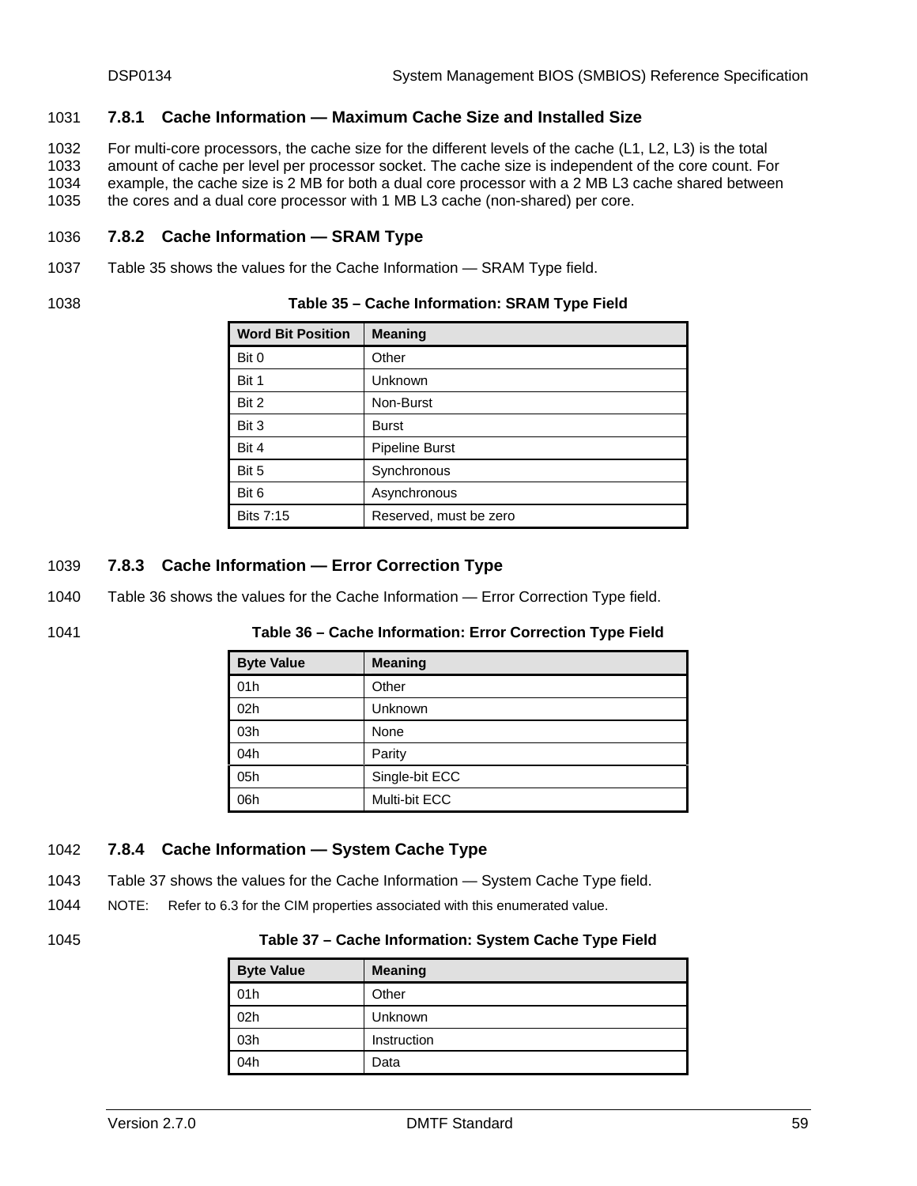#### <span id="page-58-0"></span>1031 **7.8.1 Cache Information — Maximum Cache Size and Installed Size**

1032 For multi-core processors, the cache size for the different levels of the cache (L1, L2, L3) is the total 1033 amount of cache per level per processor socket. The cache size is independent of the core count. For 1034 example, the cache size is 2 MB for both a dual core processor with a 2 MB L3 cache shared between<br>1035 the cores and a dual core processor with 1 MB L3 cache (non-shared) per core. the cores and a dual core processor with 1 MB L3 cache (non-shared) per core.

#### 1036 **7.8.2 Cache Information — SRAM Type**

1037 [Table 35](#page-58-3) shows the values for the Cache Information — SRAM Type field.

#### <span id="page-58-3"></span>1038 **Table 35 – Cache Information: SRAM Type Field**

| <b>Word Bit Position</b> | <b>Meaning</b>         |
|--------------------------|------------------------|
| Bit 0                    | Other                  |
| Bit 1                    | Unknown                |
| Bit 2                    | Non-Burst              |
| Bit 3                    | <b>Burst</b>           |
| Bit 4                    | <b>Pipeline Burst</b>  |
| Bit 5                    | Synchronous            |
| Bit 6                    | Asynchronous           |
| <b>Bits 7:15</b>         | Reserved, must be zero |

#### <span id="page-58-1"></span>1039 **7.8.3 Cache Information — Error Correction Type**

- 1040 [Table 36](#page-58-4) shows the values for the Cache Information Error Correction Type field.
- 

#### <span id="page-58-4"></span>1041 **Table 36 – Cache Information: Error Correction Type Field**

| <b>Byte Value</b> | <b>Meaning</b> |
|-------------------|----------------|
| 01h               | Other          |
| 02h               | Unknown        |
| 03h               | None           |
| 04h               | Parity         |
| 05h               | Single-bit ECC |
| 06h               | Multi-bit ECC  |

## <span id="page-58-2"></span>1042 **7.8.4 Cache Information — System Cache Type**

- 1043 [Table 37](#page-58-5) shows the values for the Cache Information System Cache Type field.
- 1044 NOTE: Refer to [6.3](#page-25-0) for the CIM properties associated with this enumerated value.

#### <span id="page-58-5"></span>1045 **Table 37 – Cache Information: System Cache Type Field**

| <b>Byte Value</b> | <b>Meaning</b> |
|-------------------|----------------|
| 01h               | Other          |
| 02h               | Unknown        |
| 03h               | Instruction    |
| 04h               | Data           |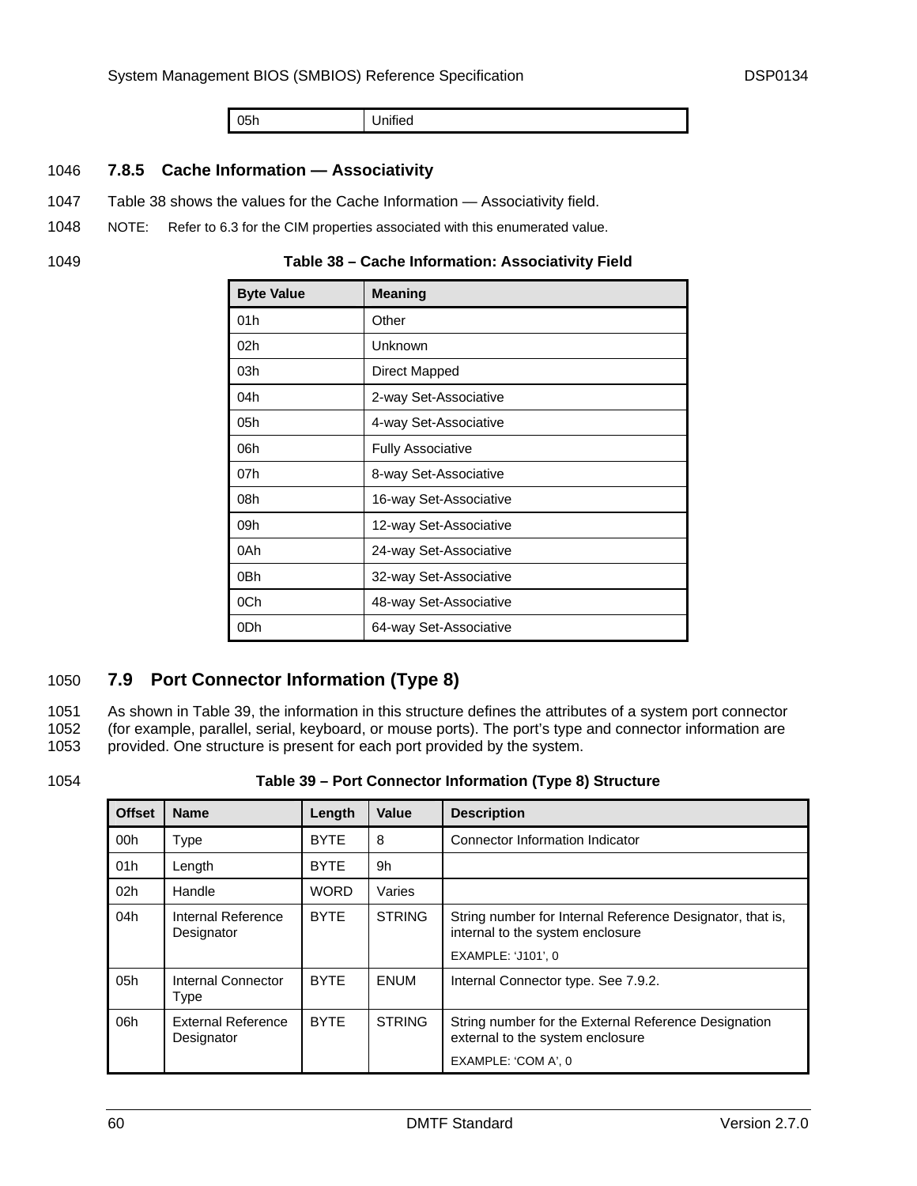05h Unified

## <span id="page-59-0"></span>1046 **7.8.5 Cache Information — Associativity**

- 1047 [Table 38](#page-59-1) shows the values for the Cache Information Associativity field.
- 1048 NOTE: Refer to [6.3](#page-25-0) for the CIM properties associated with this enumerated value.

#### <span id="page-59-1"></span>1049 **Table 38 – Cache Information: Associativity Field**

| <b>Byte Value</b> | <b>Meaning</b>           |
|-------------------|--------------------------|
| 01h               | Other                    |
| 02h               | Unknown                  |
| 03h               | Direct Mapped            |
| 04h               | 2-way Set-Associative    |
| 05h               | 4-way Set-Associative    |
| 06h               | <b>Fully Associative</b> |
| 07h               | 8-way Set-Associative    |
| 08h               | 16-way Set-Associative   |
| 09h               | 12-way Set-Associative   |
| 0Ah               | 24-way Set-Associative   |
| 0Bh               | 32-way Set-Associative   |
| 0Ch               | 48-way Set-Associative   |
| 0Dh               | 64-way Set-Associative   |

# 1050 **7.9 Port Connector Information (Type 8)**

1051 As shown in [Table 39,](#page-59-2) the information in this structure defines the attributes of a system port connector 1052 (for example, parallel, serial, keyboard, or mouse ports). The port's type and connector information are 1053 provided. One structure is present for each port provided by the system.

<span id="page-59-2"></span>1054 **Table 39 – Port Connector Information (Type 8) Structure** 

| <b>Offset</b>   | <b>Name</b>                             | Length      | Value         | <b>Description</b>                                                                                                  |  |
|-----------------|-----------------------------------------|-------------|---------------|---------------------------------------------------------------------------------------------------------------------|--|
| 00 <sub>h</sub> | Type                                    | <b>BYTE</b> | 8             | Connector Information Indicator                                                                                     |  |
| 01h             | Length                                  | <b>BYTE</b> | 9h            |                                                                                                                     |  |
| 02h             | Handle                                  | <b>WORD</b> | Varies        |                                                                                                                     |  |
| 04h             | Internal Reference<br>Designator        | <b>BYTE</b> | <b>STRING</b> | String number for Internal Reference Designator, that is,<br>internal to the system enclosure<br>EXAMPLE: 'J101', 0 |  |
| 05h             | Internal Connector<br><b>Type</b>       | <b>BYTE</b> | <b>ENUM</b>   | Internal Connector type. See 7.9.2.                                                                                 |  |
| 06h             | <b>External Reference</b><br>Designator | <b>BYTE</b> | <b>STRING</b> | String number for the External Reference Designation<br>external to the system enclosure<br>EXAMPLE: 'COM A', 0     |  |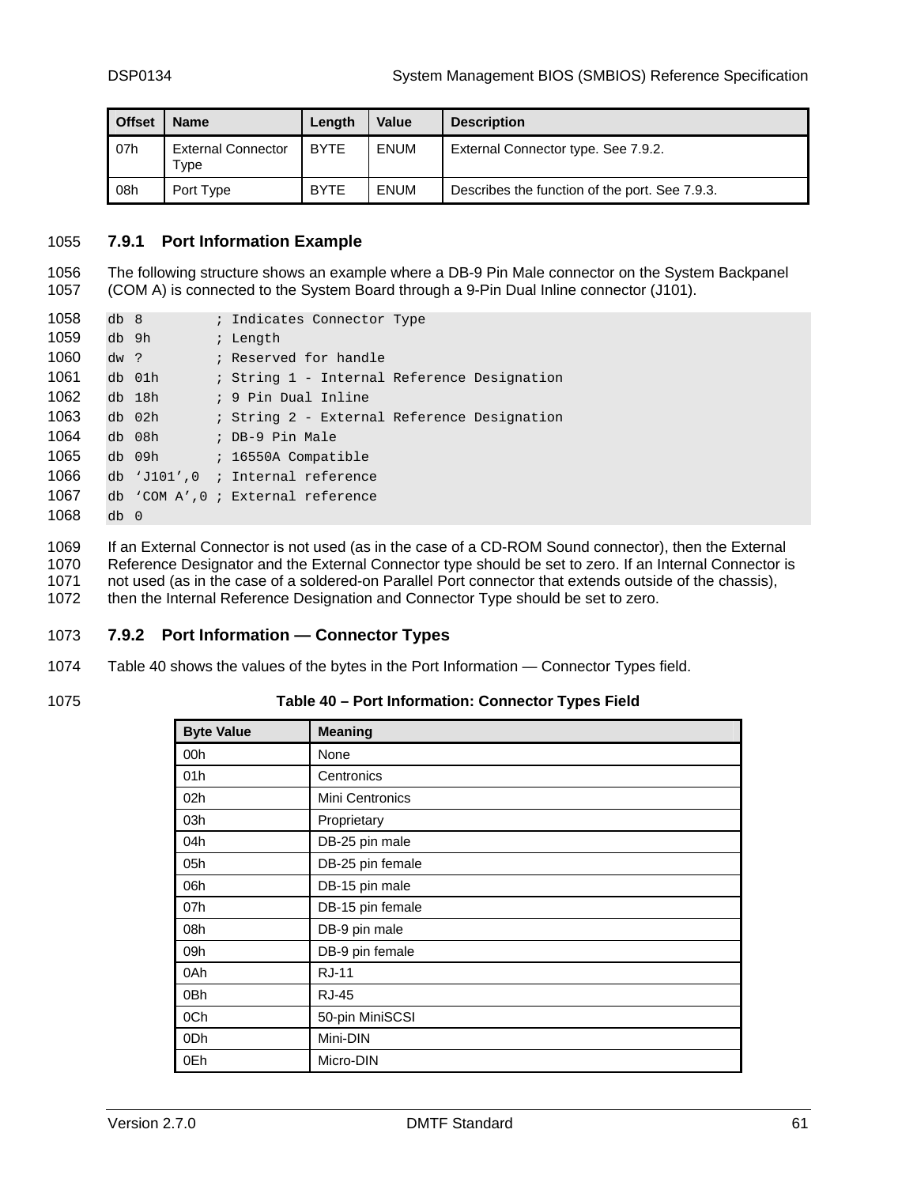| <b>Offset</b> | <b>Name</b>                       | Length      | Value       | <b>Description</b>                             |
|---------------|-----------------------------------|-------------|-------------|------------------------------------------------|
| 07h           | <b>External Connector</b><br>Type | <b>BYTE</b> | <b>ENUM</b> | External Connector type. See 7.9.2.            |
| .08h          | Port Type                         | <b>BYTE</b> | <b>ENUM</b> | Describes the function of the port. See 7.9.3. |

#### 1055 **7.9.1 Port Information Example**

1056 The following structure shows an example where a DB-9 Pin Male connector on the System Backpanel 1057 (COM A) is connected to the System Board through a 9-Pin Dual Inline connector (J101).

| 1058 | db 8  |           | ; Indicates Connector Type                  |
|------|-------|-----------|---------------------------------------------|
| 1059 | db 9h |           | ; Length                                    |
| 1060 |       | $dw$ ?    | ; Reserved for handle                       |
| 1061 |       | db 01h    | ; String 1 - Internal Reference Designation |
| 1062 |       | db 18h    | ; 9 Pin Dual Inline                         |
| 1063 |       | db 02h an | ; String 2 - External Reference Designation |
| 1064 |       |           |                                             |
| 1065 |       |           | db 09h ; 16550A Compatible                  |
| 1066 |       |           | db 'J101',0; Internal reference             |
| 1067 |       |           | db 'COM A', 0; External reference           |
| 1068 | db 0  |           |                                             |

1069 If an External Connector is not used (as in the case of a CD-ROM Sound connector), then the External<br>1070 Reference Designator and the External Connector type should be set to zero. If an Internal Connector is Reference Designator and the External Connector type should be set to zero. If an Internal Connector is 1071 not used (as in the case of a soldered-on Parallel Port connector that extends outside of the chassis), 1072 then the Internal Reference Designation and Connector Type should be set to zero.

## <span id="page-60-0"></span>1073 **7.9.2 Port Information — Connector Types**

1074 [Table 40](#page-60-1) shows the values of the bytes in the Port Information — Connector Types field.

## <span id="page-60-1"></span>1075 **Table 40 – Port Information: Connector Types Field**

| <b>Byte Value</b> | <b>Meaning</b>         |
|-------------------|------------------------|
| 00h               | None                   |
| 01h               | Centronics             |
| 02h               | <b>Mini Centronics</b> |
| 03h               | Proprietary            |
| 04h               | DB-25 pin male         |
| 05h               | DB-25 pin female       |
| 06h               | DB-15 pin male         |
| 07h               | DB-15 pin female       |
| 08h               | DB-9 pin male          |
| 09h               | DB-9 pin female        |
| 0Ah               | <b>RJ-11</b>           |
| 0Bh               | <b>RJ-45</b>           |
| 0Ch               | 50-pin MiniSCSI        |
| 0Dh               | Mini-DIN               |
| 0Eh               | Micro-DIN              |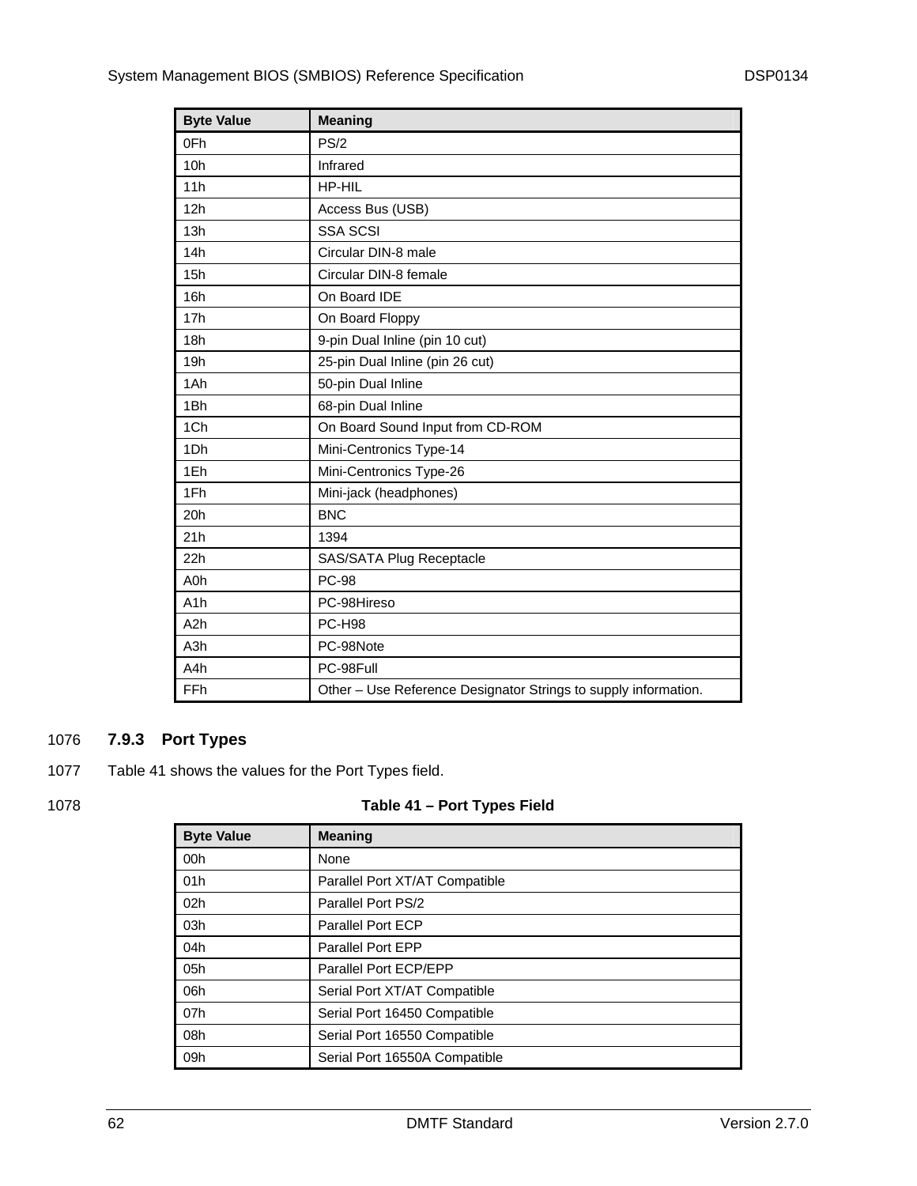| <b>Byte Value</b> | <b>Meaning</b>                                                  |
|-------------------|-----------------------------------------------------------------|
| 0Fh               | PS/2                                                            |
| 10h               | Infrared                                                        |
| 11h               | HP-HIL                                                          |
| 12h               | Access Bus (USB)                                                |
| 13h               | <b>SSA SCSI</b>                                                 |
| 14h               | Circular DIN-8 male                                             |
| 15h               | Circular DIN-8 female                                           |
| 16h               | On Board IDE                                                    |
| 17h               | On Board Floppy                                                 |
| 18h               | 9-pin Dual Inline (pin 10 cut)                                  |
| 19h               | 25-pin Dual Inline (pin 26 cut)                                 |
| 1Ah               | 50-pin Dual Inline                                              |
| 1Bh               | 68-pin Dual Inline                                              |
| 1Ch               | On Board Sound Input from CD-ROM                                |
| 1Dh               | Mini-Centronics Type-14                                         |
| 1Eh               | Mini-Centronics Type-26                                         |
| 1Fh               | Mini-jack (headphones)                                          |
| 20h               | <b>BNC</b>                                                      |
| 21h               | 1394                                                            |
| 22h               | SAS/SATA Plug Receptacle                                        |
| A0h               | <b>PC-98</b>                                                    |
| A1h               | PC-98Hireso                                                     |
| A <sub>2</sub> h  | <b>PC-H98</b>                                                   |
| A3h               | PC-98Note                                                       |
| A4h               | PC-98Full                                                       |
| FFh               | Other - Use Reference Designator Strings to supply information. |

# <span id="page-61-0"></span>1076 **7.9.3 Port Types**

# <span id="page-61-1"></span>1078 **Table 41 – Port Types Field**

| <b>Byte Value</b> | <b>Meaning</b>                 |
|-------------------|--------------------------------|
| 00h               | None                           |
| 01h               | Parallel Port XT/AT Compatible |
| 02 <sub>h</sub>   | Parallel Port PS/2             |
| 03h               | <b>Parallel Port ECP</b>       |
| 04h               | Parallel Port EPP              |
| 05h               | Parallel Port ECP/EPP          |
| 06h               | Serial Port XT/AT Compatible   |
| 07h               | Serial Port 16450 Compatible   |
| 08h               | Serial Port 16550 Compatible   |
| 09h               | Serial Port 16550A Compatible  |

<sup>1077</sup> [Table 41](#page-61-1) shows the values for the Port Types field.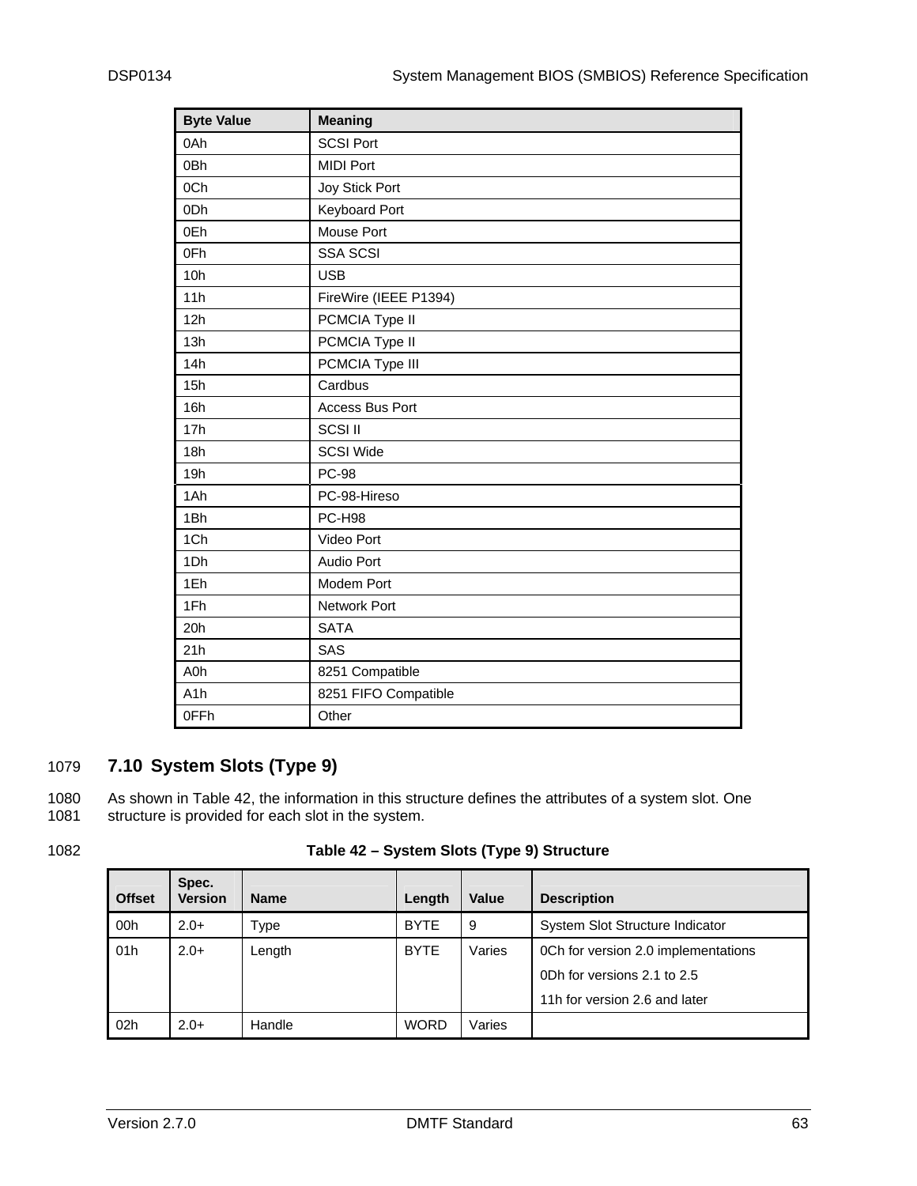| <b>Byte Value</b> | Meaning                |
|-------------------|------------------------|
| 0Ah               | <b>SCSI Port</b>       |
| 0Bh               | <b>MIDI Port</b>       |
| 0Ch               | Joy Stick Port         |
| 0Dh               | Keyboard Port          |
| 0Eh               | Mouse Port             |
| 0Fh               | <b>SSA SCSI</b>        |
| 10h               | <b>USB</b>             |
| 11h               | FireWire (IEEE P1394)  |
| 12h               | PCMCIA Type II         |
| 13h               | PCMCIA Type II         |
| 14h               | PCMCIA Type III        |
| 15h               | Cardbus                |
| 16h               | <b>Access Bus Port</b> |
| 17h               | SCSI II                |
| 18h               | <b>SCSI Wide</b>       |
| 19h               | <b>PC-98</b>           |
| 1Ah               | PC-98-Hireso           |
| 1Bh               | <b>PC-H98</b>          |
| 1Ch               | Video Port             |
| 1Dh               | Audio Port             |
| 1Eh               | Modem Port             |
| 1Fh               | Network Port           |
| 20h               | <b>SATA</b>            |
| 21h               | SAS                    |
| A0h               | 8251 Compatible        |
| A <sub>1</sub> h  | 8251 FIFO Compatible   |
| 0FFh              | Other                  |

# 1079 **7.10 System Slots (Type 9)**

1080 As shown in [Table 42,](#page-62-0) the information in this structure defines the attributes of a system slot. One 1081 structure is provided for each slot in the system. structure is provided for each slot in the system.

<span id="page-62-0"></span>

| 1082 | Table 42 - System Slots (Type 9) Structure |
|------|--------------------------------------------|
|------|--------------------------------------------|

| <b>Offset</b>   | Spec.<br><b>Version</b> | <b>Name</b> | Length      | Value  | <b>Description</b>                                                 |
|-----------------|-------------------------|-------------|-------------|--------|--------------------------------------------------------------------|
| 00h             | $2.0+$                  | Type        | <b>BYTE</b> | 9      | System Slot Structure Indicator                                    |
| 01h             | $2.0+$                  | Length      | <b>BYTE</b> | Varies | 0Ch for version 2.0 implementations<br>0Dh for versions 2.1 to 2.5 |
|                 |                         |             |             |        | 11h for version 2.6 and later                                      |
| 02 <sub>h</sub> | $2.0+$                  | Handle      | <b>WORD</b> | Varies |                                                                    |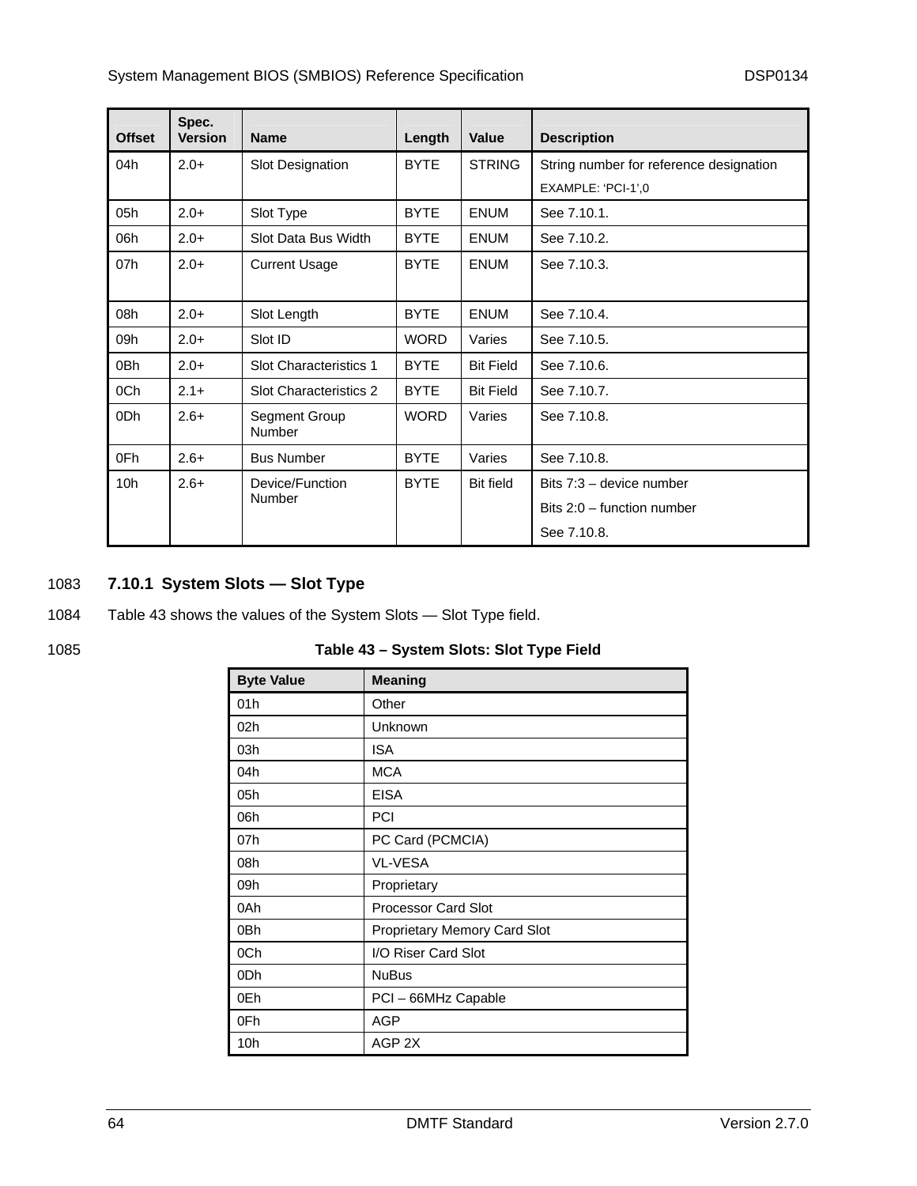| <b>Offset</b>   | Spec.<br><b>Version</b> | <b>Name</b>                    | Length      | Value            | <b>Description</b>                      |
|-----------------|-------------------------|--------------------------------|-------------|------------------|-----------------------------------------|
| 04h             | $2.0+$                  | Slot Designation               | <b>BYTE</b> | <b>STRING</b>    | String number for reference designation |
|                 |                         |                                |             |                  | EXAMPLE: 'PCI-1',0                      |
| 05h             | $2.0+$                  | Slot Type                      | <b>BYTE</b> | <b>ENUM</b>      | See 7.10.1.                             |
| 06h             | $2.0+$                  | Slot Data Bus Width            | <b>BYTE</b> | <b>ENUM</b>      | See 7.10.2.                             |
| 07h             | $2.0+$                  | <b>Current Usage</b>           | <b>BYTE</b> | <b>ENUM</b>      | See 7.10.3.                             |
|                 |                         |                                |             |                  |                                         |
| 08h             | $2.0+$                  | Slot Length                    | <b>BYTE</b> | <b>ENUM</b>      | See 7.10.4.                             |
| 09h             | $2.0+$                  | Slot ID                        | <b>WORD</b> | Varies           | See 7.10.5.                             |
| 0Bh             | $2.0+$                  | Slot Characteristics 1         | <b>BYTE</b> | <b>Bit Field</b> | See 7.10.6.                             |
| 0Ch             | $2.1+$                  | Slot Characteristics 2         | <b>BYTE</b> | <b>Bit Field</b> | See 7.10.7.                             |
| 0Dh             | $2.6+$                  | Segment Group<br><b>Number</b> | <b>WORD</b> | Varies           | See 7.10.8.                             |
| 0Fh             | $2.6+$                  | <b>Bus Number</b>              | <b>BYTE</b> | Varies           | See 7.10.8.                             |
| 10 <sub>h</sub> | $2.6+$                  | Device/Function                | <b>BYTE</b> | <b>Bit field</b> | Bits $7:3 -$ device number              |
|                 |                         | Number                         |             |                  | Bits $2:0 -$ function number            |
|                 |                         |                                |             |                  | See 7.10.8.                             |

# <span id="page-63-0"></span>1083 **7.10.1 System Slots — Slot Type**

1084 [Table 43](#page-63-1) shows the values of the System Slots — Slot Type field.

## <span id="page-63-1"></span>1085 **Table 43 – System Slots: Slot Type Field**

| <b>Byte Value</b> | <b>Meaning</b>               |
|-------------------|------------------------------|
| 01h               | Other                        |
| 02 <sub>h</sub>   | Unknown                      |
| 03h               | <b>ISA</b>                   |
| 04h               | <b>MCA</b>                   |
| 05h               | <b>EISA</b>                  |
| 06h               | PCI                          |
| 07h               | PC Card (PCMCIA)             |
| 08h               | <b>VL-VESA</b>               |
| 09h               | Proprietary                  |
| 0Ah               | <b>Processor Card Slot</b>   |
| 0Bh               | Proprietary Memory Card Slot |
| 0Ch               | I/O Riser Card Slot          |
| 0Dh               | <b>NuBus</b>                 |
| 0Eh               | PCI-66MHz Capable            |
| 0Fh               | <b>AGP</b>                   |
| 10h               | AGP <sub>2X</sub>            |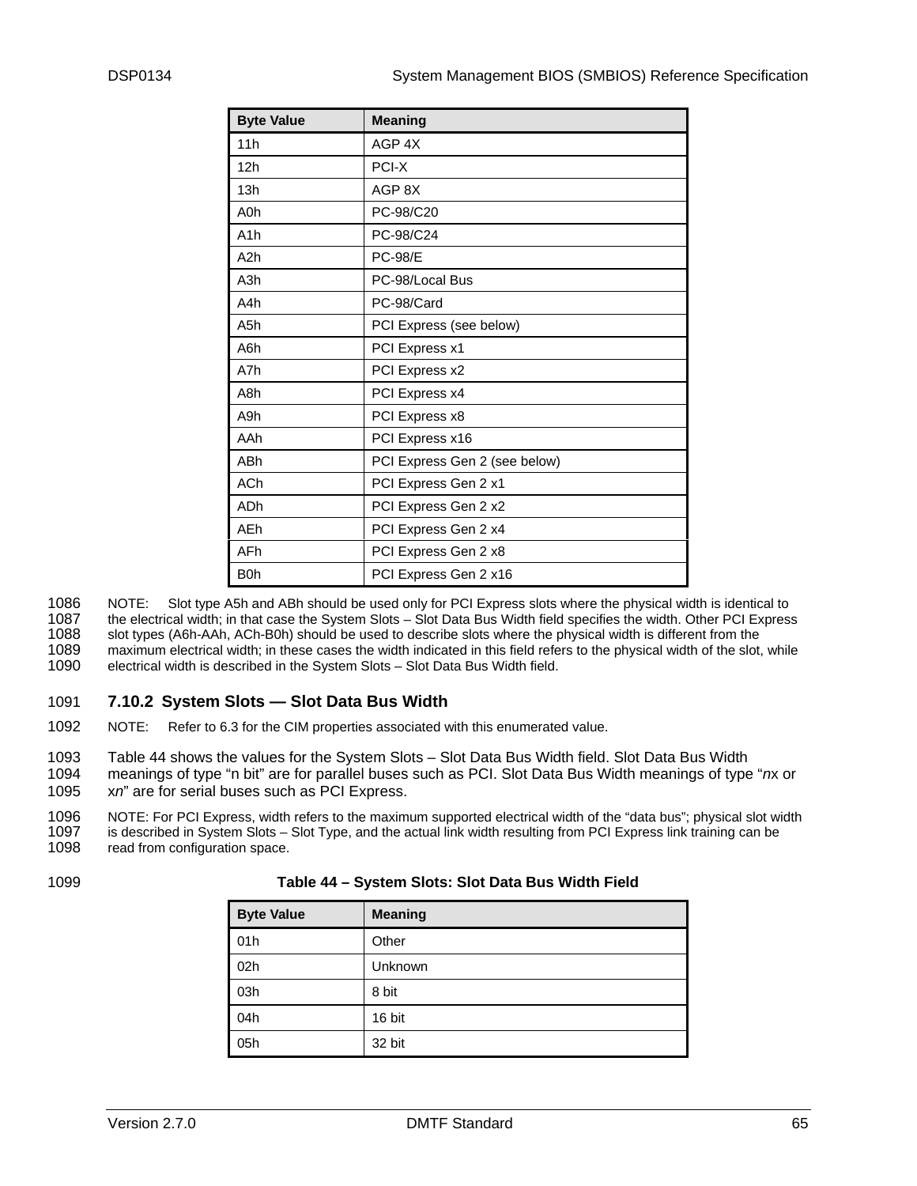| <b>Byte Value</b> | <b>Meaning</b>                |
|-------------------|-------------------------------|
| 11h               | AGP <sub>4X</sub>             |
| 12h               | PCI-X                         |
| 13h               | AGP 8X                        |
| A <sub>0</sub> h  | PC-98/C20                     |
| A <sub>1</sub> h  | PC-98/C24                     |
| A2h               | <b>PC-98/E</b>                |
| A <sub>3</sub> h  | PC-98/Local Bus               |
| A4h               | PC-98/Card                    |
| A <sub>5</sub> h  | PCI Express (see below)       |
| A6h               | PCI Express x1                |
| A7h               | PCI Express x2                |
| A8h               | PCI Express x4                |
| A <sub>9</sub> h  | PCI Express x8                |
| AAh               | PCI Express x16               |
| ABh               | PCI Express Gen 2 (see below) |
| <b>ACh</b>        | PCI Express Gen 2 x1          |
| ADh               | PCI Express Gen 2 x2          |
| <b>AEh</b>        | PCI Express Gen 2 x4          |
| AFh               | PCI Express Gen 2 x8          |
| B <sub>0</sub> h  | PCI Express Gen 2 x16         |

1086 NOTE: Slot type A5h and ABh should be used only for PCI Express slots where the physical width is identical to 1087 the electrical width; in that case the System Slots – Slot Data Bus Width field specifies the width. Other PCI Express<br>1088 slot types (A6h-AAh, ACh-B0h) should be used to describe slots where the physical width is di 1088 slot types (A6h-AAh, ACh-B0h) should be used to describe slots where the physical width is different from the<br>1089 maximum electrical width; in these cases the width indicated in this field refers to the physical widt 1089 maximum electrical width; in these cases the width indicated in this field refers to the physical width of the slot, while 1090 electrical width is described in the System Slots - Slot Data Bus Width field. electrical width is described in the System Slots - Slot Data Bus Width field.

## <span id="page-64-0"></span>1091 **7.10.2 System Slots — Slot Data Bus Width**

1092 NOTE: Refer to [6.3](#page-25-0) for the CIM properties associated with this enumerated value.

1093 [Table 44](#page-64-1) shows the values for the System Slots – Slot Data Bus Width field. Slot Data Bus Width 1094 meanings of type "n bit" are for parallel buses such as PCI. Slot Data Bus Width meanings of type "*n*x or 1095 x*n*" are for serial buses such as PCI Express.

1096 NOTE: For PCI Express, width refers to the maximum supported electrical width of the "data bus"; physical slot width 1097 is described in System Slots – Slot Type, and the actual link width resulting from PCI Express 1097 is described in System Slots – Slot Type, and the actual link width resulting from PCI Express link training can be<br>1098 read from configuration space.

read from configuration space.

## <span id="page-64-1"></span>1099 **Table 44 – System Slots: Slot Data Bus Width Field**

| <b>Byte Value</b> | <b>Meaning</b> |
|-------------------|----------------|
| 01h               | Other          |
| 02h               | Unknown        |
| 03h               | 8 bit          |
| 04h               | 16 bit         |
| 05h               | 32 bit         |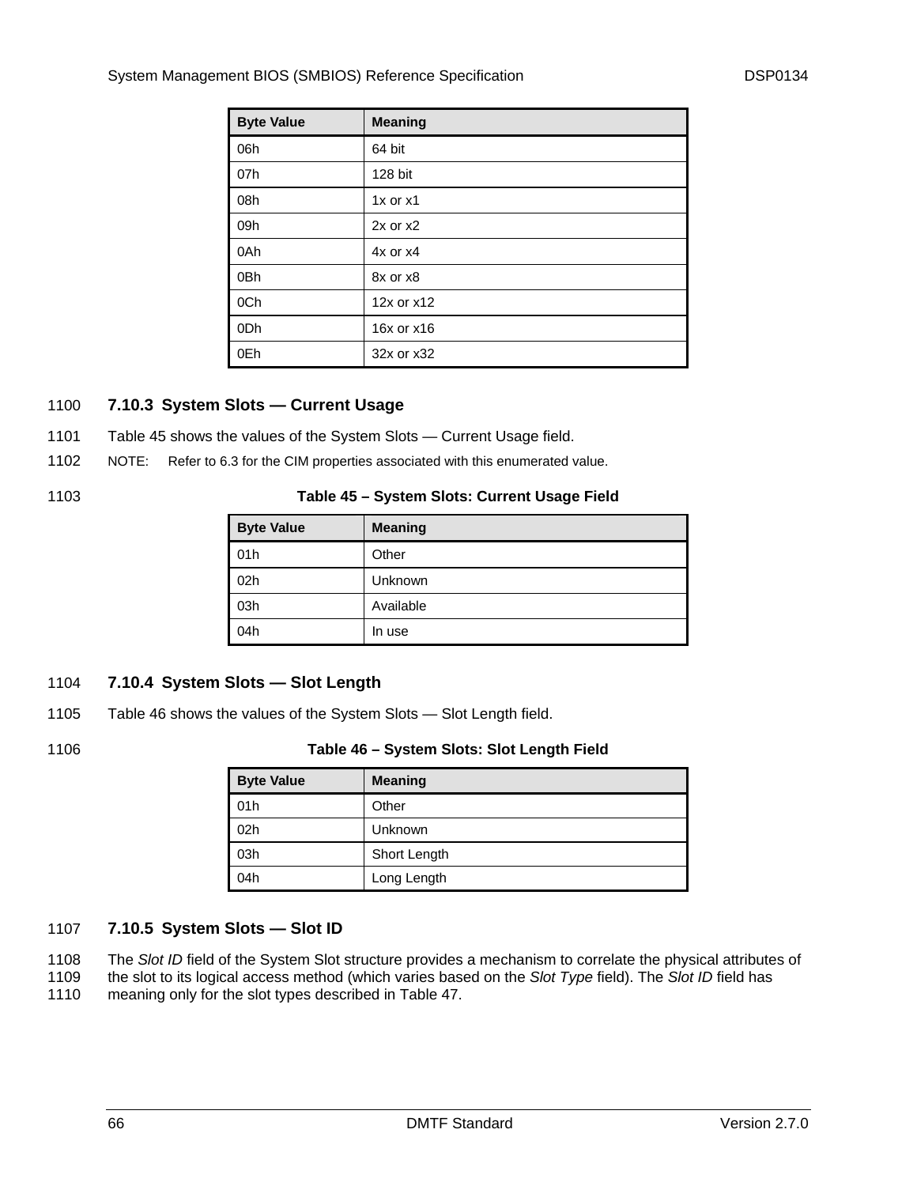| <b>Byte Value</b> | <b>Meaning</b> |
|-------------------|----------------|
| 06h               | 64 bit         |
| 07h               | 128 bit        |
| 08h               | $1x$ or $x1$   |
| 09h               | $2x$ or $x2$   |
| 0Ah               | $4x$ or $x4$   |
| 0 <sub>Bh</sub>   | 8x or x8       |
| 0Ch               | 12x or x12     |
| 0 <sub>Dh</sub>   | 16x or x16     |
| 0Eh               | 32x or x32     |

## <span id="page-65-0"></span>1100 **7.10.3 System Slots — Current Usage**

- 1101 [Table 45](#page-65-3) shows the values of the System Slots Current Usage field.
- 1102 NOTE: Refer to [6.3](#page-25-0) for the CIM properties associated with this enumerated value.

## <span id="page-65-3"></span>1103 **Table 45 – System Slots: Current Usage Field**

| <b>Byte Value</b> | <b>Meaning</b> |
|-------------------|----------------|
| 01h               | Other          |
| 02h               | Unknown        |
| 03h               | Available      |
| 04h               | In use         |

## <span id="page-65-1"></span>1104 **7.10.4 System Slots — Slot Length**

- 1105 [Table 46](#page-65-4) shows the values of the System Slots Slot Length field.
- 

## <span id="page-65-4"></span>1106 **Table 46 – System Slots: Slot Length Field**

| <b>Byte Value</b> | <b>Meaning</b> |
|-------------------|----------------|
| 01h               | Other          |
| 02h               | Unknown        |
| 03h               | Short Length   |
| 04h               | Long Length    |

## <span id="page-65-2"></span>1107 **7.10.5 System Slots — Slot ID**

1108 The *Slot ID* field of the System Slot structure provides a mechanism to correlate the physical attributes of

1109 the slot to its logical access method (which varies based on the *Slot Type* field). The *Slot ID* field has 1110 meaning only for the slot types described in [Table 47](#page-66-2).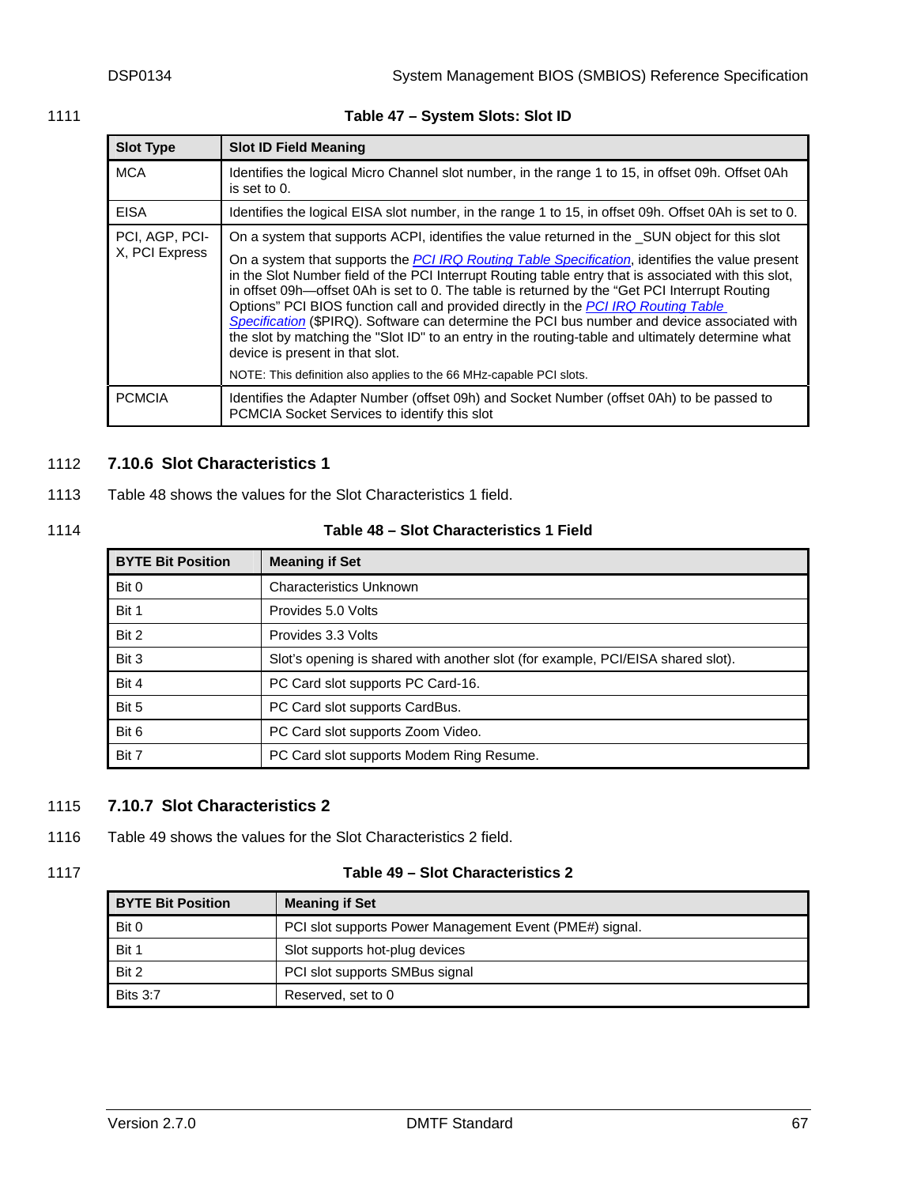## <span id="page-66-2"></span>1111 **Table 47 – System Slots: Slot ID**

| <b>Slot Type</b>                 | <b>Slot ID Field Meaning</b>                                                                                                                                                                                                                                                                                                                                                                                                                                                                                                                                                                                                                                                                                                                                                                                                  |
|----------------------------------|-------------------------------------------------------------------------------------------------------------------------------------------------------------------------------------------------------------------------------------------------------------------------------------------------------------------------------------------------------------------------------------------------------------------------------------------------------------------------------------------------------------------------------------------------------------------------------------------------------------------------------------------------------------------------------------------------------------------------------------------------------------------------------------------------------------------------------|
| <b>MCA</b>                       | Identifies the logical Micro Channel slot number, in the range 1 to 15, in offset 09h. Offset 0Ah<br>is set to $0$ .                                                                                                                                                                                                                                                                                                                                                                                                                                                                                                                                                                                                                                                                                                          |
| <b>EISA</b>                      | Identifies the logical EISA slot number, in the range 1 to 15, in offset 09h. Offset 0Ah is set to 0.                                                                                                                                                                                                                                                                                                                                                                                                                                                                                                                                                                                                                                                                                                                         |
| PCI, AGP, PCI-<br>X, PCI Express | On a system that supports ACPI, identifies the value returned in the SUN object for this slot<br>On a system that supports the <b>PCI IRQ Routing Table Specification</b> , identifies the value present<br>in the Slot Number field of the PCI Interrupt Routing table entry that is associated with this slot,<br>in offset 09h—offset 0Ah is set to 0. The table is returned by the "Get PCI Interrupt Routing<br>Options" PCI BIOS function call and provided directly in the <b>PCI IRQ Routing Table</b><br>Specification (\$PIRQ). Software can determine the PCI bus number and device associated with<br>the slot by matching the "Slot ID" to an entry in the routing-table and ultimately determine what<br>device is present in that slot.<br>NOTE: This definition also applies to the 66 MHz-capable PCI slots. |
| <b>PCMCIA</b>                    | Identifies the Adapter Number (offset 09h) and Socket Number (offset 0Ah) to be passed to<br>PCMCIA Socket Services to identify this slot                                                                                                                                                                                                                                                                                                                                                                                                                                                                                                                                                                                                                                                                                     |

## <span id="page-66-0"></span>1112 **7.10.6 Slot Characteristics 1**

1113 [Table 48](#page-66-3) shows the values for the Slot Characteristics 1 field.

#### <span id="page-66-3"></span>1114 **Table 48 – Slot Characteristics 1 Field**

| <b>BYTE Bit Position</b> | <b>Meaning if Set</b>                                                           |
|--------------------------|---------------------------------------------------------------------------------|
| Bit 0                    | <b>Characteristics Unknown</b>                                                  |
| Bit 1                    | Provides 5.0 Volts                                                              |
| Bit 2                    | Provides 3.3 Volts                                                              |
| Bit 3                    | Slot's opening is shared with another slot (for example, PCI/EISA shared slot). |
| Bit 4                    | PC Card slot supports PC Card-16.                                               |
| Bit 5                    | PC Card slot supports CardBus.                                                  |
| Bit 6                    | PC Card slot supports Zoom Video.                                               |
| Bit 7                    | PC Card slot supports Modem Ring Resume.                                        |

## <span id="page-66-1"></span>1115 **7.10.7 Slot Characteristics 2**

1116 [Table 49](#page-66-4) shows the values for the Slot Characteristics 2 field.

## <span id="page-66-4"></span>1117 **Table 49 – Slot Characteristics 2**

| <b>BYTE Bit Position</b> | <b>Meaning if Set</b>                                   |
|--------------------------|---------------------------------------------------------|
| Bit 0                    | PCI slot supports Power Management Event (PME#) signal. |
| Bit 1                    | Slot supports hot-plug devices                          |
| Bit 2                    | PCI slot supports SMBus signal                          |
| <b>Bits 3:7</b>          | Reserved, set to 0                                      |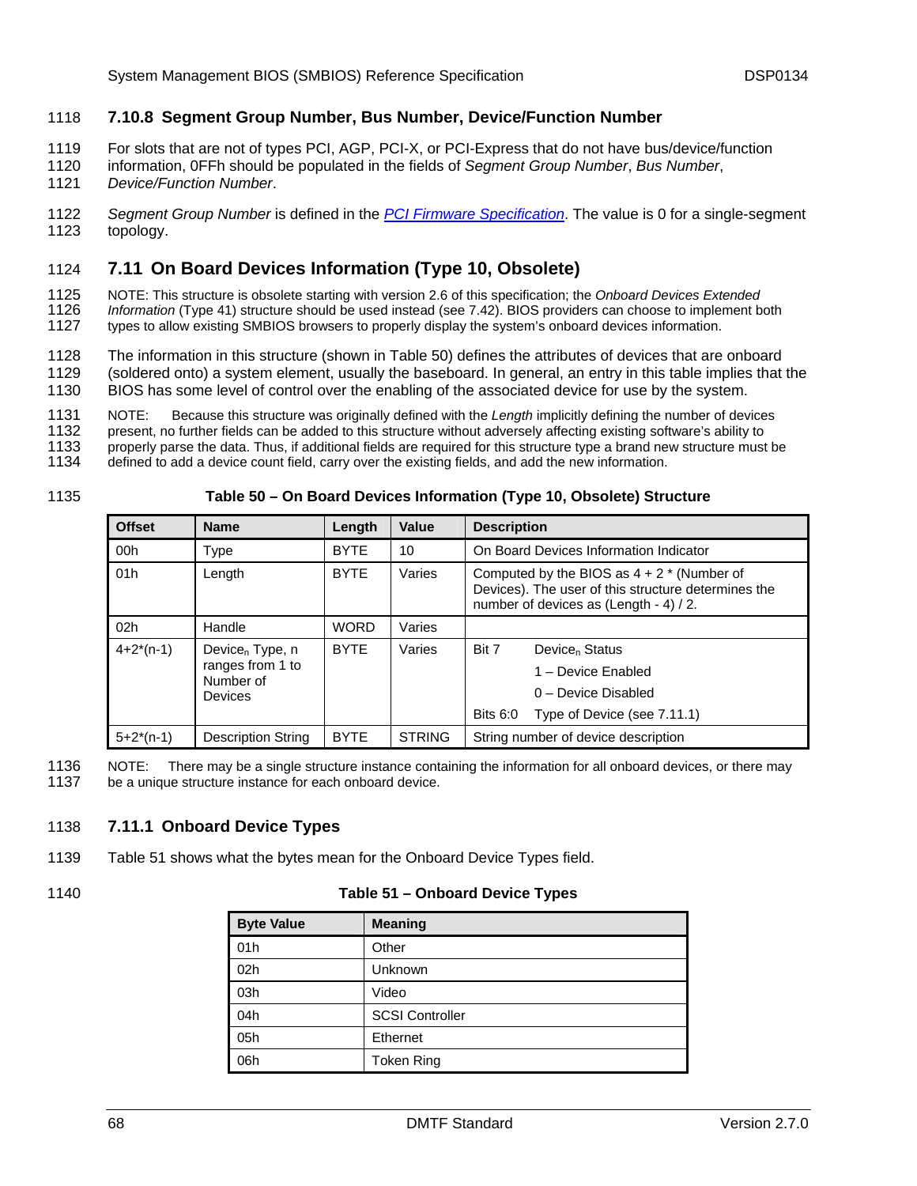## <span id="page-67-0"></span>1118 **7.10.8 Segment Group Number, Bus Number, Device/Function Number**

- 1119 For slots that are not of types PCI, AGP, PCI-X, or PCI-Express that do not have bus/device/function
- 1120 information, 0FFh should be populated in the fields of *Segment Group Number*, *Bus Number*,
- 1121 *Device/Function Number*.
- 1122 *Segment Group Number* is defined in the *[PCI Firmware Specification](#page-13-0)*. The value is 0 for a single-segment 1123 topology.

# 1124 **7.11 On Board Devices Information (Type 10, Obsolete)**

- 1125 NOTE: This structure is obsolete starting with version 2.6 of this specification; the *Onboard Devices Extended*
- 1126 *Information* (Type 41) structure should be used instead (see [7.42\)](#page-116-0). BIOS providers can choose to implement both
- types to allow existing SMBIOS browsers to properly display the system's onboard devices information.
- 1128 The information in this structure (shown in [Table 50](#page-67-1)) defines the attributes of devices that are onboard 1129 (soldered onto) a system element, usually the baseboard. In general, an entry in this table implies that the 1130 BIOS has some level of control over the enabling of the associated device for use by the system.
- 
- 1131 NOTE: Because this structure was originally defined with the *Length* implicitly defining the number of devices 1132 present, no further fields can be added to this structure without adversely affecting existing software's ability to
- 1133 properly parse the data. Thus, if additional fields are required for this structure type a brand new structure must be
- 1134 defined to add a device count field, carry over the existing fields, and add the new information.
- 

## <span id="page-67-1"></span>1135 **Table 50 – On Board Devices Information (Type 10, Obsolete) Structure**

| <b>Offset</b>   | <b>Name</b>                   | Length      | Value         | <b>Description</b>                                                                                                                            |
|-----------------|-------------------------------|-------------|---------------|-----------------------------------------------------------------------------------------------------------------------------------------------|
| 00h             | Type                          | <b>BYTE</b> | 10            | On Board Devices Information Indicator                                                                                                        |
| 01h             | Length                        | <b>BYTE</b> | Varies        | Computed by the BIOS as $4 + 2$ * (Number of<br>Devices). The user of this structure determines the<br>number of devices as (Length - 4) / 2. |
| 02 <sub>h</sub> | Handle                        | <b>WORD</b> | Varies        |                                                                                                                                               |
| $4+2^{*}(n-1)$  | Device <sub>n</sub> Type, n   | <b>BYTE</b> | Varies        | Bit 7<br>Device <sub>n</sub> Status                                                                                                           |
|                 | ranges from 1 to<br>Number of |             |               | 1 - Device Enabled                                                                                                                            |
|                 | <b>Devices</b>                |             |               | 0 - Device Disabled                                                                                                                           |
|                 |                               |             |               | Type of Device (see 7.11.1)<br>Bits $6:0$                                                                                                     |
| $5+2*(n-1)$     | <b>Description String</b>     | <b>BYTE</b> | <b>STRING</b> | String number of device description                                                                                                           |

1136 NOTE: There may be a single structure instance containing the information for all onboard devices, or there may <br>1137 be a unique structure instance for each onboard device. be a unique structure instance for each onboard device.

# <span id="page-67-2"></span>1138 **7.11.1 Onboard Device Types**

- 1139 [Table 51](#page-67-3) shows what the bytes mean for the Onboard Device Types field.
- 

#### <span id="page-67-3"></span>1140 **Table 51 – Onboard Device Types**

| <b>Byte Value</b> | <b>Meaning</b>         |  |  |  |  |
|-------------------|------------------------|--|--|--|--|
| 01h               | Other                  |  |  |  |  |
| 02 <sub>h</sub>   | Unknown                |  |  |  |  |
| 03h               | Video                  |  |  |  |  |
| 04h               | <b>SCSI Controller</b> |  |  |  |  |
| 05h               | Ethernet               |  |  |  |  |
| 06h               | <b>Token Ring</b>      |  |  |  |  |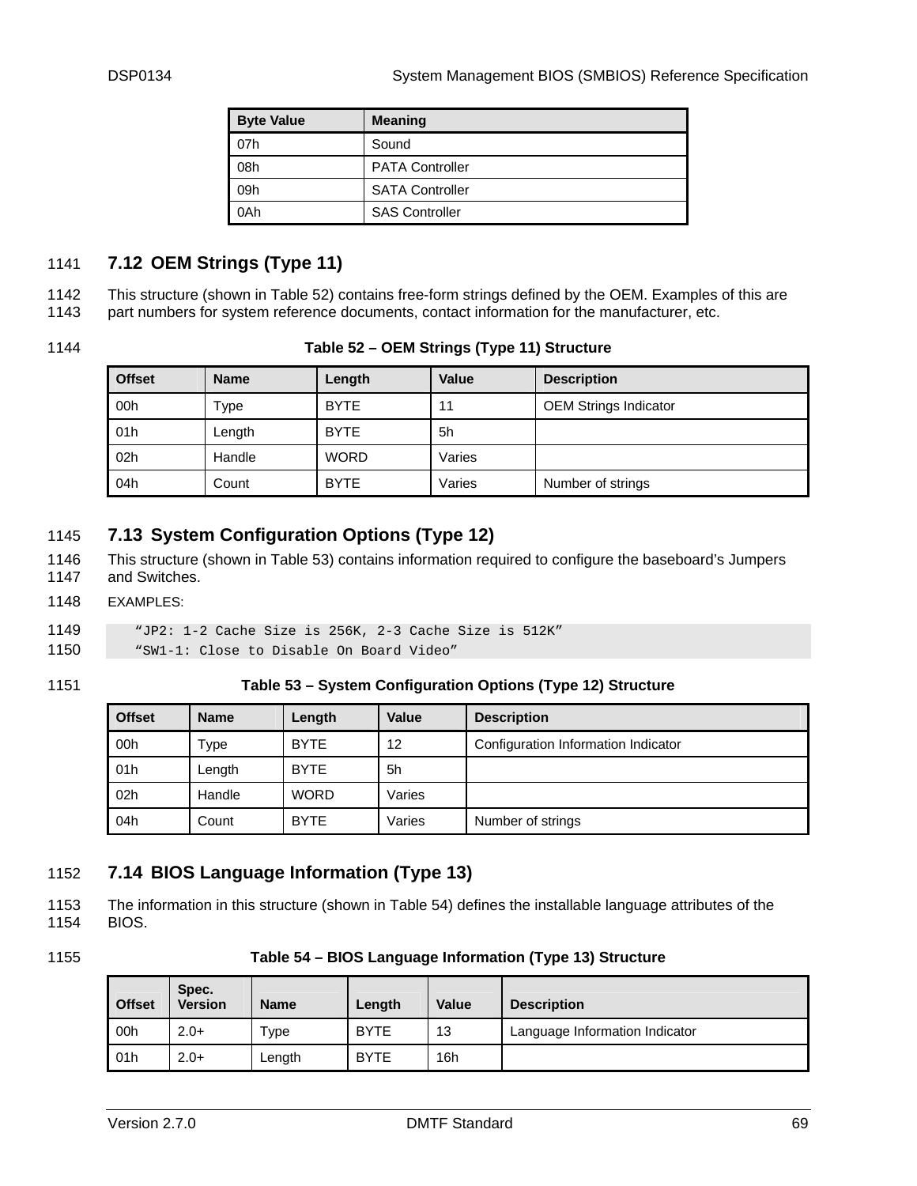| <b>Byte Value</b> | <b>Meaning</b>         |  |  |  |  |
|-------------------|------------------------|--|--|--|--|
| 07h               | Sound                  |  |  |  |  |
| 08h               | <b>PATA Controller</b> |  |  |  |  |
| 09h               | <b>SATA Controller</b> |  |  |  |  |
| 0Ah               | <b>SAS Controller</b>  |  |  |  |  |

# 1141 **7.12 OEM Strings (Type 11)**

1142 This structure (shown in [Table 52\)](#page-68-0) contains free-form strings defined by the OEM. Examples of this are

1143 part numbers for system reference documents, contact information for the manufacturer, etc.

## <span id="page-68-0"></span>1144 **Table 52 – OEM Strings (Type 11) Structure**

| <b>Offset</b> | <b>Name</b> | Length      | <b>Value</b> | <b>Description</b>           |
|---------------|-------------|-------------|--------------|------------------------------|
| 00h           | Type        | <b>BYTE</b> | 11           | <b>OEM Strings Indicator</b> |
| 01h           | Length      | <b>BYTE</b> | 5h           |                              |
| 02h           | Handle      | <b>WORD</b> | Varies       |                              |
| 04h           | Count       | <b>BYTE</b> | Varies       | Number of strings            |

# 1145 **7.13 System Configuration Options (Type 12)**

1146 This structure (shown in [Table 53\)](#page-68-1) contains information required to configure the baseboard's Jumpers 1147 and Switches.

#### 1148 EXAMPLES:

- 1149 "JP2: 1-2 Cache Size is 256K, 2-3 Cache Size is 512K"
- 1150 "SW1-1: Close to Disable On Board Video"
- 

## <span id="page-68-1"></span>1151 **Table 53 – System Configuration Options (Type 12) Structure**

| <b>Offset</b> | <b>Name</b> | Length      | Value  | <b>Description</b>                  |
|---------------|-------------|-------------|--------|-------------------------------------|
| 00h           | Type        | <b>BYTE</b> | 12     | Configuration Information Indicator |
| 01h           | Length      | <b>BYTE</b> | 5h     |                                     |
| 02h           | Handle      | <b>WORD</b> | Varies |                                     |
| 04h           | Count       | <b>BYTE</b> | Varies | Number of strings                   |

# 1152 **7.14 BIOS Language Information (Type 13)**

1153 The information in this structure (shown in [Table 54](#page-68-2)) defines the installable language attributes of the BIOS.

<span id="page-68-2"></span>

| 1155 | Table 54 – BIOS Language Information (Type 13) Structure |  |
|------|----------------------------------------------------------|--|
|------|----------------------------------------------------------|--|

| <b>Offset</b> | Spec.<br><b>Version</b> | <b>Name</b>   | Length      | Value | <b>Description</b>             |
|---------------|-------------------------|---------------|-------------|-------|--------------------------------|
| 00h           | $2.0+$                  | $r_{\rm VDE}$ | <b>BYTE</b> | 13    | Language Information Indicator |
| 01h           | $2.0+$                  | Length        | <b>BYTE</b> | 16h   |                                |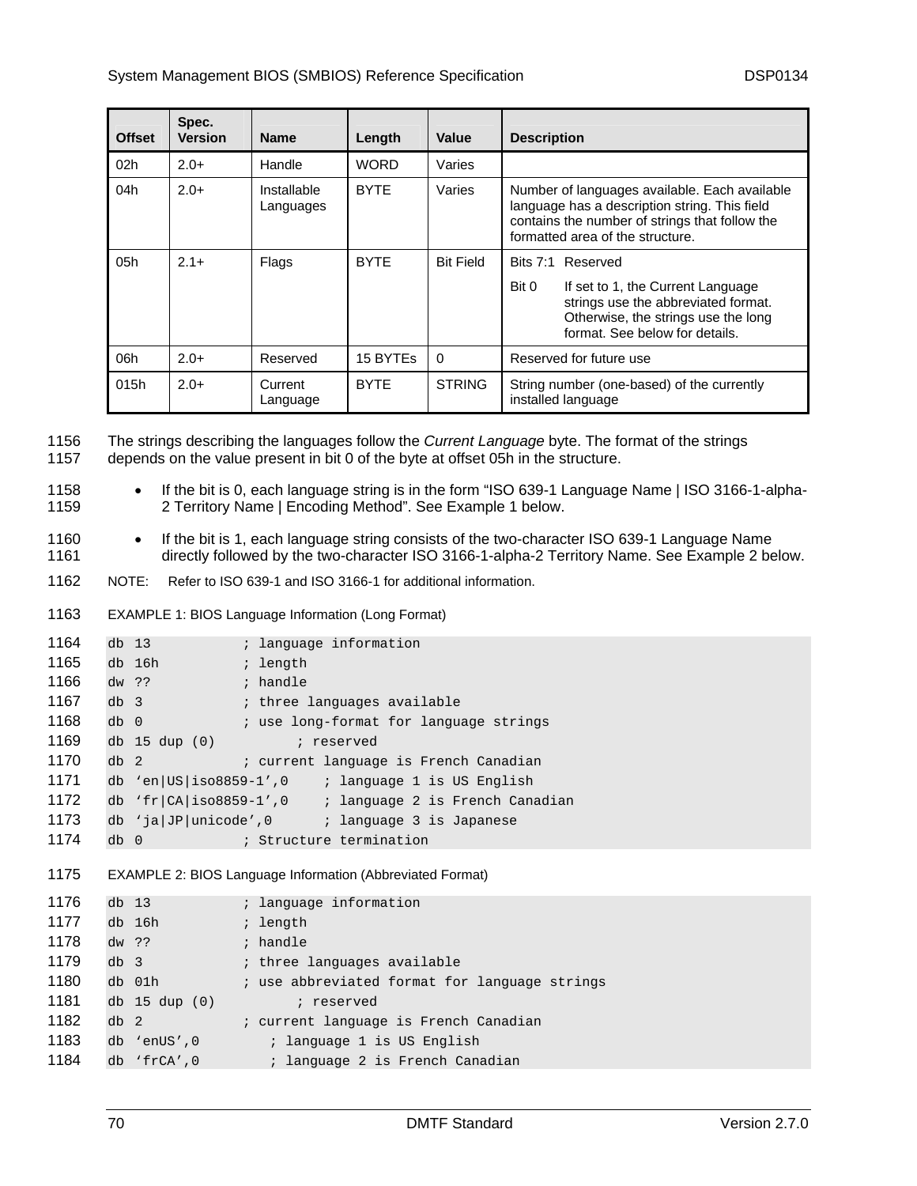| <b>Offset</b>   | Spec.<br><b>Version</b> | <b>Name</b>              | Length      | Value            | <b>Description</b>                                                                                                                                                                   |
|-----------------|-------------------------|--------------------------|-------------|------------------|--------------------------------------------------------------------------------------------------------------------------------------------------------------------------------------|
| 02 <sub>h</sub> | $2.0+$                  | Handle                   | <b>WORD</b> | Varies           |                                                                                                                                                                                      |
| 04h             | $2.0+$                  | Installable<br>Languages | <b>BYTE</b> | Varies           | Number of languages available. Each available<br>language has a description string. This field<br>contains the number of strings that follow the<br>formatted area of the structure. |
| 05h             | $2.1+$                  | Flags                    | <b>BYTE</b> | <b>Bit Field</b> | Reserved<br>Bits 7:1                                                                                                                                                                 |
|                 |                         |                          |             |                  | Bit 0<br>If set to 1, the Current Language<br>strings use the abbreviated format.<br>Otherwise, the strings use the long<br>format. See below for details.                           |
| 06h             | $2.0+$                  | Reserved                 | 15 BYTEs    | $\Omega$         | Reserved for future use                                                                                                                                                              |
| 015h            | $2.0+$                  | Current<br>Language      | <b>BYTE</b> | <b>STRING</b>    | String number (one-based) of the currently<br>installed language                                                                                                                     |

1156 The strings describing the languages follow the *Current Language* byte. The format of the strings 1157 depends on the value present in bit 0 of the byte at offset 05h in the structure.

```
1158 • If the bit is 0, each language string is in the form "ISO 639-1 Language Name | ISO 3166-1-alpha-
1159 2 Territory Name | Encoding Method". See Example 1 below.
```
1160 • If the bit is 1, each language string consists of the two-character ISO 639-1 Language Name 1161 directly followed by the two-character ISO 3166-1-alpha-2 Territory Name. See Example 2 below.

1162 NOTE: Refer to ISO 639-1 and ISO 3166-1 for additional information.

```
1163 EXAMPLE 1: BIOS Language Information (Long Format)
```

| 1164 | db 13           |                                                     |          | ; language information                 |
|------|-----------------|-----------------------------------------------------|----------|----------------------------------------|
| 1165 |                 | db 16h                                              | ; length |                                        |
| 1166 | $dw$ ??         |                                                     | ; handle |                                        |
| 1167 | db <sub>3</sub> |                                                     |          | ; three languages available            |
| 1168 | db 0            |                                                     |          | ; use long-format for language strings |
| 1169 |                 | db 15 dup (0)                                       |          | ; reserved                             |
| 1170 | db <sub>2</sub> |                                                     |          | ; current language is French Canadian  |
| 1171 |                 | db $\text{len}   \text{US}   \text{iso8859-1}$ ', 0 |          | ; language 1 is US English             |
| 1172 |                 | db 'fr CA iso8859-1',0                              |          | i language 2 is French Canadian        |
| 1173 |                 | db 'ja JP unicode', 0                               |          | i language 3 is Japanese               |
| 1174 | $db = 0$        |                                                     |          | ; Structure termination                |

1175 EXAMPLE 2: BIOS Language Information (Abbreviated Format)

| 1176 | $db$ 13         |                        | ; language information                        |
|------|-----------------|------------------------|-----------------------------------------------|
| 1177 |                 | db 16h                 | ; length                                      |
| 1178 | dw ??           |                        | ; handle                                      |
| 1179 | db <sub>3</sub> |                        | ; three languages available                   |
| 1180 |                 | db 01h                 | ; use abbreviated format for language strings |
| 1181 |                 | db 15 dup (0)          | ; reserved                                    |
| 1182 | db <sub>2</sub> |                        | ; current language is French Canadian         |
| 1183 |                 | db 'enUS', 0           | ; language 1 is US English                    |
| 1184 | db              | $\lq$ frCA $\prime$ ,0 | ; language 2 is French Canadian               |
|      |                 |                        |                                               |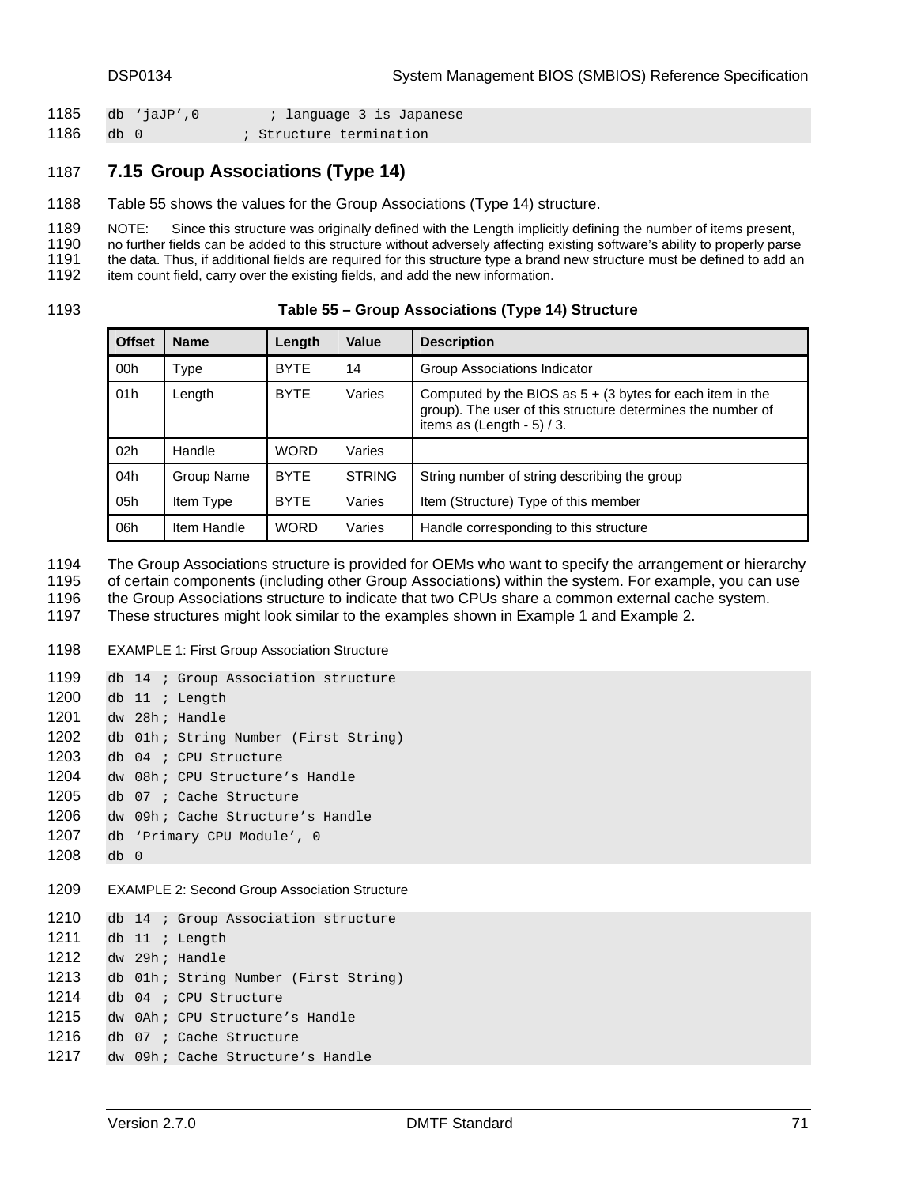| 1185 | db 'jaJP',0 | <i>i</i> language 3 is Japanese |
|------|-------------|---------------------------------|
| 1186 | $db = 0$    | ; Structure termination         |

# <span id="page-70-0"></span>1187 **7.15 Group Associations (Type 14)**

1188 [Table 55](#page-70-1) shows the values for the Group Associations (Type 14) structure.

1189 NOTE: Since this structure was originally defined with the Length implicitly defining the number of items present,<br>1190 no further fields can be added to this structure without adversely affecting existing software's

1190 no further fields can be added to this structure without adversely affecting existing software's ability to properly parse<br>1191 the data. Thus, if additional fields are required for this structure type a brand new str

1191 the data. Thus, if additional fields are required for this structure type a brand new structure must be defined to add an <br>1192 them count field, carry over the existing fields, and add the new information. item count field, carry over the existing fields, and add the new information.

#### <span id="page-70-1"></span>1193 **Table 55 – Group Associations (Type 14) Structure**

| <b>Offset</b> | <b>Name</b> | Length      | Value         | <b>Description</b>                                                                                                                                          |  |
|---------------|-------------|-------------|---------------|-------------------------------------------------------------------------------------------------------------------------------------------------------------|--|
| 00h           | Type        | <b>BYTE</b> | 14            | Group Associations Indicator                                                                                                                                |  |
| 01h           | Length      | <b>BYTE</b> | Varies        | Computed by the BIOS as $5 + (3$ bytes for each item in the<br>group). The user of this structure determines the number of<br>items as $(Length - 5) / 3$ . |  |
| 02h           | Handle      | <b>WORD</b> | Varies        |                                                                                                                                                             |  |
| 04h           | Group Name  | <b>BYTE</b> | <b>STRING</b> | String number of string describing the group                                                                                                                |  |
| 05h           | Item Type   | <b>BYTE</b> | Varies        | Item (Structure) Type of this member                                                                                                                        |  |
| 06h           | Item Handle | <b>WORD</b> | Varies        | Handle corresponding to this structure                                                                                                                      |  |

1194 The Group Associations structure is provided for OEMs who want to specify the arrangement or hierarchy

1195 of certain components (including other Group Associations) within the system. For example, you can use

1196 the Group Associations structure to indicate that two CPUs share a common external cache system.

1197 These structures might look similar to the examples shown in Example 1 and Example 2.

1198 EXAMPLE 1: First Group Association Structure

| 1199 | db 14 ; Group Association structure                  |  |  |  |  |  |  |
|------|------------------------------------------------------|--|--|--|--|--|--|
| 1200 | db 11 ; Length                                       |  |  |  |  |  |  |
| 1201 | dw 28h; Handle                                       |  |  |  |  |  |  |
| 1202 | db 01h; String Number (First String)                 |  |  |  |  |  |  |
| 1203 | db 04 ; CPU Structure                                |  |  |  |  |  |  |
| 1204 | dw 08h; CPU Structure's Handle                       |  |  |  |  |  |  |
| 1205 | db 07 ; Cache Structure                              |  |  |  |  |  |  |
| 1206 | dw 09h; Cache Structure's Handle                     |  |  |  |  |  |  |
| 1207 | db 'Primary CPU Module', 0                           |  |  |  |  |  |  |
| 1208 | db 0                                                 |  |  |  |  |  |  |
|      |                                                      |  |  |  |  |  |  |
| 1209 | <b>EXAMPLE 2: Second Group Association Structure</b> |  |  |  |  |  |  |
| 1210 | db 14 ; Group Association structure                  |  |  |  |  |  |  |
| 1211 | $db 11$ ; Length                                     |  |  |  |  |  |  |
| 1212 | dw 29h; Handle                                       |  |  |  |  |  |  |
| 1213 | db 01h; String Number (First String)                 |  |  |  |  |  |  |
| 1214 | db 04 ; CPU Structure                                |  |  |  |  |  |  |
| 1215 | dw OAh; CPU Structure's Handle                       |  |  |  |  |  |  |
| 1216 | db 07 ; Cache Structure                              |  |  |  |  |  |  |
| 1217 | dw 09h; Cache Structure's Handle                     |  |  |  |  |  |  |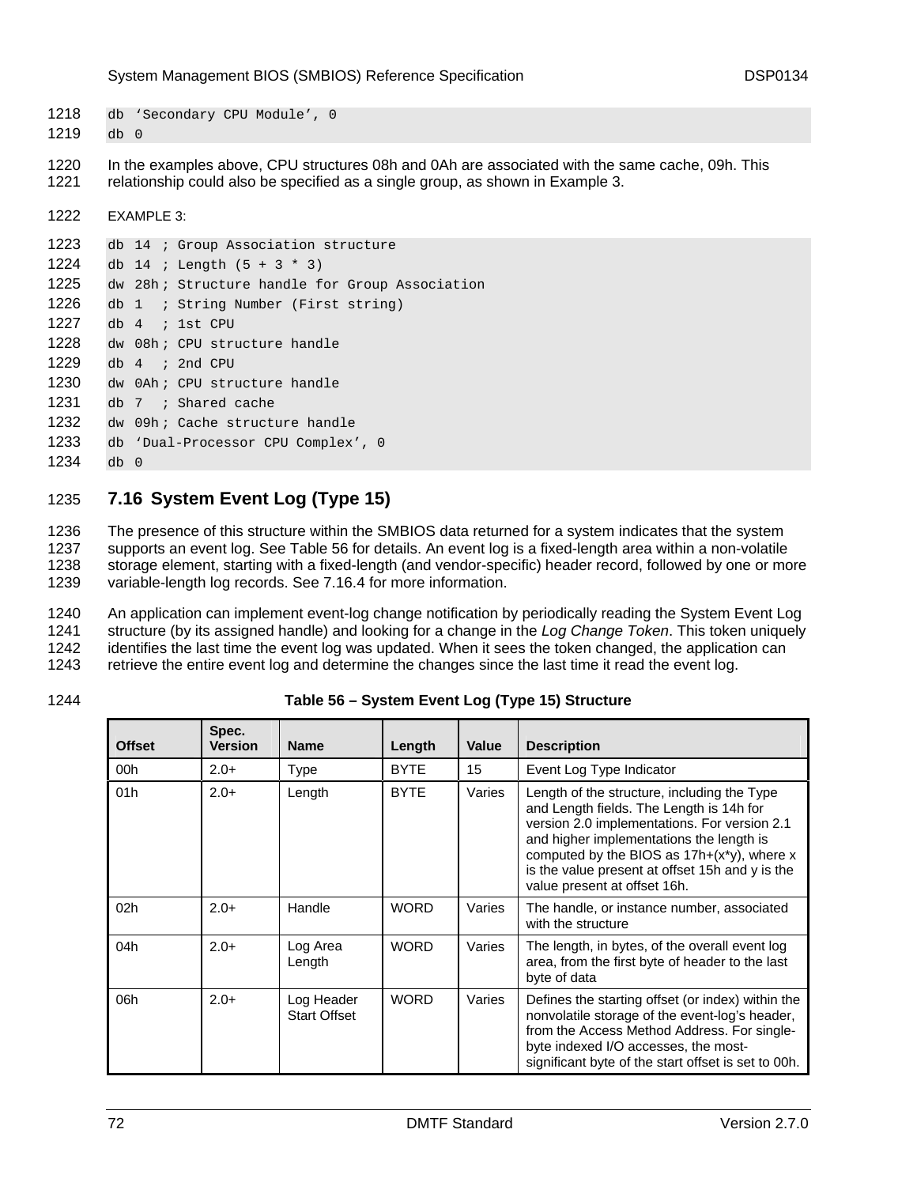```
1218 db 'Secondary CPU Module', 0 
1219 db 0
```
1220 In the examples above, CPU structures 08h and 0Ah are associated with the same cache, 09h. This 1221 relationship could also be specified as a single group, as shown in Example 3.

```
1222 EXAMPLE 3:
```

```
1223 db 14 ; Group Association structure 
1224 db 14 ; Length (5 + 3 * 3)1225 dw 28h; Structure handle for Group Association
1226 db 1 ; String Number (First string)
1227 db 4 ; 1st CPU 
1228 dw 08h ; CPU structure handle 
1229 db 4 ; 2nd CPU 
1230 dw 0Ah; CPU structure handle
1231 db 7 ; Shared cache
1232 dw 09h ; Cache structure handle 
1233 db 'Dual-Processor CPU Complex', 0 
1234 db 0
```
# 1235 **7.16 System Event Log (Type 15)**

1236 The presence of this structure within the SMBIOS data returned for a system indicates that the system 1237 supports an event log. See [Table 56](#page-71-0) for details. An event log is a fixed-length area within a non-volatile 1238 storage element, starting with a fixed-length (and vendor-specific) header record, followed by one or more 1239 variable-length log records. See [7.16.4](#page-75-0) for more information.

1240 An application can implement event-log change notification by periodically reading the System Event Log 1241 structure (by its assigned handle) and looking for a change in the *Log Change Token*. This token uniquely 1242 identifies the last time the event log was updated. When it sees the token changed, the application can 1243 retrieve the entire event log and determine the changes since the last time it read the event log.

#### <span id="page-71-0"></span>1244 **Table 56 – System Event Log (Type 15) Structure**

| <b>Offset</b>   | Spec.<br><b>Version</b> | <b>Name</b>                       | Length      | Value  | <b>Description</b>                                                                                                                                                                                                                                                                                                       |
|-----------------|-------------------------|-----------------------------------|-------------|--------|--------------------------------------------------------------------------------------------------------------------------------------------------------------------------------------------------------------------------------------------------------------------------------------------------------------------------|
| 00h             | $2.0+$<br>Type          |                                   | <b>BYTE</b> | 15     | Event Log Type Indicator                                                                                                                                                                                                                                                                                                 |
| 01h             | $2.0+$                  | Length                            | <b>BYTE</b> | Varies | Length of the structure, including the Type<br>and Length fields. The Length is 14h for<br>version 2.0 implementations. For version 2.1<br>and higher implementations the length is<br>computed by the BIOS as $17h+(x^*y)$ , where x<br>is the value present at offset 15h and y is the<br>value present at offset 16h. |
| 02 <sub>h</sub> | $2.0+$                  | Handle                            | <b>WORD</b> | Varies | The handle, or instance number, associated<br>with the structure                                                                                                                                                                                                                                                         |
| 04h             | $2.0+$                  | Log Area<br>Length                | <b>WORD</b> | Varies | The length, in bytes, of the overall event log<br>area, from the first byte of header to the last<br>byte of data                                                                                                                                                                                                        |
| 06h<br>$2.0+$   |                         | Log Header<br><b>Start Offset</b> | <b>WORD</b> | Varies | Defines the starting offset (or index) within the<br>nonvolatile storage of the event-log's header,<br>from the Access Method Address. For single-<br>byte indexed I/O accesses, the most-<br>significant byte of the start offset is set to 00h.                                                                        |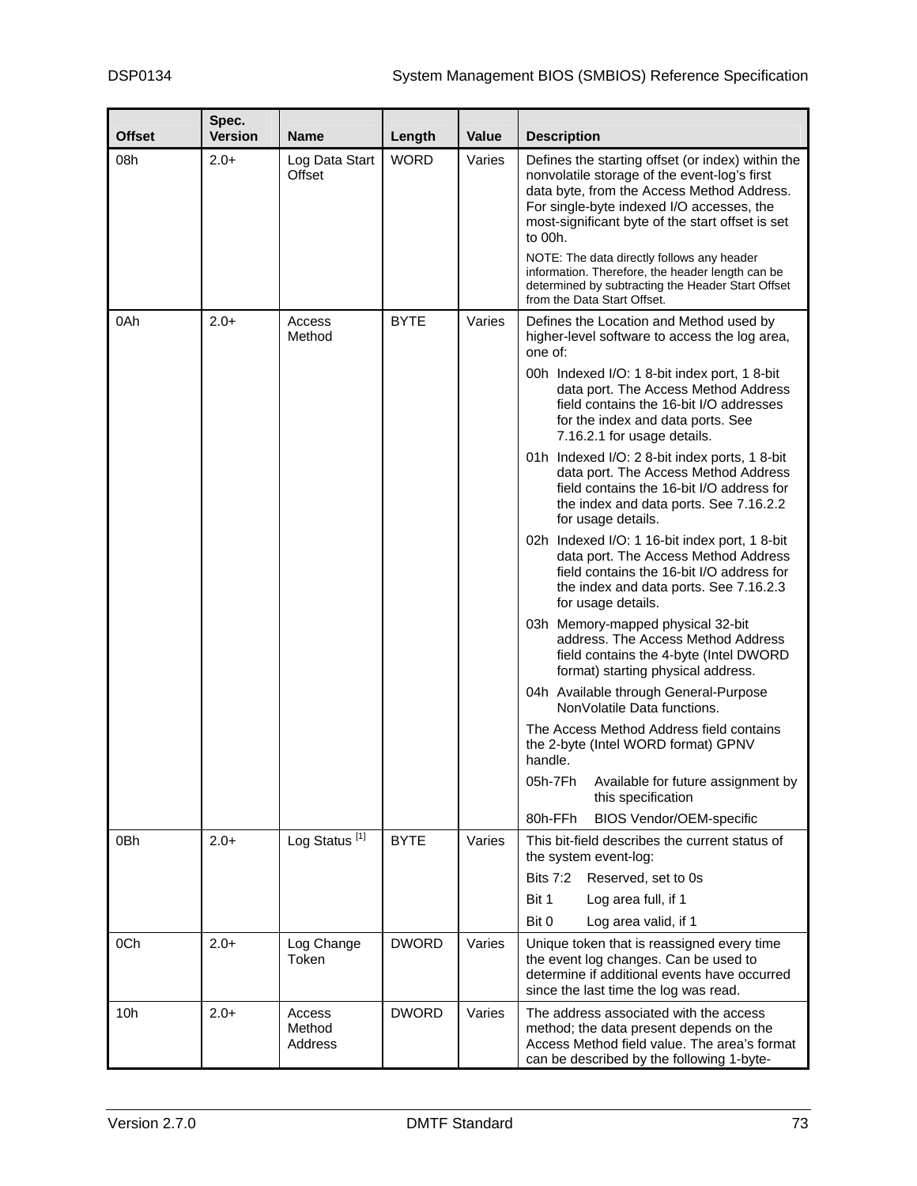| <b>Offset</b>   | Spec.<br><b>Version</b> | <b>Name</b>                 | Length       | <b>Value</b> | <b>Description</b>                                                                                                                                                                                                                                                                                                                                                                                                                                                                                                                                                                                                                                                                                                                                                                                                                                                                                                                                                                                                                                                                                                          |
|-----------------|-------------------------|-----------------------------|--------------|--------------|-----------------------------------------------------------------------------------------------------------------------------------------------------------------------------------------------------------------------------------------------------------------------------------------------------------------------------------------------------------------------------------------------------------------------------------------------------------------------------------------------------------------------------------------------------------------------------------------------------------------------------------------------------------------------------------------------------------------------------------------------------------------------------------------------------------------------------------------------------------------------------------------------------------------------------------------------------------------------------------------------------------------------------------------------------------------------------------------------------------------------------|
| 08h             | $2.0+$                  | Log Data Start<br>Offset    | <b>WORD</b>  | Varies       | Defines the starting offset (or index) within the<br>nonvolatile storage of the event-log's first<br>data byte, from the Access Method Address.<br>For single-byte indexed I/O accesses, the<br>most-significant byte of the start offset is set<br>to 00h.<br>NOTE: The data directly follows any header<br>information. Therefore, the header length can be<br>determined by subtracting the Header Start Offset<br>from the Data Start Offset.                                                                                                                                                                                                                                                                                                                                                                                                                                                                                                                                                                                                                                                                           |
| 0Ah             | $2.0+$                  | Access<br>Method            | <b>BYTE</b>  | Varies       | Defines the Location and Method used by<br>higher-level software to access the log area,<br>one of:<br>00h Indexed I/O: 1 8-bit index port, 1 8-bit<br>data port. The Access Method Address<br>field contains the 16-bit I/O addresses<br>for the index and data ports. See<br>7.16.2.1 for usage details.<br>01h Indexed I/O: 2 8-bit index ports, 1 8-bit<br>data port. The Access Method Address<br>field contains the 16-bit I/O address for<br>the index and data ports. See 7.16.2.2<br>for usage details.<br>02h Indexed I/O: 1 16-bit index port, 1 8-bit<br>data port. The Access Method Address<br>field contains the 16-bit I/O address for<br>the index and data ports. See 7.16.2.3<br>for usage details.<br>03h Memory-mapped physical 32-bit<br>address. The Access Method Address<br>field contains the 4-byte (Intel DWORD<br>format) starting physical address.<br>04h Available through General-Purpose<br>NonVolatile Data functions.<br>The Access Method Address field contains<br>the 2-byte (Intel WORD format) GPNV<br>handle.<br>05h-7Fh Available for future assignment by<br>this specification |
| 0Bh             | $2.0+$                  | Log Status <sup>[1]</sup>   | <b>BYTE</b>  | Varies       | <b>BIOS Vendor/OEM-specific</b><br>80h-FFh<br>This bit-field describes the current status of<br>the system event-log:<br><b>Bits 7:2</b><br>Reserved, set to 0s<br>Bit 1<br>Log area full, if 1<br>Bit 0<br>Log area valid, if 1                                                                                                                                                                                                                                                                                                                                                                                                                                                                                                                                                                                                                                                                                                                                                                                                                                                                                            |
| 0Ch             | $2.0+$                  | Log Change<br>Token         | <b>DWORD</b> | Varies       | Unique token that is reassigned every time<br>the event log changes. Can be used to<br>determine if additional events have occurred<br>since the last time the log was read.                                                                                                                                                                                                                                                                                                                                                                                                                                                                                                                                                                                                                                                                                                                                                                                                                                                                                                                                                |
| 10 <sub>h</sub> | $2.0+$                  | Access<br>Method<br>Address | <b>DWORD</b> | Varies       | The address associated with the access<br>method; the data present depends on the<br>Access Method field value. The area's format<br>can be described by the following 1-byte-                                                                                                                                                                                                                                                                                                                                                                                                                                                                                                                                                                                                                                                                                                                                                                                                                                                                                                                                              |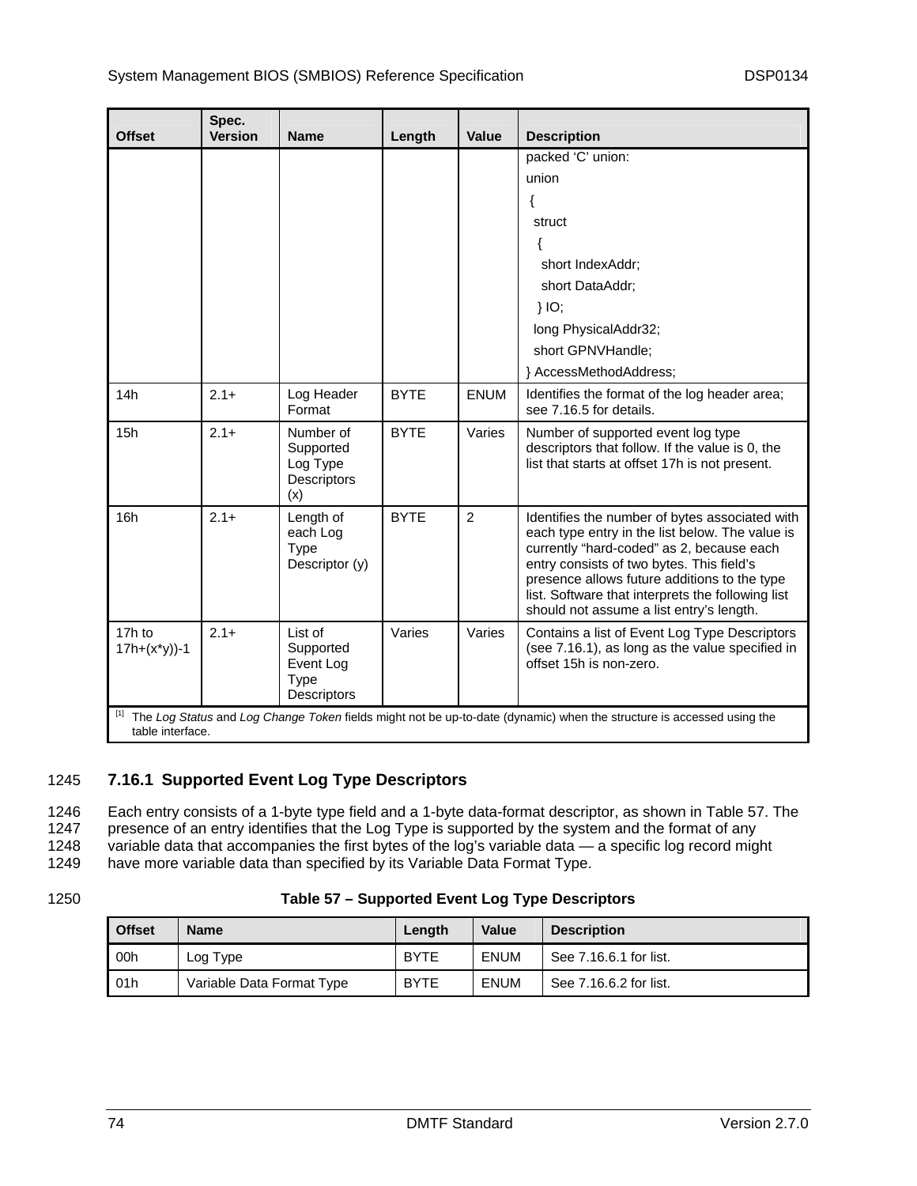| <b>Offset</b>             | Spec.<br><b>Version</b> | <b>Name</b>                                                            | Length      | Value          | <b>Description</b>                                                                                                                                                                                                                                                                                                                           |
|---------------------------|-------------------------|------------------------------------------------------------------------|-------------|----------------|----------------------------------------------------------------------------------------------------------------------------------------------------------------------------------------------------------------------------------------------------------------------------------------------------------------------------------------------|
|                           |                         |                                                                        |             |                | packed 'C' union:                                                                                                                                                                                                                                                                                                                            |
|                           |                         |                                                                        |             |                | union                                                                                                                                                                                                                                                                                                                                        |
|                           |                         |                                                                        |             |                | ₹                                                                                                                                                                                                                                                                                                                                            |
|                           |                         |                                                                        |             |                | struct                                                                                                                                                                                                                                                                                                                                       |
|                           |                         |                                                                        |             |                |                                                                                                                                                                                                                                                                                                                                              |
|                           |                         |                                                                        |             |                | short IndexAddr;                                                                                                                                                                                                                                                                                                                             |
|                           |                         |                                                                        |             |                | short DataAddr:                                                                                                                                                                                                                                                                                                                              |
|                           |                         |                                                                        |             |                | $\}$ IO;                                                                                                                                                                                                                                                                                                                                     |
|                           |                         |                                                                        |             |                | long PhysicalAddr32;                                                                                                                                                                                                                                                                                                                         |
|                           |                         |                                                                        |             |                | short GPNVHandle;                                                                                                                                                                                                                                                                                                                            |
|                           |                         |                                                                        |             |                | } AccessMethodAddress;                                                                                                                                                                                                                                                                                                                       |
| 14h                       | $2.1+$                  | Log Header<br>Format                                                   | <b>BYTE</b> | <b>ENUM</b>    | Identifies the format of the log header area;<br>see 7.16.5 for details.                                                                                                                                                                                                                                                                     |
| 15h                       | $2.1 +$                 | Number of<br>Supported<br>Log Type<br>Descriptors<br>(x)               | <b>BYTE</b> | Varies         | Number of supported event log type<br>descriptors that follow. If the value is 0, the<br>list that starts at offset 17h is not present.                                                                                                                                                                                                      |
| 16h                       | $2.1+$                  | Length of<br>each Log<br><b>Type</b><br>Descriptor (y)                 | <b>BYTE</b> | $\overline{2}$ | Identifies the number of bytes associated with<br>each type entry in the list below. The value is<br>currently "hard-coded" as 2, because each<br>entry consists of two bytes. This field's<br>presence allows future additions to the type<br>list. Software that interprets the following list<br>should not assume a list entry's length. |
| 17h to<br>$17h+(x^*y)$ -1 | $2.1 +$                 | List of<br>Supported<br>Event Log<br><b>Type</b><br><b>Descriptors</b> | Varies      | Varies         | Contains a list of Event Log Type Descriptors<br>(see 7.16.1), as long as the value specified in<br>offset 15h is non-zero.                                                                                                                                                                                                                  |
| $[1]$<br>table interface. |                         |                                                                        |             |                | The Log Status and Log Change Token fields might not be up-to-date (dynamic) when the structure is accessed using the                                                                                                                                                                                                                        |

## <span id="page-73-0"></span>1245 **7.16.1 Supported Event Log Type Descriptors**

1246 Each entry consists of a 1-byte type field and a 1-byte data-format descriptor, as shown in [Table 57.](#page-73-1) The 1247 presence of an entry identifies that the Log Type is supported by the system and the format of any 1248 variable data that accompanies the first bytes of the log's variable data — a specific log record might

1249 have more variable data than specified by its Variable Data Format Type.

## <span id="page-73-1"></span>1250 **Table 57 – Supported Event Log Type Descriptors**

| <b>Offset</b> | <b>Name</b>               | Length      | Value       | <b>Description</b>     |
|---------------|---------------------------|-------------|-------------|------------------------|
| 00h           | Log Type                  | <b>BYTE</b> | <b>ENUM</b> | See 7.16.6.1 for list. |
| 01h           | Variable Data Format Type | <b>BYTE</b> | <b>ENUM</b> | See 7.16.6.2 for list. |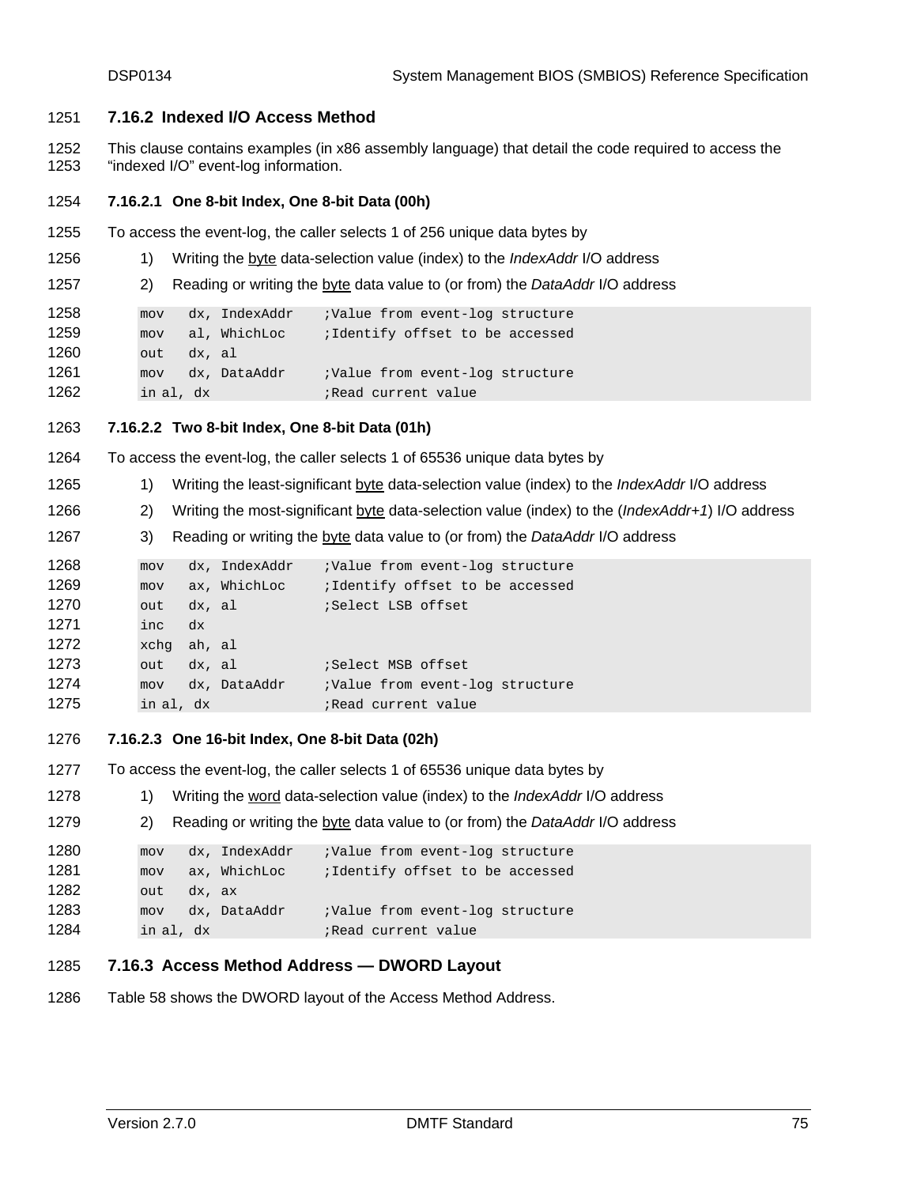<span id="page-74-1"></span><span id="page-74-0"></span>

| 1251                                 | 7.16.2 Indexed I/O Access Method                                                                                                                                                              |  |  |  |  |  |  |  |  |
|--------------------------------------|-----------------------------------------------------------------------------------------------------------------------------------------------------------------------------------------------|--|--|--|--|--|--|--|--|
| 1252<br>1253                         | This clause contains examples (in x86 assembly language) that detail the code required to access the<br>"indexed I/O" event-log information.                                                  |  |  |  |  |  |  |  |  |
| 1254                                 | 7.16.2.1 One 8-bit Index, One 8-bit Data (00h)                                                                                                                                                |  |  |  |  |  |  |  |  |
| 1255                                 | To access the event-log, the caller selects 1 of 256 unique data bytes by                                                                                                                     |  |  |  |  |  |  |  |  |
| 1256                                 | Writing the byte data-selection value (index) to the <i>IndexAddr I/O</i> address<br>1)                                                                                                       |  |  |  |  |  |  |  |  |
| 1257                                 | Reading or writing the byte data value to (or from) the <i>DataAddr I/O</i> address<br>2)                                                                                                     |  |  |  |  |  |  |  |  |
| 1258<br>1259<br>1260<br>1261<br>1262 | dx, IndexAddr<br>;Value from event-log structure<br>mov<br>al, WhichLoc<br>; Identify offset to be accessed<br>mov<br>dx, al<br>out<br>dx, DataAddr<br>;Value from event-log structure<br>mov |  |  |  |  |  |  |  |  |
|                                      | Read current value<br>in al, dx                                                                                                                                                               |  |  |  |  |  |  |  |  |
| 1263                                 | 7.16.2.2 Two 8-bit Index, One 8-bit Data (01h)                                                                                                                                                |  |  |  |  |  |  |  |  |
| 1264                                 | To access the event-log, the caller selects 1 of 65536 unique data bytes by                                                                                                                   |  |  |  |  |  |  |  |  |
| 1265                                 | Writing the least-significant byte data-selection value (index) to the <i>IndexAddr I/O</i> address<br>1)                                                                                     |  |  |  |  |  |  |  |  |
| 1266                                 | Writing the most-significant byte data-selection value (index) to the (IndexAddr+1) I/O address<br>2)                                                                                         |  |  |  |  |  |  |  |  |
| 1267                                 | 3)<br>Reading or writing the byte data value to (or from) the <i>DataAddr I/O</i> address                                                                                                     |  |  |  |  |  |  |  |  |
| 1268<br>1269<br>1270<br>1271<br>1272 | dx, IndexAddr<br>;Value from event-log structure<br>mov<br>ax, WhichLoc<br>; Identify offset to be accessed<br>mov<br>dx, al<br>;Select LSB offset<br>out<br>dx<br>inc<br>ah, al<br>xchq      |  |  |  |  |  |  |  |  |
| 1273                                 | dx, al<br>;Select MSB offset<br>out                                                                                                                                                           |  |  |  |  |  |  |  |  |
| 1274                                 | dx, DataAddr<br>;Value from event-log structure<br>mov                                                                                                                                        |  |  |  |  |  |  |  |  |
| 1275                                 | Read current value<br>in al, dx                                                                                                                                                               |  |  |  |  |  |  |  |  |
| 1276                                 | 7.16.2.3 One 16-bit Index, One 8-bit Data (02h)                                                                                                                                               |  |  |  |  |  |  |  |  |
| 1277                                 | To access the event-log, the caller selects 1 of 65536 unique data bytes by                                                                                                                   |  |  |  |  |  |  |  |  |
| 1278                                 | Writing the word data-selection value (index) to the IndexAddr I/O address<br>1)                                                                                                              |  |  |  |  |  |  |  |  |
| 1279                                 | 2)<br>Reading or writing the byte data value to (or from) the <i>DataAddr I/O</i> address                                                                                                     |  |  |  |  |  |  |  |  |
| 1280<br>1281<br>1282                 | dx, IndexAddr<br>;Value from event-log structure<br>mov<br>ax, WhichLoc<br>;Identify offset to be accessed<br>mov<br>dx, ax<br>out                                                            |  |  |  |  |  |  |  |  |
| 1283<br>1284                         | dx, DataAddr<br>;Value from event-log structure<br>mov<br>Read current value<br>in al, dx                                                                                                     |  |  |  |  |  |  |  |  |
|                                      |                                                                                                                                                                                               |  |  |  |  |  |  |  |  |
| 1285                                 | 7.16.3 Access Method Address - DWORD Layout                                                                                                                                                   |  |  |  |  |  |  |  |  |

<span id="page-74-2"></span>1286 [Table 58](#page-75-1) shows the DWORD layout of the Access Method Address.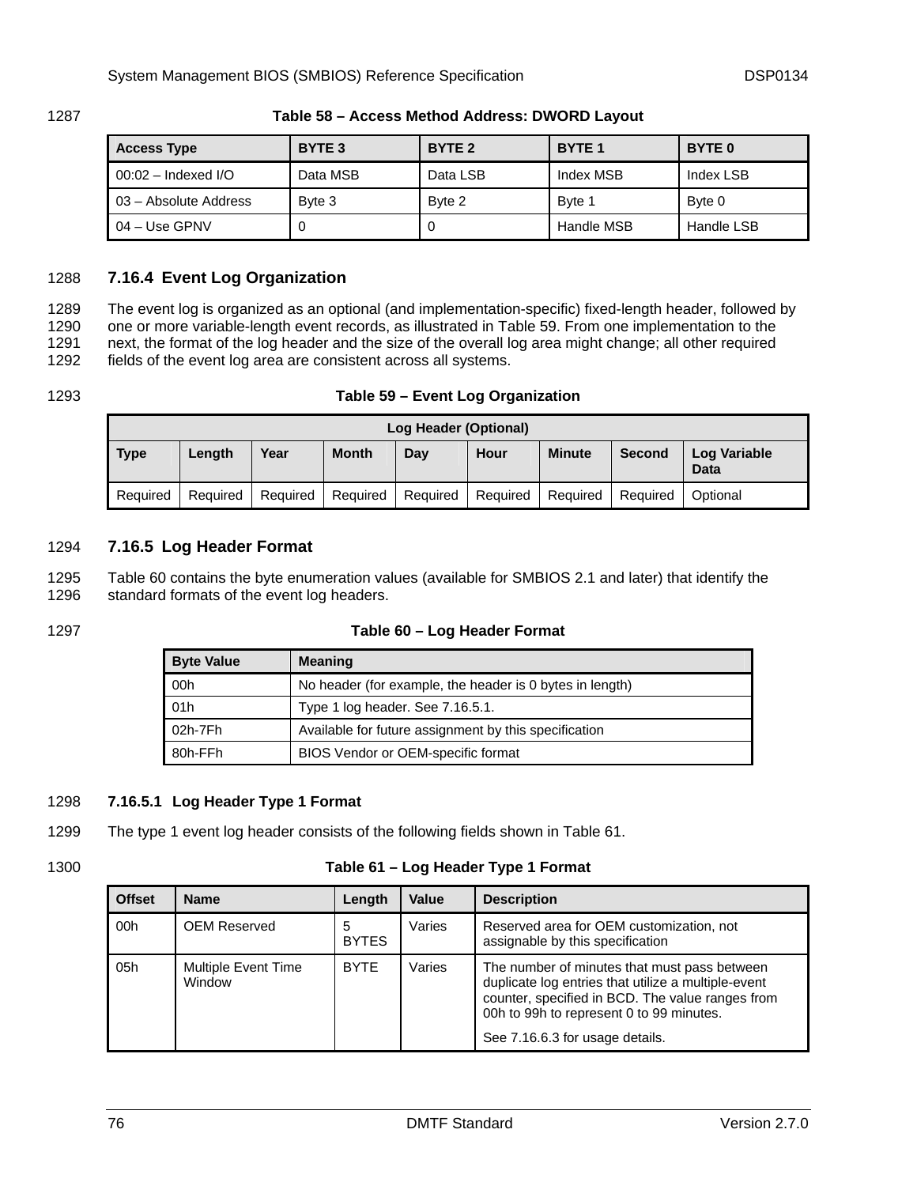<span id="page-75-1"></span>1287 **Table 58 – Access Method Address: DWORD Layout** 

| <b>Access Type</b>    | BYTE 3   | BYTE 2   | <b>BYTE 1</b> | <b>BYTE 0</b> |
|-----------------------|----------|----------|---------------|---------------|
| $00:02 -$ Indexed I/O | Data MSB | Data LSB | Index MSB     | Index LSB     |
| 03 – Absolute Address | Byte 3   | Byte 2   | Byte 1        | Byte 0        |
| $04 - Use GPNV$       |          | 0        | Handle MSB    | Handle LSB    |

## 1288 **7.16.4 Event Log Organization**

1289 The event log is organized as an optional (and implementation-specific) fixed-length header, followed by 1290 one or more variable-length event records, as illustrated in [Table 59.](#page-75-2) From one implementation to the 1291 next, the format of the log header and the size of the overall log area might change; all other required 1292 fields of the event log area are consistent across all systems.

#### <span id="page-75-2"></span>1293 **Table 59 – Event Log Organization**

| Log Header (Optional) |          |          |              |          |          |               |               |                             |
|-----------------------|----------|----------|--------------|----------|----------|---------------|---------------|-----------------------------|
| <b>Type</b>           | Lenath   | Year     | <b>Month</b> | Day      | Hour     | <b>Minute</b> | <b>Second</b> | <b>Log Variable</b><br>Data |
| Required              | Required | Required | Required     | Required | Required | Required      | Required      | Optional                    |

## <span id="page-75-0"></span>1294 **7.16.5 Log Header Format**

1295 [Table 60](#page-75-3) contains the byte enumeration values (available for SMBIOS 2.1 and later) that identify the 1296 standard formats of the event log headers.

### <span id="page-75-3"></span>1297 **Table 60 – Log Header Format**

| <b>Byte Value</b> | <b>Meaning</b>                                           |
|-------------------|----------------------------------------------------------|
| 00h               | No header (for example, the header is 0 bytes in length) |
| 01h               | Type 1 log header. See 7.16.5.1.                         |
| 02h-7Fh           | Available for future assignment by this specification    |
| 80h-FFh           | <b>BIOS Vendor or OEM-specific format</b>                |

### <span id="page-75-4"></span>1298 **7.16.5.1 Log Header Type 1 Format**

- 1299 The type 1 event log header consists of the following fields shown in [Table 61](#page-75-5).
- 

#### <span id="page-75-5"></span>1300 **Table 61 – Log Header Type 1 Format**

| <b>Offset</b> | <b>Name</b>                          | Length            | Value  | <b>Description</b>                                                                                                                                                                                                                     |
|---------------|--------------------------------------|-------------------|--------|----------------------------------------------------------------------------------------------------------------------------------------------------------------------------------------------------------------------------------------|
| 00h           | <b>OEM Reserved</b>                  | 5<br><b>BYTES</b> | Varies | Reserved area for OEM customization, not<br>assignable by this specification                                                                                                                                                           |
| 05h           | <b>Multiple Event Time</b><br>Window | <b>BYTE</b>       | Varies | The number of minutes that must pass between<br>duplicate log entries that utilize a multiple-event<br>counter, specified in BCD. The value ranges from<br>00h to 99h to represent 0 to 99 minutes.<br>See 7.16.6.3 for usage details. |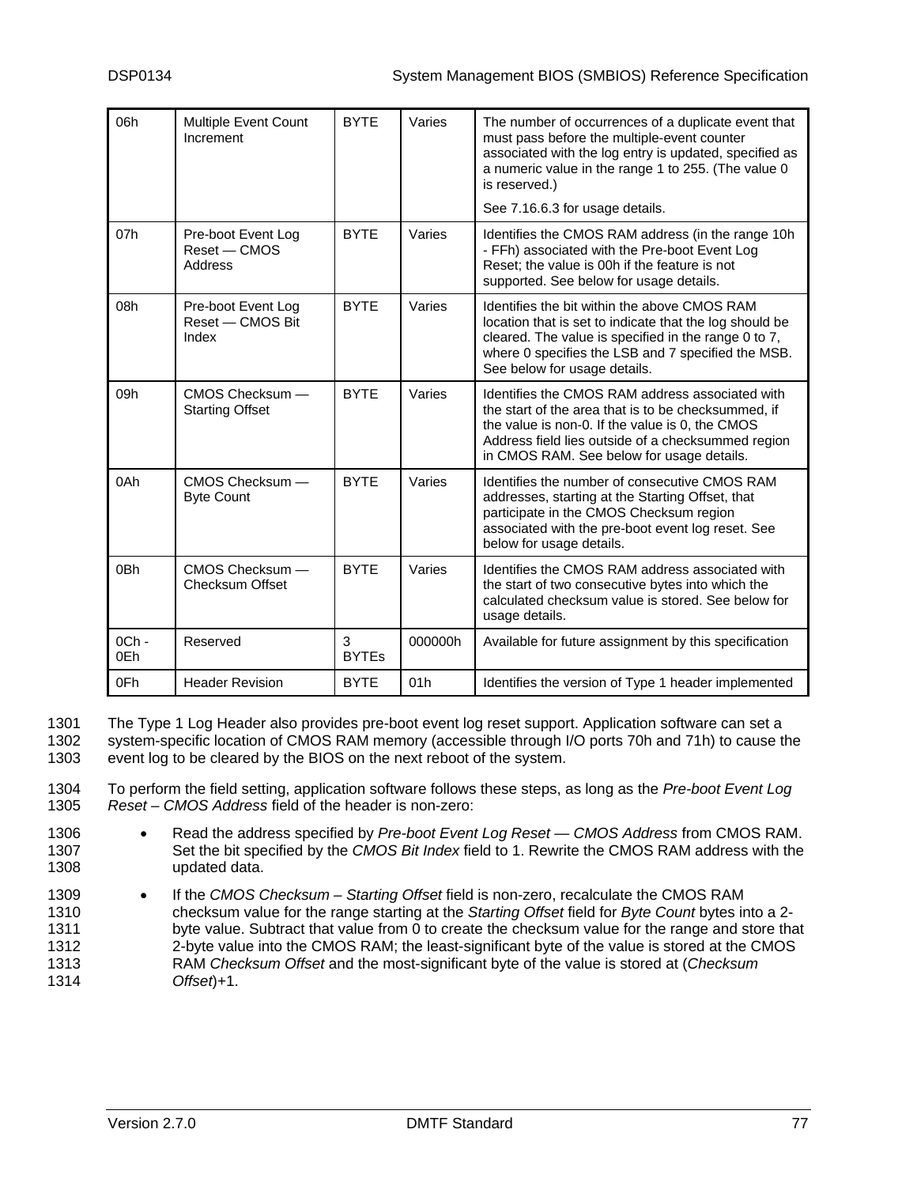| 06h             | Multiple Event Count<br>Increment               | <b>BYTE</b>       | Varies  | The number of occurrences of a duplicate event that<br>must pass before the multiple-event counter<br>associated with the log entry is updated, specified as<br>a numeric value in the range 1 to 255. (The value 0<br>is reserved.)                         |
|-----------------|-------------------------------------------------|-------------------|---------|--------------------------------------------------------------------------------------------------------------------------------------------------------------------------------------------------------------------------------------------------------------|
|                 |                                                 |                   |         | See 7.16.6.3 for usage details.                                                                                                                                                                                                                              |
| 07h             | Pre-boot Event Log<br>Reset - CMOS<br>Address   | <b>BYTE</b>       | Varies  | Identifies the CMOS RAM address (in the range 10h<br>- FFh) associated with the Pre-boot Event Log<br>Reset: the value is 00h if the feature is not<br>supported. See below for usage details.                                                               |
| 08h             | Pre-boot Event Log<br>Reset - CMOS Bit<br>Index | <b>BYTE</b>       | Varies  | Identifies the bit within the above CMOS RAM<br>location that is set to indicate that the log should be<br>cleared. The value is specified in the range 0 to 7,<br>where 0 specifies the LSB and 7 specified the MSB.<br>See below for usage details.        |
| 09h             | CMOS Checksum -<br><b>Starting Offset</b>       | <b>BYTE</b>       | Varies  | Identifies the CMOS RAM address associated with<br>the start of the area that is to be checksummed, if<br>the value is non-0. If the value is 0, the CMOS<br>Address field lies outside of a checksummed region<br>in CMOS RAM. See below for usage details. |
| 0Ah             | CMOS Checksum -<br><b>Byte Count</b>            | <b>BYTE</b>       | Varies  | Identifies the number of consecutive CMOS RAM<br>addresses, starting at the Starting Offset, that<br>participate in the CMOS Checksum region<br>associated with the pre-boot event log reset. See<br>below for usage details.                                |
| 0 <sub>Bh</sub> | CMOS Checksum -<br><b>Checksum Offset</b>       | <b>BYTE</b>       | Varies  | Identifies the CMOS RAM address associated with<br>the start of two consecutive bytes into which the<br>calculated checksum value is stored. See below for<br>usage details.                                                                                 |
| $0Ch$ -<br>0Eh  | Reserved                                        | 3<br><b>BYTEs</b> | 000000h | Available for future assignment by this specification                                                                                                                                                                                                        |
| 0Fh             | <b>Header Revision</b>                          | <b>BYTE</b>       | 01h     | Identifies the version of Type 1 header implemented                                                                                                                                                                                                          |

1301 The Type 1 Log Header also provides pre-boot event log reset support. Application software can set a<br>1302 System-specific location of CMOS RAM memory (accessible through I/O ports 70h and 71h) to cause th system-specific location of CMOS RAM memory (accessible through I/O ports 70h and 71h) to cause the

1303 event log to be cleared by the BIOS on the next reboot of the system.

1304 To perform the field setting, application software follows these steps, as long as the *Pre-boot Event Log*  1305 *Reset – CMOS Address* field of the header is non-zero:

- 1306 Read the address specified by *Pre-boot Event Log Reset CMOS Address* from CMOS RAM. 1307 Set the bit specified by the *CMOS Bit Index* field to 1. Rewrite the CMOS RAM address with the 1308 updated data.
- 1309 If the *CMOS Checksum Starting Offset* field is non-zero, recalculate the CMOS RAM 1310 checksum value for the range starting at the *Starting Offset* field for *Byte Count* bytes into a 2- 1311 byte value. Subtract that value from 0 to create the checksum value for the range and store that 1312 2-byte value into the CMOS RAM; the least-significant byte of the value is stored at the CMOS 1313 RAM *Checksum Offset* and the most-significant byte of the value is stored at (*Checksum*  1314 *Offset*)+1.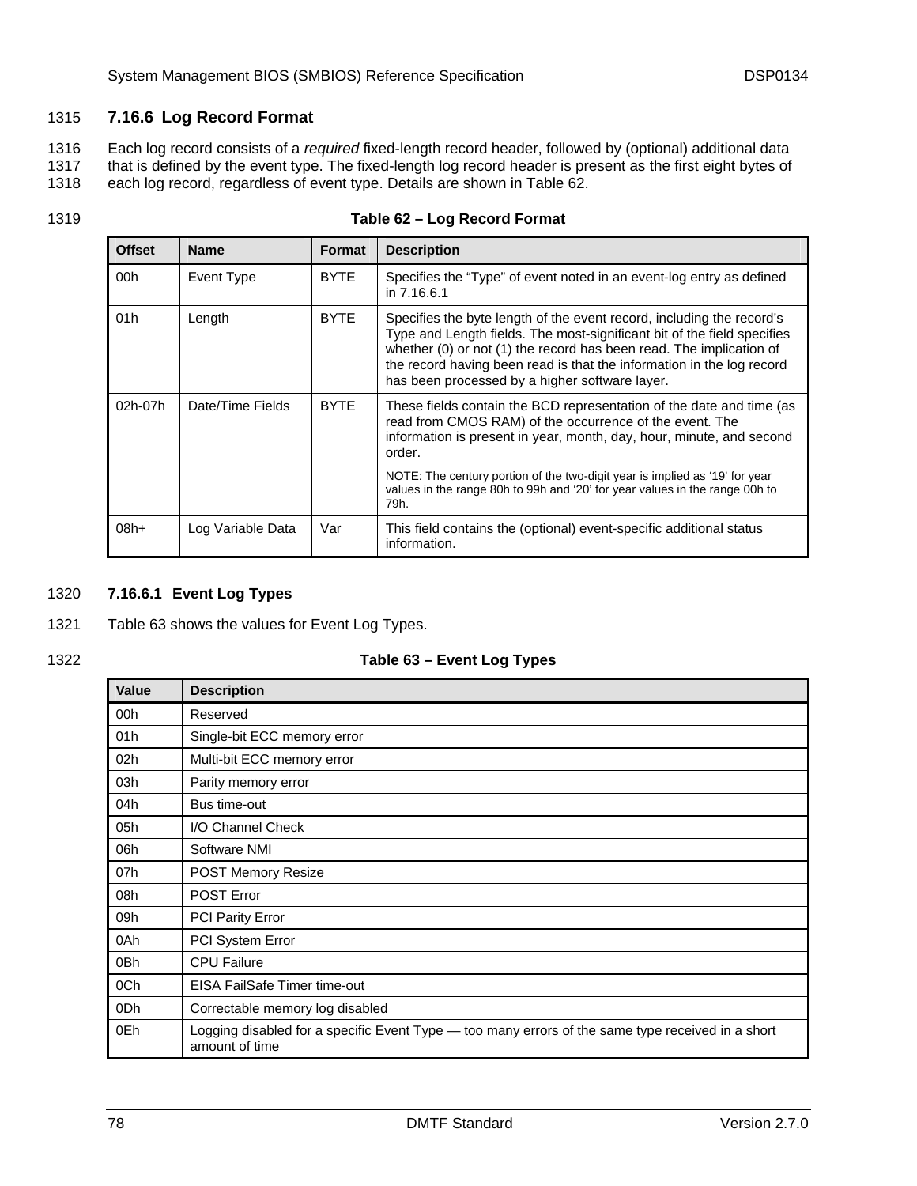## 1315 **7.16.6 Log Record Format**

1316 Each log record consists of a *required* fixed-length record header, followed by (optional) additional data

1317 that is defined by the event type. The fixed-length log record header is present as the first eight bytes of 1318 each log record, regardless of event type. Details are shown in Table 62.

each log record, regardless of event type. Details are shown in [Table 62.](#page-77-1)

<span id="page-77-1"></span>

| 1319 | Table 62 – Log Record Format |
|------|------------------------------|
|------|------------------------------|

| <b>Offset</b> | <b>Name</b>       | <b>Format</b> | <b>Description</b>                                                                                                                                                                                                                                                                                                                                 |
|---------------|-------------------|---------------|----------------------------------------------------------------------------------------------------------------------------------------------------------------------------------------------------------------------------------------------------------------------------------------------------------------------------------------------------|
| 00h           | Event Type        | <b>BYTE</b>   | Specifies the "Type" of event noted in an event-log entry as defined<br>in 7.16.6.1                                                                                                                                                                                                                                                                |
| 01h           | Length            | <b>BYTE</b>   | Specifies the byte length of the event record, including the record's<br>Type and Length fields. The most-significant bit of the field specifies<br>whether (0) or not (1) the record has been read. The implication of<br>the record having been read is that the information in the log record<br>has been processed by a higher software layer. |
| 02h-07h       | Date/Time Fields  | <b>BYTE</b>   | These fields contain the BCD representation of the date and time (as<br>read from CMOS RAM) of the occurrence of the event. The<br>information is present in year, month, day, hour, minute, and second<br>order.                                                                                                                                  |
|               |                   |               | NOTE: The century portion of the two-digit year is implied as '19' for year<br>values in the range 80h to 99h and '20' for year values in the range 00h to<br>79h.                                                                                                                                                                                 |
| $08h+$        | Log Variable Data | Var           | This field contains the (optional) event-specific additional status<br>information.                                                                                                                                                                                                                                                                |

#### <span id="page-77-0"></span>1320 **7.16.6.1 Event Log Types**

1321 [Table 63](#page-77-2) shows the values for Event Log Types.

## <span id="page-77-2"></span>1322 **Table 63 – Event Log Types**

| <b>Value</b> | <b>Description</b>                                                                                                  |
|--------------|---------------------------------------------------------------------------------------------------------------------|
| 00h          | Reserved                                                                                                            |
| 01h          | Single-bit ECC memory error                                                                                         |
| 02h          | Multi-bit ECC memory error                                                                                          |
| 03h          | Parity memory error                                                                                                 |
| 04h          | Bus time-out                                                                                                        |
| 05h          | I/O Channel Check                                                                                                   |
| 06h          | Software NMI                                                                                                        |
| 07h          | <b>POST Memory Resize</b>                                                                                           |
| 08h          | POST Error                                                                                                          |
| 09h          | <b>PCI Parity Error</b>                                                                                             |
| 0Ah          | PCI System Error                                                                                                    |
| 0Bh          | <b>CPU Failure</b>                                                                                                  |
| 0Ch          | <b>EISA FailSafe Timer time-out</b>                                                                                 |
| 0Dh          | Correctable memory log disabled                                                                                     |
| 0Eh          | Logging disabled for a specific Event Type — too many errors of the same type received in a short<br>amount of time |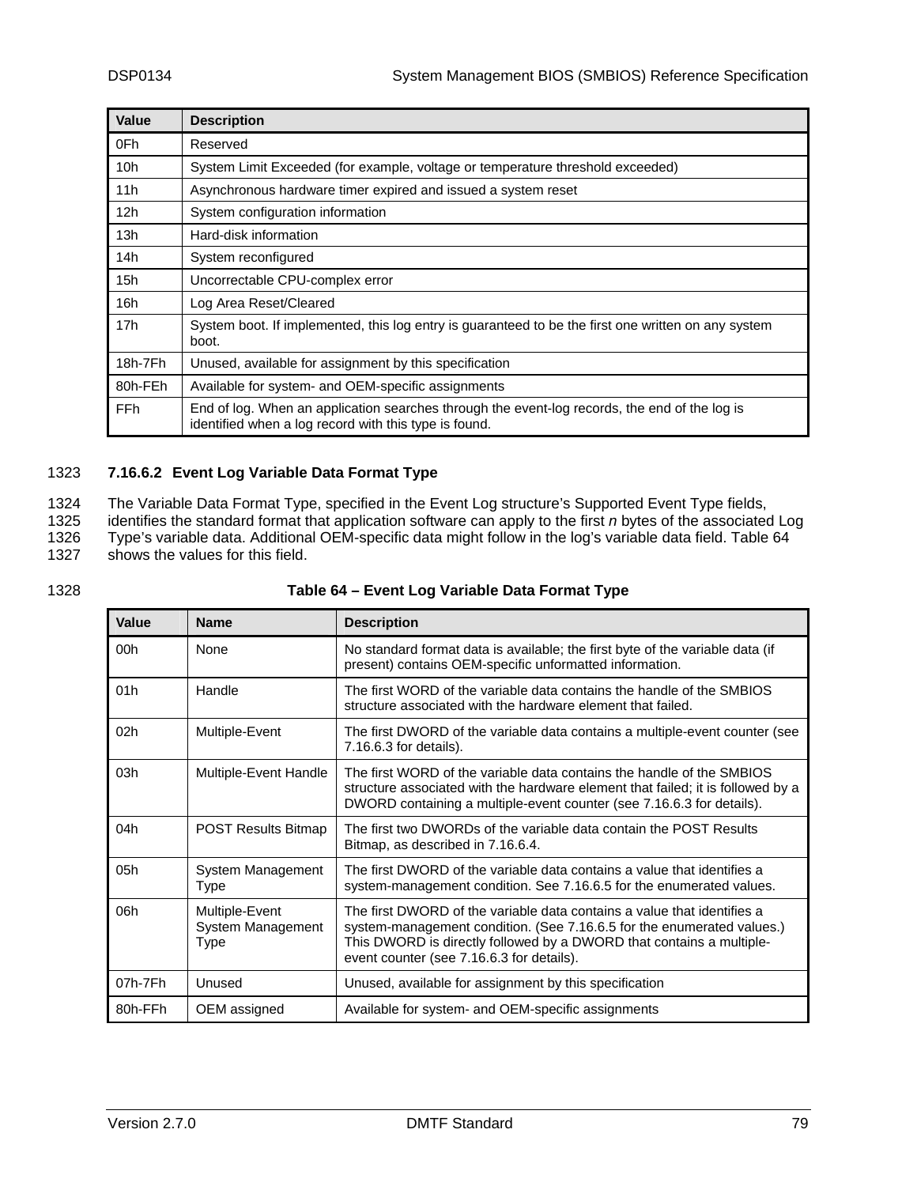| Value           | Description                                                                                                                                            |
|-----------------|--------------------------------------------------------------------------------------------------------------------------------------------------------|
| 0Fh             | Reserved                                                                                                                                               |
| 10 <sub>h</sub> | System Limit Exceeded (for example, voltage or temperature threshold exceeded)                                                                         |
| 11h             | Asynchronous hardware timer expired and issued a system reset                                                                                          |
| 12h             | System configuration information                                                                                                                       |
| 13h             | Hard-disk information                                                                                                                                  |
| 14h             | System reconfigured                                                                                                                                    |
| 15h             | Uncorrectable CPU-complex error                                                                                                                        |
| 16h             | Log Area Reset/Cleared                                                                                                                                 |
| 17h             | System boot. If implemented, this log entry is guaranteed to be the first one written on any system<br>boot.                                           |
| 18h-7Fh         | Unused, available for assignment by this specification                                                                                                 |
| 80h-FEh         | Available for system- and OEM-specific assignments                                                                                                     |
| <b>FFh</b>      | End of log. When an application searches through the event-log records, the end of the log is<br>identified when a log record with this type is found. |

## <span id="page-78-0"></span>1323 **7.16.6.2 Event Log Variable Data Format Type**

1324 The Variable Data Format Type, specified in the Event Log structure's Supported Event Type fields, 1325 identifies the standard format that application software can apply to the first *n* bytes of the associated Log 1326 Type's variable data. Additional OEM-specific data might follow in the log's variable data field. [Table 64](#page-78-1) 1327 shows the values for this field.

<span id="page-78-1"></span>

| 1328 | Table 64 – Event Log Variable Data Format Type |
|------|------------------------------------------------|
|------|------------------------------------------------|

| Value           | <b>Name</b>                                 | <b>Description</b>                                                                                                                                                                                                                                                     |  |  |
|-----------------|---------------------------------------------|------------------------------------------------------------------------------------------------------------------------------------------------------------------------------------------------------------------------------------------------------------------------|--|--|
| 00h             | None                                        | No standard format data is available; the first byte of the variable data (if<br>present) contains OEM-specific unformatted information.                                                                                                                               |  |  |
| 01h             | Handle                                      | The first WORD of the variable data contains the handle of the SMBIOS<br>structure associated with the hardware element that failed.                                                                                                                                   |  |  |
| 02 <sub>h</sub> | Multiple-Event                              | The first DWORD of the variable data contains a multiple-event counter (see<br>7.16.6.3 for details).                                                                                                                                                                  |  |  |
| 03h             | Multiple-Event Handle                       | The first WORD of the variable data contains the handle of the SMBIOS<br>structure associated with the hardware element that failed; it is followed by a<br>DWORD containing a multiple-event counter (see 7.16.6.3 for details).                                      |  |  |
| 04h             | <b>POST Results Bitmap</b>                  | The first two DWORDs of the variable data contain the POST Results<br>Bitmap, as described in 7.16.6.4.                                                                                                                                                                |  |  |
| 05h             | System Management<br>Type                   | The first DWORD of the variable data contains a value that identifies a<br>system-management condition. See 7.16.6.5 for the enumerated values.                                                                                                                        |  |  |
| 06h             | Multiple-Event<br>System Management<br>Type | The first DWORD of the variable data contains a value that identifies a<br>system-management condition. (See 7.16.6.5 for the enumerated values.)<br>This DWORD is directly followed by a DWORD that contains a multiple-<br>event counter (see 7.16.6.3 for details). |  |  |
| 07h-7Fh         | Unused                                      | Unused, available for assignment by this specification                                                                                                                                                                                                                 |  |  |
| 80h-FFh         | OEM assigned                                | Available for system- and OEM-specific assignments                                                                                                                                                                                                                     |  |  |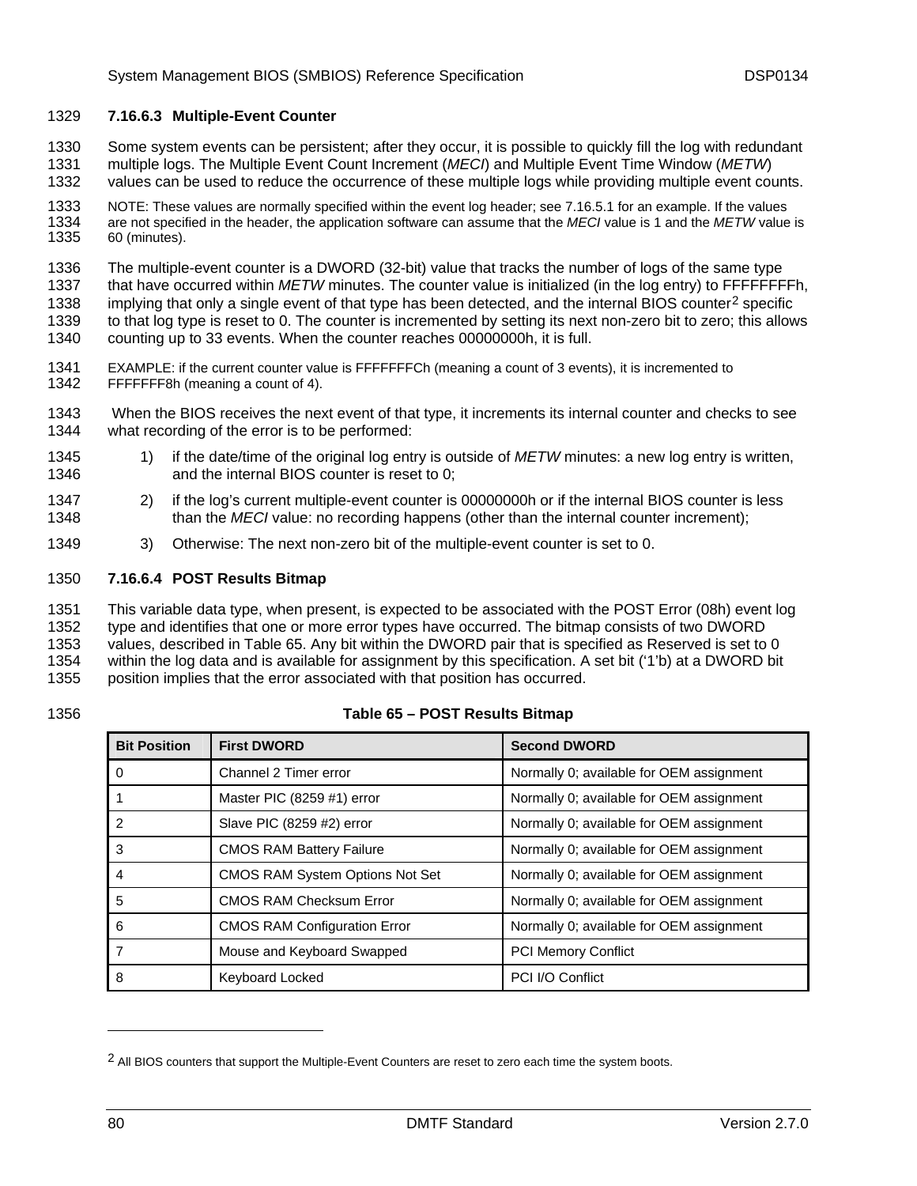#### <span id="page-79-0"></span>1329 **7.16.6.3 Multiple-Event Counter**

1330 Some system events can be persistent; after they occur, it is possible to quickly fill the log with redundant 1331 multiple logs. The Multiple Event Count Increment (*MECI*) and Multiple Event Time Window (*METW*) 1331 multiple logs. The Multiple Event Count Increment (*MECI*) and Multiple Event Time Window (*METW*) values can be used to reduce the occurrence of these multiple logs while providing multiple event counts.

1333 NOTE: These values are normally specified within the event log header; see [7.16.5.1](#page-75-4) for an example. If the values<br>1334 are not specified in the header, the application software can assume that the MECI value is 1 and 1334 are not specified in the header, the application software can assume that the *MECI* value is 1 and the *METW* value is 60 (minutes).

1336 The multiple-event counter is a DWORD (32-bit) value that tracks the number of logs of the same type

1337 that have occurred within *METW* minutes. The counter value is initialized (in the log entry) to FFFFFFFFh,

1338 implying that only a single event of that type has been detected, and the internal BIOS counter<sup>[2](#page-79-2)</sup> specific

1339 to that log type is reset to 0. The counter is incremented by setting its next non-zero bit to zero; this allows 1340 counting up to 33 events. When the counter reaches 00000000h, it is full. counting up to 33 events. When the counter reaches 00000000h, it is full.

1341 EXAMPLE: if the current counter value is FFFFFFFCh (meaning a count of 3 events), it is incremented to 1342 FFFFFFF8h (meaning a count of 4).

- 1343 When the BIOS receives the next event of that type, it increments its internal counter and checks to see 1344 what recording of the error is to be performed:
- 1345 1) if the date/time of the original log entry is outside of *METW* minutes: a new log entry is written, 1346 **and the internal BIOS counter is reset to 0:**
- 1347 2) if the log's current multiple-event counter is 00000000h or if the internal BIOS counter is less 1348 than the *MECI* value: no recording happens (other than the internal counter increment);
- 1349 3) Otherwise: The next non-zero bit of the multiple-event counter is set to 0.

#### <span id="page-79-1"></span>1350 **7.16.6.4 POST Results Bitmap**

1351 This variable data type, when present, is expected to be associated with the POST Error (08h) event log 1352 type and identifies that one or more error types have occurred. The bitmap consists of two DWORD 1353 values, described in [Table 65](#page-79-3). Any bit within the DWORD pair that is specified as Reserved is set to 0 1354 within the log data and is available for assignment by this specification. A set bit ('1'b) at a DWORD bit 1355 position implies that the error associated with that position has occurred.

### <span id="page-79-3"></span>1356 **Table 65 – POST Results Bitmap**

| <b>Bit Position</b> | <b>First DWORD</b>                  | <b>Second DWORD</b>                      |
|---------------------|-------------------------------------|------------------------------------------|
| 0                   | Channel 2 Timer error               | Normally 0; available for OEM assignment |
|                     | Master PIC (8259 #1) error          | Normally 0; available for OEM assignment |
| $\mathfrak{p}$      | Slave PIC (8259 #2) error           | Normally 0; available for OEM assignment |
| 3                   | <b>CMOS RAM Battery Failure</b>     | Normally 0; available for OEM assignment |
| 4                   | CMOS RAM System Options Not Set     | Normally 0; available for OEM assignment |
| 5                   | <b>CMOS RAM Checksum Error</b>      | Normally 0; available for OEM assignment |
| 6                   | <b>CMOS RAM Configuration Error</b> | Normally 0; available for OEM assignment |
| 7                   | Mouse and Keyboard Swapped          | <b>PCI Memory Conflict</b>               |
| 8                   | Keyboard Locked                     | <b>PCI I/O Conflict</b>                  |

l

<span id="page-79-2"></span><sup>&</sup>lt;sup>2</sup> All BIOS counters that support the Multiple-Event Counters are reset to zero each time the system boots.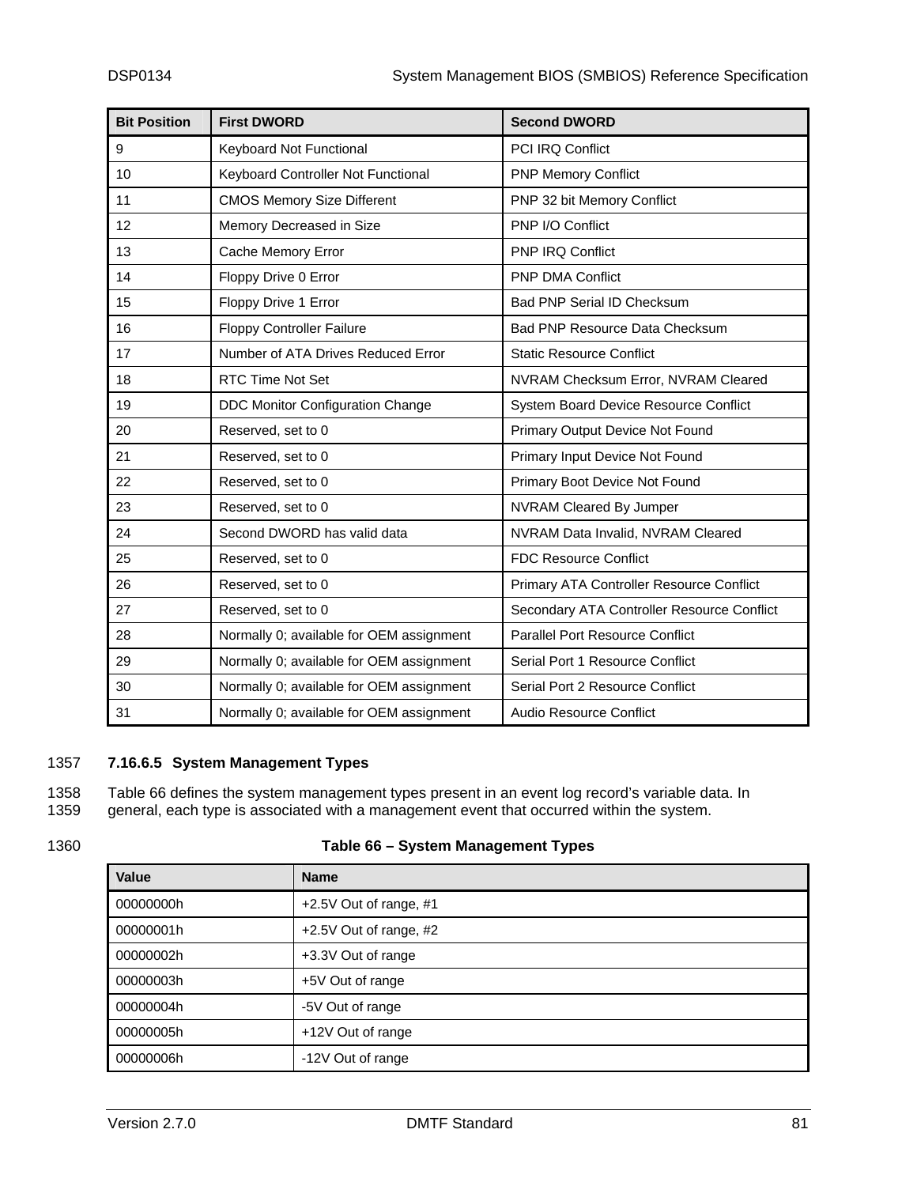| <b>Bit Position</b> | <b>First DWORD</b>                       | <b>Second DWORD</b>                        |
|---------------------|------------------------------------------|--------------------------------------------|
| 9                   | Keyboard Not Functional                  | PCI IRQ Conflict                           |
| 10                  | Keyboard Controller Not Functional       | <b>PNP Memory Conflict</b>                 |
| 11                  | <b>CMOS Memory Size Different</b>        | PNP 32 bit Memory Conflict                 |
| 12                  | Memory Decreased in Size                 | PNP I/O Conflict                           |
| 13                  | Cache Memory Error                       | PNP IRQ Conflict                           |
| 14                  | Floppy Drive 0 Error                     | <b>PNP DMA Conflict</b>                    |
| 15                  | Floppy Drive 1 Error                     | <b>Bad PNP Serial ID Checksum</b>          |
| 16                  | <b>Floppy Controller Failure</b>         | <b>Bad PNP Resource Data Checksum</b>      |
| 17                  | Number of ATA Drives Reduced Error       | <b>Static Resource Conflict</b>            |
| 18                  | <b>RTC Time Not Set</b>                  | NVRAM Checksum Error, NVRAM Cleared        |
| 19                  | DDC Monitor Configuration Change         | System Board Device Resource Conflict      |
| 20                  | Reserved, set to 0                       | Primary Output Device Not Found            |
| 21                  | Reserved, set to 0                       | Primary Input Device Not Found             |
| 22                  | Reserved, set to 0                       | Primary Boot Device Not Found              |
| 23                  | Reserved, set to 0                       | NVRAM Cleared By Jumper                    |
| 24                  | Second DWORD has valid data              | NVRAM Data Invalid, NVRAM Cleared          |
| 25                  | Reserved, set to 0                       | <b>FDC Resource Conflict</b>               |
| 26                  | Reserved, set to 0                       | Primary ATA Controller Resource Conflict   |
| 27                  | Reserved, set to 0                       | Secondary ATA Controller Resource Conflict |
| 28                  | Normally 0; available for OEM assignment | <b>Parallel Port Resource Conflict</b>     |
| 29                  | Normally 0; available for OEM assignment | Serial Port 1 Resource Conflict            |
| 30                  | Normally 0; available for OEM assignment | Serial Port 2 Resource Conflict            |
| 31                  | Normally 0; available for OEM assignment | Audio Resource Conflict                    |

#### <span id="page-80-0"></span>1357 **7.16.6.5 System Management Types**

1358 [Table 66](#page-80-1) defines the system management types present in an event log record's variable data. In 1359 general, each type is associated with a management event that occurred within the system.

# <span id="page-80-1"></span>1360 **Table 66 – System Management Types**

| <b>Value</b> | <b>Name</b>            |
|--------------|------------------------|
| 00000000h    | +2.5V Out of range, #1 |
| 00000001h    | +2.5V Out of range, #2 |
| 00000002h    | +3.3V Out of range     |
| 00000003h    | +5V Out of range       |
| 00000004h    | -5V Out of range       |
| 00000005h    | +12V Out of range      |
| 00000006h    | -12V Out of range      |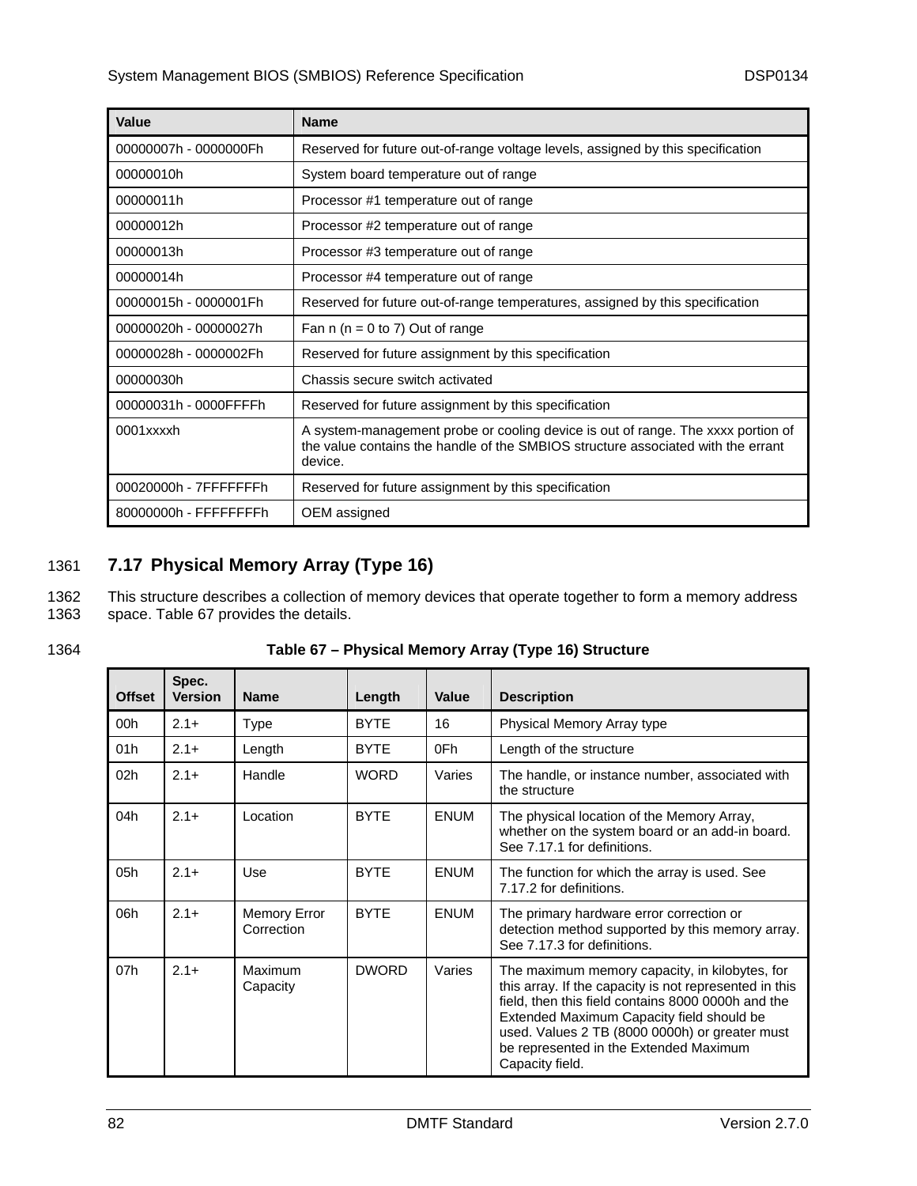| Value                 | <b>Name</b>                                                                                                                                                                     |
|-----------------------|---------------------------------------------------------------------------------------------------------------------------------------------------------------------------------|
| 00000007h - 0000000Fh | Reserved for future out-of-range voltage levels, assigned by this specification                                                                                                 |
| 00000010h             | System board temperature out of range                                                                                                                                           |
| 00000011h             | Processor #1 temperature out of range                                                                                                                                           |
| 00000012h             | Processor #2 temperature out of range                                                                                                                                           |
| 00000013h             | Processor #3 temperature out of range                                                                                                                                           |
| 00000014h             | Processor #4 temperature out of range                                                                                                                                           |
| 00000015h - 0000001Fh | Reserved for future out-of-range temperatures, assigned by this specification                                                                                                   |
| 00000020h - 00000027h | Fan $n (n = 0$ to 7) Out of range                                                                                                                                               |
| 00000028h - 0000002Fh | Reserved for future assignment by this specification                                                                                                                            |
| 00000030h             | Chassis secure switch activated                                                                                                                                                 |
| 00000031h - 0000FFFFh | Reserved for future assignment by this specification                                                                                                                            |
| 0001xxxxh             | A system-management probe or cooling device is out of range. The xxxx portion of<br>the value contains the handle of the SMBIOS structure associated with the errant<br>device. |
| 00020000h - 7FFFFFFFh | Reserved for future assignment by this specification                                                                                                                            |
| 80000000h - FFFFFFFFh | OEM assigned                                                                                                                                                                    |

## <span id="page-81-1"></span>1361 **7.17 Physical Memory Array (Type 16)**

1362 This structure describes a collection of memory devices that operate together to form a memory address 1363 space. [Table 67](#page-81-0) provides the details.

<span id="page-81-0"></span>

### 1364 **Table 67 – Physical Memory Array (Type 16) Structure**

| <b>Offset</b>   | Spec.<br><b>Version</b> | <b>Name</b>                       | Length       | Value       | <b>Description</b>                                                                                                                                                                                                                                                                                                         |
|-----------------|-------------------------|-----------------------------------|--------------|-------------|----------------------------------------------------------------------------------------------------------------------------------------------------------------------------------------------------------------------------------------------------------------------------------------------------------------------------|
| 00 <sub>h</sub> | $2.1+$                  | <b>Type</b>                       | <b>BYTE</b>  | 16          | Physical Memory Array type                                                                                                                                                                                                                                                                                                 |
| 01h             | $2.1+$                  | Length                            | <b>BYTE</b>  | 0Fh         | Length of the structure                                                                                                                                                                                                                                                                                                    |
| 02h             | $2.1+$                  | Handle                            | <b>WORD</b>  | Varies      | The handle, or instance number, associated with<br>the structure                                                                                                                                                                                                                                                           |
| 04h             | $2.1+$                  | Location                          | <b>BYTE</b>  | <b>ENUM</b> | The physical location of the Memory Array,<br>whether on the system board or an add-in board.<br>See 7.17.1 for definitions.                                                                                                                                                                                               |
| 05h             | $2.1+$                  | Use                               | <b>BYTE</b>  | ENUM        | The function for which the array is used. See<br>7.17.2 for definitions.                                                                                                                                                                                                                                                   |
| 06h             | $2.1+$                  | <b>Memory Error</b><br>Correction | <b>BYTE</b>  | <b>ENUM</b> | The primary hardware error correction or<br>detection method supported by this memory array.<br>See 7.17.3 for definitions.                                                                                                                                                                                                |
| 07h             | $2.1+$                  | Maximum<br>Capacity               | <b>DWORD</b> | Varies      | The maximum memory capacity, in kilobytes, for<br>this array. If the capacity is not represented in this<br>field, then this field contains 8000 0000h and the<br>Extended Maximum Capacity field should be<br>used. Values 2 TB (8000 0000h) or greater must<br>be represented in the Extended Maximum<br>Capacity field. |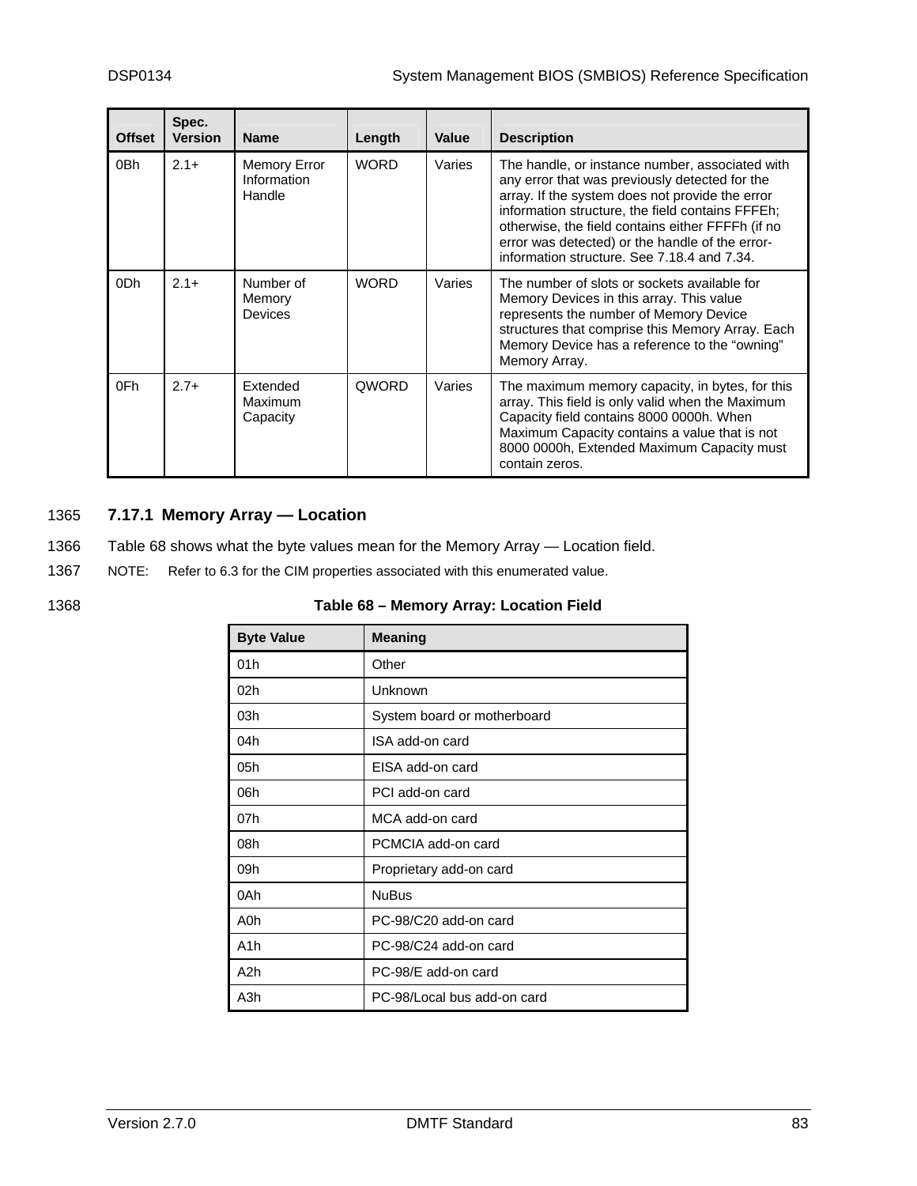| <b>Offset</b> | Spec.<br><b>Version</b> | <b>Name</b>                                  | Length       | Value  | <b>Description</b>                                                                                                                                                                                                                                                                                                                                              |
|---------------|-------------------------|----------------------------------------------|--------------|--------|-----------------------------------------------------------------------------------------------------------------------------------------------------------------------------------------------------------------------------------------------------------------------------------------------------------------------------------------------------------------|
| 0Bh           | $2.1+$                  | <b>Memory Error</b><br>Information<br>Handle | <b>WORD</b>  | Varies | The handle, or instance number, associated with<br>any error that was previously detected for the<br>array. If the system does not provide the error<br>information structure, the field contains FFFEh;<br>otherwise, the field contains either FFFFh (if no<br>error was detected) or the handle of the error-<br>information structure. See 7.18.4 and 7.34. |
| 0Dh           | $2.1+$                  | Number of<br>Memory<br><b>Devices</b>        | <b>WORD</b>  | Varies | The number of slots or sockets available for<br>Memory Devices in this array. This value<br>represents the number of Memory Device<br>structures that comprise this Memory Array. Each<br>Memory Device has a reference to the "owning"<br>Memory Array.                                                                                                        |
| 0Fh           | $2.7+$                  | Extended<br>Maximum<br>Capacity              | <b>QWORD</b> | Varies | The maximum memory capacity, in bytes, for this<br>array. This field is only valid when the Maximum<br>Capacity field contains 8000 0000h. When<br>Maximum Capacity contains a value that is not<br>8000 0000h, Extended Maximum Capacity must<br>contain zeros.                                                                                                |

## <span id="page-82-0"></span>1365 **7.17.1 Memory Array — Location**

1366 [Table 68](#page-82-1) shows what the byte values mean for the Memory Array — Location field.

1367 NOTE: Refer to [6.3](#page-25-0) for the CIM properties associated with this enumerated value.

#### <span id="page-82-1"></span>1368 **Table 68 – Memory Array: Location Field**

| <b>Byte Value</b> | <b>Meaning</b>              |
|-------------------|-----------------------------|
| 01h               | Other                       |
| 02 <sub>h</sub>   | Unknown                     |
| 03h               | System board or motherboard |
| 04h               | ISA add-on card             |
| 05h               | <b>EISA add-on card</b>     |
| 06h               | PCI add-on card             |
| 07h               | MCA add-on card             |
| 08h               | PCMCIA add-on card          |
| 09h               | Proprietary add-on card     |
| 0Ah               | <b>NuBus</b>                |
| A0h               | PC-98/C20 add-on card       |
| A1h               | PC-98/C24 add-on card       |
| A2h               | PC-98/E add-on card         |
| A3h               | PC-98/Local bus add-on card |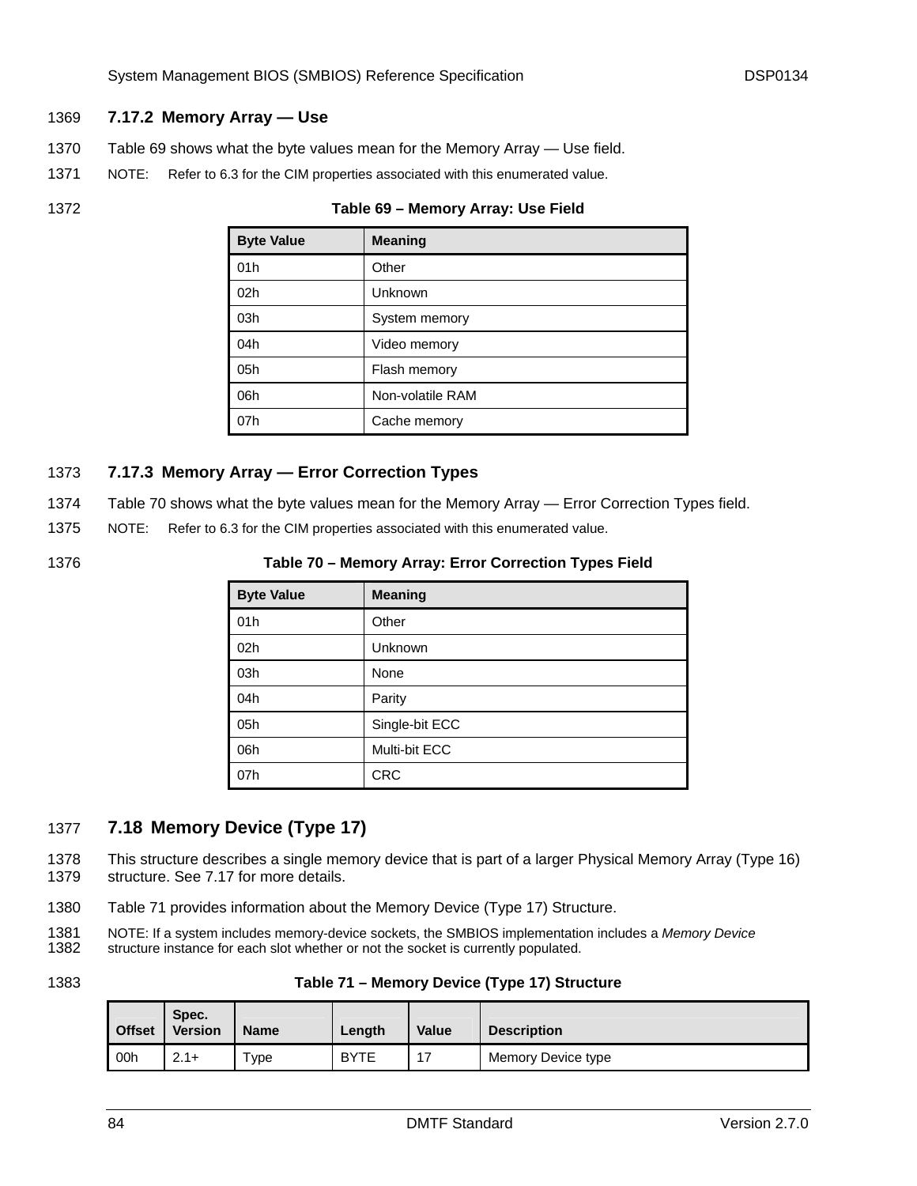## <span id="page-83-0"></span>1369 **7.17.2 Memory Array — Use**

- 1370 [Table 69](#page-83-2) shows what the byte values mean for the Memory Array Use field.
- 1371 NOTE: Refer to [6.3](#page-25-0) for the CIM properties associated with this enumerated value.
- 

#### <span id="page-83-2"></span>1372 **Table 69 – Memory Array: Use Field**

| <b>Byte Value</b> | <b>Meaning</b>   |
|-------------------|------------------|
| 01h               | Other            |
| 02 <sub>h</sub>   | Unknown          |
| 03h               | System memory    |
| 04h               | Video memory     |
| 05h               | Flash memory     |
| 06h               | Non-volatile RAM |
| 07h               | Cache memory     |

## <span id="page-83-1"></span>1373 **7.17.3 Memory Array — Error Correction Types**

1374 [Table 70](#page-83-3) shows what the byte values mean for the Memory Array — Error Correction Types field.

- 1375 NOTE: Refer to [6.3](#page-25-0) for the CIM properties associated with this enumerated value.
- 

### <span id="page-83-3"></span>1376 **Table 70 – Memory Array: Error Correction Types Field**

| <b>Byte Value</b> | <b>Meaning</b> |  |  |  |
|-------------------|----------------|--|--|--|
| 01h               | Other          |  |  |  |
| 02h               | <b>Unknown</b> |  |  |  |
| 03h               | None           |  |  |  |
| 04h               | Parity         |  |  |  |
| 05h               | Single-bit ECC |  |  |  |
| 06h               | Multi-bit ECC  |  |  |  |
| 07h               | <b>CRC</b>     |  |  |  |

## <span id="page-83-5"></span>1377 **7.18 Memory Device (Type 17)**

1378 This structure describes a single memory device that is part of a larger Physical Memory Array (Type 16) 1379 structure. See [7.17](#page-81-1) for more details.

- 1380 [Table 71](#page-83-4) provides information about the Memory Device (Type 17) Structure.
- 1381 NOTE: If a system includes memory-device sockets, the SMBIOS implementation includes a *Memory Device* structure instance for each slot whether or not the socket is currently populated.
- 

## <span id="page-83-4"></span>1383 **Table 71 – Memory Device (Type 17) Structure**

| <b>Offset</b> | Spec.<br><b>Version</b> | <b>Name</b> | Length      | Value | <b>Description</b> |
|---------------|-------------------------|-------------|-------------|-------|--------------------|
| 00h           | $2.1+$                  | $\tau$ ype  | <b>BYTE</b> | 17    | Memory Device type |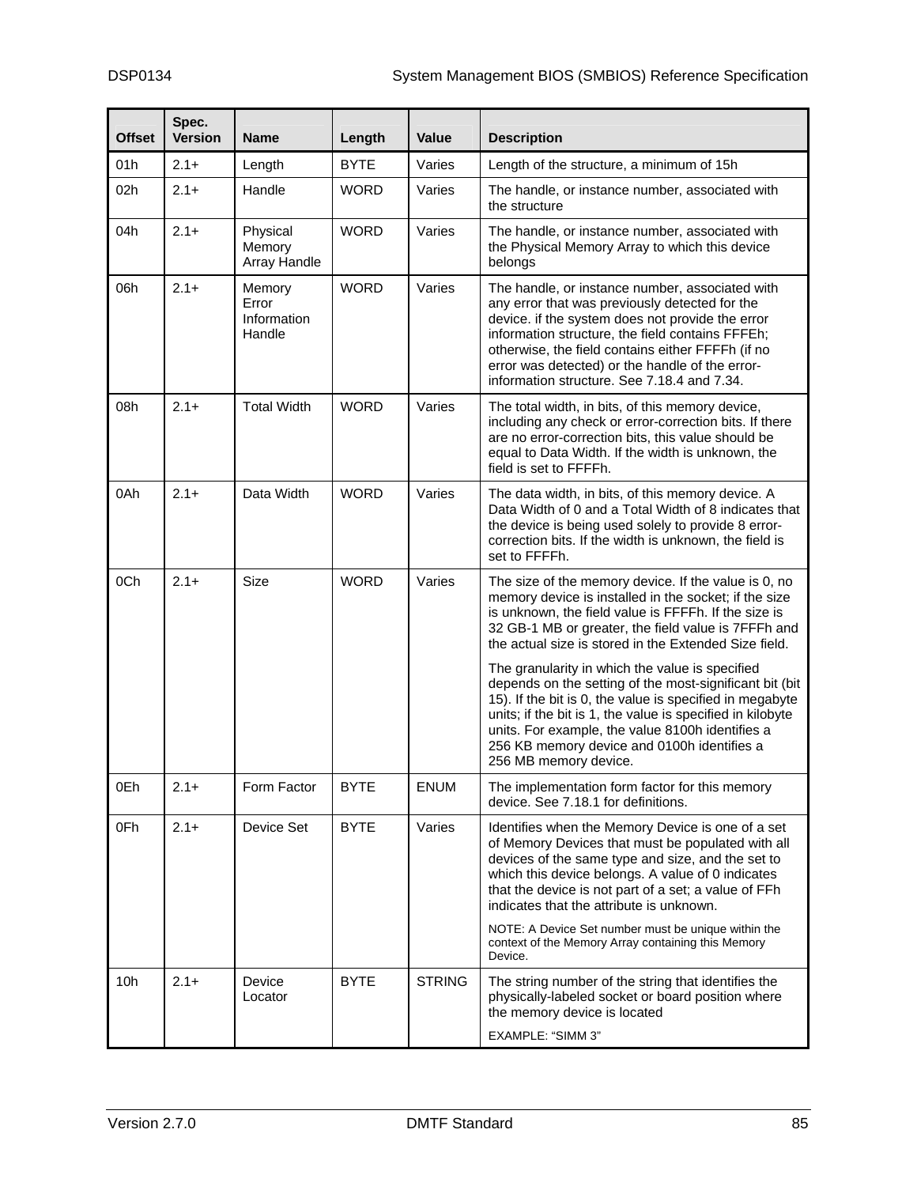| <b>Offset</b> | Spec.<br><b>Version</b> | <b>Name</b>                              | Length      | <b>Value</b>  | <b>Description</b>                                                                                                                                                                                                                                                                                                                                               |
|---------------|-------------------------|------------------------------------------|-------------|---------------|------------------------------------------------------------------------------------------------------------------------------------------------------------------------------------------------------------------------------------------------------------------------------------------------------------------------------------------------------------------|
| 01h           | $2.1+$                  | Length                                   | <b>BYTE</b> | Varies        | Length of the structure, a minimum of 15h                                                                                                                                                                                                                                                                                                                        |
| 02h           | $2.1+$                  | Handle                                   | <b>WORD</b> | Varies        | The handle, or instance number, associated with<br>the structure                                                                                                                                                                                                                                                                                                 |
| 04h           | $2.1+$                  | Physical<br>Memory<br>Array Handle       | <b>WORD</b> | Varies        | The handle, or instance number, associated with<br>the Physical Memory Array to which this device<br>belongs                                                                                                                                                                                                                                                     |
| 06h           | $2.1+$                  | Memory<br>Error<br>Information<br>Handle | <b>WORD</b> | Varies        | The handle, or instance number, associated with<br>any error that was previously detected for the<br>device. if the system does not provide the error<br>information structure, the field contains FFFEh;<br>otherwise, the field contains either FFFFh (if no<br>error was detected) or the handle of the error-<br>information structure. See 7.18.4 and 7.34. |
| 08h           | $2.1+$                  | <b>Total Width</b>                       | <b>WORD</b> | Varies        | The total width, in bits, of this memory device,<br>including any check or error-correction bits. If there<br>are no error-correction bits, this value should be<br>equal to Data Width. If the width is unknown, the<br>field is set to FFFFh.                                                                                                                  |
| 0Ah           | $2.1 +$                 | Data Width                               | <b>WORD</b> | Varies        | The data width, in bits, of this memory device. A<br>Data Width of 0 and a Total Width of 8 indicates that<br>the device is being used solely to provide 8 error-<br>correction bits. If the width is unknown, the field is<br>set to FFFFh.                                                                                                                     |
| 0Ch           | $2.1 +$                 | <b>Size</b>                              | <b>WORD</b> | Varies        | The size of the memory device. If the value is 0, no<br>memory device is installed in the socket; if the size<br>is unknown, the field value is FFFFh. If the size is<br>32 GB-1 MB or greater, the field value is 7FFFh and<br>the actual size is stored in the Extended Size field.                                                                            |
|               |                         |                                          |             |               | The granularity in which the value is specified<br>depends on the setting of the most-significant bit (bit<br>15). If the bit is 0, the value is specified in megabyte<br>units; if the bit is 1, the value is specified in kilobyte<br>units. For example, the value 8100h identifies a<br>256 KB memory device and 0100h identifies a<br>256 MB memory device. |
| 0Eh           | $2.1 +$                 | Form Factor                              | BYTE        | <b>ENUM</b>   | The implementation form factor for this memory<br>device. See 7.18.1 for definitions.                                                                                                                                                                                                                                                                            |
| 0Fh           | $2.1+$                  | Device Set                               | <b>BYTE</b> | Varies        | Identifies when the Memory Device is one of a set<br>of Memory Devices that must be populated with all<br>devices of the same type and size, and the set to<br>which this device belongs. A value of 0 indicates<br>that the device is not part of a set; a value of FFh<br>indicates that the attribute is unknown.                                             |
|               |                         |                                          |             |               | NOTE: A Device Set number must be unique within the<br>context of the Memory Array containing this Memory<br>Device.                                                                                                                                                                                                                                             |
| 10h           | $2.1+$                  | Device<br>Locator                        | <b>BYTE</b> | <b>STRING</b> | The string number of the string that identifies the<br>physically-labeled socket or board position where<br>the memory device is located                                                                                                                                                                                                                         |
|               |                         |                                          |             |               | EXAMPLE: "SIMM 3"                                                                                                                                                                                                                                                                                                                                                |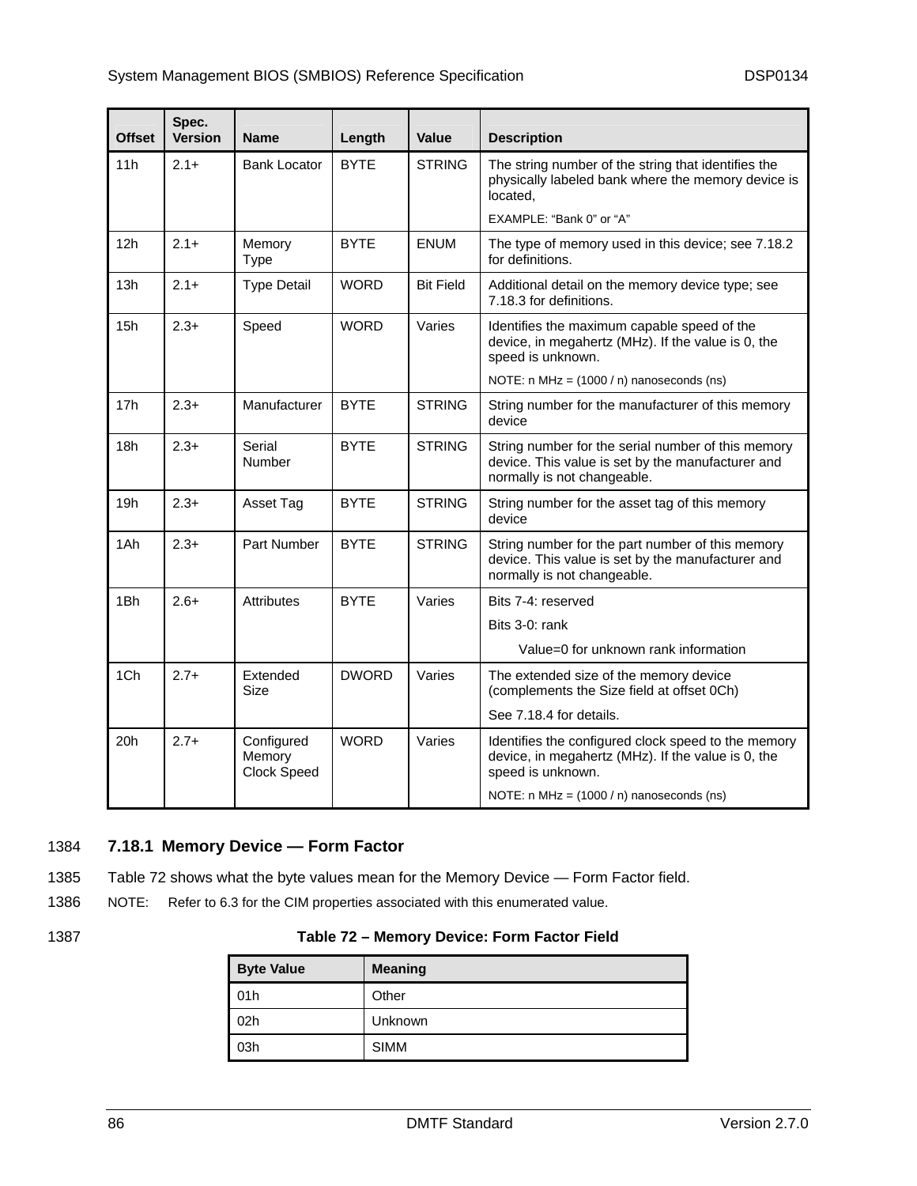| <b>Offset</b> | Spec.<br><b>Version</b> | <b>Name</b>                         | Length       | Value            | <b>Description</b>                                                                                                                     |
|---------------|-------------------------|-------------------------------------|--------------|------------------|----------------------------------------------------------------------------------------------------------------------------------------|
| 11h           | $2.1 +$                 | <b>Bank Locator</b>                 | <b>BYTE</b>  | <b>STRING</b>    | The string number of the string that identifies the<br>physically labeled bank where the memory device is<br>located.                  |
|               |                         |                                     |              |                  | EXAMPLE: "Bank 0" or "A"                                                                                                               |
| 12h           | $2.1+$                  | Memory<br><b>Type</b>               | <b>BYTE</b>  | <b>ENUM</b>      | The type of memory used in this device; see 7.18.2<br>for definitions.                                                                 |
| 13h           | $2.1+$                  | <b>Type Detail</b>                  | <b>WORD</b>  | <b>Bit Field</b> | Additional detail on the memory device type; see<br>7.18.3 for definitions.                                                            |
| 15h           | $2.3+$                  | Speed                               | <b>WORD</b>  | Varies           | Identifies the maximum capable speed of the<br>device, in megahertz (MHz). If the value is 0, the<br>speed is unknown.                 |
|               |                         |                                     |              |                  | NOTE: $n$ MHz = (1000 / $n$ ) nanoseconds (ns)                                                                                         |
| 17h           | $2.3+$                  | Manufacturer                        | <b>BYTE</b>  | <b>STRING</b>    | String number for the manufacturer of this memory<br>device                                                                            |
| 18h           | $2.3+$                  | Serial<br>Number                    | <b>BYTE</b>  | <b>STRING</b>    | String number for the serial number of this memory<br>device. This value is set by the manufacturer and<br>normally is not changeable. |
| 19h           | $2.3+$                  | Asset Tag                           | <b>BYTE</b>  | <b>STRING</b>    | String number for the asset tag of this memory<br>device                                                                               |
| 1Ah           | $2.3+$                  | Part Number                         | <b>BYTE</b>  | <b>STRING</b>    | String number for the part number of this memory<br>device. This value is set by the manufacturer and<br>normally is not changeable.   |
| 1Bh           | $2.6+$                  | <b>Attributes</b>                   | <b>BYTE</b>  | Varies           | Bits 7-4: reserved                                                                                                                     |
|               |                         |                                     |              |                  | Bits 3-0: rank                                                                                                                         |
|               |                         |                                     |              |                  | Value=0 for unknown rank information                                                                                                   |
| 1Ch           | $2.7+$                  | Extended<br>Size                    | <b>DWORD</b> | Varies           | The extended size of the memory device<br>(complements the Size field at offset 0Ch)                                                   |
|               |                         |                                     |              |                  | See 7.18.4 for details.                                                                                                                |
| 20h           | $2.7+$                  | Configured<br>Memory<br>Clock Speed | <b>WORD</b>  | Varies           | Identifies the configured clock speed to the memory<br>device, in megahertz (MHz). If the value is 0, the<br>speed is unknown.         |
|               |                         |                                     |              |                  | NOTE: $n$ MHz = $(1000 / n)$ nanoseconds (ns)                                                                                          |

## <span id="page-85-0"></span>1384 **7.18.1 Memory Device — Form Factor**

1385 [Table 72](#page-85-1) shows what the byte values mean for the Memory Device — Form Factor field.

1386 NOTE: Refer to [6.3](#page-25-0) for the CIM properties associated with this enumerated value.

## <span id="page-85-1"></span>1387 **Table 72 – Memory Device: Form Factor Field**

| <b>Byte Value</b> | <b>Meaning</b> |  |  |
|-------------------|----------------|--|--|
| 01h               | Other          |  |  |
| 02 <sub>h</sub>   | <b>Unknown</b> |  |  |
| 03h               | <b>SIMM</b>    |  |  |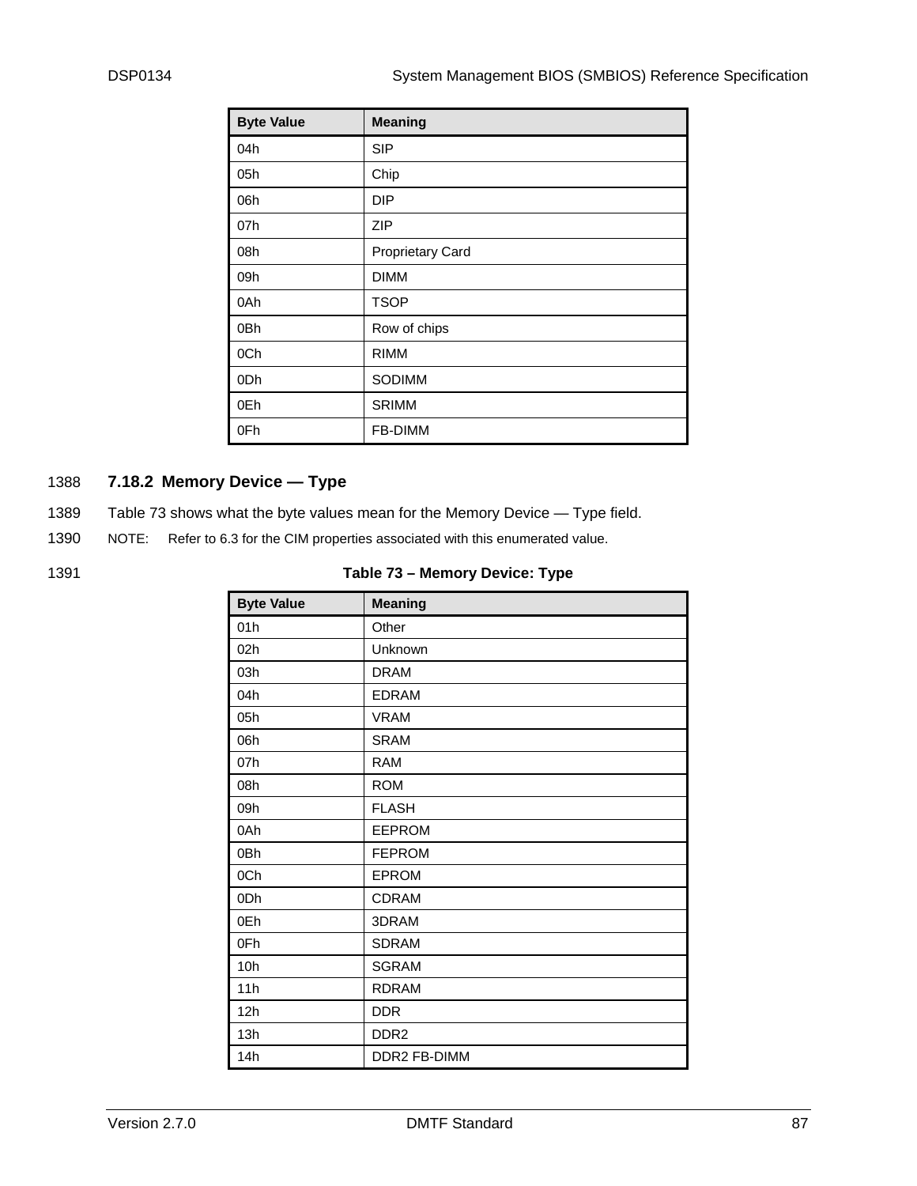| <b>Byte Value</b> | <b>Meaning</b>          |  |  |  |
|-------------------|-------------------------|--|--|--|
| 04h               | <b>SIP</b>              |  |  |  |
| 05h               | Chip                    |  |  |  |
| 06h               | <b>DIP</b>              |  |  |  |
| 07h               | <b>ZIP</b>              |  |  |  |
| 08h               | <b>Proprietary Card</b> |  |  |  |
| 09h               | <b>DIMM</b>             |  |  |  |
| 0Ah               | <b>TSOP</b>             |  |  |  |
| 0Bh               | Row of chips            |  |  |  |
| 0Ch               | <b>RIMM</b>             |  |  |  |
| 0Dh               | SODIMM                  |  |  |  |
| 0Eh               | <b>SRIMM</b>            |  |  |  |
| 0Fh               | FB-DIMM                 |  |  |  |

## <span id="page-86-0"></span>1388 **7.18.2 Memory Device — Type**

- 1389 [Table 73](#page-86-1) shows what the byte values mean for the Memory Device Type field.
- 1390 NOTE: Refer to [6.3](#page-25-0) for the CIM properties associated with this enumerated value.
- 

#### <span id="page-86-1"></span>1391 **Table 73 – Memory Device: Type**

| <b>Byte Value</b> | <b>Meaning</b>   |
|-------------------|------------------|
| 01h               | Other            |
| 02h               | Unknown          |
| 03h               | <b>DRAM</b>      |
| 04h               | <b>EDRAM</b>     |
| 05h               | <b>VRAM</b>      |
| 06h               | <b>SRAM</b>      |
| 07h               | <b>RAM</b>       |
| 08h               | <b>ROM</b>       |
| 09h               | <b>FLASH</b>     |
| 0Ah               | <b>EEPROM</b>    |
| 0Bh               | <b>FEPROM</b>    |
| 0Ch               | <b>EPROM</b>     |
| 0Dh               | CDRAM            |
| 0Eh               | 3DRAM            |
| 0Fh               | <b>SDRAM</b>     |
| 10h               | <b>SGRAM</b>     |
| 11h               | <b>RDRAM</b>     |
| 12h               | <b>DDR</b>       |
| 13h               | DDR <sub>2</sub> |
| 14h               | DDR2 FB-DIMM     |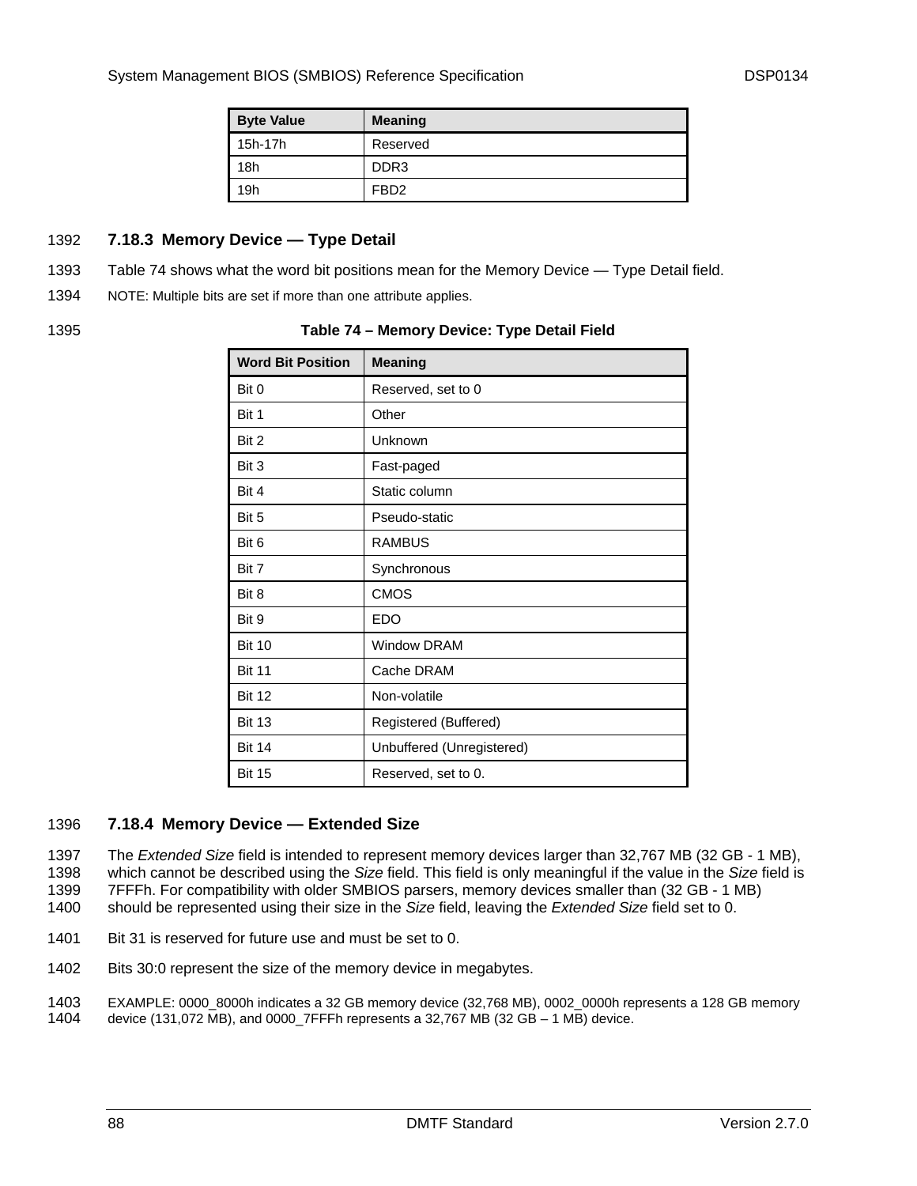| <b>Byte Value</b> | <b>Meaning</b>   |
|-------------------|------------------|
| 15h-17h           | Reserved         |
| 18h               | DDR <sub>3</sub> |
| 19h               | FBD <sub>2</sub> |

## <span id="page-87-1"></span>1392 **7.18.3 Memory Device — Type Detail**

1393 [Table 74](#page-87-2) shows what the word bit positions mean for the Memory Device — Type Detail field.

1394 NOTE: Multiple bits are set if more than one attribute applies.

### <span id="page-87-2"></span>1395 **Table 74 – Memory Device: Type Detail Field**

| <b>Word Bit Position</b> | <b>Meaning</b>            |
|--------------------------|---------------------------|
| Bit 0                    | Reserved, set to 0        |
| Bit 1                    | Other                     |
| Bit 2                    | Unknown                   |
| Bit 3                    | Fast-paged                |
| Bit 4                    | Static column             |
| Bit 5                    | Pseudo-static             |
| Bit 6                    | <b>RAMBUS</b>             |
| Bit 7                    | Synchronous               |
| Bit 8                    | <b>CMOS</b>               |
| Bit 9                    | <b>EDO</b>                |
| <b>Bit 10</b>            | <b>Window DRAM</b>        |
| <b>Bit 11</b>            | Cache DRAM                |
| <b>Bit 12</b>            | Non-volatile              |
| <b>Bit 13</b>            | Registered (Buffered)     |
| <b>Bit 14</b>            | Unbuffered (Unregistered) |
| <b>Bit 15</b>            | Reserved, set to 0.       |

## <span id="page-87-0"></span>1396 **7.18.4 Memory Device — Extended Size**

1397 The *Extended Size* field is intended to represent memory devices larger than 32,767 MB (32 GB - 1 MB), 1398 which cannot be described using the *Size* field. This field is only meaningful if the value in the *Size* field is 1399 7FFFh. For compatibility with older SMBIOS parsers, memory devices smaller than (32 GB - 1 MB)

- 1400 should be represented using their size in the *Size* field, leaving the *Extended Size* field set to 0.
- 1401 Bit 31 is reserved for future use and must be set to 0.
- 1402 Bits 30:0 represent the size of the memory device in megabytes.

1403 EXAMPLE: 0000\_8000h indicates a 32 GB memory device (32,768 MB), 0002\_0000h represents a 128 GB memory 1404 device (131,072 MB), and 0000\_7FFFh represents a 32,767 MB (32 GB - 1 MB) device. device (131,072 MB), and  $0000$ <sub>-</sub> $7$ FFFh represents a 32,767 MB (32 GB  $-$  1 MB) device.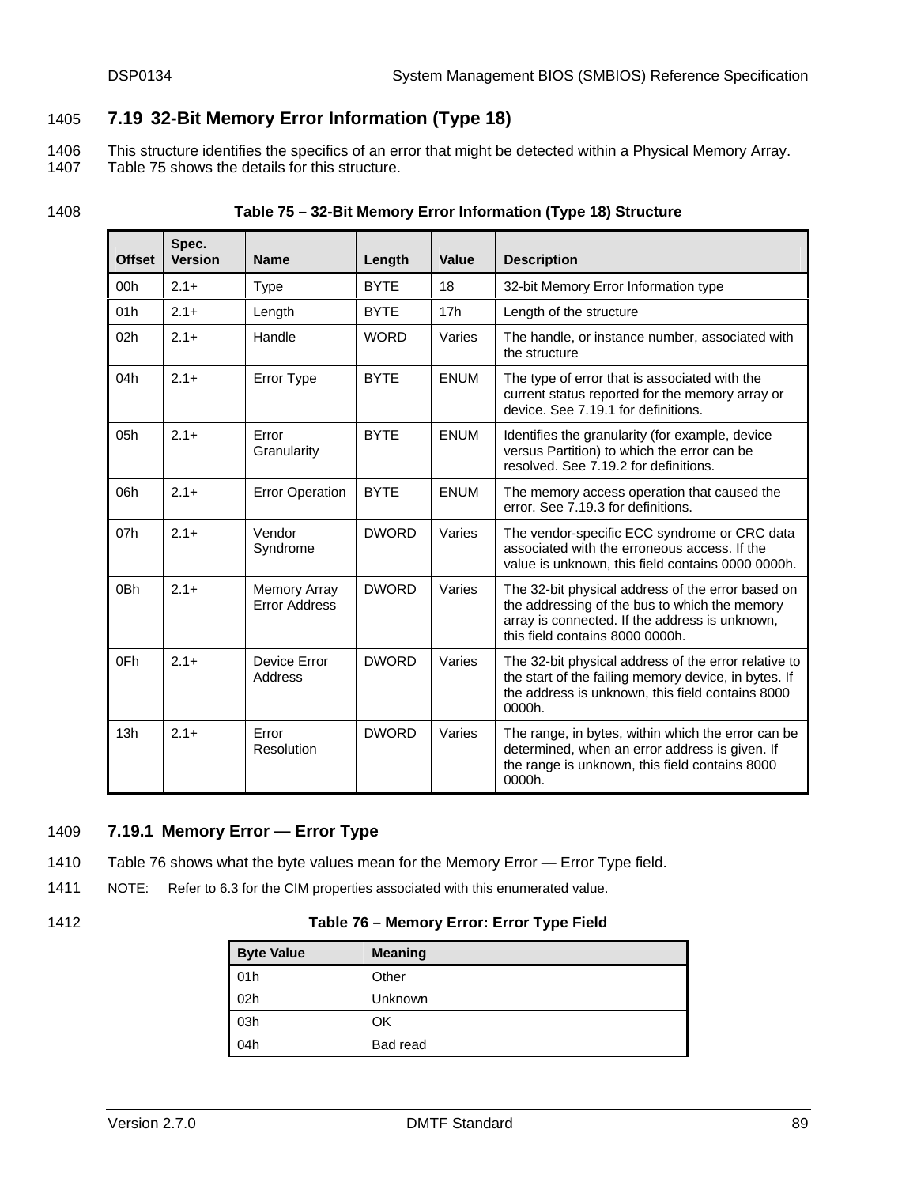## 1405 **7.19 32-Bit Memory Error Information (Type 18)**

1406 This structure identifies the specifics of an error that might be detected within a Physical Memory Array.<br>1407 Table 75 shows the details for this structure. [Table 75](#page-88-0) shows the details for this structure.

| <b>Offset</b>   | Spec.<br><b>Version</b> | <b>Name</b>                                 | Length       | <b>Value</b>    | <b>Description</b>                                                                                                                                                                      |
|-----------------|-------------------------|---------------------------------------------|--------------|-----------------|-----------------------------------------------------------------------------------------------------------------------------------------------------------------------------------------|
| 00h             | $2.1 +$                 | Type                                        | <b>BYTE</b>  | 18              | 32-bit Memory Error Information type                                                                                                                                                    |
| 01h             | $2.1 +$                 | Length                                      | <b>BYTE</b>  | 17 <sub>h</sub> | Length of the structure                                                                                                                                                                 |
| 02h             | $2.1 +$                 | Handle                                      | <b>WORD</b>  | Varies          | The handle, or instance number, associated with<br>the structure                                                                                                                        |
| 04h             | $2.1 +$                 | Error Type                                  | <b>BYTE</b>  | <b>ENUM</b>     | The type of error that is associated with the<br>current status reported for the memory array or<br>device. See 7.19.1 for definitions.                                                 |
| 05h             | $2.1 +$                 | Error<br>Granularity                        | <b>BYTE</b>  | <b>ENUM</b>     | Identifies the granularity (for example, device<br>versus Partition) to which the error can be<br>resolved. See 7.19.2 for definitions.                                                 |
| 06h             | $2.1 +$                 | <b>Error Operation</b>                      | <b>BYTE</b>  | <b>ENUM</b>     | The memory access operation that caused the<br>error. See 7.19.3 for definitions.                                                                                                       |
| 07h             | $2.1 +$                 | Vendor<br>Syndrome                          | <b>DWORD</b> | Varies          | The vendor-specific ECC syndrome or CRC data<br>associated with the erroneous access. If the<br>value is unknown, this field contains 0000 0000h.                                       |
| 0 <sub>Bh</sub> | $2.1 +$                 | <b>Memory Array</b><br><b>Error Address</b> | <b>DWORD</b> | Varies          | The 32-bit physical address of the error based on<br>the addressing of the bus to which the memory<br>array is connected. If the address is unknown,<br>this field contains 8000 0000h. |
| 0Fh             | $2.1+$                  | Device Error<br>Address                     | <b>DWORD</b> | Varies          | The 32-bit physical address of the error relative to<br>the start of the failing memory device, in bytes. If<br>the address is unknown, this field contains 8000<br>0000h.              |
| 13h             | $2.1 +$                 | Error<br>Resolution                         | <b>DWORD</b> | Varies          | The range, in bytes, within which the error can be<br>determined, when an error address is given. If<br>the range is unknown, this field contains 8000<br>0000h.                        |

## <span id="page-88-0"></span>1408 **Table 75 – 32-Bit Memory Error Information (Type 18) Structure**

## <span id="page-88-1"></span>1409 **7.19.1 Memory Error — Error Type**

- 1410 [Table 76](#page-88-2) shows what the byte values mean for the Memory Error Error Type field.
- 1411 NOTE: Refer to [6.3](#page-25-0) for the CIM properties associated with this enumerated value.

## <span id="page-88-2"></span>1412 **Table 76 – Memory Error: Error Type Field**

| <b>Byte Value</b> | <b>Meaning</b> |
|-------------------|----------------|
| 01h               | Other          |
| 02 <sub>h</sub>   | Unknown        |
| 03h               | OK             |
| 04h               | Bad read       |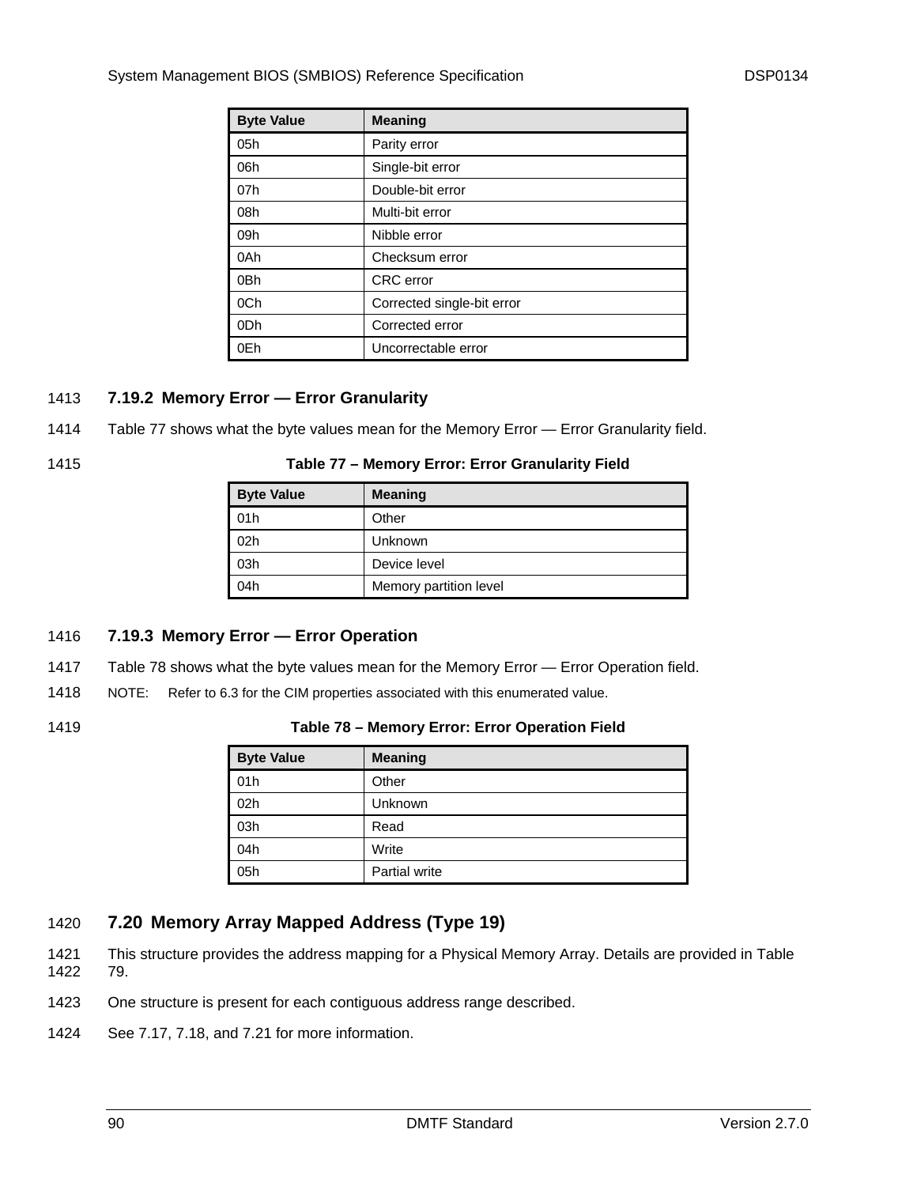| <b>Byte Value</b> | <b>Meaning</b>             |  |  |  |
|-------------------|----------------------------|--|--|--|
| 05h               | Parity error               |  |  |  |
| 06h               | Single-bit error           |  |  |  |
| 07h               | Double-bit error           |  |  |  |
| 08h               | Multi-bit error            |  |  |  |
| 09h               | Nibble error               |  |  |  |
| 0Ah               | Checksum error             |  |  |  |
| 0 <sub>Bh</sub>   | <b>CRC</b> error           |  |  |  |
| 0Ch               | Corrected single-bit error |  |  |  |
| 0 <sub>Dh</sub>   | Corrected error            |  |  |  |
| 0Eh               | Uncorrectable error        |  |  |  |

## <span id="page-89-0"></span>1413 **7.19.2 Memory Error — Error Granularity**

1414 [Table 77](#page-89-2) shows what the byte values mean for the Memory Error — Error Granularity field.

## <span id="page-89-2"></span>1415 **Table 77 – Memory Error: Error Granularity Field**

| <b>Byte Value</b> | <b>Meaning</b>         |  |  |  |
|-------------------|------------------------|--|--|--|
| 01h               | Other                  |  |  |  |
| 02h               | <b>Unknown</b>         |  |  |  |
| 03h               | Device level           |  |  |  |
| 04h               | Memory partition level |  |  |  |

## <span id="page-89-1"></span>1416 **7.19.3 Memory Error — Error Operation**

- 1417 [Table 78](#page-89-3) shows what the byte values mean for the Memory Error Error Operation field.
- 1418 NOTE: Refer to [6.3](#page-25-0) for the CIM properties associated with this enumerated value.
- 

#### <span id="page-89-3"></span>1419 **Table 78 – Memory Error: Error Operation Field**

| <b>Byte Value</b> | <b>Meaning</b> |
|-------------------|----------------|
| 01h               | Other          |
| 02h               | Unknown        |
| 03h               | Read           |
| 04h               | Write          |
| 05h               | Partial write  |

## 1420 **7.20 Memory Array Mapped Address (Type 19)**

- [1421 This structure provides the address mapping for a Physical Memory Array. Details are provided in Table](#page-90-0)  1422 79.
- 1423 One structure is present for each contiguous address range described.
- 1424 See [7.17](#page-81-1), [7.18](#page-83-5), and [7.21](#page-90-1) for more information.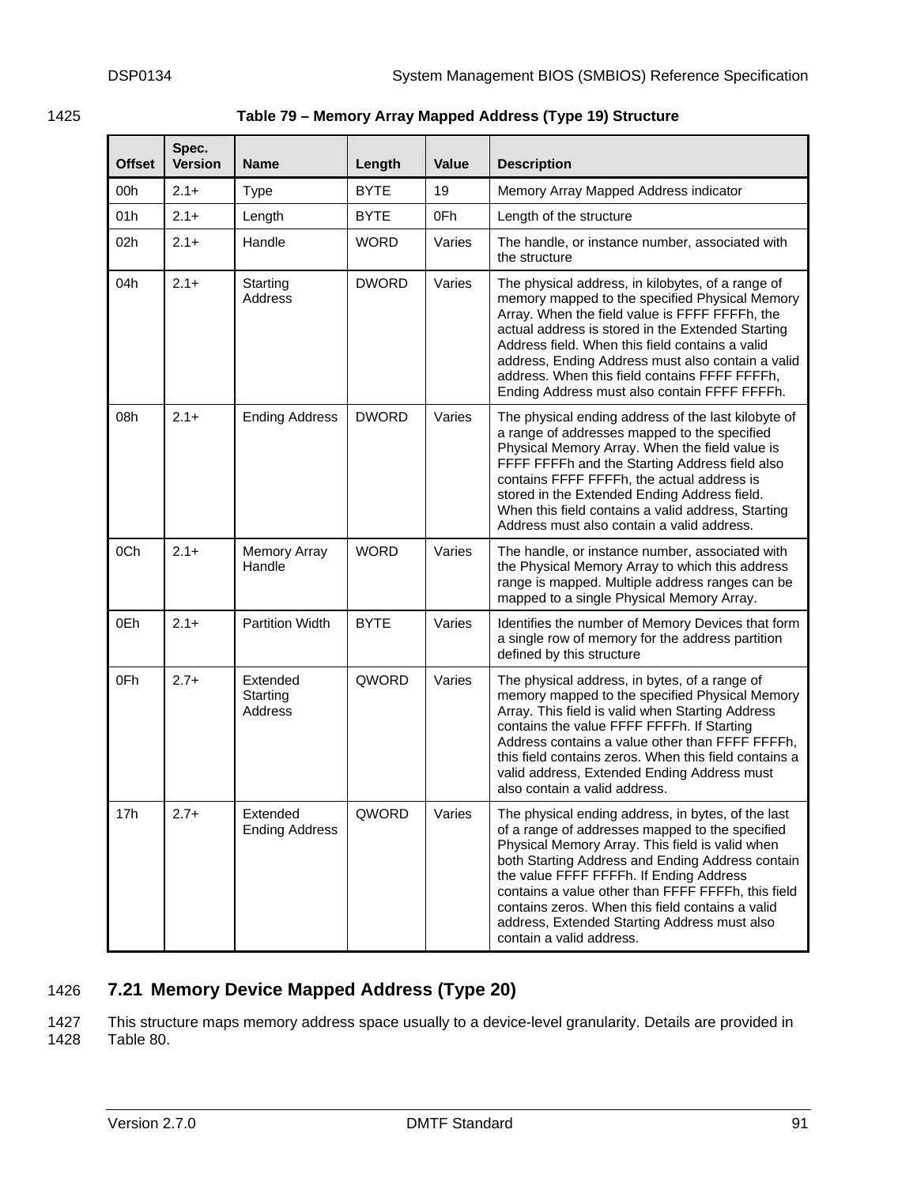<span id="page-90-0"></span>1425 **Table 79 – Memory Array Mapped Address (Type 19) Structure** 

| <b>Offset</b> | Spec.<br><b>Version</b> | <b>Name</b>                            | Length       | Value  | <b>Description</b>                                                                                                                                                                                                                                                                                                                                                                                                                            |
|---------------|-------------------------|----------------------------------------|--------------|--------|-----------------------------------------------------------------------------------------------------------------------------------------------------------------------------------------------------------------------------------------------------------------------------------------------------------------------------------------------------------------------------------------------------------------------------------------------|
| 00h           | $2.1+$                  | <b>Type</b>                            | <b>BYTE</b>  | 19     | Memory Array Mapped Address indicator                                                                                                                                                                                                                                                                                                                                                                                                         |
| 01h           | $2.1+$                  | Length                                 | <b>BYTE</b>  | 0Fh    | Length of the structure                                                                                                                                                                                                                                                                                                                                                                                                                       |
| 02h           | $2.1+$                  | Handle                                 | <b>WORD</b>  | Varies | The handle, or instance number, associated with<br>the structure                                                                                                                                                                                                                                                                                                                                                                              |
| 04h           | $2.1+$                  | Starting<br><b>Address</b>             | <b>DWORD</b> | Varies | The physical address, in kilobytes, of a range of<br>memory mapped to the specified Physical Memory<br>Array. When the field value is FFFF FFFFh, the<br>actual address is stored in the Extended Starting<br>Address field. When this field contains a valid<br>address, Ending Address must also contain a valid<br>address. When this field contains FFFF FFFFh,<br>Ending Address must also contain FFFF FFFFh.                           |
| 08h           | $2.1+$                  | <b>Ending Address</b>                  | <b>DWORD</b> | Varies | The physical ending address of the last kilobyte of<br>a range of addresses mapped to the specified<br>Physical Memory Array. When the field value is<br>FFFF FFFFh and the Starting Address field also<br>contains FFFF FFFFh, the actual address is<br>stored in the Extended Ending Address field.<br>When this field contains a valid address, Starting<br>Address must also contain a valid address.                                     |
| 0Ch           | $2.1+$                  | <b>Memory Array</b><br>Handle          | <b>WORD</b>  | Varies | The handle, or instance number, associated with<br>the Physical Memory Array to which this address<br>range is mapped. Multiple address ranges can be<br>mapped to a single Physical Memory Array.                                                                                                                                                                                                                                            |
| 0Eh           | $2.1 +$                 | <b>Partition Width</b>                 | <b>BYTE</b>  | Varies | Identifies the number of Memory Devices that form<br>a single row of memory for the address partition<br>defined by this structure                                                                                                                                                                                                                                                                                                            |
| 0Fh           | $2.7+$                  | Extended<br>Starting<br><b>Address</b> | QWORD        | Varies | The physical address, in bytes, of a range of<br>memory mapped to the specified Physical Memory<br>Array. This field is valid when Starting Address<br>contains the value FFFF FFFFh. If Starting<br>Address contains a value other than FFFF FFFFh,<br>this field contains zeros. When this field contains a<br>valid address, Extended Ending Address must<br>also contain a valid address.                                                 |
| 17h           | $2.7+$                  | Extended<br><b>Ending Address</b>      | QWORD        | Varies | The physical ending address, in bytes, of the last<br>of a range of addresses mapped to the specified<br>Physical Memory Array. This field is valid when<br>both Starting Address and Ending Address contain<br>the value FFFF FFFFh. If Ending Address<br>contains a value other than FFFF FFFFh, this field<br>contains zeros. When this field contains a valid<br>address, Extended Starting Address must also<br>contain a valid address. |

## <span id="page-90-1"></span>1426 **7.21 Memory Device Mapped Address (Type 20)**

1427 This structure maps memory address space usually to a device-level granularity. Details are provided in 1428 Table 80. [Table 80.](#page-91-0)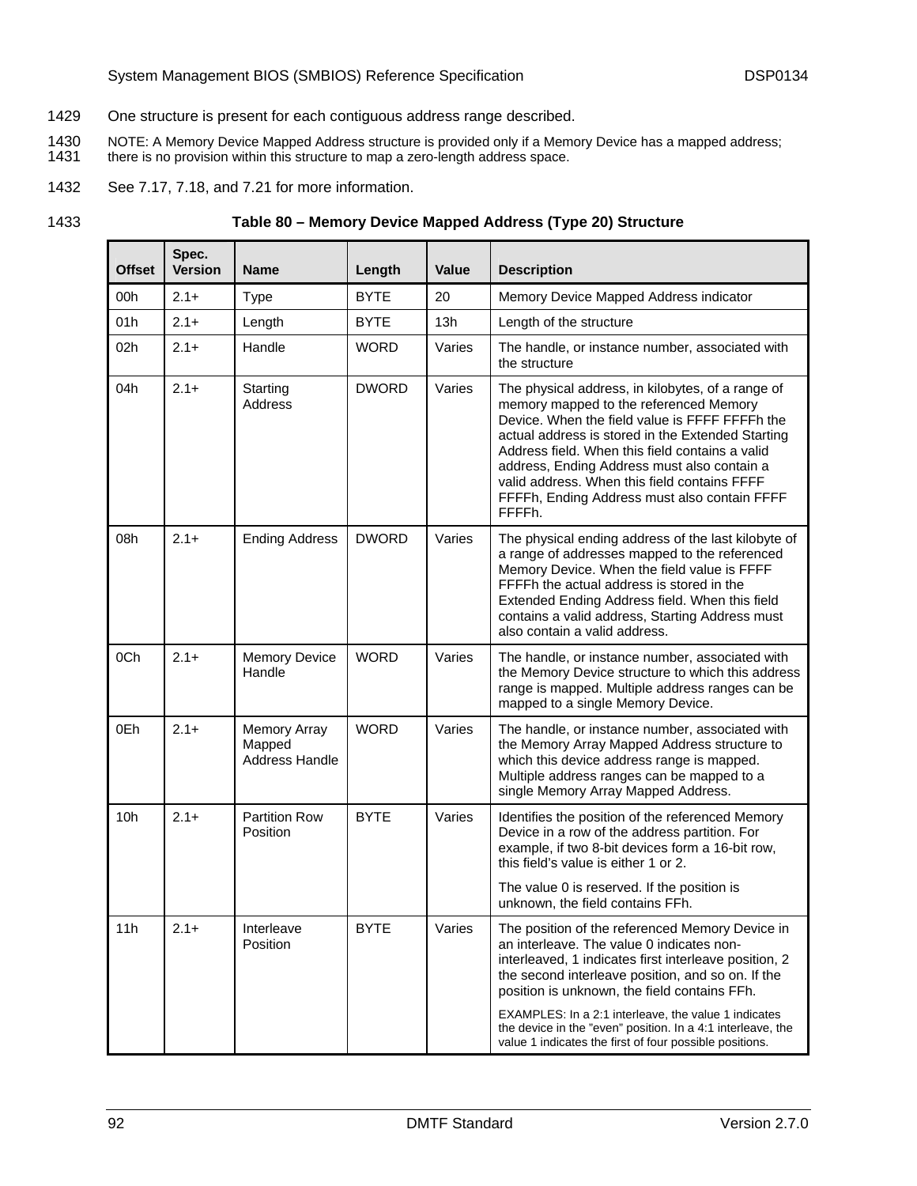- 1429 One structure is present for each contiguous address range described.
- 1430 NOTE: A Memory Device Mapped Address structure is provided only if a Memory Device has a mapped address;<br>1431 there is no provision within this structure to map a zero-length address space.
	- there is no provision within this structure to map a zero-length address space.
- 1432 See [7.17](#page-81-1), [7.18](#page-83-5), and [7.21](#page-90-1) for more information.

#### <span id="page-91-0"></span>1433 **Table 80 – Memory Device Mapped Address (Type 20) Structure**

| <b>Offset</b> | Spec.<br><b>Version</b> | <b>Name</b>                                            | Length       | <b>Value</b> | <b>Description</b>                                                                                                                                                                                                                                                                                                                                                                                             |
|---------------|-------------------------|--------------------------------------------------------|--------------|--------------|----------------------------------------------------------------------------------------------------------------------------------------------------------------------------------------------------------------------------------------------------------------------------------------------------------------------------------------------------------------------------------------------------------------|
| 00h           | $2.1+$                  | <b>Type</b>                                            | <b>BYTE</b>  | 20           | Memory Device Mapped Address indicator                                                                                                                                                                                                                                                                                                                                                                         |
| 01h           | $2.1+$                  | Length                                                 | <b>BYTE</b>  | 13h          | Length of the structure                                                                                                                                                                                                                                                                                                                                                                                        |
| 02h           | $2.1+$                  | Handle                                                 | <b>WORD</b>  | Varies       | The handle, or instance number, associated with<br>the structure                                                                                                                                                                                                                                                                                                                                               |
| 04h           | $2.1+$                  | Starting<br><b>Address</b>                             | <b>DWORD</b> | Varies       | The physical address, in kilobytes, of a range of<br>memory mapped to the referenced Memory<br>Device. When the field value is FFFF FFFFh the<br>actual address is stored in the Extended Starting<br>Address field. When this field contains a valid<br>address, Ending Address must also contain a<br>valid address. When this field contains FFFF<br>FFFFh, Ending Address must also contain FFFF<br>FFFFh. |
| 08h           | $2.1+$                  | <b>Ending Address</b>                                  | <b>DWORD</b> | Varies       | The physical ending address of the last kilobyte of<br>a range of addresses mapped to the referenced<br>Memory Device. When the field value is FFFF<br>FFFFh the actual address is stored in the<br>Extended Ending Address field. When this field<br>contains a valid address, Starting Address must<br>also contain a valid address.                                                                         |
| 0Ch           | $2.1+$                  | <b>Memory Device</b><br>Handle                         | <b>WORD</b>  | Varies       | The handle, or instance number, associated with<br>the Memory Device structure to which this address<br>range is mapped. Multiple address ranges can be<br>mapped to a single Memory Device.                                                                                                                                                                                                                   |
| 0Eh           | $2.1+$                  | <b>Memory Array</b><br>Mapped<br><b>Address Handle</b> | <b>WORD</b>  | Varies       | The handle, or instance number, associated with<br>the Memory Array Mapped Address structure to<br>which this device address range is mapped.<br>Multiple address ranges can be mapped to a<br>single Memory Array Mapped Address.                                                                                                                                                                             |
| 10h           | $2.1+$                  | <b>Partition Row</b><br>Position                       | <b>BYTE</b>  | Varies       | Identifies the position of the referenced Memory<br>Device in a row of the address partition. For<br>example, if two 8-bit devices form a 16-bit row,<br>this field's value is either 1 or 2.                                                                                                                                                                                                                  |
|               |                         |                                                        |              |              | The value 0 is reserved. If the position is<br>unknown, the field contains FFh.                                                                                                                                                                                                                                                                                                                                |
| 11h           | $2.1+$                  | Interleave<br>Position                                 | <b>BYTE</b>  | Varies       | The position of the referenced Memory Device in<br>an interleave. The value 0 indicates non-<br>interleaved, 1 indicates first interleave position, 2<br>the second interleave position, and so on. If the<br>position is unknown, the field contains FFh.                                                                                                                                                     |
|               |                         |                                                        |              |              | EXAMPLES: In a 2:1 interleave, the value 1 indicates<br>the device in the "even" position. In a 4:1 interleave, the<br>value 1 indicates the first of four possible positions.                                                                                                                                                                                                                                 |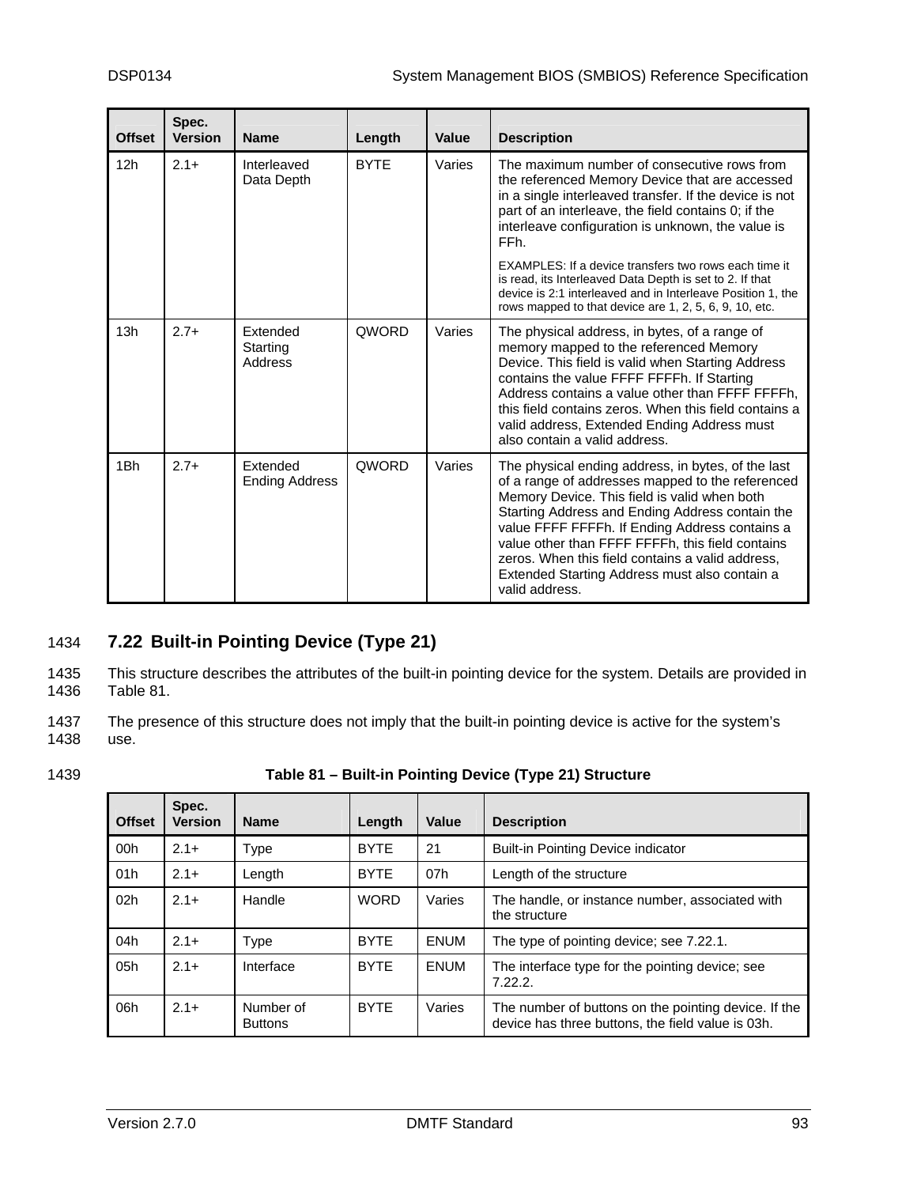| <b>Offset</b> | Spec.<br><b>Version</b> | <b>Name</b>                       | Length       | Value  | <b>Description</b>                                                                                                                                                                                                                                                                                                                                                                                                                     |
|---------------|-------------------------|-----------------------------------|--------------|--------|----------------------------------------------------------------------------------------------------------------------------------------------------------------------------------------------------------------------------------------------------------------------------------------------------------------------------------------------------------------------------------------------------------------------------------------|
| 12h           | $2.1+$                  | Interleaved<br>Data Depth         | <b>BYTE</b>  | Varies | The maximum number of consecutive rows from<br>the referenced Memory Device that are accessed<br>in a single interleaved transfer. If the device is not<br>part of an interleave, the field contains 0; if the<br>interleave configuration is unknown, the value is<br>FFh.                                                                                                                                                            |
|               |                         |                                   |              |        | EXAMPLES: If a device transfers two rows each time it<br>is read, its Interleaved Data Depth is set to 2. If that<br>device is 2:1 interleaved and in Interleave Position 1, the<br>rows mapped to that device are 1, 2, 5, 6, 9, 10, etc.                                                                                                                                                                                             |
| 13h           | $2.7+$                  | Extended<br>Starting<br>Address   | QWORD        | Varies | The physical address, in bytes, of a range of<br>memory mapped to the referenced Memory<br>Device. This field is valid when Starting Address<br>contains the value FFFF FFFFh. If Starting<br>Address contains a value other than FFFF FFFFh.<br>this field contains zeros. When this field contains a<br>valid address, Extended Ending Address must<br>also contain a valid address.                                                 |
| 1Bh           | $2.7+$                  | Extended<br><b>Ending Address</b> | <b>QWORD</b> | Varies | The physical ending address, in bytes, of the last<br>of a range of addresses mapped to the referenced<br>Memory Device. This field is valid when both<br>Starting Address and Ending Address contain the<br>value FFFF FFFFh. If Ending Address contains a<br>value other than FFFF FFFFh, this field contains<br>zeros. When this field contains a valid address,<br>Extended Starting Address must also contain a<br>valid address. |

## 1434 **7.22 Built-in Pointing Device (Type 21)**

1435 This structure describes the attributes of the built-in pointing device for the system. Details are provided in [Table 81.](#page-92-0)

1437 The presence of this structure does not imply that the built-in pointing device is active for the system's 1438 use.

<span id="page-92-0"></span>1439 **Table 81 – Built-in Pointing Device (Type 21) Structure** 

| <b>Offset</b> | Spec.<br><b>Version</b> | <b>Name</b>                 | Length      | Value  | <b>Description</b>                                                                                        |
|---------------|-------------------------|-----------------------------|-------------|--------|-----------------------------------------------------------------------------------------------------------|
| 00h           | $2.1+$                  | Type                        | <b>BYTE</b> | 21     | <b>Built-in Pointing Device indicator</b>                                                                 |
| 01h           | $2.1+$                  | Length                      | <b>BYTE</b> | 07h    | Length of the structure                                                                                   |
| 02h           | $2.1+$                  | Handle                      | <b>WORD</b> | Varies | The handle, or instance number, associated with<br>the structure                                          |
| 04h           | $2.1+$                  | Type                        | <b>BYTE</b> | ENUM   | The type of pointing device; see 7.22.1.                                                                  |
| 05h           | $2.1+$                  | Interface                   | <b>BYTE</b> | ENUM   | The interface type for the pointing device; see<br>7.22.2                                                 |
| 06h           | $2.1+$                  | Number of<br><b>Buttons</b> | <b>BYTE</b> | Varies | The number of buttons on the pointing device. If the<br>device has three buttons, the field value is 03h. |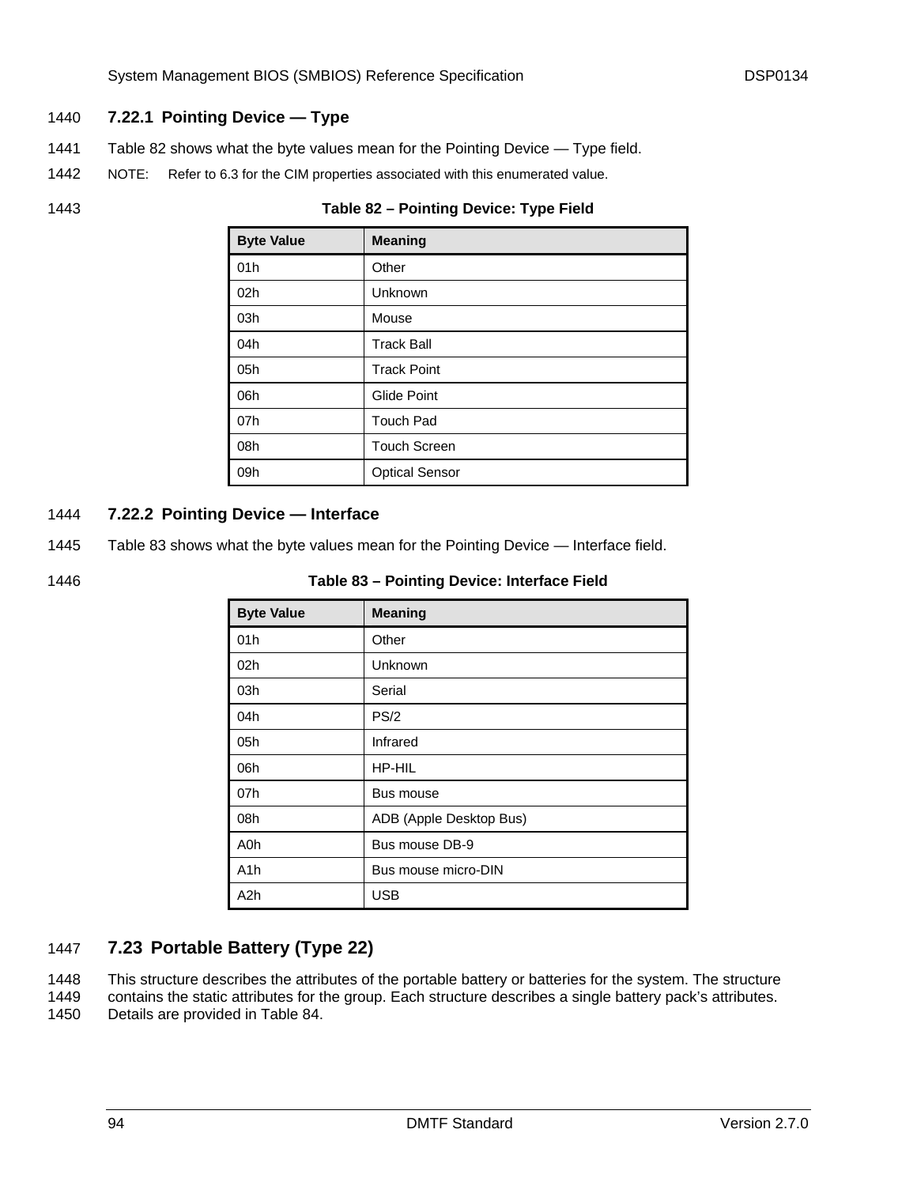## <span id="page-93-0"></span>1440 **7.22.1 Pointing Device — Type**

- 1441 [Table 82](#page-93-2) shows what the byte values mean for the Pointing Device Type field.
- 1442 NOTE: Refer to [6.3](#page-25-0) for the CIM properties associated with this enumerated value.
- 

#### <span id="page-93-2"></span>1443 **Table 82 – Pointing Device: Type Field**

| <b>Byte Value</b> | <b>Meaning</b>        |  |  |  |
|-------------------|-----------------------|--|--|--|
| 01h               | Other                 |  |  |  |
| 02h               | Unknown               |  |  |  |
| 03h               | Mouse                 |  |  |  |
| 04h               | <b>Track Ball</b>     |  |  |  |
| 05h               | <b>Track Point</b>    |  |  |  |
| 06h               | <b>Glide Point</b>    |  |  |  |
| 07h               | <b>Touch Pad</b>      |  |  |  |
| 08h               | <b>Touch Screen</b>   |  |  |  |
| 09h               | <b>Optical Sensor</b> |  |  |  |

## <span id="page-93-1"></span>1444 **7.22.2 Pointing Device — Interface**

- 1445 [Table 83](#page-93-3) shows what the byte values mean for the Pointing Device Interface field.
- 

#### <span id="page-93-3"></span>1446 **Table 83 – Pointing Device: Interface Field**

| <b>Byte Value</b> | <b>Meaning</b>          |  |  |  |
|-------------------|-------------------------|--|--|--|
| 01h               | Other                   |  |  |  |
| 02 <sub>h</sub>   | Unknown                 |  |  |  |
| 03h               | Serial                  |  |  |  |
| 04h               | PS/2                    |  |  |  |
| 05h               | Infrared                |  |  |  |
| 06h               | HP-HIL                  |  |  |  |
| 07h               | Bus mouse               |  |  |  |
| 08h               | ADB (Apple Desktop Bus) |  |  |  |
| A <sub>O</sub> h  | Bus mouse DB-9          |  |  |  |
| A1h               | Bus mouse micro-DIN     |  |  |  |
| A2h               | <b>USB</b>              |  |  |  |

## 1447 **7.23 Portable Battery (Type 22)**

1448 This structure describes the attributes of the portable battery or batteries for the system. The structure

1449 contains the static attributes for the group. Each structure describes a single battery pack's attributes.<br>1450 Details are provided in Table 84.

Details are provided in [Table 84](#page-94-0).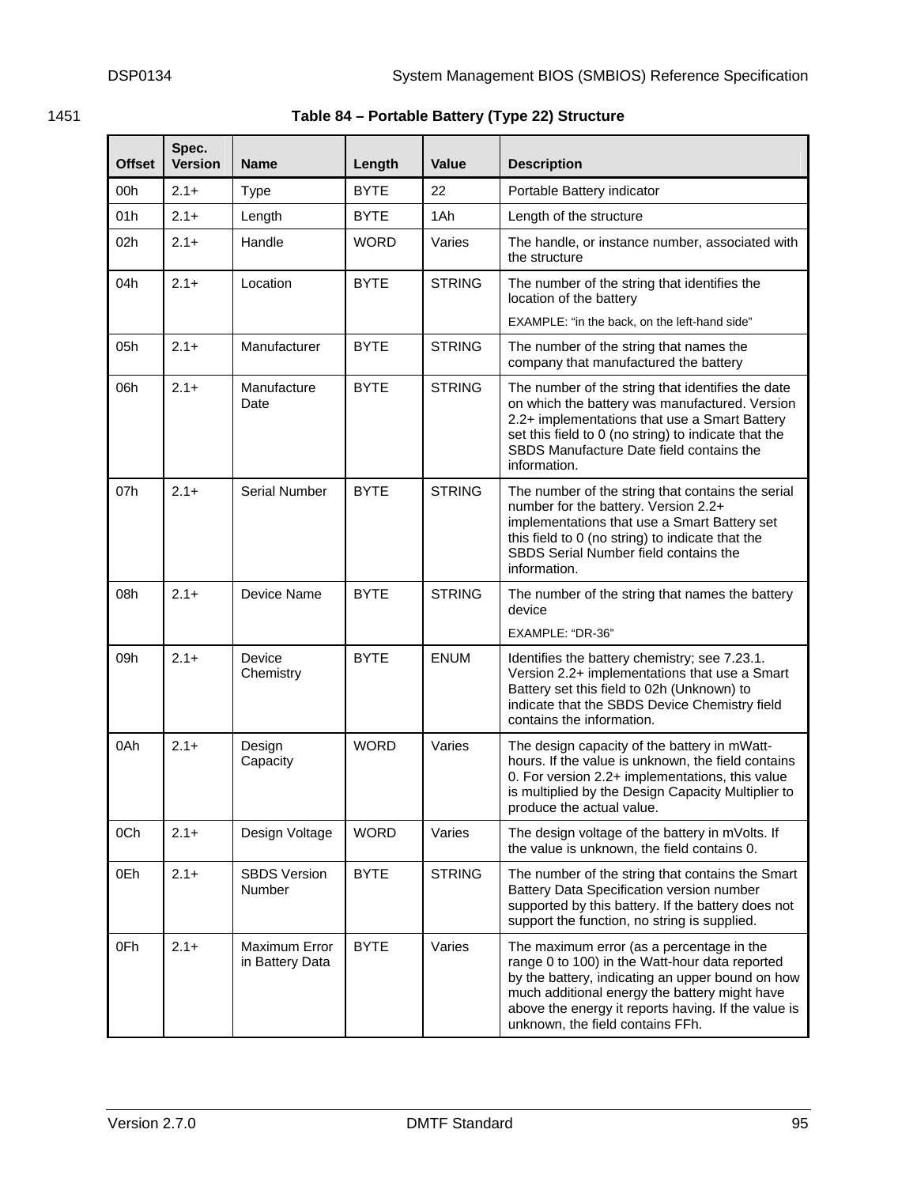<span id="page-94-0"></span>1451 **Table 84 – Portable Battery (Type 22) Structure** 

| <b>Offset</b> | Spec.<br><b>Version</b> | <b>Name</b>                          | Length      | Value         | <b>Description</b>                                                                                                                                                                                                                                                                          |
|---------------|-------------------------|--------------------------------------|-------------|---------------|---------------------------------------------------------------------------------------------------------------------------------------------------------------------------------------------------------------------------------------------------------------------------------------------|
| 00h           | $2.1+$                  | <b>Type</b>                          | <b>BYTE</b> | 22            | Portable Battery indicator                                                                                                                                                                                                                                                                  |
| 01h           | $2.1+$                  | Length                               | <b>BYTE</b> | 1Ah           | Length of the structure                                                                                                                                                                                                                                                                     |
| 02h           | $2.1+$                  | Handle                               | <b>WORD</b> | Varies        | The handle, or instance number, associated with<br>the structure                                                                                                                                                                                                                            |
| 04h           | $2.1+$                  | Location                             | <b>BYTE</b> | <b>STRING</b> | The number of the string that identifies the<br>location of the battery                                                                                                                                                                                                                     |
|               |                         |                                      |             |               | EXAMPLE: "in the back, on the left-hand side"                                                                                                                                                                                                                                               |
| 05h           | $2.1+$                  | Manufacturer                         | <b>BYTE</b> | <b>STRING</b> | The number of the string that names the<br>company that manufactured the battery                                                                                                                                                                                                            |
| 06h           | $2.1+$                  | Manufacture<br>Date                  | <b>BYTE</b> | <b>STRING</b> | The number of the string that identifies the date<br>on which the battery was manufactured. Version<br>2.2+ implementations that use a Smart Battery<br>set this field to 0 (no string) to indicate that the<br>SBDS Manufacture Date field contains the<br>information.                    |
| 07h           | $2.1+$                  | Serial Number                        | <b>BYTE</b> | <b>STRING</b> | The number of the string that contains the serial<br>number for the battery. Version 2.2+<br>implementations that use a Smart Battery set<br>this field to 0 (no string) to indicate that the<br>SBDS Serial Number field contains the<br>information.                                      |
| 08h           | $2.1+$                  | Device Name                          | <b>BYTE</b> | <b>STRING</b> | The number of the string that names the battery<br>device                                                                                                                                                                                                                                   |
|               |                         |                                      |             |               | EXAMPLE: "DR-36"                                                                                                                                                                                                                                                                            |
| 09h           | $2.1+$                  | Device<br>Chemistry                  | <b>BYTE</b> | <b>ENUM</b>   | Identifies the battery chemistry; see 7.23.1.<br>Version 2.2+ implementations that use a Smart<br>Battery set this field to 02h (Unknown) to<br>indicate that the SBDS Device Chemistry field<br>contains the information.                                                                  |
| 0Ah           | $2.1+$                  | Design<br>Capacity                   | <b>WORD</b> | Varies        | The design capacity of the battery in mWatt-<br>hours. If the value is unknown, the field contains<br>0. For version 2.2+ implementations, this value<br>is multiplied by the Design Capacity Multiplier to<br>produce the actual value.                                                    |
| 0Ch           | $2.1+$                  | Design Voltage                       | <b>WORD</b> | Varies        | The design voltage of the battery in mVolts. If<br>the value is unknown, the field contains 0.                                                                                                                                                                                              |
| 0Eh           | $2.1+$                  | <b>SBDS Version</b><br><b>Number</b> | <b>BYTE</b> | <b>STRING</b> | The number of the string that contains the Smart<br>Battery Data Specification version number<br>supported by this battery. If the battery does not<br>support the function, no string is supplied.                                                                                         |
| 0Fh           | $2.1+$                  | Maximum Error<br>in Battery Data     | <b>BYTE</b> | Varies        | The maximum error (as a percentage in the<br>range 0 to 100) in the Watt-hour data reported<br>by the battery, indicating an upper bound on how<br>much additional energy the battery might have<br>above the energy it reports having. If the value is<br>unknown, the field contains FFh. |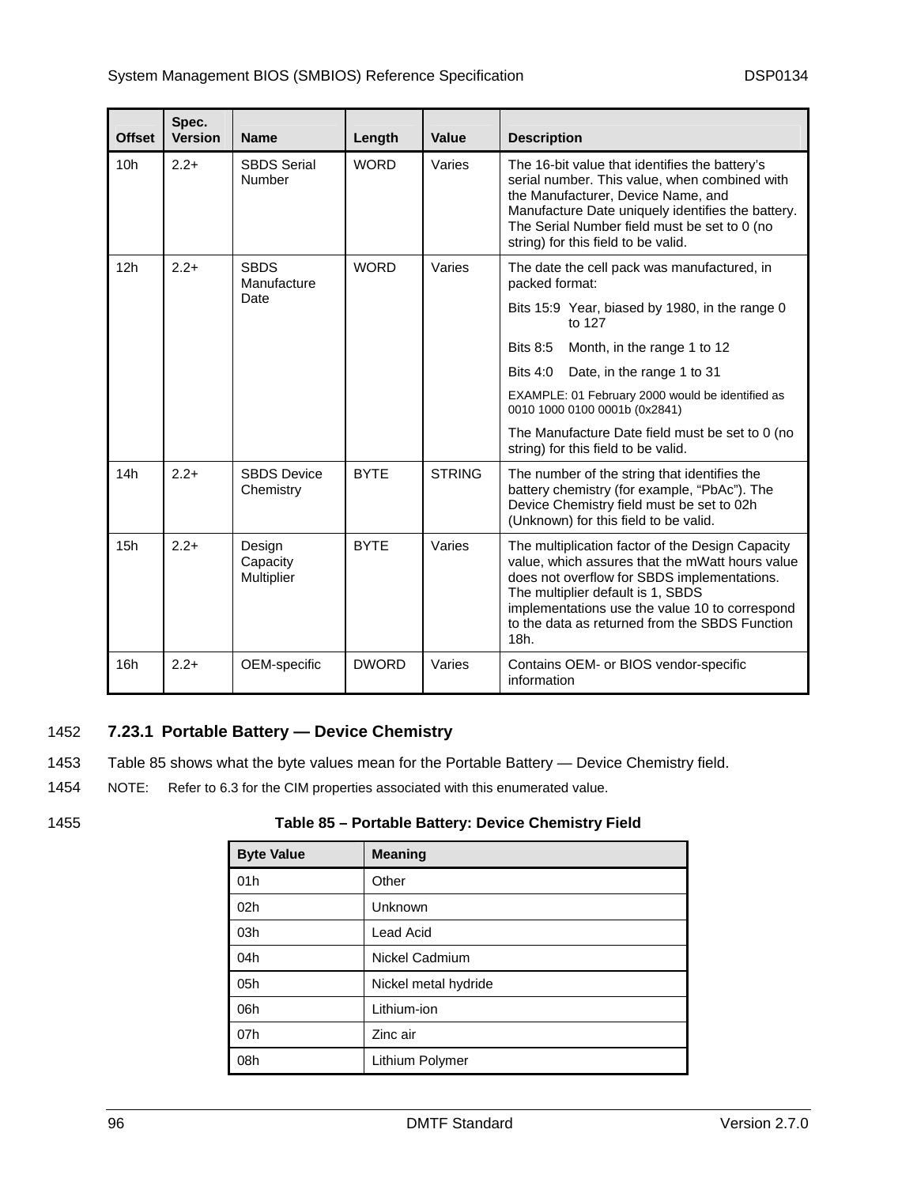| <b>Offset</b>   | Spec.<br><b>Version</b> | <b>Name</b>                      | Length       | <b>Value</b>  | <b>Description</b>                                                                                                                                                                                                                                                                                  |
|-----------------|-------------------------|----------------------------------|--------------|---------------|-----------------------------------------------------------------------------------------------------------------------------------------------------------------------------------------------------------------------------------------------------------------------------------------------------|
| 10 <sub>h</sub> | $2.2+$                  | <b>SBDS Serial</b><br>Number     | <b>WORD</b>  | Varies        | The 16-bit value that identifies the battery's<br>serial number. This value, when combined with<br>the Manufacturer, Device Name, and<br>Manufacture Date uniquely identifies the battery.<br>The Serial Number field must be set to 0 (no<br>string) for this field to be valid.                   |
| 12h             | $2.2+$                  | <b>SBDS</b><br>Manufacture       | <b>WORD</b>  | Varies        | The date the cell pack was manufactured, in<br>packed format:                                                                                                                                                                                                                                       |
|                 |                         | Date                             |              |               | Bits 15:9 Year, biased by 1980, in the range 0<br>to 127                                                                                                                                                                                                                                            |
|                 |                         |                                  |              |               | <b>Bits 8:5</b><br>Month, in the range 1 to 12                                                                                                                                                                                                                                                      |
|                 |                         |                                  |              |               | Bits $4:0$<br>Date, in the range 1 to 31                                                                                                                                                                                                                                                            |
|                 |                         |                                  |              |               | EXAMPLE: 01 February 2000 would be identified as<br>0010 1000 0100 0001b (0x2841)                                                                                                                                                                                                                   |
|                 |                         |                                  |              |               | The Manufacture Date field must be set to 0 (no<br>string) for this field to be valid.                                                                                                                                                                                                              |
| 14h             | $2.2+$                  | <b>SBDS Device</b><br>Chemistry  | <b>BYTE</b>  | <b>STRING</b> | The number of the string that identifies the<br>battery chemistry (for example, "PbAc"). The<br>Device Chemistry field must be set to 02h<br>(Unknown) for this field to be valid.                                                                                                                  |
| 15h             | $2.2+$                  | Design<br>Capacity<br>Multiplier | <b>BYTE</b>  | Varies        | The multiplication factor of the Design Capacity<br>value, which assures that the mWatt hours value<br>does not overflow for SBDS implementations.<br>The multiplier default is 1, SBDS<br>implementations use the value 10 to correspond<br>to the data as returned from the SBDS Function<br>18h. |
| 16h             | $2.2+$                  | OEM-specific                     | <b>DWORD</b> | Varies        | Contains OEM- or BIOS vendor-specific<br>information                                                                                                                                                                                                                                                |

## <span id="page-95-0"></span>1452 **7.23.1 Portable Battery — Device Chemistry**

1453 [Table 85](#page-95-1) shows what the byte values mean for the Portable Battery — Device Chemistry field.

- 1454 NOTE: Refer to [6.3](#page-25-0) for the CIM properties associated with this enumerated value.
- 

## <span id="page-95-1"></span>1455 **Table 85 – Portable Battery: Device Chemistry Field**

| <b>Byte Value</b> | <b>Meaning</b>        |  |  |  |
|-------------------|-----------------------|--|--|--|
| 01h               | Other                 |  |  |  |
| 02h               | Unknown               |  |  |  |
| 03h               | Lead Acid             |  |  |  |
| 04h               | <b>Nickel Cadmium</b> |  |  |  |
| 05h               | Nickel metal hydride  |  |  |  |
| 06h               | Lithium-ion           |  |  |  |
| 07h               | Zinc air              |  |  |  |
| 08h               | Lithium Polymer       |  |  |  |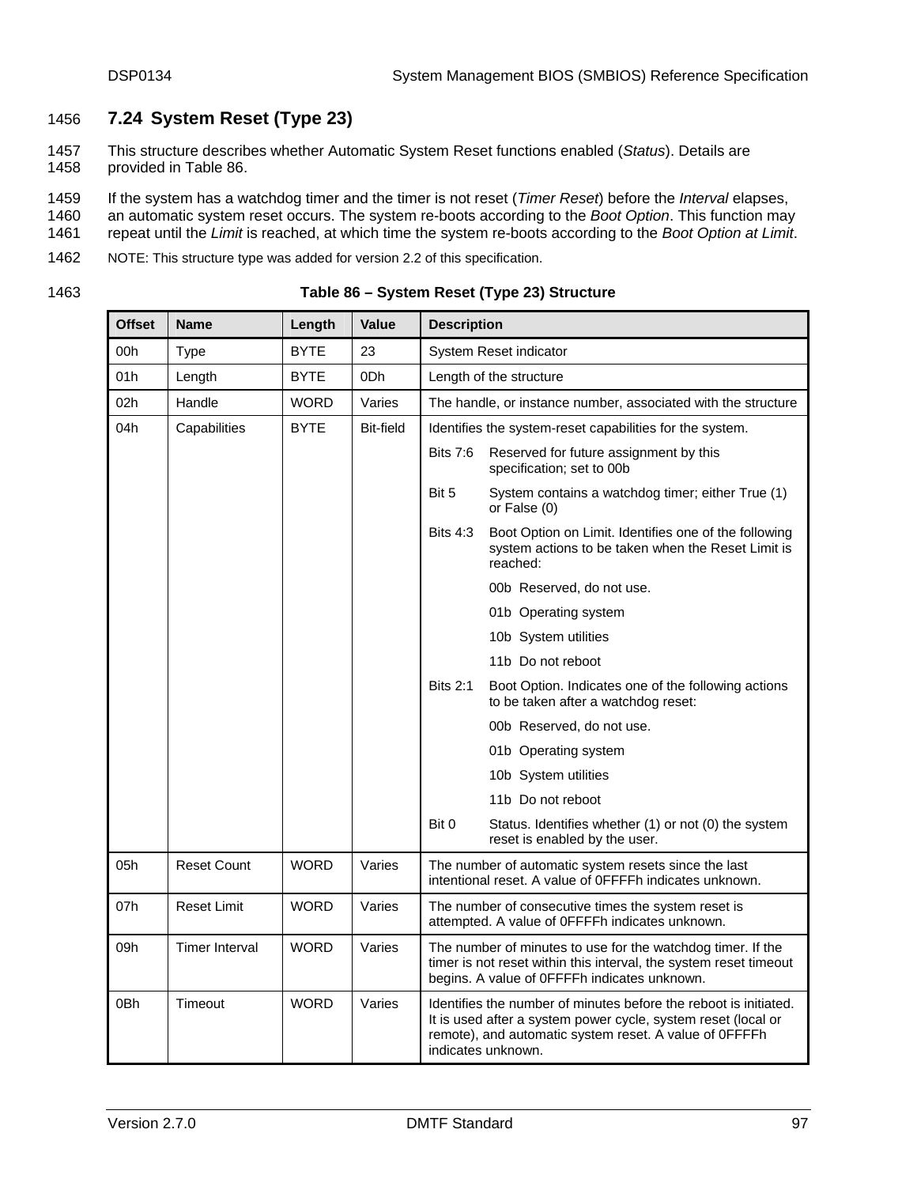## 1456 **7.24 System Reset (Type 23)**

1457 This structure describes whether Automatic System Reset functions enabled (*Status*). Details are provided in [Table 86.](#page-96-0)

1459 If the system has a watchdog timer and the timer is not reset (*Timer Reset*) before the *Interval* elapses,

1460 an automatic system reset occurs. The system re-boots according to the *Boot Option*. This function may

1461 repeat until the *Limit* is reached, at which time the system re-boots according to the *Boot Option at Limit*.

- 1462 NOTE: This structure type was added for version 2.2 of this specification.
- 

#### <span id="page-96-0"></span>1463 **Table 86 – System Reset (Type 23) Structure**

| <b>Offset</b>   | <b>Name</b>           | Length      | <b>Value</b>    |                                                                                                                                                                                                                   | <b>Description</b>                                                                                                                                                               |  |  |
|-----------------|-----------------------|-------------|-----------------|-------------------------------------------------------------------------------------------------------------------------------------------------------------------------------------------------------------------|----------------------------------------------------------------------------------------------------------------------------------------------------------------------------------|--|--|
| 00h             | <b>Type</b>           | <b>BYTE</b> | 23              |                                                                                                                                                                                                                   | System Reset indicator                                                                                                                                                           |  |  |
| 01h             | Length                | <b>BYTE</b> | 0 <sub>Dh</sub> |                                                                                                                                                                                                                   | Length of the structure                                                                                                                                                          |  |  |
| 02 <sub>h</sub> | Handle                | <b>WORD</b> | Varies          |                                                                                                                                                                                                                   | The handle, or instance number, associated with the structure                                                                                                                    |  |  |
| 04h             | Capabilities          | <b>BYTE</b> | Bit-field       |                                                                                                                                                                                                                   | Identifies the system-reset capabilities for the system.                                                                                                                         |  |  |
|                 |                       |             |                 | <b>Bits 7:6</b>                                                                                                                                                                                                   | Reserved for future assignment by this<br>specification; set to 00b                                                                                                              |  |  |
|                 |                       |             |                 | Bit 5                                                                                                                                                                                                             | System contains a watchdog timer; either True (1)<br>or False (0)                                                                                                                |  |  |
|                 |                       |             |                 | Bits $4:3$                                                                                                                                                                                                        | Boot Option on Limit. Identifies one of the following<br>system actions to be taken when the Reset Limit is<br>reached:                                                          |  |  |
|                 |                       |             |                 |                                                                                                                                                                                                                   | 00b Reserved, do not use.                                                                                                                                                        |  |  |
|                 |                       |             |                 |                                                                                                                                                                                                                   | 01b Operating system                                                                                                                                                             |  |  |
|                 |                       |             |                 |                                                                                                                                                                                                                   | 10b System utilities                                                                                                                                                             |  |  |
|                 |                       |             |                 |                                                                                                                                                                                                                   | 11b Do not reboot                                                                                                                                                                |  |  |
|                 |                       |             |                 | <b>Bits 2:1</b>                                                                                                                                                                                                   | Boot Option. Indicates one of the following actions<br>to be taken after a watchdog reset:                                                                                       |  |  |
|                 |                       |             |                 |                                                                                                                                                                                                                   | 00b Reserved, do not use.                                                                                                                                                        |  |  |
|                 |                       |             |                 |                                                                                                                                                                                                                   | 01b Operating system                                                                                                                                                             |  |  |
|                 |                       |             |                 |                                                                                                                                                                                                                   | 10b System utilities                                                                                                                                                             |  |  |
|                 |                       |             |                 |                                                                                                                                                                                                                   | 11b Do not reboot                                                                                                                                                                |  |  |
|                 |                       |             |                 | Bit 0                                                                                                                                                                                                             | Status. Identifies whether (1) or not (0) the system<br>reset is enabled by the user.                                                                                            |  |  |
| 05h             | <b>Reset Count</b>    | <b>WORD</b> | Varies          |                                                                                                                                                                                                                   | The number of automatic system resets since the last<br>intentional reset. A value of OFFFFh indicates unknown.                                                                  |  |  |
| 07h             | <b>Reset Limit</b>    | <b>WORD</b> | Varies          |                                                                                                                                                                                                                   | The number of consecutive times the system reset is<br>attempted. A value of OFFFFh indicates unknown.                                                                           |  |  |
| 09h             | <b>Timer Interval</b> | <b>WORD</b> | Varies          |                                                                                                                                                                                                                   | The number of minutes to use for the watchdog timer. If the<br>timer is not reset within this interval, the system reset timeout<br>begins. A value of OFFFFh indicates unknown. |  |  |
| 0 <sub>Bh</sub> | Timeout               | <b>WORD</b> | Varies          | Identifies the number of minutes before the reboot is initiated.<br>It is used after a system power cycle, system reset (local or<br>remote), and automatic system reset. A value of OFFFFh<br>indicates unknown. |                                                                                                                                                                                  |  |  |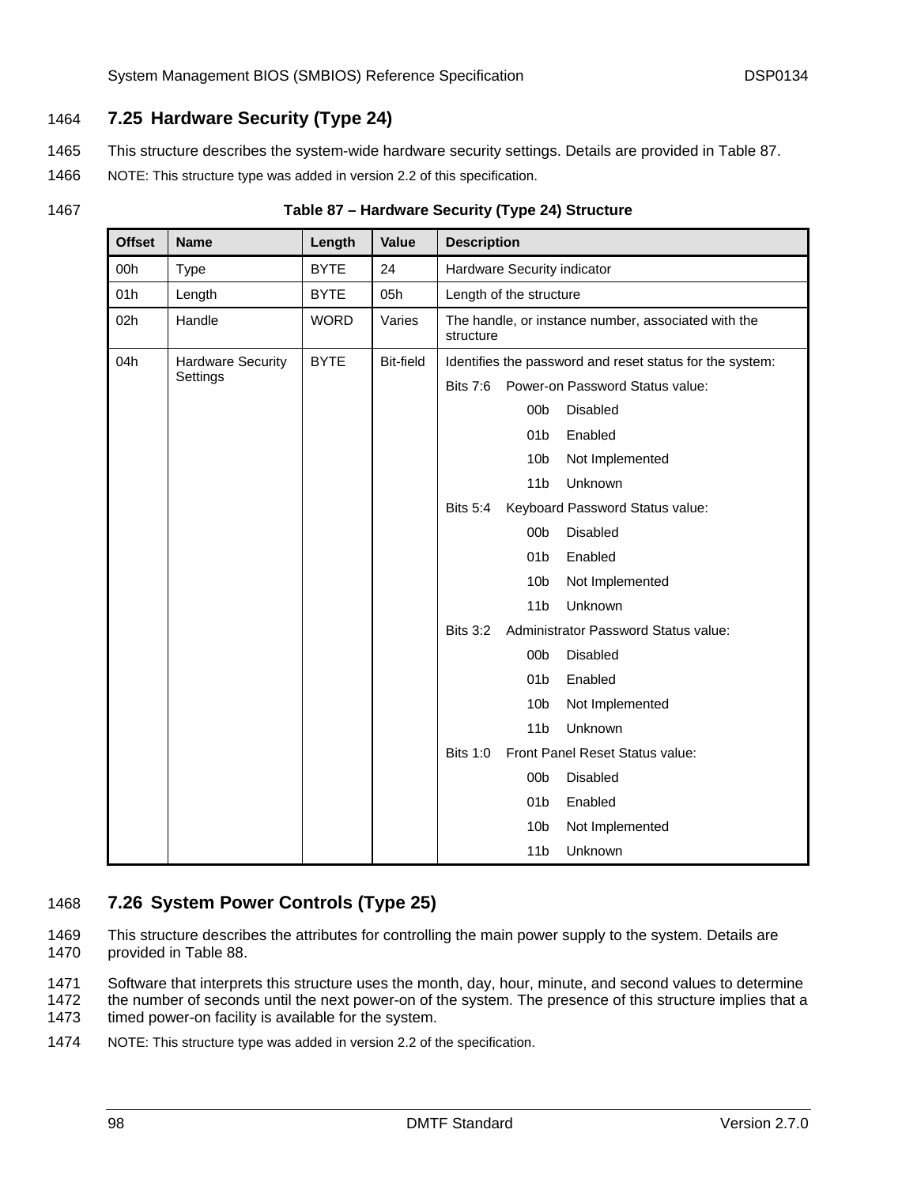## 1464 **7.25 Hardware Security (Type 24)**

- 1465 This structure describes the system-wide hardware security settings. Details are provided in [Table 87.](#page-97-0)
- 1466 NOTE: This structure type was added in version 2.2 of this specification.
- <span id="page-97-0"></span>

## 1467 **Table 87 – Hardware Security (Type 24) Structure**

| <b>Offset</b> | <b>Name</b>              | Length      | <b>Value</b>     | <b>Description</b>                                               |
|---------------|--------------------------|-------------|------------------|------------------------------------------------------------------|
| 00h           | <b>Type</b>              | <b>BYTE</b> | 24               | Hardware Security indicator                                      |
| 01h           | Length                   | <b>BYTE</b> | 05h              | Length of the structure                                          |
| 02h           | Handle                   | <b>WORD</b> | Varies           | The handle, or instance number, associated with the<br>structure |
| 04h           | <b>Hardware Security</b> | <b>BYTE</b> | <b>Bit-field</b> | Identifies the password and reset status for the system:         |
|               | Settings                 |             |                  | Power-on Password Status value:<br>Bits $7:6$                    |
|               |                          |             |                  | <b>Disabled</b><br>00 <sub>b</sub>                               |
|               |                          |             |                  | 01 <sub>b</sub><br>Enabled                                       |
|               |                          |             |                  | 10 <sub>b</sub><br>Not Implemented                               |
|               |                          |             |                  | 11 <sub>b</sub><br>Unknown                                       |
|               |                          |             |                  | Keyboard Password Status value:<br><b>Bits 5:4</b>               |
|               |                          |             |                  | 00 <sub>b</sub><br><b>Disabled</b>                               |
|               |                          |             |                  | 01 <sub>b</sub><br>Enabled                                       |
|               |                          |             |                  | 10 <sub>b</sub><br>Not Implemented                               |
|               |                          |             |                  | Unknown<br>11 <sub>b</sub>                                       |
|               |                          |             |                  | Administrator Password Status value:<br>Bits $3:2$               |
|               |                          |             |                  | 00b<br><b>Disabled</b>                                           |
|               |                          |             |                  | 01 <sub>b</sub><br>Enabled                                       |
|               |                          |             |                  | 10 <sub>b</sub><br>Not Implemented                               |
|               |                          |             |                  | 11 <sub>b</sub><br>Unknown                                       |
|               |                          |             |                  | Bits $1:0$<br>Front Panel Reset Status value:                    |
|               |                          |             |                  | 00b<br><b>Disabled</b>                                           |
|               |                          |             |                  | Enabled<br>01 <sub>b</sub>                                       |
|               |                          |             |                  | 10 <sub>b</sub><br>Not Implemented                               |
|               |                          |             |                  | Unknown<br>11 <sub>b</sub>                                       |

## 1468 **7.26 System Power Controls (Type 25)**

1469 This structure describes the attributes for controlling the main power supply to the system. Details are 1470 provided in [Table 88.](#page-98-0)

1471 Software that interprets this structure uses the month, day, hour, minute, and second values to determine 1472 the number of seconds until the next power-on of the system. The presence of this structure implies that a

- 1473 timed power-on facility is available for the system.
- 1474 NOTE: This structure type was added in version 2.2 of the specification.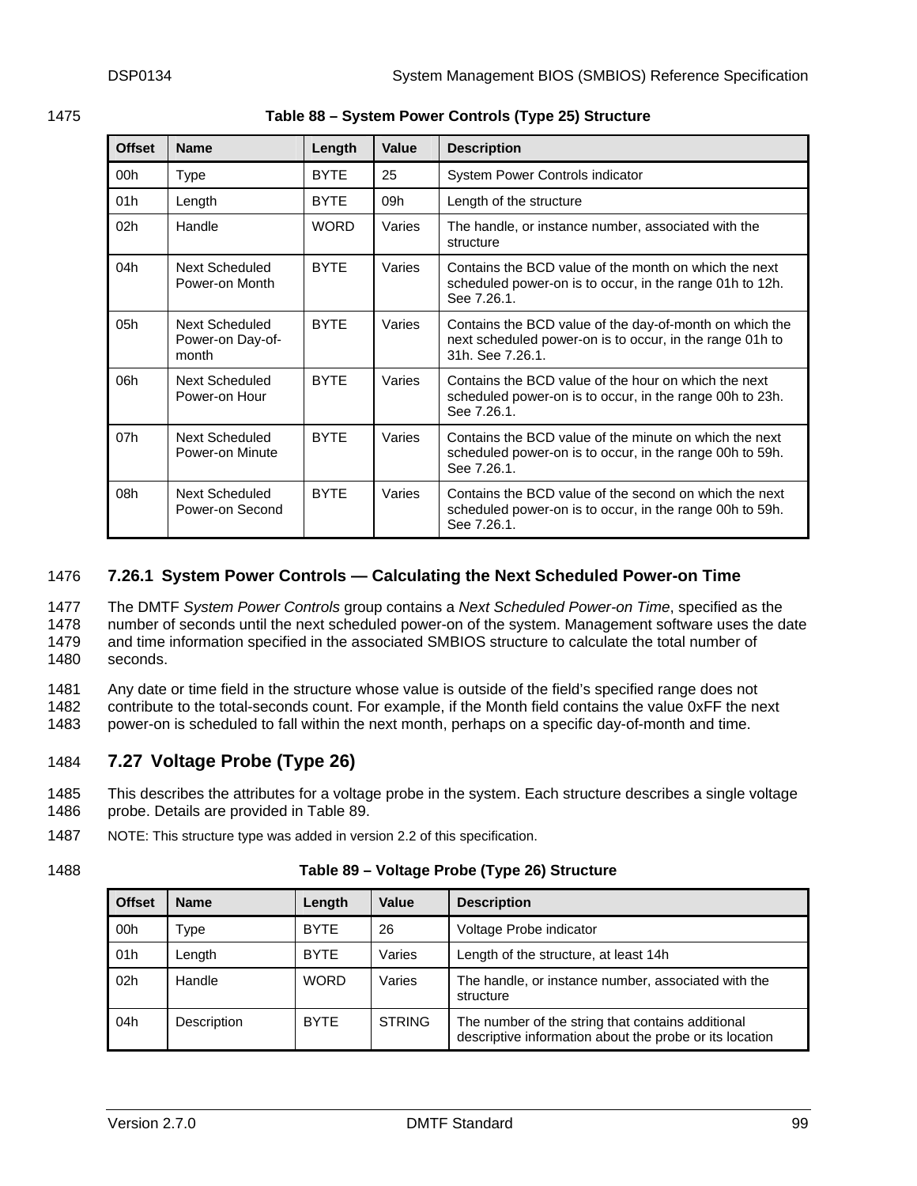<span id="page-98-0"></span>1475 **Table 88 – System Power Controls (Type 25) Structure** 

| <b>Offset</b> | <b>Name</b>                                 | Length      | Value  | <b>Description</b>                                                                                                                      |
|---------------|---------------------------------------------|-------------|--------|-----------------------------------------------------------------------------------------------------------------------------------------|
| 00h           | Type                                        | <b>BYTE</b> | 25     | System Power Controls indicator                                                                                                         |
| 01h           | Length                                      | <b>BYTE</b> | 09h    | Length of the structure                                                                                                                 |
| 02h           | Handle                                      | <b>WORD</b> | Varies | The handle, or instance number, associated with the<br>structure                                                                        |
| 04h           | Next Scheduled<br>Power-on Month            | <b>BYTE</b> | Varies | Contains the BCD value of the month on which the next<br>scheduled power-on is to occur, in the range 01h to 12h.<br>See 7.26.1.        |
| 05h           | Next Scheduled<br>Power-on Day-of-<br>month | <b>BYTE</b> | Varies | Contains the BCD value of the day-of-month on which the<br>next scheduled power-on is to occur, in the range 01h to<br>31h. See 7.26.1. |
| 06h           | <b>Next Scheduled</b><br>Power-on Hour      | <b>BYTE</b> | Varies | Contains the BCD value of the hour on which the next<br>scheduled power-on is to occur, in the range 00h to 23h.<br>See 7.26.1.         |
| 07h           | Next Scheduled<br>Power-on Minute           | <b>BYTE</b> | Varies | Contains the BCD value of the minute on which the next<br>scheduled power-on is to occur, in the range 00h to 59h.<br>See 7.26.1.       |
| 08h           | <b>Next Scheduled</b><br>Power-on Second    | <b>BYTE</b> | Varies | Contains the BCD value of the second on which the next<br>scheduled power-on is to occur, in the range 00h to 59h.<br>See 7.26.1.       |

## <span id="page-98-1"></span>1476 **7.26.1 System Power Controls — Calculating the Next Scheduled Power-on Time**

1477 The DMTF *System Power Controls* group contains a *Next Scheduled Power-on Time*, specified as the 1478 number of seconds until the next scheduled power-on of the system. Management software uses the date 1479 and time information specified in the associated SMBIOS structure to calculate the total number of and time information specified in the associated SMBIOS structure to calculate the total number of 1480 seconds.

1481 Any date or time field in the structure whose value is outside of the field's specified range does not 1482 contribute to the total-seconds count. For example, if the Month field contains the value 0xFF the next

1483 power-on is scheduled to fall within the next month, perhaps on a specific day-of-month and time.

## 1484 **7.27 Voltage Probe (Type 26)**

1485 This describes the attributes for a voltage probe in the system. Each structure describes a single voltage 1486 probe. Details are provided in [Table 89](#page-98-2).

1487 NOTE: This structure type was added in version 2.2 of this specification.

<span id="page-98-2"></span>

| 1488 | Table 89 - Voltage Probe (Type 26) Structure |
|------|----------------------------------------------|
|------|----------------------------------------------|

| <b>Offset</b> | <b>Name</b> | Length      | Value         | <b>Description</b>                                                                                           |
|---------------|-------------|-------------|---------------|--------------------------------------------------------------------------------------------------------------|
| 00h           | Type        | <b>BYTE</b> | 26            | Voltage Probe indicator                                                                                      |
| 01h           | Length      | <b>BYTE</b> | Varies        | Length of the structure, at least 14h                                                                        |
| 02h           | Handle      | <b>WORD</b> | Varies        | The handle, or instance number, associated with the<br>structure                                             |
| 04h           | Description | <b>BYTE</b> | <b>STRING</b> | The number of the string that contains additional<br>descriptive information about the probe or its location |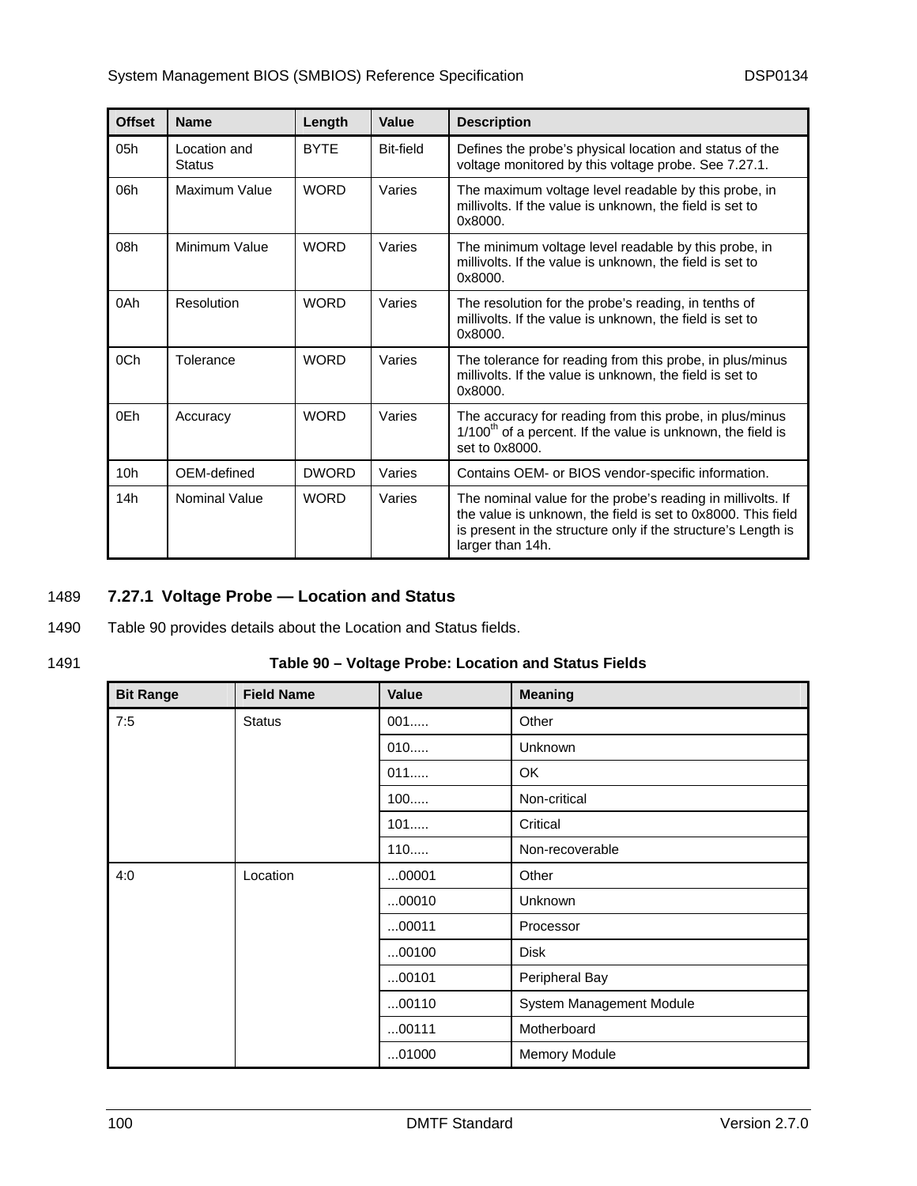| <b>Offset</b>   | <b>Name</b>                   | Length       | Value                                                                                                                                 | <b>Description</b>                                                                                                                                                                                               |
|-----------------|-------------------------------|--------------|---------------------------------------------------------------------------------------------------------------------------------------|------------------------------------------------------------------------------------------------------------------------------------------------------------------------------------------------------------------|
| 05h             | Location and<br><b>Status</b> | <b>BYTE</b>  | <b>Bit-field</b>                                                                                                                      | Defines the probe's physical location and status of the<br>voltage monitored by this voltage probe. See 7.27.1.                                                                                                  |
| 06h             | Maximum Value                 | <b>WORD</b>  | Varies<br>The maximum voltage level readable by this probe, in<br>millivolts. If the value is unknown, the field is set to<br>0x8000. |                                                                                                                                                                                                                  |
| 08h             | Minimum Value                 | <b>WORD</b>  | Varies                                                                                                                                | The minimum voltage level readable by this probe, in<br>millivolts. If the value is unknown, the field is set to<br>0x8000.                                                                                      |
| 0Ah             | Resolution                    | <b>WORD</b>  | Varies                                                                                                                                | The resolution for the probe's reading, in tenths of<br>millivolts. If the value is unknown, the field is set to<br>0x8000.                                                                                      |
| 0Ch             | Tolerance                     | <b>WORD</b>  | Varies                                                                                                                                | The tolerance for reading from this probe, in plus/minus<br>millivolts. If the value is unknown, the field is set to<br>0x8000.                                                                                  |
| 0Eh             | Accuracy                      | <b>WORD</b>  | Varies                                                                                                                                | The accuracy for reading from this probe, in plus/minus<br>1/100 <sup>th</sup> of a percent. If the value is unknown, the field is<br>set to 0x8000.                                                             |
| 10 <sub>h</sub> | OEM-defined                   | <b>DWORD</b> | Varies                                                                                                                                | Contains OEM- or BIOS vendor-specific information.                                                                                                                                                               |
| 14h             | Nominal Value                 | <b>WORD</b>  | Varies                                                                                                                                | The nominal value for the probe's reading in millivolts. If<br>the value is unknown, the field is set to 0x8000. This field<br>is present in the structure only if the structure's Length is<br>larger than 14h. |

## <span id="page-99-0"></span>1489 **7.27.1 Voltage Probe — Location and Status**

1490 [Table 90](#page-99-1) provides details about the Location and Status fields.

## <span id="page-99-1"></span>1491 **Table 90 – Voltage Probe: Location and Status Fields**

| <b>Bit Range</b> | <b>Field Name</b> | Value | <b>Meaning</b>           |
|------------------|-------------------|-------|--------------------------|
| 7:5              | <b>Status</b>     | 001   | Other                    |
|                  |                   | 010   | Unknown                  |
|                  |                   | 011   | OK.                      |
|                  |                   | 100   | Non-critical             |
|                  |                   | 101   | Critical                 |
|                  |                   | 110   | Non-recoverable          |
| 4:0              | Location<br>00001 |       | Other                    |
|                  |                   | 00010 | Unknown                  |
|                  |                   | 00011 | Processor                |
|                  |                   | 00100 | <b>Disk</b>              |
|                  |                   | 00101 | Peripheral Bay           |
|                  |                   | 00110 | System Management Module |
|                  |                   | 00111 | Motherboard              |
|                  |                   | 01000 | <b>Memory Module</b>     |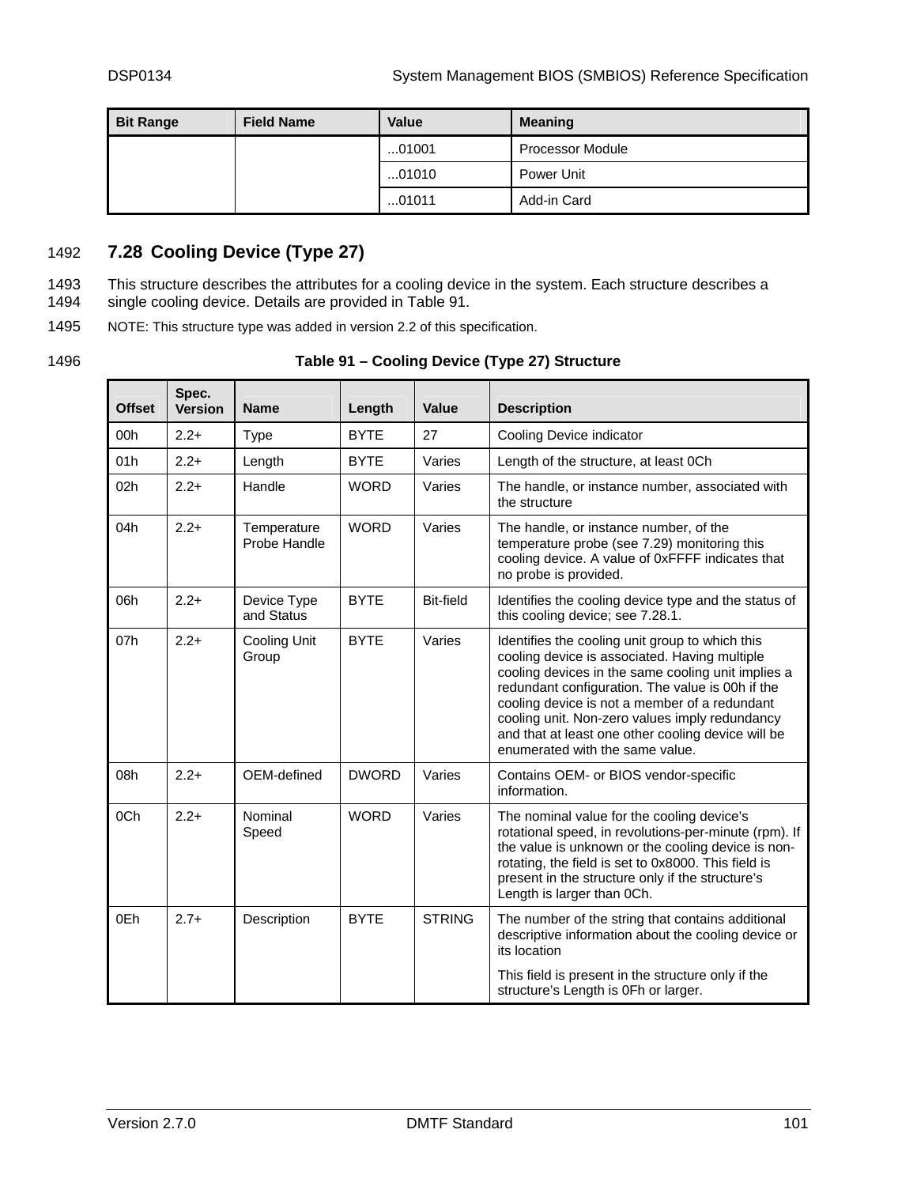| <b>Bit Range</b> | <b>Field Name</b> | Value | <b>Meaning</b>          |
|------------------|-------------------|-------|-------------------------|
|                  |                   | 01001 | <b>Processor Module</b> |
|                  |                   | 01010 | Power Unit              |
|                  |                   | 01011 | Add-in Card             |

## 1492 **7.28 Cooling Device (Type 27)**

1493 This structure describes the attributes for a cooling device in the system. Each structure describes a 1494 single cooling device. Details are provided in [Table 91](#page-100-0).

1495 NOTE: This structure type was added in version 2.2 of this specification.

| <b>Offset</b> | Spec.<br>Version | <b>Name</b>                 | Length       | <b>Value</b>     | <b>Description</b>                                                                                                                                                                                                                                                                                                                                                                                     |
|---------------|------------------|-----------------------------|--------------|------------------|--------------------------------------------------------------------------------------------------------------------------------------------------------------------------------------------------------------------------------------------------------------------------------------------------------------------------------------------------------------------------------------------------------|
| 00h           | $2.2+$           | Type                        | <b>BYTE</b>  | 27               | Cooling Device indicator                                                                                                                                                                                                                                                                                                                                                                               |
| 01h           | $2.2+$           | Length                      | <b>BYTE</b>  | Varies           | Length of the structure, at least 0Ch                                                                                                                                                                                                                                                                                                                                                                  |
| 02h           | $2.2+$           | Handle                      | <b>WORD</b>  | Varies           | The handle, or instance number, associated with<br>the structure                                                                                                                                                                                                                                                                                                                                       |
| 04h           | $2.2+$           | Temperature<br>Probe Handle | <b>WORD</b>  | Varies           | The handle, or instance number, of the<br>temperature probe (see 7.29) monitoring this<br>cooling device. A value of 0xFFFF indicates that<br>no probe is provided.                                                                                                                                                                                                                                    |
| 06h           | $2.2+$           | Device Type<br>and Status   | <b>BYTE</b>  | <b>Bit-field</b> | Identifies the cooling device type and the status of<br>this cooling device; see 7.28.1.                                                                                                                                                                                                                                                                                                               |
| 07h           | $2.2+$           | Cooling Unit<br>Group       | <b>BYTE</b>  | Varies           | Identifies the cooling unit group to which this<br>cooling device is associated. Having multiple<br>cooling devices in the same cooling unit implies a<br>redundant configuration. The value is 00h if the<br>cooling device is not a member of a redundant<br>cooling unit. Non-zero values imply redundancy<br>and that at least one other cooling device will be<br>enumerated with the same value. |
| 08h           | $2.2+$           | OEM-defined                 | <b>DWORD</b> | Varies           | Contains OEM- or BIOS vendor-specific<br>information.                                                                                                                                                                                                                                                                                                                                                  |
| 0Ch           | $2.2+$           | Nominal<br>Speed            | <b>WORD</b>  | Varies           | The nominal value for the cooling device's<br>rotational speed, in revolutions-per-minute (rpm). If<br>the value is unknown or the cooling device is non-<br>rotating, the field is set to 0x8000. This field is<br>present in the structure only if the structure's<br>Length is larger than OCh.                                                                                                     |
| 0Eh           | $2.7+$           | Description                 | <b>BYTE</b>  | <b>STRING</b>    | The number of the string that contains additional<br>descriptive information about the cooling device or<br>its location                                                                                                                                                                                                                                                                               |
|               |                  |                             |              |                  | This field is present in the structure only if the<br>structure's Length is 0Fh or larger.                                                                                                                                                                                                                                                                                                             |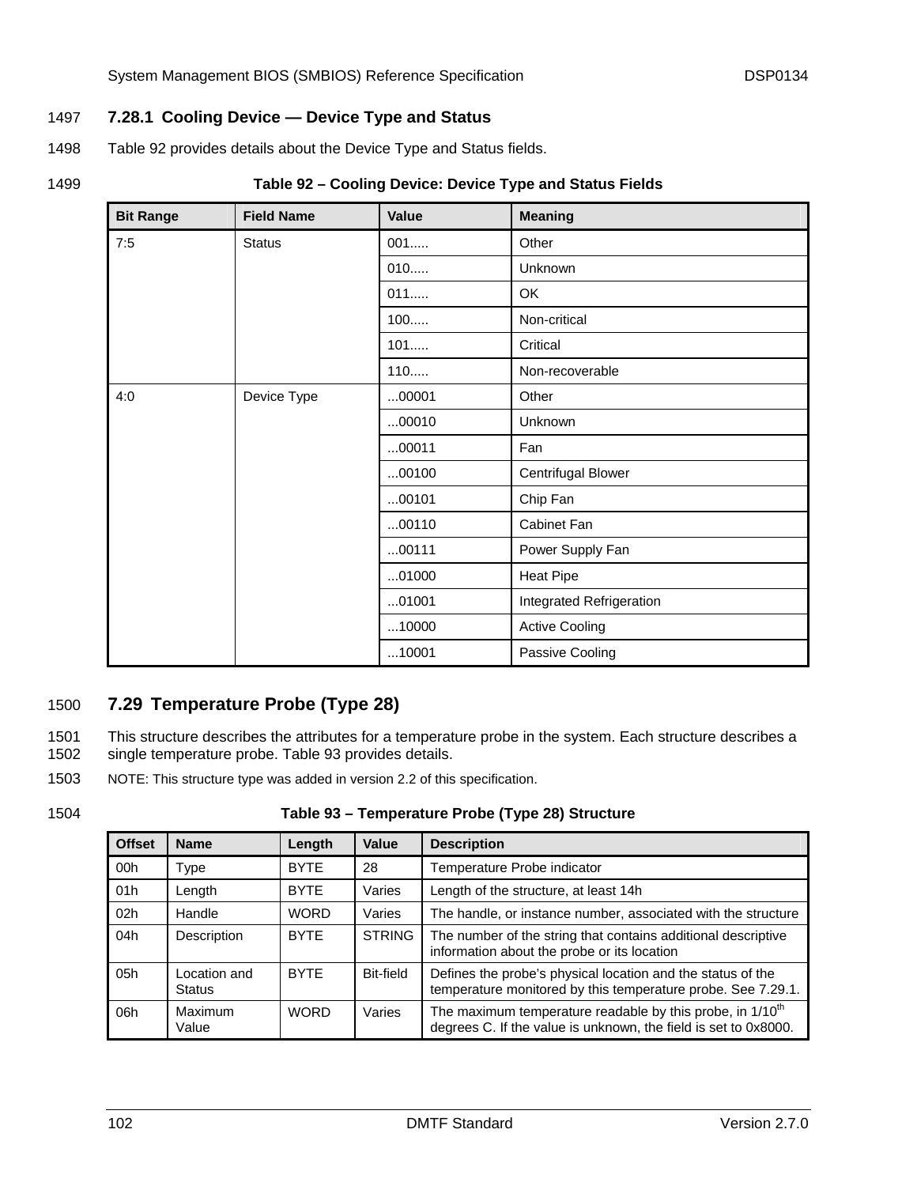## <span id="page-101-1"></span>1497 **7.28.1 Cooling Device — Device Type and Status**

- 1498 [Table 92](#page-101-2) provides details about the Device Type and Status fields.
- 

#### <span id="page-101-2"></span>1499 **Table 92 – Cooling Device: Device Type and Status Fields**

| <b>Bit Range</b> | <b>Field Name</b> | Value | <b>Meaning</b>           |
|------------------|-------------------|-------|--------------------------|
| 7:5              | <b>Status</b>     | 001   | Other                    |
|                  |                   | 010   | Unknown                  |
|                  |                   | 011   | OK                       |
|                  |                   | 100   | Non-critical             |
|                  |                   | 101   | Critical                 |
|                  |                   | 110   | Non-recoverable          |
| 4:0              | Device Type       | 00001 | Other                    |
|                  |                   | 00010 | Unknown                  |
|                  |                   | 00011 | Fan                      |
|                  |                   | 00100 | Centrifugal Blower       |
|                  |                   | 00101 | Chip Fan                 |
|                  |                   | 00110 | Cabinet Fan              |
|                  |                   | 00111 | Power Supply Fan         |
|                  |                   | 01000 | <b>Heat Pipe</b>         |
|                  |                   | 01001 | Integrated Refrigeration |
|                  |                   | 10000 | <b>Active Cooling</b>    |
|                  |                   | 10001 | Passive Cooling          |

## <span id="page-101-0"></span>1500 **7.29 Temperature Probe (Type 28)**

1501 This structure describes the attributes for a temperature probe in the system. Each structure describes a 1502 single temperature probe. [Table 93](#page-101-3) provides details.

1503 NOTE: This structure type was added in version 2.2 of this specification.

#### <span id="page-101-3"></span>1504 **Table 93 – Temperature Probe (Type 28) Structure**

| <b>Offset</b> | <b>Name</b>                   | Length      | <b>Value</b>  | <b>Description</b>                                                                                                                       |
|---------------|-------------------------------|-------------|---------------|------------------------------------------------------------------------------------------------------------------------------------------|
| 00h           | Type                          | <b>BYTE</b> | 28            | Temperature Probe indicator                                                                                                              |
| 01h           | Length                        | <b>BYTE</b> | Varies        | Length of the structure, at least 14h                                                                                                    |
| 02h           | Handle                        | <b>WORD</b> | Varies        | The handle, or instance number, associated with the structure                                                                            |
| 04h           | Description                   | <b>BYTE</b> | <b>STRING</b> | The number of the string that contains additional descriptive<br>information about the probe or its location                             |
| 05h           | Location and<br><b>Status</b> | <b>BYTE</b> | Bit-field     | Defines the probe's physical location and the status of the<br>temperature monitored by this temperature probe. See 7.29.1.              |
| 06h           | Maximum<br>Value              | <b>WORD</b> | Varies        | The maximum temperature readable by this probe, in 1/10 <sup>th</sup><br>degrees C. If the value is unknown, the field is set to 0x8000. |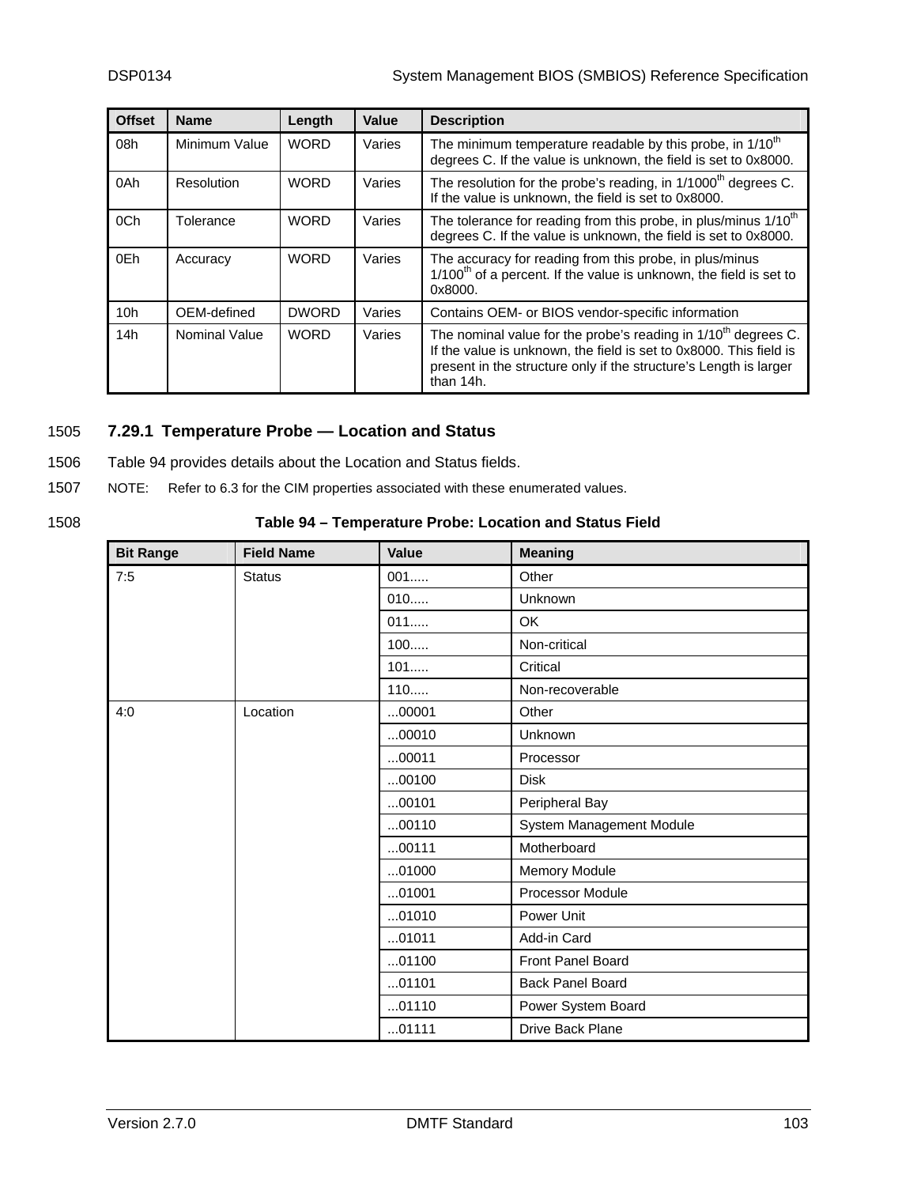| <b>Offset</b> | <b>Name</b>   | Length       | Value  | <b>Description</b>                                                                                                                                                                                                       |
|---------------|---------------|--------------|--------|--------------------------------------------------------------------------------------------------------------------------------------------------------------------------------------------------------------------------|
| 08h           | Minimum Value | <b>WORD</b>  | Varies | The minimum temperature readable by this probe, in $1/10m$<br>degrees C. If the value is unknown, the field is set to 0x8000.                                                                                            |
| 0Ah           | Resolution    | <b>WORD</b>  | Varies | The resolution for the probe's reading, in $1/1000th$ degrees C.<br>If the value is unknown, the field is set to 0x8000.                                                                                                 |
| 0Ch           | Tolerance     | <b>WORD</b>  | Varies | The tolerance for reading from this probe, in plus/minus 1/10 <sup>th</sup><br>degrees C. If the value is unknown, the field is set to 0x8000.                                                                           |
| 0Eh           | Accuracy      | <b>WORD</b>  | Varies | The accuracy for reading from this probe, in plus/minus<br>$1/100th$ of a percent. If the value is unknown, the field is set to<br>0x8000.                                                                               |
| 10h           | OEM-defined   | <b>DWORD</b> | Varies | Contains OEM- or BIOS vendor-specific information                                                                                                                                                                        |
| 14h           | Nominal Value | <b>WORD</b>  | Varies | The nominal value for the probe's reading in $1/10th$ degrees C.<br>If the value is unknown, the field is set to 0x8000. This field is<br>present in the structure only if the structure's Length is larger<br>than 14h. |

## <span id="page-102-0"></span>1505 **7.29.1 Temperature Probe — Location and Status**

1506 [Table 94](#page-102-1) provides details about the Location and Status fields.

1507 NOTE: Refer to [6.3](#page-25-0) for the CIM properties associated with these enumerated values.

## <span id="page-102-1"></span>1508 **Table 94 – Temperature Probe: Location and Status Field**

| <b>Bit Range</b> | <b>Field Name</b> | Value | <b>Meaning</b>           |
|------------------|-------------------|-------|--------------------------|
| 7:5              | <b>Status</b>     | 001   | Other                    |
|                  |                   | 010   | Unknown                  |
|                  |                   | 011   | <b>OK</b>                |
|                  |                   | 100   | Non-critical             |
|                  |                   | 101   | Critical                 |
|                  |                   | 110   | Non-recoverable          |
| 4:0              | Location          | 00001 | Other                    |
|                  |                   | 00010 | Unknown                  |
|                  |                   | 00011 | Processor                |
|                  |                   | 00100 | <b>Disk</b>              |
|                  |                   | 00101 | Peripheral Bay           |
|                  |                   | 00110 | System Management Module |
|                  |                   | 00111 | Motherboard              |
|                  |                   | 01000 | Memory Module            |
|                  |                   | 01001 | Processor Module         |
|                  |                   | 01010 | Power Unit               |
|                  |                   | 01011 | Add-in Card              |
|                  |                   | 01100 | Front Panel Board        |
|                  |                   | 01101 | <b>Back Panel Board</b>  |
|                  |                   | 01110 | Power System Board       |
|                  |                   | 01111 | Drive Back Plane         |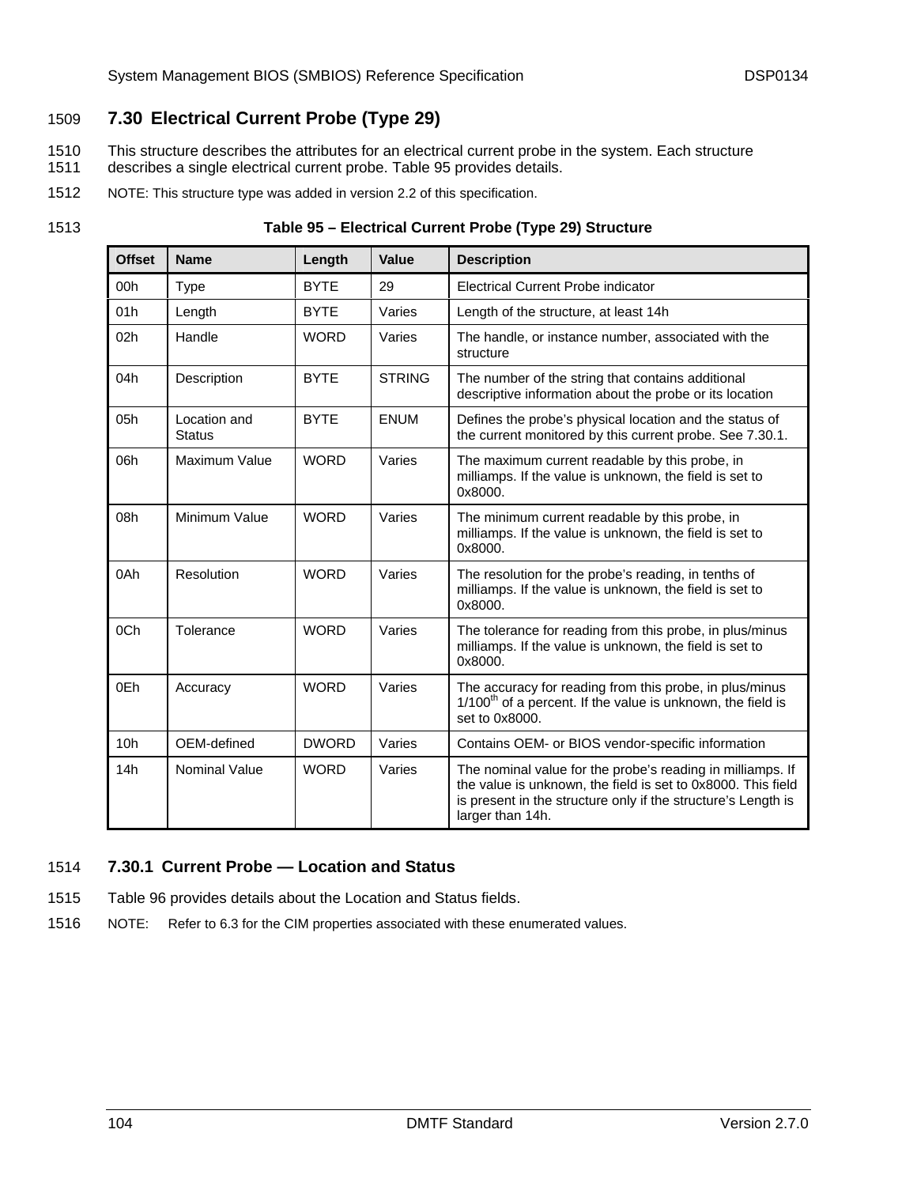## 1509 **7.30 Electrical Current Probe (Type 29)**

- 1510 This structure describes the attributes for an electrical current probe in the system. Each structure 1511 describes a single electrical current probe. Table 95 provides details.
- describes a single electrical current probe. [Table 95](#page-103-0) provides details.
- 1512 NOTE: This structure type was added in version 2.2 of this specification.

### <span id="page-103-0"></span>1513 **Table 95 – Electrical Current Probe (Type 29) Structure**

| <b>Offset</b> | <b>Name</b>                   | Length       | <b>Value</b>  | <b>Description</b>                                                                                                                                                                                              |
|---------------|-------------------------------|--------------|---------------|-----------------------------------------------------------------------------------------------------------------------------------------------------------------------------------------------------------------|
| 00h           | <b>Type</b>                   | <b>BYTE</b>  | 29            | Electrical Current Probe indicator                                                                                                                                                                              |
| 01h           | Length                        | <b>BYTE</b>  | Varies        | Length of the structure, at least 14h                                                                                                                                                                           |
| 02h           | Handle                        | <b>WORD</b>  | Varies        | The handle, or instance number, associated with the<br>structure                                                                                                                                                |
| 04h           | Description                   | <b>BYTE</b>  | <b>STRING</b> | The number of the string that contains additional<br>descriptive information about the probe or its location                                                                                                    |
| 05h           | Location and<br><b>Status</b> | <b>BYTE</b>  | <b>ENUM</b>   | Defines the probe's physical location and the status of<br>the current monitored by this current probe. See 7.30.1.                                                                                             |
| 06h           | Maximum Value                 | <b>WORD</b>  | Varies        | The maximum current readable by this probe, in<br>milliamps. If the value is unknown, the field is set to<br>0x8000.                                                                                            |
| 08h           | Minimum Value                 | <b>WORD</b>  | Varies        | The minimum current readable by this probe, in<br>milliamps. If the value is unknown, the field is set to<br>0x8000.                                                                                            |
| 0Ah           | Resolution                    | <b>WORD</b>  | Varies        | The resolution for the probe's reading, in tenths of<br>milliamps. If the value is unknown, the field is set to<br>0x8000.                                                                                      |
| 0Ch           | Tolerance                     | <b>WORD</b>  | Varies        | The tolerance for reading from this probe, in plus/minus<br>milliamps. If the value is unknown, the field is set to<br>0x8000.                                                                                  |
| 0Eh           | Accuracy                      | <b>WORD</b>  | Varies        | The accuracy for reading from this probe, in plus/minus<br>$1/100th$ of a percent. If the value is unknown, the field is<br>set to 0x8000.                                                                      |
| 10h           | OEM-defined                   | <b>DWORD</b> | Varies        | Contains OEM- or BIOS vendor-specific information                                                                                                                                                               |
| 14h           | <b>Nominal Value</b>          | <b>WORD</b>  | Varies        | The nominal value for the probe's reading in milliamps. If<br>the value is unknown, the field is set to 0x8000. This field<br>is present in the structure only if the structure's Length is<br>larger than 14h. |

## <span id="page-103-1"></span>1514 **7.30.1 Current Probe — Location and Status**

1515 [Table 96](#page-104-0) provides details about the Location and Status fields.

1516 NOTE: Refer to [6.3](#page-25-0) for the CIM properties associated with these enumerated values.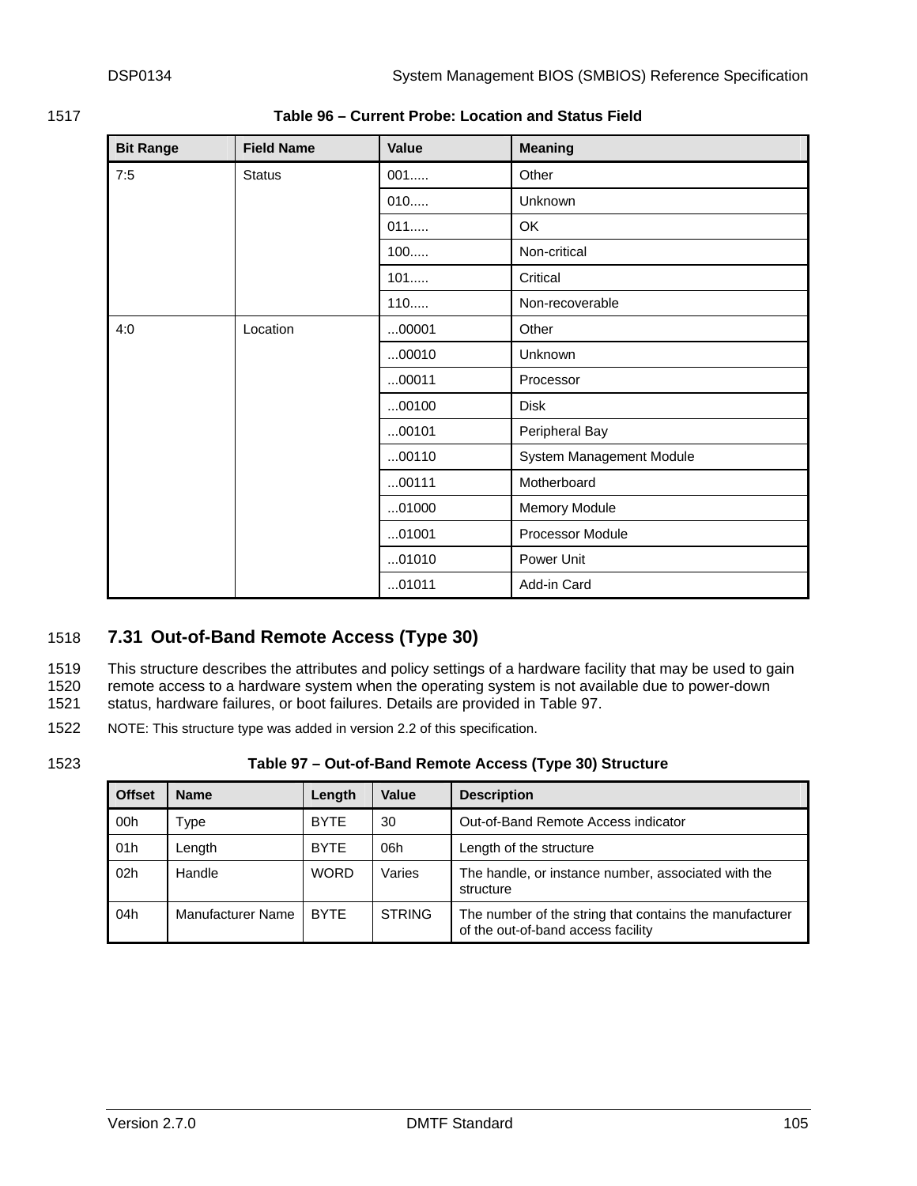<span id="page-104-0"></span>1517 **Table 96 – Current Probe: Location and Status Field** 

| <b>Bit Range</b> | <b>Field Name</b> | <b>Value</b> | <b>Meaning</b>           |
|------------------|-------------------|--------------|--------------------------|
| 7:5              | <b>Status</b>     | $001$        | Other                    |
|                  |                   | 010          | Unknown                  |
|                  |                   | 011          | OK                       |
|                  |                   | 100          | Non-critical             |
|                  |                   | 101          | Critical                 |
|                  |                   | 110          | Non-recoverable          |
| 4:0              | Location          | 00001        | Other                    |
|                  |                   | 00010        | Unknown                  |
|                  |                   | 00011        | Processor                |
|                  |                   | 00100        | <b>Disk</b>              |
|                  |                   | 00101        | Peripheral Bay           |
|                  |                   | 00110        | System Management Module |
|                  |                   | 00111        | Motherboard              |
|                  |                   | 01000        | Memory Module            |
|                  |                   | 01001        | Processor Module         |
|                  |                   | 01010        | Power Unit               |
|                  |                   | 01011        | Add-in Card              |

## 1518 **7.31 Out-of-Band Remote Access (Type 30)**

1519 This structure describes the attributes and policy settings of a hardware facility that may be used to gain 1520 remote access to a hardware system when the operating system is not available due to power-down<br>1521 status, hardware failures, or boot failures, Details are provided in Table 97.

status, hardware failures, or boot failures. Details are provided in [Table 97](#page-104-1).

1522 NOTE: This structure type was added in version 2.2 of this specification.

<span id="page-104-1"></span>

| 1523<br>Table 97 – Out-of-Band Remote Access (Type 30) Structure |
|------------------------------------------------------------------|
|------------------------------------------------------------------|

| <b>Offset</b> | <b>Name</b>       | Length      | Value         | <b>Description</b>                                                                            |
|---------------|-------------------|-------------|---------------|-----------------------------------------------------------------------------------------------|
| 00h           | Type              | <b>BYTE</b> | 30            | Out-of-Band Remote Access indicator                                                           |
| 01h           | Length            | <b>BYTE</b> | 06h           | Length of the structure                                                                       |
| 02h           | Handle            | <b>WORD</b> | Varies        | The handle, or instance number, associated with the<br>structure                              |
| 04h           | Manufacturer Name | <b>BYTE</b> | <b>STRING</b> | The number of the string that contains the manufacturer<br>of the out-of-band access facility |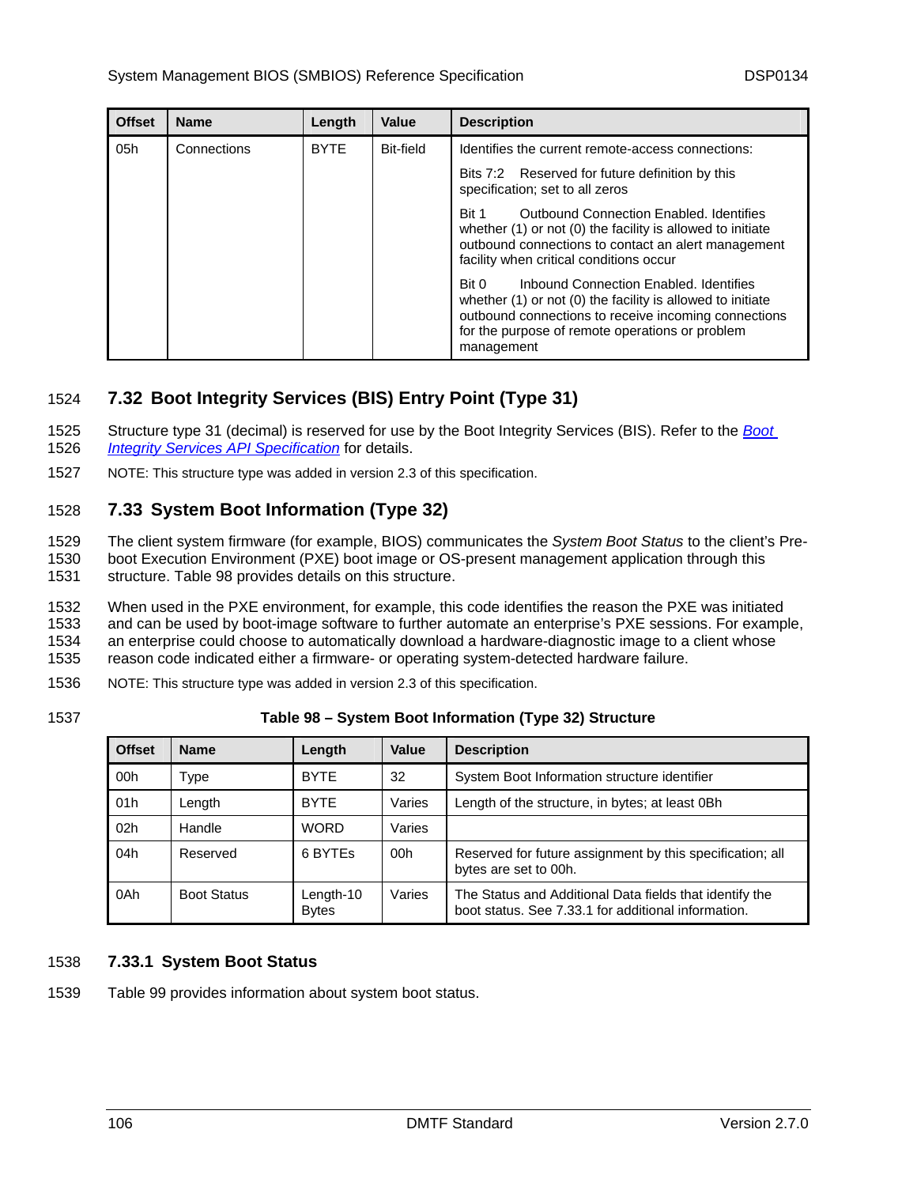| <b>Offset</b> | <b>Name</b> | Length      | Value     | <b>Description</b>                                                                                                                                                                                                                     |
|---------------|-------------|-------------|-----------|----------------------------------------------------------------------------------------------------------------------------------------------------------------------------------------------------------------------------------------|
| 05h           | Connections | <b>BYTE</b> | Bit-field | Identifies the current remote-access connections:                                                                                                                                                                                      |
|               |             |             |           | Bits 7:2 Reserved for future definition by this<br>specification; set to all zeros                                                                                                                                                     |
|               |             |             |           | Outbound Connection Enabled, Identifies<br>Bit 1<br>whether (1) or not (0) the facility is allowed to initiate<br>outbound connections to contact an alert management<br>facility when critical conditions occur                       |
|               |             |             |           | Inbound Connection Enabled, Identifies<br>Bit 0<br>whether (1) or not (0) the facility is allowed to initiate<br>outbound connections to receive incoming connections<br>for the purpose of remote operations or problem<br>management |

## 1524 **7.32 Boot Integrity Services (BIS) Entry Point (Type 31)**

[1525 Structure type 31 \(decimal\) is reserved for use by the Boot Integrity Services \(BIS\). Refer to the](#page-12-0) *Boot*  1526 *[Integrity Services API Specific](#page-12-0)ation* for details.

1527 NOTE: This structure type was added in version 2.3 of this specification.

## 1528 **7.33 System Boot Information (Type 32)**

1529 The client system firmware (for example, BIOS) communicates the *System Boot Status* to the client's Pre-

1530 boot Execution Environment (PXE) boot image or OS-present management application through this

1531 structure. [Table 98](#page-105-0) provides details on this structure.

1532 When used in the PXE environment, for example, this code identifies the reason the PXE was initiated

1533 and can be used by boot-image software to further automate an enterprise's PXE sessions. For example, 1534 an enterprise could choose to automatically download a hardware-diagnostic image to a client whose

1535 reason code indicated either a firmware- or operating system-detected hardware failure.

- 1536 NOTE: This structure type was added in version 2.3 of this specification.
- <span id="page-105-0"></span>

| 1537 | Table 98 – System Boot Information (Type 32) Structure |  |
|------|--------------------------------------------------------|--|
|      |                                                        |  |

| <b>Offset</b>   | <b>Name</b>        | Length                    | Value  | <b>Description</b>                                                                                             |
|-----------------|--------------------|---------------------------|--------|----------------------------------------------------------------------------------------------------------------|
| 00 <sub>h</sub> | Type               | <b>BYTE</b>               | 32     | System Boot Information structure identifier                                                                   |
| 01h             | Length             | <b>BYTE</b>               | Varies | Length of the structure, in bytes; at least 0Bh                                                                |
| 02 <sub>h</sub> | Handle             | <b>WORD</b>               | Varies |                                                                                                                |
| 04h             | Reserved           | 6 BYTES                   | 00h    | Reserved for future assignment by this specification; all<br>bytes are set to 00h.                             |
| 0Ah             | <b>Boot Status</b> | Length-10<br><b>Bytes</b> | Varies | The Status and Additional Data fields that identify the<br>boot status. See 7.33.1 for additional information. |

## <span id="page-105-1"></span>1538 **7.33.1 System Boot Status**

1539 [Table 99](#page-106-1) provides information about system boot status.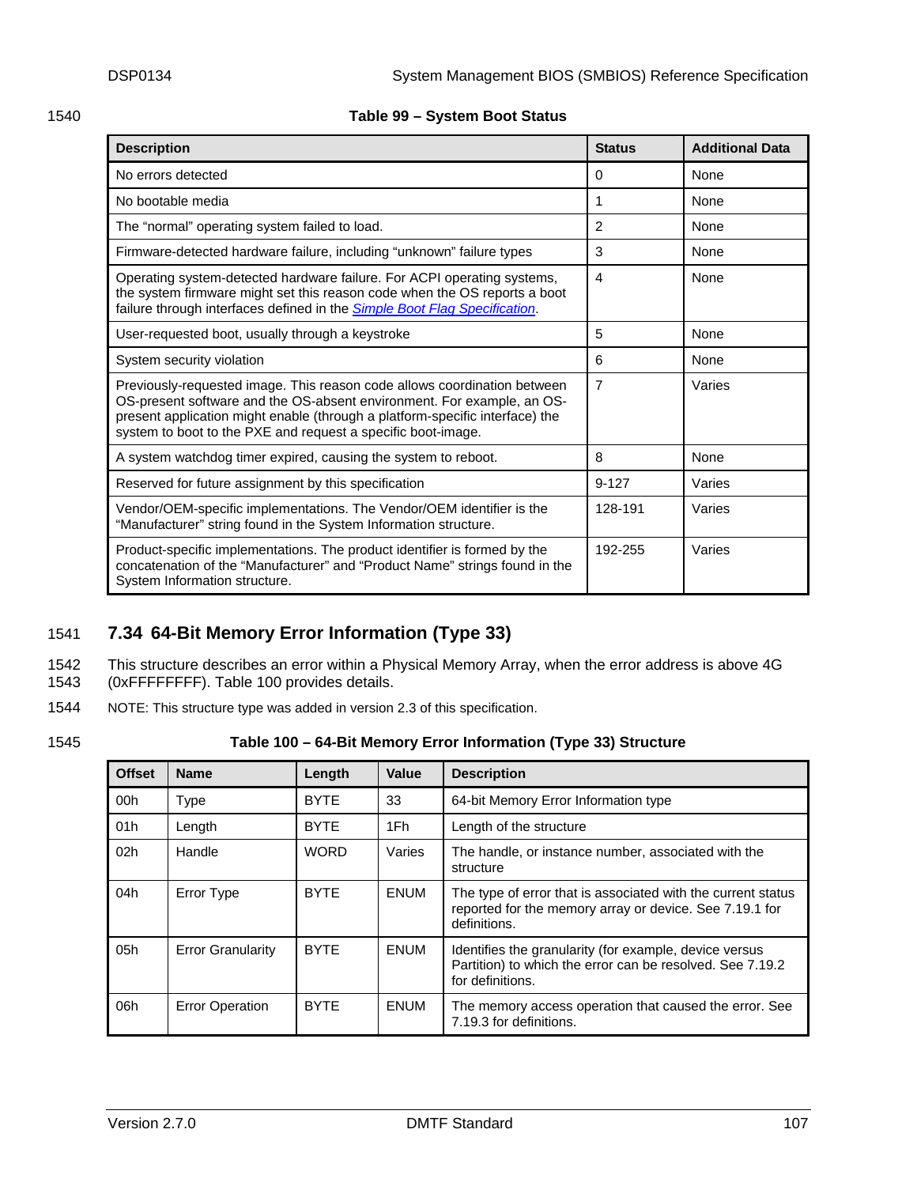<span id="page-106-1"></span>

| Table 99 – System Boot Status |
|-------------------------------|
|                               |

| <b>Description</b>                                                                                                                                                                                                                                                                                 | <b>Status</b>  | <b>Additional Data</b> |
|----------------------------------------------------------------------------------------------------------------------------------------------------------------------------------------------------------------------------------------------------------------------------------------------------|----------------|------------------------|
| No errors detected                                                                                                                                                                                                                                                                                 | $\Omega$       | None                   |
| No bootable media                                                                                                                                                                                                                                                                                  | 1              | None                   |
| The "normal" operating system failed to load.                                                                                                                                                                                                                                                      | $\overline{c}$ | None                   |
| Firmware-detected hardware failure, including "unknown" failure types                                                                                                                                                                                                                              | 3              | None                   |
| Operating system-detected hardware failure. For ACPI operating systems,<br>the system firmware might set this reason code when the OS reports a boot<br>failure through interfaces defined in the <b>Simple Boot Flag Specification</b> .                                                          | $\overline{4}$ | None                   |
| User-requested boot, usually through a keystroke                                                                                                                                                                                                                                                   | 5              | None                   |
| System security violation                                                                                                                                                                                                                                                                          | 6              | None                   |
| Previously-requested image. This reason code allows coordination between<br>OS-present software and the OS-absent environment. For example, an OS-<br>present application might enable (through a platform-specific interface) the<br>system to boot to the PXE and request a specific boot-image. | $\overline{7}$ | Varies                 |
| A system watchdog timer expired, causing the system to reboot.                                                                                                                                                                                                                                     | 8              | None                   |
| Reserved for future assignment by this specification                                                                                                                                                                                                                                               | $9 - 127$      | Varies                 |
| Vendor/OEM-specific implementations. The Vendor/OEM identifier is the<br>"Manufacturer" string found in the System Information structure.                                                                                                                                                          | 128-191        | Varies                 |
| Product-specific implementations. The product identifier is formed by the<br>concatenation of the "Manufacturer" and "Product Name" strings found in the<br>System Information structure.                                                                                                          | 192-255        | Varies                 |

## <span id="page-106-0"></span>1541 **7.34 64-Bit Memory Error Information (Type 33)**

1542 This structure describes an error within a Physical Memory Array, when the error address is above 4G<br>1543 (0xFFFFFFFF). Table 100 provides details.

- (0xFFFFFFFFF). [Table 100](#page-106-2) provides details.
- 1544 NOTE: This structure type was added in version 2.3 of this specification.
- 

<span id="page-106-2"></span>1545 **Table 100 – 64-Bit Memory Error Information (Type 33) Structure** 

| <b>Offset</b>   | <b>Name</b>              | Length      | Value       | <b>Description</b>                                                                                                                      |
|-----------------|--------------------------|-------------|-------------|-----------------------------------------------------------------------------------------------------------------------------------------|
| 00h             | <b>Type</b>              | <b>BYTE</b> | 33          | 64-bit Memory Error Information type                                                                                                    |
| 01h             | Length                   | <b>BYTE</b> | 1Fh         | Length of the structure                                                                                                                 |
| 02 <sub>h</sub> | Handle                   | <b>WORD</b> | Varies      | The handle, or instance number, associated with the<br>structure                                                                        |
| 04h             | <b>Error Type</b>        | <b>BYTE</b> | <b>ENUM</b> | The type of error that is associated with the current status<br>reported for the memory array or device. See 7.19.1 for<br>definitions. |
| 05h             | <b>Error Granularity</b> | <b>BYTE</b> | <b>ENUM</b> | Identifies the granularity (for example, device versus<br>Partition) to which the error can be resolved. See 7.19.2<br>for definitions. |
| 06h             | <b>Error Operation</b>   | <b>BYTE</b> | <b>ENUM</b> | The memory access operation that caused the error. See<br>7.19.3 for definitions.                                                       |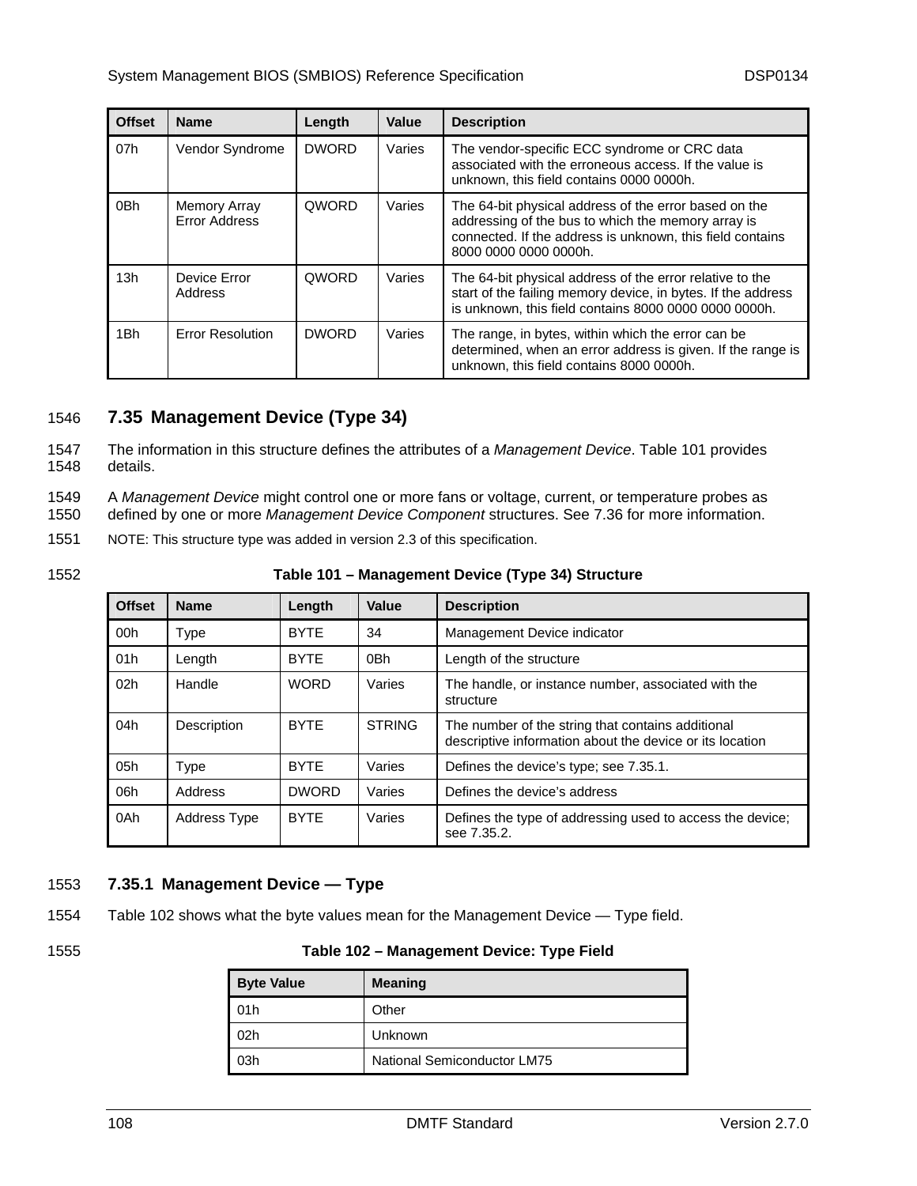| <b>Offset</b>   | <b>Name</b>                                 | Length       | Value  | <b>Description</b>                                                                                                                                                                                |
|-----------------|---------------------------------------------|--------------|--------|---------------------------------------------------------------------------------------------------------------------------------------------------------------------------------------------------|
| 07h             | Vendor Syndrome                             | <b>DWORD</b> | Varies | The vendor-specific ECC syndrome or CRC data<br>associated with the erroneous access. If the value is<br>unknown, this field contains 0000 0000h.                                                 |
| 0 <sub>Bh</sub> | <b>Memory Array</b><br><b>Error Address</b> | <b>QWORD</b> | Varies | The 64-bit physical address of the error based on the<br>addressing of the bus to which the memory array is<br>connected. If the address is unknown, this field contains<br>8000 0000 0000 0000h. |
| 13h             | Device Error<br>Address                     | <b>OWORD</b> | Varies | The 64-bit physical address of the error relative to the<br>start of the failing memory device, in bytes. If the address<br>is unknown, this field contains 8000 0000 0000 0000h.                 |
| 1 <sub>Bh</sub> | <b>Error Resolution</b>                     | <b>DWORD</b> | Varies | The range, in bytes, within which the error can be<br>determined, when an error address is given. If the range is<br>unknown, this field contains 8000 0000h.                                     |

## 1546 **7.35 Management Device (Type 34)**

1547 The information in this structure defines the attributes of a *Management Device*. [Table 101](#page-107-0) provides 1548 details.

1549 A *Management Device* might control one or more fans or voltage, current, or temperature probes as 1550 defined by one or more *Management Device Component* structures. See [7.36](#page-108-0) for more information.

- 1551 NOTE: This structure type was added in version 2.3 of this specification.
- <span id="page-107-0"></span>

| 1552 | Table 101 - Management Device (Type 34) Structure |
|------|---------------------------------------------------|
|------|---------------------------------------------------|

| <b>Offset</b>   | <b>Name</b>         | Length       | Value         | <b>Description</b>                                                                                            |
|-----------------|---------------------|--------------|---------------|---------------------------------------------------------------------------------------------------------------|
| 00h             | <b>Type</b>         | <b>BYTE</b>  | 34            | Management Device indicator                                                                                   |
| 01h             | Length              | <b>BYTE</b>  | 0Bh           | Length of the structure                                                                                       |
| 02 <sub>h</sub> | Handle              | <b>WORD</b>  | Varies        | The handle, or instance number, associated with the<br>structure                                              |
| 04h             | Description         | <b>BYTE</b>  | <b>STRING</b> | The number of the string that contains additional<br>descriptive information about the device or its location |
| 05h             | Type                | <b>BYTE</b>  | Varies        | Defines the device's type; see 7.35.1.                                                                        |
| 06h             | Address             | <b>DWORD</b> | Varies        | Defines the device's address                                                                                  |
| 0Ah             | <b>Address Type</b> | <b>BYTE</b>  | Varies        | Defines the type of addressing used to access the device;<br>see 7.35.2.                                      |

### <span id="page-107-1"></span>1553 **7.35.1 Management Device — Type**

1554 [Table 102](#page-107-2) shows what the byte values mean for the Management Device — Type field.

<span id="page-107-2"></span>

#### 1555 **Table 102 – Management Device: Type Field**

| <b>Byte Value</b> | <b>Meaning</b>                     |
|-------------------|------------------------------------|
| 01h               | Other                              |
| 02h               | <b>Unknown</b>                     |
| 03h               | <b>National Semiconductor LM75</b> |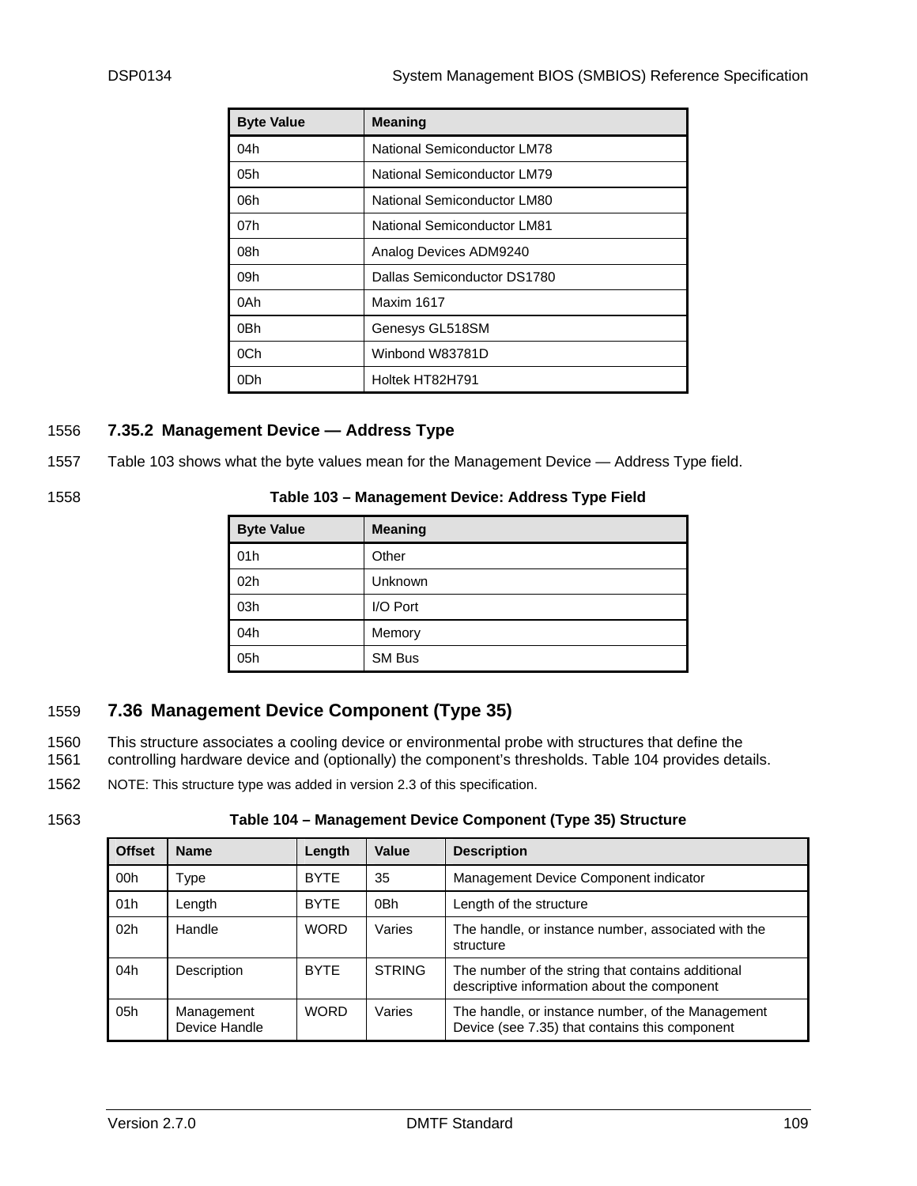| <b>Byte Value</b> | <b>Meaning</b>              |
|-------------------|-----------------------------|
| 04h               | National Semiconductor LM78 |
| 05h               | National Semiconductor LM79 |
| 06h               | National Semiconductor LM80 |
| 07h               | National Semiconductor LM81 |
| 08h               | Analog Devices ADM9240      |
| 09h               | Dallas Semiconductor DS1780 |
| 0Ah               | Maxim 1617                  |
| 0Bh               | Genesys GL518SM             |
| 0Ch               | Winbond W83781D             |
| 0Dh               | Holtek HT82H791             |

# 1556 **7.35.2 Management Device — Address Type**

1557 [Table 103](#page-108-0) shows what the byte values mean for the Management Device - Address Type field.

#### <span id="page-108-0"></span>1558 **Table 103 – Management Device: Address Type Field**

| <b>Byte Value</b> | <b>Meaning</b> |  |  |
|-------------------|----------------|--|--|
| 01h               | Other          |  |  |
| 02h               | Unknown        |  |  |
| 03h               | I/O Port       |  |  |
| 04h               | Memory         |  |  |
| 05h               | <b>SM Bus</b>  |  |  |

# 1559 **7.36 Management Device Component (Type 35)**

1560 This structure associates a cooling device or environmental probe with structures that define the 1561 controlling hardware device and (optionally) the component's thresholds. [Table 104](#page-108-1) provides details.

1562 NOTE: This structure type was added in version 2.3 of this specification.

<span id="page-108-1"></span>

| 1563 | Table 104 - Management Device Component (Type 35) Structure |  |
|------|-------------------------------------------------------------|--|
|------|-------------------------------------------------------------|--|

| <b>Offset</b> | <b>Name</b>                 | Length      | Value           | <b>Description</b>                                                                                  |
|---------------|-----------------------------|-------------|-----------------|-----------------------------------------------------------------------------------------------------|
| 00h           | Type                        | <b>BYTE</b> | 35              | Management Device Component indicator                                                               |
| 01h           | Length                      | <b>BYTE</b> | 0 <sub>Bh</sub> | Length of the structure                                                                             |
| 02h           | Handle                      | <b>WORD</b> | Varies          | The handle, or instance number, associated with the<br>structure                                    |
| 04h           | Description                 | <b>BYTE</b> | <b>STRING</b>   | The number of the string that contains additional<br>descriptive information about the component    |
| 05h           | Management<br>Device Handle | <b>WORD</b> | Varies          | The handle, or instance number, of the Management<br>Device (see 7.35) that contains this component |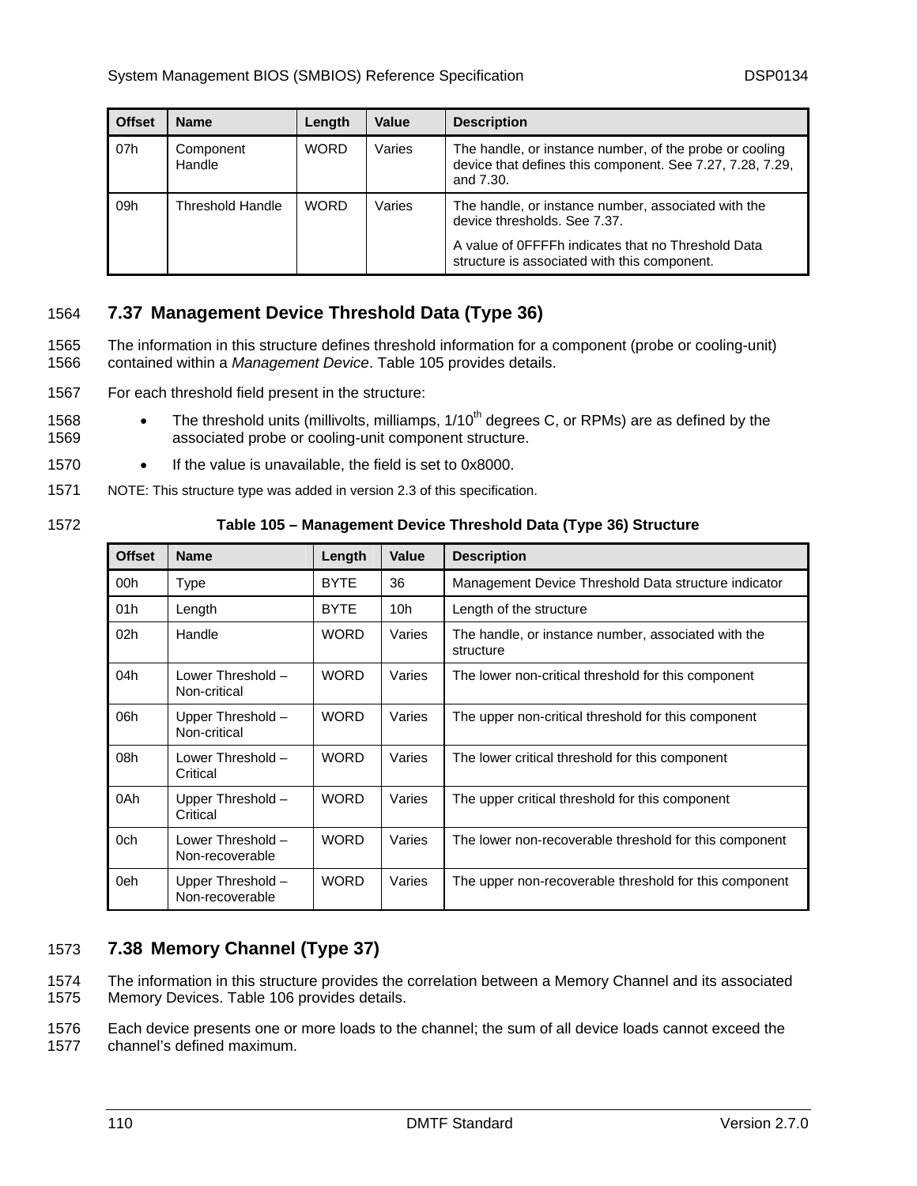| <b>Offset</b> | <b>Name</b>             | Length      | <b>Value</b> | <b>Description</b>                                                                                                                |
|---------------|-------------------------|-------------|--------------|-----------------------------------------------------------------------------------------------------------------------------------|
| 07h           | Component<br>Handle     | <b>WORD</b> | Varies       | The handle, or instance number, of the probe or cooling<br>device that defines this component. See 7.27, 7.28, 7.29,<br>and 7.30. |
| 09h           | <b>Threshold Handle</b> | <b>WORD</b> | Varies       | The handle, or instance number, associated with the<br>device thresholds. See 7.37.                                               |
|               |                         |             |              | A value of OFFFFh indicates that no Threshold Data<br>structure is associated with this component.                                |

# <span id="page-109-0"></span>1564 **7.37 Management Device Threshold Data (Type 36)**

- 1565 The information in this structure defines threshold information for a component (probe or cooling-unit)<br>1566 contained within a *Management Device*. Table 105 provides details. contained within a *Management Device*. [Table 105](#page-109-1) provides details.
- 1567 For each threshold field present in the structure:
- 1568 The threshold units (millivolts, milliamps,  $1/10<sup>th</sup>$  degrees C, or RPMs) are as defined by the 1569 associated probe or cooling-unit component structure.
- 1570 If the value is unavailable, the field is set to 0x8000.
- 1571 NOTE: This structure type was added in version 2.3 of this specification.
- 

#### <span id="page-109-1"></span>1572 **Table 105 – Management Device Threshold Data (Type 36) Structure**

| <b>Offset</b>   | <b>Name</b>                          | Length      | Value           | <b>Description</b>                                               |
|-----------------|--------------------------------------|-------------|-----------------|------------------------------------------------------------------|
| 00h             | <b>Type</b>                          | <b>BYTE</b> | 36              | Management Device Threshold Data structure indicator             |
| 01h             | Length                               | <b>BYTE</b> | 10 <sub>h</sub> | Length of the structure                                          |
| 02 <sub>h</sub> | Handle                               | <b>WORD</b> | Varies          | The handle, or instance number, associated with the<br>structure |
| 04h             | Lower Threshold -<br>Non-critical    | <b>WORD</b> | Varies          | The lower non-critical threshold for this component              |
| 06h             | Upper Threshold -<br>Non-critical    | <b>WORD</b> | Varies          | The upper non-critical threshold for this component              |
| 08h             | Lower Threshold -<br>Critical        | <b>WORD</b> | Varies          | The lower critical threshold for this component                  |
| 0Ah             | Upper Threshold -<br>Critical        | <b>WORD</b> | Varies          | The upper critical threshold for this component                  |
| 0ch             | Lower Threshold -<br>Non-recoverable | <b>WORD</b> | Varies          | The lower non-recoverable threshold for this component           |
| 0eh             | Upper Threshold -<br>Non-recoverable | <b>WORD</b> | Varies          | The upper non-recoverable threshold for this component           |

# 1573 **7.38 Memory Channel (Type 37)**

1574 The information in this structure provides the correlation between a Memory Channel and its associated 1575 Memory Devices. [Table 106](#page-110-0) provides details.

1576 Each device presents one or more loads to the channel; the sum of all device loads cannot exceed the 1577 channel's defined maximum.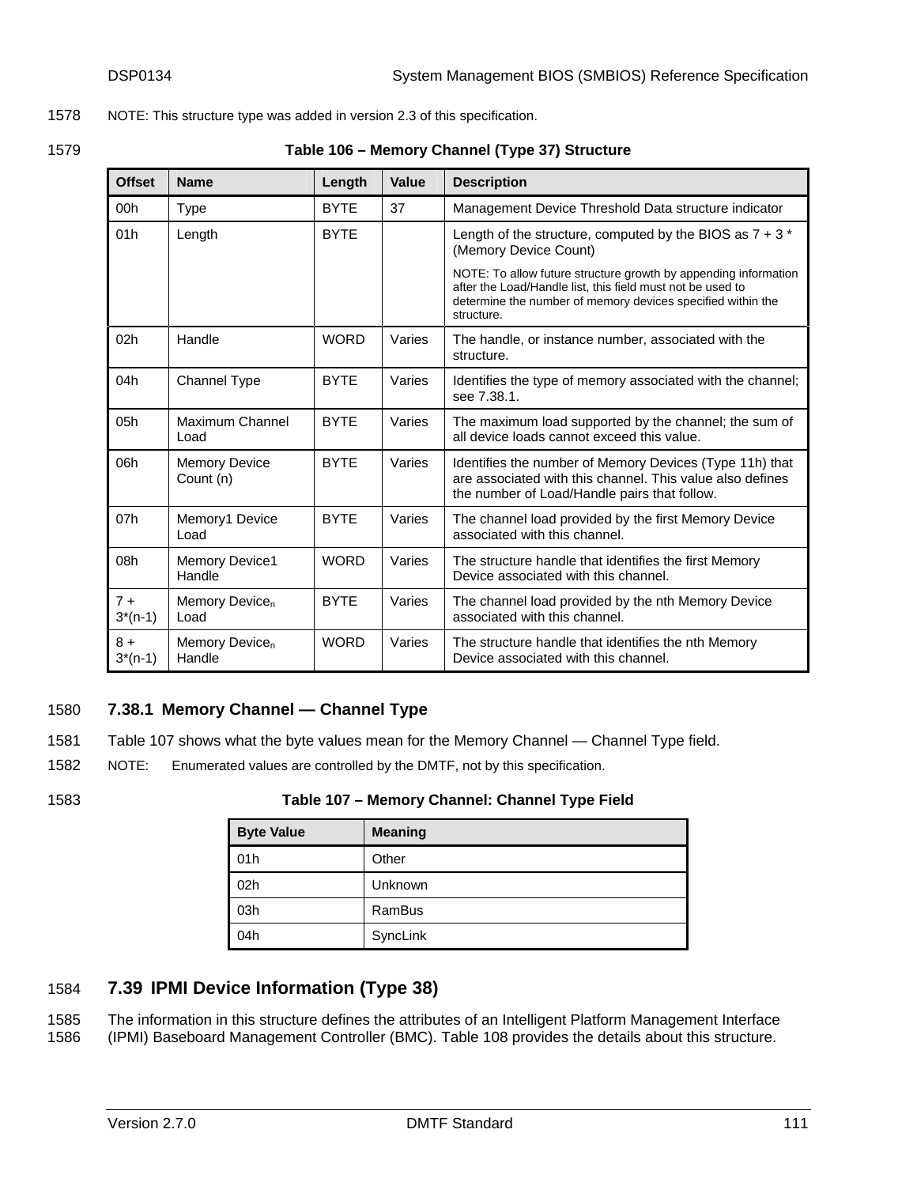#### 1578 NOTE: This structure type was added in version 2.3 of this specification.

#### <span id="page-110-0"></span>1579 **Table 106 – Memory Channel (Type 37) Structure**

| <b>Offset</b>     | <b>Name</b>                          | Length      | Value  | <b>Description</b>                                                                                                                                                                                         |
|-------------------|--------------------------------------|-------------|--------|------------------------------------------------------------------------------------------------------------------------------------------------------------------------------------------------------------|
| 00h               | Type                                 | <b>BYTE</b> | 37     | Management Device Threshold Data structure indicator                                                                                                                                                       |
| 01h               | Length                               | <b>BYTE</b> |        | Length of the structure, computed by the BIOS as $7 + 3 *$<br>(Memory Device Count)                                                                                                                        |
|                   |                                      |             |        | NOTE: To allow future structure growth by appending information<br>after the Load/Handle list, this field must not be used to<br>determine the number of memory devices specified within the<br>structure. |
| 02h               | Handle                               | <b>WORD</b> | Varies | The handle, or instance number, associated with the<br>structure.                                                                                                                                          |
| 04h               | <b>Channel Type</b>                  | <b>BYTE</b> | Varies | Identifies the type of memory associated with the channel;<br>see 7.38.1.                                                                                                                                  |
| 05h               | Maximum Channel<br>Load              | <b>BYTE</b> | Varies | The maximum load supported by the channel; the sum of<br>all device loads cannot exceed this value.                                                                                                        |
| 06h               | <b>Memory Device</b><br>Count (n)    | <b>BYTE</b> | Varies | Identifies the number of Memory Devices (Type 11h) that<br>are associated with this channel. This value also defines<br>the number of Load/Handle pairs that follow.                                       |
| 07h               | Memory1 Device<br>Load               | <b>BYTE</b> | Varies | The channel load provided by the first Memory Device<br>associated with this channel.                                                                                                                      |
| 08h               | <b>Memory Device1</b><br>Handle      | <b>WORD</b> | Varies | The structure handle that identifies the first Memory<br>Device associated with this channel.                                                                                                              |
| $7+$<br>$3*(n-1)$ | Memory Device <sub>n</sub><br>Load   | <b>BYTE</b> | Varies | The channel load provided by the nth Memory Device<br>associated with this channel.                                                                                                                        |
| $8+$<br>$3*(n-1)$ | Memory Device <sub>n</sub><br>Handle | <b>WORD</b> | Varies | The structure handle that identifies the nth Memory<br>Device associated with this channel.                                                                                                                |

#### <span id="page-110-1"></span>1580 **7.38.1 Memory Channel — Channel Type**

1581 [Table 107](#page-110-2) shows what the byte values mean for the Memory Channel — Channel Type field.

1582 NOTE: Enumerated values are controlled by the DMTF, not by this specification.

#### <span id="page-110-2"></span>1583 **Table 107 – Memory Channel: Channel Type Field**

| <b>Byte Value</b> | <b>Meaning</b> |
|-------------------|----------------|
| 01h               | Other          |
| 02 <sub>h</sub>   | Unknown        |
| 03h               | RamBus         |
| 04h               | SyncLink       |

### 1584 **7.39 IPMI Device Information (Type 38)**

1585 The information in this structure defines the attributes of an Intelligent Platform Management Interface<br>1586 (IPMI) Baseboard Management Controller (BMC). Table 108 provides the details about this structure. (IPMI) Baseboard Management Controller (BMC). [Table 108](#page-111-0) provides the details about this structure.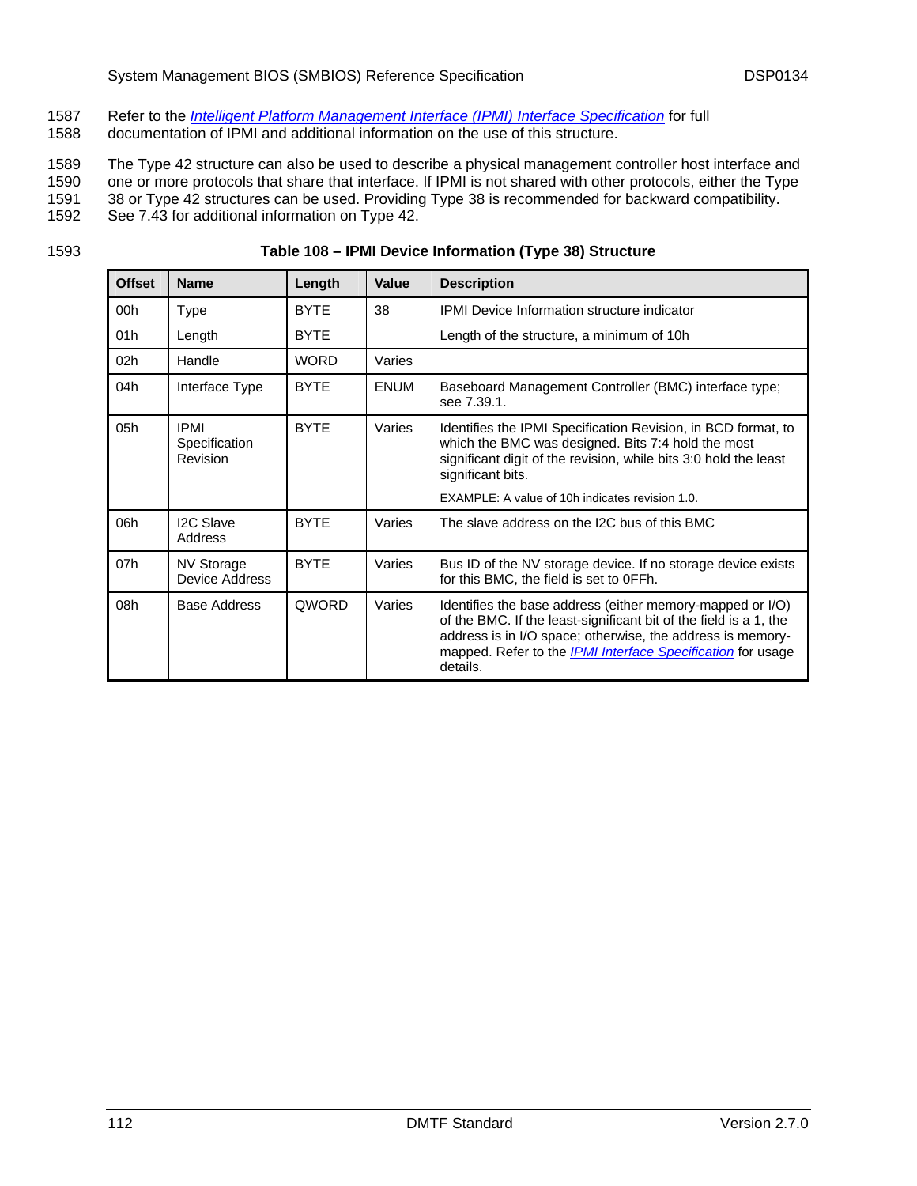- 1587 Refer to the *[Intelligent Platform Management Interface \(IPMI\) Interface Specification](#page-12-0)* for full
- 1588 documentation of IPMI and additional information on the use of this structure.

1589 The Type 42 structure can also be used to describe a physical management controller host interface and

1590 one or more protocols that share that interface. If IPMI is not shared with other protocols, either the Type

1591 38 or Type 42 structures can be used. Providing Type 38 is recommended for backward compatibility.

See [7.43](#page-117-0) for additional information on Type 42.

#### <span id="page-111-0"></span>1593 **Table 108 – IPMI Device Information (Type 38) Structure**

| <b>Offset</b> | <b>Name</b>                                | Length      | Value       | <b>Description</b>                                                                                                                                                                                                                                                             |
|---------------|--------------------------------------------|-------------|-------------|--------------------------------------------------------------------------------------------------------------------------------------------------------------------------------------------------------------------------------------------------------------------------------|
| 00h           | Type                                       | <b>BYTE</b> | 38          | <b>IPMI Device Information structure indicator</b>                                                                                                                                                                                                                             |
| 01h           | Length                                     | <b>BYTE</b> |             | Length of the structure, a minimum of 10h                                                                                                                                                                                                                                      |
| 02h           | Handle                                     | <b>WORD</b> | Varies      |                                                                                                                                                                                                                                                                                |
| 04h           | Interface Type                             | <b>BYTE</b> | <b>ENUM</b> | Baseboard Management Controller (BMC) interface type;<br>see 7.39.1.                                                                                                                                                                                                           |
| 05h           | <b>IPMI</b><br>Specification<br>Revision   | <b>BYTE</b> | Varies      | Identifies the IPMI Specification Revision, in BCD format, to<br>which the BMC was designed. Bits 7:4 hold the most<br>significant digit of the revision, while bits 3:0 hold the least<br>significant bits.<br>EXAMPLE: A value of 10h indicates revision 1.0.                |
| 06h           | <b>I2C Slave</b><br>Address                | <b>BYTE</b> | Varies      | The slave address on the I2C bus of this BMC                                                                                                                                                                                                                                   |
| 07h           | <b>NV Storage</b><br><b>Device Address</b> | <b>BYTE</b> | Varies      | Bus ID of the NV storage device. If no storage device exists<br>for this BMC, the field is set to OFFh.                                                                                                                                                                        |
| 08h           | Base Address                               | QWORD       | Varies      | Identifies the base address (either memory-mapped or I/O)<br>of the BMC. If the least-significant bit of the field is a 1, the<br>address is in I/O space; otherwise, the address is memory-<br>mapped. Refer to the <b>IPMI Interface Specification</b> for usage<br>details. |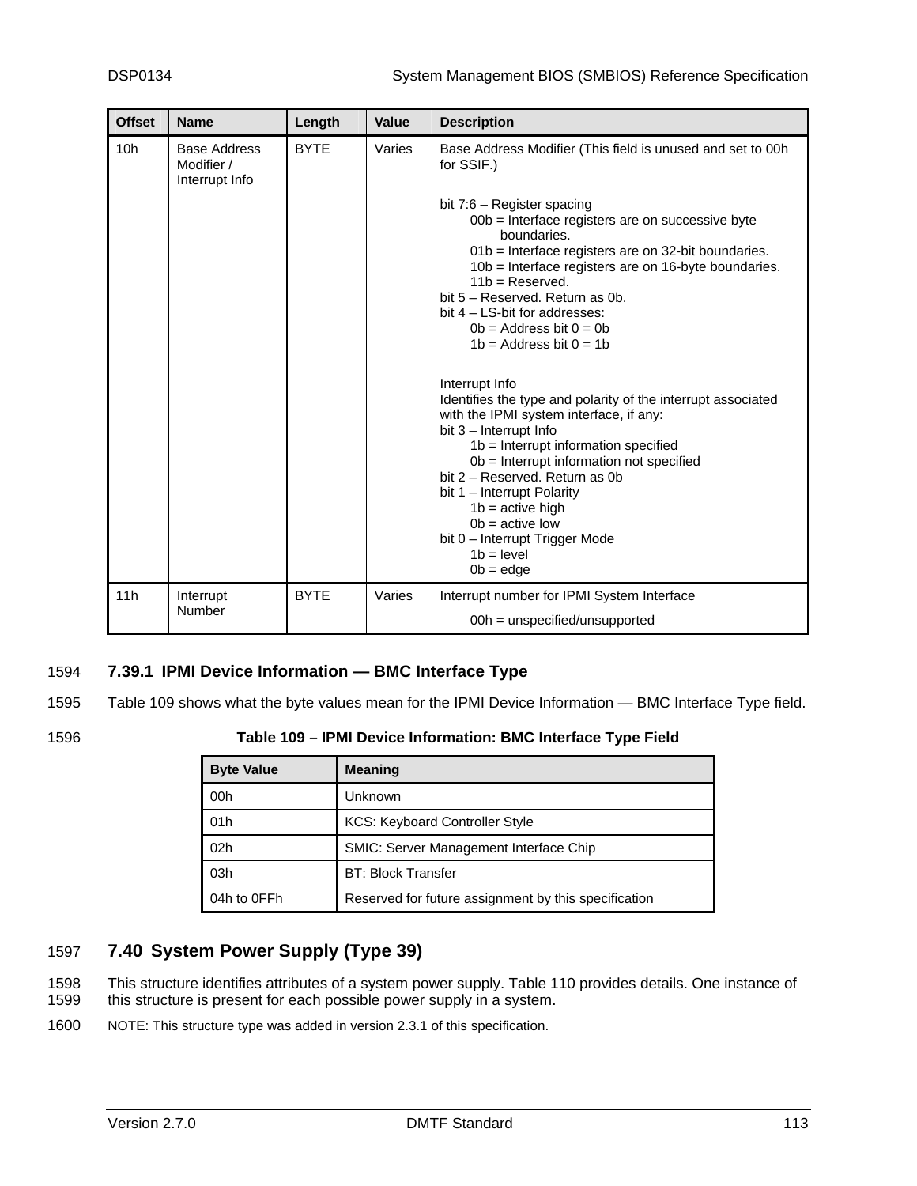| <b>Offset</b>   | <b>Name</b>                                         | Length      | Value  | <b>Description</b>                                                                                                                                                                                                                                                                                                                                                                                                                                                                                                                                                                                                                                                                                                                                                                                                                                                          |
|-----------------|-----------------------------------------------------|-------------|--------|-----------------------------------------------------------------------------------------------------------------------------------------------------------------------------------------------------------------------------------------------------------------------------------------------------------------------------------------------------------------------------------------------------------------------------------------------------------------------------------------------------------------------------------------------------------------------------------------------------------------------------------------------------------------------------------------------------------------------------------------------------------------------------------------------------------------------------------------------------------------------------|
| 10 <sub>h</sub> | <b>Base Address</b><br>Modifier /<br>Interrupt Info | <b>BYTE</b> | Varies | Base Address Modifier (This field is unused and set to 00h<br>for SSIF.)<br>bit 7:6 - Register spacing<br>00b = Interface registers are on successive byte<br>boundaries.<br>01b = Interface registers are on 32-bit boundaries.<br>10b = Interface registers are on 16-byte boundaries.<br>$11b =$ Reserved.<br>bit 5 - Reserved. Return as 0b.<br>bit $4 - LS$ -bit for addresses:<br>$0b =$ Address bit $0 = 0b$<br>$1b =$ Address bit $0 = 1b$<br>Interrupt Info<br>Identifies the type and polarity of the interrupt associated<br>with the IPMI system interface, if any:<br>bit $3$ – Interrupt Info<br>1b = Interrupt information specified<br>0b = Interrupt information not specified<br>bit 2 - Reserved. Return as 0b<br>bit 1 - Interrupt Polarity<br>$1b =$ active high<br>$0b =$ active low<br>bit 0 - Interrupt Trigger Mode<br>$1b = level$<br>$0b = edge$ |
| 11h             | Interrupt<br>Number                                 | <b>BYTE</b> | Varies | Interrupt number for IPMI System Interface                                                                                                                                                                                                                                                                                                                                                                                                                                                                                                                                                                                                                                                                                                                                                                                                                                  |
|                 |                                                     |             |        | $00h =$ unspecified/unsupported                                                                                                                                                                                                                                                                                                                                                                                                                                                                                                                                                                                                                                                                                                                                                                                                                                             |

### <span id="page-112-0"></span>1594 **7.39.1 IPMI Device Information — BMC Interface Type**

1595 [Table 109](#page-112-1) shows what the byte values mean for the IPMI Device Information — BMC Interface Type field.

<span id="page-112-1"></span>1596 **Table 109 – IPMI Device Information: BMC Interface Type Field** 

| <b>Byte Value</b> | <b>Meaning</b>                                       |
|-------------------|------------------------------------------------------|
| 00h               | Unknown                                              |
| 01h               | <b>KCS: Keyboard Controller Style</b>                |
| 02 <sub>h</sub>   | <b>SMIC: Server Management Interface Chip</b>        |
| 03h               | <b>BT: Block Transfer</b>                            |
| 04h to 0FFh       | Reserved for future assignment by this specification |

# 1597 **7.40 System Power Supply (Type 39)**

1598 This structure identifies attributes of a system power supply. [Table 110](#page-113-0) provides details. One instance of 1599 this structure is present for each possible power supply in a system.

1600 NOTE: This structure type was added in version 2.3.1 of this specification.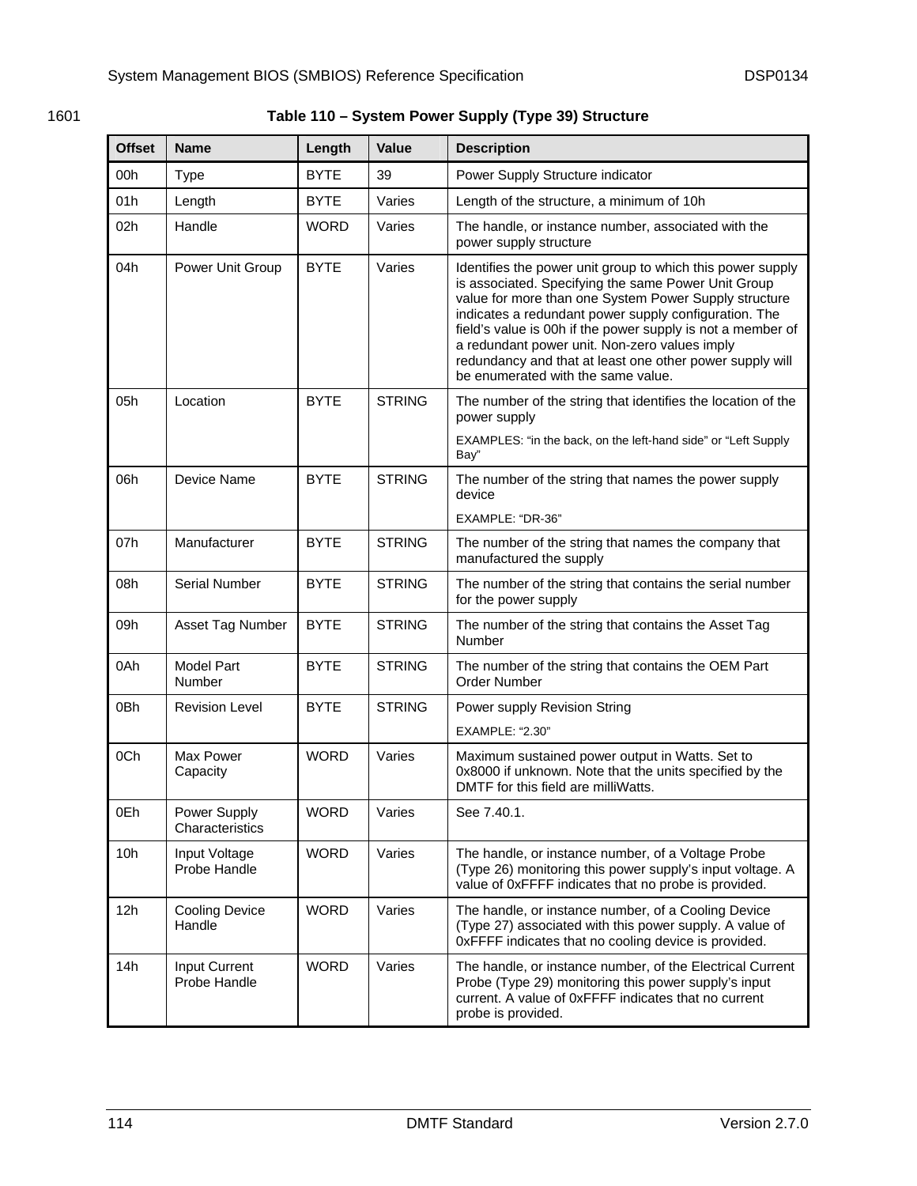<span id="page-113-0"></span>

## 1601 **Table 110 – System Power Supply (Type 39) Structure**

| <b>Offset</b> | <b>Name</b>                        | Length      | Value         | <b>Description</b>                                                                                                                                                                                                                                                                                                                                                                                                                                    |
|---------------|------------------------------------|-------------|---------------|-------------------------------------------------------------------------------------------------------------------------------------------------------------------------------------------------------------------------------------------------------------------------------------------------------------------------------------------------------------------------------------------------------------------------------------------------------|
| 00h           | <b>Type</b>                        | <b>BYTE</b> | 39            | Power Supply Structure indicator                                                                                                                                                                                                                                                                                                                                                                                                                      |
| 01h           | Length                             | <b>BYTE</b> | Varies        | Length of the structure, a minimum of 10h                                                                                                                                                                                                                                                                                                                                                                                                             |
| 02h           | Handle                             | <b>WORD</b> | Varies        | The handle, or instance number, associated with the<br>power supply structure                                                                                                                                                                                                                                                                                                                                                                         |
| 04h           | Power Unit Group                   | <b>BYTE</b> | Varies        | Identifies the power unit group to which this power supply<br>is associated. Specifying the same Power Unit Group<br>value for more than one System Power Supply structure<br>indicates a redundant power supply configuration. The<br>field's value is 00h if the power supply is not a member of<br>a redundant power unit. Non-zero values imply<br>redundancy and that at least one other power supply will<br>be enumerated with the same value. |
| 05h           | Location                           | <b>BYTE</b> | <b>STRING</b> | The number of the string that identifies the location of the<br>power supply<br>EXAMPLES: "in the back, on the left-hand side" or "Left Supply<br>Bay"                                                                                                                                                                                                                                                                                                |
| 06h           | Device Name                        | <b>BYTE</b> | <b>STRING</b> | The number of the string that names the power supply<br>device<br>EXAMPLE: "DR-36"                                                                                                                                                                                                                                                                                                                                                                    |
| 07h           | Manufacturer                       | <b>BYTE</b> | <b>STRING</b> | The number of the string that names the company that<br>manufactured the supply                                                                                                                                                                                                                                                                                                                                                                       |
| 08h           | <b>Serial Number</b>               | <b>BYTE</b> | <b>STRING</b> | The number of the string that contains the serial number<br>for the power supply                                                                                                                                                                                                                                                                                                                                                                      |
| 09h           | Asset Tag Number                   | <b>BYTE</b> | <b>STRING</b> | The number of the string that contains the Asset Tag<br>Number                                                                                                                                                                                                                                                                                                                                                                                        |
| 0Ah           | <b>Model Part</b><br><b>Number</b> | <b>BYTE</b> | <b>STRING</b> | The number of the string that contains the OEM Part<br><b>Order Number</b>                                                                                                                                                                                                                                                                                                                                                                            |
| 0Bh           | <b>Revision Level</b>              | <b>BYTE</b> | <b>STRING</b> | Power supply Revision String<br><b>EXAMPLE: "2.30"</b>                                                                                                                                                                                                                                                                                                                                                                                                |
| 0Ch           | Max Power<br>Capacity              | <b>WORD</b> | Varies        | Maximum sustained power output in Watts. Set to<br>0x8000 if unknown. Note that the units specified by the<br>DMTF for this field are milliWatts.                                                                                                                                                                                                                                                                                                     |
| 0Eh           | Power Supply<br>Characteristics    | <b>WORD</b> | Varies        | See 7.40.1.                                                                                                                                                                                                                                                                                                                                                                                                                                           |
| 10h           | Input Voltage<br>Probe Handle      | <b>WORD</b> | Varies        | The handle, or instance number, of a Voltage Probe<br>(Type 26) monitoring this power supply's input voltage. A<br>value of 0xFFFF indicates that no probe is provided.                                                                                                                                                                                                                                                                               |
| 12h           | <b>Cooling Device</b><br>Handle    | <b>WORD</b> | Varies        | The handle, or instance number, of a Cooling Device<br>(Type 27) associated with this power supply. A value of<br>OxFFFF indicates that no cooling device is provided.                                                                                                                                                                                                                                                                                |
| 14h           | Input Current<br>Probe Handle      | <b>WORD</b> | Varies        | The handle, or instance number, of the Electrical Current<br>Probe (Type 29) monitoring this power supply's input<br>current. A value of 0xFFFF indicates that no current<br>probe is provided.                                                                                                                                                                                                                                                       |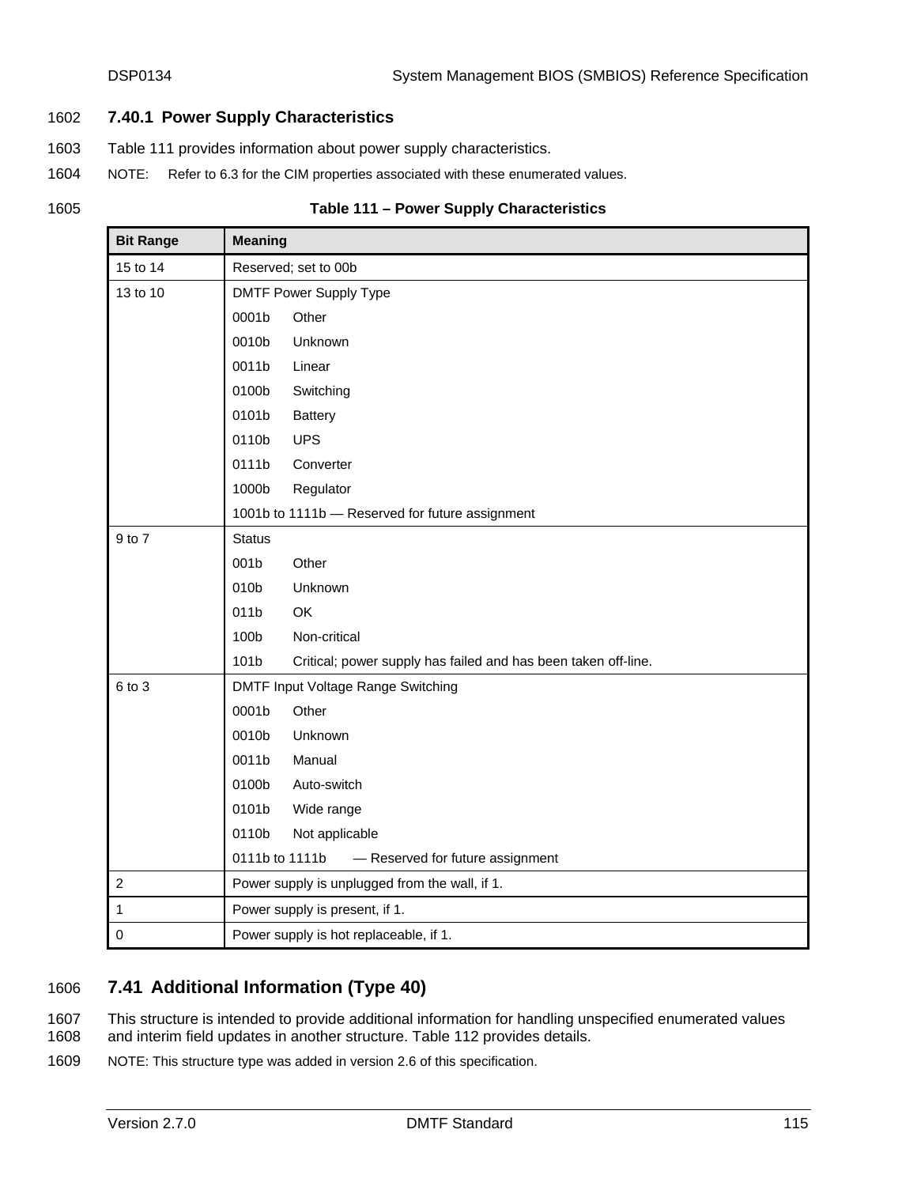#### <span id="page-114-0"></span>1602 **7.40.1 Power Supply Characteristics**

- 1603 [Table 111](#page-114-1) provides information about power supply characteristics.
- 1604 NOTE: Refer to [6.3](#page-25-0) for the CIM properties associated with these enumerated values.
- 

#### <span id="page-114-1"></span>1605 **Table 111 – Power Supply Characteristics**

| <b>Bit Range</b> | <b>Meaning</b>                                                         |  |  |  |  |  |
|------------------|------------------------------------------------------------------------|--|--|--|--|--|
| 15 to 14         | Reserved; set to 00b                                                   |  |  |  |  |  |
| 13 to 10         | <b>DMTF Power Supply Type</b>                                          |  |  |  |  |  |
|                  | 0001b<br>Other                                                         |  |  |  |  |  |
|                  | 0010b<br>Unknown                                                       |  |  |  |  |  |
|                  | 0011b<br>Linear                                                        |  |  |  |  |  |
|                  | 0100b<br>Switching                                                     |  |  |  |  |  |
|                  | 0101b<br><b>Battery</b>                                                |  |  |  |  |  |
|                  | <b>UPS</b><br>0110b                                                    |  |  |  |  |  |
|                  | 0111b<br>Converter                                                     |  |  |  |  |  |
|                  | 1000b<br>Regulator                                                     |  |  |  |  |  |
|                  | 1001b to 1111b - Reserved for future assignment                        |  |  |  |  |  |
| 9 to 7           | <b>Status</b>                                                          |  |  |  |  |  |
|                  | 001b<br>Other                                                          |  |  |  |  |  |
|                  | 010b<br>Unknown                                                        |  |  |  |  |  |
|                  | OK<br>011b                                                             |  |  |  |  |  |
|                  | Non-critical<br>100b                                                   |  |  |  |  |  |
|                  | 101b<br>Critical; power supply has failed and has been taken off-line. |  |  |  |  |  |
| 6 to 3           | DMTF Input Voltage Range Switching                                     |  |  |  |  |  |
|                  | 0001b<br>Other                                                         |  |  |  |  |  |
|                  | 0010b<br>Unknown                                                       |  |  |  |  |  |
|                  | 0011b<br>Manual                                                        |  |  |  |  |  |
|                  | 0100b<br>Auto-switch                                                   |  |  |  |  |  |
|                  | 0101b<br>Wide range                                                    |  |  |  |  |  |
|                  | 0110b<br>Not applicable                                                |  |  |  |  |  |
|                  | 0111b to 1111b<br>- Reserved for future assignment                     |  |  |  |  |  |
| $\overline{c}$   | Power supply is unplugged from the wall, if 1.                         |  |  |  |  |  |
| $\mathbf{1}$     | Power supply is present, if 1.                                         |  |  |  |  |  |
| 0                | Power supply is hot replaceable, if 1.                                 |  |  |  |  |  |

# 1606 **7.41 Additional Information (Type 40)**

1607 This structure is intended to provide additional information for handling unspecified enumerated values 1608 and interim field updates in another structure. [Table 112](#page-115-0) provides details.

1609 NOTE: This structure type was added in version 2.6 of this specification.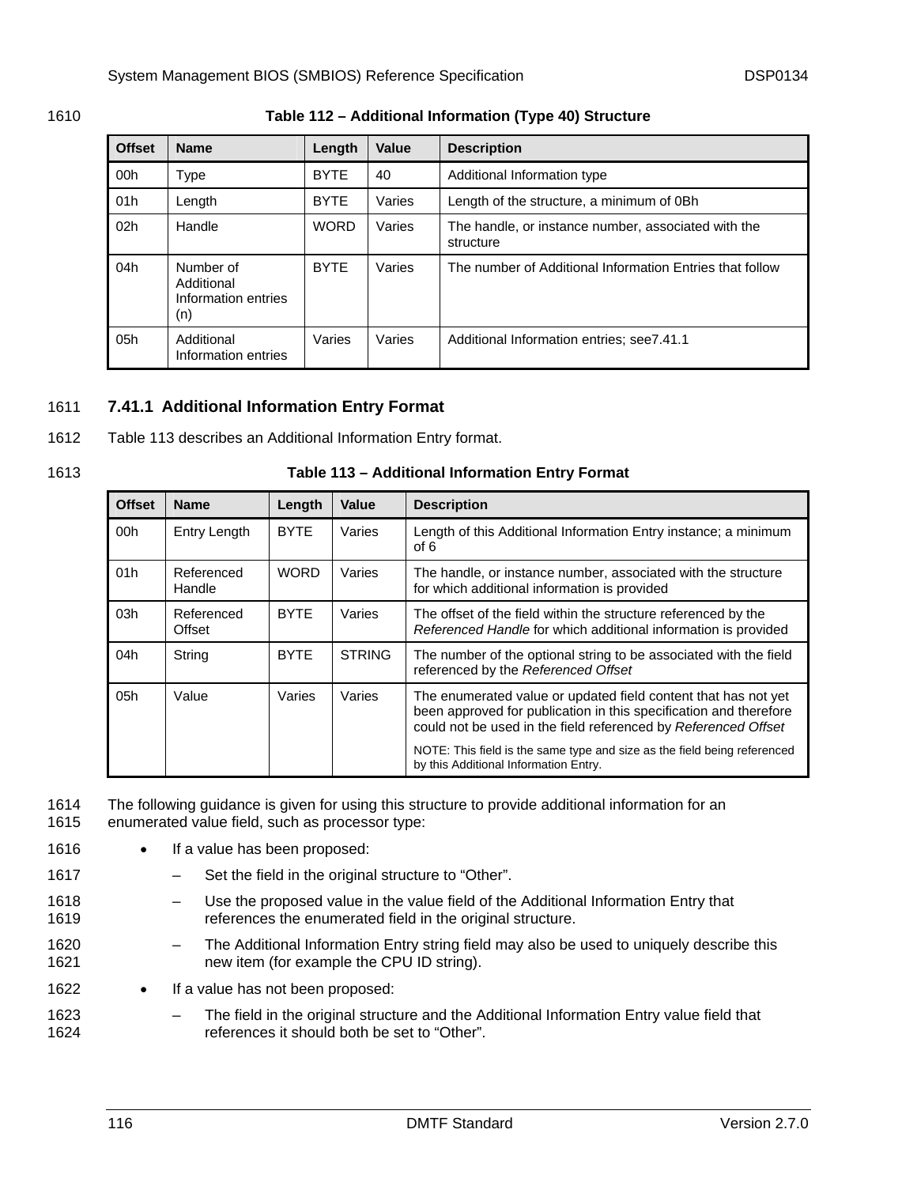<span id="page-115-0"></span>

| I<br>×<br>۰. |
|--------------|
|--------------|

#### 1610 **Table 112 – Additional Information (Type 40) Structure**

| <b>Offset</b> | <b>Name</b>                                           | Length      | <b>Value</b> | <b>Description</b>                                               |
|---------------|-------------------------------------------------------|-------------|--------------|------------------------------------------------------------------|
| 00h           | Type                                                  | <b>BYTE</b> | 40           | Additional Information type                                      |
| 01h           | Length                                                | <b>BYTE</b> | Varies       | Length of the structure, a minimum of 0Bh                        |
| 02h           | Handle                                                | <b>WORD</b> | Varies       | The handle, or instance number, associated with the<br>structure |
| 04h           | Number of<br>Additional<br>Information entries<br>(n) | <b>BYTE</b> | Varies       | The number of Additional Information Entries that follow         |
| 05h           | Additional<br>Information entries                     | Varies      | Varies       | Additional Information entries; see 7.41.1                       |

## <span id="page-115-1"></span>1611 **7.41.1 Additional Information Entry Format**

1612 [Table 113](#page-115-2) describes an Additional Information Entry format.

<span id="page-115-2"></span>

#### 1613 **Table 113 – Additional Information Entry Format**

| <b>Offset</b> | <b>Name</b>          | Length      | Value         | <b>Description</b>                                                                                                                                                                                    |
|---------------|----------------------|-------------|---------------|-------------------------------------------------------------------------------------------------------------------------------------------------------------------------------------------------------|
| 00h           | Entry Length         | <b>BYTE</b> | Varies        | Length of this Additional Information Entry instance; a minimum<br>of 6                                                                                                                               |
| 01h           | Referenced<br>Handle | <b>WORD</b> | Varies        | The handle, or instance number, associated with the structure<br>for which additional information is provided                                                                                         |
| 03h           | Referenced<br>Offset | <b>BYTE</b> | Varies        | The offset of the field within the structure referenced by the<br>Referenced Handle for which additional information is provided                                                                      |
| 04h           | String               | <b>BYTE</b> | <b>STRING</b> | The number of the optional string to be associated with the field<br>referenced by the Referenced Offset                                                                                              |
| 05h           | Value                | Varies      | Varies        | The enumerated value or updated field content that has not yet<br>been approved for publication in this specification and therefore<br>could not be used in the field referenced by Referenced Offset |
|               |                      |             |               | NOTE: This field is the same type and size as the field being referenced<br>by this Additional Information Entry.                                                                                     |

#### 1614 The following guidance is given for using this structure to provide additional information for an 1615 enumerated value field, such as processor type:

- 1616 If a value has been proposed:
- 1617 Set the field in the original structure to "Other".
- 1618 Use the proposed value in the value field of the Additional Information Entry that 1619 references the enumerated field in the original structure.
- 1620 The Additional Information Entry string field may also be used to uniquely describe this 1621 new item (for example the CPU ID string).
- 1622 If a value has not been proposed:
- 1623 The field in the original structure and the Additional Information Entry value field that 1624 references it should both be set to "Other".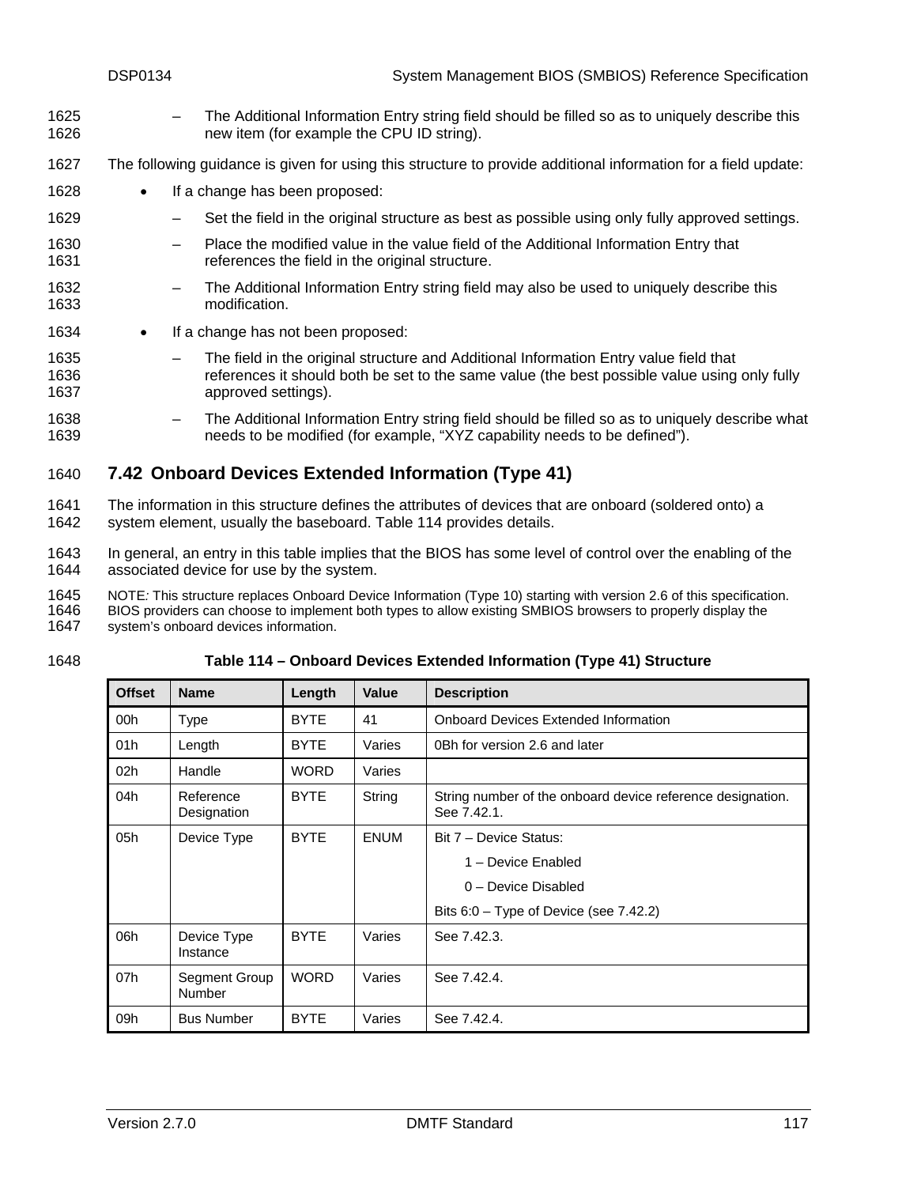1625 – The Additional Information Entry string field should be filled so as to uniquely describe this 1626 new item (for example the CPU ID string).

#### 1627 The following guidance is given for using this structure to provide additional information for a field update:

- 1628 If a change has been proposed:
- 1629 Set the field in the original structure as best as possible using only fully approved settings.
- 1630 Place the modified value in the value field of the Additional Information Entry that 1631 references the field in the original structure.
- 1632 The Additional Information Entry string field may also be used to uniquely describe this 1633 modification.
- 1634 If a change has not been proposed:
- 1635 The field in the original structure and Additional Information Entry value field that 1636 references it should both be set to the same value (the best possible value using only fully 1637 approved settings).
- 1638 The Additional Information Entry string field should be filled so as to uniquely describe what 1639 needs to be modified (for example, "XYZ capability needs to be defined").

# 1640 **7.42 Onboard Devices Extended Information (Type 41)**

1641 The information in this structure defines the attributes of devices that are onboard (soldered onto) a 1642 system element, usually the baseboard. [Table 114](#page-116-0) provides details.

1643 In general, an entry in this table implies that the BIOS has some level of control over the enabling of the 1644 associated device for use by the system.

1645 NOTE*:* This structure replaces Onboard Device Information (Type 10) starting with version 2.6 of this specification.

1646 BIOS providers can choose to implement both types to allow existing SMBIOS browsers to properly display the 1647 system's onboard devices information.

system's onboard devices information.

#### <span id="page-116-0"></span>1648 **Table 114 – Onboard Devices Extended Information (Type 41) Structure**

| <b>Offset</b> | <b>Name</b>              | Length      | <b>Value</b> | <b>Description</b>                                                        |
|---------------|--------------------------|-------------|--------------|---------------------------------------------------------------------------|
| 00h           | <b>Type</b>              | <b>BYTE</b> | 41           | <b>Onboard Devices Extended Information</b>                               |
| 01h           | Length                   | <b>BYTE</b> | Varies       | 0Bh for version 2.6 and later                                             |
| 02h           | Handle                   | <b>WORD</b> | Varies       |                                                                           |
| 04h           | Reference<br>Designation | <b>BYTE</b> | String       | String number of the onboard device reference designation.<br>See 7.42.1. |
| 05h           | Device Type              | <b>BYTE</b> | <b>ENUM</b>  | Bit 7 - Device Status:                                                    |
|               |                          |             |              | 1 - Device Enabled                                                        |
|               |                          |             |              | 0 - Device Disabled                                                       |
|               |                          |             |              | Bits $6:0 - Type$ of Device (see 7.42.2)                                  |
| 06h           | Device Type<br>Instance  | <b>BYTE</b> | Varies       | See 7.42.3.                                                               |
| 07h           | Segment Group<br>Number  | <b>WORD</b> | Varies       | See 7.42.4.                                                               |
| 09h           | <b>Bus Number</b>        | <b>BYTE</b> | Varies       | See 7.42.4.                                                               |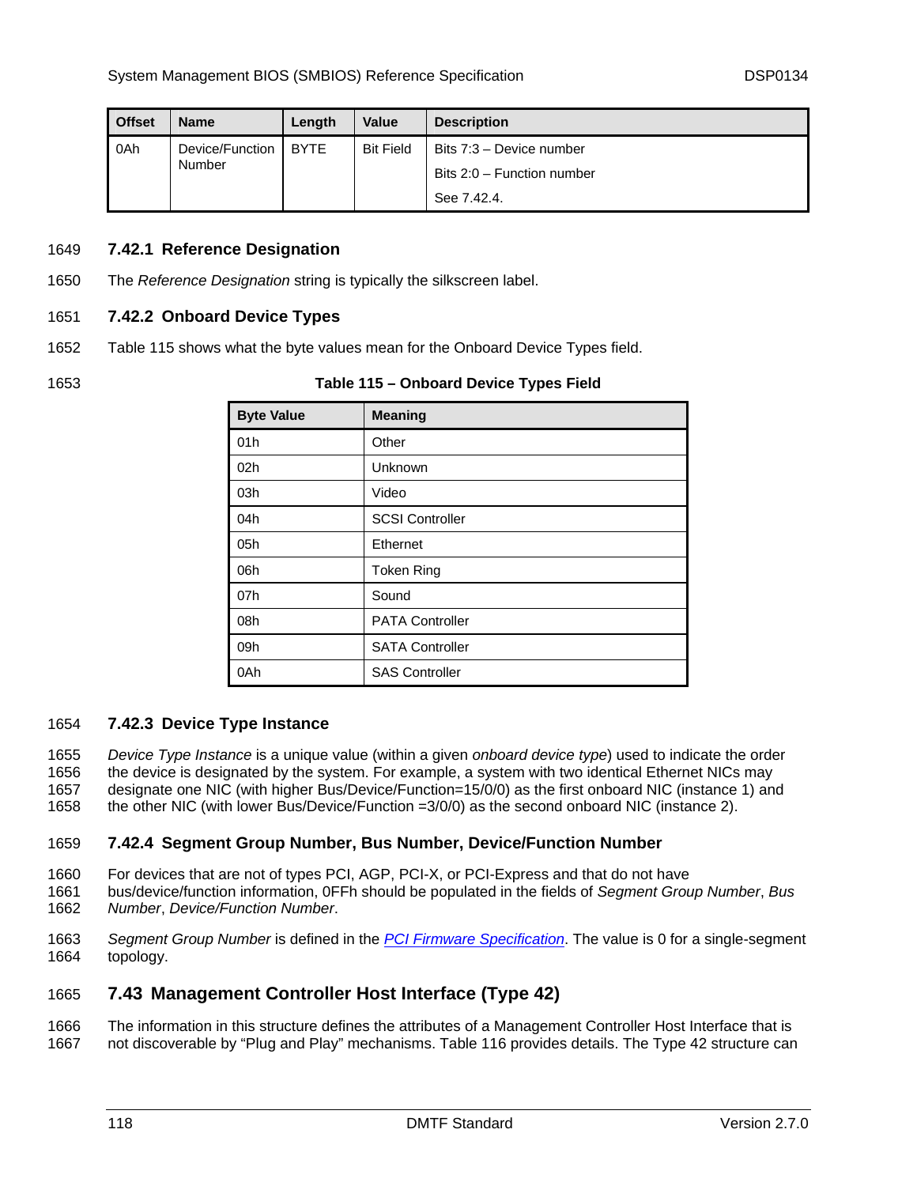| <b>Offset</b> | <b>Name</b>     | Length      | Value            | <b>Description</b>         |
|---------------|-----------------|-------------|------------------|----------------------------|
| 0Ah           | Device/Function | <b>BYTE</b> | <b>Bit Field</b> | Bits 7:3 – Device number   |
|               | Number          |             |                  | Bits 2:0 – Function number |
|               |                 |             |                  | See 7.42.4.                |

#### <span id="page-117-1"></span>1649 **7.42.1 Reference Designation**

1650 The *Reference Designation* string is typically the silkscreen label.

#### <span id="page-117-2"></span>1651 **7.42.2 Onboard Device Types**

1652 [Table 115](#page-117-5) shows what the byte values mean for the Onboard Device Types field.

<span id="page-117-5"></span>

#### 1653 **Table 115 – Onboard Device Types Field**

| <b>Byte Value</b> | <b>Meaning</b>         |  |  |
|-------------------|------------------------|--|--|
| 01h               | Other                  |  |  |
| 02h               | Unknown                |  |  |
| 03h               | Video                  |  |  |
| 04h               | <b>SCSI Controller</b> |  |  |
| 05h               | Ethernet               |  |  |
| 06h               | <b>Token Ring</b>      |  |  |
| 07h               | Sound                  |  |  |
| 08h               | <b>PATA Controller</b> |  |  |
| 09h               | <b>SATA Controller</b> |  |  |
| 0Ah               | <b>SAS Controller</b>  |  |  |

#### <span id="page-117-3"></span>1654 **7.42.3 Device Type Instance**

1655 *Device Type Instance* is a unique value (within a given *onboard device type*) used to indicate the order

1656 the device is designated by the system. For example, a system with two identical Ethernet NICs may 1657 designate one NIC (with higher Bus/Device/Function=15/0/0) as the first onboard NIC (instance 1) and

1658 the other NIC (with lower Bus/Device/Function =3/0/0) as the second onboard NIC (instance 2).

### <span id="page-117-4"></span>1659 **7.42.4 Segment Group Number, Bus Number, Device/Function Number**

- 1660 For devices that are not of types PCI, AGP, PCI-X, or PCI-Express and that do not have
- 1661 bus/device/function information, 0FFh should be populated in the fields of *Segment Group Number*, *Bus*  1662 *Number*, *Device/Function Number*.
- 1663 *Segment Group Number* is defined in the *[PCI Firmware Specification](#page-13-0)*. The value is 0 for a single-segment 1664 topology.

### <span id="page-117-0"></span>1665 **7.43 Management Controller Host Interface (Type 42)**

1666 The information in this structure defines the attributes of a Management Controller Host Interface that is 1667 not discoverable by "Plug and Play" mechanisms. [Table 116](#page-118-0) provides details. The Type 42 structure can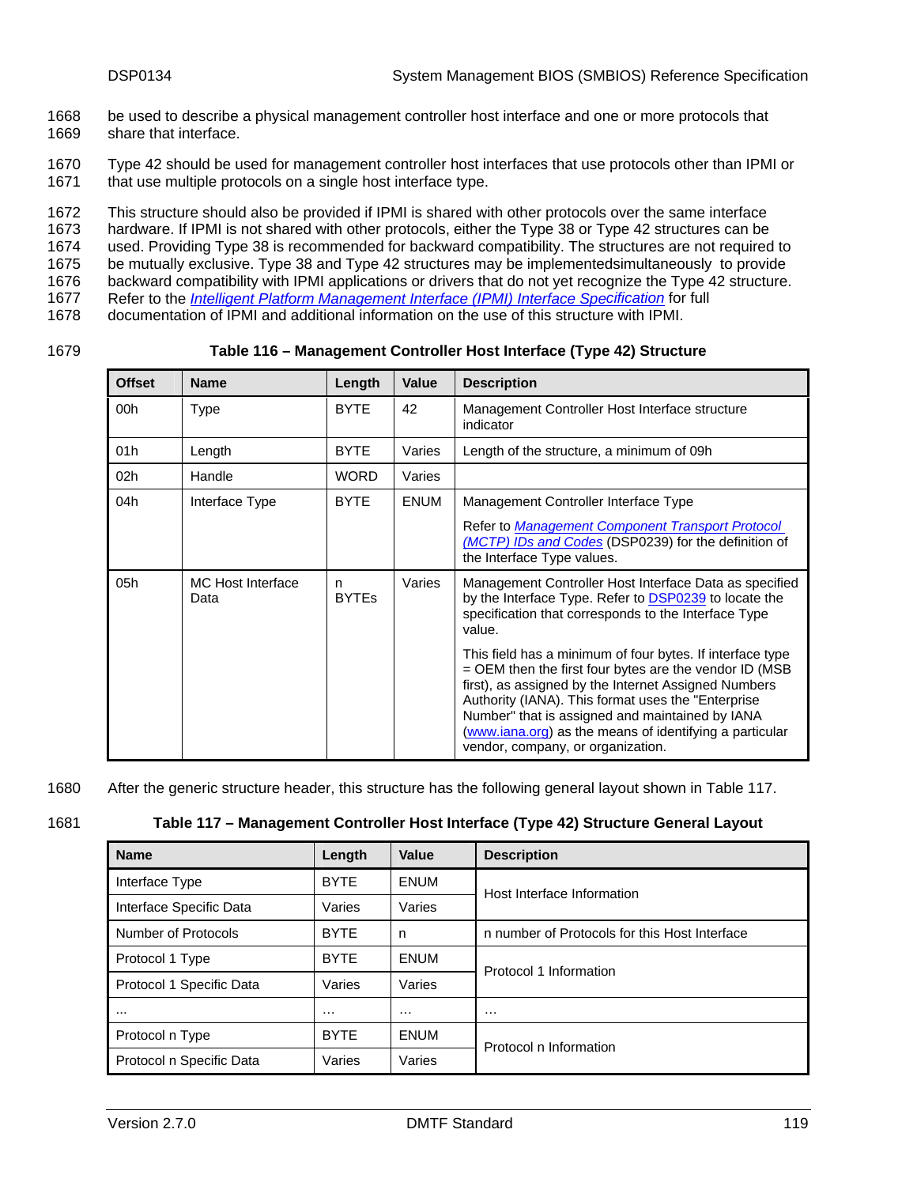- 1668 be used to describe a physical management controller host interface and one or more protocols that 1669 share that interface.
- 1670 Type 42 should be used for management controller host interfaces that use protocols other than IPMI or 1671 that use multiple protocols on a single host interface type.

1672 This structure should also be provided if IPMI is shared with other protocols over the same interface

1673 hardware. If IPMI is not shared with other protocols, either the Type 38 or Type 42 structures can be

1674 used. Providing Type 38 is recommended for backward compatibility. The structures are not required to

1675 be mutually exclusive. Type 38 and Type 42 structures may be implementedsimultaneously to provide

1676 backward compatibility with IPMI applications or drivers that do not yet recognize the Type 42 structure. 1677 Refer to the *[Intelligent Platform Management Interface \(IPMI\) Interface Specification](#page-12-0)* for full

- 1678 documentation of IPMI and additional information on the use of this structure with IPMI.
- 

<span id="page-118-0"></span>1679 **Table 116 – Management Controller Host Interface (Type 42) Structure** 

| <b>Offset</b> | <b>Name</b>                      | Length            | <b>Value</b> | <b>Description</b>                                                                                                                                                                                                                                                                                                                                                                   |
|---------------|----------------------------------|-------------------|--------------|--------------------------------------------------------------------------------------------------------------------------------------------------------------------------------------------------------------------------------------------------------------------------------------------------------------------------------------------------------------------------------------|
| 00h           | <b>Type</b>                      | <b>BYTE</b>       | 42           | Management Controller Host Interface structure<br>indicator                                                                                                                                                                                                                                                                                                                          |
| 01h           | Length                           | <b>BYTE</b>       | Varies       | Length of the structure, a minimum of 09h                                                                                                                                                                                                                                                                                                                                            |
| 02h           | Handle                           | <b>WORD</b>       | Varies       |                                                                                                                                                                                                                                                                                                                                                                                      |
| 04h           | Interface Type                   | <b>BYTE</b>       | <b>ENUM</b>  | Management Controller Interface Type                                                                                                                                                                                                                                                                                                                                                 |
|               |                                  |                   |              | Refer to <b>Management Component Transport Protocol</b><br>(MCTP) IDs and Codes (DSP0239) for the definition of<br>the Interface Type values.                                                                                                                                                                                                                                        |
| 05h           | <b>MC Host Interface</b><br>Data | n<br><b>BYTES</b> | Varies       | Management Controller Host Interface Data as specified<br>by the Interface Type. Refer to DSP0239 to locate the<br>specification that corresponds to the Interface Type<br>value.                                                                                                                                                                                                    |
|               |                                  |                   |              | This field has a minimum of four bytes. If interface type<br>= OEM then the first four bytes are the vendor ID (MSB<br>first), as assigned by the Internet Assigned Numbers<br>Authority (IANA). This format uses the "Enterprise<br>Number" that is assigned and maintained by IANA<br>(www.iana.org) as the means of identifying a particular<br>vendor, company, or organization. |

1680 After the generic structure header, this structure has the following general layout shown in [Table 117](#page-118-1).

<span id="page-118-1"></span>

Table 117 - Management Controller Host Interface (Type 42) Structure General Layout

| <b>Name</b>                        | Length      | Value       | <b>Description</b>                            |
|------------------------------------|-------------|-------------|-----------------------------------------------|
| Interface Type                     | <b>BYTE</b> | <b>ENUM</b> | Host Interface Information                    |
| Interface Specific Data<br>Varies  |             | Varies      |                                               |
| <b>BYTE</b><br>Number of Protocols |             | n           | n number of Protocols for this Host Interface |
| Protocol 1 Type                    | <b>BYTE</b> | <b>ENUM</b> | Protocol 1 Information                        |
| Varies<br>Protocol 1 Specific Data |             | Varies      |                                               |
| $\cdots$                           | $\cdots$    | $\cdots$    | .                                             |
| Protocol n Type                    | <b>BYTE</b> | <b>ENUM</b> | Protocol n Information                        |
| Protocol n Specific Data           | Varies      | Varies      |                                               |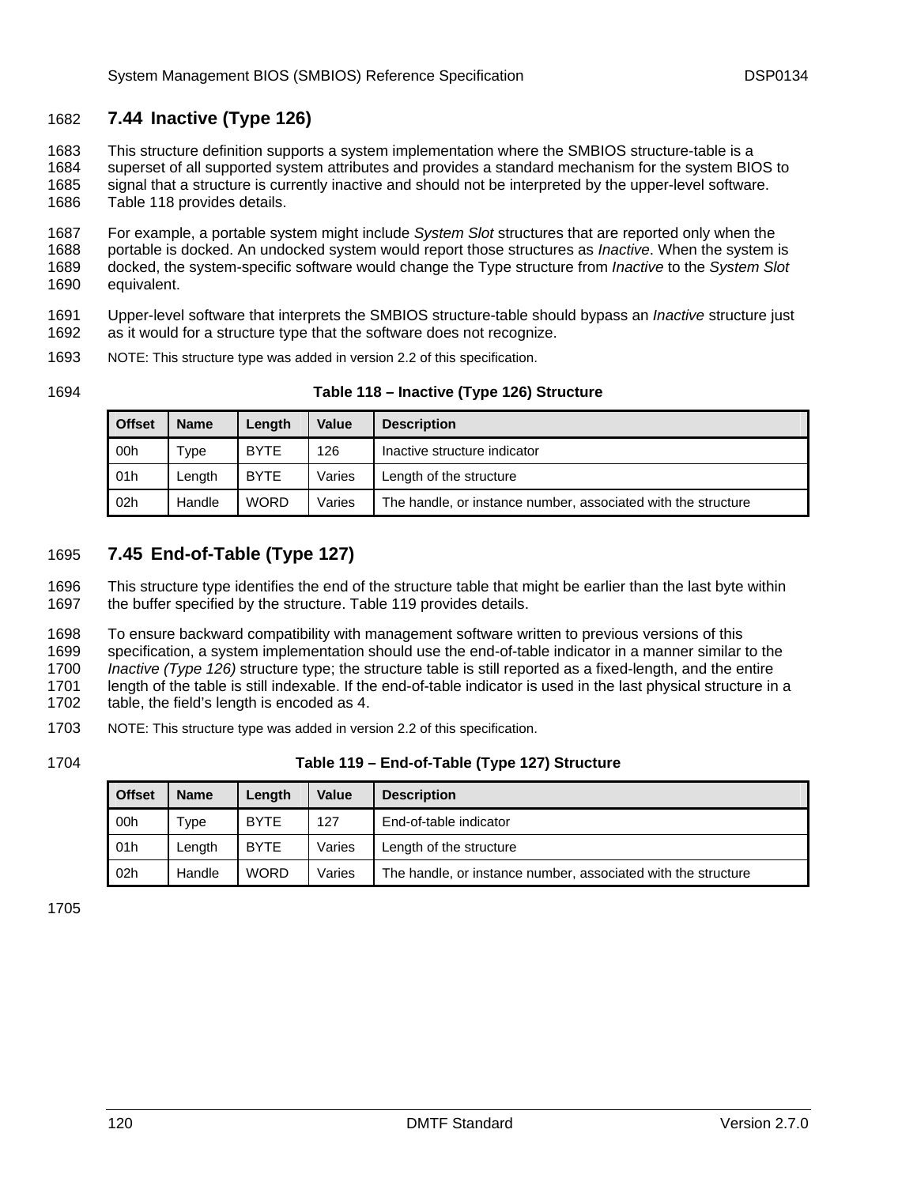# 1682 **7.44 Inactive (Type 126)**

1683 This structure definition supports a system implementation where the SMBIOS structure-table is a 1684 superset of all supported system attributes and provides a standard mechanism for the system BIOS to

1685 signal that a structure is currently inactive and should not be interpreted by the upper-level software.

1686 [Table 118](#page-119-0) provides details.

1687 For example, a portable system might include *System Slot* structures that are reported only when the 1688 portable is docked. An undocked system would report those structures as *Inactive*. When the system is 1689 docked, the system-specific software would change the Type structure from *Inactive* to the *System Slot* 1690 equivalent.

- 1691 Upper-level software that interprets the SMBIOS structure-table should bypass an *Inactive* structure just 1692 as it would for a structure type that the software does not recognize.
- 1693 NOTE: This structure type was added in version 2.2 of this specification.
- <span id="page-119-0"></span>

| 1694 | Table 118 – Inactive (Type 126) Structure |
|------|-------------------------------------------|
|------|-------------------------------------------|

| <b>Offset</b>   | <b>Name</b>    | Length      | <b>Value</b> | <b>Description</b>                                            |
|-----------------|----------------|-------------|--------------|---------------------------------------------------------------|
| 00h             | $\sqrt{ }$ vpe | <b>BYTE</b> | 126          | Inactive structure indicator                                  |
| 01h             | ∟ength         | <b>BYTE</b> | Varies       | Length of the structure                                       |
| 02 <sub>h</sub> | Handle         | <b>WORD</b> | Varies       | The handle, or instance number, associated with the structure |

# 1695 **7.45 End-of-Table (Type 127)**

1696 This structure type identifies the end of the structure table that might be earlier than the last byte within 1697 the buffer specified by the structure. [Table 119](#page-119-1) provides details.

1698 To ensure backward compatibility with management software written to previous versions of this 1699 specification, a system implementation should use the end-of-table indicator in a manner similar to the 1700 *Inactive (Type 126)* structure type; the structure table is still reported as a fixed-length, and the entire 1701 length of the table is still indexable. If the end-of-table indicator is used in the last physical structure in a 1702 table, the field's length is encoded as 4.

- 1703 NOTE: This structure type was added in version 2.2 of this specification.
- 

<span id="page-119-1"></span>1704 **Table 119 – End-of-Table (Type 127) Structure**

| <b>Offset</b> | <b>Name</b> | Length      | <b>Value</b> | <b>Description</b>                                            |
|---------------|-------------|-------------|--------------|---------------------------------------------------------------|
| 00h           | Гvpe        | <b>BYTE</b> | 127          | End-of-table indicator                                        |
| 01h           | Length      | <b>BYTE</b> | Varies       | Length of the structure                                       |
| 02h           | Handle      | <b>WORD</b> | Varies       | The handle, or instance number, associated with the structure |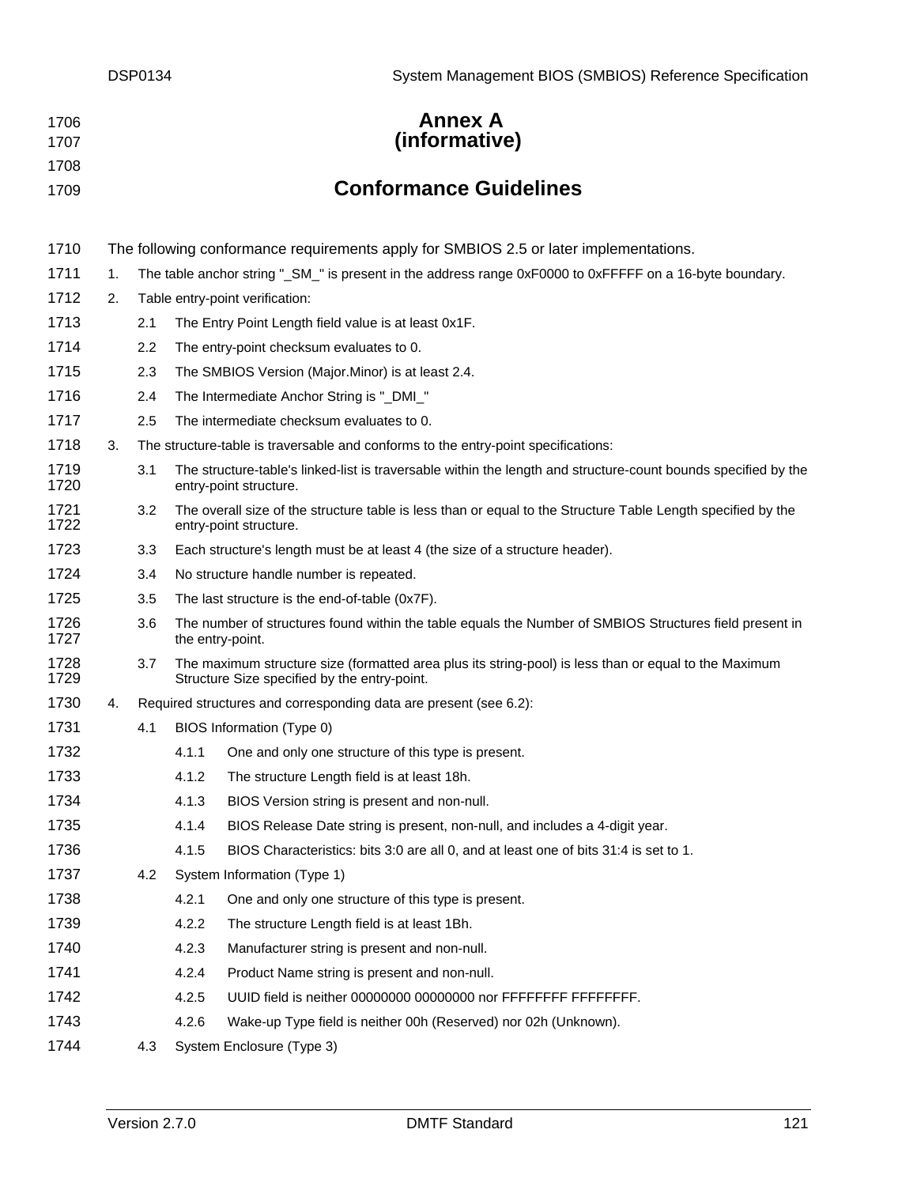1708

#### 1706 **Annex A** 1707 **(informative)**

# 1709 **Conformance Guidelines**

1710 The following conformance requirements apply for SMBIOS 2.5 or later implementations. 1711 1. The table anchor string " SM " is present in the address range 0xF0000 to 0xFFFFF on a 16-byte boundary. 1712 2. Table entry-point verification: 1713 2.1 The Entry Point Length field value is at least 0x1F. 1714 2.2 The entry-point checksum evaluates to 0. 1715 2.3 The SMBIOS Version (Major.Minor) is at least 2.4. 1716 2.4 The Intermediate Anchor String is " DMI " 1717 2.5 The intermediate checksum evaluates to 0. 1718 3. The structure-table is traversable and conforms to the entry-point specifications: 1719 3.1 The structure-table's linked-list is traversable within the length and structure-count bounds specified by the 1720 entry-point structure. 1721 3.2 The overall size of the structure table is less than or equal to the Structure Table Length specified by the 1722 entry-point structure. 1723 3.3 Each structure's length must be at least 4 (the size of a structure header). 1724 3.4 No structure handle number is repeated. 1725 3.5 The last structure is the end-of-table (0x7F). 1726 3.6 The number of structures found within the table equals the Number of SMBIOS Structures field present in<br>1727 the entry-point. the entry-point. 1728 3.7 The maximum structure size (formatted area plus its string-pool) is less than or equal to the Maximum 1729 Structure Size specified by the entry-point. 1730 4. Required structures and corresponding data are present (see [6.2\)](#page-24-0): 1731 4.1 BIOS Information (Type 0) 1732 4.1.1 One and only one structure of this type is present. 1733 4.1.2 The structure Length field is at least 18h. 1734 4.1.3 BIOS Version string is present and non-null. 1735 4.1.4 BIOS Release Date string is present, non-null, and includes a 4-digit year. 1736 4.1.5 BIOS Characteristics: bits 3:0 are all 0, and at least one of bits 31:4 is set to 1. 1737 4.2 System Information (Type 1) 1738 4.2.1 One and only one structure of this type is present. 1739 4.2.2 The structure Length field is at least 1Bh. 1740 4.2.3 Manufacturer string is present and non-null. 1741 4.2.4 Product Name string is present and non-null. 1742 4.2.5 UUID field is neither 00000000 00000000 nor FFFFFFFF FFFFFFFF. 1743 4.2.6 Wake-up Type field is neither 00h (Reserved) nor 02h (Unknown). 1744 4.3 System Enclosure (Type 3)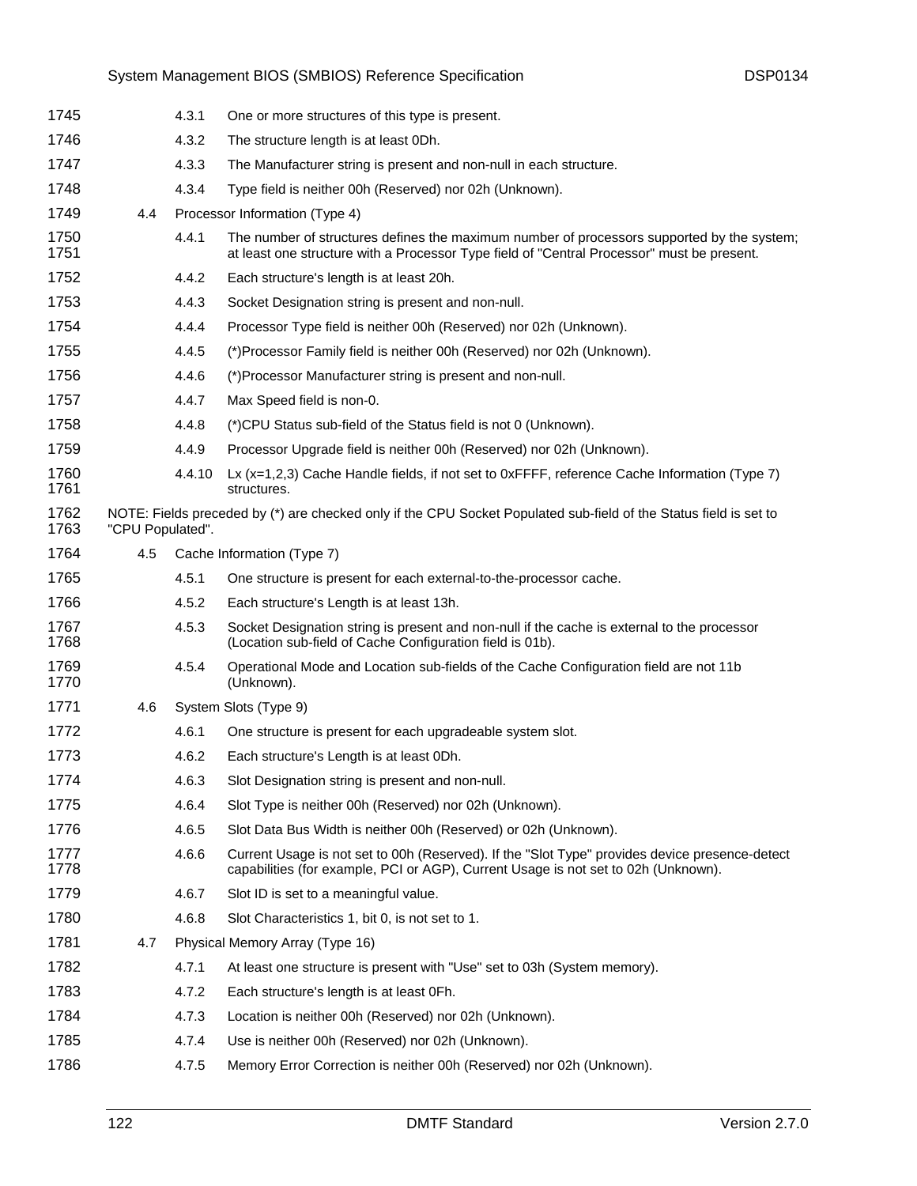# System Management BIOS (SMBIOS) Reference Specification DSP0134

| 1745         |                  | 4.3.1  | One or more structures of this type is present.                                                                                                                                          |
|--------------|------------------|--------|------------------------------------------------------------------------------------------------------------------------------------------------------------------------------------------|
| 1746         |                  | 4.3.2  | The structure length is at least 0Dh.                                                                                                                                                    |
| 1747         |                  | 4.3.3  | The Manufacturer string is present and non-null in each structure.                                                                                                                       |
| 1748         |                  | 4.3.4  | Type field is neither 00h (Reserved) nor 02h (Unknown).                                                                                                                                  |
| 1749         | 4.4              |        | Processor Information (Type 4)                                                                                                                                                           |
| 1750<br>1751 |                  | 4.4.1  | The number of structures defines the maximum number of processors supported by the system;<br>at least one structure with a Processor Type field of "Central Processor" must be present. |
| 1752         |                  | 4.4.2  | Each structure's length is at least 20h.                                                                                                                                                 |
| 1753         |                  | 4.4.3  | Socket Designation string is present and non-null.                                                                                                                                       |
| 1754         |                  | 4.4.4  | Processor Type field is neither 00h (Reserved) nor 02h (Unknown).                                                                                                                        |
| 1755         |                  | 4.4.5  | (*)Processor Family field is neither 00h (Reserved) nor 02h (Unknown).                                                                                                                   |
| 1756         |                  | 4.4.6  | (*) Processor Manufacturer string is present and non-null.                                                                                                                               |
| 1757         |                  | 4.4.7  | Max Speed field is non-0.                                                                                                                                                                |
| 1758         |                  | 4.4.8  | (*)CPU Status sub-field of the Status field is not 0 (Unknown).                                                                                                                          |
| 1759         |                  | 4.4.9  | Processor Upgrade field is neither 00h (Reserved) nor 02h (Unknown).                                                                                                                     |
| 1760<br>1761 |                  | 4.4.10 | Lx (x=1,2,3) Cache Handle fields, if not set to 0xFFFF, reference Cache Information (Type 7)<br>structures.                                                                              |
| 1762<br>1763 | "CPU Populated". |        | NOTE: Fields preceded by (*) are checked only if the CPU Socket Populated sub-field of the Status field is set to                                                                        |
| 1764         | 4.5              |        | Cache Information (Type 7)                                                                                                                                                               |
| 1765         |                  | 4.5.1  | One structure is present for each external-to-the-processor cache.                                                                                                                       |
| 1766         |                  | 4.5.2  | Each structure's Length is at least 13h.                                                                                                                                                 |
| 1767<br>1768 |                  | 4.5.3  | Socket Designation string is present and non-null if the cache is external to the processor<br>(Location sub-field of Cache Configuration field is 01b).                                 |
| 1769<br>1770 |                  | 4.5.4  | Operational Mode and Location sub-fields of the Cache Configuration field are not 11b<br>(Unknown).                                                                                      |
| 1771         | 4.6              |        | System Slots (Type 9)                                                                                                                                                                    |
| 1772         |                  | 4.6.1  | One structure is present for each upgradeable system slot.                                                                                                                               |
| 1773         |                  | 4.6.2  | Each structure's Length is at least 0Dh.                                                                                                                                                 |
| 1774         |                  | 4.6.3  | Slot Designation string is present and non-null.                                                                                                                                         |
| 1775         |                  | 4.6.4  | Slot Type is neither 00h (Reserved) nor 02h (Unknown).                                                                                                                                   |
| 1776         |                  | 4.6.5  | Slot Data Bus Width is neither 00h (Reserved) or 02h (Unknown).                                                                                                                          |
| 1777<br>1778 |                  | 4.6.6  | Current Usage is not set to 00h (Reserved). If the "Slot Type" provides device presence-detect<br>capabilities (for example, PCI or AGP), Current Usage is not set to 02h (Unknown).     |
| 1779         |                  | 4.6.7  | Slot ID is set to a meaningful value.                                                                                                                                                    |
| 1780         |                  | 4.6.8  | Slot Characteristics 1, bit 0, is not set to 1.                                                                                                                                          |
| 1781         | 4.7              |        | Physical Memory Array (Type 16)                                                                                                                                                          |
| 1782         |                  | 4.7.1  | At least one structure is present with "Use" set to 03h (System memory).                                                                                                                 |
| 1783         |                  | 4.7.2  | Each structure's length is at least 0Fh.                                                                                                                                                 |
| 1784         |                  | 4.7.3  | Location is neither 00h (Reserved) nor 02h (Unknown).                                                                                                                                    |
| 1785         |                  | 4.7.4  | Use is neither 00h (Reserved) nor 02h (Unknown).                                                                                                                                         |
| 1786         |                  | 4.7.5  | Memory Error Correction is neither 00h (Reserved) nor 02h (Unknown).                                                                                                                     |
|              |                  |        |                                                                                                                                                                                          |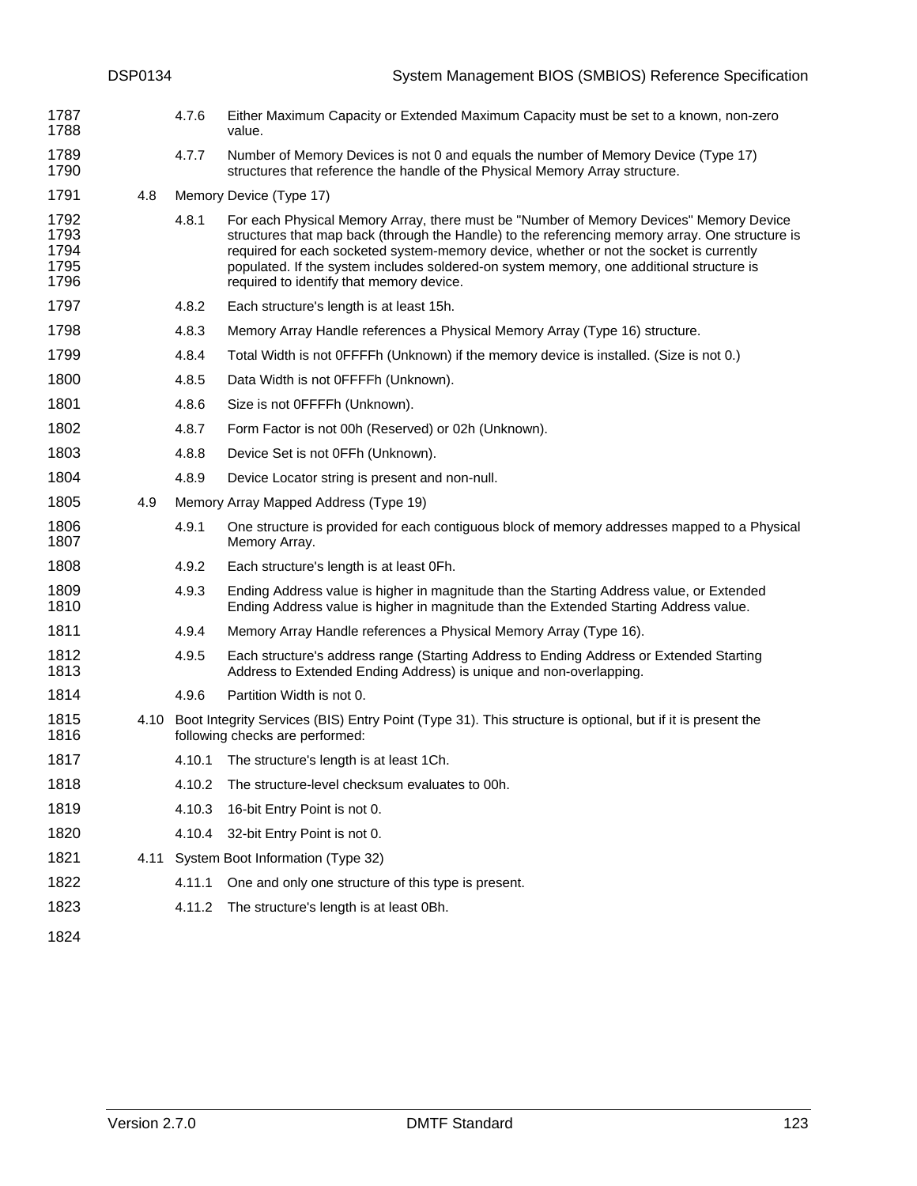|                                      | <b>DSP0134</b> |        | System Management BIOS (SMBIOS) Reference Specification                                                                                                                                                                                                                                                                                                                                                                      |
|--------------------------------------|----------------|--------|------------------------------------------------------------------------------------------------------------------------------------------------------------------------------------------------------------------------------------------------------------------------------------------------------------------------------------------------------------------------------------------------------------------------------|
| 1787<br>1788                         |                | 4.7.6  | Either Maximum Capacity or Extended Maximum Capacity must be set to a known, non-zero<br>value.                                                                                                                                                                                                                                                                                                                              |
| 1789<br>1790                         |                | 4.7.7  | Number of Memory Devices is not 0 and equals the number of Memory Device (Type 17)<br>structures that reference the handle of the Physical Memory Array structure.                                                                                                                                                                                                                                                           |
| 1791                                 | 4.8            |        | Memory Device (Type 17)                                                                                                                                                                                                                                                                                                                                                                                                      |
| 1792<br>1793<br>1794<br>1795<br>1796 |                | 4.8.1  | For each Physical Memory Array, there must be "Number of Memory Devices" Memory Device<br>structures that map back (through the Handle) to the referencing memory array. One structure is<br>required for each socketed system-memory device, whether or not the socket is currently<br>populated. If the system includes soldered-on system memory, one additional structure is<br>required to identify that memory device. |
| 1797                                 |                | 4.8.2  | Each structure's length is at least 15h.                                                                                                                                                                                                                                                                                                                                                                                     |
| 1798                                 |                | 4.8.3  | Memory Array Handle references a Physical Memory Array (Type 16) structure.                                                                                                                                                                                                                                                                                                                                                  |
| 1799                                 |                | 4.8.4  | Total Width is not OFFFFh (Unknown) if the memory device is installed. (Size is not 0.)                                                                                                                                                                                                                                                                                                                                      |
| 1800                                 |                | 4.8.5  | Data Width is not OFFFFh (Unknown).                                                                                                                                                                                                                                                                                                                                                                                          |
| 1801                                 |                | 4.8.6  | Size is not OFFFFh (Unknown).                                                                                                                                                                                                                                                                                                                                                                                                |
| 1802                                 |                | 4.8.7  | Form Factor is not 00h (Reserved) or 02h (Unknown).                                                                                                                                                                                                                                                                                                                                                                          |
| 1803                                 |                | 4.8.8  | Device Set is not 0FFh (Unknown).                                                                                                                                                                                                                                                                                                                                                                                            |
| 1804                                 |                | 4.8.9  | Device Locator string is present and non-null.                                                                                                                                                                                                                                                                                                                                                                               |
| 1805                                 | 4.9            |        | Memory Array Mapped Address (Type 19)                                                                                                                                                                                                                                                                                                                                                                                        |
| 1806<br>1807                         |                | 4.9.1  | One structure is provided for each contiguous block of memory addresses mapped to a Physical<br>Memory Array.                                                                                                                                                                                                                                                                                                                |
| 1808                                 |                | 4.9.2  | Each structure's length is at least 0Fh.                                                                                                                                                                                                                                                                                                                                                                                     |
| 1809<br>1810                         |                | 4.9.3  | Ending Address value is higher in magnitude than the Starting Address value, or Extended<br>Ending Address value is higher in magnitude than the Extended Starting Address value.                                                                                                                                                                                                                                            |
| 1811                                 |                | 4.9.4  | Memory Array Handle references a Physical Memory Array (Type 16).                                                                                                                                                                                                                                                                                                                                                            |
| 1812<br>1813                         |                | 4.9.5  | Each structure's address range (Starting Address to Ending Address or Extended Starting<br>Address to Extended Ending Address) is unique and non-overlapping.                                                                                                                                                                                                                                                                |
| 1814                                 |                | 4.9.6  | Partition Width is not 0.                                                                                                                                                                                                                                                                                                                                                                                                    |
| 1815<br>1816                         |                |        | 4.10 Boot Integrity Services (BIS) Entry Point (Type 31). This structure is optional, but if it is present the<br>following checks are performed:                                                                                                                                                                                                                                                                            |
| 1817                                 |                | 4.10.1 | The structure's length is at least 1Ch.                                                                                                                                                                                                                                                                                                                                                                                      |
| 1818                                 |                | 4.10.2 | The structure-level checksum evaluates to 00h.                                                                                                                                                                                                                                                                                                                                                                               |
| 1819                                 |                | 4.10.3 | 16-bit Entry Point is not 0.                                                                                                                                                                                                                                                                                                                                                                                                 |
| 1820                                 |                | 4.10.4 | 32-bit Entry Point is not 0.                                                                                                                                                                                                                                                                                                                                                                                                 |
| 1821                                 |                |        | 4.11 System Boot Information (Type 32)                                                                                                                                                                                                                                                                                                                                                                                       |
| 1822                                 |                | 4.11.1 | One and only one structure of this type is present.                                                                                                                                                                                                                                                                                                                                                                          |
| 1823                                 |                | 4.11.2 | The structure's length is at least 0Bh.                                                                                                                                                                                                                                                                                                                                                                                      |
| 1824                                 |                |        |                                                                                                                                                                                                                                                                                                                                                                                                                              |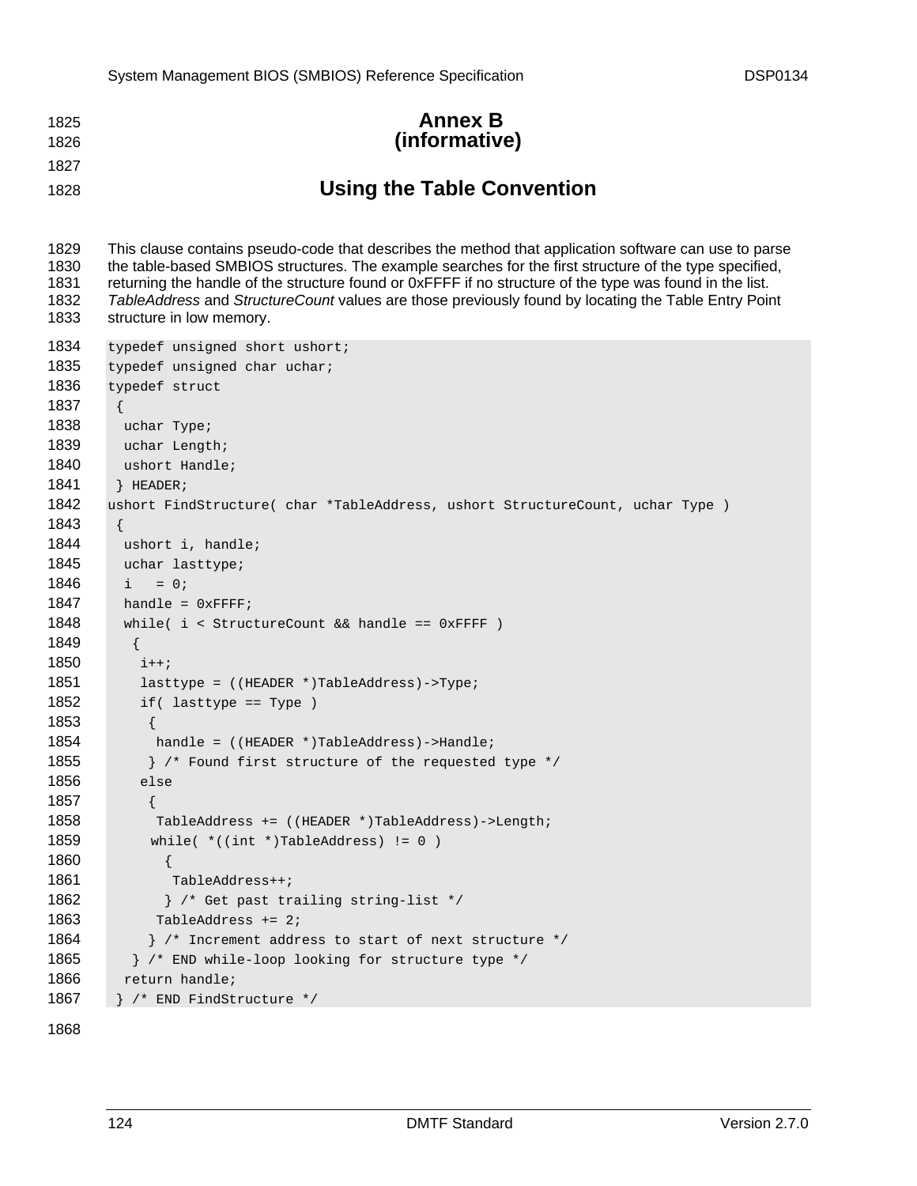**Annex B (informative) Using the Table Convention** 

1829 This clause contains pseudo-code that describes the method that application software can use to parse 1830 the table-based SMBIOS structures. The example searches for the first structure of the type specified, 1831 returning the handle of the structure found or 0xFFFF if no structure of the type was found in the list. *TableAddress* and *StructureCount* values are those previously found by locating the Table Entry Point 1833 structure in low memory.

```
1834 typedef unsigned short ushort;
1835 typedef unsigned char uchar;
1836 typedef struct 
1837 { 
1838 uchar Type;
1839 uchar Length;
1840 ushort Handle;
1841 } HEADER; 
1842 ushort FindStructure( char *TableAddress, ushort StructureCount, uchar Type ) 
1843 { 
1844 ushort i, handle; 
1845 uchar lasttype;
1846 i = 0i1847 handle = 0xFFFF;
1848 while( i < StructureCount && handle == 0xFFFF ) 
1849 { 
1850 i++; 
1851 lasttype = ((HEADER *)TableAddress)->Type; 
1852 if( lasttype == Type ) 
1853 { 
1854 handle = ((HEADER *)TableAddress)->Handle; 
1855 } /* Found first structure of the requested type */ 
1856 else 
1857 { 
1858 TableAddress += ((HEADER *)TableAddress)->Length; 
1859 while( *((int *)TableAddress) != 0 ) 
1860 { 
1861 TableAddress++;
1862 } /* Get past trailing string-list */ 
1863 TableAddress += 2;
1864 } /* Increment address to start of next structure */
1865 } /* END while-loop looking for structure type */ 
1866 return handle;
1867 } /* END FindStructure */
```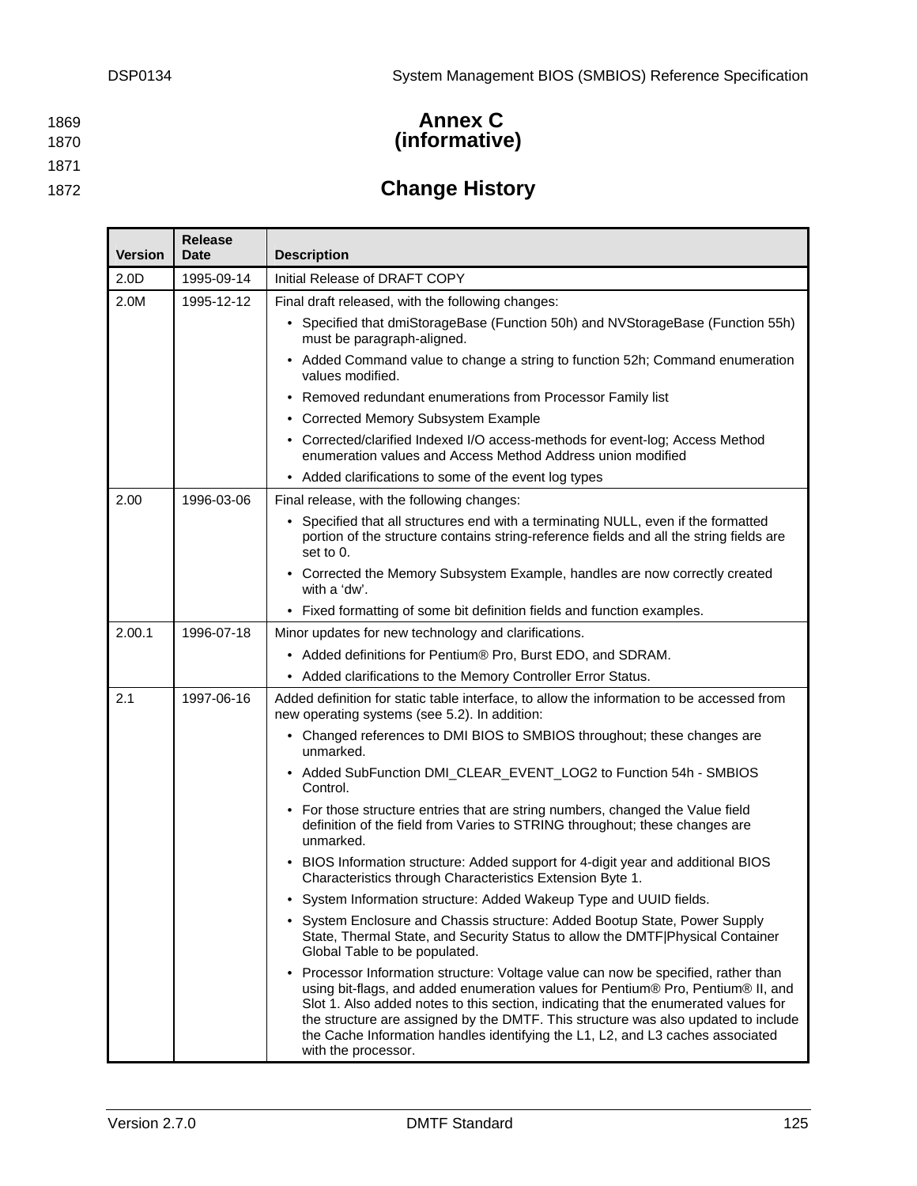1871

1869 **Annex C** 1870 **(informative)** 

# 1872 **Change History**

| <b>Version</b> | <b>Release</b><br><b>Date</b> | <b>Description</b>                                                                                                                                                                                                                                                                                                                                                                                                                                                      |
|----------------|-------------------------------|-------------------------------------------------------------------------------------------------------------------------------------------------------------------------------------------------------------------------------------------------------------------------------------------------------------------------------------------------------------------------------------------------------------------------------------------------------------------------|
| 2.0D           | 1995-09-14                    | Initial Release of DRAFT COPY                                                                                                                                                                                                                                                                                                                                                                                                                                           |
| 2.0M           | 1995-12-12                    | Final draft released, with the following changes:                                                                                                                                                                                                                                                                                                                                                                                                                       |
|                |                               | • Specified that dmiStorageBase (Function 50h) and NVStorageBase (Function 55h)<br>must be paragraph-aligned.                                                                                                                                                                                                                                                                                                                                                           |
|                |                               | • Added Command value to change a string to function 52h; Command enumeration<br>values modified.                                                                                                                                                                                                                                                                                                                                                                       |
|                |                               | Removed redundant enumerations from Processor Family list                                                                                                                                                                                                                                                                                                                                                                                                               |
|                |                               | • Corrected Memory Subsystem Example                                                                                                                                                                                                                                                                                                                                                                                                                                    |
|                |                               | Corrected/clarified Indexed I/O access-methods for event-log; Access Method<br>enumeration values and Access Method Address union modified                                                                                                                                                                                                                                                                                                                              |
|                |                               | • Added clarifications to some of the event log types                                                                                                                                                                                                                                                                                                                                                                                                                   |
| 2.00           | 1996-03-06                    | Final release, with the following changes:                                                                                                                                                                                                                                                                                                                                                                                                                              |
|                |                               | • Specified that all structures end with a terminating NULL, even if the formatted<br>portion of the structure contains string-reference fields and all the string fields are<br>set to 0.                                                                                                                                                                                                                                                                              |
|                |                               | • Corrected the Memory Subsystem Example, handles are now correctly created<br>with a 'dw'.                                                                                                                                                                                                                                                                                                                                                                             |
|                |                               | • Fixed formatting of some bit definition fields and function examples.                                                                                                                                                                                                                                                                                                                                                                                                 |
| 2.00.1         | 1996-07-18                    | Minor updates for new technology and clarifications.                                                                                                                                                                                                                                                                                                                                                                                                                    |
|                |                               | • Added definitions for Pentium® Pro, Burst EDO, and SDRAM.                                                                                                                                                                                                                                                                                                                                                                                                             |
|                |                               | Added clarifications to the Memory Controller Error Status.<br>٠                                                                                                                                                                                                                                                                                                                                                                                                        |
| 2.1            | 1997-06-16                    | Added definition for static table interface, to allow the information to be accessed from<br>new operating systems (see 5.2). In addition:                                                                                                                                                                                                                                                                                                                              |
|                |                               | • Changed references to DMI BIOS to SMBIOS throughout; these changes are<br>unmarked.                                                                                                                                                                                                                                                                                                                                                                                   |
|                |                               | • Added SubFunction DMI_CLEAR_EVENT_LOG2 to Function 54h - SMBIOS<br>Control.                                                                                                                                                                                                                                                                                                                                                                                           |
|                |                               | • For those structure entries that are string numbers, changed the Value field<br>definition of the field from Varies to STRING throughout; these changes are<br>unmarked.                                                                                                                                                                                                                                                                                              |
|                |                               | • BIOS Information structure: Added support for 4-digit year and additional BIOS<br>Characteristics through Characteristics Extension Byte 1.                                                                                                                                                                                                                                                                                                                           |
|                |                               | • System Information structure: Added Wakeup Type and UUID fields.                                                                                                                                                                                                                                                                                                                                                                                                      |
|                |                               | System Enclosure and Chassis structure: Added Bootup State, Power Supply<br>State, Thermal State, and Security Status to allow the DMTF Physical Container<br>Global Table to be populated.                                                                                                                                                                                                                                                                             |
|                |                               | Processor Information structure: Voltage value can now be specified, rather than<br>$\bullet$<br>using bit-flags, and added enumeration values for Pentium® Pro, Pentium® II, and<br>Slot 1. Also added notes to this section, indicating that the enumerated values for<br>the structure are assigned by the DMTF. This structure was also updated to include<br>the Cache Information handles identifying the L1, L2, and L3 caches associated<br>with the processor. |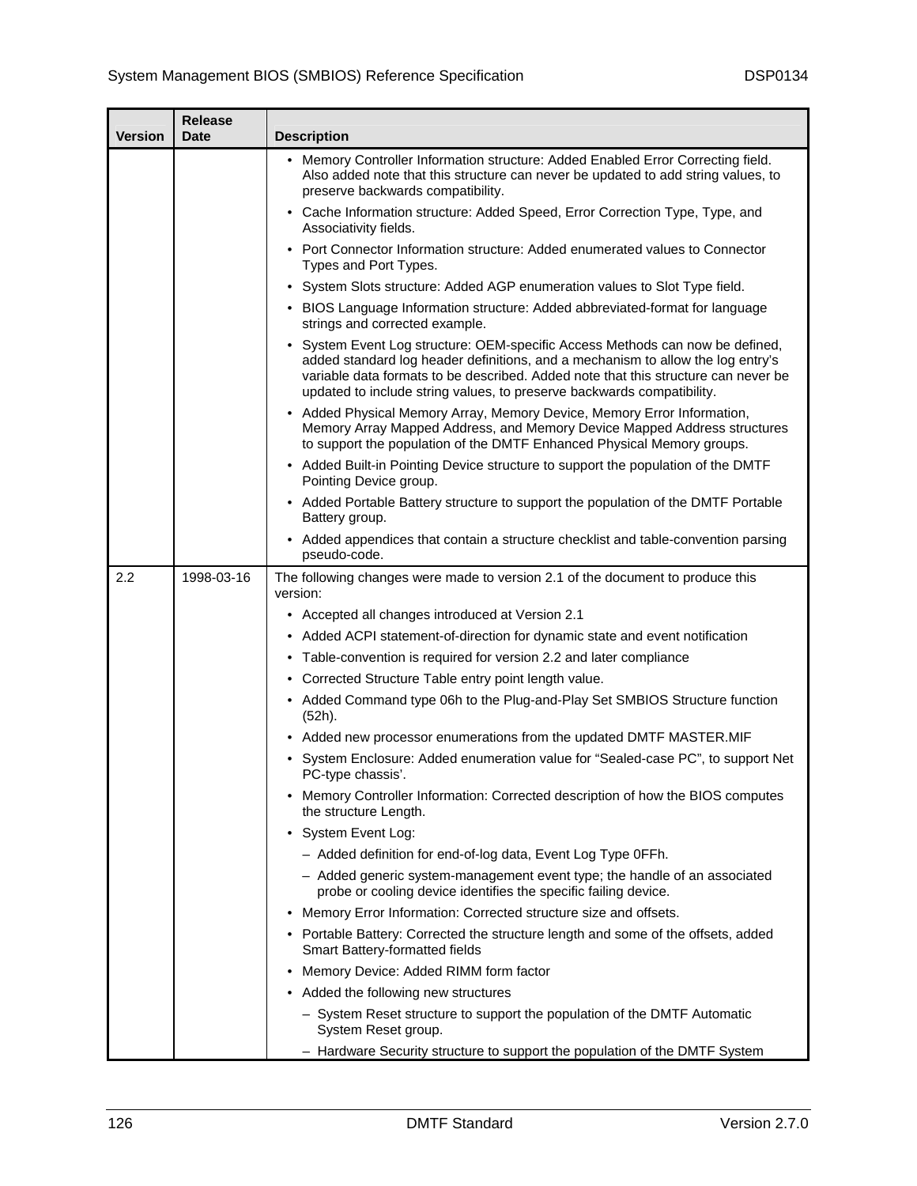| <b>Version</b> | <b>Release</b><br><b>Date</b> | <b>Description</b>                                                                                                                                                                                                                                                                                                               |
|----------------|-------------------------------|----------------------------------------------------------------------------------------------------------------------------------------------------------------------------------------------------------------------------------------------------------------------------------------------------------------------------------|
|                |                               | • Memory Controller Information structure: Added Enabled Error Correcting field.<br>Also added note that this structure can never be updated to add string values, to<br>preserve backwards compatibility.                                                                                                                       |
|                |                               | • Cache Information structure: Added Speed, Error Correction Type, Type, and<br>Associativity fields.                                                                                                                                                                                                                            |
|                |                               | Port Connector Information structure: Added enumerated values to Connector<br>$\bullet$<br>Types and Port Types.                                                                                                                                                                                                                 |
|                |                               | • System Slots structure: Added AGP enumeration values to Slot Type field.                                                                                                                                                                                                                                                       |
|                |                               | • BIOS Language Information structure: Added abbreviated-format for language<br>strings and corrected example.                                                                                                                                                                                                                   |
|                |                               | • System Event Log structure: OEM-specific Access Methods can now be defined,<br>added standard log header definitions, and a mechanism to allow the log entry's<br>variable data formats to be described. Added note that this structure can never be<br>updated to include string values, to preserve backwards compatibility. |
|                |                               | • Added Physical Memory Array, Memory Device, Memory Error Information,<br>Memory Array Mapped Address, and Memory Device Mapped Address structures<br>to support the population of the DMTF Enhanced Physical Memory groups.                                                                                                    |
|                |                               | • Added Built-in Pointing Device structure to support the population of the DMTF<br>Pointing Device group.                                                                                                                                                                                                                       |
|                |                               | • Added Portable Battery structure to support the population of the DMTF Portable<br>Battery group.                                                                                                                                                                                                                              |
|                |                               | • Added appendices that contain a structure checklist and table-convention parsing<br>pseudo-code.                                                                                                                                                                                                                               |
| 2.2            | 1998-03-16                    | The following changes were made to version 2.1 of the document to produce this<br>version:                                                                                                                                                                                                                                       |
|                |                               | • Accepted all changes introduced at Version 2.1                                                                                                                                                                                                                                                                                 |
|                |                               | • Added ACPI statement-of-direction for dynamic state and event notification                                                                                                                                                                                                                                                     |
|                |                               | Table-convention is required for version 2.2 and later compliance                                                                                                                                                                                                                                                                |
|                |                               | • Corrected Structure Table entry point length value.                                                                                                                                                                                                                                                                            |
|                |                               | • Added Command type 06h to the Plug-and-Play Set SMBIOS Structure function<br>$(52h)$ .                                                                                                                                                                                                                                         |
|                |                               | • Added new processor enumerations from the updated DMTF MASTER.MIF                                                                                                                                                                                                                                                              |
|                |                               | System Enclosure: Added enumeration value for "Sealed-case PC", to support Net<br>PC-type chassis'.                                                                                                                                                                                                                              |
|                |                               | • Memory Controller Information: Corrected description of how the BIOS computes<br>the structure Length.                                                                                                                                                                                                                         |
|                |                               | • System Event Log:                                                                                                                                                                                                                                                                                                              |
|                |                               | - Added definition for end-of-log data, Event Log Type 0FFh.                                                                                                                                                                                                                                                                     |
|                |                               | - Added generic system-management event type; the handle of an associated<br>probe or cooling device identifies the specific failing device.                                                                                                                                                                                     |
|                |                               | Memory Error Information: Corrected structure size and offsets.                                                                                                                                                                                                                                                                  |
|                |                               | • Portable Battery: Corrected the structure length and some of the offsets, added<br><b>Smart Battery-formatted fields</b>                                                                                                                                                                                                       |
|                |                               | Memory Device: Added RIMM form factor                                                                                                                                                                                                                                                                                            |
|                |                               | • Added the following new structures                                                                                                                                                                                                                                                                                             |
|                |                               | - System Reset structure to support the population of the DMTF Automatic<br>System Reset group.                                                                                                                                                                                                                                  |
|                |                               | - Hardware Security structure to support the population of the DMTF System                                                                                                                                                                                                                                                       |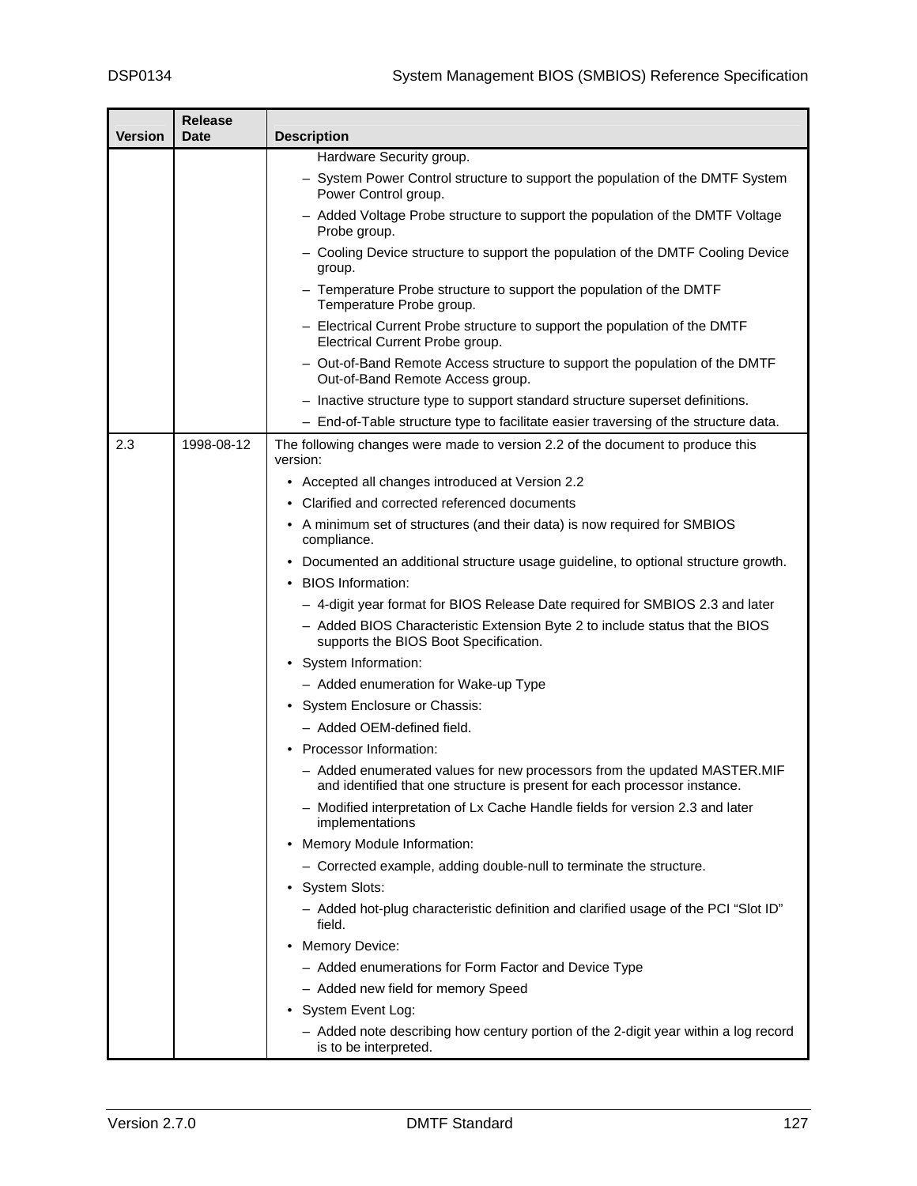| <b>Version</b> | <b>Release</b><br><b>Date</b> | <b>Description</b>                                                                                                                                    |
|----------------|-------------------------------|-------------------------------------------------------------------------------------------------------------------------------------------------------|
|                |                               | Hardware Security group.                                                                                                                              |
|                |                               | - System Power Control structure to support the population of the DMTF System<br>Power Control group.                                                 |
|                |                               | - Added Voltage Probe structure to support the population of the DMTF Voltage<br>Probe group.                                                         |
|                |                               | - Cooling Device structure to support the population of the DMTF Cooling Device<br>group.                                                             |
|                |                               | - Temperature Probe structure to support the population of the DMTF<br>Temperature Probe group.                                                       |
|                |                               | - Electrical Current Probe structure to support the population of the DMTF<br>Electrical Current Probe group.                                         |
|                |                               | - Out-of-Band Remote Access structure to support the population of the DMTF<br>Out-of-Band Remote Access group.                                       |
|                |                               | - Inactive structure type to support standard structure superset definitions.                                                                         |
|                |                               | - End-of-Table structure type to facilitate easier traversing of the structure data.                                                                  |
| 2.3            | 1998-08-12                    | The following changes were made to version 2.2 of the document to produce this<br>version:                                                            |
|                |                               | • Accepted all changes introduced at Version 2.2                                                                                                      |
|                |                               | • Clarified and corrected referenced documents                                                                                                        |
|                |                               | • A minimum set of structures (and their data) is now required for SMBIOS<br>compliance.                                                              |
|                |                               | • Documented an additional structure usage guideline, to optional structure growth.                                                                   |
|                |                               | • BIOS Information:                                                                                                                                   |
|                |                               | - 4-digit year format for BIOS Release Date required for SMBIOS 2.3 and later                                                                         |
|                |                               | - Added BIOS Characteristic Extension Byte 2 to include status that the BIOS<br>supports the BIOS Boot Specification.                                 |
|                |                               | • System Information:                                                                                                                                 |
|                |                               | - Added enumeration for Wake-up Type                                                                                                                  |
|                |                               | • System Enclosure or Chassis:                                                                                                                        |
|                |                               | - Added OEM-defined field.                                                                                                                            |
|                |                               | Processor Information:                                                                                                                                |
|                |                               | - Added enumerated values for new processors from the updated MASTER.MIF<br>and identified that one structure is present for each processor instance. |
|                |                               | Modified interpretation of Lx Cache Handle fields for version 2.3 and later<br>implementations                                                        |
|                |                               | Memory Module Information:                                                                                                                            |
|                |                               | - Corrected example, adding double-null to terminate the structure.                                                                                   |
|                |                               | <b>System Slots:</b><br>٠                                                                                                                             |
|                |                               | - Added hot-plug characteristic definition and clarified usage of the PCI "Slot ID"<br>field.                                                         |
|                |                               | <b>Memory Device:</b><br>٠                                                                                                                            |
|                |                               | - Added enumerations for Form Factor and Device Type                                                                                                  |
|                |                               | - Added new field for memory Speed                                                                                                                    |
|                |                               | System Event Log:<br>٠                                                                                                                                |
|                |                               | - Added note describing how century portion of the 2-digit year within a log record<br>is to be interpreted.                                          |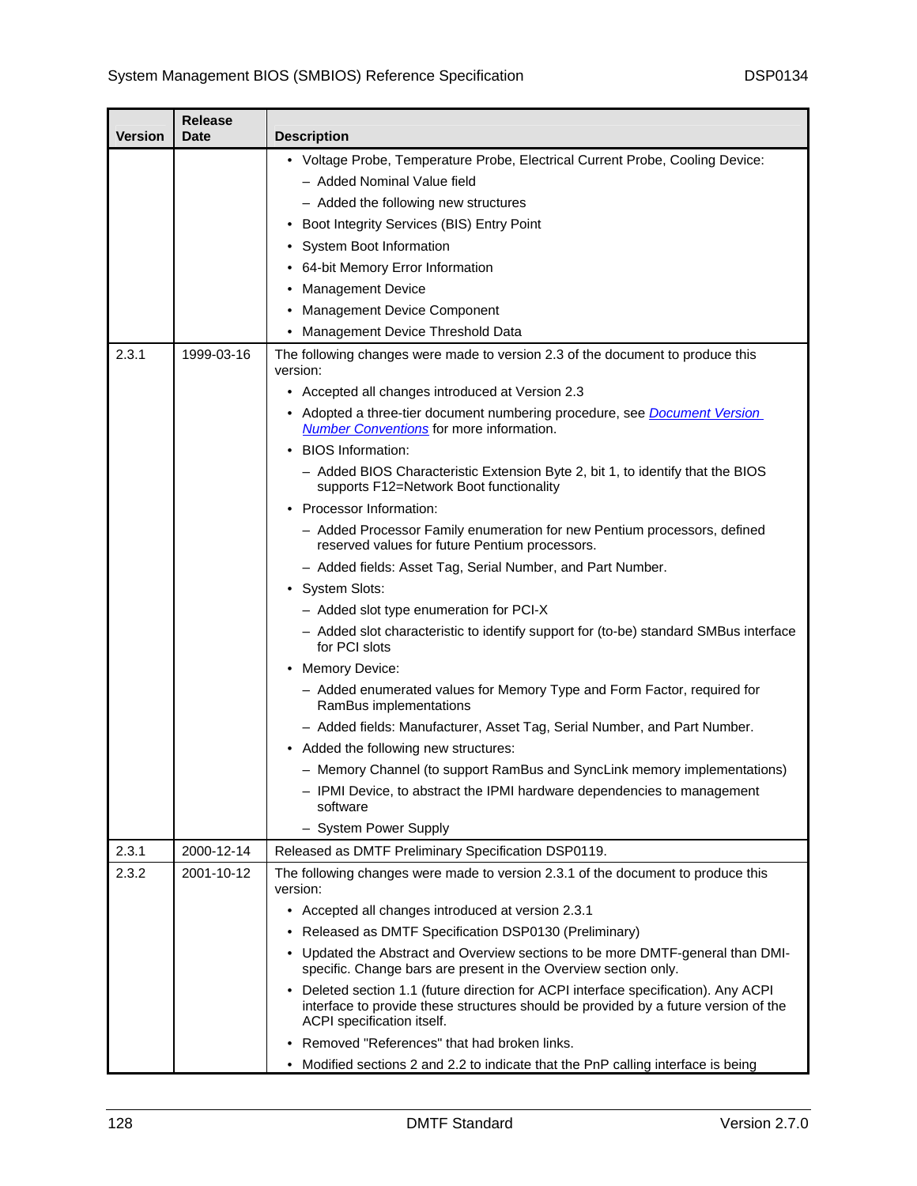| <b>Version</b> | <b>Release</b><br><b>Date</b> | <b>Description</b>                                                                                                                                                         |
|----------------|-------------------------------|----------------------------------------------------------------------------------------------------------------------------------------------------------------------------|
|                |                               | • Voltage Probe, Temperature Probe, Electrical Current Probe, Cooling Device:                                                                                              |
|                |                               | - Added Nominal Value field                                                                                                                                                |
|                |                               | - Added the following new structures                                                                                                                                       |
|                |                               | • Boot Integrity Services (BIS) Entry Point                                                                                                                                |
|                |                               | • System Boot Information                                                                                                                                                  |
|                |                               | • 64-bit Memory Error Information                                                                                                                                          |
|                |                               | • Management Device                                                                                                                                                        |
|                |                               | • Management Device Component                                                                                                                                              |
|                |                               | • Management Device Threshold Data                                                                                                                                         |
| 2.3.1          | 1999-03-16                    | The following changes were made to version 2.3 of the document to produce this<br>version:                                                                                 |
|                |                               | • Accepted all changes introduced at Version 2.3                                                                                                                           |
|                |                               | • Adopted a three-tier document numbering procedure, see <b>Document Version</b><br><b>Number Conventions for more information.</b>                                        |
|                |                               | • BIOS Information:                                                                                                                                                        |
|                |                               | - Added BIOS Characteristic Extension Byte 2, bit 1, to identify that the BIOS<br>supports F12=Network Boot functionality                                                  |
|                |                               | • Processor Information:                                                                                                                                                   |
|                |                               | - Added Processor Family enumeration for new Pentium processors, defined<br>reserved values for future Pentium processors.                                                 |
|                |                               | - Added fields: Asset Tag, Serial Number, and Part Number.                                                                                                                 |
|                |                               | • System Slots:                                                                                                                                                            |
|                |                               | - Added slot type enumeration for PCI-X                                                                                                                                    |
|                |                               | - Added slot characteristic to identify support for (to-be) standard SMBus interface<br>for PCI slots                                                                      |
|                |                               | • Memory Device:                                                                                                                                                           |
|                |                               | - Added enumerated values for Memory Type and Form Factor, required for<br>RamBus implementations                                                                          |
|                |                               | - Added fields: Manufacturer, Asset Tag, Serial Number, and Part Number.                                                                                                   |
|                |                               | • Added the following new structures:                                                                                                                                      |
|                |                               | - Memory Channel (to support RamBus and SyncLink memory implementations)                                                                                                   |
|                |                               | - IPMI Device, to abstract the IPMI hardware dependencies to management<br>software                                                                                        |
|                |                               | - System Power Supply                                                                                                                                                      |
| 2.3.1          | 2000-12-14                    | Released as DMTF Preliminary Specification DSP0119.                                                                                                                        |
| 2.3.2          | 2001-10-12                    | The following changes were made to version 2.3.1 of the document to produce this<br>version:                                                                               |
|                |                               | • Accepted all changes introduced at version 2.3.1                                                                                                                         |
|                |                               | • Released as DMTF Specification DSP0130 (Preliminary)                                                                                                                     |
|                |                               | • Updated the Abstract and Overview sections to be more DMTF-general than DMI-<br>specific. Change bars are present in the Overview section only.                          |
|                |                               | • Deleted section 1.1 (future direction for ACPI interface specification). Any ACPI<br>interface to provide these structures should be provided by a future version of the |
|                |                               | ACPI specification itself.                                                                                                                                                 |
|                |                               | • Removed "References" that had broken links.                                                                                                                              |
|                |                               | • Modified sections 2 and 2.2 to indicate that the PnP calling interface is being                                                                                          |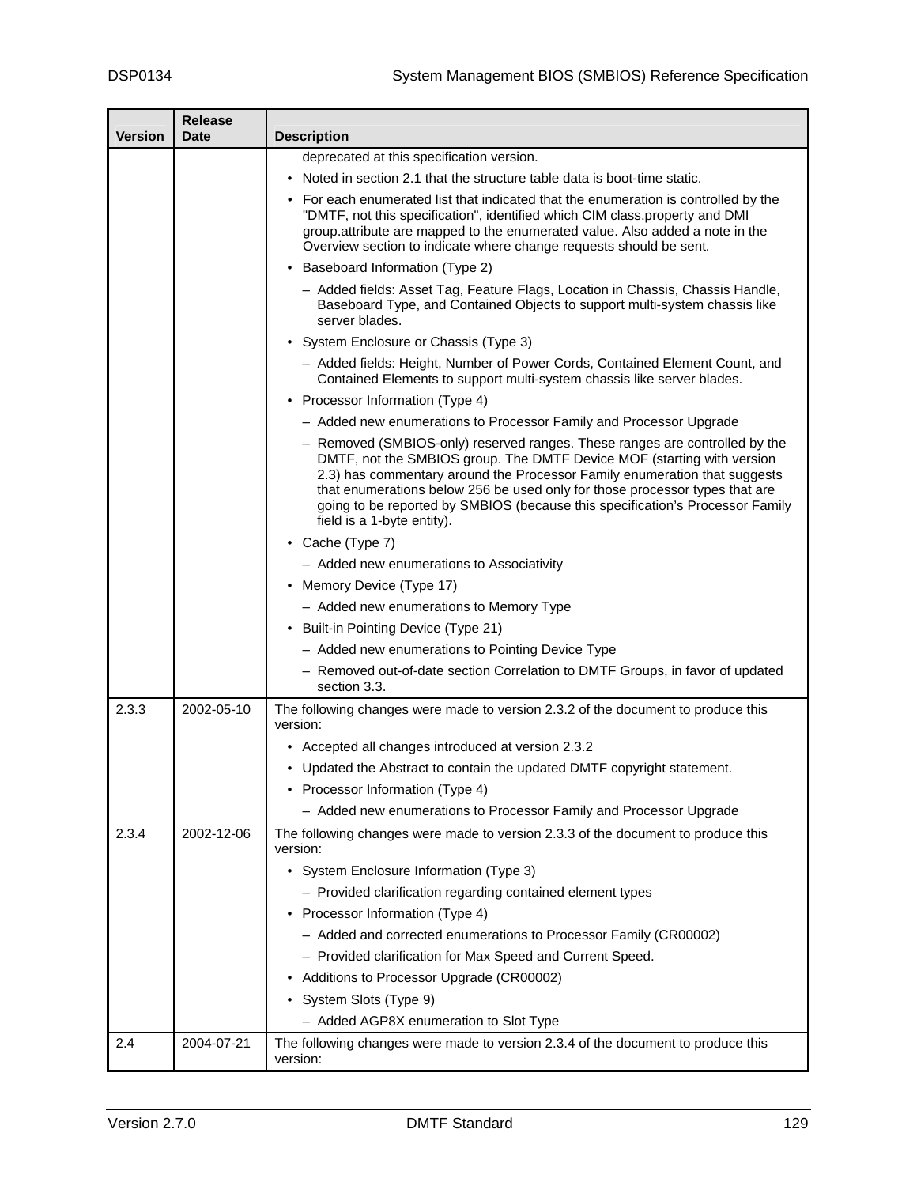| <b>Version</b> | <b>Release</b><br><b>Date</b> | <b>Description</b>                                                                                                                                                                                                                                                                                                                                                                                                               |
|----------------|-------------------------------|----------------------------------------------------------------------------------------------------------------------------------------------------------------------------------------------------------------------------------------------------------------------------------------------------------------------------------------------------------------------------------------------------------------------------------|
|                |                               | deprecated at this specification version.                                                                                                                                                                                                                                                                                                                                                                                        |
|                |                               | • Noted in section 2.1 that the structure table data is boot-time static.                                                                                                                                                                                                                                                                                                                                                        |
|                |                               | • For each enumerated list that indicated that the enumeration is controlled by the<br>"DMTF, not this specification", identified which CIM class.property and DMI<br>group.attribute are mapped to the enumerated value. Also added a note in the<br>Overview section to indicate where change requests should be sent.                                                                                                         |
|                |                               | • Baseboard Information (Type 2)                                                                                                                                                                                                                                                                                                                                                                                                 |
|                |                               | - Added fields: Asset Tag, Feature Flags, Location in Chassis, Chassis Handle,<br>Baseboard Type, and Contained Objects to support multi-system chassis like<br>server blades.                                                                                                                                                                                                                                                   |
|                |                               | • System Enclosure or Chassis (Type 3)                                                                                                                                                                                                                                                                                                                                                                                           |
|                |                               | - Added fields: Height, Number of Power Cords, Contained Element Count, and<br>Contained Elements to support multi-system chassis like server blades.                                                                                                                                                                                                                                                                            |
|                |                               | • Processor Information (Type 4)                                                                                                                                                                                                                                                                                                                                                                                                 |
|                |                               | - Added new enumerations to Processor Family and Processor Upgrade                                                                                                                                                                                                                                                                                                                                                               |
|                |                               | - Removed (SMBIOS-only) reserved ranges. These ranges are controlled by the<br>DMTF, not the SMBIOS group. The DMTF Device MOF (starting with version<br>2.3) has commentary around the Processor Family enumeration that suggests<br>that enumerations below 256 be used only for those processor types that are<br>going to be reported by SMBIOS (because this specification's Processor Family<br>field is a 1-byte entity). |
|                |                               | • Cache (Type 7)                                                                                                                                                                                                                                                                                                                                                                                                                 |
|                |                               | - Added new enumerations to Associativity                                                                                                                                                                                                                                                                                                                                                                                        |
|                |                               | • Memory Device (Type 17)                                                                                                                                                                                                                                                                                                                                                                                                        |
|                |                               | - Added new enumerations to Memory Type                                                                                                                                                                                                                                                                                                                                                                                          |
|                |                               | • Built-in Pointing Device (Type 21)                                                                                                                                                                                                                                                                                                                                                                                             |
|                |                               | - Added new enumerations to Pointing Device Type                                                                                                                                                                                                                                                                                                                                                                                 |
|                |                               | - Removed out-of-date section Correlation to DMTF Groups, in favor of updated<br>section 3.3.                                                                                                                                                                                                                                                                                                                                    |
| 2.3.3          | 2002-05-10                    | The following changes were made to version 2.3.2 of the document to produce this<br>version:                                                                                                                                                                                                                                                                                                                                     |
|                |                               | • Accepted all changes introduced at version 2.3.2                                                                                                                                                                                                                                                                                                                                                                               |
|                |                               | • Updated the Abstract to contain the updated DMTF copyright statement.                                                                                                                                                                                                                                                                                                                                                          |
|                |                               | • Processor Information (Type 4)                                                                                                                                                                                                                                                                                                                                                                                                 |
|                |                               | - Added new enumerations to Processor Family and Processor Upgrade                                                                                                                                                                                                                                                                                                                                                               |
| 2.3.4          | 2002-12-06                    | The following changes were made to version 2.3.3 of the document to produce this<br>version:                                                                                                                                                                                                                                                                                                                                     |
|                |                               | • System Enclosure Information (Type 3)                                                                                                                                                                                                                                                                                                                                                                                          |
|                |                               | - Provided clarification regarding contained element types                                                                                                                                                                                                                                                                                                                                                                       |
|                |                               | • Processor Information (Type 4)                                                                                                                                                                                                                                                                                                                                                                                                 |
|                |                               | - Added and corrected enumerations to Processor Family (CR00002)                                                                                                                                                                                                                                                                                                                                                                 |
|                |                               | - Provided clarification for Max Speed and Current Speed.                                                                                                                                                                                                                                                                                                                                                                        |
|                |                               | • Additions to Processor Upgrade (CR00002)                                                                                                                                                                                                                                                                                                                                                                                       |
|                |                               | • System Slots (Type 9)                                                                                                                                                                                                                                                                                                                                                                                                          |
|                |                               | - Added AGP8X enumeration to Slot Type                                                                                                                                                                                                                                                                                                                                                                                           |
| 2.4            | 2004-07-21                    | The following changes were made to version 2.3.4 of the document to produce this<br>version:                                                                                                                                                                                                                                                                                                                                     |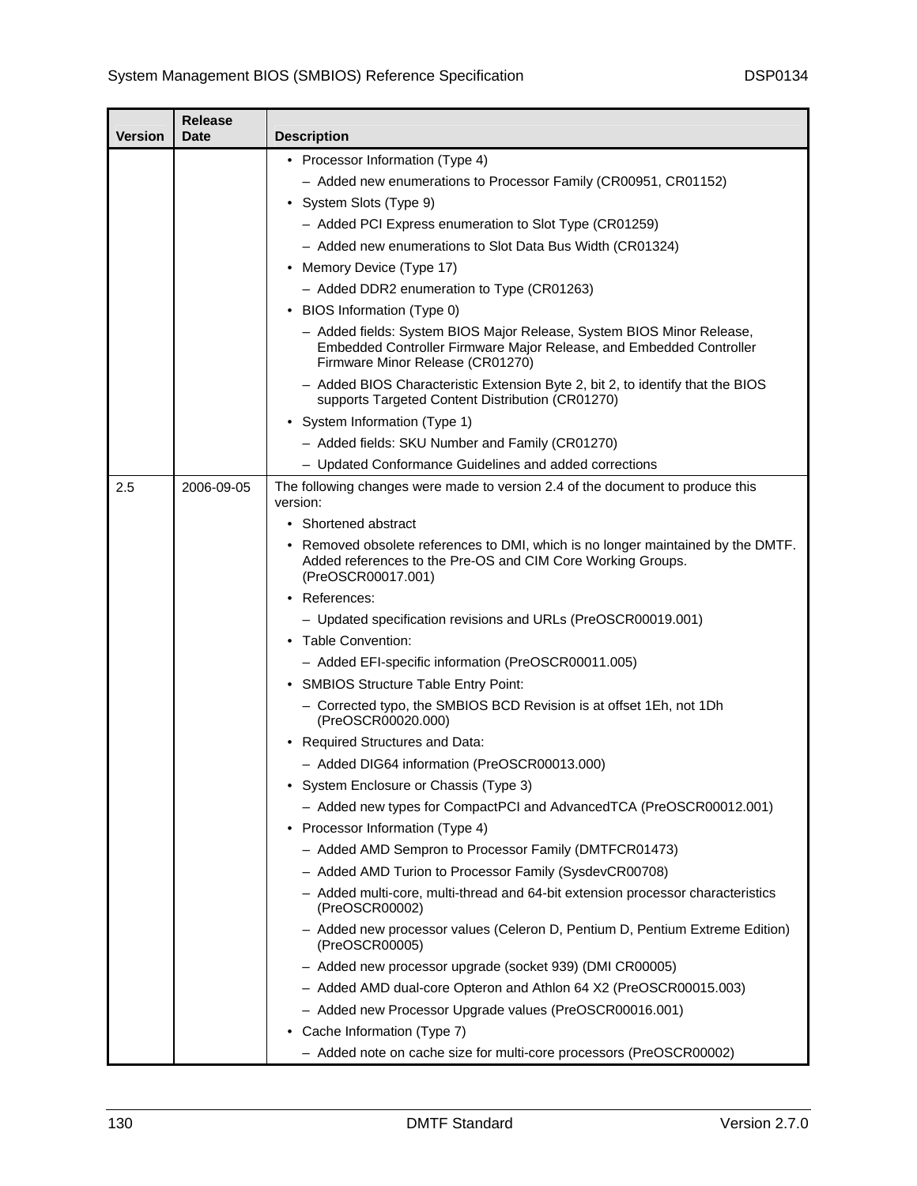| <b>Version</b> | <b>Release</b><br>Date | <b>Description</b>                                                                                                                                                               |
|----------------|------------------------|----------------------------------------------------------------------------------------------------------------------------------------------------------------------------------|
|                |                        | • Processor Information (Type 4)                                                                                                                                                 |
|                |                        | - Added new enumerations to Processor Family (CR00951, CR01152)                                                                                                                  |
|                |                        | • System Slots (Type 9)                                                                                                                                                          |
|                |                        | - Added PCI Express enumeration to Slot Type (CR01259)                                                                                                                           |
|                |                        | - Added new enumerations to Slot Data Bus Width (CR01324)                                                                                                                        |
|                |                        | • Memory Device (Type 17)                                                                                                                                                        |
|                |                        | - Added DDR2 enumeration to Type (CR01263)                                                                                                                                       |
|                |                        | • BIOS Information (Type 0)                                                                                                                                                      |
|                |                        | - Added fields: System BIOS Major Release, System BIOS Minor Release,<br>Embedded Controller Firmware Major Release, and Embedded Controller<br>Firmware Minor Release (CR01270) |
|                |                        | - Added BIOS Characteristic Extension Byte 2, bit 2, to identify that the BIOS<br>supports Targeted Content Distribution (CR01270)                                               |
|                |                        | • System Information (Type 1)                                                                                                                                                    |
|                |                        | - Added fields: SKU Number and Family (CR01270)                                                                                                                                  |
|                |                        | - Updated Conformance Guidelines and added corrections                                                                                                                           |
| 2.5            | 2006-09-05             | The following changes were made to version 2.4 of the document to produce this<br>version:                                                                                       |
|                |                        | • Shortened abstract                                                                                                                                                             |
|                |                        | • Removed obsolete references to DMI, which is no longer maintained by the DMTF.<br>Added references to the Pre-OS and CIM Core Working Groups.<br>(PreOSCR00017.001)            |
|                |                        | • References:                                                                                                                                                                    |
|                |                        | - Updated specification revisions and URLs (PreOSCR00019.001)                                                                                                                    |
|                |                        | • Table Convention:                                                                                                                                                              |
|                |                        | - Added EFI-specific information (PreOSCR00011.005)                                                                                                                              |
|                |                        | • SMBIOS Structure Table Entry Point:                                                                                                                                            |
|                |                        | - Corrected typo, the SMBIOS BCD Revision is at offset 1Eh, not 1Dh<br>(PreOSCR00020.000)                                                                                        |
|                |                        | • Required Structures and Data:                                                                                                                                                  |
|                |                        | - Added DIG64 information (PreOSCR00013.000)                                                                                                                                     |
|                |                        | • System Enclosure or Chassis (Type 3)                                                                                                                                           |
|                |                        | - Added new types for CompactPCI and AdvancedTCA (PreOSCR00012.001)                                                                                                              |
|                |                        | • Processor Information (Type 4)                                                                                                                                                 |
|                |                        | - Added AMD Sempron to Processor Family (DMTFCR01473)                                                                                                                            |
|                |                        | - Added AMD Turion to Processor Family (SysdevCR00708)                                                                                                                           |
|                |                        | - Added multi-core, multi-thread and 64-bit extension processor characteristics<br>(PreOSCR00002)                                                                                |
|                |                        | - Added new processor values (Celeron D, Pentium D, Pentium Extreme Edition)<br>(PreOSCR00005)                                                                                   |
|                |                        | - Added new processor upgrade (socket 939) (DMI CR00005)                                                                                                                         |
|                |                        | - Added AMD dual-core Opteron and Athlon 64 X2 (PreOSCR00015.003)                                                                                                                |
|                |                        | - Added new Processor Upgrade values (PreOSCR00016.001)                                                                                                                          |
|                |                        | • Cache Information (Type 7)                                                                                                                                                     |
|                |                        | - Added note on cache size for multi-core processors (PreOSCR00002)                                                                                                              |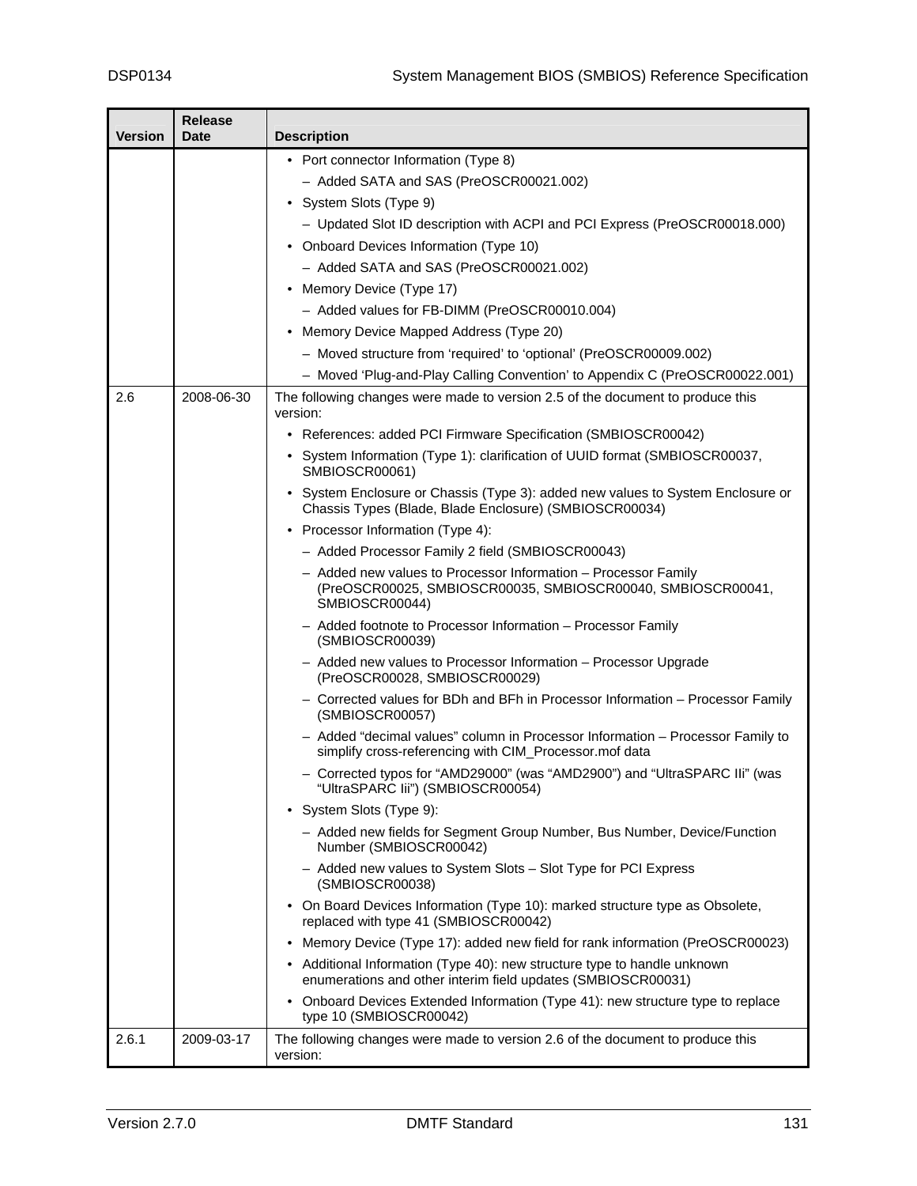| <b>Version</b> | <b>Release</b><br><b>Date</b> | <b>Description</b>                                                                                                                              |
|----------------|-------------------------------|-------------------------------------------------------------------------------------------------------------------------------------------------|
|                |                               | • Port connector Information (Type 8)<br>- Added SATA and SAS (PreOSCR00021.002)                                                                |
|                |                               | • System Slots (Type 9)                                                                                                                         |
|                |                               | - Updated Slot ID description with ACPI and PCI Express (PreOSCR00018.000)                                                                      |
|                |                               | • Onboard Devices Information (Type 10)                                                                                                         |
|                |                               | - Added SATA and SAS (PreOSCR00021.002)                                                                                                         |
|                |                               | • Memory Device (Type 17)                                                                                                                       |
|                |                               | - Added values for FB-DIMM (PreOSCR00010.004)                                                                                                   |
|                |                               | Memory Device Mapped Address (Type 20)                                                                                                          |
|                |                               | - Moved structure from 'required' to 'optional' (PreOSCR00009.002)                                                                              |
|                |                               | - Moved 'Plug-and-Play Calling Convention' to Appendix C (PreOSCR00022.001)                                                                     |
| 2.6            | 2008-06-30                    | The following changes were made to version 2.5 of the document to produce this<br>version:                                                      |
|                |                               | • References: added PCI Firmware Specification (SMBIOSCR00042)                                                                                  |
|                |                               | • System Information (Type 1): clarification of UUID format (SMBIOSCR00037,<br>SMBIOSCR00061)                                                   |
|                |                               | • System Enclosure or Chassis (Type 3): added new values to System Enclosure or<br>Chassis Types (Blade, Blade Enclosure) (SMBIOSCR00034)       |
|                |                               | • Processor Information (Type 4):                                                                                                               |
|                |                               | - Added Processor Family 2 field (SMBIOSCR00043)                                                                                                |
|                |                               | - Added new values to Processor Information - Processor Family<br>(PreOSCR00025, SMBIOSCR00035, SMBIOSCR00040, SMBIOSCR00041,<br>SMBIOSCR00044) |
|                |                               | - Added footnote to Processor Information - Processor Family<br>(SMBIOSCR00039)                                                                 |
|                |                               | - Added new values to Processor Information - Processor Upgrade<br>(PreOSCR00028, SMBIOSCR00029)                                                |
|                |                               | - Corrected values for BDh and BFh in Processor Information - Processor Family<br>(SMBIOSCR00057)                                               |
|                |                               | - Added "decimal values" column in Processor Information - Processor Family to<br>simplify cross-referencing with CIM_Processor.mof data        |
|                |                               | - Corrected typos for "AMD29000" (was "AMD2900") and "UltraSPARC IIi" (was<br>"UltraSPARC lii") (SMBIOSCR00054)                                 |
|                |                               | System Slots (Type 9):<br>$\bullet$                                                                                                             |
|                |                               | - Added new fields for Segment Group Number, Bus Number, Device/Function<br>Number (SMBIOSCR00042)                                              |
|                |                               | - Added new values to System Slots - Slot Type for PCI Express<br>(SMBIOSCR00038)                                                               |
|                |                               | • On Board Devices Information (Type 10): marked structure type as Obsolete,<br>replaced with type 41 (SMBIOSCR00042)                           |
|                |                               | Memory Device (Type 17): added new field for rank information (PreOSCR00023)<br>٠                                                               |
|                |                               | • Additional Information (Type 40): new structure type to handle unknown<br>enumerations and other interim field updates (SMBIOSCR00031)        |
|                |                               | • Onboard Devices Extended Information (Type 41): new structure type to replace<br>type 10 (SMBIOSCR00042)                                      |
| 2.6.1          | 2009-03-17                    | The following changes were made to version 2.6 of the document to produce this<br>version:                                                      |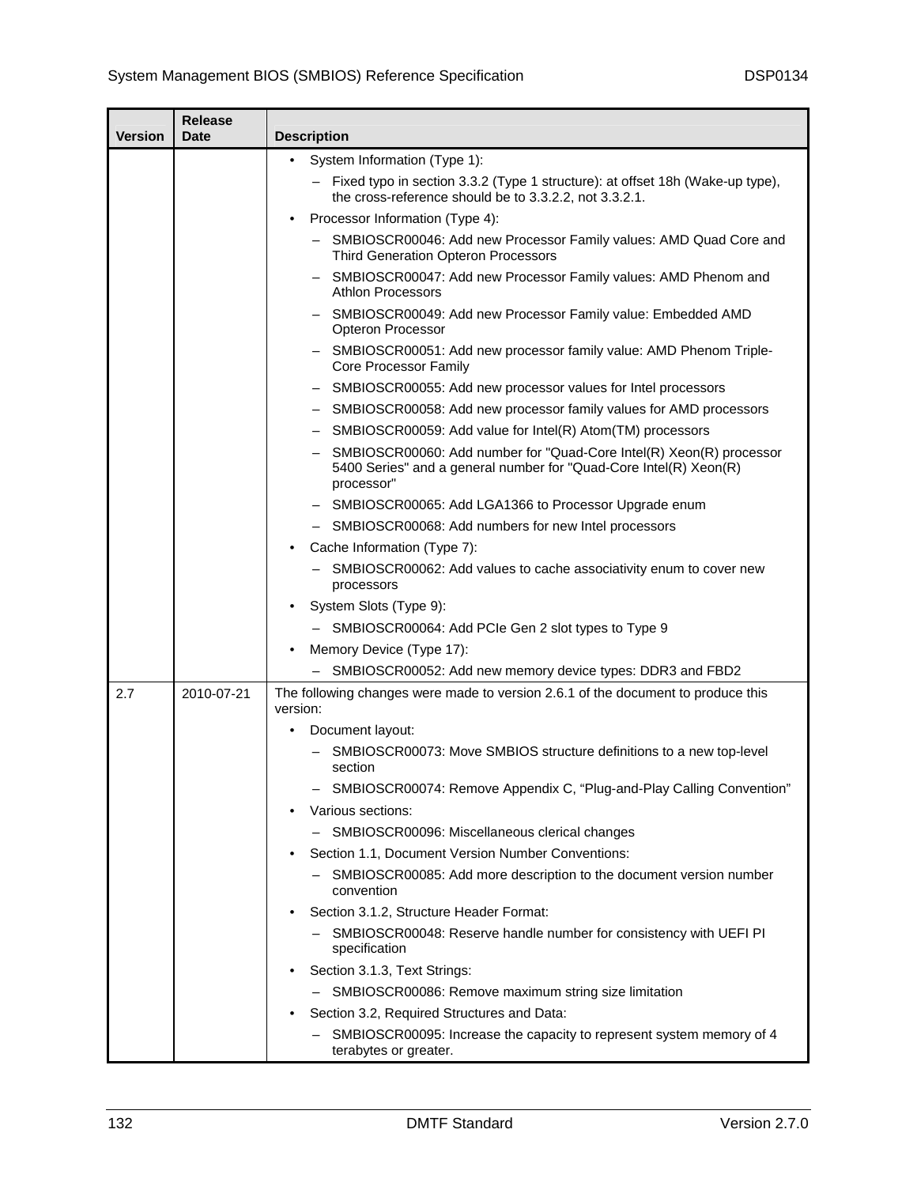| <b>Version</b> | <b>Release</b><br><b>Date</b> | <b>Description</b>                                                                                                                                     |
|----------------|-------------------------------|--------------------------------------------------------------------------------------------------------------------------------------------------------|
|                |                               | System Information (Type 1):<br>$\bullet$                                                                                                              |
|                |                               | - Fixed typo in section 3.3.2 (Type 1 structure): at offset 18h (Wake-up type),<br>the cross-reference should be to 3.3.2.2, not 3.3.2.1.              |
|                |                               | Processor Information (Type 4):<br>٠                                                                                                                   |
|                |                               | SMBIOSCR00046: Add new Processor Family values: AMD Quad Core and<br><b>Third Generation Opteron Processors</b>                                        |
|                |                               | SMBIOSCR00047: Add new Processor Family values: AMD Phenom and<br><b>Athlon Processors</b>                                                             |
|                |                               | SMBIOSCR00049: Add new Processor Family value: Embedded AMD<br>Opteron Processor                                                                       |
|                |                               | SMBIOSCR00051: Add new processor family value: AMD Phenom Triple-<br>Core Processor Family                                                             |
|                |                               | SMBIOSCR00055: Add new processor values for Intel processors                                                                                           |
|                |                               | SMBIOSCR00058: Add new processor family values for AMD processors                                                                                      |
|                |                               | SMBIOSCR00059: Add value for Intel(R) Atom(TM) processors                                                                                              |
|                |                               | SMBIOSCR00060: Add number for "Quad-Core Intel(R) Xeon(R) processor<br>5400 Series" and a general number for "Quad-Core Intel(R) Xeon(R)<br>processor" |
|                |                               | SMBIOSCR00065: Add LGA1366 to Processor Upgrade enum                                                                                                   |
|                |                               | - SMBIOSCR00068: Add numbers for new Intel processors                                                                                                  |
|                |                               | Cache Information (Type 7):<br>٠                                                                                                                       |
|                |                               | SMBIOSCR00062: Add values to cache associativity enum to cover new<br>processors                                                                       |
|                |                               | System Slots (Type 9):                                                                                                                                 |
|                |                               | SMBIOSCR00064: Add PCIe Gen 2 slot types to Type 9                                                                                                     |
|                |                               | Memory Device (Type 17):                                                                                                                               |
|                |                               | SMBIOSCR00052: Add new memory device types: DDR3 and FBD2                                                                                              |
| 2.7            | 2010-07-21                    | The following changes were made to version 2.6.1 of the document to produce this<br>version:                                                           |
|                |                               | Document layout:<br>٠                                                                                                                                  |
|                |                               | SMBIOSCR00073: Move SMBIOS structure definitions to a new top-level<br>section                                                                         |
|                |                               | SMBIOSCR00074: Remove Appendix C, "Plug-and-Play Calling Convention"                                                                                   |
|                |                               | Various sections:<br>٠                                                                                                                                 |
|                |                               | SMBIOSCR00096: Miscellaneous clerical changes                                                                                                          |
|                |                               | Section 1.1, Document Version Number Conventions:<br>٠                                                                                                 |
|                |                               | SMBIOSCR00085: Add more description to the document version number<br>convention                                                                       |
|                |                               | Section 3.1.2, Structure Header Format:<br>٠                                                                                                           |
|                |                               | SMBIOSCR00048: Reserve handle number for consistency with UEFI PI<br>specification                                                                     |
|                |                               | Section 3.1.3, Text Strings:<br>٠                                                                                                                      |
|                |                               | SMBIOSCR00086: Remove maximum string size limitation                                                                                                   |
|                |                               | Section 3.2, Required Structures and Data:                                                                                                             |
|                |                               | SMBIOSCR00095: Increase the capacity to represent system memory of 4<br>terabytes or greater.                                                          |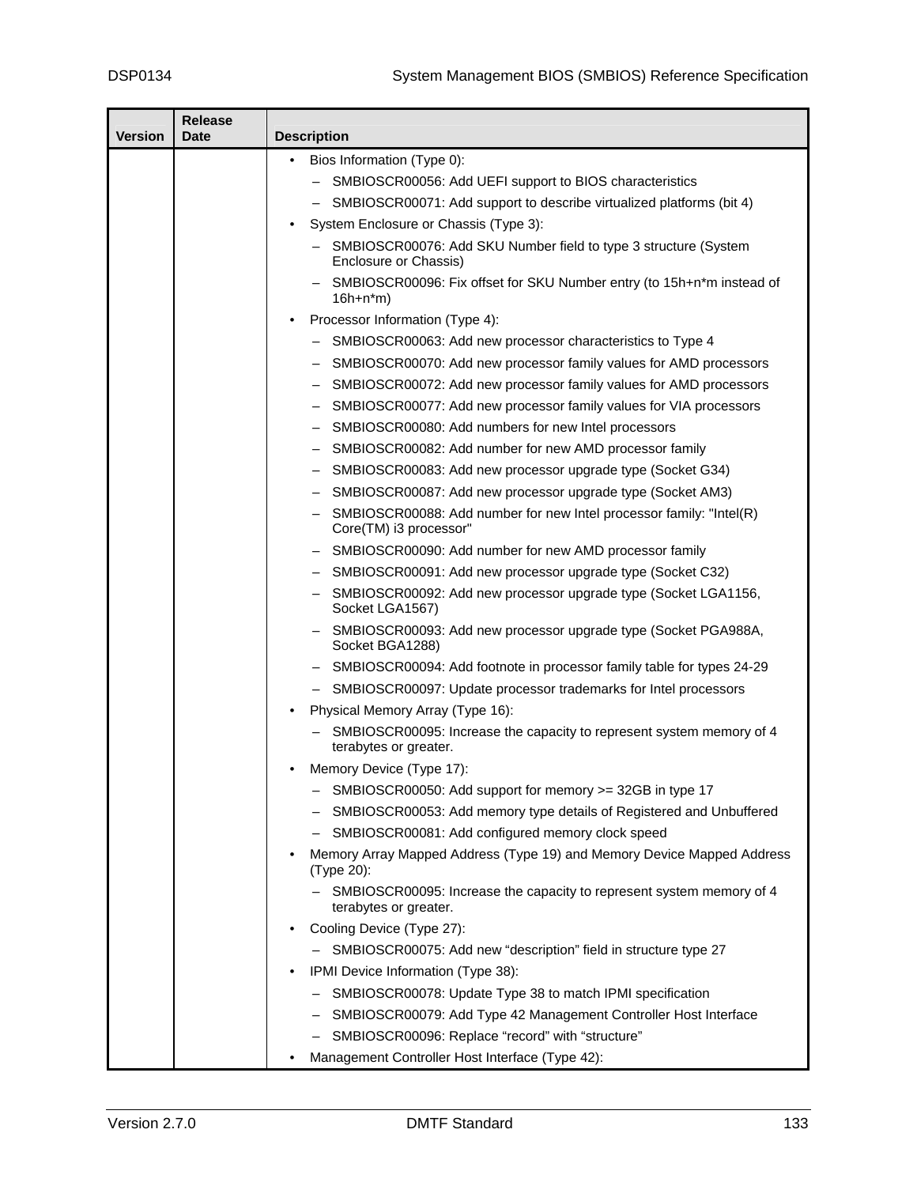| <b>Version</b> | <b>Release</b><br><b>Date</b> | <b>Description</b>                                                                              |
|----------------|-------------------------------|-------------------------------------------------------------------------------------------------|
|                |                               | Bios Information (Type 0):<br>$\bullet$                                                         |
|                |                               | - SMBIOSCR00056: Add UEFI support to BIOS characteristics                                       |
|                |                               | - SMBIOSCR00071: Add support to describe virtualized platforms (bit 4)                          |
|                |                               | System Enclosure or Chassis (Type 3):                                                           |
|                |                               | - SMBIOSCR00076: Add SKU Number field to type 3 structure (System<br>Enclosure or Chassis)      |
|                |                               | SMBIOSCR00096: Fix offset for SKU Number entry (to 15h+n*m instead of<br>$16h+n*m$              |
|                |                               | Processor Information (Type 4):                                                                 |
|                |                               | - SMBIOSCR00063: Add new processor characteristics to Type 4                                    |
|                |                               | - SMBIOSCR00070: Add new processor family values for AMD processors                             |
|                |                               | - SMBIOSCR00072: Add new processor family values for AMD processors                             |
|                |                               | - SMBIOSCR00077: Add new processor family values for VIA processors                             |
|                |                               | - SMBIOSCR00080: Add numbers for new Intel processors                                           |
|                |                               | SMBIOSCR00082: Add number for new AMD processor family                                          |
|                |                               | SMBIOSCR00083: Add new processor upgrade type (Socket G34)                                      |
|                |                               | SMBIOSCR00087: Add new processor upgrade type (Socket AM3)                                      |
|                |                               | - SMBIOSCR00088: Add number for new Intel processor family: "Intel(R)<br>Core(TM) i3 processor" |
|                |                               | - SMBIOSCR00090: Add number for new AMD processor family                                        |
|                |                               | SMBIOSCR00091: Add new processor upgrade type (Socket C32)                                      |
|                |                               | SMBIOSCR00092: Add new processor upgrade type (Socket LGA1156,<br>Socket LGA1567)               |
|                |                               | SMBIOSCR00093: Add new processor upgrade type (Socket PGA988A,<br>Socket BGA1288)               |
|                |                               | - SMBIOSCR00094: Add footnote in processor family table for types 24-29                         |
|                |                               | - SMBIOSCR00097: Update processor trademarks for Intel processors                               |
|                |                               | Physical Memory Array (Type 16):                                                                |
|                |                               | - SMBIOSCR00095: Increase the capacity to represent system memory of 4<br>terabytes or greater. |
|                |                               | Memory Device (Type 17):                                                                        |
|                |                               | SMBIOSCR00050: Add support for memory >= 32GB in type 17                                        |
|                |                               | SMBIOSCR00053: Add memory type details of Registered and Unbuffered                             |
|                |                               | SMBIOSCR00081: Add configured memory clock speed                                                |
|                |                               | Memory Array Mapped Address (Type 19) and Memory Device Mapped Address<br>(Type 20):            |
|                |                               | SMBIOSCR00095: Increase the capacity to represent system memory of 4<br>terabytes or greater.   |
|                |                               | Cooling Device (Type 27):                                                                       |
|                |                               | - SMBIOSCR00075: Add new "description" field in structure type 27                               |
|                |                               | IPMI Device Information (Type 38):<br>٠                                                         |
|                |                               | - SMBIOSCR00078: Update Type 38 to match IPMI specification                                     |
|                |                               | SMBIOSCR00079: Add Type 42 Management Controller Host Interface                                 |
|                |                               | SMBIOSCR00096: Replace "record" with "structure"                                                |
|                |                               | Management Controller Host Interface (Type 42):                                                 |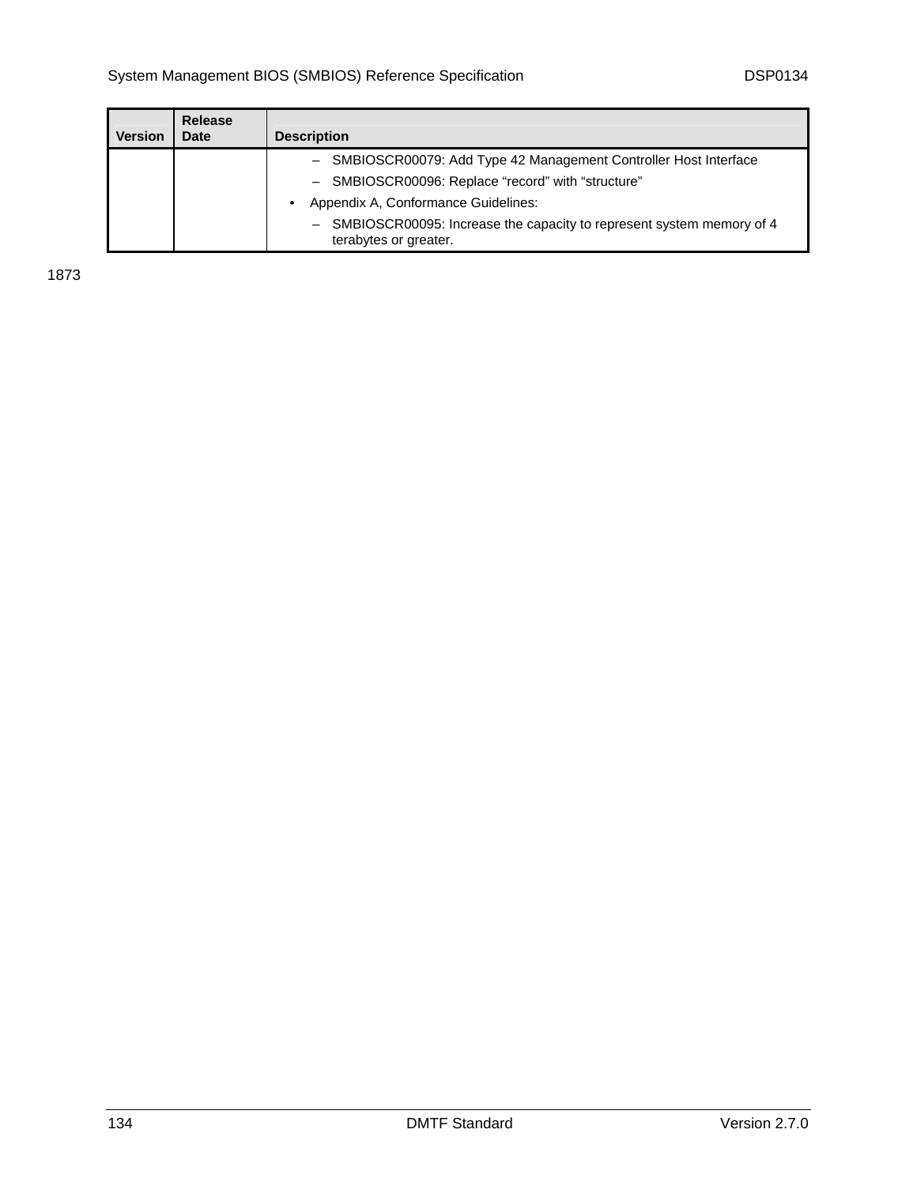| <b>Version</b> | Release<br><b>Date</b> | <b>Description</b>                                                                              |
|----------------|------------------------|-------------------------------------------------------------------------------------------------|
|                |                        | - SMBIOSCR00079: Add Type 42 Management Controller Host Interface                               |
|                |                        | - SMBIOSCR00096: Replace "record" with "structure"                                              |
|                |                        | Appendix A, Conformance Guidelines:                                                             |
|                |                        | - SMBIOSCR00095: Increase the capacity to represent system memory of 4<br>terabytes or greater. |